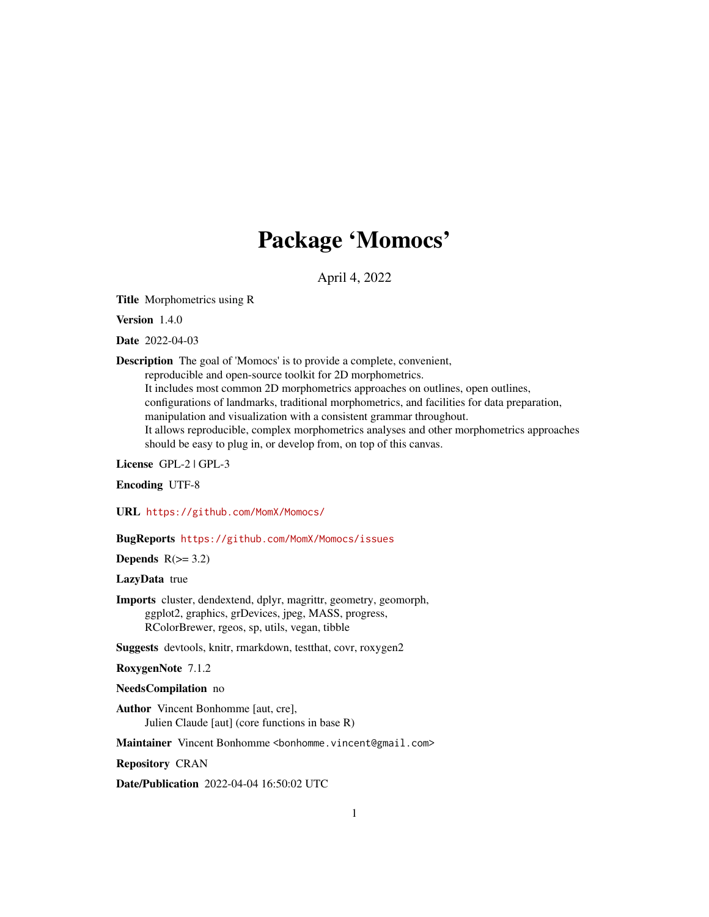# Package 'Momocs'

April 4, 2022

<span id="page-0-0"></span>Title Morphometrics using R

Version 1.4.0

Date 2022-04-03

Description The goal of 'Momocs' is to provide a complete, convenient,

reproducible and open-source toolkit for 2D morphometrics.

It includes most common 2D morphometrics approaches on outlines, open outlines, configurations of landmarks, traditional morphometrics, and facilities for data preparation, manipulation and visualization with a consistent grammar throughout. It allows reproducible, complex morphometrics analyses and other morphometrics approaches should be easy to plug in, or develop from, on top of this canvas.

License GPL-2 | GPL-3

Encoding UTF-8

URL <https://github.com/MomX/Momocs/>

BugReports <https://github.com/MomX/Momocs/issues>

Depends  $R(>= 3.2)$ 

LazyData true

Imports cluster, dendextend, dplyr, magrittr, geometry, geomorph, ggplot2, graphics, grDevices, jpeg, MASS, progress, RColorBrewer, rgeos, sp, utils, vegan, tibble

Suggests devtools, knitr, rmarkdown, testthat, covr, roxygen2

RoxygenNote 7.1.2

#### NeedsCompilation no

Author Vincent Bonhomme [aut, cre], Julien Claude [aut] (core functions in base R)

Maintainer Vincent Bonhomme <bonhomme.vincent@gmail.com>

Repository CRAN

Date/Publication 2022-04-04 16:50:02 UTC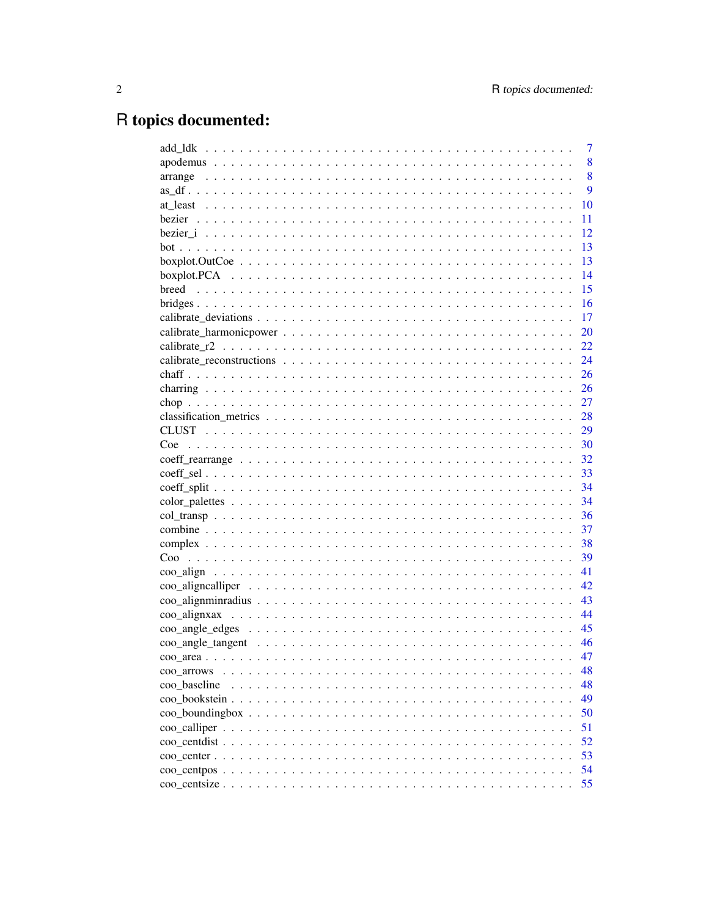# R topics documented:

|                                                                                                                | 7  |
|----------------------------------------------------------------------------------------------------------------|----|
|                                                                                                                | 8  |
|                                                                                                                | 8  |
|                                                                                                                | 9  |
|                                                                                                                | 10 |
|                                                                                                                | 11 |
|                                                                                                                | 12 |
|                                                                                                                | 13 |
|                                                                                                                | 13 |
|                                                                                                                | 14 |
| breed                                                                                                          | 15 |
|                                                                                                                | 16 |
|                                                                                                                | 17 |
|                                                                                                                | 20 |
|                                                                                                                | 22 |
|                                                                                                                | 24 |
|                                                                                                                | 26 |
|                                                                                                                | 26 |
|                                                                                                                | 27 |
|                                                                                                                | 28 |
|                                                                                                                | 29 |
| Coe                                                                                                            | 30 |
|                                                                                                                | 32 |
|                                                                                                                | 33 |
|                                                                                                                | 34 |
|                                                                                                                | 34 |
|                                                                                                                | 36 |
|                                                                                                                | 37 |
|                                                                                                                | 38 |
|                                                                                                                | 39 |
|                                                                                                                | 41 |
|                                                                                                                | 42 |
|                                                                                                                | 43 |
|                                                                                                                | 44 |
|                                                                                                                | 45 |
| coo angle tangent $\ldots \ldots \ldots \ldots \ldots \ldots \ldots \ldots \ldots \ldots \ldots \ldots \ldots$ | 46 |
|                                                                                                                | 47 |
| coo arrows                                                                                                     | 48 |
| coo baseline                                                                                                   | 48 |
|                                                                                                                | 49 |
|                                                                                                                | 50 |
|                                                                                                                | 51 |
|                                                                                                                | 52 |
|                                                                                                                | 53 |
|                                                                                                                | 54 |
|                                                                                                                | 55 |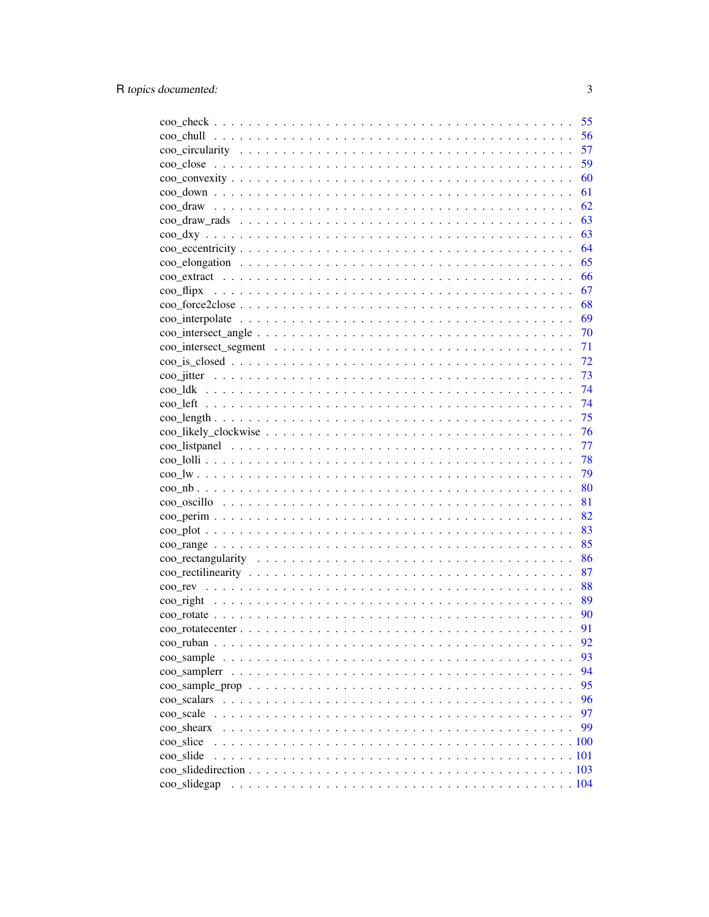|                                      | 55   |
|--------------------------------------|------|
|                                      | 56   |
|                                      | 57   |
|                                      | 59   |
|                                      | 60   |
|                                      | 61   |
|                                      | 62   |
|                                      | 63   |
|                                      | 63   |
|                                      | 64   |
|                                      | 65   |
|                                      | 66   |
| $\rm{co}$ $\rm{f}$ $\rm{d}$ $\rm{p}$ | 67   |
|                                      | 68   |
|                                      | - 69 |
|                                      | 70   |
|                                      | 71   |
|                                      | 72   |
|                                      | 73   |
|                                      | 74   |
|                                      | 74   |
|                                      | 75   |
|                                      | 76   |
|                                      | 77   |
|                                      | 78   |
|                                      | 79   |
|                                      | 80   |
|                                      | 81   |
|                                      | 82   |
|                                      | 83   |
|                                      | 85   |
|                                      | 86   |
|                                      | 87   |
|                                      | 88   |
|                                      | 89   |
|                                      | 90   |
|                                      | 91   |
|                                      | 92   |
|                                      | 93   |
|                                      | 94   |
|                                      | 95   |
|                                      | 96   |
|                                      | 97   |
| coo shearx                           | 99   |
| coo slice                            | .100 |
| coo slide                            |      |
|                                      |      |
| coo slidegap                         |      |
|                                      |      |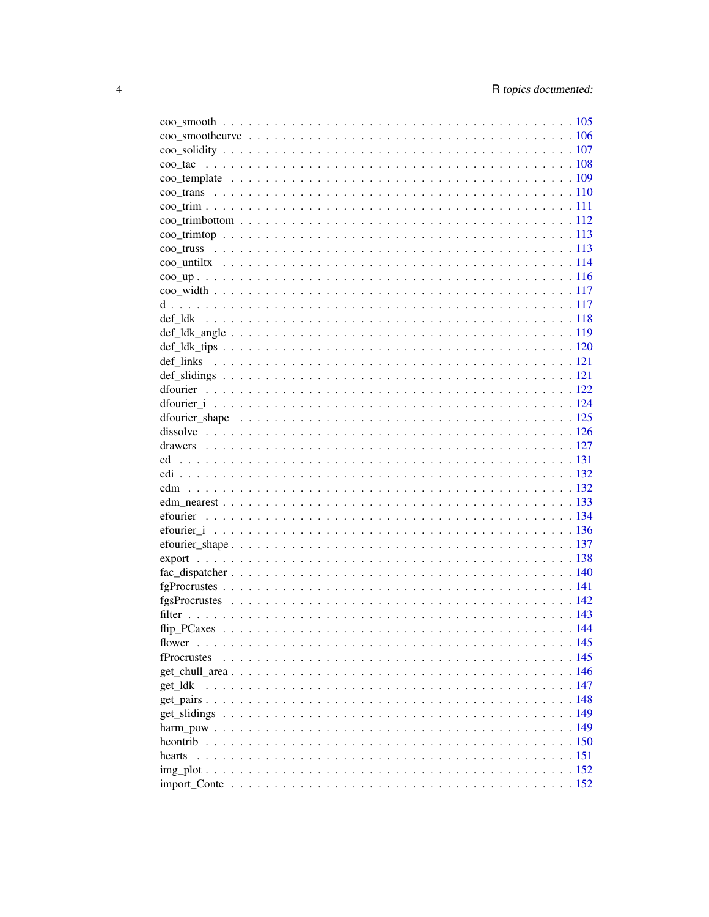| hearts |  |
|--------|--|
|        |  |
|        |  |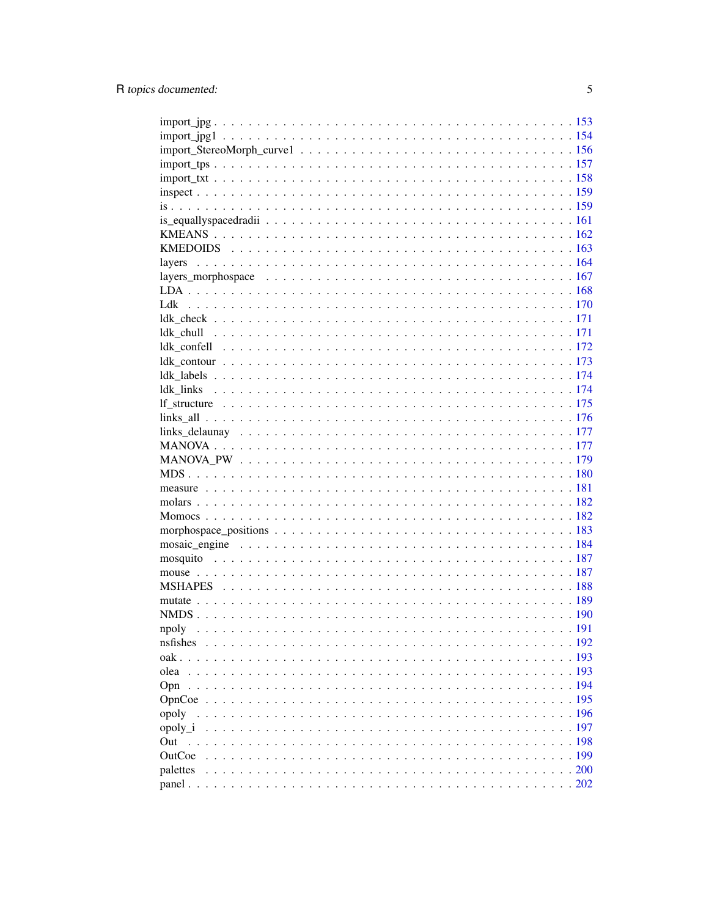| npoly     |  |
|-----------|--|
| nsfishes. |  |
|           |  |
| olea      |  |
| Opn       |  |
|           |  |
|           |  |
|           |  |
| Out       |  |
| OutCoe    |  |
|           |  |
|           |  |
|           |  |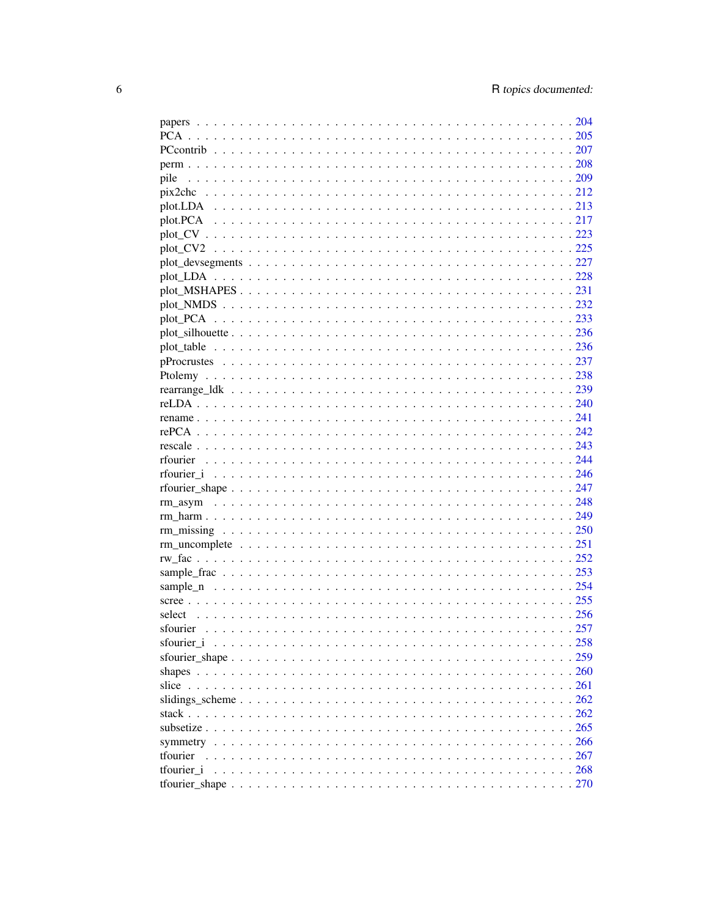| pile     |  |
|----------|--|
|          |  |
|          |  |
|          |  |
|          |  |
|          |  |
|          |  |
|          |  |
|          |  |
|          |  |
|          |  |
|          |  |
|          |  |
|          |  |
|          |  |
|          |  |
|          |  |
|          |  |
|          |  |
|          |  |
|          |  |
|          |  |
|          |  |
|          |  |
|          |  |
|          |  |
|          |  |
|          |  |
|          |  |
|          |  |
|          |  |
|          |  |
|          |  |
|          |  |
|          |  |
|          |  |
|          |  |
|          |  |
|          |  |
|          |  |
|          |  |
| tfourier |  |
|          |  |
|          |  |
|          |  |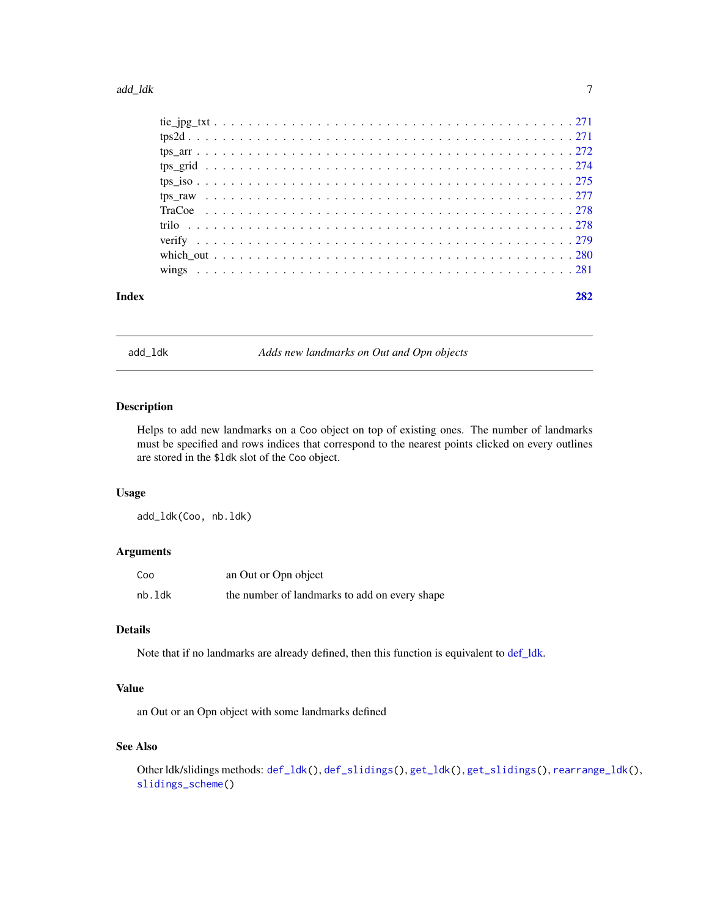<span id="page-6-0"></span>

| 282 |  |
|-----|--|

# **Index**

add\_1dk

Adds new landmarks on Out and Opn objects

# Description

Helps to add new landmarks on a Coo object on top of existing ones. The number of landmarks must be specified and rows indices that correspond to the nearest points clicked on every outlines are stored in the \$1dk slot of the Coo object.

#### **Usage**

add\_ldk(Coo, nb.ldk)

# **Arguments**

| Coo    | an Out or Opn object                          |
|--------|-----------------------------------------------|
| nb.ldk | the number of landmarks to add on every shape |

## **Details**

Note that if no landmarks are already defined, then this function is equivalent to def\_ldk.

## **Value**

an Out or an Opn object with some landmarks defined

# **See Also**

Other ldk/slidings methods: def\_1dk(), def\_slidings(), get\_1dk(), get\_slidings(), rearrange\_1dk(), slidings\_scheme()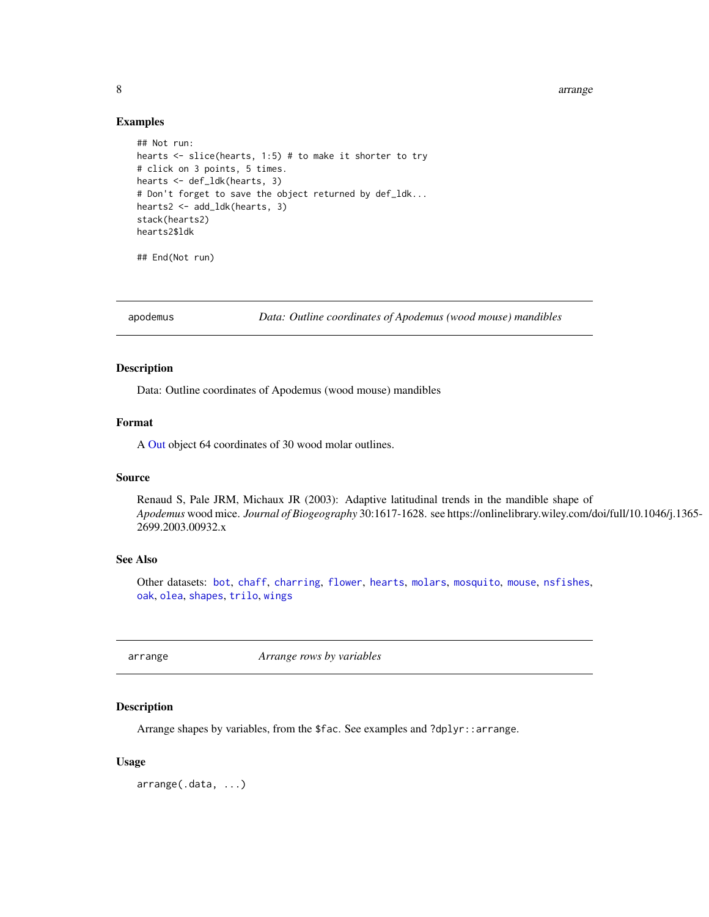8 arrangement of the state of the state of the state of the state of the state of the state of the state of the state of the state of the state of the state of the state of the state of the state of the state of the state

#### Examples

```
## Not run:
hearts \le slice(hearts, 1:5) # to make it shorter to try
# click on 3 points, 5 times.
hearts <- def_ldk(hearts, 3)
# Don't forget to save the object returned by def_ldk...
hearts2 <- add_ldk(hearts, 3)
stack(hearts2)
hearts2$ldk
```
## End(Not run)

<span id="page-7-2"></span>

apodemus *Data: Outline coordinates of Apodemus (wood mouse) mandibles*

#### Description

Data: Outline coordinates of Apodemus (wood mouse) mandibles

#### Format

A [Out](#page-197-1) object 64 coordinates of 30 wood molar outlines.

#### Source

Renaud S, Pale JRM, Michaux JR (2003): Adaptive latitudinal trends in the mandible shape of *Apodemus* wood mice. *Journal of Biogeography* 30:1617-1628. see https://onlinelibrary.wiley.com/doi/full/10.1046/j.1365- 2699.2003.00932.x

## See Also

Other datasets: [bot](#page-12-1), [chaff](#page-25-1), [charring](#page-25-2), [flower](#page-144-1), [hearts](#page-150-1), [molars](#page-181-1), [mosquito](#page-186-1), [mouse](#page-186-2), [nsfishes](#page-191-1), [oak](#page-192-1), [olea](#page-192-2), [shapes](#page-259-1), [trilo](#page-277-1), [wings](#page-280-1)

<span id="page-7-1"></span>arrange *Arrange rows by variables*

# **Description**

Arrange shapes by variables, from the \$fac. See examples and ?dplyr::arrange.

#### Usage

arrange(.data, ...)

<span id="page-7-0"></span>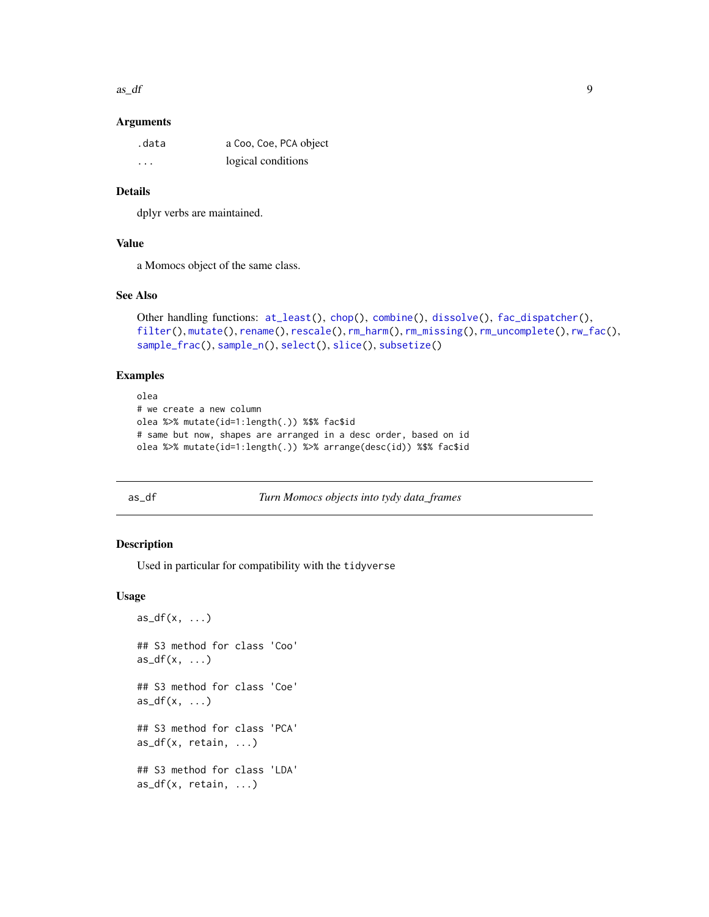<span id="page-8-0"></span> $\frac{a s}{d f}$  9

#### Arguments

| .data | a Coo, Coe, PCA object |
|-------|------------------------|
| .     | logical conditions     |

# Details

dplyr verbs are maintained.

# Value

a Momocs object of the same class.

#### See Also

```
Other handling functions: at_least(), chop(), combine(), dissolve(), fac_dispatcher(),
filter(), mutate(), rename(), rescale(), rm_harm(), rm_missing(), rm_uncomplete(), rw_fac(),
sample_frac(), sample_n(), select(), slice(), subsetize()
```
# Examples

```
olea
# we create a new column
olea %>% mutate(id=1:length(.)) %$% fac$id
# same but now, shapes are arranged in a desc order, based on id
olea %>% mutate(id=1:length(.)) %>% arrange(desc(id)) %$% fac$id
```
<span id="page-8-1"></span>as\_df *Turn Momocs objects into tydy data\_frames*

#### Description

Used in particular for compatibility with the tidyverse

#### Usage

```
as_d(f(x, \ldots))## S3 method for class 'Coo'
as_d(f(x, \ldots))## S3 method for class 'Coe'
as_d(f(x, \ldots))## S3 method for class 'PCA'
as_d f(x, retain, ...)## S3 method for class 'LDA'
as_d f(x, retain, ...)
```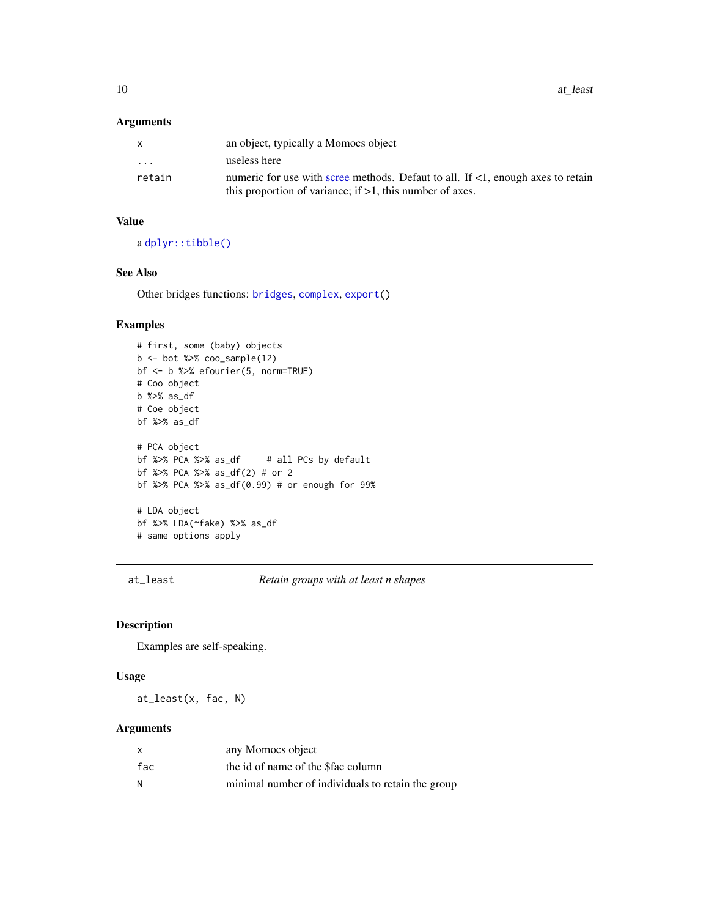#### <span id="page-9-0"></span>Arguments

|                         | an object, typically a Momocs object                                            |
|-------------------------|---------------------------------------------------------------------------------|
| $\cdot$ $\cdot$ $\cdot$ | useless here                                                                    |
| retain                  | numeric for use with scree methods. Defaut to all. If <1, enough axes to retain |
|                         | this proportion of variance; if $>1$ , this number of axes.                     |

## Value

a [dplyr::tibble\(\)](#page-0-0)

# See Also

Other bridges functions: [bridges](#page-15-1), [complex](#page-37-1), [export\(](#page-137-1))

# Examples

```
# first, some (baby) objects
b \le - bot %\gg coo_sample(12)
bf <- b %>% efourier(5, norm=TRUE)
# Coo object
b %>% as_df
# Coe object
bf %>% as_df
# PCA object
                        # all PCs by default
bf %>% PCA %>% as_df(2) # or 2
bf %>% PCA %>% as_df(0.99) # or enough for 99%
# LDA object
bf %>% LDA(~fake) %>% as_df
# same options apply
```
<span id="page-9-1"></span>at\_least *Retain groups with at least n shapes*

## Description

Examples are self-speaking.

#### Usage

at\_least(x, fac, N)

#### Arguments

| X   | any Momocs object                                 |
|-----|---------------------------------------------------|
| fac | the id of name of the \$fac column                |
| N   | minimal number of individuals to retain the group |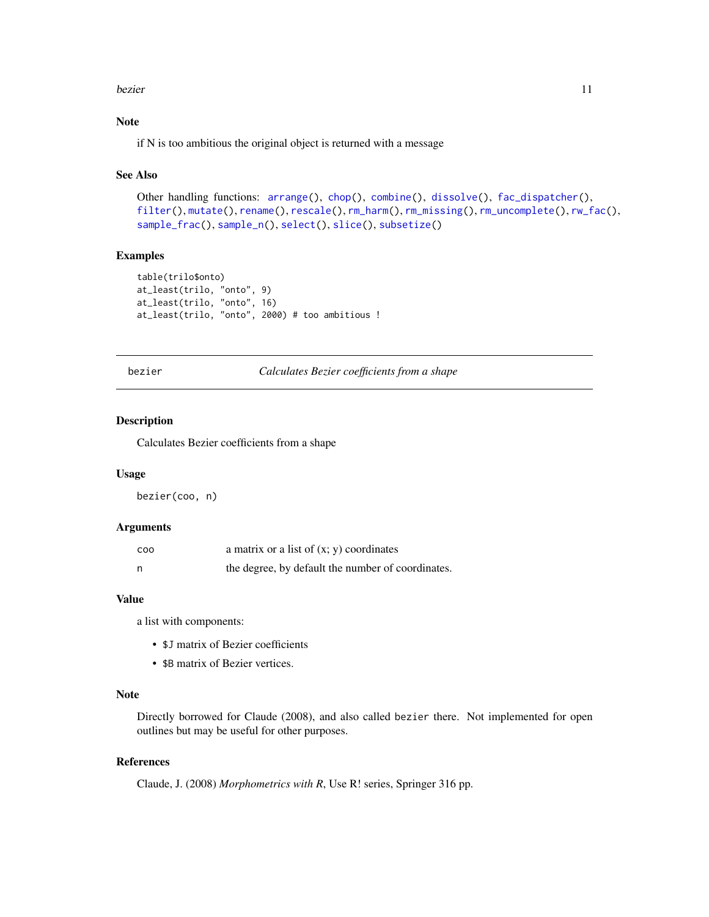#### <span id="page-10-0"></span>bezier als a strong text of the structure of the structure of the structure of the structure of the structure of the structure of the structure of the structure of the structure of the structure of the structure of the str

# Note

if N is too ambitious the original object is returned with a message

## See Also

```
Other handling functions: arrange(), chop(), combine(), dissolve(), fac_dispatcher(),
filter(), mutate(), rename(), rescale(), rm_harm(), rm_missing(), rm_uncomplete(), rw_fac(),
sample_frac(), sample_n(), select(), slice(), subsetize()
```
## Examples

```
table(trilo$onto)
at_least(trilo, "onto", 9)
at_least(trilo, "onto", 16)
at_least(trilo, "onto", 2000) # too ambitious !
```
<span id="page-10-1"></span>bezier *Calculates Bezier coefficients from a shape*

# Description

Calculates Bezier coefficients from a shape

#### Usage

bezier(coo, n)

# Arguments

| COO | a matrix or a list of $(x, y)$ coordinates        |
|-----|---------------------------------------------------|
|     | the degree, by default the number of coordinates. |

## Value

a list with components:

- \$J matrix of Bezier coefficients
- \$B matrix of Bezier vertices.

## Note

Directly borrowed for Claude (2008), and also called bezier there. Not implemented for open outlines but may be useful for other purposes.

## References

Claude, J. (2008) *Morphometrics with R*, Use R! series, Springer 316 pp.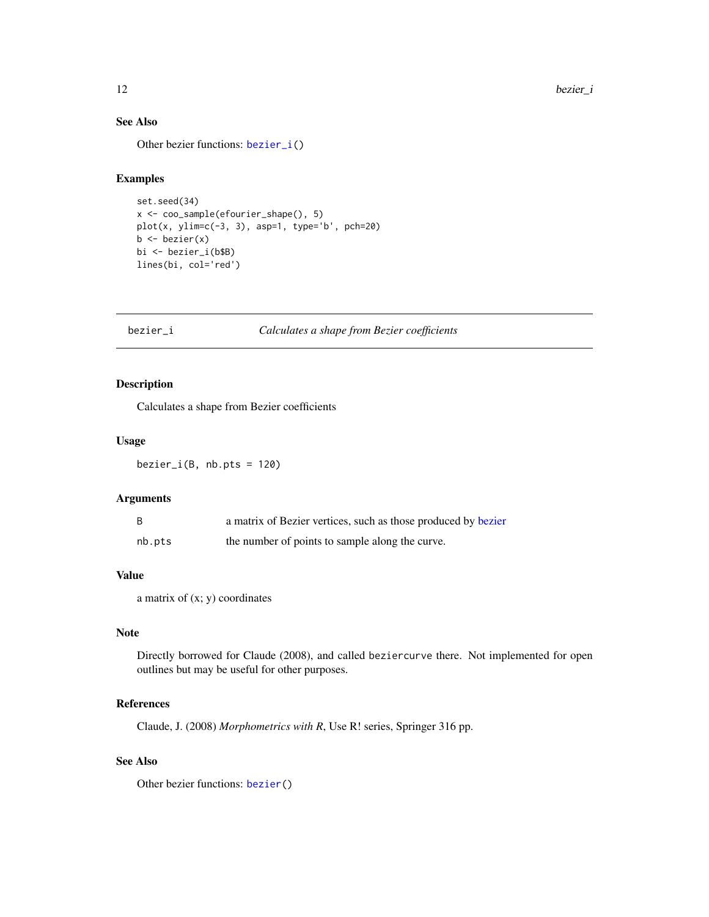# See Also

Other bezier functions: [bezier\\_i\(](#page-11-1))

# Examples

```
set.seed(34)
x <- coo_sample(efourier_shape(), 5)
plot(x, ylim=c(-3, 3), asp=1, type='b', pch=20)
b <- bezier(x)
bi <- bezier_i(b$B)
lines(bi, col='red')
```
# <span id="page-11-1"></span>bezier\_i *Calculates a shape from Bezier coefficients*

## Description

Calculates a shape from Bezier coefficients

# Usage

 $bezier_i(B, nb.pts = 120)$ 

# Arguments

|        | a matrix of Bezier vertices, such as those produced by bezier |
|--------|---------------------------------------------------------------|
| nb.pts | the number of points to sample along the curve.               |

## Value

a matrix of (x; y) coordinates

#### Note

Directly borrowed for Claude (2008), and called beziercurve there. Not implemented for open outlines but may be useful for other purposes.

## References

Claude, J. (2008) *Morphometrics with R*, Use R! series, Springer 316 pp.

#### See Also

Other bezier functions: [bezier\(](#page-10-1))

<span id="page-11-0"></span>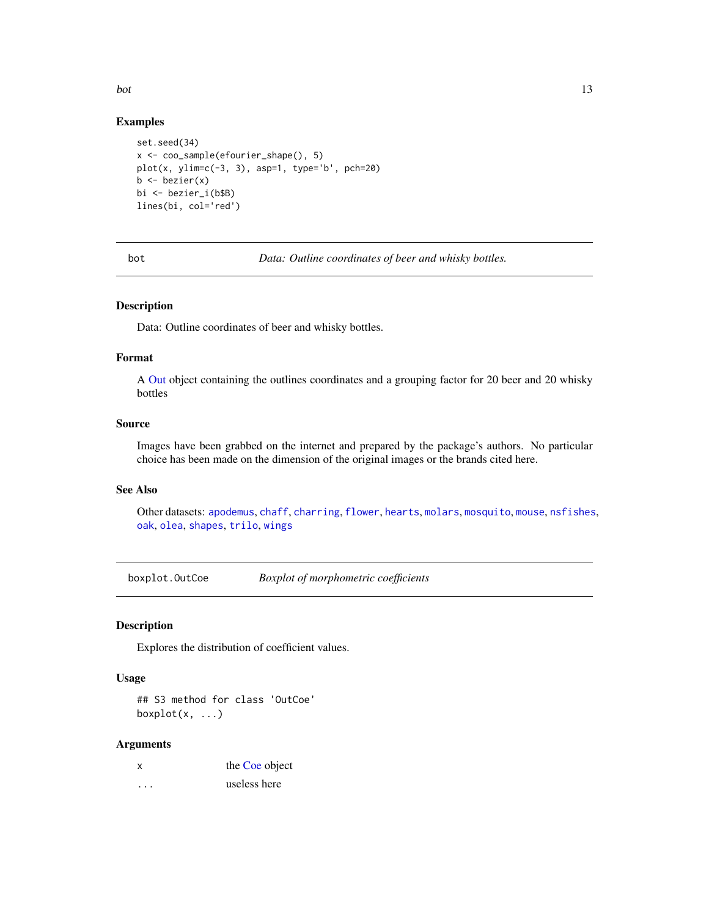<span id="page-12-0"></span>bot 13

#### Examples

```
set.seed(34)
x <- coo_sample(efourier_shape(), 5)
plot(x, ylim=c(-3, 3), asp=1, type='b', pch=20)b \leftarrow bezier(x)
bi <- bezier_i(b$B)
lines(bi, col='red')
```
<span id="page-12-1"></span>bot *Data: Outline coordinates of beer and whisky bottles.*

## Description

Data: Outline coordinates of beer and whisky bottles.

## Format

A [Out](#page-197-1) object containing the outlines coordinates and a grouping factor for 20 beer and 20 whisky bottles

#### Source

Images have been grabbed on the internet and prepared by the package's authors. No particular choice has been made on the dimension of the original images or the brands cited here.

## See Also

Other datasets: [apodemus](#page-7-2), [chaff](#page-25-1), [charring](#page-25-2), [flower](#page-144-1), [hearts](#page-150-1), [molars](#page-181-1), [mosquito](#page-186-1), [mouse](#page-186-2), [nsfishes](#page-191-1), [oak](#page-192-1), [olea](#page-192-2), [shapes](#page-259-1), [trilo](#page-277-1), [wings](#page-280-1)

boxplot.OutCoe *Boxplot of morphometric coefficients*

#### Description

Explores the distribution of coefficient values.

#### Usage

## S3 method for class 'OutCoe'  $boxplot(x, ...)$ 

#### Arguments

|   | the Coe object |
|---|----------------|
| . | useless here   |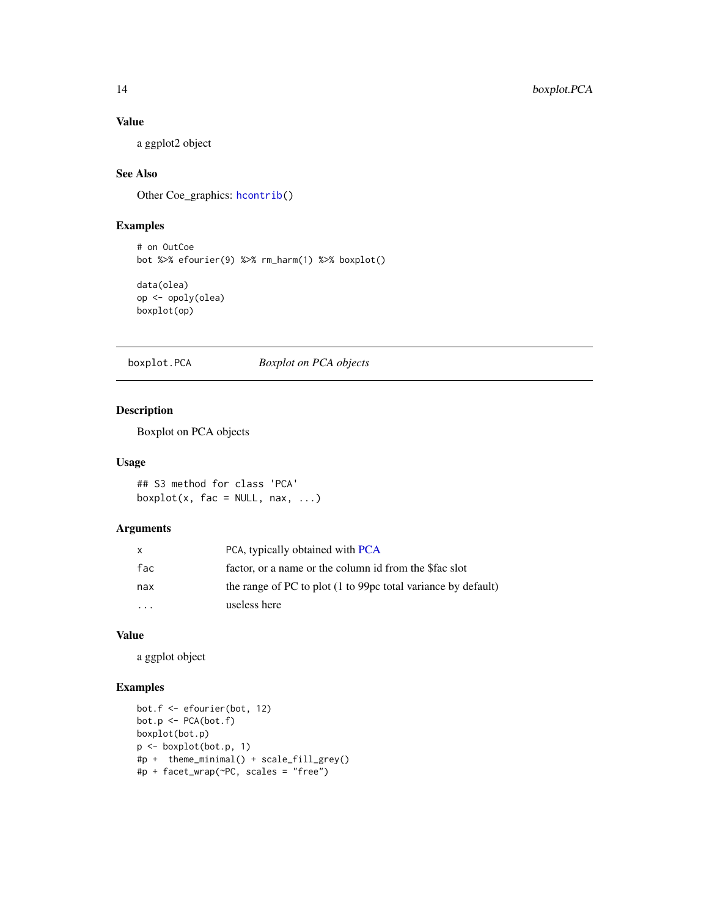# Value

a ggplot2 object

# See Also

Other Coe\_graphics: [hcontrib\(](#page-149-1))

# Examples

# on OutCoe bot %>% efourier(9) %>% rm\_harm(1) %>% boxplot()

```
data(olea)
op <- opoly(olea)
boxplot(op)
```
boxplot.PCA *Boxplot on PCA objects*

## Description

Boxplot on PCA objects

## Usage

## S3 method for class 'PCA'  $boxplot(x, fac = NULL, max, ...)$ 

# Arguments

| x                    | PCA, typically obtained with PCA                              |
|----------------------|---------------------------------------------------------------|
| fac                  | factor, or a name or the column id from the \$fac slot        |
| nax                  | the range of PC to plot (1 to 99pc total variance by default) |
| $\ddot{\phantom{0}}$ | useless here                                                  |

#### Value

a ggplot object

```
bot.f <- efourier(bot, 12)
bot.p <- PCA(bot.f)
boxplot(bot.p)
p <- boxplot(bot.p, 1)
#p + theme_minimal() + scale_fill_grey()
#p + facet_wrap(~PC, scales = "free")
```
<span id="page-13-0"></span>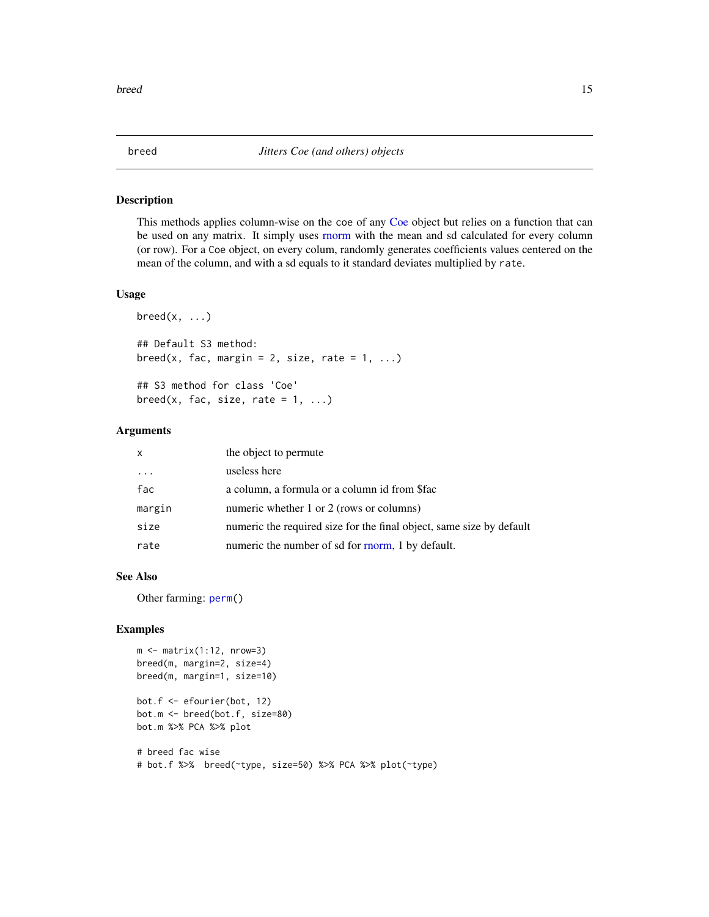#### Description

This methods applies column-wise on the coe of any [Coe](#page-29-1) object but relies on a function that can be used on any matrix. It simply uses [rnorm](#page-0-0) with the mean and sd calculated for every column (or row). For a Coe object, on every colum, randomly generates coefficients values centered on the mean of the column, and with a sd equals to it standard deviates multiplied by rate.

#### Usage

```
breed(x, \ldots)## Default S3 method:
breed(x, fac, margin = 2, size, rate = 1, ...)
## S3 method for class 'Coe'
breed(x, fac, size, rate = 1, ...)
```
#### Arguments

| $\mathsf{x}$ | the object to permute                                                |
|--------------|----------------------------------------------------------------------|
| .            | useless here                                                         |
| fac          | a column, a formula or a column id from \$fac                        |
| margin       | numeric whether 1 or 2 (rows or columns)                             |
| size         | numeric the required size for the final object, same size by default |
| rate         | numeric the number of sd for morm, 1 by default.                     |

#### See Also

Other farming: [perm\(](#page-207-1))

# Examples

```
m \le - matrix(1:12, nrow=3)
breed(m, margin=2, size=4)
breed(m, margin=1, size=10)
bot.f <- efourier(bot, 12)
bot.m <- breed(bot.f, size=80)
bot.m %>% PCA %>% plot
```
# breed fac wise # bot.f %>% breed(~type, size=50) %>% PCA %>% plot(~type)

<span id="page-14-0"></span>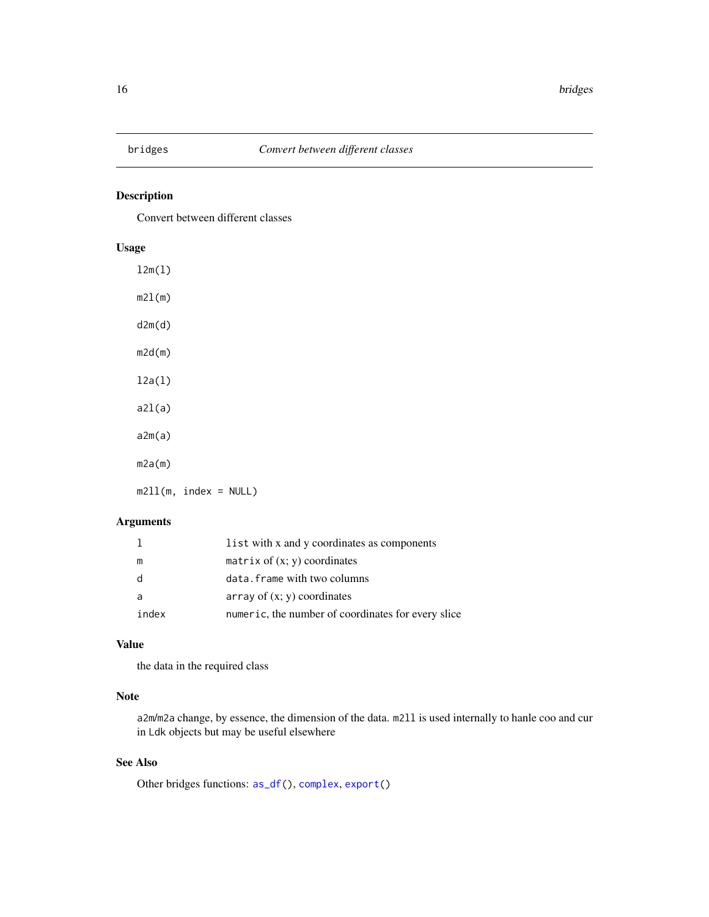<span id="page-15-1"></span><span id="page-15-0"></span>

# Description

Convert between different classes

# Usage

l2m(l) m2l(m) d2m(d) m2d(m) l2a(l)  $a2l(a)$ a2m(a) m2a(m)  $m211(m, index = NULL)$ 

# Arguments

|       | list with x and y coordinates as components        |
|-------|----------------------------------------------------|
| m     | matrix of $(x; y)$ coordinates                     |
| d     | data. frame with two columns                       |
| a     | array of $(x, y)$ coordinates                      |
| index | numeric, the number of coordinates for every slice |

# Value

the data in the required class

# Note

a2m/m2a change, by essence, the dimension of the data. m2ll is used internally to hanle coo and cur in Ldk objects but may be useful elsewhere

# See Also

Other bridges functions: [as\\_df\(](#page-8-1)), [complex](#page-37-1), [export\(](#page-137-1))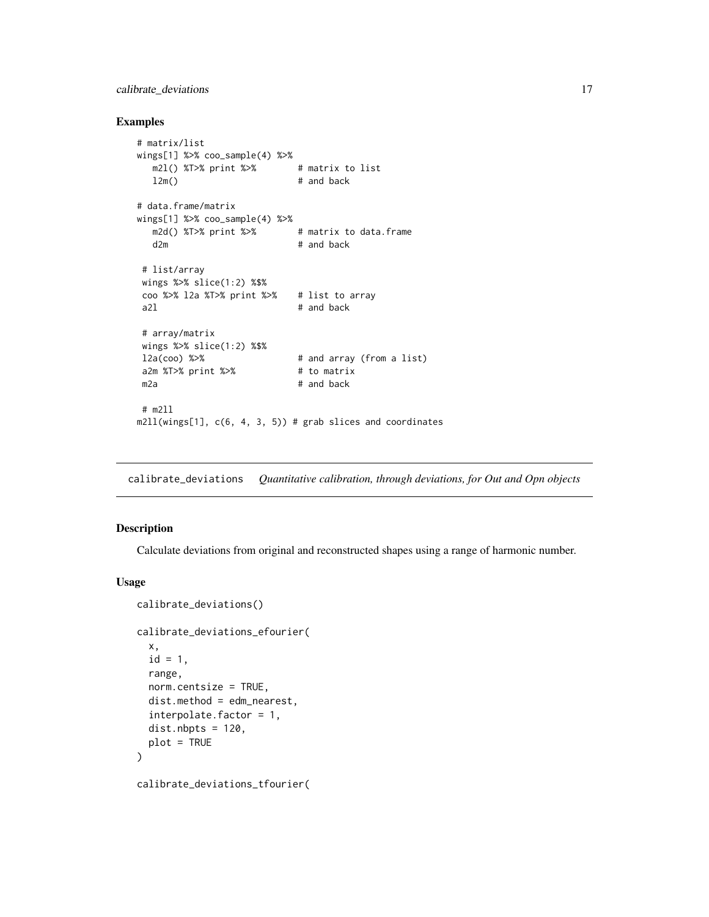# <span id="page-16-0"></span>calibrate\_deviations 17

#### Examples

```
# matrix/list
wings[1] %>% coo_sample(4) %>%
  m2l() %T>% print %>% # matrix to list
  l2m() # and back
# data.frame/matrix
wings[1] %>% coo_sample(4) %>%
  m2d() %T>% print %>% # matrix to data.frame
  d2m # and back
# list/array
wings %>% slice(1:2) %$%
coo %>% l2a %T>% print %>% # list to array
a2l # and back
# array/matrix
wings %>% slice(1:2) %$%
l2a(coo) %>% # and array (from a list)
a2m %T>% print %>% # to matrix
m2a # and back
# m2ll
m2ll(wings[1], c(6, 4, 3, 5)) # grab slices and coordinates
```
<span id="page-16-1"></span>calibrate\_deviations *Quantitative calibration, through deviations, for Out and Opn objects*

# Description

Calculate deviations from original and reconstructed shapes using a range of harmonic number.

#### Usage

```
calibrate_deviations()
calibrate_deviations_efourier(
  x,
  id = 1,
  range,
  norm.centsize = TRUE,
  dist.method = edm_nearest,
  interpolate.factor = 1,
  dist.nbytes = 120,plot = TRUE
\lambda
```
calibrate\_deviations\_tfourier(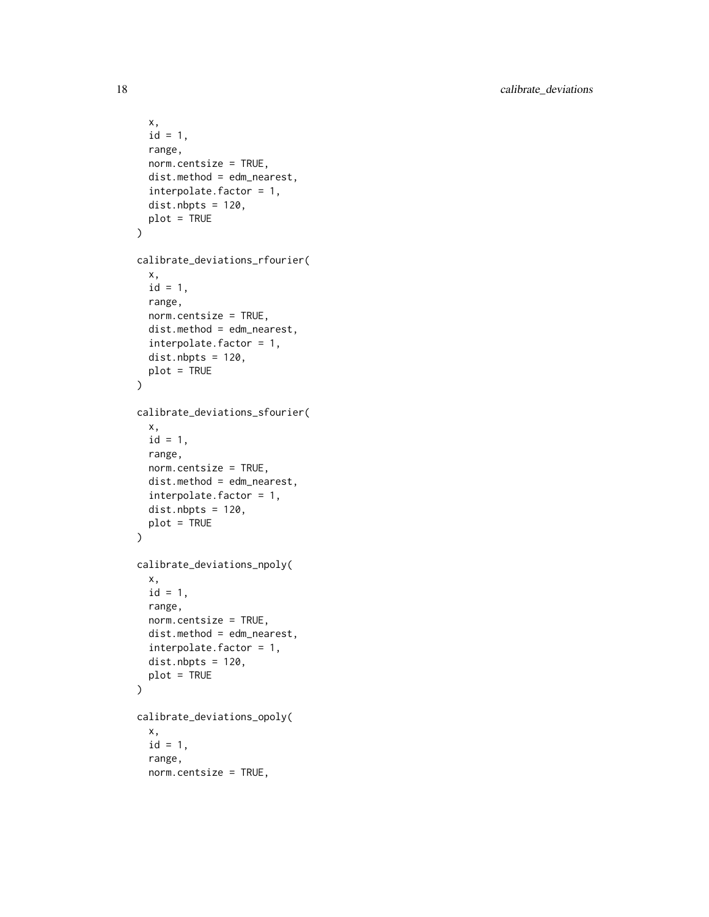```
x,
  id = 1,
  range,
 norm.centsize = TRUE,
  dist.method = edm_nearest,
  interpolate.factor = 1,
 dist.nbytes = 120,plot = TRUE
\mathcal{L}calibrate_deviations_rfourier(
  x,
 id = 1,range,
 norm.centsize = TRUE,
  dist.method = edm_nearest,
  interpolate.factor = 1,
  dist.nbytes = 120,plot = TRUE
\mathcal{L}calibrate_deviations_sfourier(
 x,
 id = 1,range,
 norm.centsize = TRUE,
  dist.method = edm_nearest,
  interpolate.factor = 1,
 dist.nbrs = 120,plot = TRUE
\mathcal{L}calibrate_deviations_npoly(
  x,
 id = 1,
 range,
 norm.centsize = TRUE,
 dist.method = edm_nearest,
  interpolate.factor = 1,
 dist.nbpts = 120,
 plot = TRUE
\mathcal{L}calibrate_deviations_opoly(
 x,
  id = 1,range,
  norm.centsize = TRUE,
```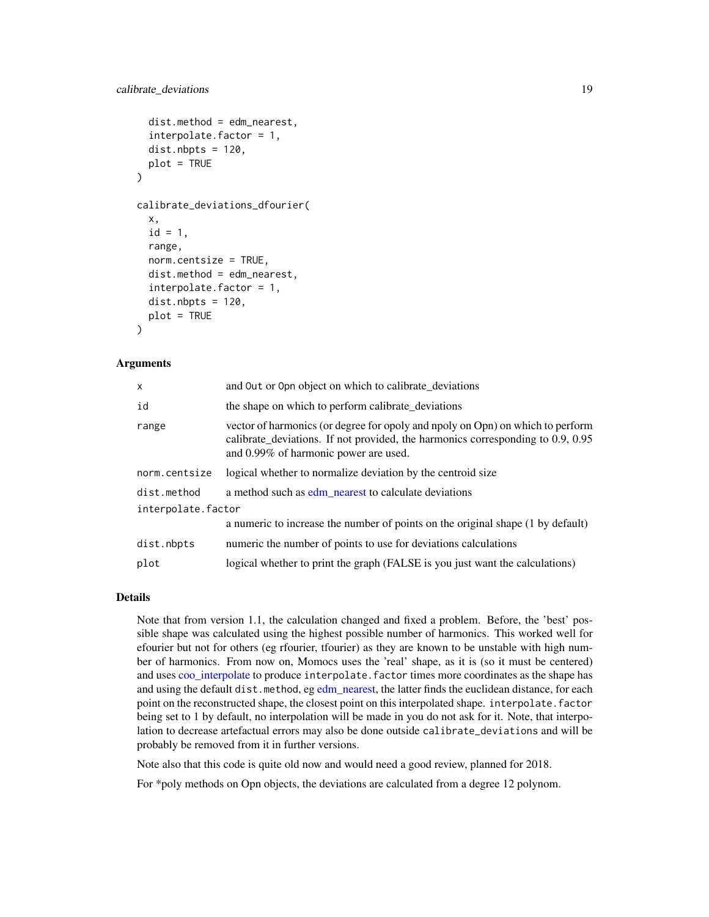```
dist.method = edm_nearest,
  interpolate.factor = 1,
  dist.nbbs = 120,
 plot = TRUE
)
calibrate_deviations_dfourier(
  x,
  id = 1,
  range,
  norm.centsize = TRUE,
  dist.method = edm_nearest,
  interpolate.factor = 1,
  dist.nbrts = 120,plot = TRUE
)
```
## Arguments

| x                  | and Out or Opn object on which to calibrate_deviations                                                                                                                                                     |
|--------------------|------------------------------------------------------------------------------------------------------------------------------------------------------------------------------------------------------------|
| id                 | the shape on which to perform calibrate_deviations                                                                                                                                                         |
| range              | vector of harmonics (or degree for opoly and npoly on Opn) on which to perform<br>calibrate_deviations. If not provided, the harmonics corresponding to 0.9, 0.95<br>and 0.99% of harmonic power are used. |
| norm.centsize      | logical whether to normalize deviation by the centroid size                                                                                                                                                |
| dist.method        | a method such as edm nearest to calculate deviations                                                                                                                                                       |
| interpolate.factor |                                                                                                                                                                                                            |
|                    | a numeric to increase the number of points on the original shape (1 by default)                                                                                                                            |
| dist.nbpts         | numeric the number of points to use for deviations calculations                                                                                                                                            |
| plot               | logical whether to print the graph (FALSE is you just want the calculations)                                                                                                                               |

#### Details

Note that from version 1.1, the calculation changed and fixed a problem. Before, the 'best' possible shape was calculated using the highest possible number of harmonics. This worked well for efourier but not for others (eg rfourier, tfourier) as they are known to be unstable with high number of harmonics. From now on, Momocs uses the 'real' shape, as it is (so it must be centered) and uses [coo\\_interpolate](#page-68-1) to produce interpolate.factor times more coordinates as the shape has and using the default dist.method, eg [edm\\_nearest,](#page-132-1) the latter finds the euclidean distance, for each point on the reconstructed shape, the closest point on this interpolated shape. interpolate. factor being set to 1 by default, no interpolation will be made in you do not ask for it. Note, that interpolation to decrease artefactual errors may also be done outside calibrate\_deviations and will be probably be removed from it in further versions.

Note also that this code is quite old now and would need a good review, planned for 2018.

For \*poly methods on Opn objects, the deviations are calculated from a degree 12 polynom.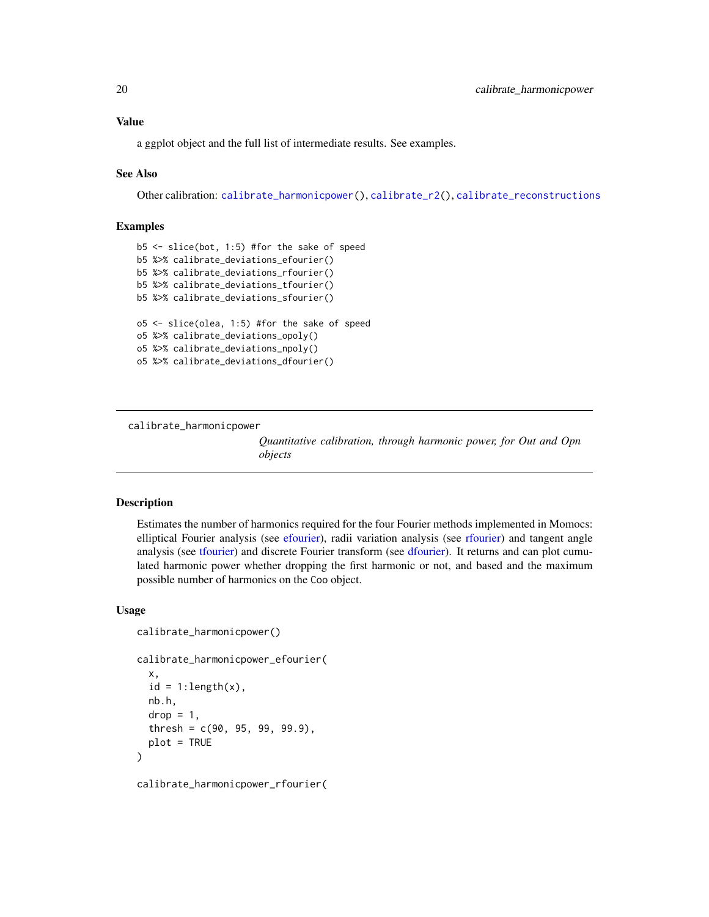# <span id="page-19-0"></span>Value

a ggplot object and the full list of intermediate results. See examples.

#### See Also

Other calibration: [calibrate\\_harmonicpower\(](#page-19-1)), [calibrate\\_r2\(](#page-21-1)), [calibrate\\_reconstructions](#page-23-1)

## Examples

```
b5 <- slice(bot, 1:5) #for the sake of speed
b5 %>% calibrate_deviations_efourier()
b5 %>% calibrate_deviations_rfourier()
b5 %>% calibrate_deviations_tfourier()
b5 %>% calibrate_deviations_sfourier()
o5 <- slice(olea, 1:5) #for the sake of speed
o5 %>% calibrate_deviations_opoly()
o5 %>% calibrate_deviations_npoly()
o5 %>% calibrate_deviations_dfourier()
```
<span id="page-19-1"></span>calibrate\_harmonicpower

*Quantitative calibration, through harmonic power, for Out and Opn objects*

## **Description**

Estimates the number of harmonics required for the four Fourier methods implemented in Momocs: elliptical Fourier analysis (see [efourier\)](#page-133-1), radii variation analysis (see [rfourier\)](#page-243-1) and tangent angle analysis (see [tfourier\)](#page-266-1) and discrete Fourier transform (see [dfourier\)](#page-121-1). It returns and can plot cumulated harmonic power whether dropping the first harmonic or not, and based and the maximum possible number of harmonics on the Coo object.

#### Usage

```
calibrate_harmonicpower()
```

```
calibrate_harmonicpower_efourier(
  x,
  id = 1:length(x),nb.h,
  drop = 1,
  thresh = c(90, 95, 99, 99.9),
 plot = TRUE
)
```
calibrate\_harmonicpower\_rfourier(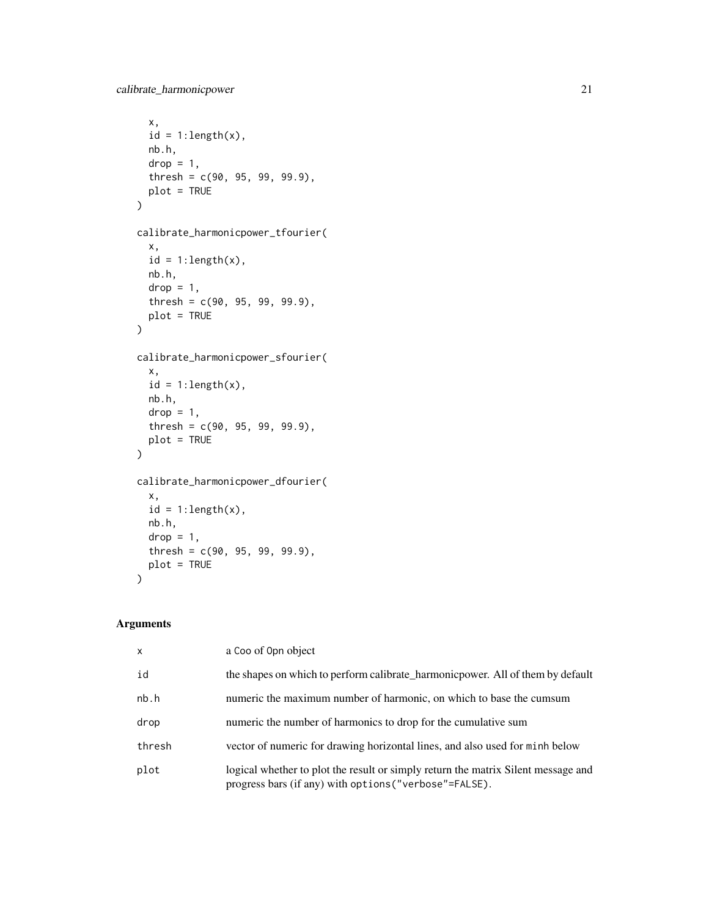```
x,
 id = 1:length(x),
 nb.h,
 drop = 1,thresh = c(90, 95, 99, 99.9),
 plot = TRUE
\mathcal{L}calibrate_harmonicpower_tfourier(
  x,
 id = 1:length(x),nb.h,
 drop = 1,thresh = c(90, 95, 99, 99.9),
 plot = TRUE
\mathcal{L}calibrate_harmonicpower_sfourier(
 x,
 id = 1:length(x),nb.h,
 drop = 1,thresh = c(90, 95, 99, 99.9),
 plot = TRUE
\mathcal{L}calibrate_harmonicpower_dfourier(
 x,
 id = 1:length(x),nb.h,
 drop = 1,thresh = c(90, 95, 99, 99.9),
 plot = TRUE
\mathcal{L}
```
# Arguments

| X      | a Coo of Opn object                                                                                                                         |
|--------|---------------------------------------------------------------------------------------------------------------------------------------------|
| id     | the shapes on which to perform calibrate_harmonic power. All of them by default                                                             |
| nb.h   | numeric the maximum number of harmonic, on which to base the cumsum                                                                         |
| drop   | numeric the number of harmonics to drop for the cumulative sum                                                                              |
| thresh | vector of numeric for drawing horizontal lines, and also used for minh below                                                                |
| plot   | logical whether to plot the result or simply return the matrix Silent message and<br>progress bars (if any) with options ("verbose"=FALSE). |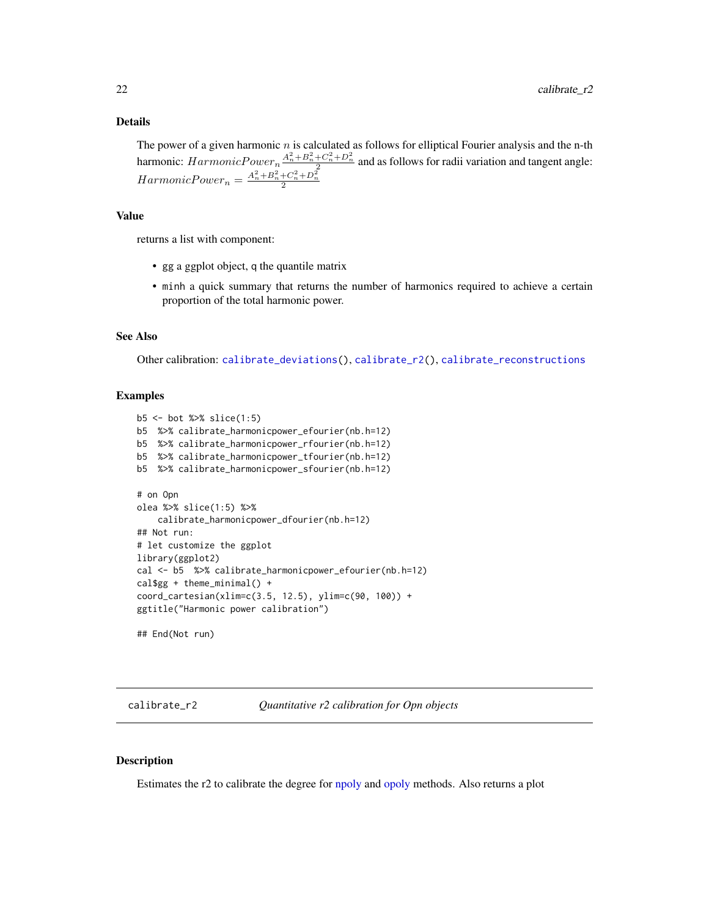#### <span id="page-21-0"></span>Details

The power of a given harmonic  $n$  is calculated as follows for elliptical Fourier analysis and the n-th harmonic:  $HarmonicPower_n \frac{A_n^2 + B_n^2 + C_n^2 + D_n^2}{2}$  and as follows for radii variation and tangent angle:  $HarmonicPower_n = \frac{A_n^2 + B_n^2 + C_n^2 + D_n^2}{2}$ 

# Value

returns a list with component:

- gg a ggplot object, q the quantile matrix
- minh a quick summary that returns the number of harmonics required to achieve a certain proportion of the total harmonic power.

## See Also

Other calibration: [calibrate\\_deviations\(](#page-16-1)), [calibrate\\_r2\(](#page-21-1)), [calibrate\\_reconstructions](#page-23-1)

#### Examples

```
b5 <- bot %>% slice(1:5)
b5 %>% calibrate_harmonicpower_efourier(nb.h=12)
b5 %>% calibrate_harmonicpower_rfourier(nb.h=12)
b5 %>% calibrate_harmonicpower_tfourier(nb.h=12)
b5 %>% calibrate_harmonicpower_sfourier(nb.h=12)
# on Opn
olea %>% slice(1:5) %>%
    calibrate_harmonicpower_dfourier(nb.h=12)
## Not run:
# let customize the ggplot
library(ggplot2)
cal <- b5 %>% calibrate_harmonicpower_efourier(nb.h=12)
cal$gg + theme_minimal() +
coord_cartesian(xlim=c(3.5, 12.5), ylim=c(90, 100)) +
ggtitle("Harmonic power calibration")
## End(Not run)
```
<span id="page-21-1"></span>

calibrate\_r2 *Quantitative r2 calibration for Opn objects*

#### **Description**

Estimates the r2 to calibrate the degree for [npoly](#page-190-1) and [opoly](#page-195-1) methods. Also returns a plot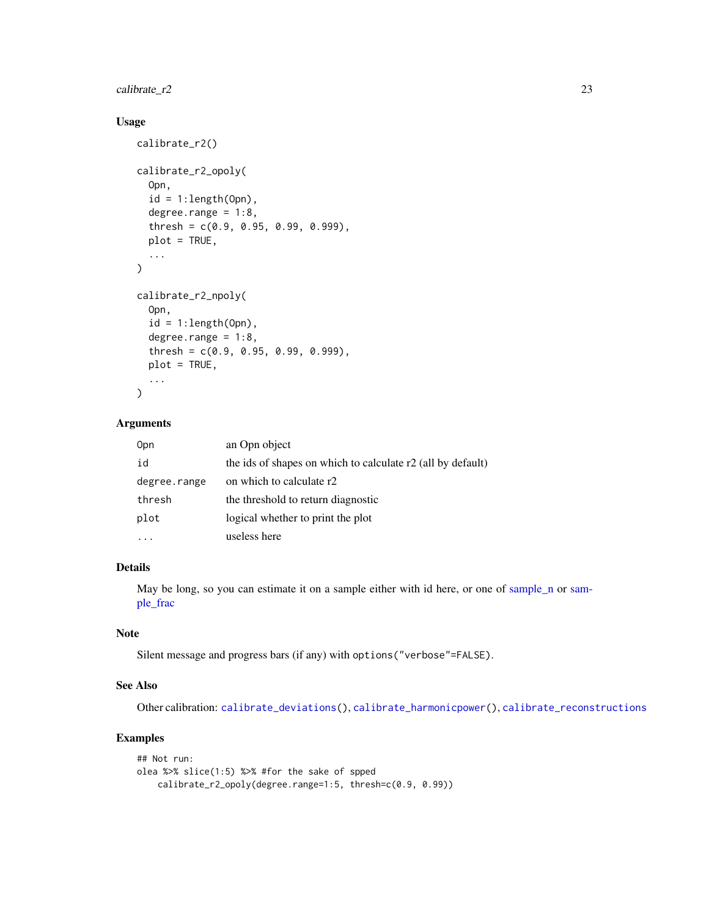# $cal{C}$ 23

# Usage

```
calibrate_r2()
calibrate_r2_opoly(
  Opn,
  id = 1:length(0pn),
  degree.range = 1:8,
  thresh = c(0.9, 0.95, 0.99, 0.999),
 plot = TRUE,
  ...
\mathcal{E}calibrate_r2_npoly(
  Opn,
  id = 1: length(0pn),
  degree.range = 1:8,
  thresh = c(0.9, 0.95, 0.99, 0.999),
 plot = TRUE,
  ...
)
```
#### Arguments

| 0pn          | an Opn object                                               |
|--------------|-------------------------------------------------------------|
| id           | the ids of shapes on which to calculate r2 (all by default) |
| degree.range | on which to calculate r2                                    |
| thresh       | the threshold to return diagnostic                          |
| plot         | logical whether to print the plot                           |
|              | useless here                                                |

# Details

May be long, so you can estimate it on a sample either with id here, or one of [sample\\_n](#page-253-1) or [sam](#page-252-1)[ple\\_frac](#page-252-1)

## Note

Silent message and progress bars (if any) with options("verbose"=FALSE).

## See Also

Other calibration: [calibrate\\_deviations\(](#page-16-1)), [calibrate\\_harmonicpower\(](#page-19-1)), [calibrate\\_reconstructions](#page-23-1)

```
## Not run:
olea %>% slice(1:5) %>% #for the sake of spped
   calibrate_r2_opoly(degree.range=1:5, thresh=c(0.9, 0.99))
```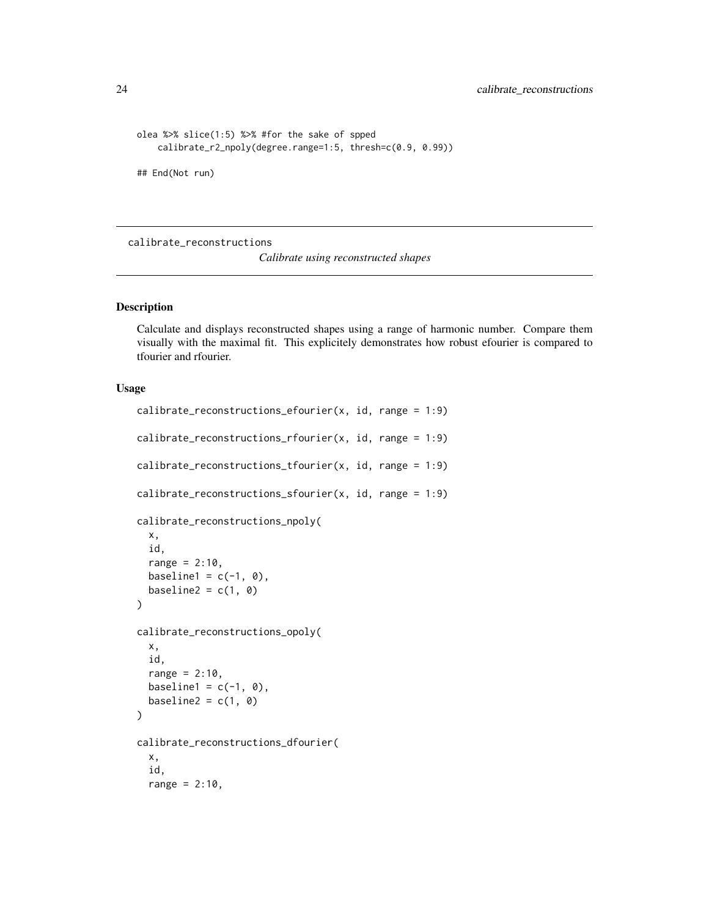```
olea %>% slice(1:5) %>% #for the sake of spped
   calibrate_r2_npoly(degree.range=1:5, thresh=c(0.9, 0.99))
## End(Not run)
```
<span id="page-23-1"></span>calibrate\_reconstructions

*Calibrate using reconstructed shapes*

#### Description

Calculate and displays reconstructed shapes using a range of harmonic number. Compare them visually with the maximal fit. This explicitely demonstrates how robust efourier is compared to tfourier and rfourier.

## Usage

```
calibrate_reconstructions_efourier(x, id, range = 1:9)
calibrate_reconstructions_rfourier(x, id, range = 1:9)
calibrate_reconstructions_tfourier(x, id, range = 1:9)
calibrate_reconstructions_sfourier(x, id, range = 1:9)
calibrate_reconstructions_npoly(
  x,
  id,
  range = 2:10,
  baseline1 = c(-1, 0),
  baseline2 = c(1, 0))
calibrate_reconstructions_opoly(
  x,
  id,
  range = 2:10,
  baseline1 = c(-1, 0),
  baseline2 = c(1, 0))
calibrate_reconstructions_dfourier(
  x,
  id,
  range = 2:10,
```
<span id="page-23-0"></span>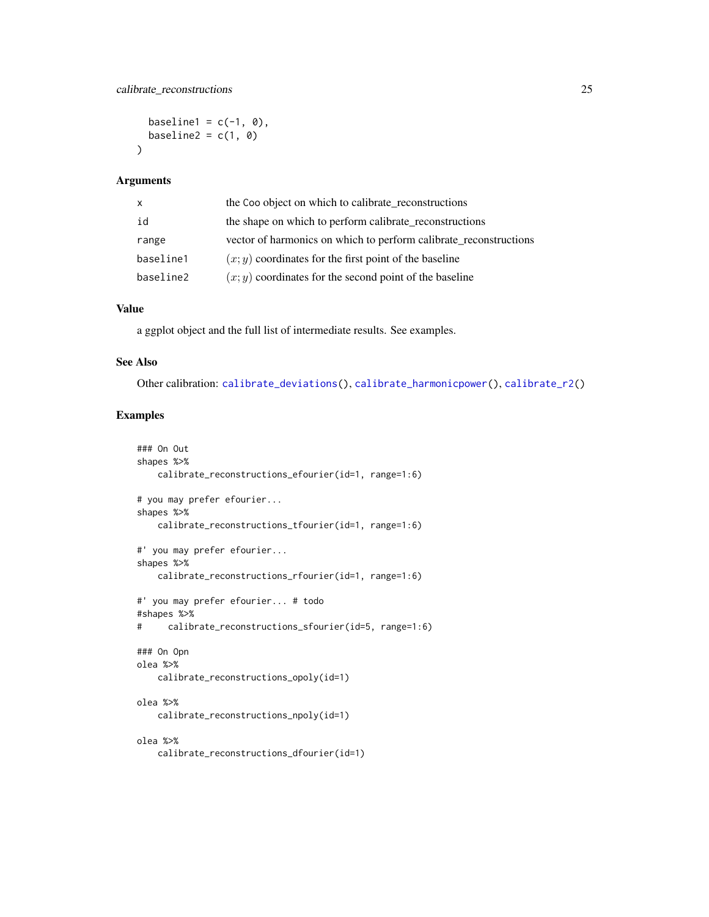```
baseline1 = c(-1, 0),
 baseline2 = c(1, 0)\lambda
```
#### Arguments

| X         | the Coo object on which to calibrate_reconstructions              |
|-----------|-------------------------------------------------------------------|
| id        | the shape on which to perform calibrate_reconstructions           |
| range     | vector of harmonics on which to perform calibrate reconstructions |
| baseline1 | $(x, y)$ coordinates for the first point of the baseline          |
| baseline2 | $(x, y)$ coordinates for the second point of the baseline         |

#### Value

a ggplot object and the full list of intermediate results. See examples.

## See Also

Other calibration: [calibrate\\_deviations\(](#page-16-1)), [calibrate\\_harmonicpower\(](#page-19-1)), [calibrate\\_r2\(](#page-21-1))

```
### On Out
shapes %>%
   calibrate_reconstructions_efourier(id=1, range=1:6)
# you may prefer efourier...
shapes %>%
   calibrate_reconstructions_tfourier(id=1, range=1:6)
#' you may prefer efourier...
shapes %>%
   calibrate_reconstructions_rfourier(id=1, range=1:6)
#' you may prefer efourier... # todo
#shapes %>%
# calibrate_reconstructions_sfourier(id=5, range=1:6)
### On Opn
olea %>%
   calibrate_reconstructions_opoly(id=1)
olea %>%
    calibrate_reconstructions_npoly(id=1)
olea %>%
   calibrate_reconstructions_dfourier(id=1)
```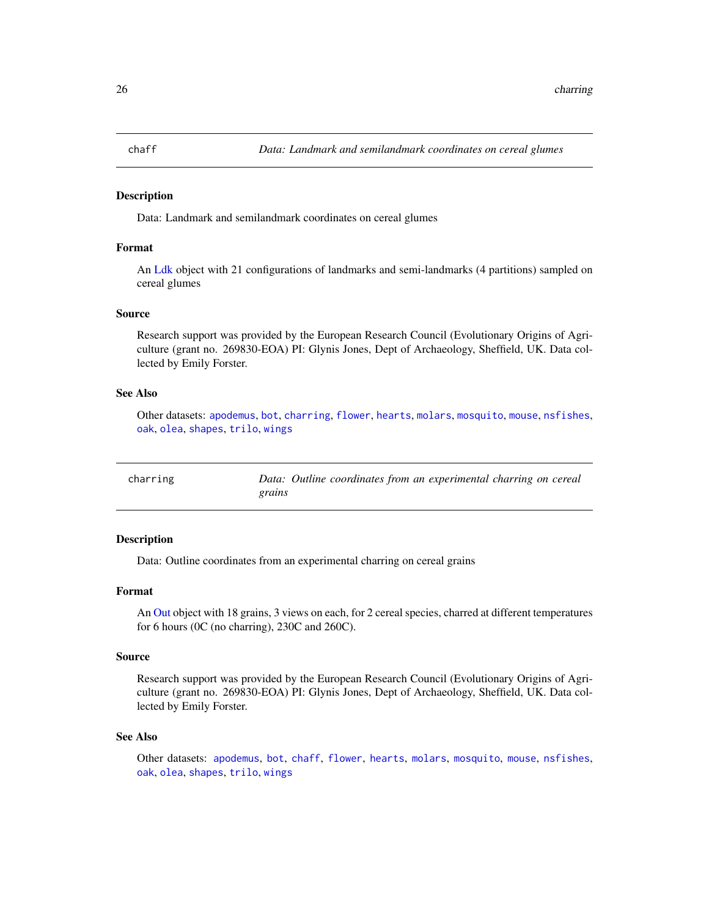<span id="page-25-1"></span><span id="page-25-0"></span>

#### Description

Data: Landmark and semilandmark coordinates on cereal glumes

## Format

An [Ldk](#page-169-1) object with 21 configurations of landmarks and semi-landmarks (4 partitions) sampled on cereal glumes

#### Source

Research support was provided by the European Research Council (Evolutionary Origins of Agriculture (grant no. 269830-EOA) PI: Glynis Jones, Dept of Archaeology, Sheffield, UK. Data collected by Emily Forster.

#### See Also

Other datasets: [apodemus](#page-7-2), [bot](#page-12-1), [charring](#page-25-2), [flower](#page-144-1), [hearts](#page-150-1), [molars](#page-181-1), [mosquito](#page-186-1), [mouse](#page-186-2), [nsfishes](#page-191-1), [oak](#page-192-1), [olea](#page-192-2), [shapes](#page-259-1), [trilo](#page-277-1), [wings](#page-280-1)

<span id="page-25-2"></span>

| charring |        |  | Data: Outline coordinates from an experimental charring on cereal |  |  |
|----------|--------|--|-------------------------------------------------------------------|--|--|
|          | grains |  |                                                                   |  |  |

## Description

Data: Outline coordinates from an experimental charring on cereal grains

#### Format

An [Out](#page-197-1) object with 18 grains, 3 views on each, for 2 cereal species, charred at different temperatures for 6 hours (0C (no charring), 230C and 260C).

#### Source

Research support was provided by the European Research Council (Evolutionary Origins of Agriculture (grant no. 269830-EOA) PI: Glynis Jones, Dept of Archaeology, Sheffield, UK. Data collected by Emily Forster.

#### See Also

Other datasets: [apodemus](#page-7-2), [bot](#page-12-1), [chaff](#page-25-1), [flower](#page-144-1), [hearts](#page-150-1), [molars](#page-181-1), [mosquito](#page-186-1), [mouse](#page-186-2), [nsfishes](#page-191-1), [oak](#page-192-1), [olea](#page-192-2), [shapes](#page-259-1), [trilo](#page-277-1), [wings](#page-280-1)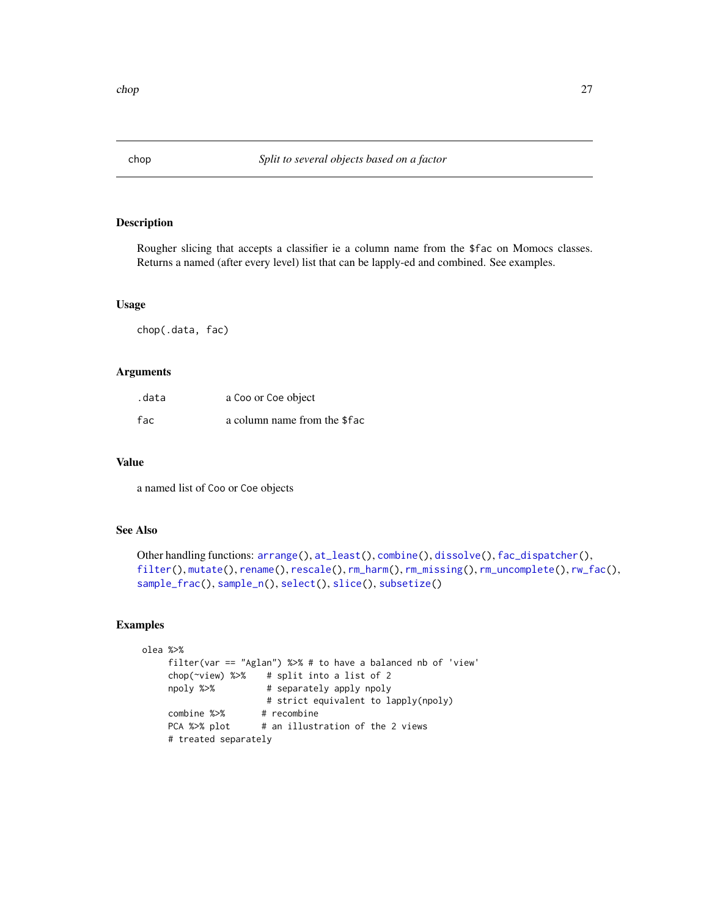<span id="page-26-1"></span><span id="page-26-0"></span>

# Description

Rougher slicing that accepts a classifier ie a column name from the \$fac on Momocs classes. Returns a named (after every level) list that can be lapply-ed and combined. See examples.

#### Usage

chop(.data, fac)

## Arguments

| .data | a Coo or Coe object          |
|-------|------------------------------|
| fac   | a column name from the \$fac |

#### Value

a named list of Coo or Coe objects

## See Also

```
Other handling functions: arrange(), at_least(), combine(), dissolve(), fac_dispatcher(),
filter(), mutate(), rename(), rescale(), rm_harm(), rm_missing(), rm_uncomplete(), rw_fac(),
sample_frac(), sample_n(), select(), slice(), subsetize()
```

```
olea %>%
    filter(var == "Aglan") %>% # to have a balanced nb of 'view'
    chop(~view) %>% # split into a list of 2
    npoly %>% # separately apply npoly
                      # strict equivalent to lapply(npoly)
    combine %>% # recombine
    PCA %>% plot # an illustration of the 2 views
    # treated separately
```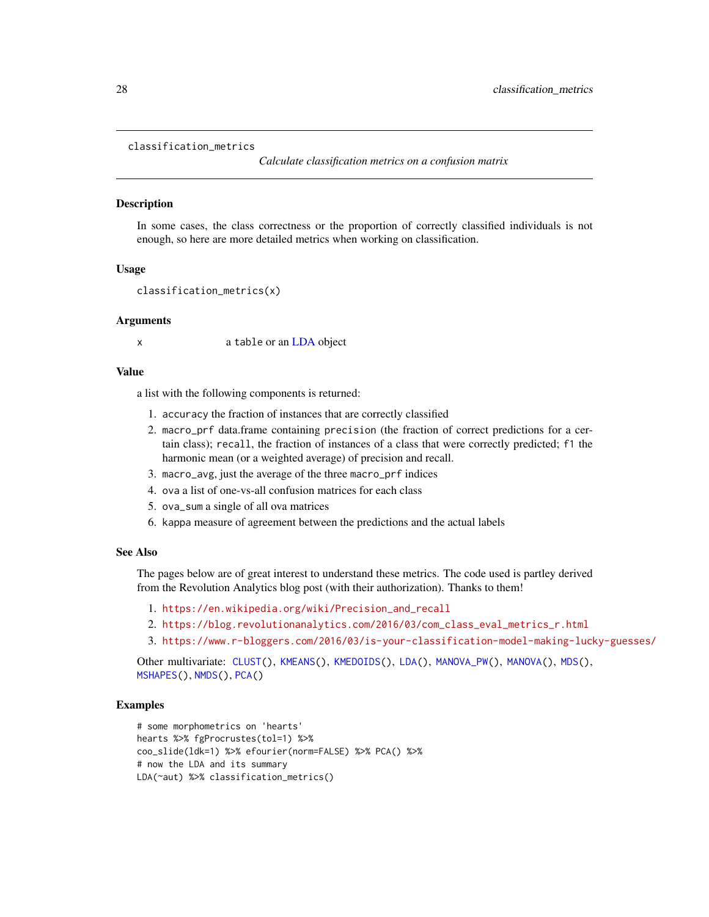#### <span id="page-27-1"></span><span id="page-27-0"></span>classification\_metrics

*Calculate classification metrics on a confusion matrix*

# Description

In some cases, the class correctness or the proportion of correctly classified individuals is not enough, so here are more detailed metrics when working on classification.

#### Usage

```
classification_metrics(x)
```
#### Arguments

x a table or an [LDA](#page-167-1) object

## Value

a list with the following components is returned:

- 1. accuracy the fraction of instances that are correctly classified
- 2. macro\_prf data.frame containing precision (the fraction of correct predictions for a certain class); recall, the fraction of instances of a class that were correctly predicted; f1 the harmonic mean (or a weighted average) of precision and recall.
- 3. macro\_avg, just the average of the three macro\_prf indices
- 4. ova a list of one-vs-all confusion matrices for each class
- 5. ova\_sum a single of all ova matrices
- 6. kappa measure of agreement between the predictions and the actual labels

## See Also

The pages below are of great interest to understand these metrics. The code used is partley derived from the Revolution Analytics blog post (with their authorization). Thanks to them!

- 1. [https://en.wikipedia.org/wiki/Precision\\_and\\_recall](https://en.wikipedia.org/wiki/Precision_and_recall)
- 2. [https://blog.revolutionanalytics.com/2016/03/com\\_class\\_eval\\_metrics\\_r.html](https://blog.revolutionanalytics.com/2016/03/com_class_eval_metrics_r.html)
- 3. <https://www.r-bloggers.com/2016/03/is-your-classification-model-making-lucky-guesses/>

Other multivariate: [CLUST\(](#page-28-1)), [KMEANS\(](#page-161-1)), [KMEDOIDS\(](#page-162-1)), [LDA\(](#page-167-1)), [MANOVA\\_PW\(](#page-178-1)), [MANOVA\(](#page-176-1)), [MDS\(](#page-179-1)), [MSHAPES\(](#page-187-1)), [NMDS\(](#page-189-1)), [PCA\(](#page-204-1))

```
# some morphometrics on 'hearts'
hearts %>% fgProcrustes(tol=1) %>%
coo_slide(ldk=1) %>% efourier(norm=FALSE) %>% PCA() %>%
# now the LDA and its summary
LDA(~aut) %>% classification_metrics()
```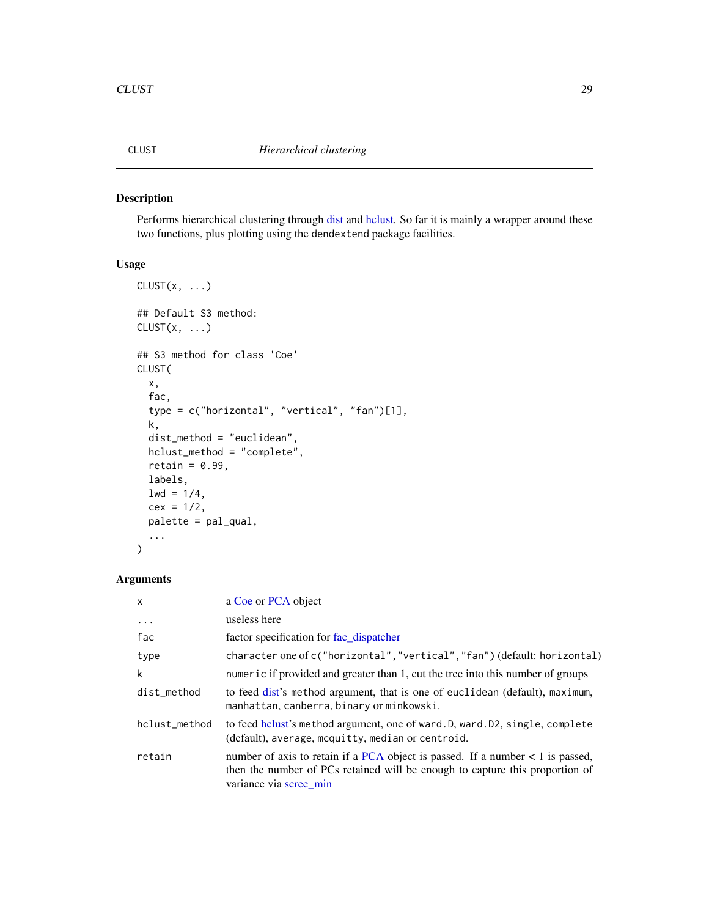<span id="page-28-1"></span><span id="page-28-0"></span>

# Description

Performs hierarchical clustering through [dist](#page-0-0) and [hclust.](#page-0-0) So far it is mainly a wrapper around these two functions, plus plotting using the dendextend package facilities.

# Usage

```
CLUST(x, \ldots)## Default S3 method:
CLUST(x, \ldots)## S3 method for class 'Coe'
CLUST(
 x,
  fac,
  type = c("horizontal", "vertical", "fan")[1],
 k,
  dist_method = "euclidean",
 hclust_method = "complete",
  retain = 0.99,
 labels,
 1wd = 1/4,
  cex = 1/2,
 palette = pal_qual,
  ...
\mathcal{L}
```
# Arguments

| $\times$      | a Coe or PCA object                                                                                                                                                                        |
|---------------|--------------------------------------------------------------------------------------------------------------------------------------------------------------------------------------------|
| $\cdots$      | useless here                                                                                                                                                                               |
| fac           | factor specification for fac dispatcher                                                                                                                                                    |
| type          | character one of c("horizontal","vertical","fan") (default: horizontal)                                                                                                                    |
| k             | numeric if provided and greater than 1, cut the tree into this number of groups                                                                                                            |
| dist_method   | to feed dist's method argument, that is one of euclidean (default), maximum,<br>manhattan, canberra, binary or minkowski.                                                                  |
| hclust_method | to feed holust's method argument, one of ward. D, ward. D2, single, complete<br>(default), average, mcquitty, median or centroid.                                                          |
| retain        | number of axis to retain if a PCA object is passed. If a number $< 1$ is passed,<br>then the number of PCs retained will be enough to capture this proportion of<br>variance via scree min |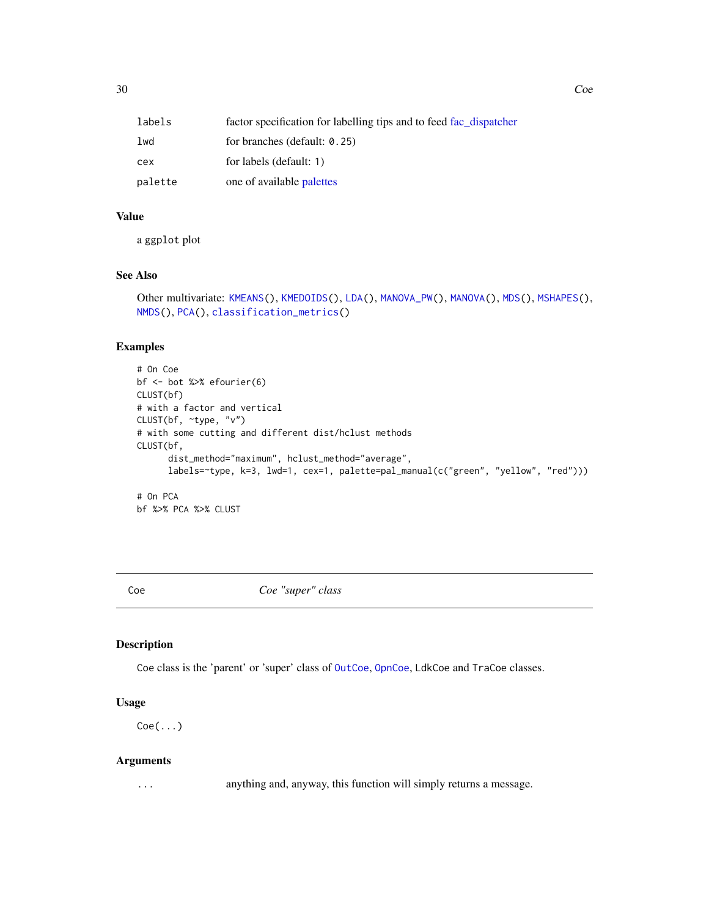<span id="page-29-0"></span>

| labels  | factor specification for labelling tips and to feed fac dispatcher |
|---------|--------------------------------------------------------------------|
| lwd     | for branches (default: $0.25$ )                                    |
| cex     | for labels (default: 1)                                            |
| palette | one of available palettes                                          |

# Value

a ggplot plot

# See Also

```
Other multivariate: KMEANS(), KMEDOIDS(), LDA(), MANOVA_PW(), MANOVA(), MDS(), MSHAPES(),
NMDS(), PCA(), classification_metrics()
```
# Examples

```
# On Coe
bf <- bot %>% efourier(6)
CLUST(bf)
# with a factor and vertical
CLUST(bf, ~type, "v")
# with some cutting and different dist/hclust methods
CLUST(bf,
      dist_method="maximum", hclust_method="average",
      labels=~type, k=3, lwd=1, cex=1, palette=pal_manual(c("green", "yellow", "red")))
# On PCA
```

```
bf %>% PCA %>% CLUST
```
<span id="page-29-1"></span>Coe *Coe "super" class*

# Description

Coe class is the 'parent' or 'super' class of [OutCoe](#page-198-1), [OpnCoe](#page-194-1), LdkCoe and TraCoe classes.

#### Usage

 $Coe(\ldots)$ 

#### Arguments

... anything and, anyway, this function will simply returns a message.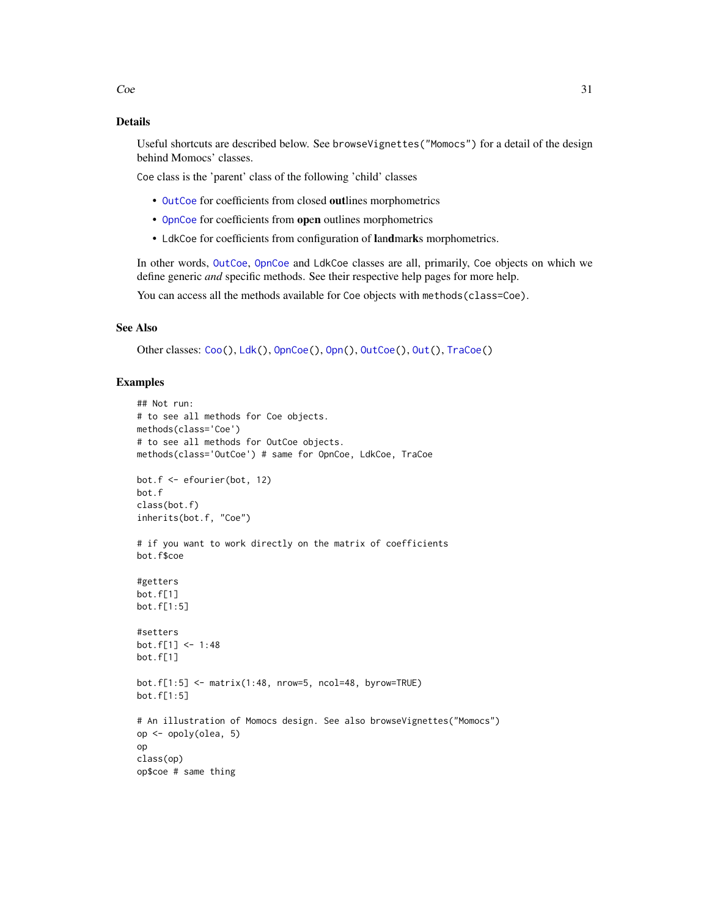# Details

Useful shortcuts are described below. See browseVignettes("Momocs") for a detail of the design behind Momocs' classes.

Coe class is the 'parent' class of the following 'child' classes

- [OutCoe](#page-198-1) for coefficients from closed outlines morphometrics
- [OpnCoe](#page-194-1) for coefficients from open outlines morphometrics
- LdkCoe for coefficients from configuration of landmarks morphometrics.

In other words, [OutCoe](#page-198-1), [OpnCoe](#page-194-1) and LdkCoe classes are all, primarily, Coe objects on which we define generic *and* specific methods. See their respective help pages for more help.

You can access all the methods available for Coe objects with methods(class=Coe).

## See Also

```
Other classes: Coo(), Ldk(), OpnCoe(), Opn(), OutCoe(), Out(), TraCoe()
```

```
## Not run:
# to see all methods for Coe objects.
methods(class='Coe')
# to see all methods for OutCoe objects.
methods(class='OutCoe') # same for OpnCoe, LdkCoe, TraCoe
bot.f <- efourier(bot, 12)
bot.f
class(bot.f)
inherits(bot.f, "Coe")
# if you want to work directly on the matrix of coefficients
bot.f$coe
#getters
bot.f[1]
bot.f[1:5]
#setters
bot.f[1] <- 1:48
bot.f[1]
bot.f[1:5] <- matrix(1:48, nrow=5, ncol=48, byrow=TRUE)
bot.f[1:5]
# An illustration of Momocs design. See also browseVignettes("Momocs")
op <- opoly(olea, 5)
op
class(op)
op$coe # same thing
```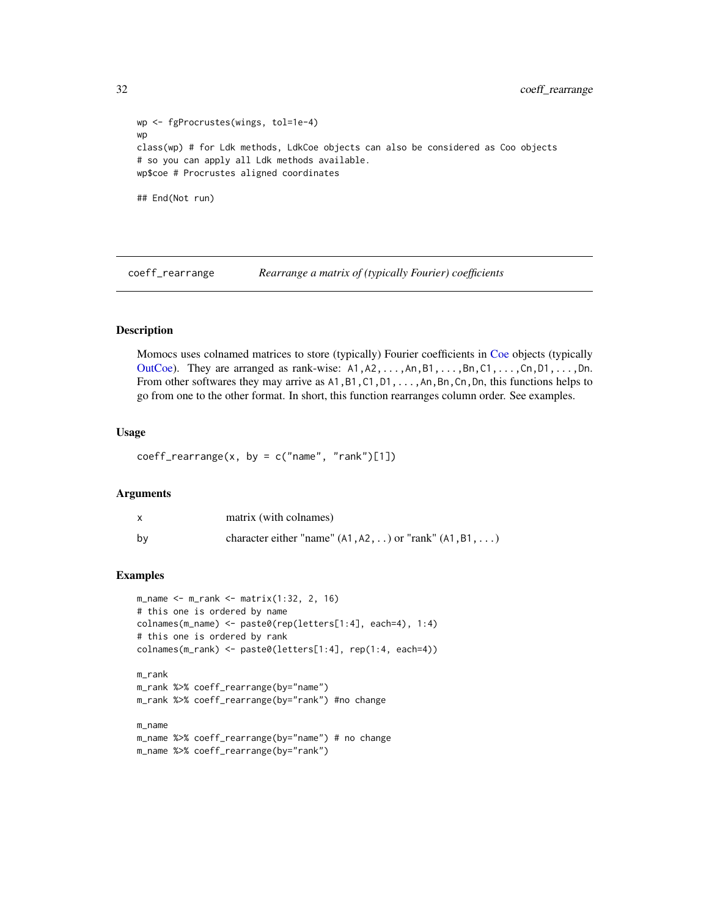```
wp <- fgProcrustes(wings, tol=1e-4)
wp
class(wp) # for Ldk methods, LdkCoe objects can also be considered as Coo objects
# so you can apply all Ldk methods available.
wp$coe # Procrustes aligned coordinates
## End(Not run)
```
coeff\_rearrange *Rearrange a matrix of (typically Fourier) coefficients*

# Description

Momocs uses colnamed matrices to store (typically) Fourier coefficients in [Coe](#page-29-1) objects (typically [OutCoe\)](#page-198-1). They are arranged as rank-wise:  $A1, A2, \ldots, An, B1, \ldots, Bn, C1, \ldots, Cn, D1, \ldots, Dn$ . From other softwares they may arrive as A1, B1, C1, D1, ..., An, Bn, Cn, Dn, this functions helps to go from one to the other format. In short, this function rearranges column order. See examples.

#### Usage

```
coeff_rearrange(x, by = c("name", "rank")[1])
```
## Arguments

|    | matrix (with colnames)                                      |
|----|-------------------------------------------------------------|
| bv | character either "name" $(A1, A2, )$ or "rank" $(A1, B1, )$ |

#### Examples

```
m_name <- m_rank <- matrix(1:32, 2, 16)
# this one is ordered by name
colnames(m_name) <- paste0(rep(letters[1:4], each=4), 1:4)
# this one is ordered by rank
colnames(m_rank) <- paste0(letters[1:4], rep(1:4, each=4))
m_rank
m_rank %>% coeff_rearrange(by="name")
m_rank %>% coeff_rearrange(by="rank") #no change
```
m\_name

```
m_name %>% coeff_rearrange(by="name") # no change
m_name %>% coeff_rearrange(by="rank")
```
<span id="page-31-0"></span>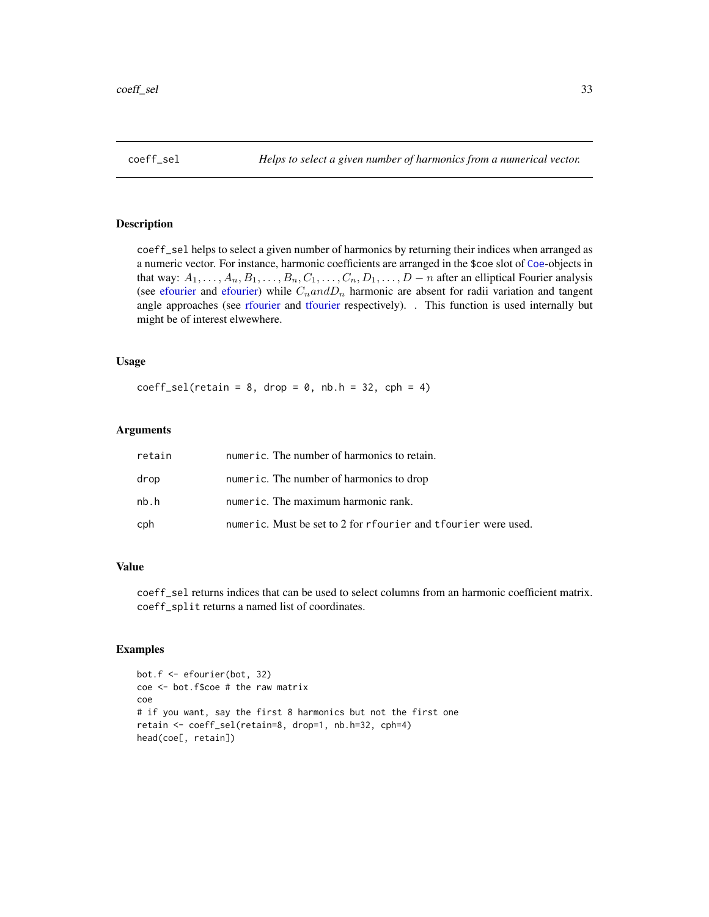<span id="page-32-0"></span>

## Description

coeff\_sel helps to select a given number of harmonics by returning their indices when arranged as a numeric vector. For instance, harmonic coefficients are arranged in the \$coe slot of [Coe](#page-29-1)-objects in that way:  $A_1, \ldots, A_n, B_1, \ldots, B_n, C_1, \ldots, C_n, D_1, \ldots, D - n$  after an elliptical Fourier analysis (see [efourier](#page-133-1) and [efourier\)](#page-133-1) while  $C<sub>n</sub> and D<sub>n</sub>$  harmonic are absent for radii variation and tangent angle approaches (see [rfourier](#page-243-1) and [tfourier](#page-266-1) respectively). . This function is used internally but might be of interest elwewhere.

## Usage

 $coeff\_self(retain = 8, drop = 0, nb.h = 32, cph = 4)$ 

#### Arguments

| retain | numeric. The number of harmonics to retain.                    |
|--------|----------------------------------------------------------------|
| drop   | numeric. The number of harmonics to drop                       |
| nb.h   | numeric. The maximum harmonic rank.                            |
| cph    | numeric. Must be set to 2 for rfourier and tfourier were used. |

# Value

coeff\_sel returns indices that can be used to select columns from an harmonic coefficient matrix. coeff\_split returns a named list of coordinates.

```
bot.f <- efourier(bot, 32)
coe <- bot.f$coe # the raw matrix
coe
# if you want, say the first 8 harmonics but not the first one
retain <- coeff_sel(retain=8, drop=1, nb.h=32, cph=4)
head(coe[, retain])
```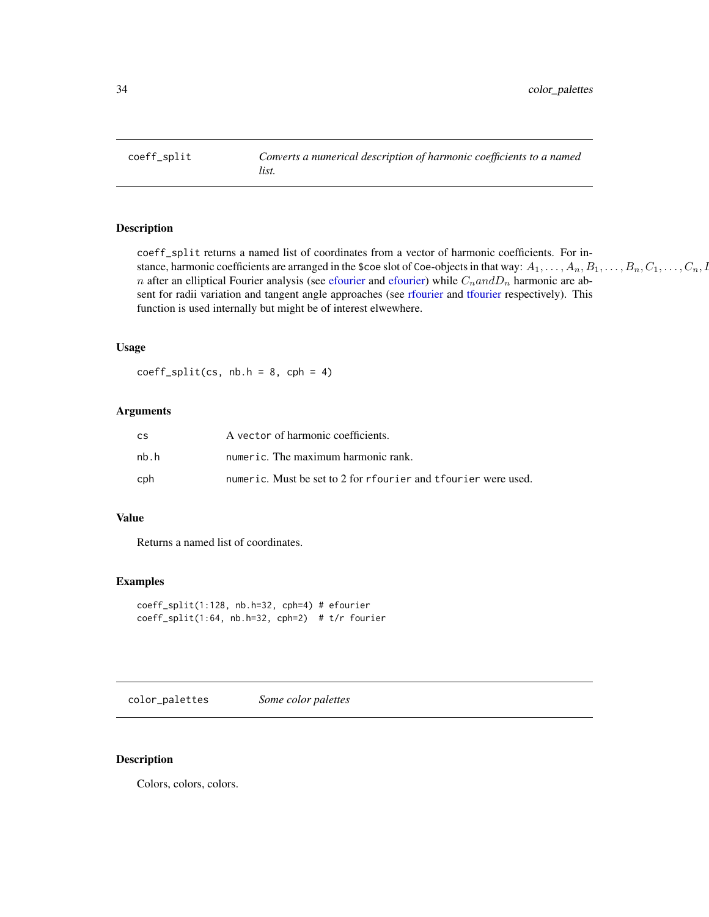<span id="page-33-0"></span>coeff\_split *Converts a numerical description of harmonic coefficients to a named list.*

# **Description**

coeff\_split returns a named list of coordinates from a vector of harmonic coefficients. For instance, harmonic coefficients are arranged in the \$coe slot of Coe-objects in that way:  $A_1, \ldots, A_n, B_1, \ldots, B_n, C_1, \ldots, C_n, D_1$ n after an elliptical Fourier analysis (see [efourier](#page-133-1) and [efourier\)](#page-133-1) while  $C_n$  and  $D_n$  harmonic are absent for radii variation and tangent angle approaches (see [rfourier](#page-243-1) and [tfourier](#page-266-1) respectively). This function is used internally but might be of interest elwewhere.

#### Usage

 $coeff\_split(cs, nb.h = 8, cph = 4)$ 

#### Arguments

| CS   | A vector of harmonic coefficients.                             |
|------|----------------------------------------------------------------|
| nh.h | numeric. The maximum harmonic rank.                            |
| cph  | numeric. Must be set to 2 for rfourier and tfourier were used. |

#### Value

Returns a named list of coordinates.

## Examples

```
coeff_split(1:128, nb.h=32, cph=4) # efourier
coeff_split(1:64, nb.h=32, cph=2) # t/r fourier
```
color\_palettes *Some color palettes*

## Description

Colors, colors, colors.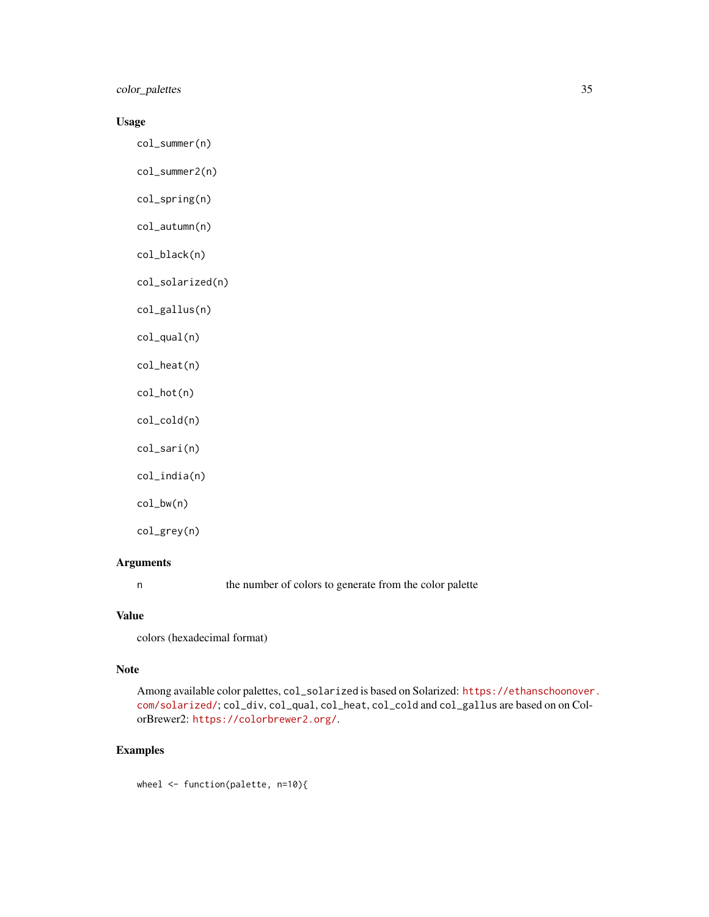color\_palettes 35

## Usage

col\_summer(n)

col\_summer2(n)

col\_spring(n)

col\_autumn(n)

col\_black(n)

col\_solarized(n)

col\_gallus(n)

col\_qual(n)

col\_heat(n)

col\_hot(n)

col\_cold(n)

col\_sari(n)

col\_india(n)

col\_bw(n)

col\_grey(n)

## Arguments

n the number of colors to generate from the color palette

#### Value

colors (hexadecimal format)

## Note

Among available color palettes, col\_solarized is based on Solarized: [https://ethanschoonover](https://ethanschoonover.com/solarized/). [com/solarized/](https://ethanschoonover.com/solarized/); col\_div, col\_qual, col\_heat, col\_cold and col\_gallus are based on on ColorBrewer2: <https://colorbrewer2.org/>.

# Examples

wheel <- function(palette, n=10){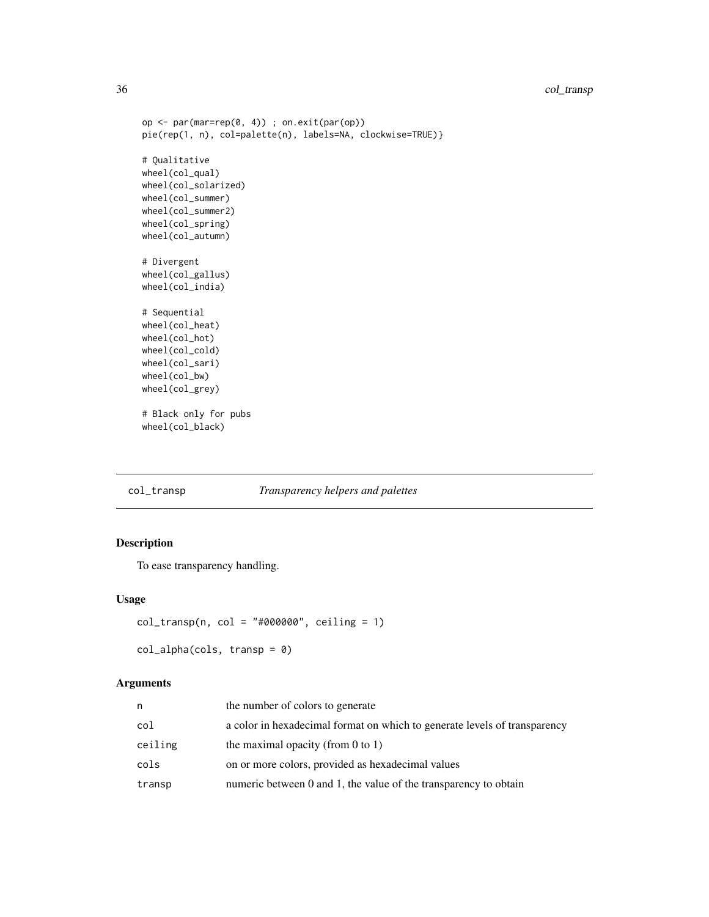# <span id="page-35-0"></span>36 col\_transp

```
op <- par(mar=rep(0, 4)) ; on.exit(par(op))
pie(rep(1, n), col=palette(n), labels=NA, clockwise=TRUE)}
# Qualitative
wheel(col_qual)
wheel(col_solarized)
wheel(col_summer)
wheel(col_summer2)
wheel(col_spring)
wheel(col_autumn)
# Divergent
wheel(col_gallus)
wheel(col_india)
# Sequential
wheel(col_heat)
wheel(col_hot)
wheel(col_cold)
wheel(col_sari)
wheel(col_bw)
wheel(col_grey)
# Black only for pubs
wheel(col_black)
```
# col\_transp *Transparency helpers and palettes*

## Description

To ease transparency handling.

## Usage

```
col_{transp}(n, col = "#000000", ceiling = 1)
```

```
col_alpha(cols, transp = 0)
```
#### Arguments

| n       | the number of colors to generate                                          |
|---------|---------------------------------------------------------------------------|
| col     | a color in hexadecimal format on which to generate levels of transparency |
| ceiling | the maximal opacity (from $0$ to $1$ )                                    |
| cols    | on or more colors, provided as hexadecimal values                         |
| transp  | numeric between 0 and 1, the value of the transparency to obtain          |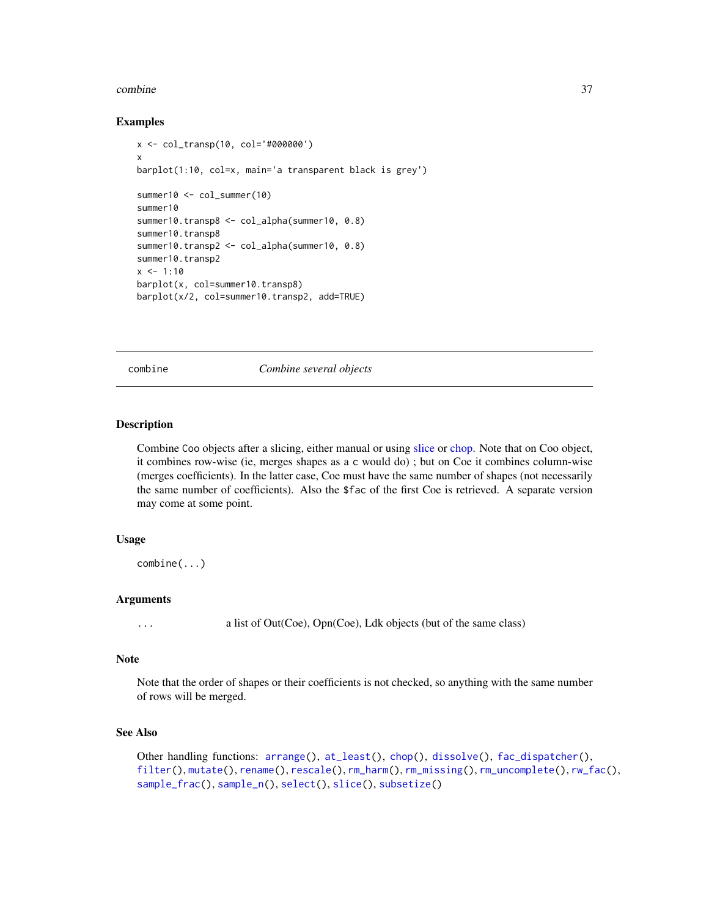#### combine 37

## Examples

```
x <- col_transp(10, col='#000000')
x
barplot(1:10, col=x, main='a transparent black is grey')
summer10 <- col_summer(10)
summer10
summer10.transp8 <- col_alpha(summer10, 0.8)
summer10.transp8
summer10.transp2 <- col_alpha(summer10, 0.8)
summer10.transp2
x \le -1:10barplot(x, col=summer10.transp8)
barplot(x/2, col=summer10.transp2, add=TRUE)
```
combine *Combine several objects*

## Description

Combine Coo objects after a slicing, either manual or using [slice](#page-260-0) or [chop.](#page-26-0) Note that on Coo object, it combines row-wise (ie, merges shapes as a c would do) ; but on Coe it combines column-wise (merges coefficients). In the latter case, Coe must have the same number of shapes (not necessarily the same number of coefficients). Also the \$fac of the first Coe is retrieved. A separate version may come at some point.

## Usage

combine(...)

## Arguments

... a list of Out(Coe), Opn(Coe), Ldk objects (but of the same class)

## Note

Note that the order of shapes or their coefficients is not checked, so anything with the same number of rows will be merged.

# See Also

```
Other handling functions: arrange(), at_least(), chop(), dissolve(), fac_dispatcher(),
filter(), mutate(), rename(), rescale(), rm_harm(), rm_missing(), rm_uncomplete(), rw_fac(),
sample_frac(), sample_n(), select(), slice(), subsetize()
```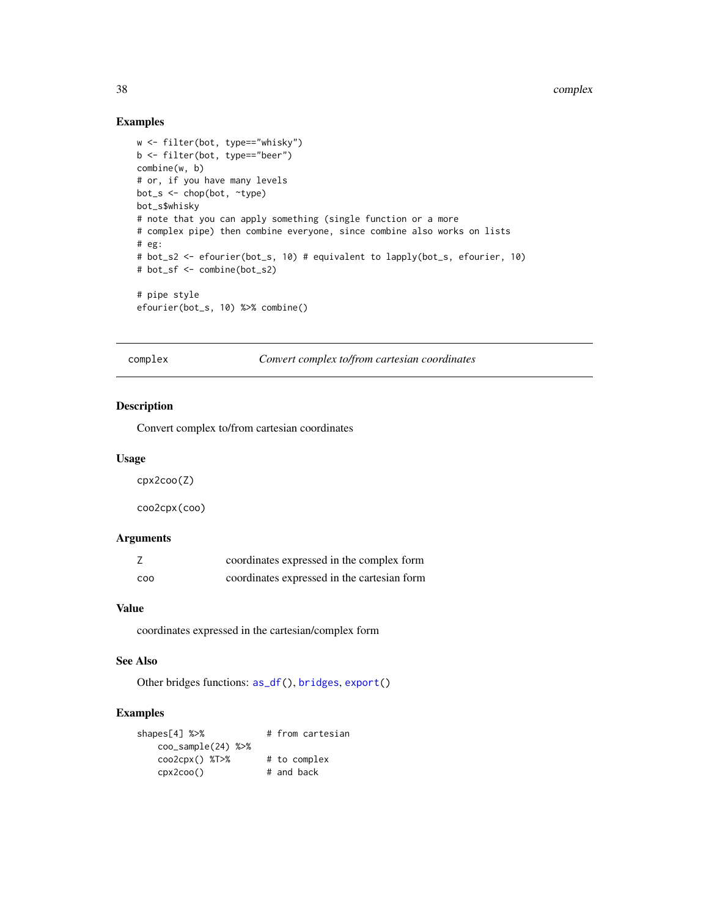# Examples

```
w <- filter(bot, type=="whisky")
b <- filter(bot, type=="beer")
combine(w, b)
# or, if you have many levels
bot_s <- chop(bot, ~type)
bot_s$whisky
# note that you can apply something (single function or a more
# complex pipe) then combine everyone, since combine also works on lists
# eg:
# bot_s2 <- efourier(bot_s, 10) # equivalent to lapply(bot_s, efourier, 10)
# bot_sf <- combine(bot_s2)
# pipe style
efourier(bot_s, 10) %>% combine()
```
complex *Convert complex to/from cartesian coordinates*

## Description

Convert complex to/from cartesian coordinates

#### Usage

cpx2coo(Z)

coo2cpx(coo)

#### Arguments

|     | coordinates expressed in the complex form   |
|-----|---------------------------------------------|
| COO | coordinates expressed in the cartesian form |

#### Value

coordinates expressed in the cartesian/complex form

## See Also

Other bridges functions: [as\\_df\(](#page-8-0)), [bridges](#page-15-0), [export\(](#page-137-0))

```
shapes[4] %>% # from cartesian
  coo_sample(24) %>%
  coo2cpx() %T>% # to complex
  cpx2coo() # and back
```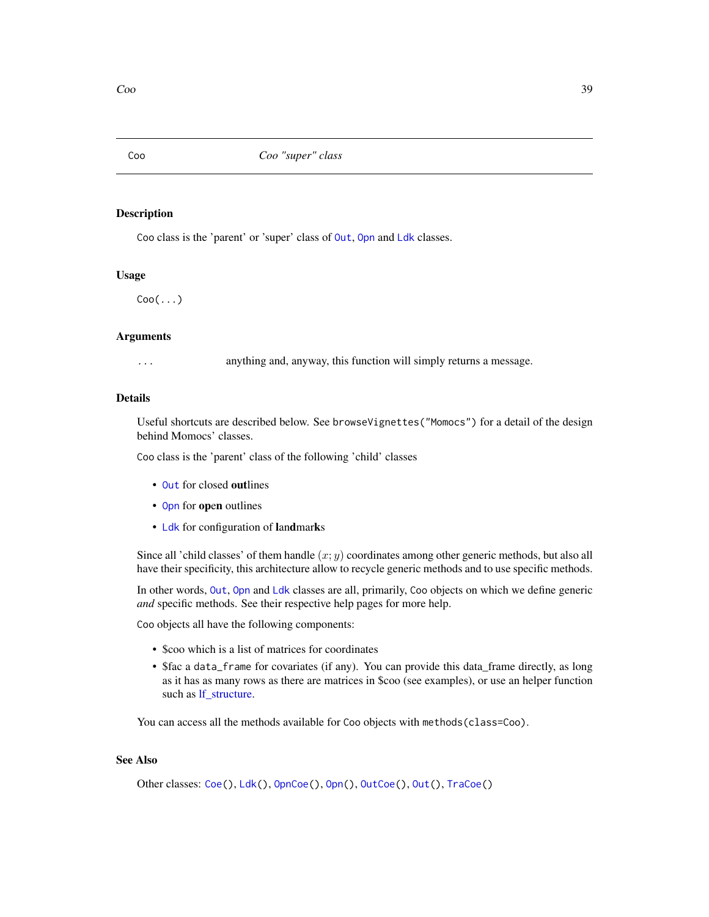<span id="page-38-0"></span>

## Description

Coo class is the 'parent' or 'super' class of [Out](#page-197-0), [Opn](#page-193-0) and [Ldk](#page-169-0) classes.

#### Usage

 $Coo(\ldots)$ 

# Arguments

... anything and, anyway, this function will simply returns a message.

## **Details**

Useful shortcuts are described below. See browseVignettes("Momocs") for a detail of the design behind Momocs' classes.

Coo class is the 'parent' class of the following 'child' classes

- [Out](#page-197-0) for closed outlines
- [Opn](#page-193-0) for open outlines
- [Ldk](#page-169-0) for configuration of landmarks

Since all 'child classes' of them handle  $(x; y)$  coordinates among other generic methods, but also all have their specificity, this architecture allow to recycle generic methods and to use specific methods.

In other words, [Out](#page-197-0), [Opn](#page-193-0) and [Ldk](#page-169-0) classes are all, primarily, Coo objects on which we define generic *and* specific methods. See their respective help pages for more help.

Coo objects all have the following components:

- \$coo which is a list of matrices for coordinates
- \$fac a data\_frame for covariates (if any). You can provide this data\_frame directly, as long as it has as many rows as there are matrices in \$coo (see examples), or use an helper function such as [lf\\_structure.](#page-174-0)

You can access all the methods available for Coo objects with methods(class=Coo).

# See Also

Other classes: [Coe\(](#page-29-0)), [Ldk\(](#page-169-0)), [OpnCoe\(](#page-194-0)), [Opn\(](#page-193-0)), [OutCoe\(](#page-198-0)), [Out\(](#page-197-0)), [TraCoe\(](#page-277-0))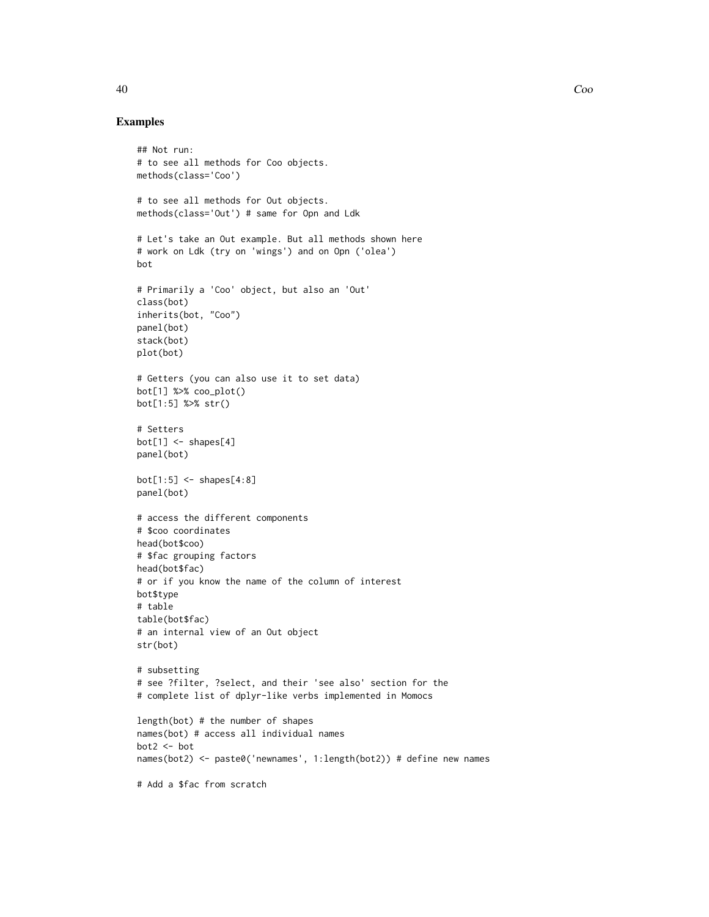#### Examples

```
## Not run:
# to see all methods for Coo objects.
methods(class='Coo')
# to see all methods for Out objects.
methods(class='Out') # same for Opn and Ldk
# Let's take an Out example. But all methods shown here
# work on Ldk (try on 'wings') and on Opn ('olea')
bot
# Primarily a 'Coo' object, but also an 'Out'
class(bot)
inherits(bot, "Coo")
panel(bot)
stack(bot)
plot(bot)
# Getters (you can also use it to set data)
bot[1] %>% coo_plot()
bot[1:5] %>% str()
# Setters
bot[1] < - shape[4]panel(bot)
bot[1:5] \leftarrow shapes[4:8]panel(bot)
# access the different components
# $coo coordinates
head(bot$coo)
# $fac grouping factors
head(bot$fac)
# or if you know the name of the column of interest
bot$type
# table
table(bot$fac)
# an internal view of an Out object
str(bot)
# subsetting
# see ?filter, ?select, and their 'see also' section for the
# complete list of dplyr-like verbs implemented in Momocs
length(bot) # the number of shapes
names(bot) # access all individual names
bot2 <- bot
names(bot2) <- paste0('newnames', 1:length(bot2)) # define new names
# Add a $fac from scratch
```
40 Coo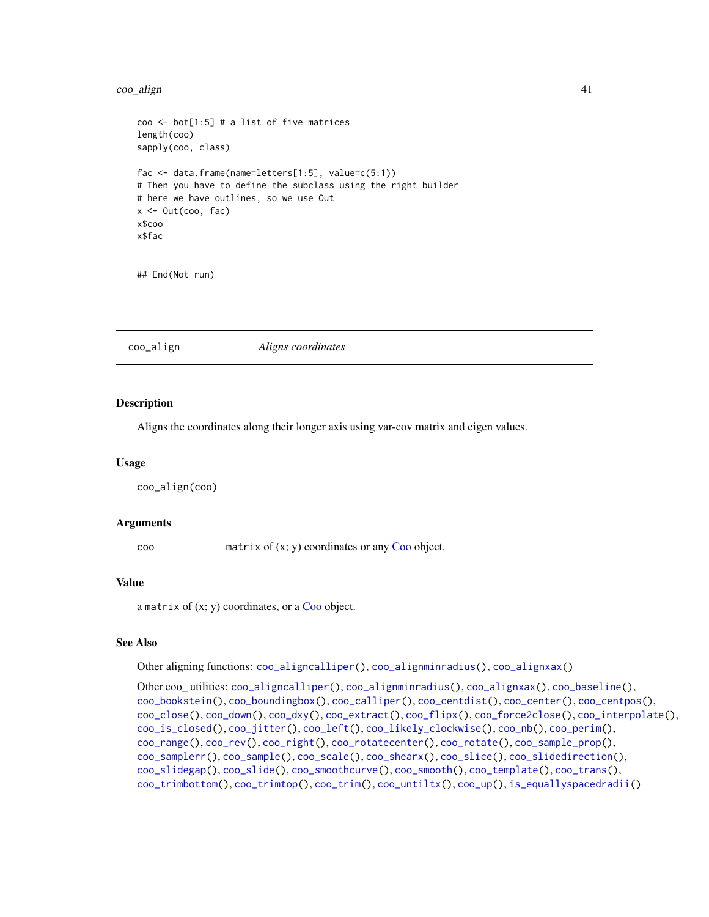#### $\rm{co}$ <sub>align</sub>  $\rm{41}$

```
coo <- bot[1:5] # a list of five matrices
length(coo)
sapply(coo, class)
fac <- data.frame(name=letters[1:5], value=c(5:1))
# Then you have to define the subclass using the right builder
# here we have outlines, so we use Out
x < - Out(coo, fac)
x$coo
x$fac
```
## End(Not run)

<span id="page-40-0"></span>coo\_align *Aligns coordinates*

## Description

Aligns the coordinates along their longer axis using var-cov matrix and eigen values.

#### Usage

coo\_align(coo)

## Arguments

coo matrix of (x; y) coordinates or any [Coo](#page-38-0) object.

#### Value

a matrix of  $(x; y)$  coordinates, or a [Coo](#page-38-0) object.

# See Also

Other aligning functions: [coo\\_aligncalliper\(](#page-41-0)), [coo\\_alignminradius\(](#page-42-0)), [coo\\_alignxax\(](#page-43-0))

```
Other coo_ utilities: coo_aligncalliper(), coo_alignminradius(), coo_alignxax(), coo_baseline(),
coo_bookstein(), coo_boundingbox(), coo_calliper(), coo_centdist(), coo_center(), coo_centpos(),
coo_close(), coo_down(), coo_dxy(), coo_extract(), coo_flipx(), coo_force2close(), coo_interpolate(),
coo_is_closed(), coo_jitter(), coo_left(), coo_likely_clockwise(), coo_nb(), coo_perim(),
coo_range(), coo_rev(), coo_right(), coo_rotatecenter(), coo_rotate(), coo_sample_prop(),
coo_samplerr(), coo_sample(), coo_scale(), coo_shearx(), coo_slice(), coo_slidedirection(),
coo_slidegap(), coo_slide(), coo_smoothcurve(), coo_smooth(), coo_template(), coo_trans(),
coo_trimbottom(), coo_trimtop(), coo_trim(), coo_untiltx(), coo_up(), is_equallyspacedradii()
```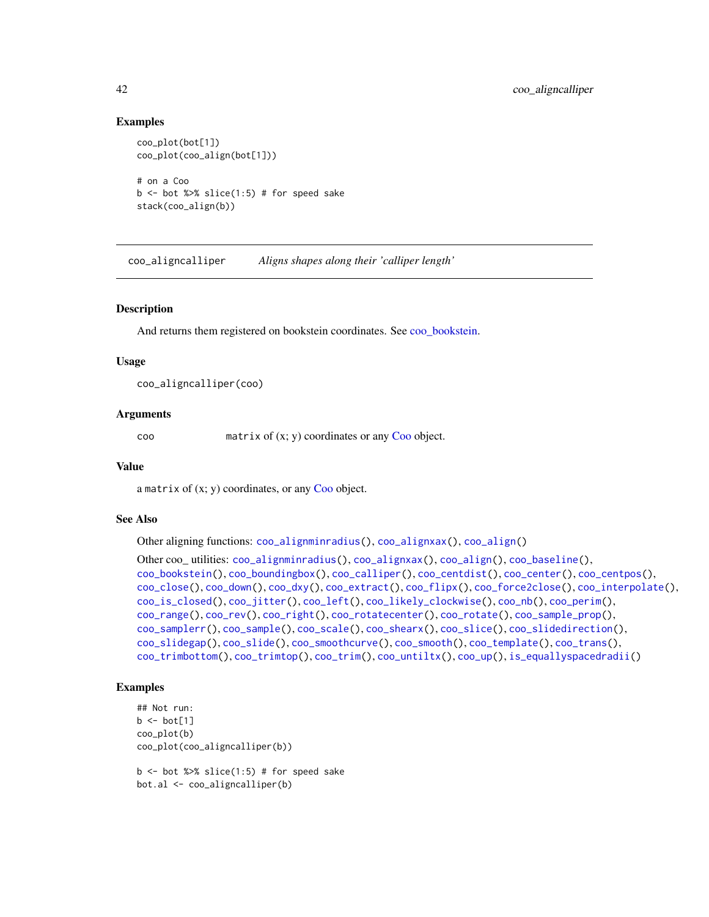## Examples

```
coo_plot(bot[1])
coo_plot(coo_align(bot[1]))
# on a Coo
b \le - bot %>% slice(1:5) # for speed sake
stack(coo_align(b))
```
<span id="page-41-0"></span>coo\_aligncalliper *Aligns shapes along their 'calliper length'*

## Description

And returns them registered on bookstein coordinates. See [coo\\_bookstein.](#page-48-0)

#### Usage

coo\_aligncalliper(coo)

## Arguments

coo matrix of (x; y) coordinates or any [Coo](#page-38-0) object.

#### Value

a matrix of  $(x; y)$  coordinates, or any [Coo](#page-38-0) object.

## See Also

Other aligning functions: [coo\\_alignminradius\(](#page-42-0)), [coo\\_alignxax\(](#page-43-0)), [coo\\_align\(](#page-40-0))

```
Other coo_ utilities: coo_alignminradius(), coo_alignxax(), coo_align(), coo_baseline(),
coo_bookstein(), coo_boundingbox(), coo_calliper(), coo_centdist(), coo_center(), coo_centpos(),
coo_close(), coo_down(), coo_dxy(), coo_extract(), coo_flipx(), coo_force2close(), coo_interpolate(),
coo_is_closed(), coo_jitter(), coo_left(), coo_likely_clockwise(), coo_nb(), coo_perim(),
coo_range(), coo_rev(), coo_right(), coo_rotatecenter(), coo_rotate(), coo_sample_prop(),
coo_samplerr(), coo_sample(), coo_scale(), coo_shearx(), coo_slice(), coo_slidedirection(),
coo_slidegap(), coo_slide(), coo_smoothcurve(), coo_smooth(), coo_template(), coo_trans(),
coo_trimbottom(), coo_trimtop(), coo_trim(), coo_untiltx(), coo_up(), is_equallyspacedradii()
```
## Examples

```
## Not run:
b \leftarrow bot[1]coo_plot(b)
coo_plot(coo_aligncalliper(b))
```
 $b \le -$  bot %>% slice(1:5) # for speed sake bot.al <- coo\_aligncalliper(b)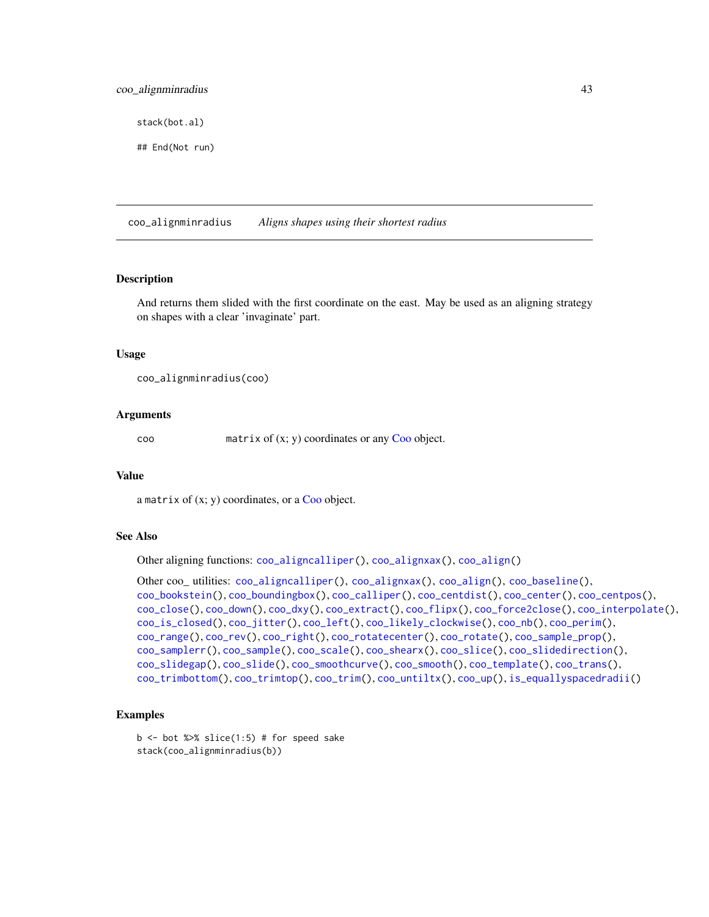# coo\_alignminradius 43

stack(bot.al)

## End(Not run)

<span id="page-42-0"></span>coo\_alignminradius *Aligns shapes using their shortest radius*

# **Description**

And returns them slided with the first coordinate on the east. May be used as an aligning strategy on shapes with a clear 'invaginate' part.

#### Usage

coo\_alignminradius(coo)

## Arguments

coo matrix of (x; y) coordinates or any [Coo](#page-38-0) object.

#### Value

a matrix of  $(x; y)$  coordinates, or a [Coo](#page-38-0) object.

# See Also

Other aligning functions: [coo\\_aligncalliper\(](#page-41-0)), [coo\\_alignxax\(](#page-43-0)), [coo\\_align\(](#page-40-0))

```
Other coo_ utilities: coo_aligncalliper(), coo_alignxax(), coo_align(), coo_baseline(),
coo_bookstein(), coo_boundingbox(), coo_calliper(), coo_centdist(), coo_center(), coo_centpos(),
coo_close(), coo_down(), coo_dxy(), coo_extract(), coo_flipx(), coo_force2close(), coo_interpolate(),
coo_is_closed(), coo_jitter(), coo_left(), coo_likely_clockwise(), coo_nb(), coo_perim(),
coo_range(), coo_rev(), coo_right(), coo_rotatecenter(), coo_rotate(), coo_sample_prop(),
coo_samplerr(), coo_sample(), coo_scale(), coo_shearx(), coo_slice(), coo_slidedirection(),
coo_slidegap(), coo_slide(), coo_smoothcurve(), coo_smooth(), coo_template(), coo_trans(),
coo_trimbottom(), coo_trimtop(), coo_trim(), coo_untiltx(), coo_up(), is_equallyspacedradii()
```

```
b \le - bot %>% slice(1:5) # for speed sake
stack(coo_alignminradius(b))
```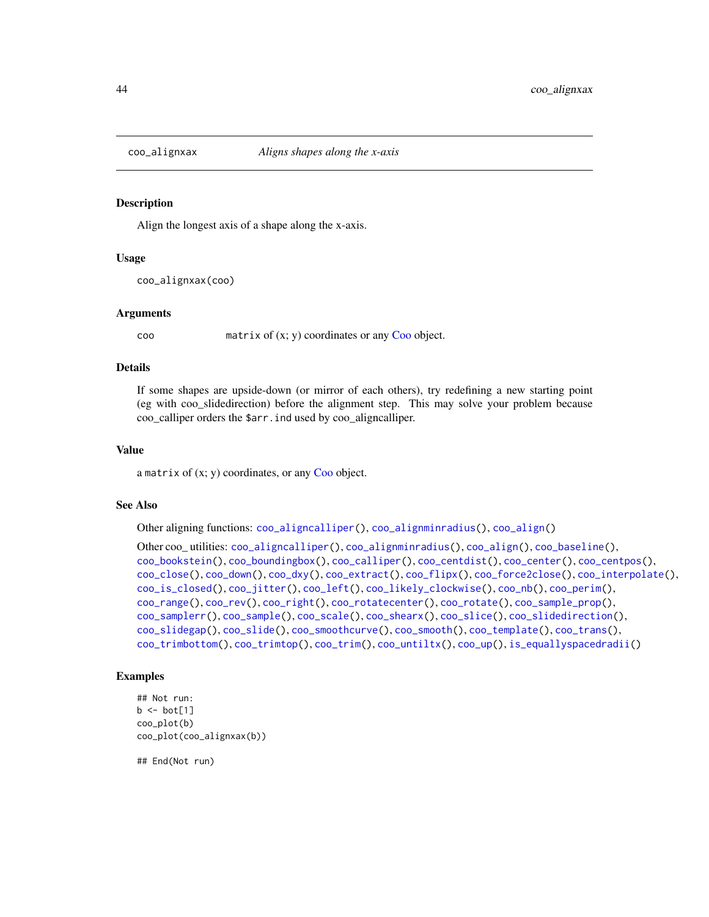<span id="page-43-0"></span>

# **Description**

Align the longest axis of a shape along the x-axis.

#### Usage

coo\_alignxax(coo)

#### Arguments

 $\text{coo}$  matrix of  $(x; y)$  coordinates or any [Coo](#page-38-0) object.

#### Details

If some shapes are upside-down (or mirror of each others), try redefining a new starting point (eg with coo\_slidedirection) before the alignment step. This may solve your problem because coo\_calliper orders the \$arr.ind used by coo\_aligncalliper.

# Value

a matrix of  $(x; y)$  coordinates, or any [Coo](#page-38-0) object.

#### See Also

Other aligning functions: [coo\\_aligncalliper\(](#page-41-0)), [coo\\_alignminradius\(](#page-42-0)), [coo\\_align\(](#page-40-0))

```
Other coo_ utilities: coo_aligncalliper(), coo_alignminradius(), coo_align(), coo_baseline(),
coo_bookstein(), coo_boundingbox(), coo_calliper(), coo_centdist(), coo_center(), coo_centpos(),
coo_close(), coo_down(), coo_dxy(), coo_extract(), coo_flipx(), coo_force2close(), coo_interpolate(),
coo_is_closed(), coo_jitter(), coo_left(), coo_likely_clockwise(), coo_nb(), coo_perim(),
coo_range(), coo_rev(), coo_right(), coo_rotatecenter(), coo_rotate(), coo_sample_prop(),
coo_samplerr(), coo_sample(), coo_scale(), coo_shearx(), coo_slice(), coo_slidedirection(),
coo_slidegap(), coo_slide(), coo_smoothcurve(), coo_smooth(), coo_template(), coo_trans(),
coo_trimbottom(), coo_trimtop(), coo_trim(), coo_untiltx(), coo_up(), is_equallyspacedradii()
```
## Examples

```
## Not run:
b \le bot[1]coo_plot(b)
coo_plot(coo_alignxax(b))
```
## End(Not run)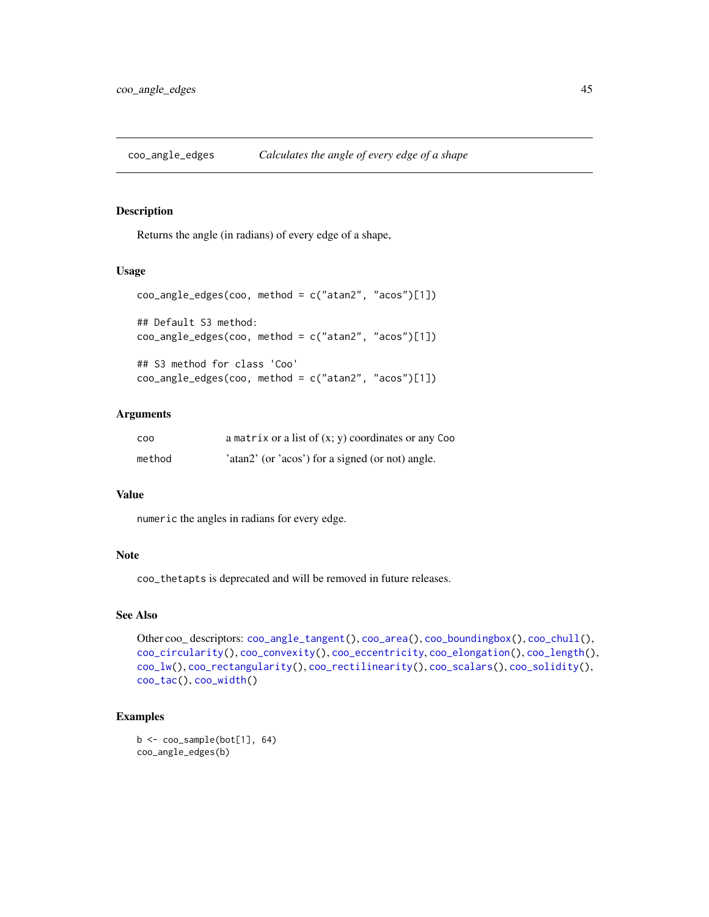<span id="page-44-0"></span>coo\_angle\_edges *Calculates the angle of every edge of a shape*

# Description

Returns the angle (in radians) of every edge of a shape,

## Usage

```
coo_angle_edges(coo, method = c("atan2", "acos")[1])
## Default S3 method:
coo_angle_edges(coo, method = c("atan2", "acos")[1])
## S3 method for class 'Coo'
coo_angle_edges(coo, method = c("atan2", "acos")[1])
```
# Arguments

| C <sub>0</sub> | a matrix or a list of $(x, y)$ coordinates or any Coo |
|----------------|-------------------------------------------------------|
| method         | 'atan2' (or 'acos') for a signed (or not) angle.      |

## Value

numeric the angles in radians for every edge.

# Note

coo\_thetapts is deprecated and will be removed in future releases.

# See Also

```
Other coo_ descriptors: coo_angle_tangent(), coo_area(), coo_boundingbox(), coo_chull(),
coo_circularity(), coo_convexity(), coo_eccentricity, coo_elongation(), coo_length(),
coo_lw(), coo_rectangularity(), coo_rectilinearity(), coo_scalars(), coo_solidity(),
coo_tac(), coo_width()
```

```
b <- coo_sample(bot[1], 64)
coo_angle_edges(b)
```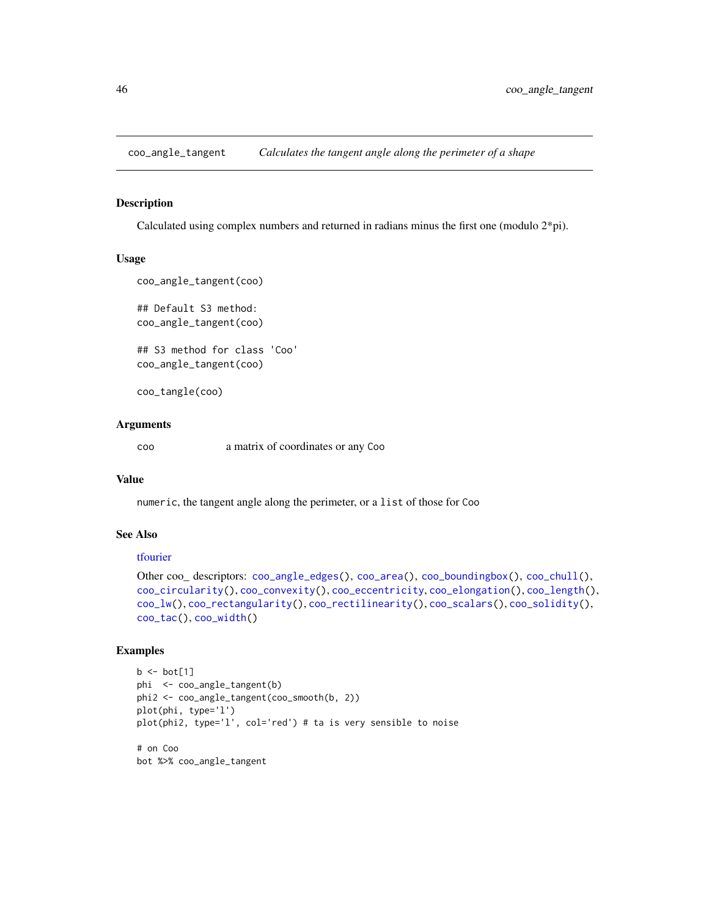<span id="page-45-0"></span>coo\_angle\_tangent *Calculates the tangent angle along the perimeter of a shape*

# Description

Calculated using complex numbers and returned in radians minus the first one (modulo 2\*pi).

#### Usage

```
coo_angle_tangent(coo)
## Default S3 method:
coo_angle_tangent(coo)
## S3 method for class 'Coo'
coo_angle_tangent(coo)
```
coo\_tangle(coo)

#### Arguments

coo a matrix of coordinates or any Coo

#### Value

numeric, the tangent angle along the perimeter, or a list of those for Coo

# See Also

#### [tfourier](#page-266-0)

```
Other coo_ descriptors: coo_angle_edges(), coo_area(), coo_boundingbox(), coo_chull(),
coo_circularity(), coo_convexity(), coo_eccentricity, coo_elongation(), coo_length(),
coo_lw(), coo_rectangularity(), coo_rectilinearity(), coo_scalars(), coo_solidity(),
coo_tac(), coo_width()
```

```
b \leftarrow bot[1]phi <- coo_angle_tangent(b)
phi2 <- coo_angle_tangent(coo_smooth(b, 2))
plot(phi, type='l')
plot(phi2, type='l', col='red') # ta is very sensible to noise
# on Coo
bot %>% coo_angle_tangent
```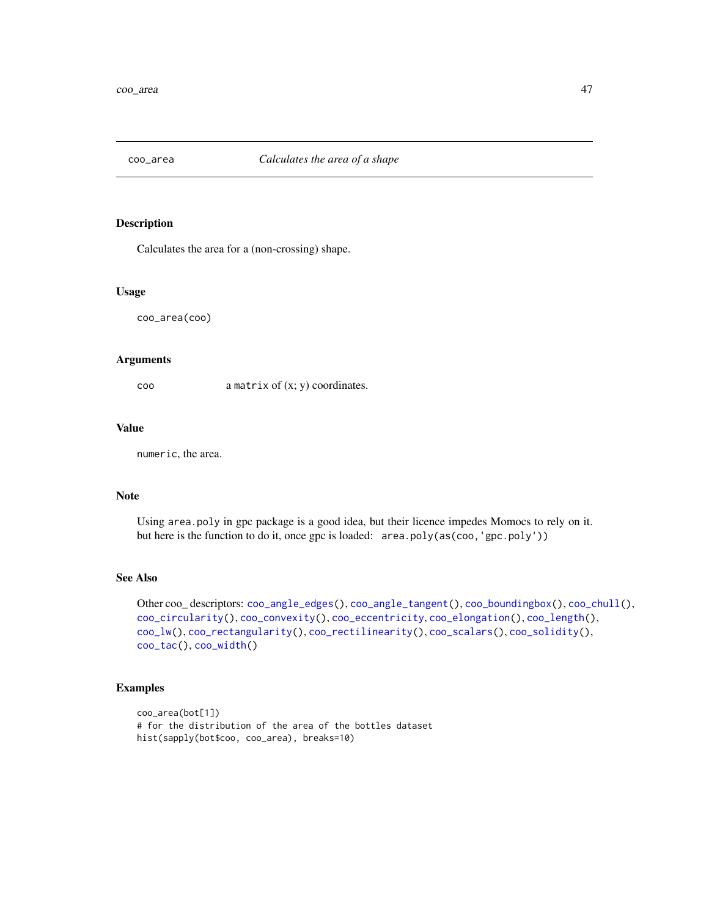<span id="page-46-0"></span>

# Description

Calculates the area for a (non-crossing) shape.

## Usage

coo\_area(coo)

## Arguments

coo a matrix of (x; y) coordinates.

## Value

numeric, the area.

# Note

Using area.poly in gpc package is a good idea, but their licence impedes Momocs to rely on it. but here is the function to do it, once gpc is loaded: area.poly(as(coo,'gpc.poly'))

## See Also

```
Other coo_ descriptors: coo_angle_edges(), coo_angle_tangent(), coo_boundingbox(), coo_chull(),
coo_circularity(), coo_convexity(), coo_eccentricity, coo_elongation(), coo_length(),
coo_lw(), coo_rectangularity(), coo_rectilinearity(), coo_scalars(), coo_solidity(),
coo_tac(), coo_width()
```

```
coo_area(bot[1])
# for the distribution of the area of the bottles dataset
hist(sapply(bot$coo, coo_area), breaks=10)
```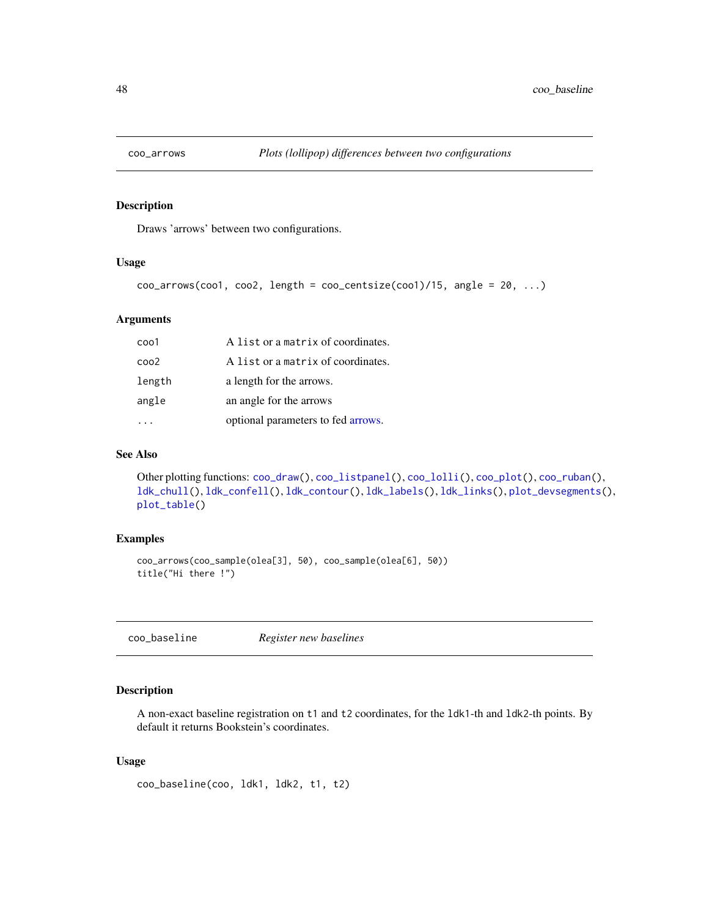<span id="page-47-1"></span>

# Description

Draws 'arrows' between two configurations.

#### Usage

```
coo_2arrows(coo1, coo2, length = coo_centsize(coo1)/15, angle = 20, ...)
```
## Arguments

| $\cos 1$ | A list or a matrix of coordinates. |
|----------|------------------------------------|
| $\cos 2$ | A list or a matrix of coordinates. |
| length   | a length for the arrows.           |
| angle    | an angle for the arrows            |
|          | optional parameters to fed arrows. |

## See Also

Other plotting functions: [coo\\_draw\(](#page-61-0)), [coo\\_listpanel\(](#page-76-0)), [coo\\_lolli\(](#page-77-0)), [coo\\_plot\(](#page-82-0)), [coo\\_ruban\(](#page-91-0)), [ldk\\_chull\(](#page-170-0)), [ldk\\_confell\(](#page-171-0)), [ldk\\_contour\(](#page-172-0)), [ldk\\_labels\(](#page-173-0)), [ldk\\_links\(](#page-173-1)), [plot\\_devsegments\(](#page-226-0)), [plot\\_table\(](#page-235-0))

## Examples

```
coo_arrows(coo_sample(olea[3], 50), coo_sample(olea[6], 50))
title("Hi there !")
```
<span id="page-47-0"></span>coo\_baseline *Register new baselines*

# Description

A non-exact baseline registration on t1 and t2 coordinates, for the ldk1-th and ldk2-th points. By default it returns Bookstein's coordinates.

## Usage

```
coo_baseline(coo, ldk1, ldk2, t1, t2)
```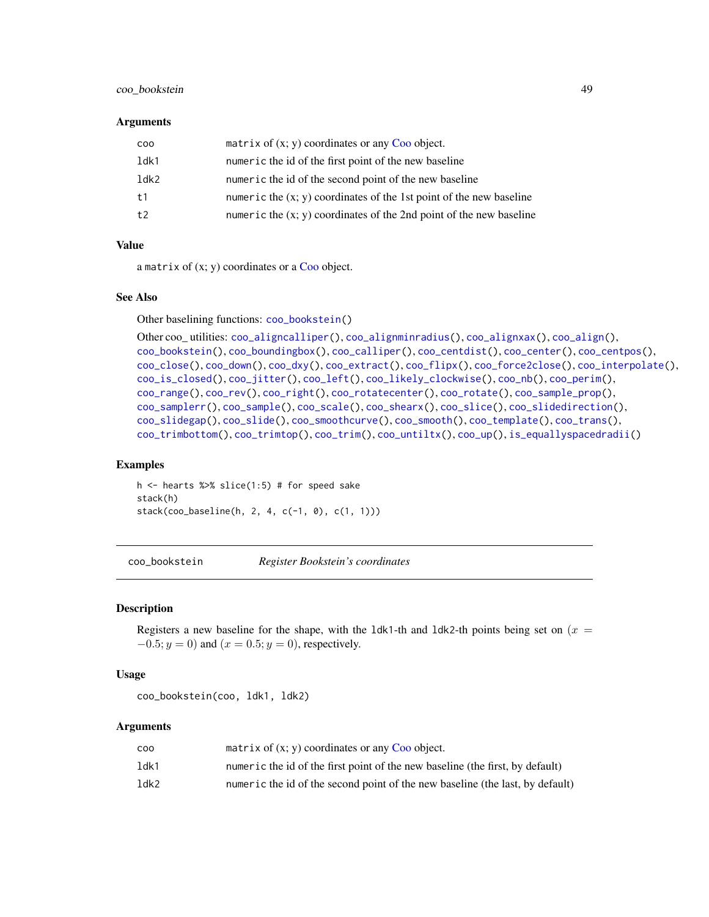# coo\_bookstein 49

#### Arguments

| CO <sub>O</sub> | matrix of $(x, y)$ coordinates or any Coo object.                     |
|-----------------|-----------------------------------------------------------------------|
| 1dk1            | numeric the id of the first point of the new baseline                 |
| ldk2            | numeric the id of the second point of the new baseline                |
| t1              | numeric the $(x, y)$ coordinates of the 1st point of the new baseline |
| t2              | numeric the $(x, y)$ coordinates of the 2nd point of the new baseline |

#### Value

a matrix of  $(x; y)$  coordinates or a [Coo](#page-38-0) object.

#### See Also

Other baselining functions: [coo\\_bookstein\(](#page-48-0))

```
Other coo_ utilities: coo_aligncalliper(), coo_alignminradius(), coo_alignxax(), coo_align(),
coo_bookstein(), coo_boundingbox(), coo_calliper(), coo_centdist(), coo_center(), coo_centpos(),
coo_close(), coo_down(), coo_dxy(), coo_extract(), coo_flipx(), coo_force2close(), coo_interpolate(),
coo_is_closed(), coo_jitter(), coo_left(), coo_likely_clockwise(), coo_nb(), coo_perim(),
coo_range(), coo_rev(), coo_right(), coo_rotatecenter(), coo_rotate(), coo_sample_prop(),
coo_samplerr(), coo_sample(), coo_scale(), coo_shearx(), coo_slice(), coo_slidedirection(),
coo_slidegap(), coo_slide(), coo_smoothcurve(), coo_smooth(), coo_template(), coo_trans(),
coo_trimbottom(), coo_trimtop(), coo_trim(), coo_untiltx(), coo_up(), is_equallyspacedradii()
```
## Examples

h  $\le$  hearts %>% slice(1:5) # for speed sake stack(h) stack(coo\_baseline(h, 2, 4, c(-1, 0), c(1, 1)))

<span id="page-48-0"></span>coo\_bookstein *Register Bookstein's coordinates*

#### Description

Registers a new baseline for the shape, with the 1dk1-th and 1dk2-th points being set on ( $x =$  $-0.5; y = 0$ ) and  $(x = 0.5; y = 0)$ , respectively.

## Usage

coo\_bookstein(coo, ldk1, ldk2)

## Arguments

| coo  | matrix of $(x, y)$ coordinates or any Coo object.                             |
|------|-------------------------------------------------------------------------------|
| ldk1 | numeric the id of the first point of the new baseline (the first, by default) |
| ldk2 | numeric the id of the second point of the new baseline (the last, by default) |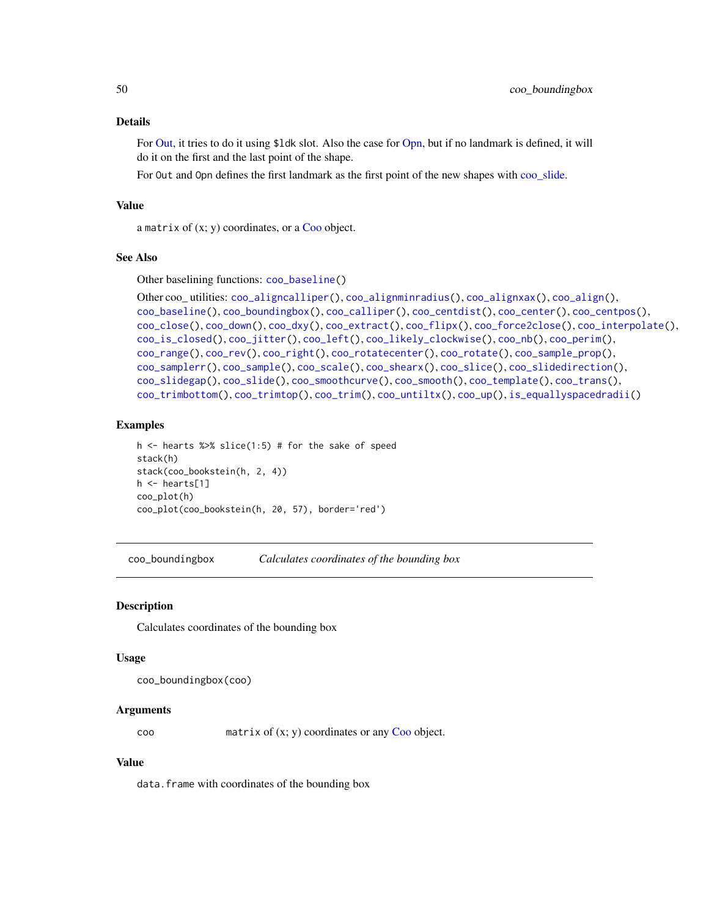#### Details

For [Out,](#page-197-0) it tries to do it using \$ldk slot. Also the case for [Opn,](#page-193-0) but if no landmark is defined, it will do it on the first and the last point of the shape.

For Out and Opn defines the first landmark as the first point of the new shapes with [coo\\_slide.](#page-100-0)

# Value

a matrix of  $(x; y)$  coordinates, or a [Coo](#page-38-0) object.

## See Also

Other baselining functions: [coo\\_baseline\(](#page-47-0))

```
Other coo_ utilities: coo_aligncalliper(), coo_alignminradius(), coo_alignxax(), coo_align(),
coo_baseline(), coo_boundingbox(), coo_calliper(), coo_centdist(), coo_center(), coo_centpos(),
coo_close(), coo_down(), coo_dxy(), coo_extract(), coo_flipx(), coo_force2close(), coo_interpolate(),
coo_is_closed(), coo_jitter(), coo_left(), coo_likely_clockwise(), coo_nb(), coo_perim(),
coo_range(), coo_rev(), coo_right(), coo_rotatecenter(), coo_rotate(), coo_sample_prop(),
coo_samplerr(), coo_sample(), coo_scale(), coo_shearx(), coo_slice(), coo_slidedirection(),
coo_slidegap(), coo_slide(), coo_smoothcurve(), coo_smooth(), coo_template(), coo_trans(),
coo_trimbottom(), coo_trimtop(), coo_trim(), coo_untiltx(), coo_up(), is_equallyspacedradii()
```
## Examples

```
h \le hearts %>% slice(1:5) # for the sake of speed
stack(h)
stack(coo_bookstein(h, 2, 4))
h <- hearts[1]
coo_plot(h)
coo_plot(coo_bookstein(h, 20, 57), border='red')
```
<span id="page-49-0"></span>coo\_boundingbox *Calculates coordinates of the bounding box*

#### Description

Calculates coordinates of the bounding box

#### Usage

coo\_boundingbox(coo)

#### Arguments

coo matrix of (x; y) coordinates or any [Coo](#page-38-0) object.

#### Value

data.frame with coordinates of the bounding box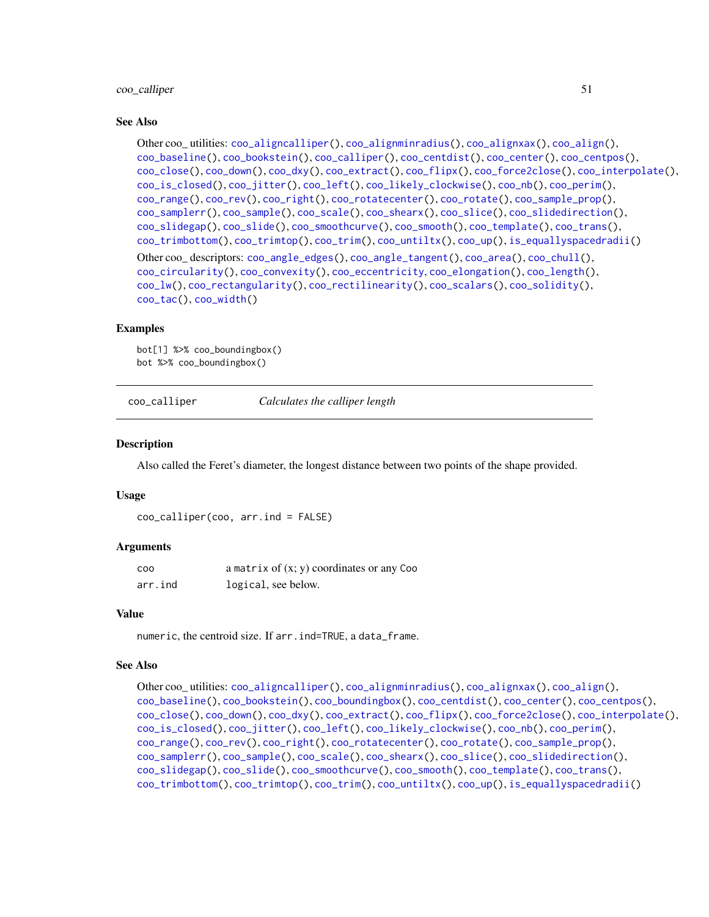#### coo\_calliper 51

#### See Also

```
Other coo_ utilities: coo_aligncalliper(), coo_alignminradius(), coo_alignxax(), coo_align(),
coo_baseline(), coo_bookstein(), coo_calliper(), coo_centdist(), coo_center(), coo_centpos(),
coo_close(), coo_down(), coo_dxy(), coo_extract(), coo_flipx(), coo_force2close(), coo_interpolate(),
coo_is_closed(), coo_jitter(), coo_left(), coo_likely_clockwise(), coo_nb(), coo_perim(),
coo_range(), coo_rev(), coo_right(), coo_rotatecenter(), coo_rotate(), coo_sample_prop(),
coo_samplerr(), coo_sample(), coo_scale(), coo_shearx(), coo_slice(), coo_slidedirection(),
coo_slidegap(), coo_slide(), coo_smoothcurve(), coo_smooth(), coo_template(), coo_trans(),
coo_trimbottom(), coo_trimtop(), coo_trim(), coo_untiltx(), coo_up(), is_equallyspacedradii()
Other coo_ descriptors: coo_angle_edges(), coo_angle_tangent(), coo_area(), coo_chull(),
coo_circularity(), coo_convexity(), coo_eccentricity, coo_elongation(), coo_length(),
coo_lw(), coo_rectangularity(), coo_rectilinearity(), coo_scalars(), coo_solidity(),
coo_tac(), coo_width()
```
#### Examples

bot[1] %>% coo\_boundingbox() bot %>% coo\_boundingbox()

<span id="page-50-0"></span>coo\_calliper *Calculates the calliper length*

#### Description

Also called the Feret's diameter, the longest distance between two points of the shape provided.

#### Usage

coo\_calliper(coo, arr.ind = FALSE)

## Arguments

| <b>COO</b> | a matrix of $(x, y)$ coordinates or any Coo |
|------------|---------------------------------------------|
| arr.ind    | logical, see below.                         |

#### Value

numeric, the centroid size. If arr.ind=TRUE, a data\_frame.

## See Also

```
Other coo_ utilities: coo_aligncalliper(), coo_alignminradius(), coo_alignxax(), coo_align(),
coo_baseline(), coo_bookstein(), coo_boundingbox(), coo_centdist(), coo_center(), coo_centpos(),
coo_close(), coo_down(), coo_dxy(), coo_extract(), coo_flipx(), coo_force2close(), coo_interpolate(),
coo_is_closed(), coo_jitter(), coo_left(), coo_likely_clockwise(), coo_nb(), coo_perim(),
coo_range(), coo_rev(), coo_right(), coo_rotatecenter(), coo_rotate(), coo_sample_prop(),
coo_samplerr(), coo_sample(), coo_scale(), coo_shearx(), coo_slice(), coo_slidedirection(),
coo_slidegap(), coo_slide(), coo_smoothcurve(), coo_smooth(), coo_template(), coo_trans(),
coo_trimbottom(), coo_trimtop(), coo_trim(), coo_untiltx(), coo_up(), is_equallyspacedradii()
```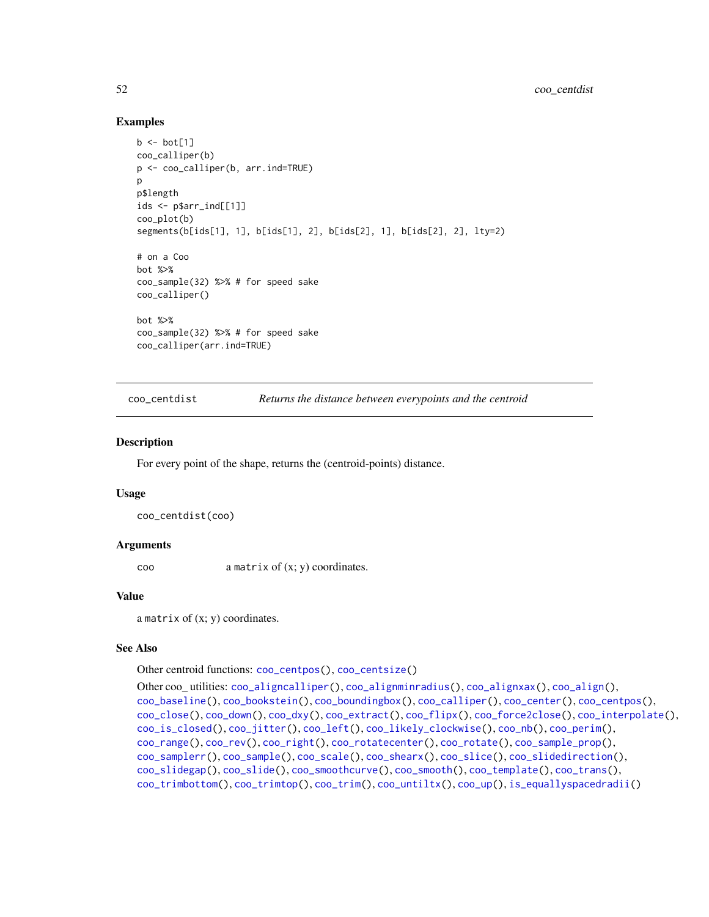## Examples

```
b \leftarrow bot[1]coo_calliper(b)
p <- coo_calliper(b, arr.ind=TRUE)
p
p$length
ids <- p$arr_ind[[1]]
coo_plot(b)
segments(b[ids[1], 1], b[ids[1], 2], b[ids[2], 1], b[ids[2], 2], lty=2)
# on a Coo
bot %>%
coo_sample(32) %>% # for speed sake
coo_calliper()
bot %>%
coo_sample(32) %>% # for speed sake
coo_calliper(arr.ind=TRUE)
```
<span id="page-51-0"></span>coo\_centdist *Returns the distance between everypoints and the centroid*

#### Description

For every point of the shape, returns the (centroid-points) distance.

#### Usage

```
coo_centdist(coo)
```
## Arguments

coo a matrix of (x; y) coordinates.

## Value

a matrix of  $(x; y)$  coordinates.

#### See Also

Other centroid functions: [coo\\_centpos\(](#page-53-0)), [coo\\_centsize\(](#page-54-0))

```
Other coo_ utilities: coo_aligncalliper(), coo_alignminradius(), coo_alignxax(), coo_align(),
coo_baseline(), coo_bookstein(), coo_boundingbox(), coo_calliper(), coo_center(), coo_centpos(),
coo_close(), coo_down(), coo_dxy(), coo_extract(), coo_flipx(), coo_force2close(), coo_interpolate(),
coo_is_closed(), coo_jitter(), coo_left(), coo_likely_clockwise(), coo_nb(), coo_perim(),
coo_range(), coo_rev(), coo_right(), coo_rotatecenter(), coo_rotate(), coo_sample_prop(),
coo_samplerr(), coo_sample(), coo_scale(), coo_shearx(), coo_slice(), coo_slidedirection(),
coo_slidegap(), coo_slide(), coo_smoothcurve(), coo_smooth(), coo_template(), coo_trans(),
coo_trimbottom(), coo_trimtop(), coo_trim(), coo_untiltx(), coo_up(), is_equallyspacedradii()
```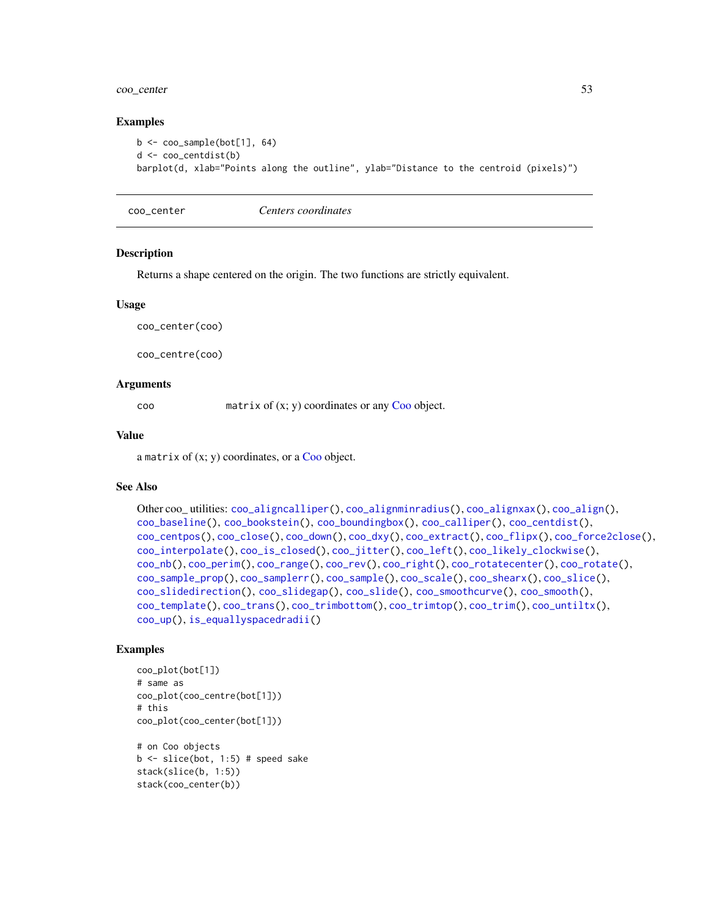# coo\_center 53

## Examples

```
b <- coo_sample(bot[1], 64)
d <- coo_centdist(b)
barplot(d, xlab="Points along the outline", ylab="Distance to the centroid (pixels)")
```
coo\_center *Centers coordinates*

## Description

Returns a shape centered on the origin. The two functions are strictly equivalent.

#### Usage

coo\_center(coo)

coo\_centre(coo)

#### Arguments

coo matrix of  $(x; y)$  coordinates or any [Coo](#page-38-0) object.

#### Value

a matrix of  $(x; y)$  coordinates, or a [Coo](#page-38-0) object.

## See Also

```
Other coo_ utilities: coo_aligncalliper(), coo_alignminradius(), coo_alignxax(), coo_align(),
coo_baseline(), coo_bookstein(), coo_boundingbox(), coo_calliper(), coo_centdist(),
coo_centpos(), coo_close(), coo_down(), coo_dxy(), coo_extract(), coo_flipx(), coo_force2close(),
coo_interpolate(), coo_is_closed(), coo_jitter(), coo_left(), coo_likely_clockwise(),
coo_nb(), coo_perim(), coo_range(), coo_rev(), coo_right(), coo_rotatecenter(), coo_rotate(),
coo_sample_prop(), coo_samplerr(), coo_sample(), coo_scale(), coo_shearx(), coo_slice(),
coo_slidedirection(), coo_slidegap(), coo_slide(), coo_smoothcurve(), coo_smooth(),
coo_template(), coo_trans(), coo_trimbottom(), coo_trimtop(), coo_trim(), coo_untiltx(),
coo_up(), is_equallyspacedradii()
```

```
coo_plot(bot[1])
# same as
coo_plot(coo_centre(bot[1]))
# this
coo_plot(coo_center(bot[1]))
# on Coo objects
b \leftarrow slice(bot, 1:5) # speed sake
stack(slice(b, 1:5))
stack(coo_center(b))
```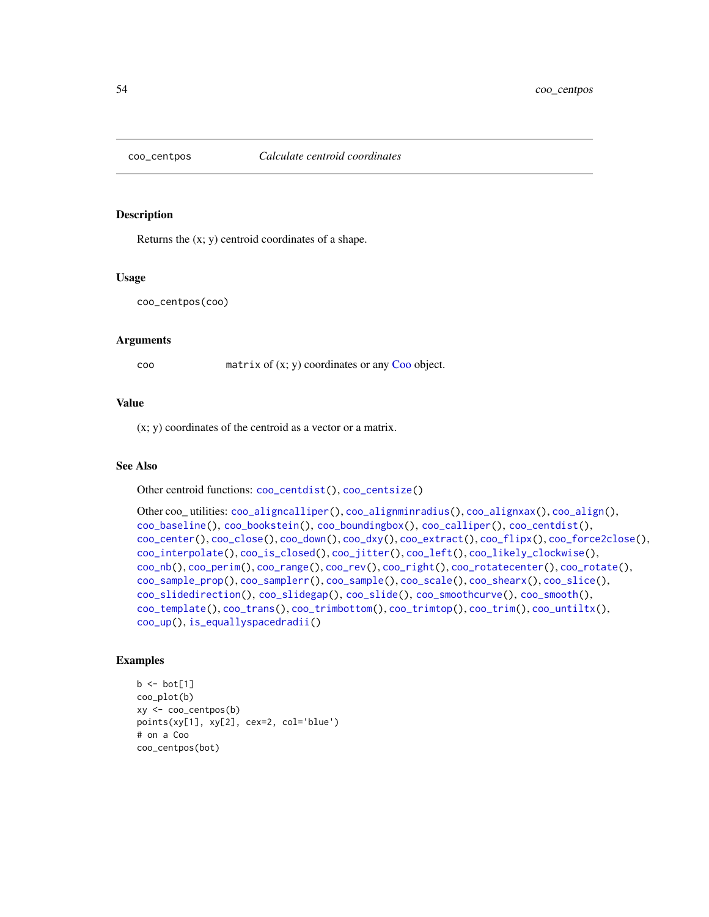<span id="page-53-0"></span>

## Description

Returns the (x; y) centroid coordinates of a shape.

#### Usage

```
coo_centpos(coo)
```
#### Arguments

coo matrix of (x; y) coordinates or any [Coo](#page-38-0) object.

## Value

(x; y) coordinates of the centroid as a vector or a matrix.

# See Also

Other centroid functions: [coo\\_centdist\(](#page-51-0)), [coo\\_centsize\(](#page-54-0))

```
Other coo_ utilities: coo_aligncalliper(), coo_alignminradius(), coo_alignxax(), coo_align(),
coo_baseline(), coo_bookstein(), coo_boundingbox(), coo_calliper(), coo_centdist(),
coo_center(), coo_close(), coo_down(), coo_dxy(), coo_extract(), coo_flipx(), coo_force2close(),
coo_interpolate(), coo_is_closed(), coo_jitter(), coo_left(), coo_likely_clockwise(),
coo_nb(), coo_perim(), coo_range(), coo_rev(), coo_right(), coo_rotatecenter(), coo_rotate(),
coo_sample_prop(), coo_samplerr(), coo_sample(), coo_scale(), coo_shearx(), coo_slice(),
coo_slidedirection(), coo_slidegap(), coo_slide(), coo_smoothcurve(), coo_smooth(),
coo_template(), coo_trans(), coo_trimbottom(), coo_trimtop(), coo_trim(), coo_untiltx(),
coo_up(), is_equallyspacedradii()
```

```
b \leftarrow bot[1]coo_plot(b)
xy <- coo_centpos(b)
points(xy[1], xy[2], cex=2, col='blue')
# on a Coo
coo_centpos(bot)
```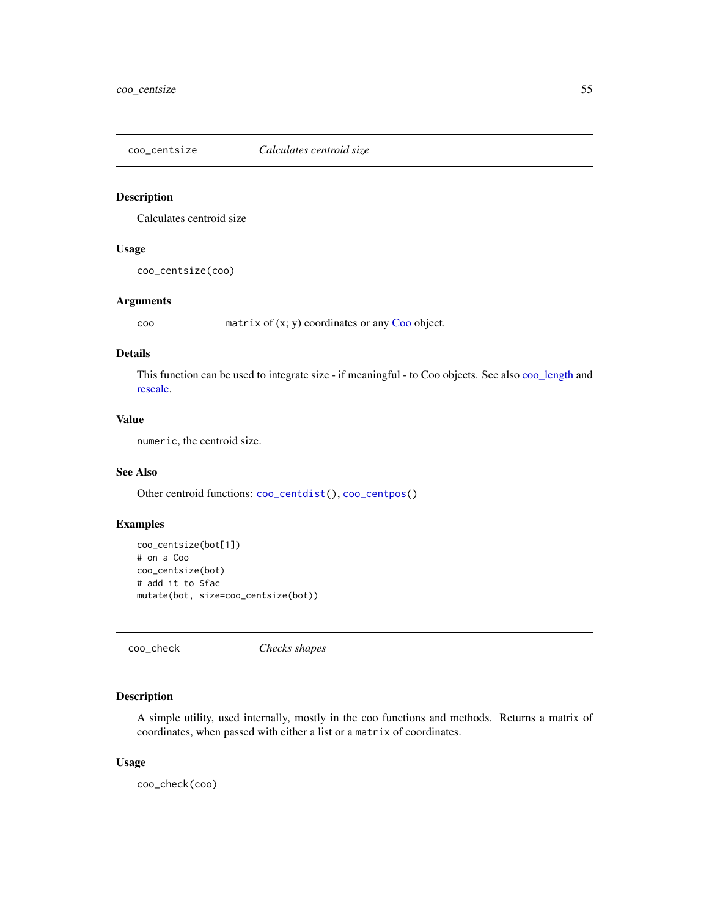<span id="page-54-0"></span>

# Description

Calculates centroid size

# Usage

coo\_centsize(coo)

# Arguments

coo matrix of (x; y) coordinates or any [Coo](#page-38-0) object.

# Details

This function can be used to integrate size - if meaningful - to Coo objects. See also [coo\\_length](#page-74-0) and [rescale.](#page-242-0)

# Value

numeric, the centroid size.

# See Also

Other centroid functions: [coo\\_centdist\(](#page-51-0)), [coo\\_centpos\(](#page-53-0))

# Examples

```
coo_centsize(bot[1])
# on a Coo
coo_centsize(bot)
# add it to $fac
mutate(bot, size=coo_centsize(bot))
```
coo\_check *Checks shapes*

# Description

A simple utility, used internally, mostly in the coo functions and methods. Returns a matrix of coordinates, when passed with either a list or a matrix of coordinates.

## Usage

coo\_check(coo)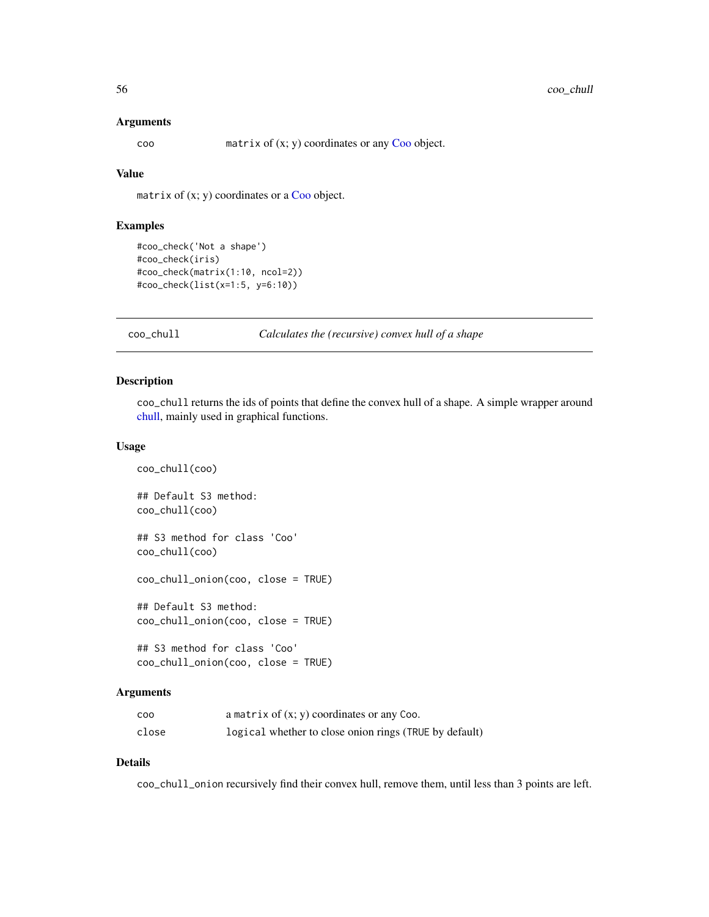#### **Arguments**

coo matrix of (x; y) coordinates or any [Coo](#page-38-0) object.

## Value

matrix of  $(x; y)$  coordinates or a [Coo](#page-38-0) object.

## Examples

```
#coo_check('Not a shape')
#coo_check(iris)
#coo_check(matrix(1:10, ncol=2))
#coo_check(list(x=1:5, y=6:10))
```
#### <span id="page-55-0"></span>coo\_chull *Calculates the (recursive) convex hull of a shape*

## Description

coo\_chull returns the ids of points that define the convex hull of a shape. A simple wrapper around [chull,](#page-0-0) mainly used in graphical functions.

# Usage

```
coo_chull(coo)
## Default S3 method:
coo_chull(coo)
## S3 method for class 'Coo'
coo_chull(coo)
coo_chull_onion(coo, close = TRUE)
## Default S3 method:
coo_chull_onion(coo, close = TRUE)
## S3 method for class 'Coo'
```
coo\_chull\_onion(coo, close = TRUE)

## Arguments

| <b>COO</b> | a matrix of $(x, y)$ coordinates or any Coo.           |
|------------|--------------------------------------------------------|
| close      | logical whether to close onion rings (TRUE by default) |

# Details

coo\_chull\_onion recursively find their convex hull, remove them, until less than 3 points are left.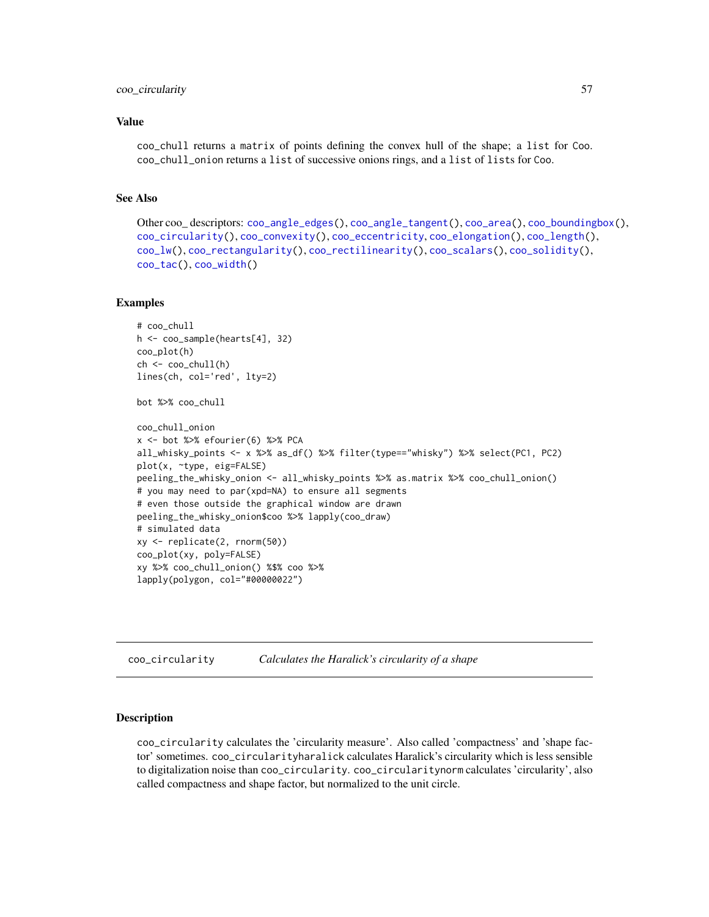## coo\_circularity 57

#### Value

coo\_chull returns a matrix of points defining the convex hull of the shape; a list for Coo. coo\_chull\_onion returns a list of successive onions rings, and a list of lists for Coo.

## See Also

```
Other coo_ descriptors: coo_angle_edges(), coo_angle_tangent(), coo_area(), coo_boundingbox(),
coo_circularity(), coo_convexity(), coo_eccentricity, coo_elongation(), coo_length(),
coo_lw(), coo_rectangularity(), coo_rectilinearity(), coo_scalars(), coo_solidity(),
coo_tac(), coo_width()
```
## Examples

```
# coo_chull
h <- coo_sample(hearts[4], 32)
coo_plot(h)
ch <- coo_chull(h)
lines(ch, col='red', lty=2)
bot %>% coo_chull
coo_chull_onion
x <- bot %>% efourier(6) %>% PCA
all_whisky_points <- x %>% as_df() %>% filter(type=="whisky") %>% select(PC1, PC2)
plot(x, ~type, eig=FALSE)
peeling_the_whisky_onion <- all_whisky_points %>% as.matrix %>% coo_chull_onion()
# you may need to par(xpd=NA) to ensure all segments
# even those outside the graphical window are drawn
peeling_the_whisky_onion$coo %>% lapply(coo_draw)
# simulated data
xy <- replicate(2, rnorm(50))
coo_plot(xy, poly=FALSE)
xy %>% coo_chull_onion() %$% coo %>%
lapply(polygon, col="#00000022")
```
<span id="page-56-0"></span>coo\_circularity *Calculates the Haralick's circularity of a shape*

## Description

coo\_circularity calculates the 'circularity measure'. Also called 'compactness' and 'shape factor' sometimes. coo\_circularityharalick calculates Haralick's circularity which is less sensible to digitalization noise than coo\_circularity. coo\_circularitynorm calculates 'circularity', also called compactness and shape factor, but normalized to the unit circle.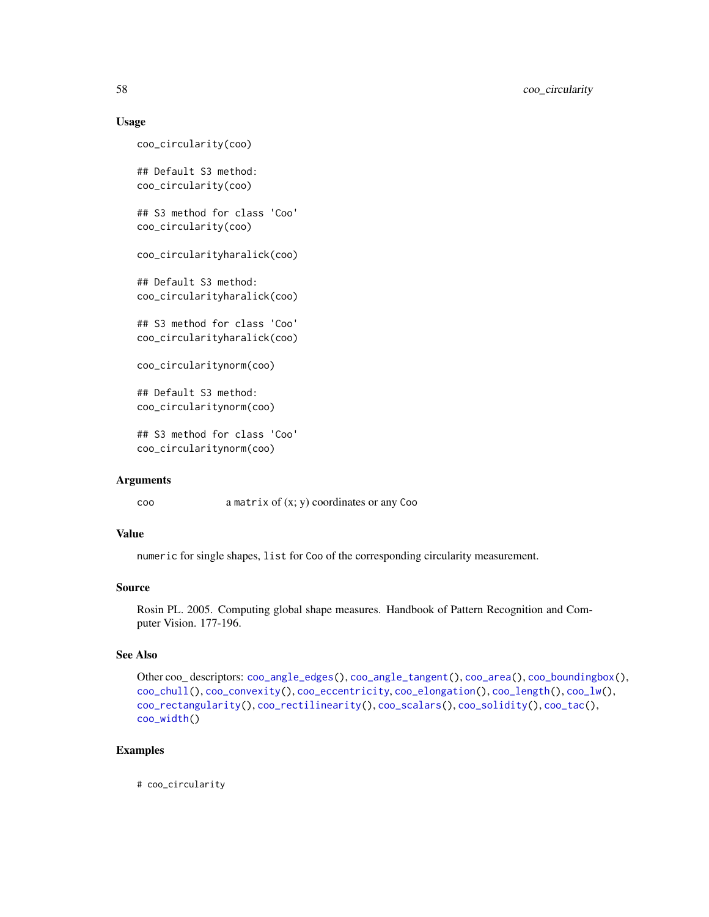## Usage

coo\_circularity(coo)

## Default S3 method: coo\_circularity(coo)

## S3 method for class 'Coo' coo\_circularity(coo)

coo\_circularityharalick(coo)

## Default S3 method: coo\_circularityharalick(coo)

## S3 method for class 'Coo' coo\_circularityharalick(coo)

coo\_circularitynorm(coo)

## Default S3 method: coo\_circularitynorm(coo)

## S3 method for class 'Coo' coo\_circularitynorm(coo)

#### Arguments

coo a matrix of (x; y) coordinates or any Coo

## Value

numeric for single shapes, list for Coo of the corresponding circularity measurement.

# Source

Rosin PL. 2005. Computing global shape measures. Handbook of Pattern Recognition and Computer Vision. 177-196.

# See Also

```
Other coo_ descriptors: coo_angle_edges(), coo_angle_tangent(), coo_area(), coo_boundingbox(),
coo_chull(), coo_convexity(), coo_eccentricity, coo_elongation(), coo_length(), coo_lw(),
coo_rectangularity(), coo_rectilinearity(), coo_scalars(), coo_solidity(), coo_tac(),
coo_width()
```
# Examples

# coo\_circularity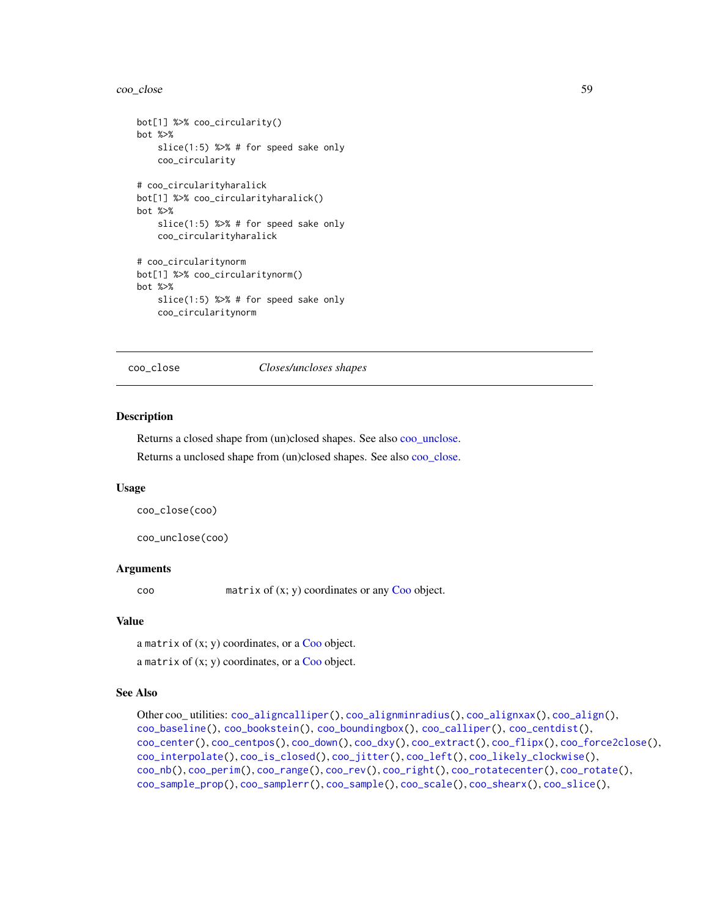#### coo\_close 59

```
bot[1] %>% coo_circularity()
bot %>%
    slice(1:5) %>% # for speed sake only
    coo_circularity
# coo_circularityharalick
bot[1] %>% coo_circularityharalick()
bot %>%
    slice(1:5) %>% # for speed sake only
   coo_circularityharalick
# coo_circularitynorm
bot[1] %>% coo_circularitynorm()
bot %>%
    slice(1:5) %>% # for speed sake only
    coo_circularitynorm
```
<span id="page-58-0"></span>coo\_close *Closes/uncloses shapes*

#### <span id="page-58-1"></span>Description

Returns a closed shape from (un)closed shapes. See also [coo\\_unclose.](#page-58-1)

Returns a unclosed shape from (un)closed shapes. See also [coo\\_close.](#page-58-0)

#### Usage

```
coo_close(coo)
```
coo\_unclose(coo)

#### Arguments

coo matrix of (x; y) coordinates or any [Coo](#page-38-0) object.

## Value

a matrix of  $(x; y)$  coordinates, or a [Coo](#page-38-0) object.

a matrix of  $(x; y)$  coordinates, or a [Coo](#page-38-0) object.

#### See Also

```
Other coo_ utilities: coo_aligncalliper(), coo_alignminradius(), coo_alignxax(), coo_align(),
coo_baseline(), coo_bookstein(), coo_boundingbox(), coo_calliper(), coo_centdist(),
coo_center(), coo_centpos(), coo_down(), coo_dxy(), coo_extract(), coo_flipx(), coo_force2close(),
coo_interpolate(), coo_is_closed(), coo_jitter(), coo_left(), coo_likely_clockwise(),
coo_nb(), coo_perim(), coo_range(), coo_rev(), coo_right(), coo_rotatecenter(), coo_rotate(),
coo_sample_prop(), coo_samplerr(), coo_sample(), coo_scale(), coo_shearx(), coo_slice(),
```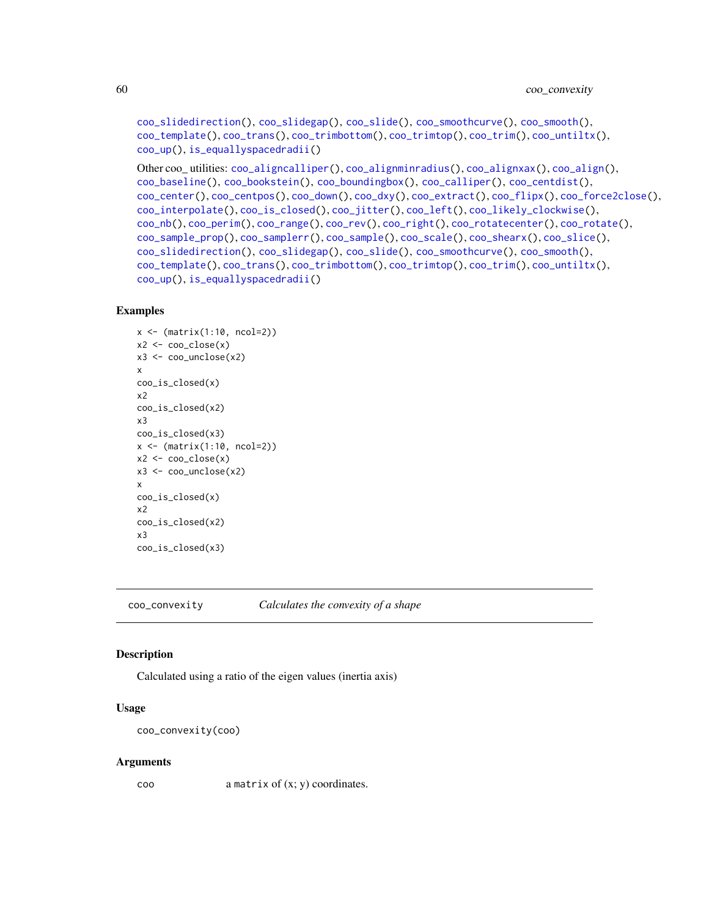```
coo_slidedirection(), coo_slidegap(), coo_slide(), coo_smoothcurve(), coo_smooth(),
coo_template(), coo_trans(), coo_trimbottom(), coo_trimtop(), coo_trim(), coo_untiltx(),
coo_up(), is_equallyspacedradii()
```

```
Other coo_ utilities: coo_aligncalliper(), coo_alignminradius(), coo_alignxax(), coo_align(),
coo_baseline(), coo_bookstein(), coo_boundingbox(), coo_calliper(), coo_centdist(),
coo_center(), coo_centpos(), coo_down(), coo_dxy(), coo_extract(), coo_flipx(), coo_force2close(),
coo_interpolate(), coo_is_closed(), coo_jitter(), coo_left(), coo_likely_clockwise(),
coo_nb(), coo_perim(), coo_range(), coo_rev(), coo_right(), coo_rotatecenter(), coo_rotate(),
coo_sample_prop(), coo_samplerr(), coo_sample(), coo_scale(), coo_shearx(), coo_slice(),
coo_slidedirection(), coo_slidegap(), coo_slide(), coo_smoothcurve(), coo_smooth(),
coo_template(), coo_trans(), coo_trimbottom(), coo_trimtop(), coo_trim(), coo_untiltx(),
coo_up(), is_equallyspacedradii()
```
## Examples

```
x \leftarrow (\text{matrix}(1:10, \text{ncol=2}))x2 \leftarrow coo\_close(x)x3 <- coo_unclose(x2)
x
coo_is_closed(x)
x2
coo_is_closed(x2)
x3
coo_is_closed(x3)
x <- (matrix(1:10, ncol=2))
x2 \leftarrow coo\_close(x)x3 <- coo_unclose(x2)
x
coo_is_closed(x)
x2
coo_is_closed(x2)
x3
coo_is_closed(x3)
```
<span id="page-59-0"></span>coo\_convexity *Calculates the convexity of a shape*

# **Description**

Calculated using a ratio of the eigen values (inertia axis)

## Usage

```
coo_convexity(coo)
```
#### Arguments

coo a matrix of (x; y) coordinates.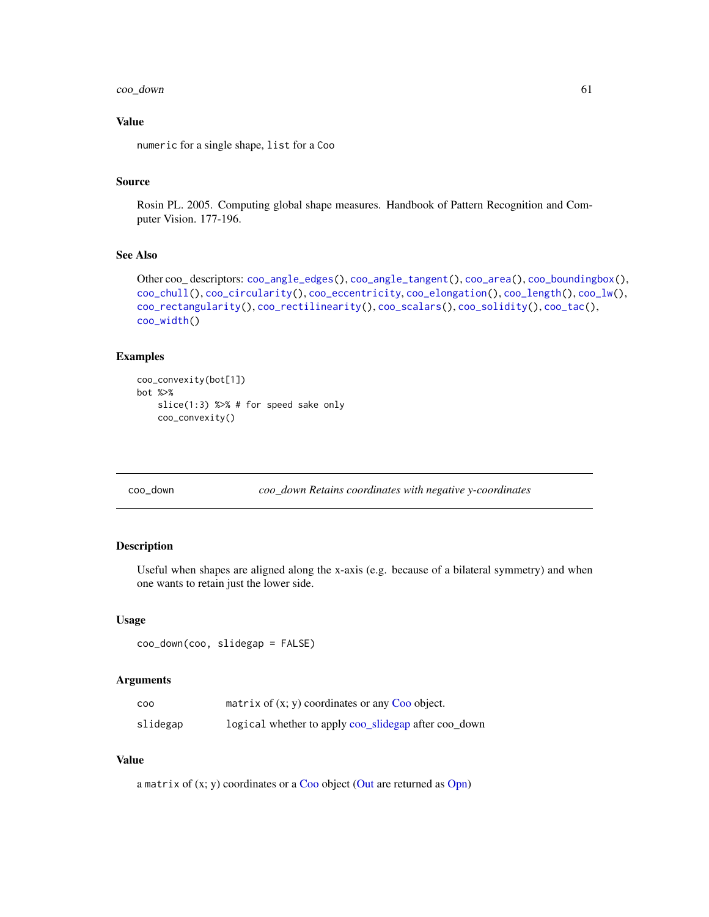# coo\_down 61

# Value

numeric for a single shape, list for a Coo

# Source

Rosin PL. 2005. Computing global shape measures. Handbook of Pattern Recognition and Computer Vision. 177-196.

# See Also

```
Other coo_ descriptors: coo_angle_edges(), coo_angle_tangent(), coo_area(), coo_boundingbox(),
coo_chull(), coo_circularity(), coo_eccentricity, coo_elongation(), coo_length(), coo_lw(),
coo_rectangularity(), coo_rectilinearity(), coo_scalars(), coo_solidity(), coo_tac(),
coo_width()
```
# Examples

```
coo_convexity(bot[1])
bot %>%
   slice(1:3) %>% # for speed sake only
   coo_convexity()
```
<span id="page-60-0"></span>coo\_down *coo\_down Retains coordinates with negative y-coordinates*

# Description

Useful when shapes are aligned along the x-axis (e.g. because of a bilateral symmetry) and when one wants to retain just the lower side.

#### Usage

```
coo_down(coo, slidegap = FALSE)
```
## Arguments

| coo      | matrix of $(x, y)$ coordinates or any Coo object.    |
|----------|------------------------------------------------------|
| slidegap | logical whether to apply coo_slidegap after coo_down |

## Value

a matrix of (x; y) coordinates or a [Coo](#page-38-0) object [\(Out](#page-197-0) are returned as [Opn\)](#page-193-0)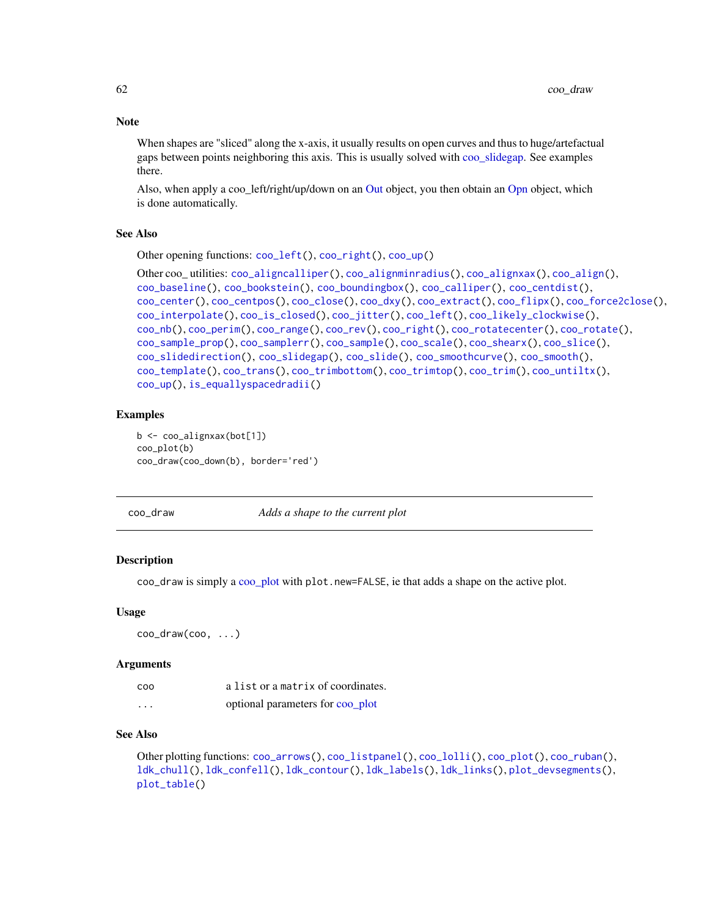**Note** 

When shapes are "sliced" along the x-axis, it usually results on open curves and thus to huge/artefactual gaps between points neighboring this axis. This is usually solved with [coo\\_slidegap.](#page-103-0) See examples there.

Also, when apply a coo\_left/right/up/down on an [Out](#page-197-0) object, you then obtain an [Opn](#page-193-0) object, which is done automatically.

## See Also

Other opening functions: [coo\\_left\(](#page-73-0)), [coo\\_right\(](#page-88-0)), [coo\\_up\(](#page-115-0))

```
Other coo_ utilities: coo_aligncalliper(), coo_alignminradius(), coo_alignxax(), coo_align(),
coo_baseline(), coo_bookstein(), coo_boundingbox(), coo_calliper(), coo_centdist(),
coo_center(), coo_centpos(), coo_close(), coo_dxy(), coo_extract(), coo_flipx(), coo_force2close(),
coo_interpolate(), coo_is_closed(), coo_jitter(), coo_left(), coo_likely_clockwise(),
coo_nb(), coo_perim(), coo_range(), coo_rev(), coo_right(), coo_rotatecenter(), coo_rotate(),
coo_sample_prop(), coo_samplerr(), coo_sample(), coo_scale(), coo_shearx(), coo_slice(),
coo_slidedirection(), coo_slidegap(), coo_slide(), coo_smoothcurve(), coo_smooth(),
coo_template(), coo_trans(), coo_trimbottom(), coo_trimtop(), coo_trim(), coo_untiltx(),
coo_up(), is_equallyspacedradii()
```
## Examples

b <- coo\_alignxax(bot[1]) coo\_plot(b) coo\_draw(coo\_down(b), border='red')

<span id="page-61-0"></span>

coo\_draw *Adds a shape to the current plot*

## Description

coo\_draw is simply a [coo\\_plot](#page-82-0) with plot.new=FALSE, ie that adds a shape on the active plot.

#### Usage

coo\_draw(coo, ...)

#### Arguments

| coo      | a list or a matrix of coordinates. |
|----------|------------------------------------|
| $\cdots$ | optional parameters for coo_plot   |

## See Also

Other plotting functions: [coo\\_arrows\(](#page-47-1)), [coo\\_listpanel\(](#page-76-0)), [coo\\_lolli\(](#page-77-0)), [coo\\_plot\(](#page-82-0)), [coo\\_ruban\(](#page-91-0)), [ldk\\_chull\(](#page-170-0)), [ldk\\_confell\(](#page-171-0)), [ldk\\_contour\(](#page-172-0)), [ldk\\_labels\(](#page-173-0)), [ldk\\_links\(](#page-173-1)), [plot\\_devsegments\(](#page-226-0)), [plot\\_table\(](#page-235-0))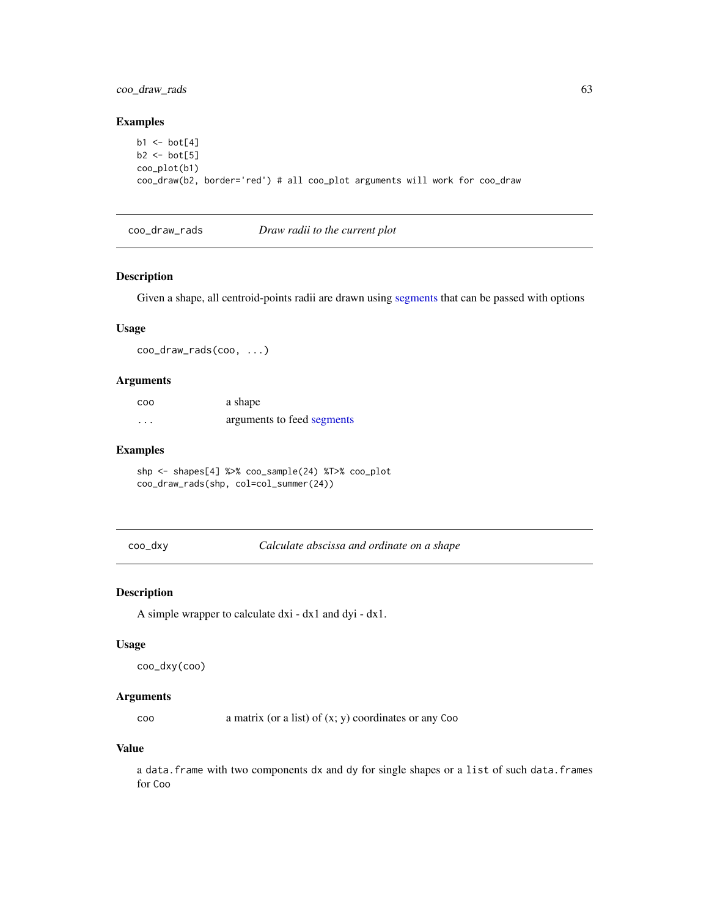# coo\_draw\_rads 63

# Examples

```
b1 \leftarrow bot[4]b2 \leftarrow bot[5]coo_plot(b1)
coo_draw(b2, border='red') # all coo_plot arguments will work for coo_draw
```
coo\_draw\_rads *Draw radii to the current plot*

## Description

Given a shape, all centroid-points radii are drawn using [segments](#page-0-0) that can be passed with options

# Usage

coo\_draw\_rads(coo, ...)

# Arguments

| <b>COO</b> | a shape                    |
|------------|----------------------------|
| $\cdots$   | arguments to feed segments |

## Examples

shp <- shapes[4] %>% coo\_sample(24) %T>% coo\_plot coo\_draw\_rads(shp, col=col\_summer(24))

<span id="page-62-0"></span>coo\_dxy *Calculate abscissa and ordinate on a shape*

## Description

A simple wrapper to calculate dxi - dx1 and dyi - dx1.

# Usage

```
coo_dxy(coo)
```
#### **Arguments**

coo a matrix (or a list) of (x; y) coordinates or any Coo

## Value

a data.frame with two components dx and dy for single shapes or a list of such data.frames for Coo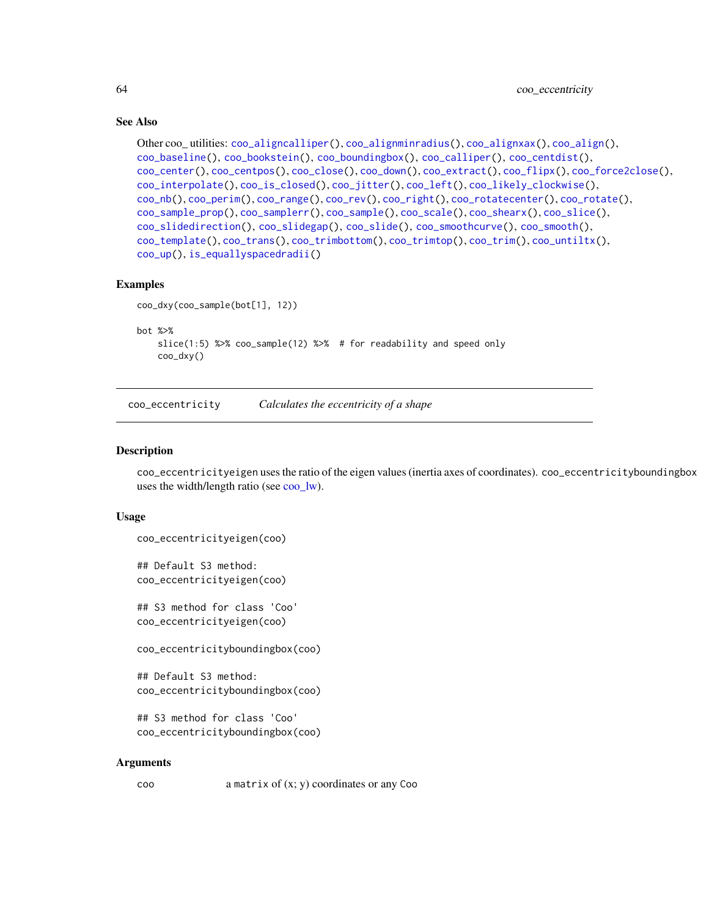# See Also

```
Other coo_ utilities: coo_aligncalliper(), coo_alignminradius(), coo_alignxax(), coo_align(),
coo_baseline(), coo_bookstein(), coo_boundingbox(), coo_calliper(), coo_centdist(),
coo_center(), coo_centpos(), coo_close(), coo_down(), coo_extract(), coo_flipx(), coo_force2close(),
coo_interpolate(), coo_is_closed(), coo_jitter(), coo_left(), coo_likely_clockwise(),
coo_nb(), coo_perim(), coo_range(), coo_rev(), coo_right(), coo_rotatecenter(), coo_rotate(),
coo_sample_prop(), coo_samplerr(), coo_sample(), coo_scale(), coo_shearx(), coo_slice(),
coo_slidedirection(), coo_slidegap(), coo_slide(), coo_smoothcurve(), coo_smooth(),
coo_template(), coo_trans(), coo_trimbottom(), coo_trimtop(), coo_trim(), coo_untiltx(),
coo_up(), is_equallyspacedradii()
```
# Examples

```
coo_dxy(coo_sample(bot[1], 12))
bot %>%
   slice(1:5) %>% coo_sample(12) %>% # for readability and speed only
   coo_dxy()
```
<span id="page-63-0"></span>coo\_eccentricity *Calculates the eccentricity of a shape*

#### <span id="page-63-1"></span>Description

coo\_eccentricityeigen uses the ratio of the eigen values (inertia axes of coordinates). coo\_eccentricityboundingbox uses the width/length ratio (see [coo\\_lw\)](#page-78-0).

## Usage

```
coo_eccentricityeigen(coo)
```
## Default S3 method: coo\_eccentricityeigen(coo)

## S3 method for class 'Coo' coo\_eccentricityeigen(coo)

coo\_eccentricityboundingbox(coo)

```
## Default S3 method:
coo_eccentricityboundingbox(coo)
```

```
## S3 method for class 'Coo'
coo_eccentricityboundingbox(coo)
```
#### Arguments

coo a matrix of (x; y) coordinates or any Coo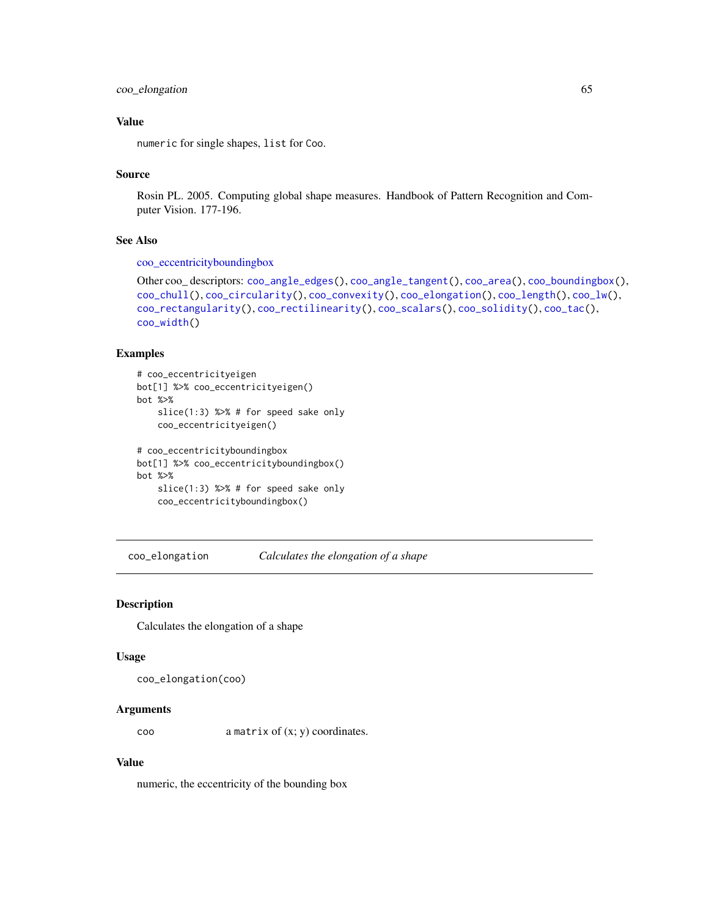# coo\_elongation 65

# Value

numeric for single shapes, list for Coo.

#### Source

Rosin PL. 2005. Computing global shape measures. Handbook of Pattern Recognition and Computer Vision. 177-196.

# See Also

[coo\\_eccentricityboundingbox](#page-63-1)

```
Other coo_ descriptors: coo_angle_edges(), coo_angle_tangent(), coo_area(), coo_boundingbox(),
coo_chull(), coo_circularity(), coo_convexity(), coo_elongation(), coo_length(), coo_lw(),
coo_rectangularity(), coo_rectilinearity(), coo_scalars(), coo_solidity(), coo_tac(),
coo_width()
```
# Examples

```
# coo_eccentricityeigen
bot[1] %>% coo_eccentricityeigen()
bot %>%
    slice(1:3) %>% # for speed sake only
    coo_eccentricityeigen()
# coo_eccentricityboundingbox
bot[1] %>% coo_eccentricityboundingbox()
bot %>%
    slice(1:3) %>% # for speed sake only
    coo_eccentricityboundingbox()
```
<span id="page-64-0"></span>coo\_elongation *Calculates the elongation of a shape*

## Description

Calculates the elongation of a shape

#### Usage

```
coo_elongation(coo)
```
## Arguments

coo a matrix of (x; y) coordinates.

# Value

numeric, the eccentricity of the bounding box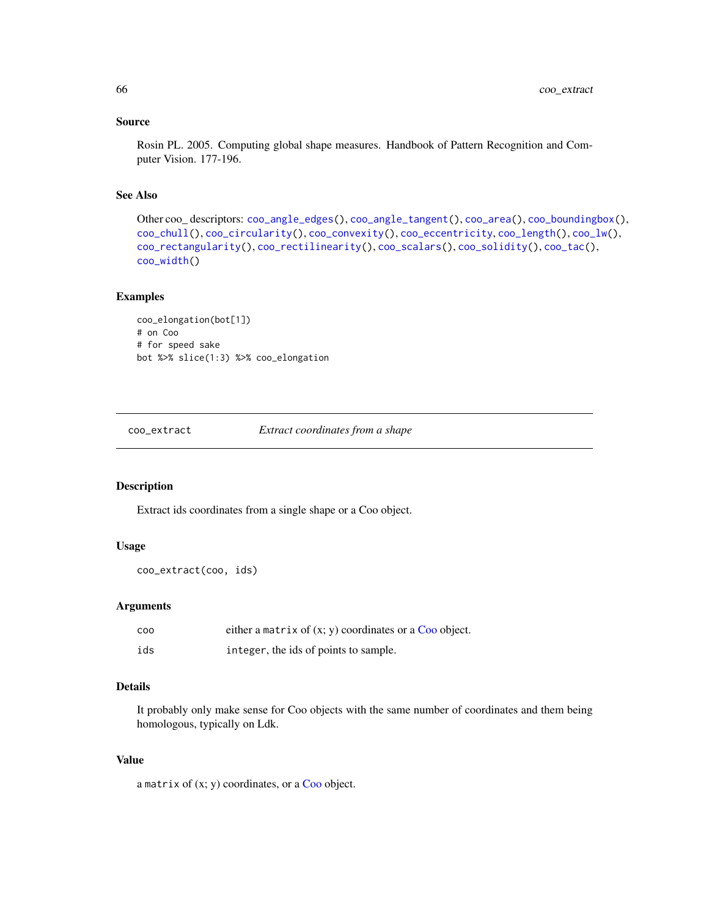#### Source

Rosin PL. 2005. Computing global shape measures. Handbook of Pattern Recognition and Computer Vision. 177-196.

## See Also

```
Other coo_ descriptors: coo_angle_edges(), coo_angle_tangent(), coo_area(), coo_boundingbox(),
coo_chull(), coo_circularity(), coo_convexity(), coo_eccentricity, coo_length(), coo_lw(),
coo_rectangularity(), coo_rectilinearity(), coo_scalars(), coo_solidity(), coo_tac(),
coo_width()
```
#### Examples

```
coo_elongation(bot[1])
# on Coo
# for speed sake
bot %>% slice(1:3) %>% coo_elongation
```
<span id="page-65-0"></span>coo\_extract *Extract coordinates from a shape*

#### Description

Extract ids coordinates from a single shape or a Coo object.

## Usage

```
coo_extract(coo, ids)
```
# Arguments

| coo | either a matrix of $(x, y)$ coordinates or a Coo object. |
|-----|----------------------------------------------------------|
| ids | integer, the ids of points to sample.                    |

# Details

It probably only make sense for Coo objects with the same number of coordinates and them being homologous, typically on Ldk.

#### Value

a matrix of  $(x; y)$  coordinates, or a [Coo](#page-38-0) object.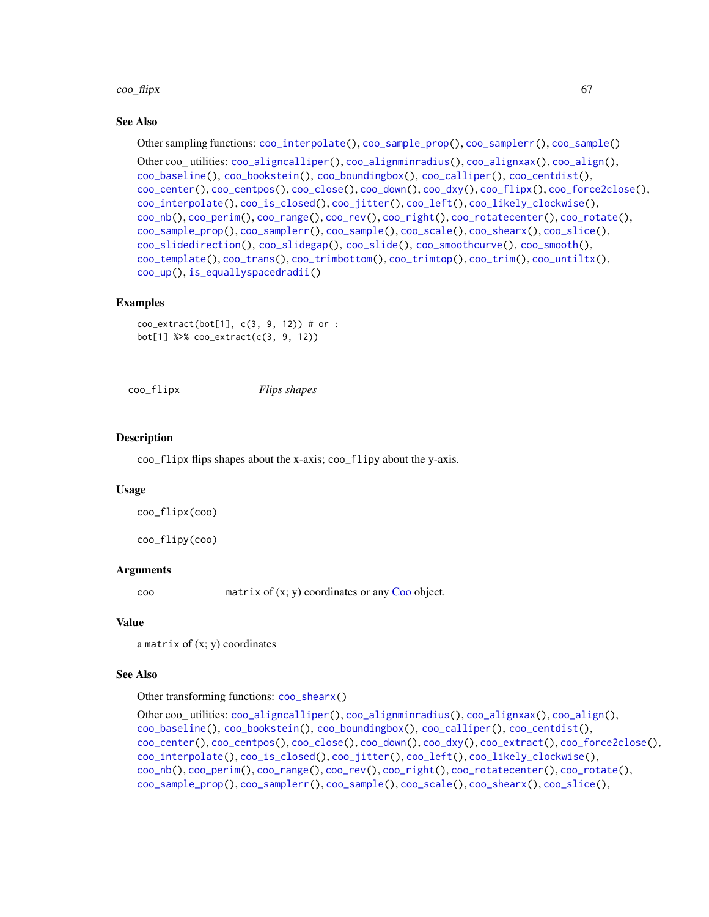#### $\rm{co}$ -flipx 67

## See Also

Other sampling functions: [coo\\_interpolate\(](#page-68-0)), [coo\\_sample\\_prop\(](#page-94-0)), [coo\\_samplerr\(](#page-93-0)), [coo\\_sample\(](#page-92-0))

Other coo\_ utilities: [coo\\_aligncalliper\(](#page-41-0)), [coo\\_alignminradius\(](#page-42-0)), [coo\\_alignxax\(](#page-43-0)), [coo\\_align\(](#page-40-0)), [coo\\_baseline\(](#page-47-0)), [coo\\_bookstein\(](#page-48-0)), [coo\\_boundingbox\(](#page-49-0)), [coo\\_calliper\(](#page-50-0)), [coo\\_centdist\(](#page-51-0)), [coo\\_center\(](#page-52-0)), [coo\\_centpos\(](#page-53-0)), [coo\\_close\(](#page-58-0)), [coo\\_down\(](#page-60-0)), [coo\\_dxy\(](#page-62-0)), [coo\\_flipx\(](#page-66-0)), [coo\\_force2close\(](#page-67-0)), [coo\\_interpolate\(](#page-68-0)), [coo\\_is\\_closed\(](#page-71-0)), [coo\\_jitter\(](#page-72-0)), [coo\\_left\(](#page-73-0)), [coo\\_likely\\_clockwise\(](#page-75-0)), [coo\\_nb\(](#page-79-0)), [coo\\_perim\(](#page-81-0)), [coo\\_range\(](#page-84-0)), [coo\\_rev\(](#page-87-0)), [coo\\_right\(](#page-88-0)), [coo\\_rotatecenter\(](#page-90-0)), [coo\\_rotate\(](#page-89-0)), [coo\\_sample\\_prop\(](#page-94-0)), [coo\\_samplerr\(](#page-93-0)), [coo\\_sample\(](#page-92-0)), [coo\\_scale\(](#page-96-0)), [coo\\_shearx\(](#page-98-0)), [coo\\_slice\(](#page-99-0)), [coo\\_slidedirection\(](#page-102-0)), [coo\\_slidegap\(](#page-103-0)), [coo\\_slide\(](#page-100-0)), [coo\\_smoothcurve\(](#page-105-0)), [coo\\_smooth\(](#page-104-0)), [coo\\_template\(](#page-108-0)), [coo\\_trans\(](#page-109-0)), [coo\\_trimbottom\(](#page-111-0)), [coo\\_trimtop\(](#page-112-0)), [coo\\_trim\(](#page-110-0)), [coo\\_untiltx\(](#page-113-0)), [coo\\_up\(](#page-115-0)), [is\\_equallyspacedradii\(](#page-160-0))

# Examples

 $coo\_extract(bot[1], c(3, 9, 12))$  # or : bot[1] %>% coo\_extract(c(3, 9, 12))

<span id="page-66-0"></span>coo\_flipx *Flips shapes*

## Description

coo\_flipx flips shapes about the x-axis; coo\_flipy about the y-axis.

## Usage

```
coo_flipx(coo)
```
coo\_flipy(coo)

#### Arguments

 $\text{con}$  matrix of  $(x; y)$  coordinates or any  $\text{Co}$  object.

#### Value

a matrix of  $(x; y)$  coordinates

#### See Also

Other transforming functions: [coo\\_shearx\(](#page-98-0))

```
Other coo_ utilities: coo_aligncalliper(), coo_alignminradius(), coo_alignxax(), coo_align(),
coo_baseline(), coo_bookstein(), coo_boundingbox(), coo_calliper(), coo_centdist(),
coo_center(), coo_centpos(), coo_close(), coo_down(), coo_dxy(), coo_extract(), coo_force2close(),
coo_interpolate(), coo_is_closed(), coo_jitter(), coo_left(), coo_likely_clockwise(),
coo_nb(), coo_perim(), coo_range(), coo_rev(), coo_right(), coo_rotatecenter(), coo_rotate(),
coo_sample_prop(), coo_samplerr(), coo_sample(), coo_scale(), coo_shearx(), coo_slice(),
```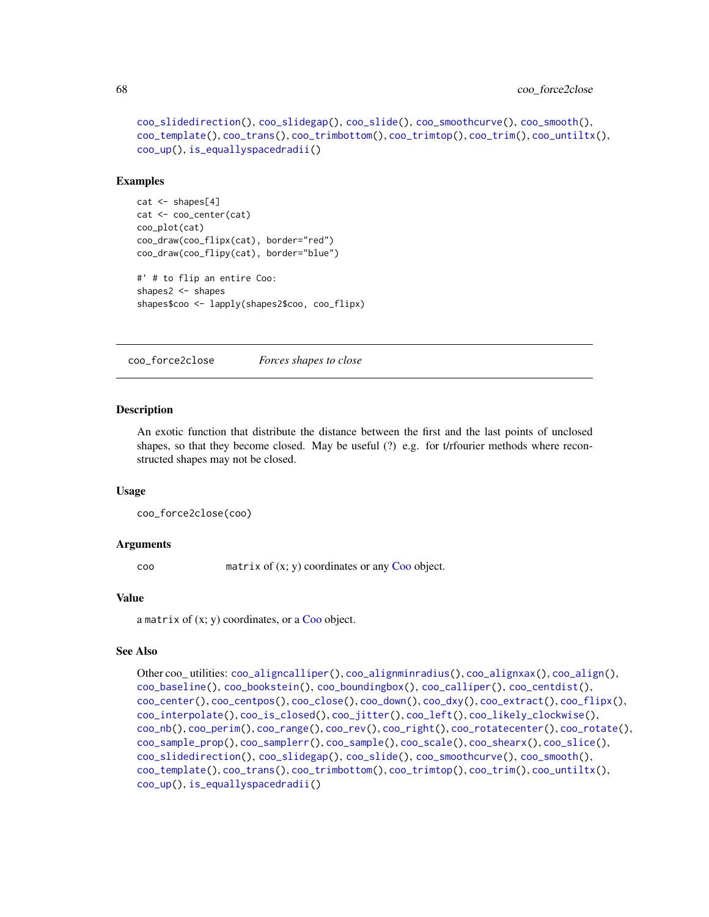```
coo_slidedirection(), coo_slidegap(), coo_slide(), coo_smoothcurve(), coo_smooth(),
coo_template(), coo_trans(), coo_trimbottom(), coo_trimtop(), coo_trim(), coo_untiltx(),
coo_up(), is_equallyspacedradii()
```
#### Examples

```
cat <- shapes[4]
cat <- coo_center(cat)
coo_plot(cat)
coo_draw(coo_flipx(cat), border="red")
coo_draw(coo_flipy(cat), border="blue")
#' # to flip an entire Coo:
shapes2 <- shapes
```

```
shapes$coo <- lapply(shapes2$coo, coo_flipx)
```
<span id="page-67-0"></span>coo\_force2close *Forces shapes to close*

#### **Description**

An exotic function that distribute the distance between the first and the last points of unclosed shapes, so that they become closed. May be useful (?) e.g. for t/rfourier methods where reconstructed shapes may not be closed.

#### Usage

```
coo_force2close(coo)
```
#### Arguments

coo matrix of (x; y) coordinates or any [Coo](#page-38-0) object.

# Value

a matrix of  $(x; y)$  coordinates, or a [Coo](#page-38-0) object.

#### See Also

```
Other coo_ utilities: coo_aligncalliper(), coo_alignminradius(), coo_alignxax(), coo_align(),
coo_baseline(), coo_bookstein(), coo_boundingbox(), coo_calliper(), coo_centdist(),
coo_center(), coo_centpos(), coo_close(), coo_down(), coo_dxy(), coo_extract(), coo_flipx(),
coo_interpolate(), coo_is_closed(), coo_jitter(), coo_left(), coo_likely_clockwise(),
coo_nb(), coo_perim(), coo_range(), coo_rev(), coo_right(), coo_rotatecenter(), coo_rotate(),
coo_sample_prop(), coo_samplerr(), coo_sample(), coo_scale(), coo_shearx(), coo_slice(),
coo_slidedirection(), coo_slidegap(), coo_slide(), coo_smoothcurve(), coo_smooth(),
coo_template(), coo_trans(), coo_trimbottom(), coo_trimtop(), coo_trim(), coo_untiltx(),
coo_up(), is_equallyspacedradii()
```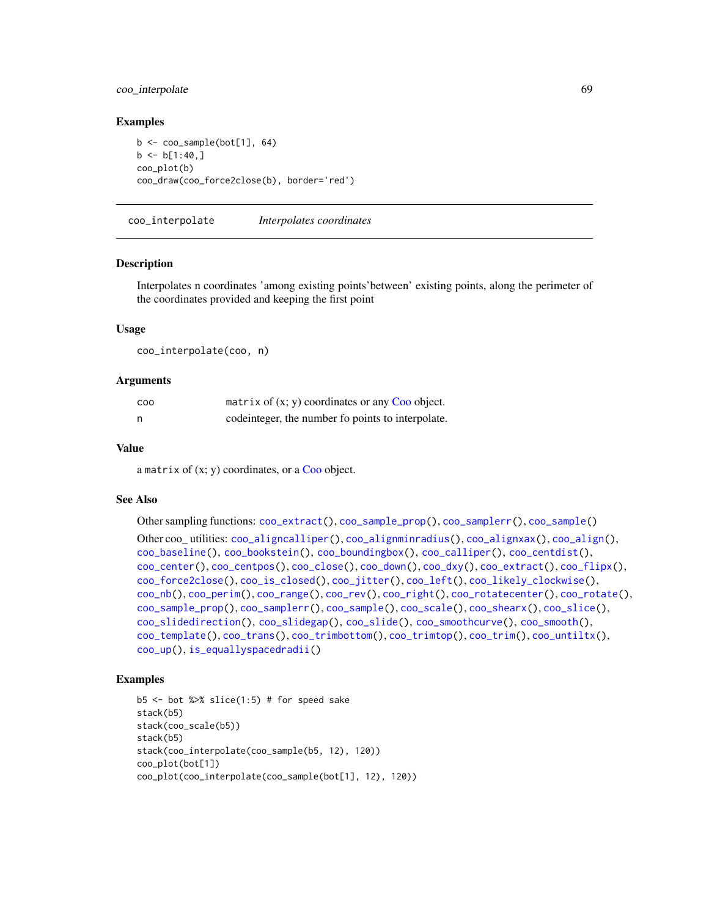# coo\_interpolate 69

## Examples

```
b \leq coo_sample(bot[1], 64)
b \le b[1:40,]coo_plot(b)
coo_draw(coo_force2close(b), border='red')
```
<span id="page-68-0"></span>coo\_interpolate *Interpolates coordinates*

#### **Description**

Interpolates n coordinates 'among existing points'between' existing points, along the perimeter of the coordinates provided and keeping the first point

## Usage

coo\_interpolate(coo, n)

## **Arguments**

| <b>COO</b> | matrix of $(x, y)$ coordinates or any Coo object.  |
|------------|----------------------------------------------------|
| n          | code integer, the number fo points to interpolate. |

#### Value

a matrix of  $(x; y)$  coordinates, or a [Coo](#page-38-0) object.

#### See Also

Other sampling functions: [coo\\_extract\(](#page-65-0)), [coo\\_sample\\_prop\(](#page-94-0)), [coo\\_samplerr\(](#page-93-0)), [coo\\_sample\(](#page-92-0)) Other coo\_ utilities: [coo\\_aligncalliper\(](#page-41-0)), [coo\\_alignminradius\(](#page-42-0)), [coo\\_alignxax\(](#page-43-0)), [coo\\_align\(](#page-40-0)), [coo\\_baseline\(](#page-47-0)), [coo\\_bookstein\(](#page-48-0)), [coo\\_boundingbox\(](#page-49-0)), [coo\\_calliper\(](#page-50-0)), [coo\\_centdist\(](#page-51-0)), [coo\\_center\(](#page-52-0)), [coo\\_centpos\(](#page-53-0)), [coo\\_close\(](#page-58-0)), [coo\\_down\(](#page-60-0)), [coo\\_dxy\(](#page-62-0)), [coo\\_extract\(](#page-65-0)), [coo\\_flipx\(](#page-66-0)), [coo\\_force2close\(](#page-67-0)), [coo\\_is\\_closed\(](#page-71-0)), [coo\\_jitter\(](#page-72-0)), [coo\\_left\(](#page-73-0)), [coo\\_likely\\_clockwise\(](#page-75-0)), [coo\\_nb\(](#page-79-0)), [coo\\_perim\(](#page-81-0)), [coo\\_range\(](#page-84-0)), [coo\\_rev\(](#page-87-0)), [coo\\_right\(](#page-88-0)), [coo\\_rotatecenter\(](#page-90-0)), [coo\\_rotate\(](#page-89-0)), [coo\\_sample\\_prop\(](#page-94-0)), [coo\\_samplerr\(](#page-93-0)), [coo\\_sample\(](#page-92-0)), [coo\\_scale\(](#page-96-0)), [coo\\_shearx\(](#page-98-0)), [coo\\_slice\(](#page-99-0)), [coo\\_slidedirection\(](#page-102-0)), [coo\\_slidegap\(](#page-103-0)), [coo\\_slide\(](#page-100-0)), [coo\\_smoothcurve\(](#page-105-0)), [coo\\_smooth\(](#page-104-0)), [coo\\_template\(](#page-108-0)), [coo\\_trans\(](#page-109-0)), [coo\\_trimbottom\(](#page-111-0)), [coo\\_trimtop\(](#page-112-0)), [coo\\_trim\(](#page-110-0)), [coo\\_untiltx\(](#page-113-0)), [coo\\_up\(](#page-115-0)), [is\\_equallyspacedradii\(](#page-160-0))

```
b5 \le - bot %>% slice(1:5) # for speed sake
stack(b5)
stack(coo_scale(b5))
stack(b5)
stack(coo_interpolate(coo_sample(b5, 12), 120))
coo_plot(bot[1])
coo_plot(coo_interpolate(coo_sample(bot[1], 12), 120))
```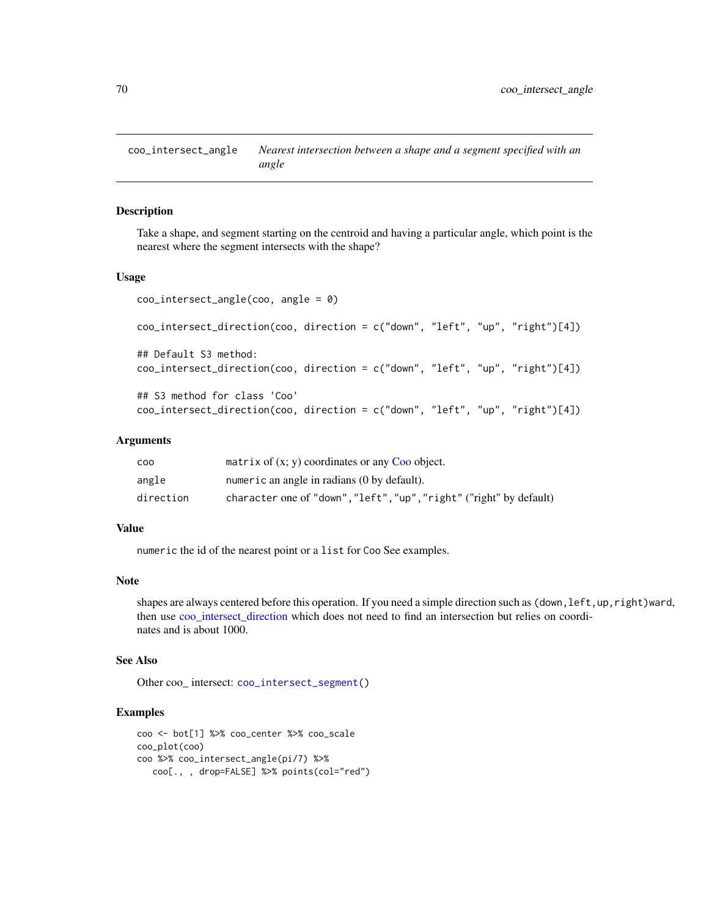<span id="page-69-1"></span>coo\_intersect\_angle *Nearest intersection between a shape and a segment specified with an angle*

# <span id="page-69-0"></span>Description

Take a shape, and segment starting on the centroid and having a particular angle, which point is the nearest where the segment intersects with the shape?

#### Usage

```
coo_intersect_angle(coo, angle = 0)
coo_intersect_direction(coo, direction = c("down", "left", "up", "right")[4])
## Default S3 method:
coo_intersect_direction(coo, direction = c("down", "left", "up", "right")[4])
## S3 method for class 'Coo'
coo_intersect_direction(coo, direction = c("down", "left", "up", "right")[4])
```
## Arguments

| COO.      | matrix of $(x, y)$ coordinates or any Coo object.                   |
|-----------|---------------------------------------------------------------------|
| angle     | numeric an angle in radians (0 by default).                         |
| direction | character one of "down", "left", "up", "right" ("right" by default) |

#### Value

numeric the id of the nearest point or a list for Coo See examples.

#### Note

shapes are always centered before this operation. If you need a simple direction such as (down, left, up, right)ward, then use [coo\\_intersect\\_direction](#page-69-0) which does not need to find an intersection but relies on coordinates and is about 1000.

## See Also

Other coo\_ intersect: [coo\\_intersect\\_segment\(](#page-70-0))

```
coo <- bot[1] %>% coo_center %>% coo_scale
coo_plot(coo)
coo %>% coo_intersect_angle(pi/7) %>%
   coo[., , drop=FALSE] %>% points(col="red")
```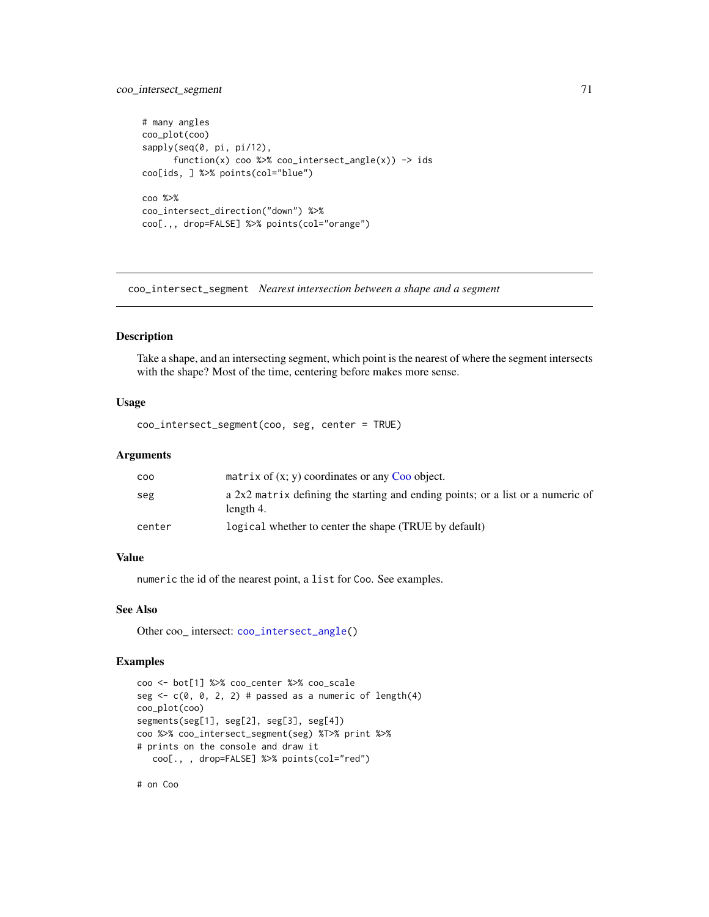# coo\_intersect\_segment 71

```
# many angles
coo_plot(coo)
sapply(seq(0, pi, pi/12),
      function(x) coo %>% coo_intersect_angle(x)) \rightarrow ids
coo[ids, ] %>% points(col="blue")
coo %>%
coo_intersect_direction("down") %>%
coo[.,, drop=FALSE] %>% points(col="orange")
```
<span id="page-70-0"></span>coo\_intersect\_segment *Nearest intersection between a shape and a segment*

# Description

Take a shape, and an intersecting segment, which point is the nearest of where the segment intersects with the shape? Most of the time, centering before makes more sense.

# Usage

coo\_intersect\_segment(coo, seg, center = TRUE)

#### Arguments

| coo    | matrix of $(x, y)$ coordinates or any Coo object.                                            |
|--------|----------------------------------------------------------------------------------------------|
| seg    | a 2x2 matrix defining the starting and ending points; or a list or a numeric of<br>length 4. |
| center | logical whether to center the shape (TRUE by default)                                        |

## Value

numeric the id of the nearest point, a list for Coo. See examples.

## See Also

Other coo\_ intersect: [coo\\_intersect\\_angle\(](#page-69-1))

#### Examples

```
coo <- bot[1] %>% coo_center %>% coo_scale
seg \leq c(0, 0, 2, 2) # passed as a numeric of length(4)
coo_plot(coo)
segments(seg[1], seg[2], seg[3], seg[4])
coo %>% coo_intersect_segment(seg) %T>% print %>%
# prints on the console and draw it
  coo[., , drop=FALSE] %>% points(col="red")
```
# on Coo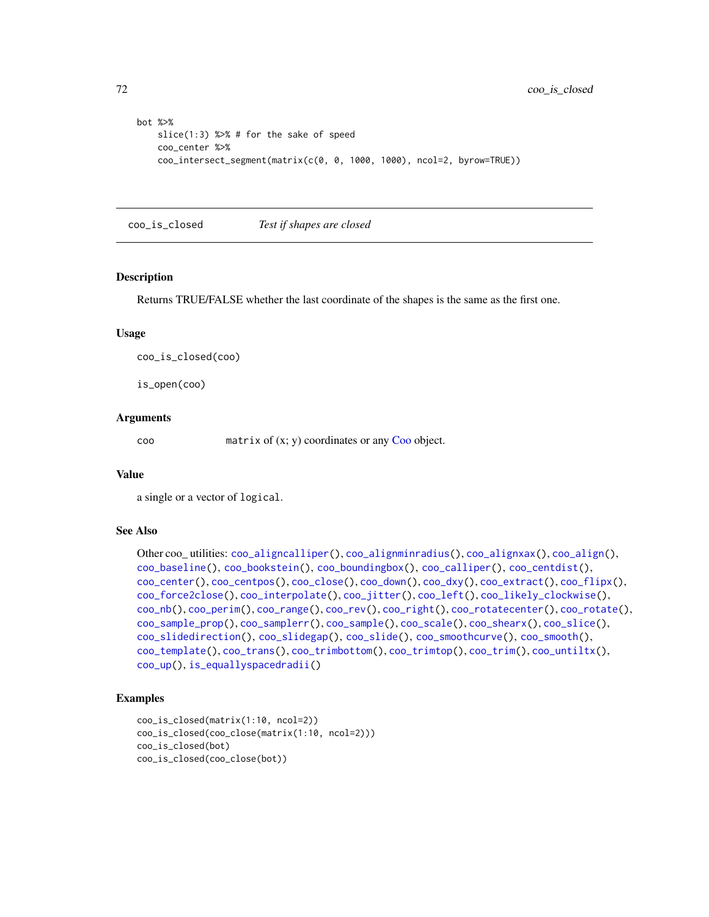```
bot %>%
   slice(1:3) %>% # for the sake of speed
   coo_center %>%
   coo_intersect_segment(matrix(c(0, 0, 1000, 1000), ncol=2, byrow=TRUE))
```
<span id="page-71-0"></span>coo\_is\_closed *Test if shapes are closed*

#### Description

Returns TRUE/FALSE whether the last coordinate of the shapes is the same as the first one.

#### Usage

coo\_is\_closed(coo)

is\_open(coo)

## Arguments

coo matrix of (x; y) coordinates or any [Coo](#page-38-0) object.

# Value

a single or a vector of logical.

## See Also

```
Other coo_ utilities: coo_aligncalliper(), coo_alignminradius(), coo_alignxax(), coo_align(),
coo_baseline(), coo_bookstein(), coo_boundingbox(), coo_calliper(), coo_centdist(),
coo_center(), coo_centpos(), coo_close(), coo_down(), coo_dxy(), coo_extract(), coo_flipx(),
coo_force2close(), coo_interpolate(), coo_jitter(), coo_left(), coo_likely_clockwise(),
coo_nb(), coo_perim(), coo_range(), coo_rev(), coo_right(), coo_rotatecenter(), coo_rotate(),
coo_sample_prop(), coo_samplerr(), coo_sample(), coo_scale(), coo_shearx(), coo_slice(),
coo_slidedirection(), coo_slidegap(), coo_slide(), coo_smoothcurve(), coo_smooth(),
coo_template(), coo_trans(), coo_trimbottom(), coo_trimtop(), coo_trim(), coo_untiltx(),
coo_up(), is_equallyspacedradii()
```

```
coo_is_closed(matrix(1:10, ncol=2))
coo_is_closed(coo_close(matrix(1:10, ncol=2)))
coo_is_closed(bot)
coo_is_closed(coo_close(bot))
```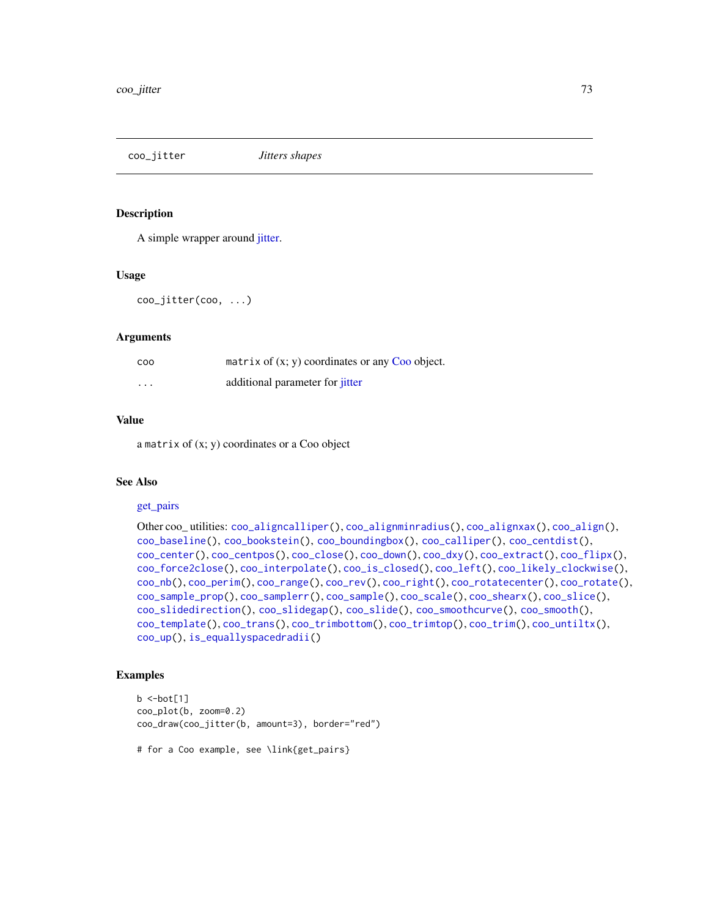<span id="page-72-0"></span>coo\_jitter *Jitters shapes*

#### **Description**

A simple wrapper around [jitter.](#page-0-0)

#### Usage

coo\_jitter(coo, ...)

## Arguments

| coo      | matrix of $(x, y)$ coordinates or any Coo object. |
|----------|---------------------------------------------------|
| $\cdots$ | additional parameter for <i>jitter</i>            |

# Value

a matrix of (x; y) coordinates or a Coo object

## See Also

#### [get\\_pairs](#page-147-0)

```
Other coo_ utilities: coo_aligncalliper(), coo_alignminradius(), coo_alignxax(), coo_align(),
coo_baseline(), coo_bookstein(), coo_boundingbox(), coo_calliper(), coo_centdist(),
coo_center(), coo_centpos(), coo_close(), coo_down(), coo_dxy(), coo_extract(), coo_flipx(),
coo_force2close(), coo_interpolate(), coo_is_closed(), coo_left(), coo_likely_clockwise(),
coo_nb(), coo_perim(), coo_range(), coo_rev(), coo_right(), coo_rotatecenter(), coo_rotate(),
coo_sample_prop(), coo_samplerr(), coo_sample(), coo_scale(), coo_shearx(), coo_slice(),
coo_slidedirection(), coo_slidegap(), coo_slide(), coo_smoothcurve(), coo_smooth(),
coo_template(), coo_trans(), coo_trimbottom(), coo_trimtop(), coo_trim(), coo_untiltx(),
coo_up(), is_equallyspacedradii()
```
#### Examples

```
b < -bot[1]coo_plot(b, zoom=0.2)
coo_draw(coo_jitter(b, amount=3), border="red")
```
# for a Coo example, see \link{get\_pairs}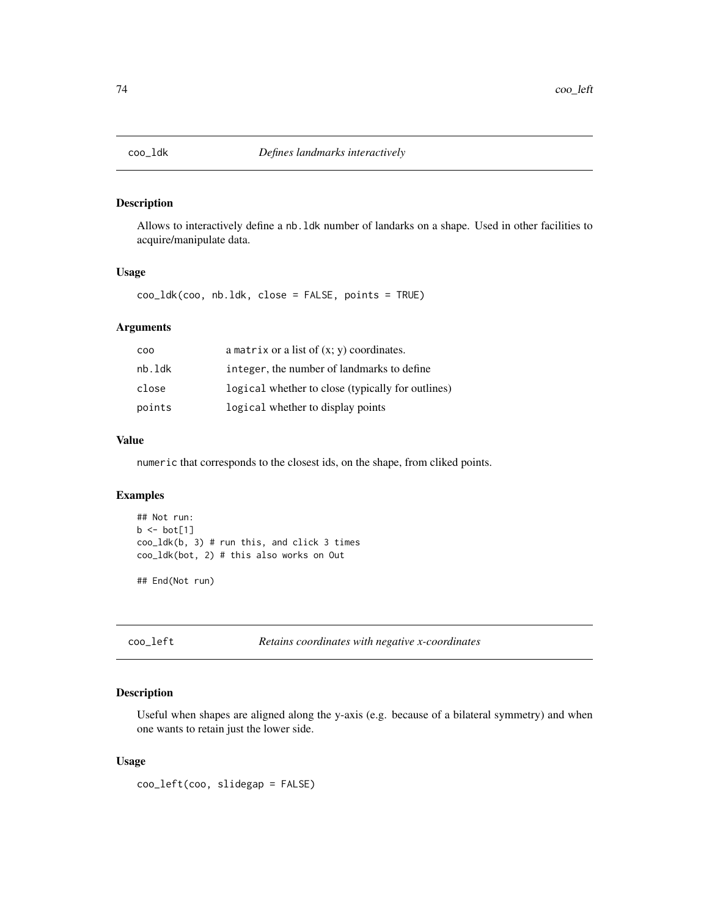# Description

Allows to interactively define a nb.ldk number of landarks on a shape. Used in other facilities to acquire/manipulate data.

## Usage

coo\_ldk(coo, nb.ldk, close = FALSE, points = TRUE)

# Arguments

| C <sub>0</sub> | a matrix or a list of $(x, y)$ coordinates.       |
|----------------|---------------------------------------------------|
| nb.ldk         | integer, the number of landmarks to define        |
| close          | logical whether to close (typically for outlines) |
| points         | logical whether to display points                 |

# Value

numeric that corresponds to the closest ids, on the shape, from cliked points.

## Examples

```
## Not run:
b \leftarrow bot[1]coo_ldk(b, 3) # run this, and click 3 times
coo_ldk(bot, 2) # this also works on Out
## End(Not run)
```
<span id="page-73-0"></span>

coo\_left *Retains coordinates with negative x-coordinates*

# Description

Useful when shapes are aligned along the y-axis (e.g. because of a bilateral symmetry) and when one wants to retain just the lower side.

#### Usage

coo\_left(coo, slidegap = FALSE)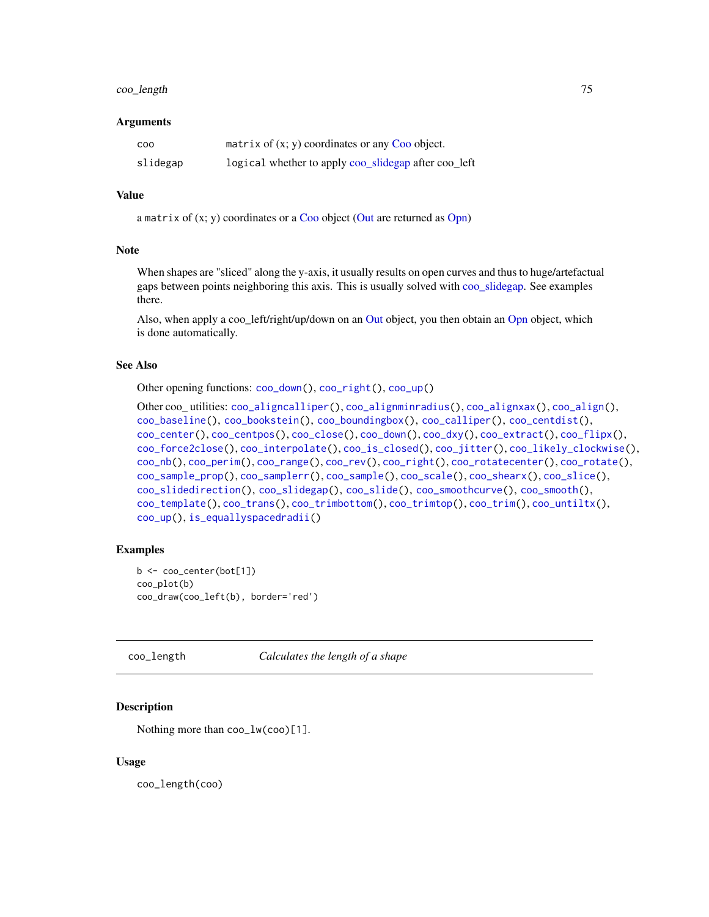# coo\_length 75

#### Arguments

| <b>COO</b> | matrix of $(x, y)$ coordinates or any Coo object.    |
|------------|------------------------------------------------------|
| slidegap   | logical whether to apply coo_slidegap after coo_left |

#### Value

a matrix of  $(x; y)$  coordinates or a [Coo](#page-38-0) object [\(Out](#page-197-0) are returned as [Opn\)](#page-193-0)

## Note

When shapes are "sliced" along the y-axis, it usually results on open curves and thus to huge/artefactual gaps between points neighboring this axis. This is usually solved with [coo\\_slidegap.](#page-103-0) See examples there.

Also, when apply a coo\_left/right/up/down on an [Out](#page-197-0) object, you then obtain an [Opn](#page-193-0) object, which is done automatically.

#### See Also

Other opening functions: [coo\\_down\(](#page-60-0)), [coo\\_right\(](#page-88-0)), [coo\\_up\(](#page-115-0))

```
Other coo_ utilities: coo_aligncalliper(), coo_alignminradius(), coo_alignxax(), coo_align(),
coo_baseline(), coo_bookstein(), coo_boundingbox(), coo_calliper(), coo_centdist(),
coo_center(), coo_centpos(), coo_close(), coo_down(), coo_dxy(), coo_extract(), coo_flipx(),
coo_force2close(), coo_interpolate(), coo_is_closed(), coo_jitter(), coo_likely_clockwise(),
coo_nb(), coo_perim(), coo_range(), coo_rev(), coo_right(), coo_rotatecenter(), coo_rotate(),
coo_sample_prop(), coo_samplerr(), coo_sample(), coo_scale(), coo_shearx(), coo_slice(),
coo_slidedirection(), coo_slidegap(), coo_slide(), coo_smoothcurve(), coo_smooth(),
coo_template(), coo_trans(), coo_trimbottom(), coo_trimtop(), coo_trim(), coo_untiltx(),
coo_up(), is_equallyspacedradii()
```
#### Examples

```
b <- coo_center(bot[1])
coo_plot(b)
coo_draw(coo_left(b), border='red')
```
<span id="page-74-0"></span>coo\_length *Calculates the length of a shape*

## Description

Nothing more than coo\_lw(coo)[1].

#### Usage

coo\_length(coo)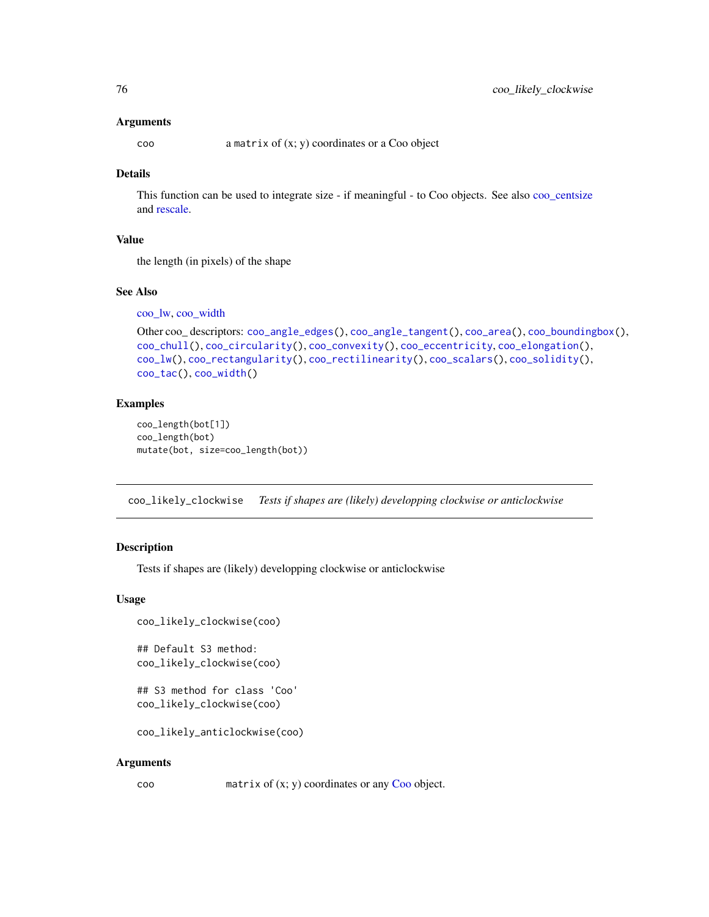#### Arguments

coo a matrix of (x; y) coordinates or a Coo object

# Details

This function can be used to integrate size - if meaningful - to Coo objects. See also [coo\\_centsize](#page-54-0) and [rescale.](#page-242-0)

## Value

the length (in pixels) of the shape

# See Also

[coo\\_lw,](#page-78-0) [coo\\_width](#page-116-0)

```
Other coo_ descriptors: coo_angle_edges(), coo_angle_tangent(), coo_area(), coo_boundingbox(),
coo_chull(), coo_circularity(), coo_convexity(), coo_eccentricity, coo_elongation(),
coo_lw(), coo_rectangularity(), coo_rectilinearity(), coo_scalars(), coo_solidity(),
coo_tac(), coo_width()
```
## Examples

```
coo_length(bot[1])
coo_length(bot)
mutate(bot, size=coo_length(bot))
```
<span id="page-75-0"></span>coo\_likely\_clockwise *Tests if shapes are (likely) developping clockwise or anticlockwise*

# Description

Tests if shapes are (likely) developping clockwise or anticlockwise

#### Usage

```
coo_likely_clockwise(coo)
```
## Default S3 method: coo\_likely\_clockwise(coo)

```
## S3 method for class 'Coo'
coo_likely_clockwise(coo)
```
coo\_likely\_anticlockwise(coo)

#### Arguments

coo matrix of (x; y) coordinates or any [Coo](#page-38-0) object.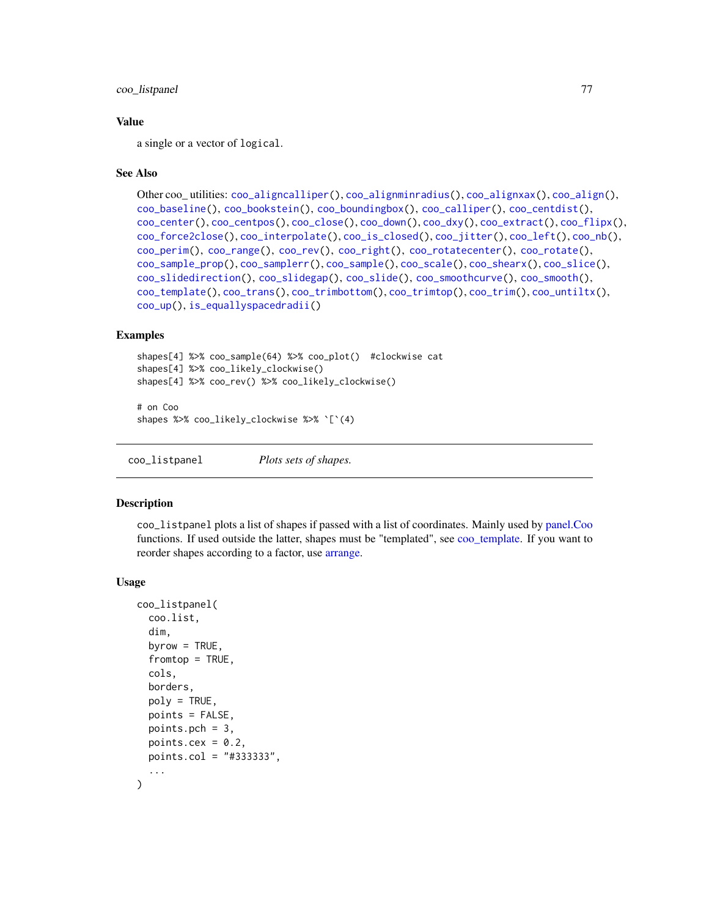## coo\_listpanel 77

## Value

a single or a vector of logical.

## See Also

```
Other coo_ utilities: coo_aligncalliper(), coo_alignminradius(), coo_alignxax(), coo_align(),
coo_baseline(), coo_bookstein(), coo_boundingbox(), coo_calliper(), coo_centdist(),
coo_center(), coo_centpos(), coo_close(), coo_down(), coo_dxy(), coo_extract(), coo_flipx(),
coo_force2close(), coo_interpolate(), coo_is_closed(), coo_jitter(), coo_left(), coo_nb(),
coo_perim(), coo_range(), coo_rev(), coo_right(), coo_rotatecenter(), coo_rotate(),
coo_sample_prop(), coo_samplerr(), coo_sample(), coo_scale(), coo_shearx(), coo_slice(),
coo_slidedirection(), coo_slidegap(), coo_slide(), coo_smoothcurve(), coo_smooth(),
coo_template(), coo_trans(), coo_trimbottom(), coo_trimtop(), coo_trim(), coo_untiltx(),
coo_up(), is_equallyspacedradii()
```
#### Examples

```
shapes[4] %>% coo_sample(64) %>% coo_plot() #clockwise cat
shapes[4] %>% coo_likely_clockwise()
shapes[4] %>% coo_rev() %>% coo_likely_clockwise()
```

```
# on Coo
shapes %>% coo_likely_clockwise %>% `[`(4)
```
<span id="page-76-0"></span>coo\_listpanel *Plots sets of shapes.*

## Description

coo\_listpanel plots a list of shapes if passed with a list of coordinates. Mainly used by [panel.Coo](#page-201-0) functions. If used outside the latter, shapes must be "templated", see [coo\\_template.](#page-108-0) If you want to reorder shapes according to a factor, use [arrange.](#page-7-0)

#### Usage

```
coo_listpanel(
  coo.list,
  dim,
  byrow = TRUE,
  from top = TRUE,cols,
  borders,
 poly = TRUE,
 points = FALSE,points.pch = 3,
  points.cex = 0.2,
 points.col = "#333333",
  ...
)
```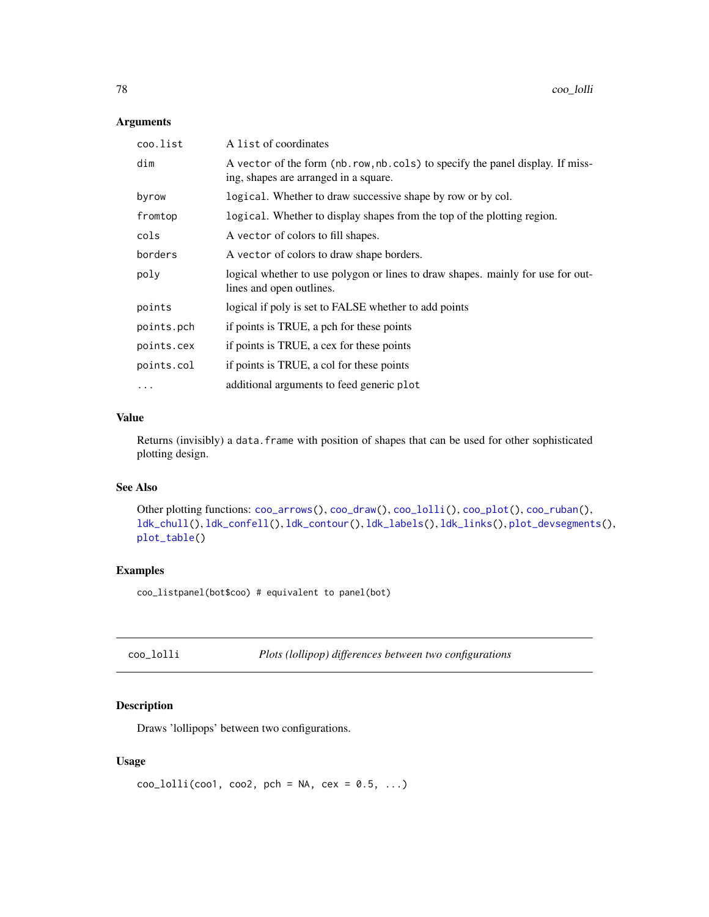# Arguments

| coo.list   | A list of coordinates                                                                                                    |
|------------|--------------------------------------------------------------------------------------------------------------------------|
| dim        | A vector of the form (nb. row, nb. cols) to specify the panel display. If miss-<br>ing, shapes are arranged in a square. |
| byrow      | logical. Whether to draw successive shape by row or by col.                                                              |
| fromtop    | logical. Whether to display shapes from the top of the plotting region.                                                  |
| cols       | A vector of colors to fill shapes.                                                                                       |
| borders    | A vector of colors to draw shape borders.                                                                                |
| poly       | logical whether to use polygon or lines to draw shapes. mainly for use for out-<br>lines and open outlines.              |
| points     | logical if poly is set to FALSE whether to add points                                                                    |
| points.pch | if points is TRUE, a pch for these points                                                                                |
| points.cex | if points is TRUE, a cex for these points                                                                                |
| points.col | if points is TRUE, a col for these points                                                                                |
| $\cdots$   | additional arguments to feed generic plot                                                                                |

# Value

Returns (invisibly) a data. frame with position of shapes that can be used for other sophisticated plotting design.

# See Also

Other plotting functions: [coo\\_arrows\(](#page-47-1)), [coo\\_draw\(](#page-61-0)), [coo\\_lolli\(](#page-77-0)), [coo\\_plot\(](#page-82-0)), [coo\\_ruban\(](#page-91-0)), [ldk\\_chull\(](#page-170-0)), [ldk\\_confell\(](#page-171-0)), [ldk\\_contour\(](#page-172-0)), [ldk\\_labels\(](#page-173-0)), [ldk\\_links\(](#page-173-1)), [plot\\_devsegments\(](#page-226-0)), [plot\\_table\(](#page-235-0))

## Examples

coo\_listpanel(bot\$coo) # equivalent to panel(bot)

<span id="page-77-0"></span>

| coo_lolli | Plots (lollipop) differences between two configurations |  |
|-----------|---------------------------------------------------------|--|
|-----------|---------------------------------------------------------|--|

# Description

Draws 'lollipops' between two configurations.

## Usage

```
coo\_lolli(cool, coo2, pch = NA, cex = 0.5, ...)
```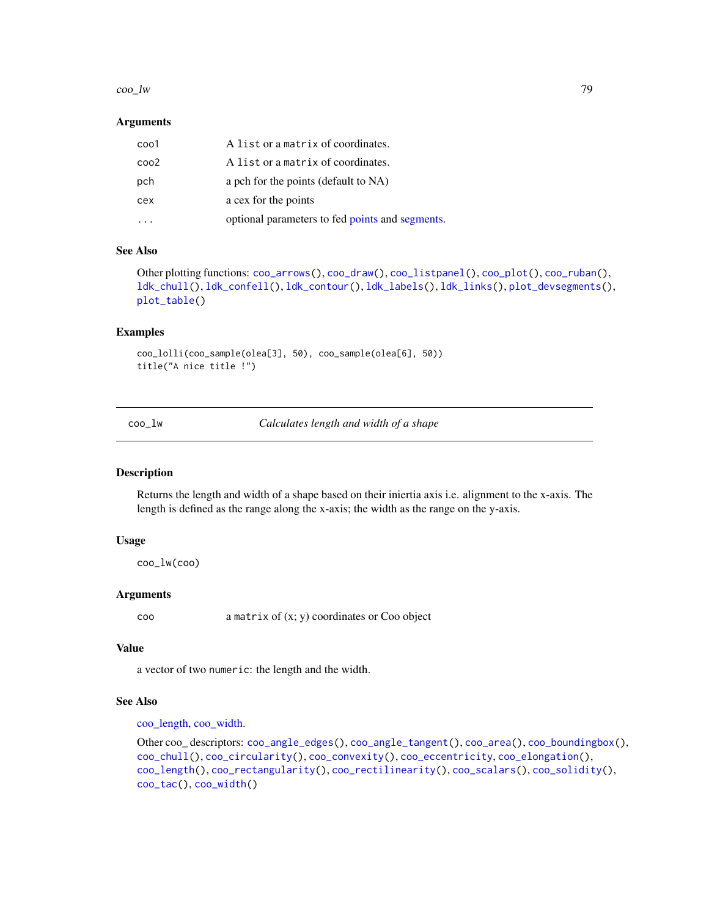#### coo\_lw 29

#### Arguments

| coo1 | A list or a matrix of coordinates.              |
|------|-------------------------------------------------|
| coo2 | A list or a matrix of coordinates.              |
| pch  | a pch for the points (default to NA)            |
| cex  | a cex for the points                            |
|      | optional parameters to fed points and segments. |

#### See Also

```
Other plotting functions: coo_arrows(), coo_draw(), coo_listpanel(), coo_plot(), coo_ruban(),
ldk_chull(), ldk_confell(), ldk_contour(), ldk_labels(), ldk_links(), plot_devsegments(),
plot_table()
```
## Examples

coo\_lolli(coo\_sample(olea[3], 50), coo\_sample(olea[6], 50)) title("A nice title !")

<span id="page-78-0"></span>coo\_lw *Calculates length and width of a shape*

# Description

Returns the length and width of a shape based on their iniertia axis i.e. alignment to the x-axis. The length is defined as the range along the x-axis; the width as the range on the y-axis.

## Usage

coo\_lw(coo)

#### Arguments

coo a matrix of (x; y) coordinates or Coo object

#### Value

a vector of two numeric: the length and the width.

# See Also

[coo\\_length,](#page-74-0) [coo\\_width.](#page-116-0)

```
Other coo_ descriptors: coo_angle_edges(), coo_angle_tangent(), coo_area(), coo_boundingbox(),
coo_chull(), coo_circularity(), coo_convexity(), coo_eccentricity, coo_elongation(),
coo_length(), coo_rectangularity(), coo_rectilinearity(), coo_scalars(), coo_solidity(),
coo_tac(), coo_width()
```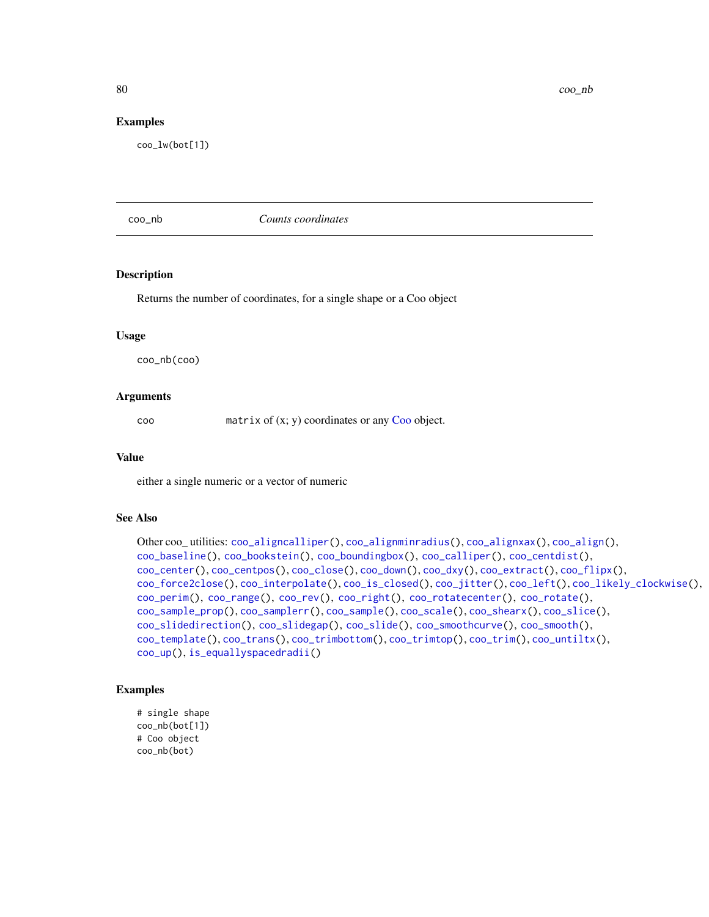80 coo\_nb

#### Examples

coo\_lw(bot[1])

<span id="page-79-0"></span>coo\_nb *Counts coordinates*

#### Description

Returns the number of coordinates, for a single shape or a Coo object

## Usage

coo\_nb(coo)

#### Arguments

coo matrix of (x; y) coordinates or any [Coo](#page-38-0) object.

## Value

either a single numeric or a vector of numeric

## See Also

```
Other coo_ utilities: coo_aligncalliper(), coo_alignminradius(), coo_alignxax(), coo_align(),
coo_baseline(), coo_bookstein(), coo_boundingbox(), coo_calliper(), coo_centdist(),
coo_center(), coo_centpos(), coo_close(), coo_down(), coo_dxy(), coo_extract(), coo_flipx(),
coo_force2close(), coo_interpolate(), coo_is_closed(), coo_jitter(), coo_left(), coo_likely_clockwise(),
coo_perim(), coo_range(), coo_rev(), coo_right(), coo_rotatecenter(), coo_rotate(),
coo_sample_prop(), coo_samplerr(), coo_sample(), coo_scale(), coo_shearx(), coo_slice(),
coo_slidedirection(), coo_slidegap(), coo_slide(), coo_smoothcurve(), coo_smooth(),
coo_template(), coo_trans(), coo_trimbottom(), coo_trimtop(), coo_trim(), coo_untiltx(),
coo_up(), is_equallyspacedradii()
```

```
# single shape
coo_nb(bot[1])
# Coo object
coo_nb(bot)
```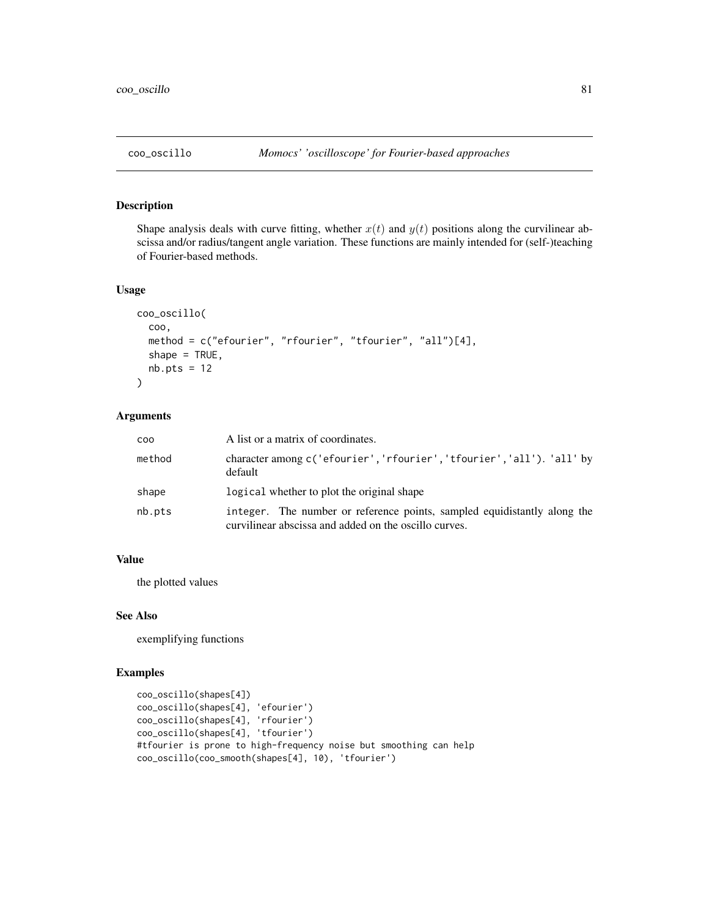# Description

Shape analysis deals with curve fitting, whether  $x(t)$  and  $y(t)$  positions along the curvilinear abscissa and/or radius/tangent angle variation. These functions are mainly intended for (self-)teaching of Fourier-based methods.

#### Usage

```
coo_oscillo(
  coo,
 method = c("efourier", "rfourier", "tfourier", "all")[4],
 shape = TRUE,
 nb.pts = 12)
```
# Arguments

| COO    | A list or a matrix of coordinates.                                                                                                |
|--------|-----------------------------------------------------------------------------------------------------------------------------------|
| method | character among c('efourier','rfourier','tfourier','all'). 'all' by<br>default                                                    |
| shape  | logical whether to plot the original shape                                                                                        |
| nb.pts | integer. The number or reference points, sampled equidistantly along the<br>curvilinear abscissa and added on the oscillo curves. |

## Value

the plotted values

## See Also

exemplifying functions

```
coo_oscillo(shapes[4])
coo_oscillo(shapes[4], 'efourier')
coo_oscillo(shapes[4], 'rfourier')
coo_oscillo(shapes[4], 'tfourier')
#tfourier is prone to high-frequency noise but smoothing can help
coo_oscillo(coo_smooth(shapes[4], 10), 'tfourier')
```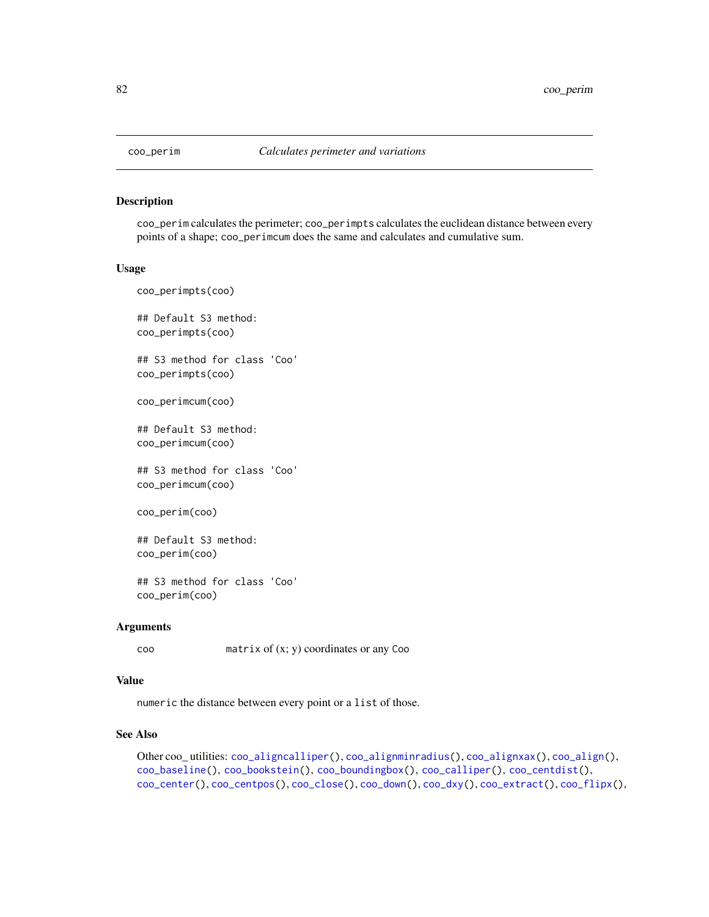<span id="page-81-0"></span>

#### Description

coo\_perim calculates the perimeter; coo\_perimpts calculates the euclidean distance between every points of a shape; coo\_perimcum does the same and calculates and cumulative sum.

#### Usage

coo\_perimpts(coo) ## Default S3 method: coo\_perimpts(coo) ## S3 method for class 'Coo' coo\_perimpts(coo)

coo\_perimcum(coo)

## Default S3 method: coo\_perimcum(coo)

## S3 method for class 'Coo' coo\_perimcum(coo)

coo\_perim(coo)

## Default S3 method: coo\_perim(coo)

## S3 method for class 'Coo' coo\_perim(coo)

#### Arguments

coo matrix of (x; y) coordinates or any Coo

## Value

numeric the distance between every point or a list of those.

## See Also

Other coo\_ utilities: [coo\\_aligncalliper\(](#page-41-0)), [coo\\_alignminradius\(](#page-42-0)), [coo\\_alignxax\(](#page-43-0)), [coo\\_align\(](#page-40-0)), [coo\\_baseline\(](#page-47-0)), [coo\\_bookstein\(](#page-48-0)), [coo\\_boundingbox\(](#page-49-0)), [coo\\_calliper\(](#page-50-0)), [coo\\_centdist\(](#page-51-0)), [coo\\_center\(](#page-52-0)), [coo\\_centpos\(](#page-53-0)), [coo\\_close\(](#page-58-0)), [coo\\_down\(](#page-60-0)), [coo\\_dxy\(](#page-62-0)), [coo\\_extract\(](#page-65-0)), [coo\\_flipx\(](#page-66-0)),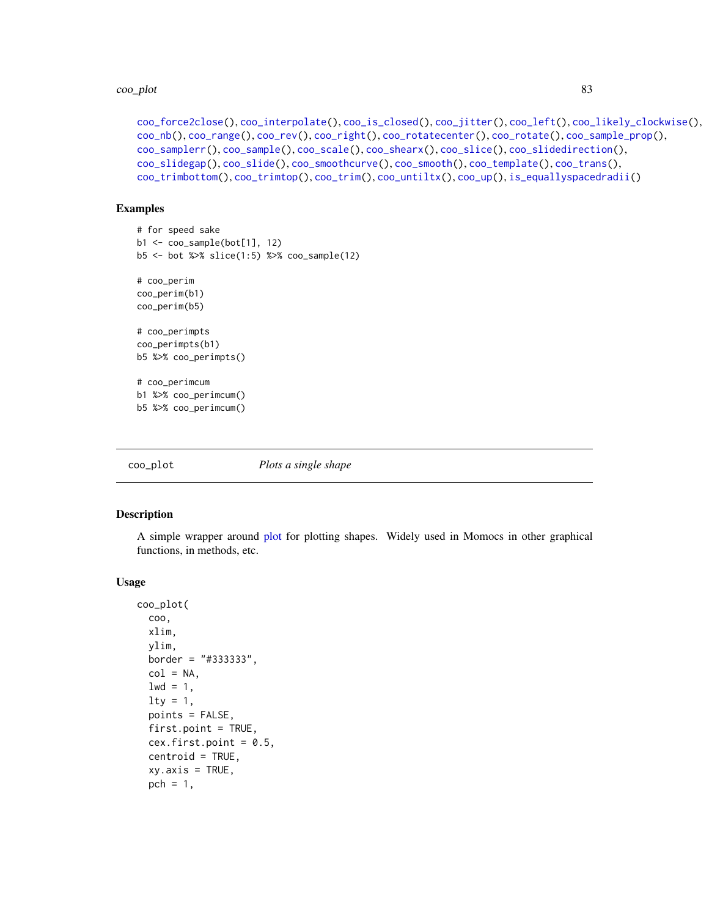```
coo_force2close(), coo_interpolate(), coo_is_closed(), coo_jitter(), coo_left(), coo_likely_clockwise(),
coo_nb(), coo_range(), coo_rev(), coo_right(), coo_rotatecenter(), coo_rotate(), coo_sample_prop(),
coo_samplerr(), coo_sample(), coo_scale(), coo_shearx(), coo_slice(), coo_slidedirection(),
coo_slidegap(), coo_slide(), coo_smoothcurve(), coo_smooth(), coo_template(), coo_trans(),
coo_trimbottom(), coo_trimtop(), coo_trim(), coo_untiltx(), coo_up(), is_equallyspacedradii()
```
# Examples

```
# for speed sake
b1 \leftarrow coo\_sample(bot[1], 12)b5 <- bot %>% slice(1:5) %>% coo_sample(12)
# coo_perim
coo_perim(b1)
coo_perim(b5)
# coo_perimpts
coo_perimpts(b1)
b5 %>% coo_perimpts()
# coo_perimcum
b1 %>% coo_perimcum()
b5 %>% coo_perimcum()
```
<span id="page-82-0"></span>

coo\_plot *Plots a single shape*

# Description

A simple wrapper around [plot](#page-0-0) for plotting shapes. Widely used in Momocs in other graphical functions, in methods, etc.

#### Usage

```
coo_plot(
  coo,
  xlim,
 ylim,
 border = "#333333",
 col = NA,
  1wd = 1,
  lty = 1,
  points = FALSE,
  first.point = TRUE,
  cex.first.point = 0.5,
  centroid = TRUE,
  xy. axis = TRUE,pch = 1,
```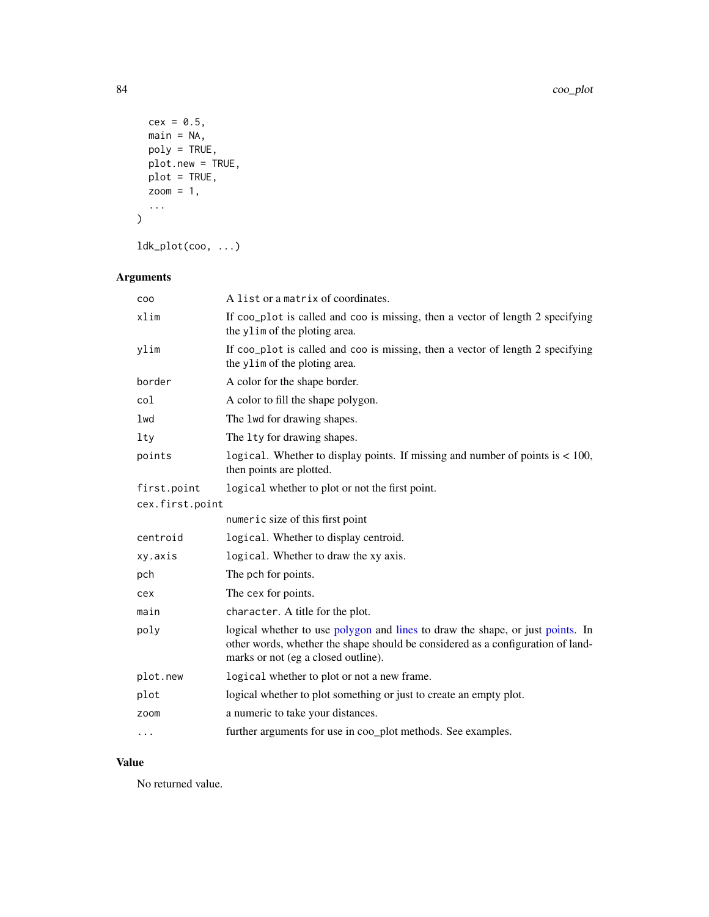```
cex = 0.5,
  main = NA,poly = TRUE,
  plot.new = TRUE,
  plot = TRUE,zoom = 1,
  ...
\overline{)}
```
ldk\_plot(coo, ...)

# Arguments

| COO             | A list or a matrix of coordinates.                                                                                                                                                                       |
|-----------------|----------------------------------------------------------------------------------------------------------------------------------------------------------------------------------------------------------|
| xlim            | If coo_plot is called and coo is missing, then a vector of length 2 specifying<br>the ylim of the ploting area.                                                                                          |
| ylim            | If coo_plot is called and coo is missing, then a vector of length 2 specifying<br>the ylim of the ploting area.                                                                                          |
| border          | A color for the shape border.                                                                                                                                                                            |
| col             | A color to fill the shape polygon.                                                                                                                                                                       |
| lwd             | The 1wd for drawing shapes.                                                                                                                                                                              |
| 1 <sub>ty</sub> | The 1ty for drawing shapes.                                                                                                                                                                              |
| points          | logical. Whether to display points. If missing and number of points is $< 100$ ,<br>then points are plotted.                                                                                             |
| first.point     | logical whether to plot or not the first point.                                                                                                                                                          |
| cex.first.point |                                                                                                                                                                                                          |
|                 | numeric size of this first point                                                                                                                                                                         |
| centroid        | logical. Whether to display centroid.                                                                                                                                                                    |
| xy.axis         | logical. Whether to draw the xy axis.                                                                                                                                                                    |
| pch             | The pch for points.                                                                                                                                                                                      |
| cex             | The cex for points.                                                                                                                                                                                      |
| main            | character. A title for the plot.                                                                                                                                                                         |
| poly            | logical whether to use polygon and lines to draw the shape, or just points. In<br>other words, whether the shape should be considered as a configuration of land-<br>marks or not (eg a closed outline). |
| plot.new        | logical whether to plot or not a new frame.                                                                                                                                                              |
| plot            | logical whether to plot something or just to create an empty plot.                                                                                                                                       |
| zoom            | a numeric to take your distances.                                                                                                                                                                        |
| $\cdots$        | further arguments for use in coo_plot methods. See examples.                                                                                                                                             |

# Value

No returned value.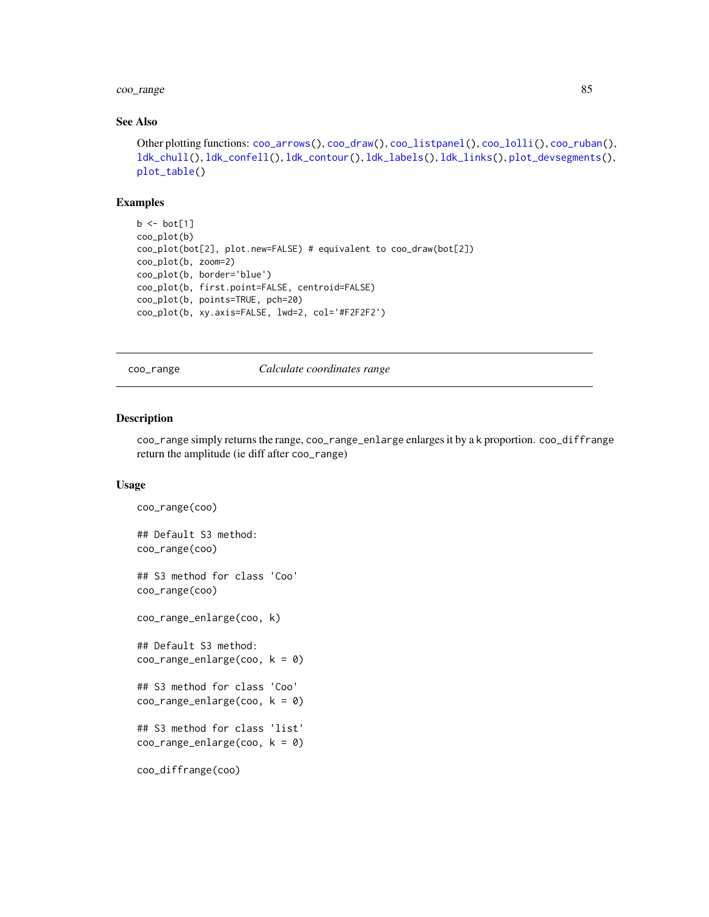# coo\_range 85

# See Also

```
Other plotting functions: coo_arrows(), coo_draw(), coo_listpanel(), coo_lolli(), coo_ruban(),
ldk_chull(), ldk_confell(), ldk_contour(), ldk_labels(), ldk_links(), plot_devsegments(),
plot_table()
```
# Examples

```
b \leq -\text{bot}[1]coo_plot(b)
coo_plot(bot[2], plot.new=FALSE) # equivalent to coo_draw(bot[2])
coo_plot(b, zoom=2)
coo_plot(b, border='blue')
coo_plot(b, first.point=FALSE, centroid=FALSE)
coo_plot(b, points=TRUE, pch=20)
coo_plot(b, xy.axis=FALSE, lwd=2, col='#F2F2F2')
```
<span id="page-84-0"></span>coo\_range *Calculate coordinates range*

#### Description

coo\_range simply returns the range, coo\_range\_enlarge enlarges it by a k proportion. coo\_diffrange return the amplitude (ie diff after coo\_range)

#### Usage

```
coo_range(coo)
## Default S3 method:
coo_range(coo)
## S3 method for class 'Coo'
coo_range(coo)
coo_range_enlarge(coo, k)
## Default S3 method:
coo_range_enlarge(coo, k = 0)## S3 method for class 'Coo'
coo_range_enlarge(coo, k = 0)
## S3 method for class 'list'
coo_range_enlarge(coo, k = 0)coo_diffrange(coo)
```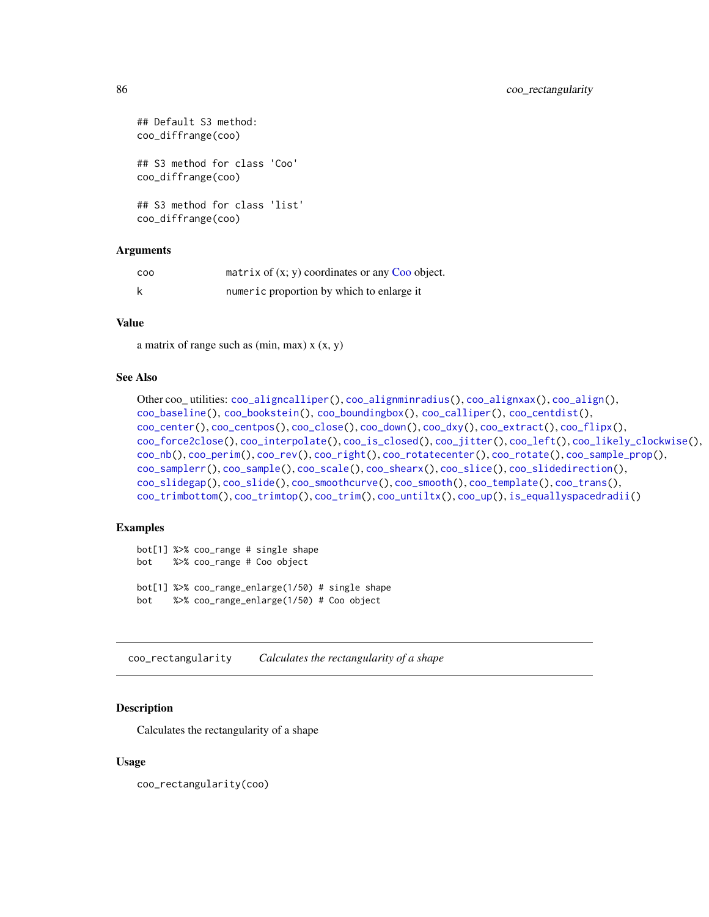```
## Default S3 method:
coo_diffrange(coo)
## S3 method for class 'Coo'
coo_diffrange(coo)
## S3 method for class 'list'
coo_diffrange(coo)
```
# Arguments

| <b>COO</b> | matrix of $(x, y)$ coordinates or any Coo object. |
|------------|---------------------------------------------------|
|            | numeric proportion by which to enlarge it         |

#### Value

a matrix of range such as  $(min, max)$  x  $(x, y)$ 

# See Also

```
Other coo_ utilities: coo_aligncalliper(), coo_alignminradius(), coo_alignxax(), coo_align(),
coo_baseline(), coo_bookstein(), coo_boundingbox(), coo_calliper(), coo_centdist(),
coo_center(), coo_centpos(), coo_close(), coo_down(), coo_dxy(), coo_extract(), coo_flipx(),
coo_force2close(), coo_interpolate(), coo_is_closed(), coo_jitter(), coo_left(), coo_likely_clockwise(),
coo_nb(), coo_perim(), coo_rev(), coo_right(), coo_rotatecenter(), coo_rotate(), coo_sample_prop(),
coo_samplerr(), coo_sample(), coo_scale(), coo_shearx(), coo_slice(), coo_slidedirection(),
coo_slidegap(), coo_slide(), coo_smoothcurve(), coo_smooth(), coo_template(), coo_trans(),
coo_trimbottom(), coo_trimtop(), coo_trim(), coo_untiltx(), coo_up(), is_equallyspacedradii()
```
#### Examples

```
bot[1] %>% coo_range # single shape
bot %>% coo_range # Coo object
bot[1] %>% coo_range_enlarge(1/50) # single shape
bot %>% coo_range_enlarge(1/50) # Coo object
```
<span id="page-85-0"></span>coo\_rectangularity *Calculates the rectangularity of a shape*

## Description

Calculates the rectangularity of a shape

#### Usage

coo\_rectangularity(coo)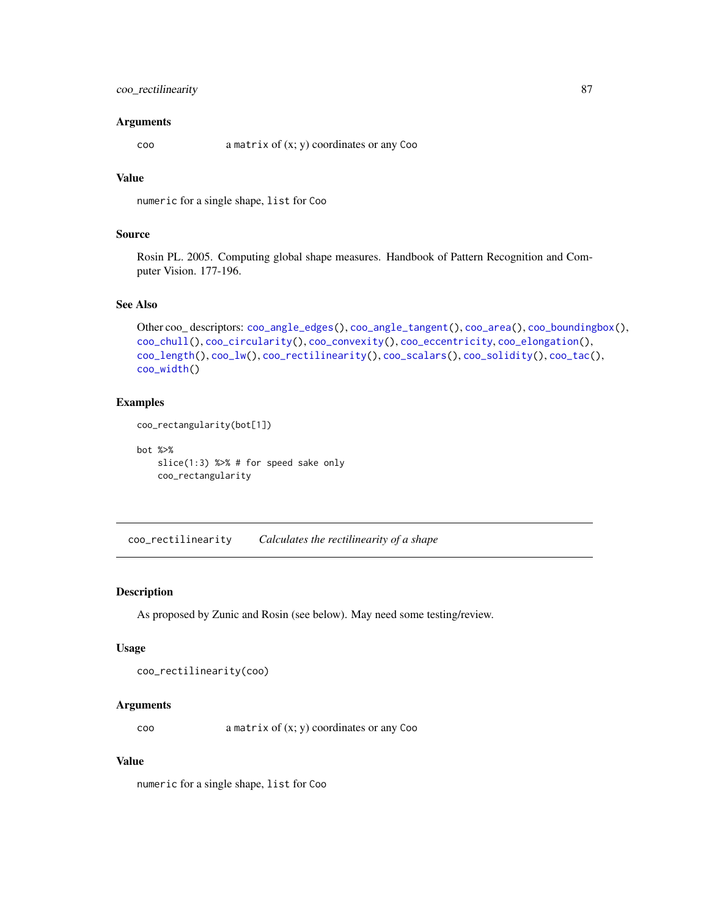# coo\_rectilinearity 87

#### Arguments

coo a matrix of (x; y) coordinates or any Coo

# Value

numeric for a single shape, list for Coo

#### Source

Rosin PL. 2005. Computing global shape measures. Handbook of Pattern Recognition and Computer Vision. 177-196.

# See Also

```
Other coo_ descriptors: coo_angle_edges(), coo_angle_tangent(), coo_area(), coo_boundingbox(),
coo_chull(), coo_circularity(), coo_convexity(), coo_eccentricity, coo_elongation(),
coo_length(), coo_lw(), coo_rectilinearity(), coo_scalars(), coo_solidity(), coo_tac(),
coo_width()
```
#### Examples

coo\_rectangularity(bot[1])

bot %>%

slice(1:3) %>% # for speed sake only coo\_rectangularity

<span id="page-86-0"></span>coo\_rectilinearity *Calculates the rectilinearity of a shape*

# Description

As proposed by Zunic and Rosin (see below). May need some testing/review.

## Usage

```
coo_rectilinearity(coo)
```
#### Arguments

coo a matrix of (x; y) coordinates or any Coo

#### Value

numeric for a single shape, list for Coo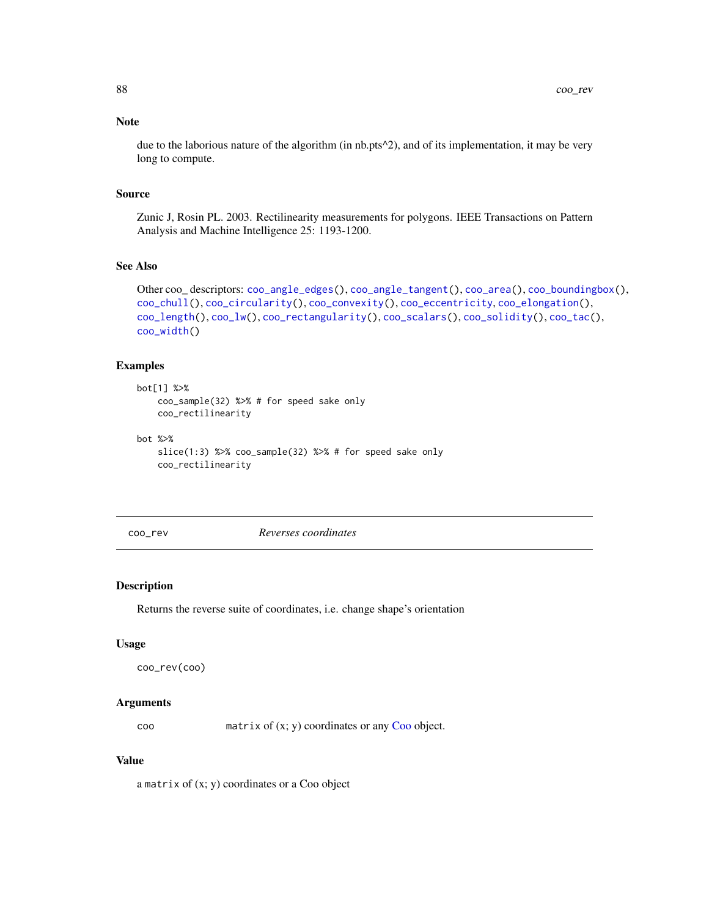## Note

due to the laborious nature of the algorithm (in nb.pts<sup> $\wedge$ </sup>2), and of its implementation, it may be very long to compute.

#### Source

Zunic J, Rosin PL. 2003. Rectilinearity measurements for polygons. IEEE Transactions on Pattern Analysis and Machine Intelligence 25: 1193-1200.

## See Also

```
Other coo_ descriptors: coo_angle_edges(), coo_angle_tangent(), coo_area(), coo_boundingbox(),
coo_chull(), coo_circularity(), coo_convexity(), coo_eccentricity, coo_elongation(),
coo_length(), coo_lw(), coo_rectangularity(), coo_scalars(), coo_solidity(), coo_tac(),
coo_width()
```
## Examples

```
bot[1] %>%
   coo_sample(32) %>% # for speed sake only
   coo_rectilinearity
bot %>%
```

```
slice(1:3) %>% coo_sample(32) %>% # for speed sake only
coo_rectilinearity
```
<span id="page-87-0"></span>coo\_rev *Reverses coordinates*

## Description

Returns the reverse suite of coordinates, i.e. change shape's orientation

# Usage

```
coo_rev(coo)
```
#### Arguments

coo matrix of (x; y) coordinates or any [Coo](#page-38-0) object.

#### Value

a matrix of (x; y) coordinates or a Coo object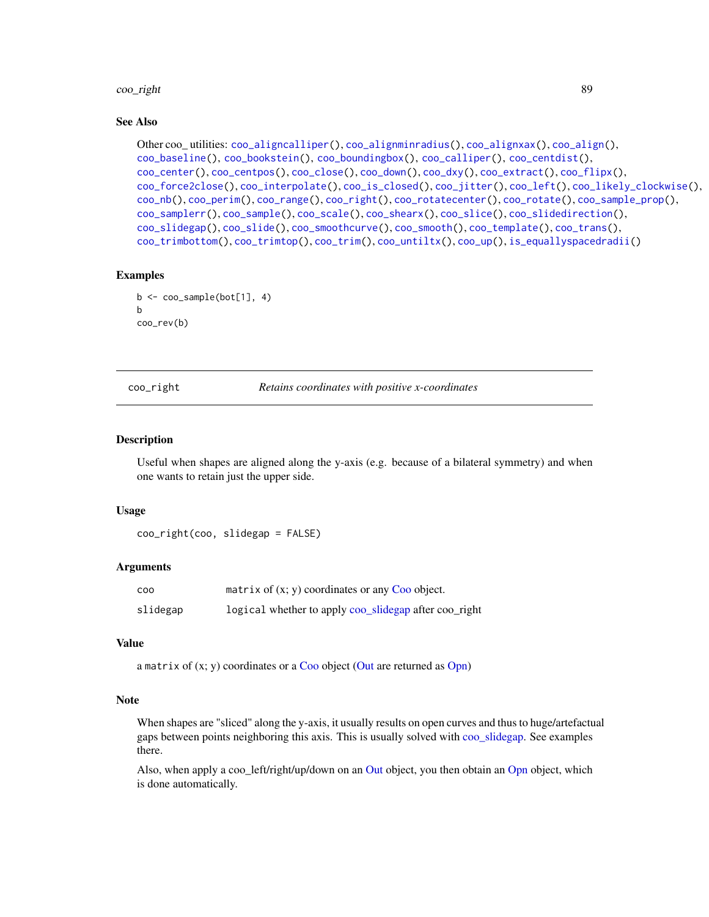#### coo\_right 89

#### See Also

```
Other coo_ utilities: coo_aligncalliper(), coo_alignminradius(), coo_alignxax(), coo_align(),
coo_baseline(), coo_bookstein(), coo_boundingbox(), coo_calliper(), coo_centdist(),
coo_center(), coo_centpos(), coo_close(), coo_down(), coo_dxy(), coo_extract(), coo_flipx(),
coo_force2close(), coo_interpolate(), coo_is_closed(), coo_jitter(), coo_left(), coo_likely_clockwise(),
coo_nb(), coo_perim(), coo_range(), coo_right(), coo_rotatecenter(), coo_rotate(), coo_sample_prop(),
coo_samplerr(), coo_sample(), coo_scale(), coo_shearx(), coo_slice(), coo_slidedirection(),
coo_slidegap(), coo_slide(), coo_smoothcurve(), coo_smooth(), coo_template(), coo_trans(),
coo_trimbottom(), coo_trimtop(), coo_trim(), coo_untiltx(), coo_up(), is_equallyspacedradii()
```
#### Examples

```
b \leq coo_sample(bot[1], 4)
b
coo_rev(b)
```
<span id="page-88-0"></span>coo\_right *Retains coordinates with positive x-coordinates*

## Description

Useful when shapes are aligned along the y-axis (e.g. because of a bilateral symmetry) and when one wants to retain just the upper side.

## Usage

coo\_right(coo, slidegap = FALSE)

## Arguments

| <b>COO</b> | matrix of $(x, y)$ coordinates or any Coo object.     |
|------------|-------------------------------------------------------|
| slidegap   | logical whether to apply coo_slidegap after coo_right |

# Value

a matrix of  $(x; y)$  coordinates or a [Coo](#page-38-0) object [\(Out](#page-197-0) are returned as [Opn\)](#page-193-0)

#### **Note**

When shapes are "sliced" along the y-axis, it usually results on open curves and thus to huge/artefactual gaps between points neighboring this axis. This is usually solved with [coo\\_slidegap.](#page-103-0) See examples there.

Also, when apply a coo\_left/right/up/down on an [Out](#page-197-0) object, you then obtain an [Opn](#page-193-0) object, which is done automatically.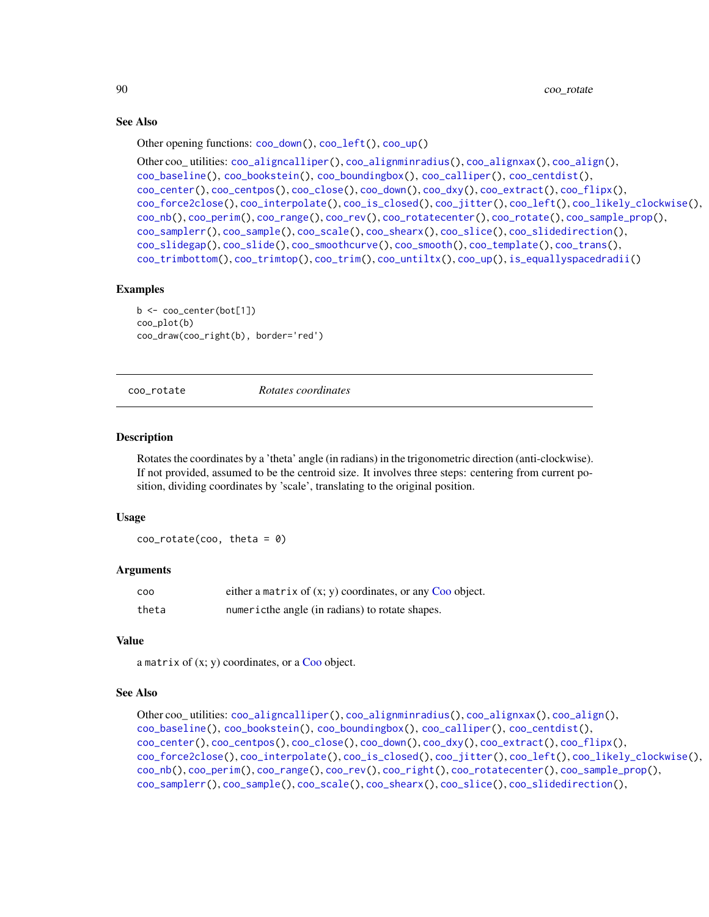#### See Also

Other opening functions: [coo\\_down\(](#page-60-0)), [coo\\_left\(](#page-73-0)), [coo\\_up\(](#page-115-0))

```
Other coo_ utilities: coo_aligncalliper(), coo_alignminradius(), coo_alignxax(), coo_align(),
coo_baseline(), coo_bookstein(), coo_boundingbox(), coo_calliper(), coo_centdist(),
coo_center(), coo_centpos(), coo_close(), coo_down(), coo_dxy(), coo_extract(), coo_flipx(),
coo_force2close(), coo_interpolate(), coo_is_closed(), coo_jitter(), coo_left(), coo_likely_clockwise(),
coo_nb(), coo_perim(), coo_range(), coo_rev(), coo_rotatecenter(), coo_rotate(), coo_sample_prop(),
coo_samplerr(), coo_sample(), coo_scale(), coo_shearx(), coo_slice(), coo_slidedirection(),
coo_slidegap(), coo_slide(), coo_smoothcurve(), coo_smooth(), coo_template(), coo_trans(),
coo_trimbottom(), coo_trimtop(), coo_trim(), coo_untiltx(), coo_up(), is_equallyspacedradii()
```
#### Examples

```
b <- coo_center(bot[1])
coo_plot(b)
coo_draw(coo_right(b), border='red')
```
<span id="page-89-0"></span>

coo\_rotate *Rotates coordinates*

#### Description

Rotates the coordinates by a 'theta' angle (in radians) in the trigonometric direction (anti-clockwise). If not provided, assumed to be the centroid size. It involves three steps: centering from current position, dividing coordinates by 'scale', translating to the original position.

#### Usage

 $coo_{\text{}rotate}(coo, theta = 0)$ 

#### Arguments

| <b>COO</b> | either a matrix of $(x, y)$ coordinates, or any Coo object. |
|------------|-------------------------------------------------------------|
| theta      | numericthe angle (in radians) to rotate shapes.             |

## Value

a matrix of  $(x; y)$  coordinates, or a [Coo](#page-38-0) object.

#### See Also

```
Other coo_ utilities: coo_aligncalliper(), coo_alignminradius(), coo_alignxax(), coo_align(),
coo_baseline(), coo_bookstein(), coo_boundingbox(), coo_calliper(), coo_centdist(),
coo_center(), coo_centpos(), coo_close(), coo_down(), coo_dxy(), coo_extract(), coo_flipx(),
coo_force2close(), coo_interpolate(), coo_is_closed(), coo_jitter(), coo_left(), coo_likely_clockwise(),
coo_nb(), coo_perim(), coo_range(), coo_rev(), coo_right(), coo_rotatecenter(), coo_sample_prop(),
coo_samplerr(), coo_sample(), coo_scale(), coo_shearx(), coo_slice(), coo_slidedirection(),
```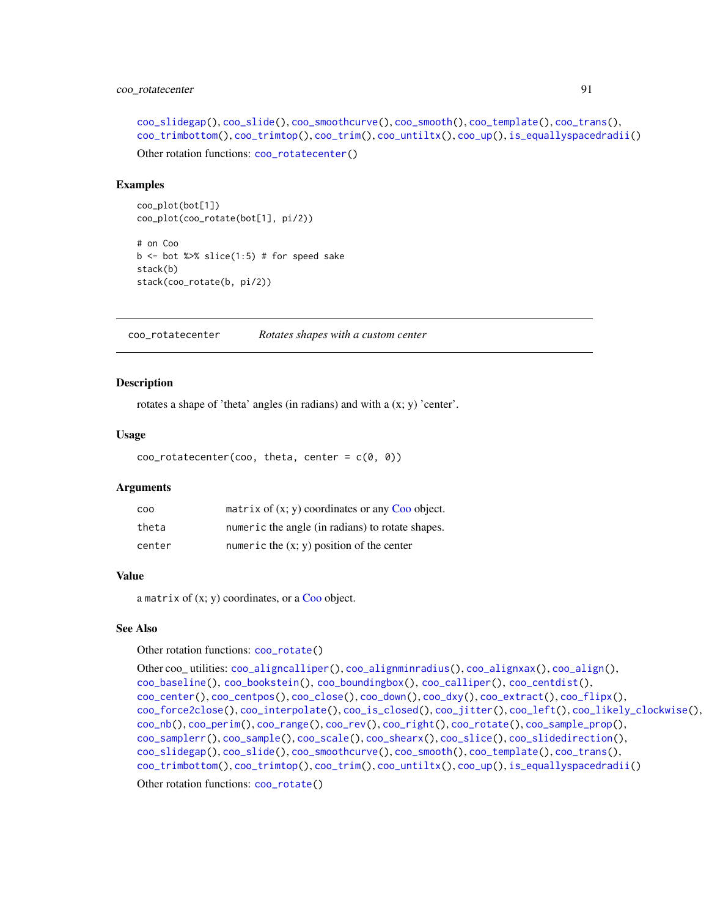# coo\_rotatecenter 91

```
coo_slidegap(), coo_slide(), coo_smoothcurve(), coo_smooth(), coo_template(), coo_trans(),
coo_trimbottom(), coo_trimtop(), coo_trim(), coo_untiltx(), coo_up(), is_equallyspacedradii()
Other rotation functions: coo_rotatecenter()
```
#### Examples

```
coo_plot(bot[1])
coo_plot(coo_rotate(bot[1], pi/2))
```
# on Coo  $b \le -$  bot %>% slice(1:5) # for speed sake stack(b) stack(coo\_rotate(b, pi/2))

<span id="page-90-0"></span>coo\_rotatecenter *Rotates shapes with a custom center*

## Description

rotates a shape of 'theta' angles (in radians) and with a (x; y) 'center'.

#### Usage

```
coo_{\text{}}\text{rotatecenter}(coo, \text{ theta}, \text{ center} = c(0, 0))
```
#### Arguments

| <b>COO</b> | matrix of $(x, y)$ coordinates or any Coo object. |
|------------|---------------------------------------------------|
| theta      | numeric the angle (in radians) to rotate shapes.  |
| center     | numeric the $(x, y)$ position of the center       |

## Value

a matrix of  $(x; y)$  coordinates, or a [Coo](#page-38-0) object.

# See Also

Other rotation functions: [coo\\_rotate\(](#page-89-0))

```
Other coo_ utilities: coo_aligncalliper(), coo_alignminradius(), coo_alignxax(), coo_align(),
coo_baseline(), coo_bookstein(), coo_boundingbox(), coo_calliper(), coo_centdist(),
coo_center(), coo_centpos(), coo_close(), coo_down(), coo_dxy(), coo_extract(), coo_flipx(),
coo_force2close(), coo_interpolate(), coo_is_closed(), coo_jitter(), coo_left(), coo_likely_clockwise(),
coo_nb(), coo_perim(), coo_range(), coo_rev(), coo_right(), coo_rotate(), coo_sample_prop(),
coo_samplerr(), coo_sample(), coo_scale(), coo_shearx(), coo_slice(), coo_slidedirection(),
coo_slidegap(), coo_slide(), coo_smoothcurve(), coo_smooth(), coo_template(), coo_trans(),
coo_trimbottom(), coo_trimtop(), coo_trim(), coo_untiltx(), coo_up(), is_equallyspacedradii()
```
Other rotation functions: [coo\\_rotate\(](#page-89-0))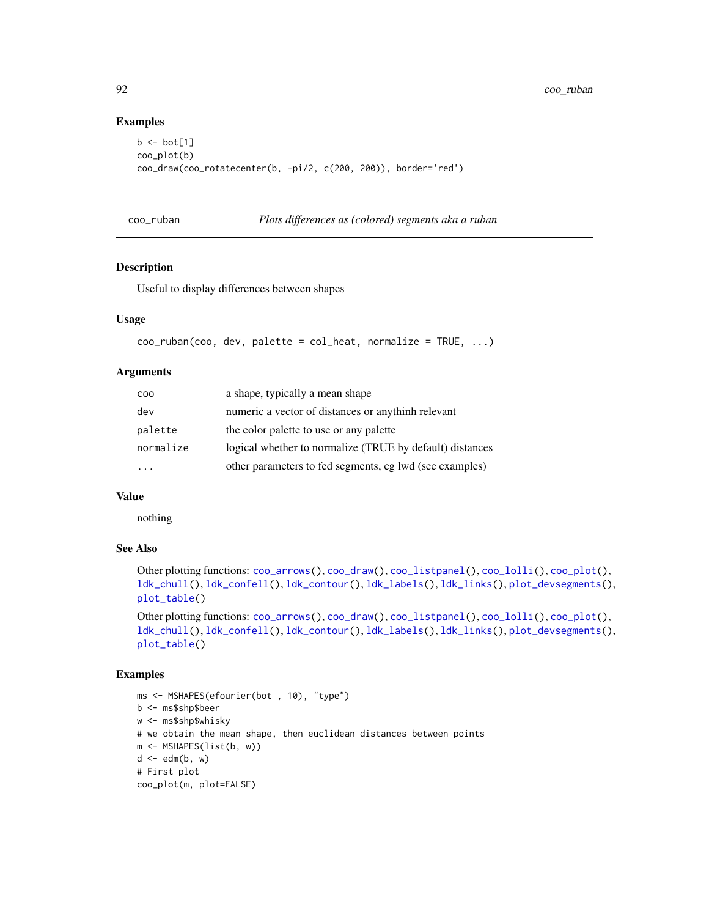## Examples

```
b \leftarrow bot[1]coo_plot(b)
coo_draw(coo_rotatecenter(b, -pi/2, c(200, 200)), border='red')
```
<span id="page-91-0"></span>

| coo_ruban |  | Plots differences as (colored) segments aka a ruban |
|-----------|--|-----------------------------------------------------|
|           |  |                                                     |

# Description

Useful to display differences between shapes

# Usage

```
coo_ruban(coo, dev, palette = col{heat, normalize = TRUE, ...)
```
## Arguments

| COO       | a shape, typically a mean shape                          |
|-----------|----------------------------------------------------------|
| dev       | numeric a vector of distances or anythinh relevant       |
| palette   | the color palette to use or any palette                  |
| normalize | logical whether to normalize (TRUE by default) distances |
|           | other parameters to fed segments, eg lwd (see examples)  |

# Value

nothing

# See Also

```
Other plotting functions: coo_arrows(), coo_draw(), coo_listpanel(), coo_lolli(), coo_plot(),
ldk_chull(), ldk_confell(), ldk_contour(), ldk_labels(), ldk_links(), plot_devsegments(),
plot_table()
```

```
Other plotting functions: coo_arrows(), coo_draw(), coo_listpanel(), coo_lolli(), coo_plot(),
ldk_chull(), ldk_confell(), ldk_contour(), ldk_labels(), ldk_links(), plot_devsegments(),
plot_table()
```

```
ms <- MSHAPES(efourier(bot , 10), "type")
b <- ms$shp$beer
w <- ms$shp$whisky
# we obtain the mean shape, then euclidean distances between points
m <- MSHAPES(list(b, w))
d \leq -edm(b, w)# First plot
coo_plot(m, plot=FALSE)
```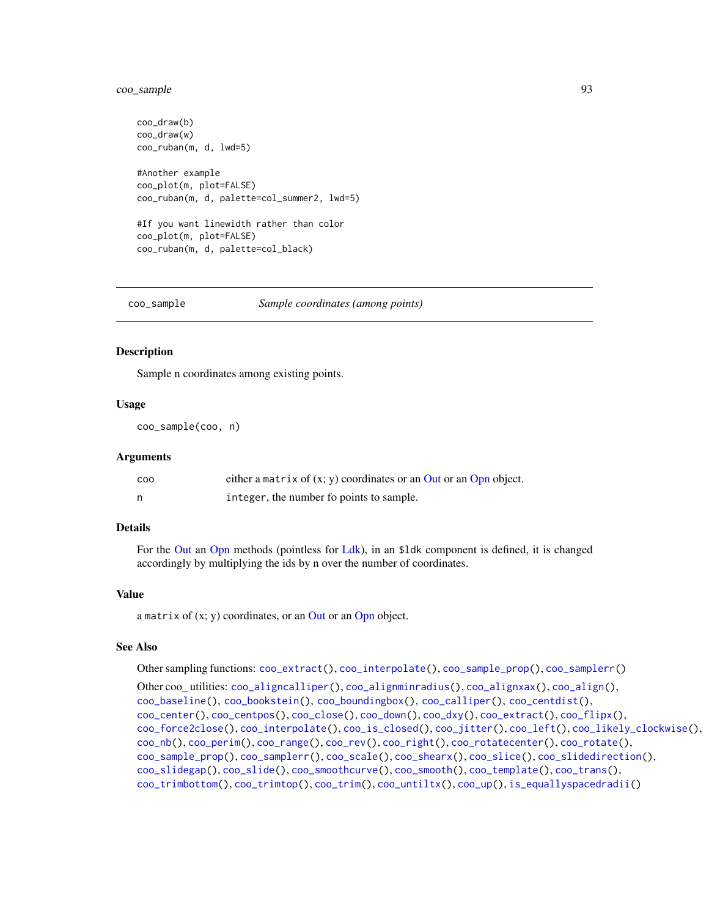# coo\_sample 93

```
coo_draw(b)
coo_draw(w)
coo_ruban(m, d, lwd=5)
#Another example
coo_plot(m, plot=FALSE)
coo_ruban(m, d, palette=col_summer2, lwd=5)
#If you want linewidth rather than color
coo_plot(m, plot=FALSE)
coo_ruban(m, d, palette=col_black)
```
<span id="page-92-0"></span>coo\_sample *Sample coordinates (among points)*

#### Description

Sample n coordinates among existing points.

#### Usage

coo\_sample(coo, n)

#### Arguments

| C <sub>00</sub> | either a matrix of $(x, y)$ coordinates or an Out or an Opn object. |
|-----------------|---------------------------------------------------------------------|
|                 | integer, the number fo points to sample.                            |

## Details

For the [Out](#page-197-0) an [Opn](#page-193-0) methods (pointless for [Ldk\)](#page-169-0), in an \$ldk component is defined, it is changed accordingly by multiplying the ids by n over the number of coordinates.

## Value

a matrix of  $(x; y)$  coordinates, or an [Out](#page-197-0) or an [Opn](#page-193-0) object.

# See Also

Other sampling functions: [coo\\_extract\(](#page-65-0)), [coo\\_interpolate\(](#page-68-0)), [coo\\_sample\\_prop\(](#page-94-0)), [coo\\_samplerr\(](#page-93-0))

```
Other coo_ utilities: coo_aligncalliper(), coo_alignminradius(), coo_alignxax(), coo_align(),
coo_baseline(), coo_bookstein(), coo_boundingbox(), coo_calliper(), coo_centdist(),
coo_center(), coo_centpos(), coo_close(), coo_down(), coo_dxy(), coo_extract(), coo_flipx(),
coo_force2close(), coo_interpolate(), coo_is_closed(), coo_jitter(), coo_left(), coo_likely_clockwise(),
coo_nb(), coo_perim(), coo_range(), coo_rev(), coo_right(), coo_rotatecenter(), coo_rotate(),
coo_sample_prop(), coo_samplerr(), coo_scale(), coo_shearx(), coo_slice(), coo_slidedirection(),
coo_slidegap(), coo_slide(), coo_smoothcurve(), coo_smooth(), coo_template(), coo_trans(),
coo_trimbottom(), coo_trimtop(), coo_trim(), coo_untiltx(), coo_up(), is_equallyspacedradii()
```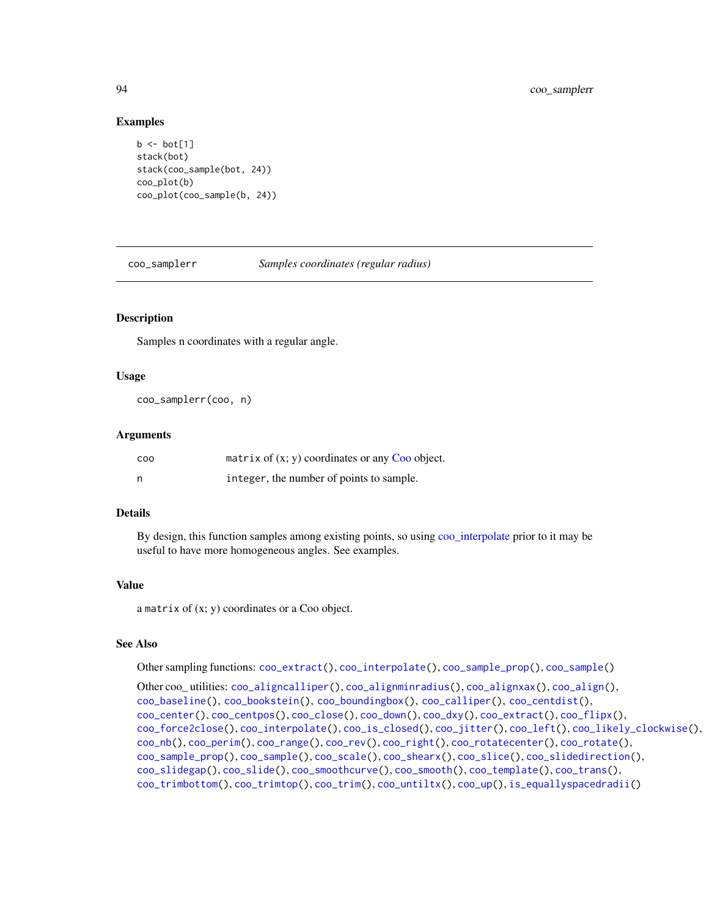## Examples

```
b \le bot[1]stack(bot)
stack(coo_sample(bot, 24))
coo_plot(b)
coo_plot(coo_sample(b, 24))
```
<span id="page-93-0"></span>coo\_samplerr *Samples coordinates (regular radius)*

# Description

Samples n coordinates with a regular angle.

## Usage

```
coo_samplerr(coo, n)
```
#### Arguments

| COO | matrix of $(x, y)$ coordinates or any Coo object. |
|-----|---------------------------------------------------|
| - n | integer, the number of points to sample.          |

#### Details

By design, this function samples among existing points, so using [coo\\_interpolate](#page-68-0) prior to it may be useful to have more homogeneous angles. See examples.

## Value

a matrix of (x; y) coordinates or a Coo object.

# See Also

Other sampling functions: [coo\\_extract\(](#page-65-0)), [coo\\_interpolate\(](#page-68-0)), [coo\\_sample\\_prop\(](#page-94-0)), [coo\\_sample\(](#page-92-0))

```
Other coo_ utilities: coo_aligncalliper(), coo_alignminradius(), coo_alignxax(), coo_align(),
coo_baseline(), coo_bookstein(), coo_boundingbox(), coo_calliper(), coo_centdist(),
coo_center(), coo_centpos(), coo_close(), coo_down(), coo_dxy(), coo_extract(), coo_flipx(),
coo_force2close(), coo_interpolate(), coo_is_closed(), coo_jitter(), coo_left(), coo_likely_clockwise(),
coo_nb(), coo_perim(), coo_range(), coo_rev(), coo_right(), coo_rotatecenter(), coo_rotate(),
coo_sample_prop(), coo_sample(), coo_scale(), coo_shearx(), coo_slice(), coo_slidedirection(),
coo_slidegap(), coo_slide(), coo_smoothcurve(), coo_smooth(), coo_template(), coo_trans(),
coo_trimbottom(), coo_trimtop(), coo_trim(), coo_untiltx(), coo_up(), is_equallyspacedradii()
```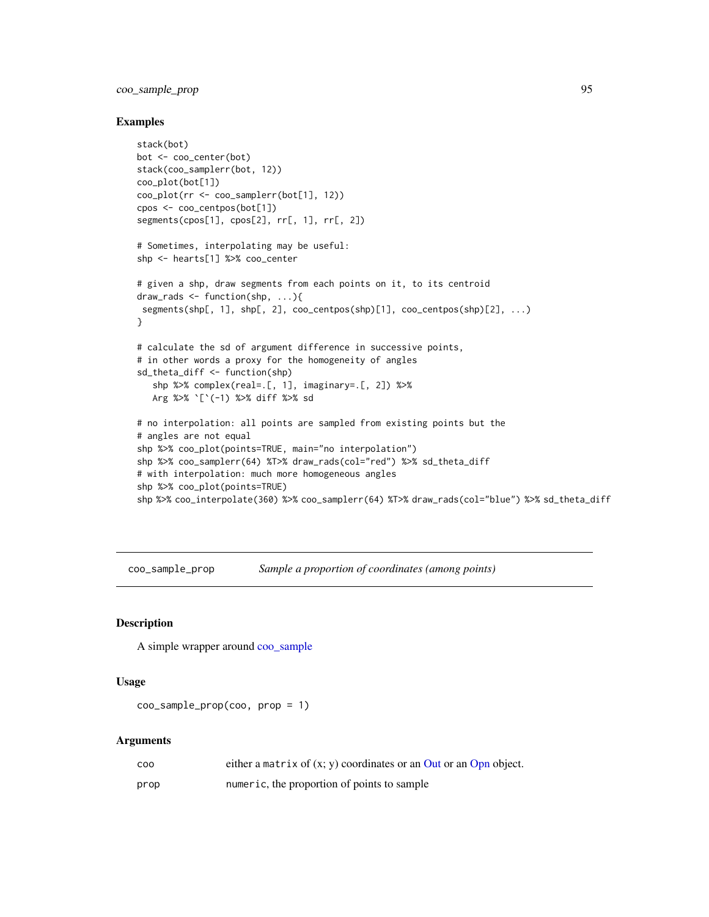# coo\_sample\_prop 95

#### Examples

```
stack(bot)
bot <- coo_center(bot)
stack(coo_samplerr(bot, 12))
coo_plot(bot[1])
coo_plot(rr <- coo_samplerr(bot[1], 12))
cpos <- coo_centpos(bot[1])
segments(cpos[1], cpos[2], rr[, 1], rr[, 2])
# Sometimes, interpolating may be useful:
shp <- hearts[1] %>% coo_center
# given a shp, draw segments from each points on it, to its centroid
draw_rads <- function(shp, ...){
segments(shp[, 1], shp[, 2], coo_centpos(shp)[1], coo_centpos(shp)[2], ...)
}
# calculate the sd of argument difference in successive points,
# in other words a proxy for the homogeneity of angles
sd_theta_diff <- function(shp)
   shp %>% complex(real=.[, 1], imaginary=.[, 2]) %>%
   Arg %>% `[`(-1) %>% diff %>% sd
# no interpolation: all points are sampled from existing points but the
# angles are not equal
shp %>% coo_plot(points=TRUE, main="no interpolation")
shp %>% coo_samplerr(64) %T>% draw_rads(col="red") %>% sd_theta_diff
# with interpolation: much more homogeneous angles
shp %>% coo_plot(points=TRUE)
shp %>% coo_interpolate(360) %>% coo_samplerr(64) %T>% draw_rads(col="blue") %>% sd_theta_diff
```
<span id="page-94-0"></span>coo\_sample\_prop *Sample a proportion of coordinates (among points)*

# **Description**

A simple wrapper around [coo\\_sample](#page-92-0)

## Usage

```
coo_sample_prop(coo, prop = 1)
```
#### Arguments

| coo  | either a matrix of $(x, y)$ coordinates or an Out or an Opn object. |
|------|---------------------------------------------------------------------|
| prop | numeric, the proportion of points to sample                         |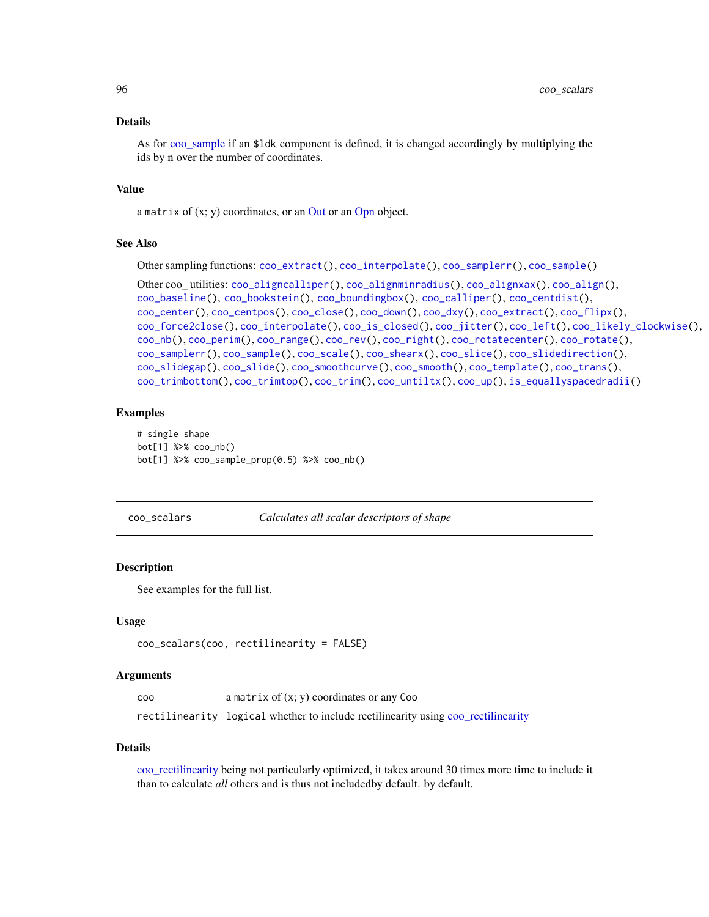#### Details

As for [coo\\_sample](#page-92-0) if an \$ldk component is defined, it is changed accordingly by multiplying the ids by n over the number of coordinates.

#### Value

a matrix of  $(x; y)$  coordinates, or an [Out](#page-197-0) or an [Opn](#page-193-0) object.

## See Also

Other sampling functions: [coo\\_extract\(](#page-65-0)), [coo\\_interpolate\(](#page-68-0)), [coo\\_samplerr\(](#page-93-0)), [coo\\_sample\(](#page-92-0))

```
Other coo_ utilities: coo_aligncalliper(), coo_alignminradius(), coo_alignxax(), coo_align(),
coo_baseline(), coo_bookstein(), coo_boundingbox(), coo_calliper(), coo_centdist(),
coo_center(), coo_centpos(), coo_close(), coo_down(), coo_dxy(), coo_extract(), coo_flipx(),
coo_force2close(), coo_interpolate(), coo_is_closed(), coo_jitter(), coo_left(), coo_likely_clockwise(),
coo_nb(), coo_perim(), coo_range(), coo_rev(), coo_right(), coo_rotatecenter(), coo_rotate(),
coo_samplerr(), coo_sample(), coo_scale(), coo_shearx(), coo_slice(), coo_slidedirection(),
coo_slidegap(), coo_slide(), coo_smoothcurve(), coo_smooth(), coo_template(), coo_trans(),
coo_trimbottom(), coo_trimtop(), coo_trim(), coo_untiltx(), coo_up(), is_equallyspacedradii()
```
#### Examples

```
# single shape
bot[1] %>% coo_nb()
bot[1] %>% coo_sample_prop(0.5) %>% coo_nb()
```
<span id="page-95-0"></span>coo\_scalars *Calculates all scalar descriptors of shape*

## **Description**

See examples for the full list.

#### Usage

```
coo_scalars(coo, rectilinearity = FALSE)
```
#### Arguments

| <b>COO</b> | a matrix of $(x; y)$ coordinates or any Coo                                       |
|------------|-----------------------------------------------------------------------------------|
|            | rectilinearity logical whether to include rectilinearity using coo_rectilinearity |

#### Details

[coo\\_rectilinearity](#page-86-0) being not particularly optimized, it takes around 30 times more time to include it than to calculate *all* others and is thus not includedby default. by default.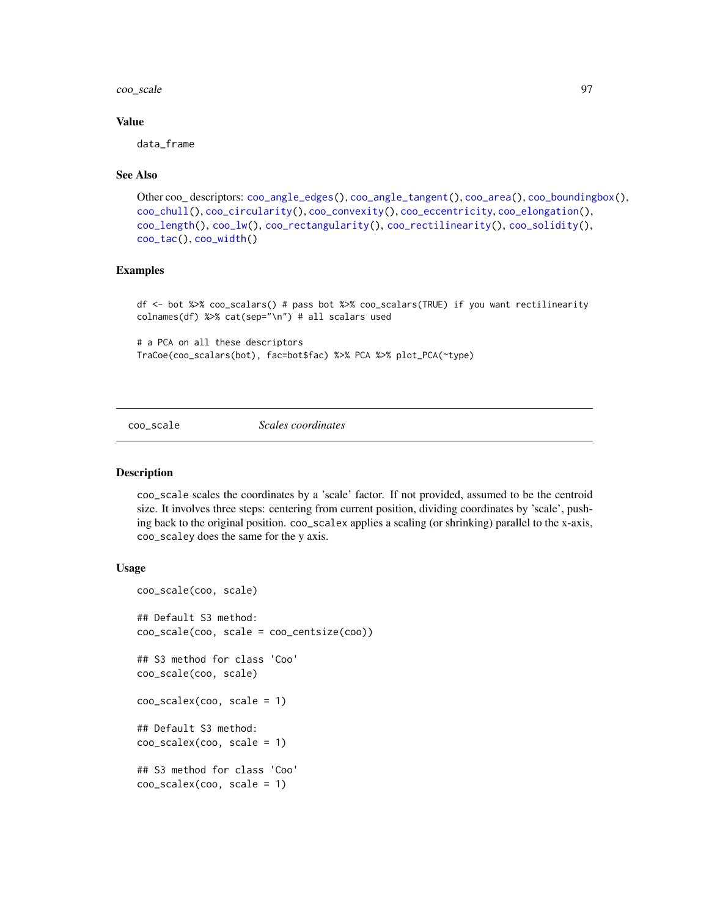#### coo\_scale 97

## Value

data\_frame

## See Also

```
Other coo_ descriptors: coo_angle_edges(), coo_angle_tangent(), coo_area(), coo_boundingbox(),
coo_chull(), coo_circularity(), coo_convexity(), coo_eccentricity, coo_elongation(),
coo_length(), coo_lw(), coo_rectangularity(), coo_rectilinearity(), coo_solidity(),
coo_tac(), coo_width()
```
#### Examples

df <- bot %>% coo\_scalars() # pass bot %>% coo\_scalars(TRUE) if you want rectilinearity colnames(df) %>% cat(sep="\n") # all scalars used

```
# a PCA on all these descriptors
TraCoe(coo_scalars(bot), fac=bot$fac) %>% PCA %>% plot_PCA(~type)
```
<span id="page-96-0"></span>coo\_scale *Scales coordinates*

#### Description

coo\_scale scales the coordinates by a 'scale' factor. If not provided, assumed to be the centroid size. It involves three steps: centering from current position, dividing coordinates by 'scale', pushing back to the original position. coo\_scalex applies a scaling (or shrinking) parallel to the x-axis, coo\_scaley does the same for the y axis.

## Usage

```
coo_scale(coo, scale)
## Default S3 method:
coo_scale(coo, scale = coo_centsize(coo))
## S3 method for class 'Coo'
coo_scale(coo, scale)
coo_scalex(coo, scale = 1)
## Default S3 method:
coo\_scale(x(coo, scale = 1))## S3 method for class 'Coo'
coo_scalex(coo, scale = 1)
```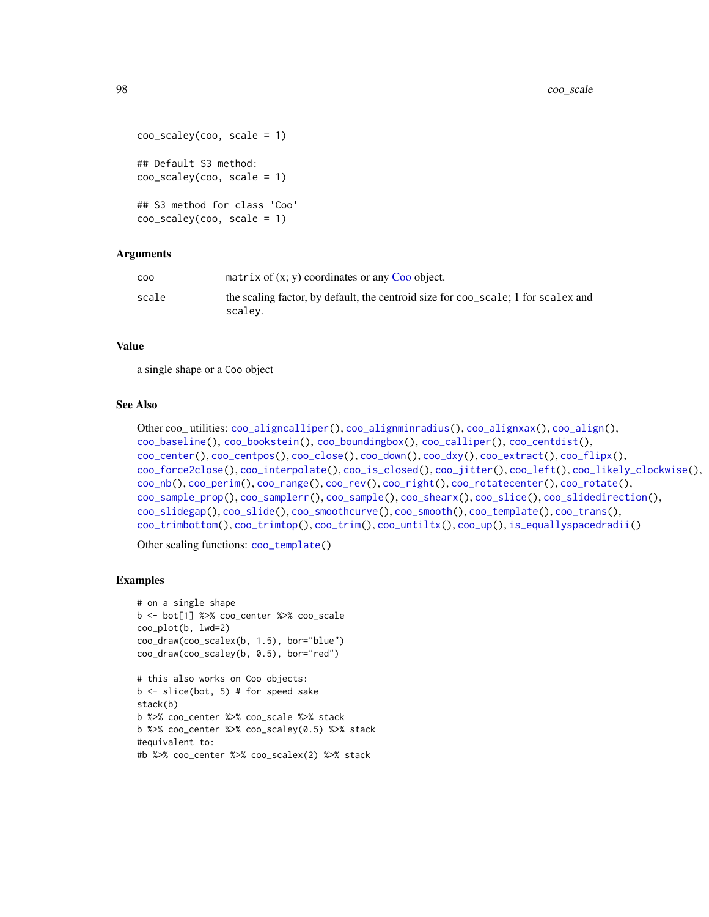```
coo_scaley(coo, scale = 1)
## Default S3 method:
coo_scaley(coo, scale = 1)
## S3 method for class 'Coo'
coo_scaley(coo, scale = 1)
```
## Arguments

| coo   | matrix of $(x, y)$ coordinates or any Coo object.                                 |
|-------|-----------------------------------------------------------------------------------|
| scale | the scaling factor, by default, the centroid size for coo scale; 1 for scalex and |
|       | scalev.                                                                           |

#### Value

a single shape or a Coo object

## See Also

```
Other coo_ utilities: coo_aligncalliper(), coo_alignminradius(), coo_alignxax(), coo_align(),
coo_baseline(), coo_bookstein(), coo_boundingbox(), coo_calliper(), coo_centdist(),
coo_center(), coo_centpos(), coo_close(), coo_down(), coo_dxy(), coo_extract(), coo_flipx(),
coo_force2close(), coo_interpolate(), coo_is_closed(), coo_jitter(), coo_left(), coo_likely_clockwise(),
coo_nb(), coo_perim(), coo_range(), coo_rev(), coo_right(), coo_rotatecenter(), coo_rotate(),
coo_sample_prop(), coo_samplerr(), coo_sample(), coo_shearx(), coo_slice(), coo_slidedirection(),
coo_slidegap(), coo_slide(), coo_smoothcurve(), coo_smooth(), coo_template(), coo_trans(),
coo_trimbottom(), coo_trimtop(), coo_trim(), coo_untiltx(), coo_up(), is_equallyspacedradii()
```
Other scaling functions: [coo\\_template\(](#page-108-0))

```
# on a single shape
b <- bot[1] %>% coo_center %>% coo_scale
coo_plot(b, lwd=2)
coo_draw(coo_scalex(b, 1.5), bor="blue")
coo_draw(coo_scaley(b, 0.5), bor="red")
# this also works on Coo objects:
b \le slice(bot, 5) # for speed sake
stack(b)
b %>% coo_center %>% coo_scale %>% stack
b %>% coo_center %>% coo_scaley(0.5) %>% stack
#equivalent to:
#b %>% coo_center %>% coo_scalex(2) %>% stack
```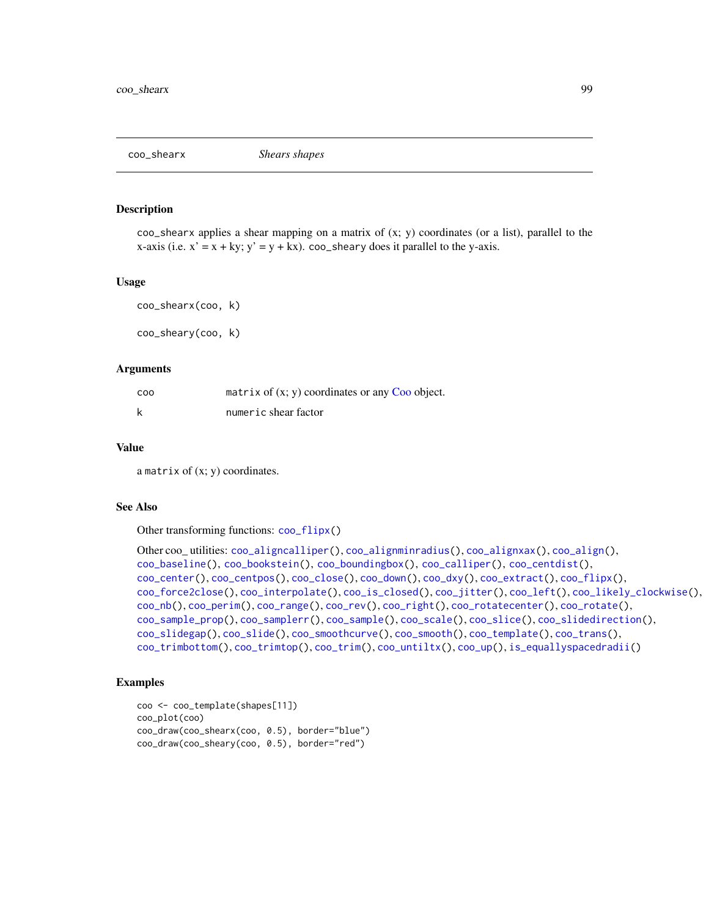<span id="page-98-0"></span>

## Description

 $\text{co}\text{-}$  shearx applies a shear mapping on a matrix of  $(x; y)$  coordinates (or a list), parallel to the x-axis (i.e.  $x' = x + ky$ ;  $y' = y + kx$ ). coo\_sheary does it parallel to the y-axis.

#### Usage

coo\_shearx(coo, k) coo\_sheary(coo, k)

## Arguments

| COO | matrix of $(x, y)$ coordinates or any Coo object. |
|-----|---------------------------------------------------|
|     | numeric shear factor                              |

# Value

a matrix of  $(x; y)$  coordinates.

#### See Also

Other transforming functions: [coo\\_flipx\(](#page-66-0))

```
Other coo_ utilities: coo_aligncalliper(), coo_alignminradius(), coo_alignxax(), coo_align(),
coo_baseline(), coo_bookstein(), coo_boundingbox(), coo_calliper(), coo_centdist(),
coo_center(), coo_centpos(), coo_close(), coo_down(), coo_dxy(), coo_extract(), coo_flipx(),
coo_force2close(), coo_interpolate(), coo_is_closed(), coo_jitter(), coo_left(), coo_likely_clockwise(),
coo_nb(), coo_perim(), coo_range(), coo_rev(), coo_right(), coo_rotatecenter(), coo_rotate(),
coo_sample_prop(), coo_samplerr(), coo_sample(), coo_scale(), coo_slice(), coo_slidedirection(),
coo_slidegap(), coo_slide(), coo_smoothcurve(), coo_smooth(), coo_template(), coo_trans(),
coo_trimbottom(), coo_trimtop(), coo_trim(), coo_untiltx(), coo_up(), is_equallyspacedradii()
```

```
coo <- coo_template(shapes[11])
coo_plot(coo)
coo_draw(coo_shearx(coo, 0.5), border="blue")
coo_draw(coo_sheary(coo, 0.5), border="red")
```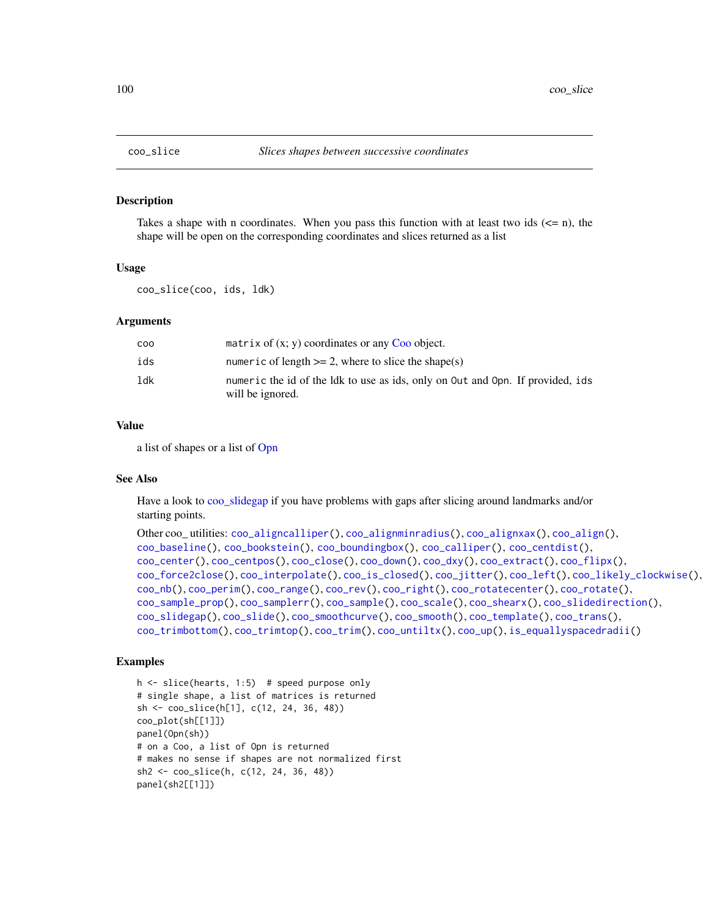<span id="page-99-0"></span>

#### Description

Takes a shape with n coordinates. When you pass this function with at least two ids  $(\leq n)$ , the shape will be open on the corresponding coordinates and slices returned as a list

#### Usage

coo\_slice(coo, ids, ldk)

#### Arguments

| COO | matrix of $(x, y)$ coordinates or any Coo object.                                                  |
|-----|----------------------------------------------------------------------------------------------------|
| ids | numeric of length $>= 2$ , where to slice the shape(s)                                             |
| 1dk | numeric the id of the ldk to use as ids, only on Out and Opn. If provided, ids<br>will be ignored. |

#### Value

a list of shapes or a list of [Opn](#page-193-0)

#### See Also

Have a look to [coo\\_slidegap](#page-103-0) if you have problems with gaps after slicing around landmarks and/or starting points.

```
Other coo_ utilities: coo_aligncalliper(), coo_alignminradius(), coo_alignxax(), coo_align(),
coo_baseline(), coo_bookstein(), coo_boundingbox(), coo_calliper(), coo_centdist(),
coo_center(), coo_centpos(), coo_close(), coo_down(), coo_dxy(), coo_extract(), coo_flipx(),
coo_force2close(), coo_interpolate(), coo_is_closed(), coo_jitter(), coo_left(), coo_likely_clockwise(),
coo_nb(), coo_perim(), coo_range(), coo_rev(), coo_right(), coo_rotatecenter(), coo_rotate(),
coo_sample_prop(), coo_samplerr(), coo_sample(), coo_scale(), coo_shearx(), coo_slidedirection(),
coo_slidegap(), coo_slide(), coo_smoothcurve(), coo_smooth(), coo_template(), coo_trans(),
coo_trimbottom(), coo_trimtop(), coo_trim(), coo_untiltx(), coo_up(), is_equallyspacedradii()
```

```
h <- slice(hearts, 1:5) # speed purpose only
# single shape, a list of matrices is returned
sh <- coo_slice(h[1], c(12, 24, 36, 48))
coo_plot(sh[[1]])
panel(Opn(sh))
# on a Coo, a list of Opn is returned
# makes no sense if shapes are not normalized first
sh2 <- coo_slice(h, c(12, 24, 36, 48))
panel(sh2[[1]])
```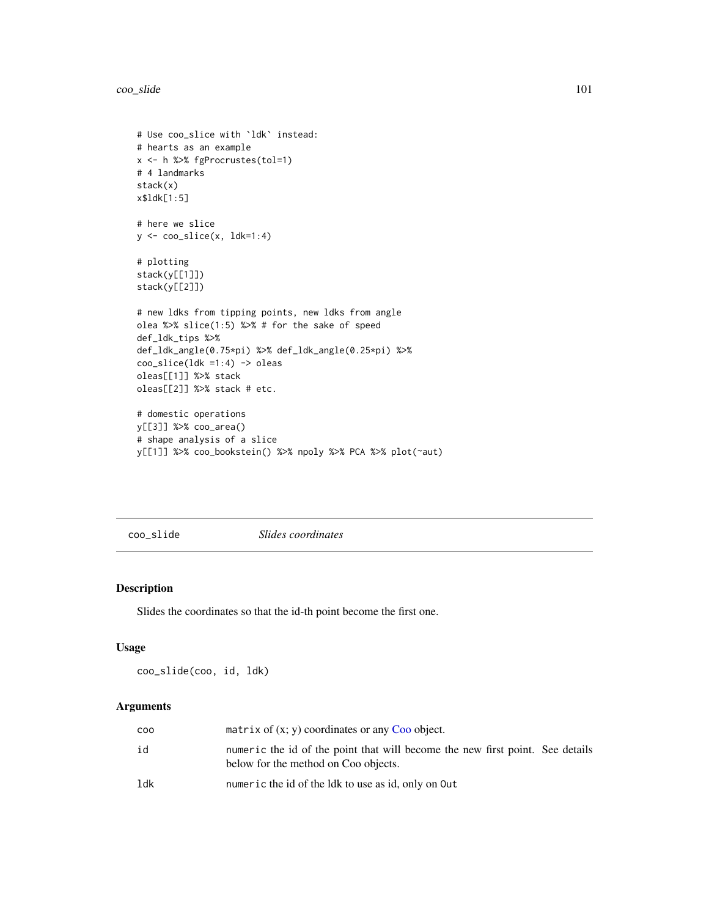coo\_slide 101

```
# Use coo_slice with `ldk` instead:
# hearts as an example
x <- h %>% fgProcrustes(tol=1)
# 4 landmarks
stack(x)
x$ldk[1:5]
# here we slice
y \leftarrow \text{coo\_slice}(x, \text{ ldk=1:4})# plotting
stack(y[[1]])
stack(y[[2]])
# new ldks from tipping points, new ldks from angle
olea %>% slice(1:5) %>% # for the sake of speed
def_ldk_tips %>%
def_ldk_angle(0.75*pi) %>% def_ldk_angle(0.25*pi) %>%
coo\_slice(1dk =1:4) -> oleas
oleas[[1]] %>% stack
oleas[[2]] %>% stack # etc.
# domestic operations
y[[3]] %>% coo_area()
# shape analysis of a slice
y[[1]] %>% coo_bookstein() %>% npoly %>% PCA %>% plot(~aut)
```
<span id="page-100-0"></span>coo\_slide *Slides coordinates*

# Description

Slides the coordinates so that the id-th point become the first one.

#### Usage

coo\_slide(coo, id, ldk)

# Arguments

| coo | matrix of $(x, y)$ coordinates or any Coo object.                                                                     |
|-----|-----------------------------------------------------------------------------------------------------------------------|
| id  | numeric the id of the point that will become the new first point. See details<br>below for the method on Coo objects. |
| ldk | numeric the id of the ldk to use as id, only on Out                                                                   |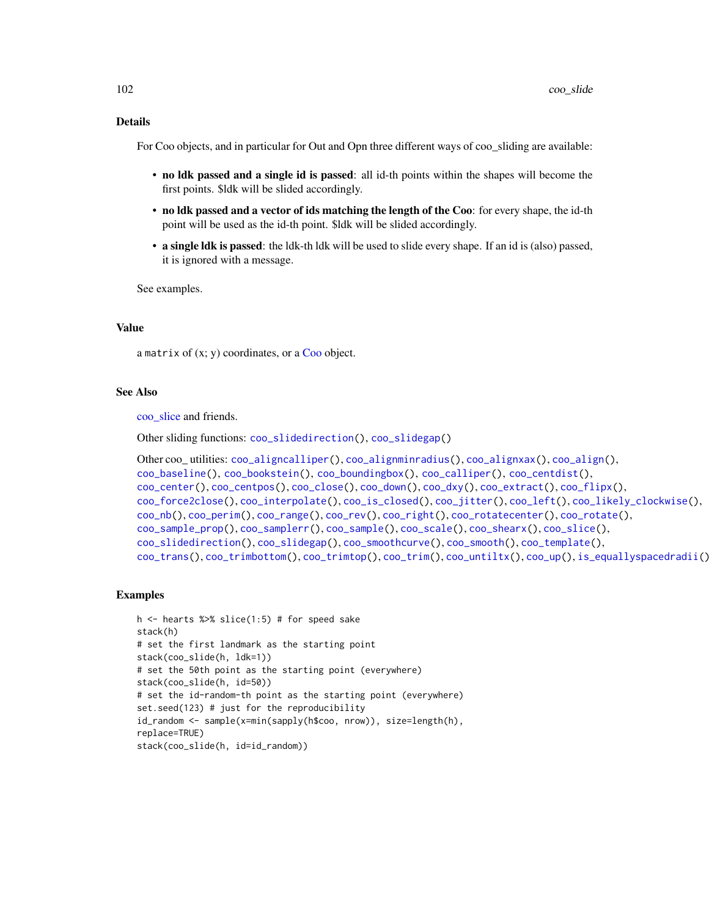#### Details

For Coo objects, and in particular for Out and Opn three different ways of coo\_sliding are available:

- no ldk passed and a single id is passed: all id-th points within the shapes will become the first points. \$ldk will be slided accordingly.
- no ldk passed and a vector of ids matching the length of the Coo: for every shape, the id-th point will be used as the id-th point. \$ldk will be slided accordingly.
- a single ldk is passed: the ldk-th ldk will be used to slide every shape. If an id is (also) passed, it is ignored with a message.

See examples.

# Value

a matrix of  $(x; y)$  coordinates, or a [Coo](#page-38-0) object.

#### See Also

[coo\\_slice](#page-99-0) and friends.

```
Other sliding functions: coo_slidedirection(), coo_slidegap()
```

```
Other coo_ utilities: coo_aligncalliper(), coo_alignminradius(), coo_alignxax(), coo_align(),
coo_baseline(), coo_bookstein(), coo_boundingbox(), coo_calliper(), coo_centdist(),
coo_center(), coo_centpos(), coo_close(), coo_down(), coo_dxy(), coo_extract(), coo_flipx(),
coo_force2close(), coo_interpolate(), coo_is_closed(), coo_jitter(), coo_left(), coo_likely_clockwise(),
coo_nb(), coo_perim(), coo_range(), coo_rev(), coo_right(), coo_rotatecenter(), coo_rotate(),
coo_sample_prop(), coo_samplerr(), coo_sample(), coo_scale(), coo_shearx(), coo_slice(),
coo_slidedirection(), coo_slidegap(), coo_smoothcurve(), coo_smooth(), coo_template(),
coo_trans(), coo_trimbottom(), coo_trimtop(), coo_trim(), coo_untiltx(), coo_up(), is_equallyspacedradii()
```

```
h <- hearts %>% slice(1:5) # for speed sake
stack(h)
# set the first landmark as the starting point
stack(coo_slide(h, ldk=1))
# set the 50th point as the starting point (everywhere)
stack(coo_slide(h, id=50))
# set the id-random-th point as the starting point (everywhere)
set.seed(123) # just for the reproducibility
id_random <- sample(x=min(sapply(h$coo, nrow)), size=length(h),
replace=TRUE)
stack(coo_slide(h, id=id_random))
```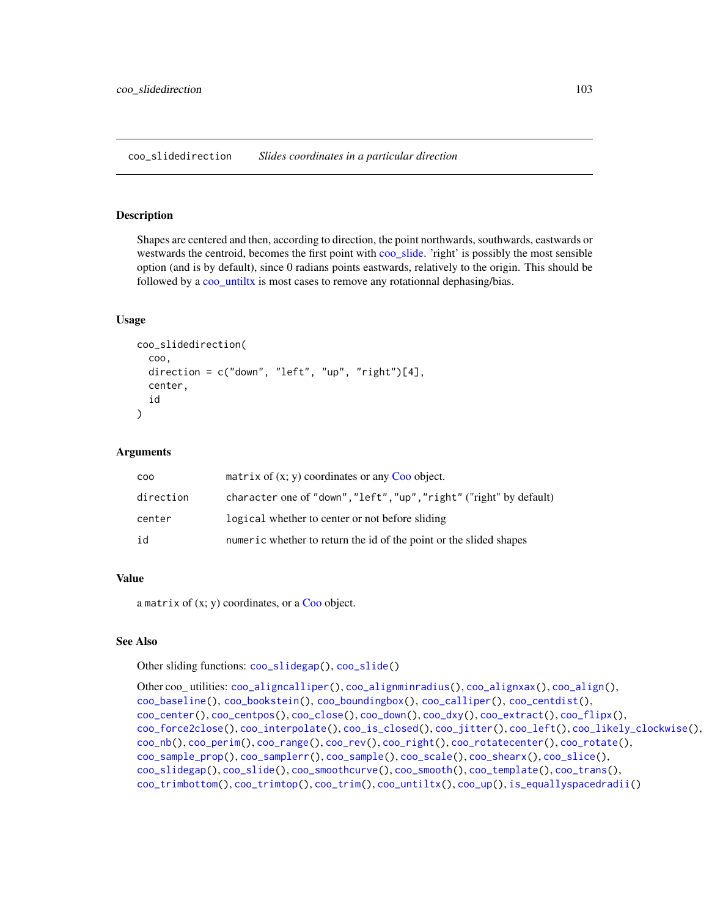<span id="page-102-0"></span>coo\_slidedirection *Slides coordinates in a particular direction*

#### Description

Shapes are centered and then, according to direction, the point northwards, southwards, eastwards or westwards the centroid, becomes the first point with [coo\\_slide.](#page-100-0) 'right' is possibly the most sensible option (and is by default), since 0 radians points eastwards, relatively to the origin. This should be followed by a [coo\\_untiltx](#page-113-0) is most cases to remove any rotationnal dephasing/bias.

#### Usage

```
coo_slidedirection(
  coo,
  direction = c("down", "left", "up", "right",")[4],center,
  id
)
```
#### Arguments

| <b>COO</b> | matrix of $(x, y)$ coordinates or any Coo object.                   |
|------------|---------------------------------------------------------------------|
| direction  | character one of "down", "left", "up", "right" ("right" by default) |
| center     | logical whether to center or not before sliding                     |
| id         | numeric whether to return the id of the point or the slided shapes  |

# Value

a matrix of  $(x; y)$  coordinates, or a [Coo](#page-38-0) object.

## See Also

Other sliding functions: [coo\\_slidegap\(](#page-103-0)), [coo\\_slide\(](#page-100-0))

```
Other coo_ utilities: coo_aligncalliper(), coo_alignminradius(), coo_alignxax(), coo_align(),
coo_baseline(), coo_bookstein(), coo_boundingbox(), coo_calliper(), coo_centdist(),
coo_center(), coo_centpos(), coo_close(), coo_down(), coo_dxy(), coo_extract(), coo_flipx(),
coo_force2close(), coo_interpolate(), coo_is_closed(), coo_jitter(), coo_left(), coo_likely_clockwise(),
coo_nb(), coo_perim(), coo_range(), coo_rev(), coo_right(), coo_rotatecenter(), coo_rotate(),
coo_sample_prop(), coo_samplerr(), coo_sample(), coo_scale(), coo_shearx(), coo_slice(),
coo_slidegap(), coo_slide(), coo_smoothcurve(), coo_smooth(), coo_template(), coo_trans(),
coo_trimbottom(), coo_trimtop(), coo_trim(), coo_untiltx(), coo_up(), is_equallyspacedradii()
```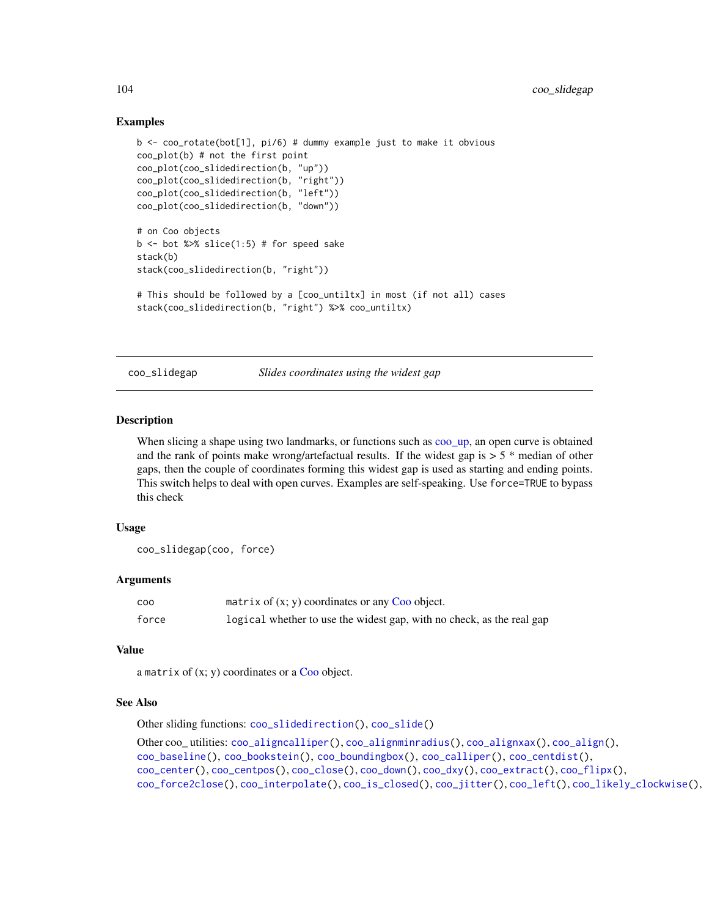## Examples

```
b <- coo_rotate(bot[1], pi/6) # dummy example just to make it obvious
coo_plot(b) # not the first point
coo_plot(coo_slidedirection(b, "up"))
coo_plot(coo_slidedirection(b, "right"))
coo_plot(coo_slidedirection(b, "left"))
coo_plot(coo_slidedirection(b, "down"))
# on Coo objects
b \le - bot %>% slice(1:5) # for speed sake
stack(b)
stack(coo_slidedirection(b, "right"))
# This should be followed by a [coo_untiltx] in most (if not all) cases
stack(coo_slidedirection(b, "right") %>% coo_untiltx)
```
<span id="page-103-0"></span>coo\_slidegap *Slides coordinates using the widest gap*

## Description

When slicing a shape using two landmarks, or functions such as [coo\\_up,](#page-115-0) an open curve is obtained and the rank of points make wrong/artefactual results. If the widest gap is  $> 5$  \* median of other gaps, then the couple of coordinates forming this widest gap is used as starting and ending points. This switch helps to deal with open curves. Examples are self-speaking. Use force=TRUE to bypass this check

#### Usage

```
coo_slidegap(coo, force)
```
#### Arguments

| <b>COO</b> | matrix of $(x, y)$ coordinates or any Coo object.                     |
|------------|-----------------------------------------------------------------------|
| force      | logical whether to use the widest gap, with no check, as the real gap |

#### Value

a matrix of  $(x; y)$  coordinates or a [Coo](#page-38-0) object.

#### See Also

Other sliding functions: [coo\\_slidedirection\(](#page-102-0)), [coo\\_slide\(](#page-100-0))

```
Other coo_ utilities: coo_aligncalliper(), coo_alignminradius(), coo_alignxax(), coo_align(),
coo_baseline(), coo_bookstein(), coo_boundingbox(), coo_calliper(), coo_centdist(),
coo_center(), coo_centpos(), coo_close(), coo_down(), coo_dxy(), coo_extract(), coo_flipx(),
coo_force2close(), coo_interpolate(), coo_is_closed(), coo_jitter(), coo_left(), coo_likely_clockwise(),
```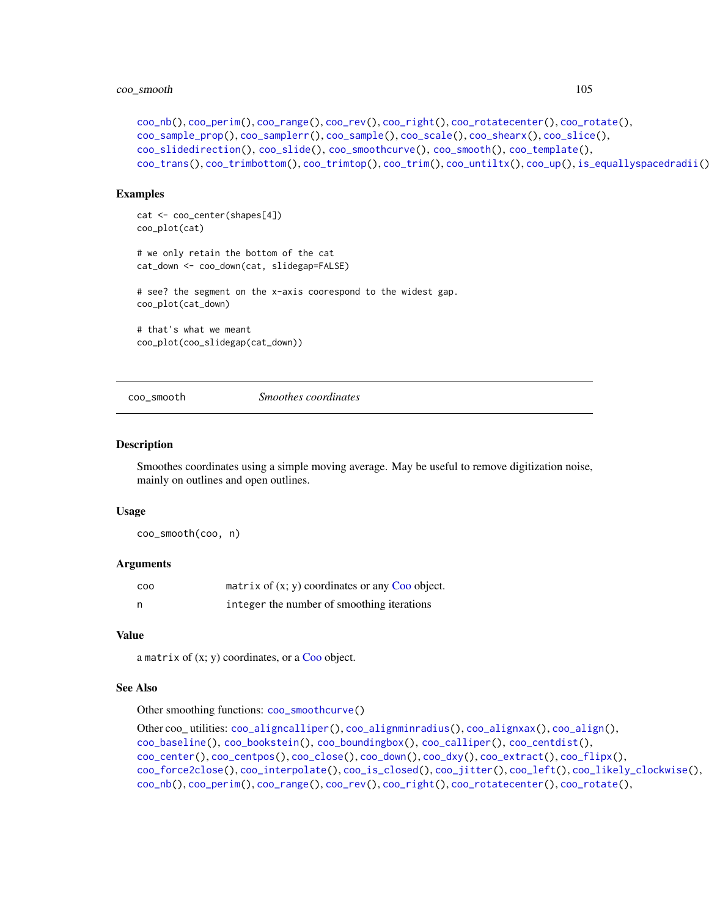# coo\_smooth 105

```
coo_nb(), coo_perim(), coo_range(), coo_rev(), coo_right(), coo_rotatecenter(), coo_rotate(),
coo_sample_prop(), coo_samplerr(), coo_sample(), coo_scale(), coo_shearx(), coo_slice(),
coo_slidedirection(), coo_slide(), coo_smoothcurve(), coo_smooth(), coo_template(),
coo_trans(), coo_trimbottom(), coo_trimtop(), coo_trim(), coo_untiltx(), coo_up(), is_equallyspacedradii()
```
#### Examples

```
cat <- coo_center(shapes[4])
coo_plot(cat)
# we only retain the bottom of the cat
cat_down <- coo_down(cat, slidegap=FALSE)
# see? the segment on the x-axis coorespond to the widest gap.
coo_plot(cat_down)
# that's what we meant
coo_plot(coo_slidegap(cat_down))
```
<span id="page-104-0"></span>coo\_smooth *Smoothes coordinates*

## **Description**

Smoothes coordinates using a simple moving average. May be useful to remove digitization noise, mainly on outlines and open outlines.

#### Usage

coo\_smooth(coo, n)

#### Arguments

| COO | matrix of $(x, y)$ coordinates or any Coo object. |
|-----|---------------------------------------------------|
| n   | integer the number of smoothing iterations        |

#### Value

a matrix of  $(x; y)$  coordinates, or a [Coo](#page-38-0) object.

## See Also

Other smoothing functions: [coo\\_smoothcurve\(](#page-105-0))

```
Other coo_ utilities: coo_aligncalliper(), coo_alignminradius(), coo_alignxax(), coo_align(),
coo_baseline(), coo_bookstein(), coo_boundingbox(), coo_calliper(), coo_centdist(),
coo_center(), coo_centpos(), coo_close(), coo_down(), coo_dxy(), coo_extract(), coo_flipx(),
coo_force2close(), coo_interpolate(), coo_is_closed(), coo_jitter(), coo_left(), coo_likely_clockwise(),
coo_nb(), coo_perim(), coo_range(), coo_rev(), coo_right(), coo_rotatecenter(), coo_rotate(),
```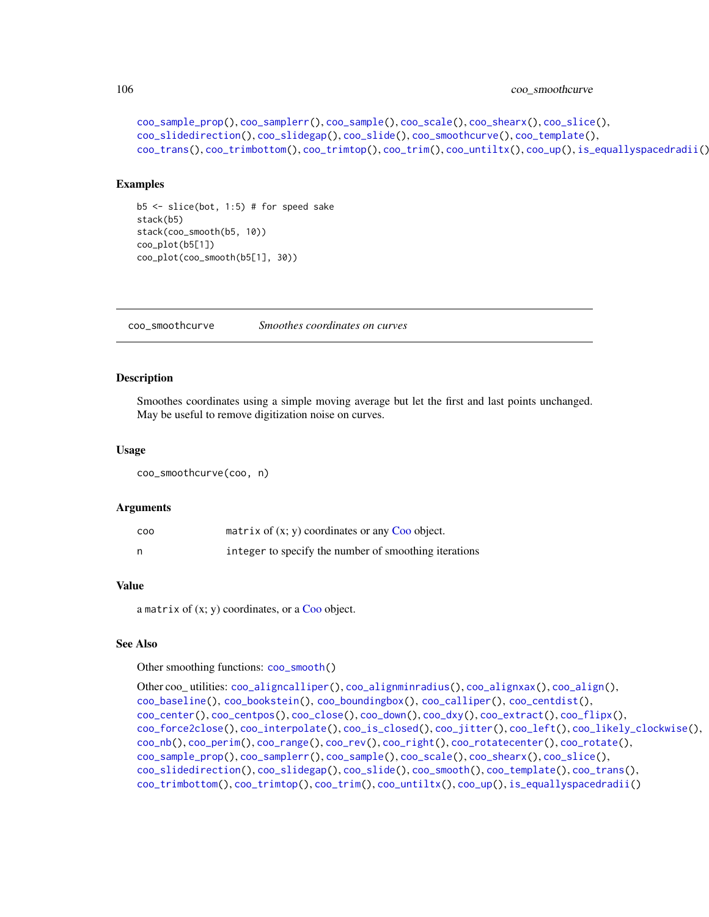```
coo_sample_prop(), coo_samplerr(), coo_sample(), coo_scale(), coo_shearx(), coo_slice(),
coo_slidedirection(), coo_slidegap(), coo_slide(), coo_smoothcurve(), coo_template(),
coo_trans(), coo_trimbottom(), coo_trimtop(), coo_trim(), coo_untiltx(), coo_up(), is_equallyspacedradii()
```
## Examples

```
b5 \leq -slice(bot, 1:5) # for speed sake
stack(b5)
stack(coo_smooth(b5, 10))
coo_plot(b5[1])
coo_plot(coo_smooth(b5[1], 30))
```
<span id="page-105-0"></span>coo\_smoothcurve *Smoothes coordinates on curves*

## Description

Smoothes coordinates using a simple moving average but let the first and last points unchanged. May be useful to remove digitization noise on curves.

#### Usage

coo\_smoothcurve(coo, n)

#### Arguments

| COO | matrix of $(x, y)$ coordinates or any Coo object.     |
|-----|-------------------------------------------------------|
|     | integer to specify the number of smoothing iterations |

#### Value

a matrix of  $(x; y)$  coordinates, or a [Coo](#page-38-0) object.

# See Also

Other smoothing functions: [coo\\_smooth\(](#page-104-0))

```
Other coo_ utilities: coo_aligncalliper(), coo_alignminradius(), coo_alignxax(), coo_align(),
coo_baseline(), coo_bookstein(), coo_boundingbox(), coo_calliper(), coo_centdist(),
coo_center(), coo_centpos(), coo_close(), coo_down(), coo_dxy(), coo_extract(), coo_flipx(),
coo_force2close(), coo_interpolate(), coo_is_closed(), coo_jitter(), coo_left(), coo_likely_clockwise(),
coo_nb(), coo_perim(), coo_range(), coo_rev(), coo_right(), coo_rotatecenter(), coo_rotate(),
coo_sample_prop(), coo_samplerr(), coo_sample(), coo_scale(), coo_shearx(), coo_slice(),
coo_slidedirection(), coo_slidegap(), coo_slide(), coo_smooth(), coo_template(), coo_trans(),
coo_trimbottom(), coo_trimtop(), coo_trim(), coo_untiltx(), coo_up(), is_equallyspacedradii()
```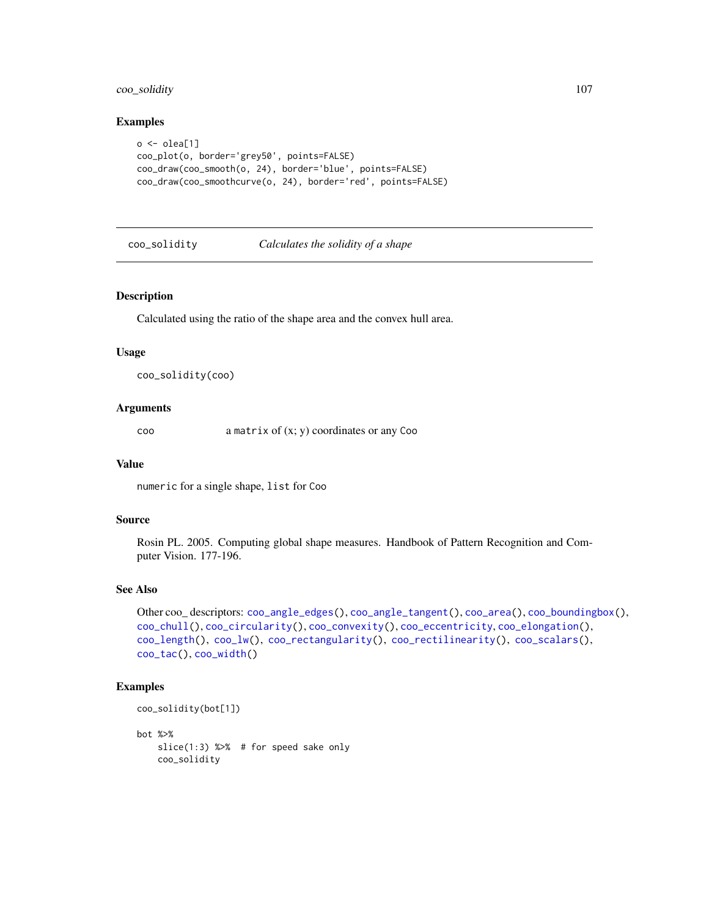# coo\_solidity 107

#### Examples

```
o \leftarrow olea[1]coo_plot(o, border='grey50', points=FALSE)
coo_draw(coo_smooth(o, 24), border='blue', points=FALSE)
coo_draw(coo_smoothcurve(o, 24), border='red', points=FALSE)
```
<span id="page-106-0"></span>coo\_solidity *Calculates the solidity of a shape*

#### Description

Calculated using the ratio of the shape area and the convex hull area.

## Usage

```
coo_solidity(coo)
```
## Arguments

coo a matrix of (x; y) coordinates or any Coo

#### Value

numeric for a single shape, list for Coo

#### Source

Rosin PL. 2005. Computing global shape measures. Handbook of Pattern Recognition and Computer Vision. 177-196.

## See Also

```
Other coo_ descriptors: coo_angle_edges(), coo_angle_tangent(), coo_area(), coo_boundingbox(),
coo_chull(), coo_circularity(), coo_convexity(), coo_eccentricity, coo_elongation(),
coo_length(), coo_lw(), coo_rectangularity(), coo_rectilinearity(), coo_scalars(),
coo_tac(), coo_width()
```
## Examples

```
coo_solidity(bot[1])
```
bot %>% slice(1:3) %>% # for speed sake only coo\_solidity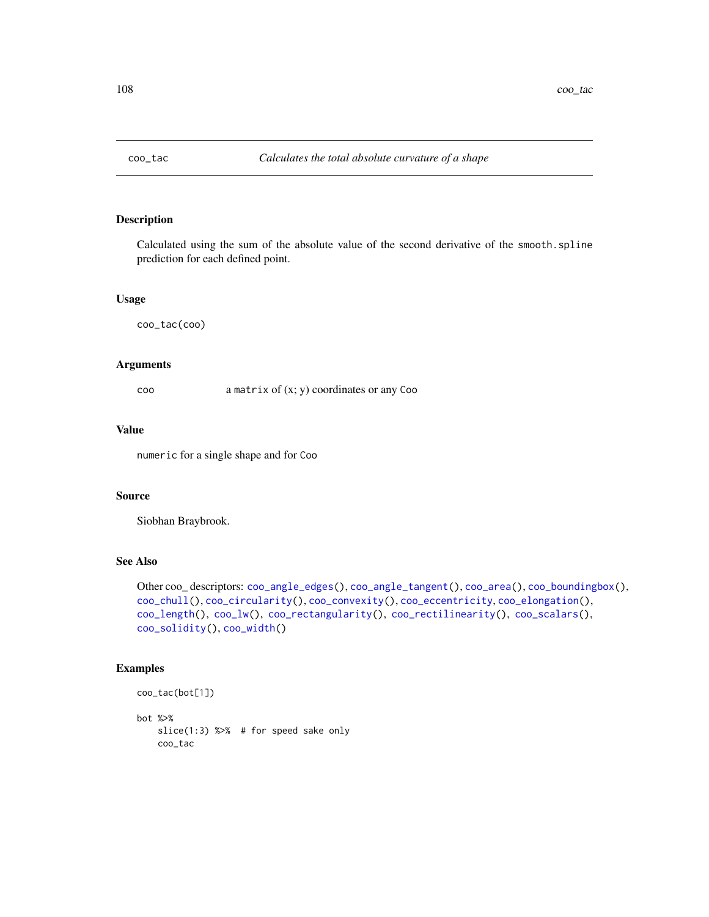<span id="page-107-0"></span>

#### Description

Calculated using the sum of the absolute value of the second derivative of the smooth.spline prediction for each defined point.

## Usage

coo\_tac(coo)

# Arguments

coo a matrix of (x; y) coordinates or any Coo

#### Value

numeric for a single shape and for Coo

## Source

Siobhan Braybrook.

# See Also

```
Other coo_ descriptors: coo_angle_edges(), coo_angle_tangent(), coo_area(), coo_boundingbox(),
coo_chull(), coo_circularity(), coo_convexity(), coo_eccentricity, coo_elongation(),
coo_length(), coo_lw(), coo_rectangularity(), coo_rectilinearity(), coo_scalars(),
coo_solidity(), coo_width()
```

```
coo_tac(bot[1])
bot %>%
```

```
slice(1:3) %>% # for speed sake only
coo_tac
```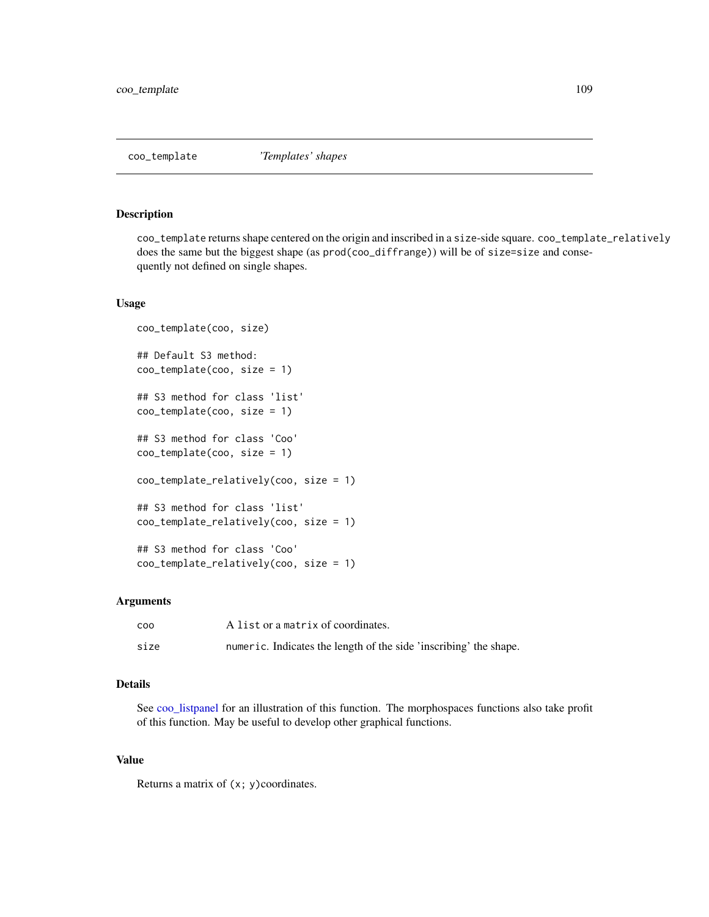<span id="page-108-0"></span>

coo\_template returns shape centered on the origin and inscribed in a size-side square. coo\_template\_relatively does the same but the biggest shape (as prod(coo\_diffrange)) will be of size=size and consequently not defined on single shapes.

## Usage

```
coo_template(coo, size)
## Default S3 method:
coo_template(coo, size = 1)
## S3 method for class 'list'
coo_template(coo, size = 1)
## S3 method for class 'Coo'
coo_template(coo, size = 1)
coo_template_relatively(coo, size = 1)
## S3 method for class 'list'
coo_template_relatively(coo, size = 1)
## S3 method for class 'Coo'
coo_template_relatively(coo, size = 1)
```
## Arguments

| COO  | A list or a matrix of coordinates.                                |
|------|-------------------------------------------------------------------|
| size | numeric. Indicates the length of the side 'inscribing' the shape. |

# Details

See [coo\\_listpanel](#page-76-0) for an illustration of this function. The morphospaces functions also take profit of this function. May be useful to develop other graphical functions.

## Value

Returns a matrix of  $(x; y)$ coordinates.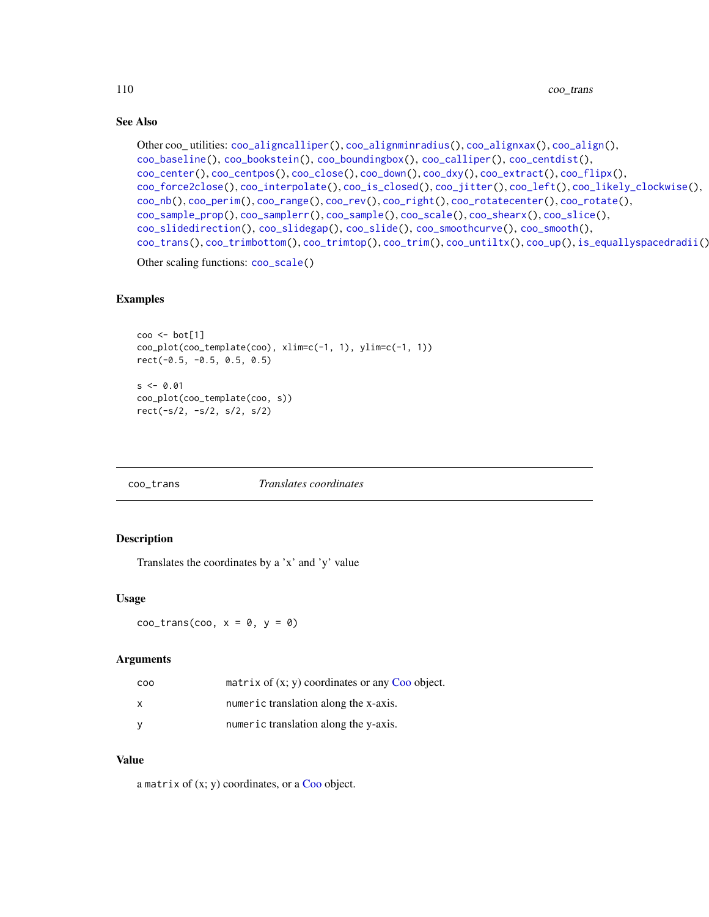# See Also

```
Other coo_ utilities: coo_aligncalliper(), coo_alignminradius(), coo_alignxax(), coo_align(),
coo_baseline(), coo_bookstein(), coo_boundingbox(), coo_calliper(), coo_centdist(),
coo_center(), coo_centpos(), coo_close(), coo_down(), coo_dxy(), coo_extract(), coo_flipx(),
coo_force2close(), coo_interpolate(), coo_is_closed(), coo_jitter(), coo_left(), coo_likely_clockwise(),
coo_nb(), coo_perim(), coo_range(), coo_rev(), coo_right(), coo_rotatecenter(), coo_rotate(),
coo_sample_prop(), coo_samplerr(), coo_sample(), coo_scale(), coo_shearx(), coo_slice(),
coo_slidedirection(), coo_slidegap(), coo_slide(), coo_smoothcurve(), coo_smooth(),
coo_trans(), coo_trimbottom(), coo_trimtop(), coo_trim(), coo_untiltx(), coo_up(), is_equallyspacedradii()
```
Other scaling functions: [coo\\_scale\(](#page-96-0))

## Examples

```
coo <- bot[1]
coo_plot(coo_template(coo), xlim=c(-1, 1), ylim=c(-1, 1))
rect(-0.5, -0.5, 0.5, 0.5)
s < -0.01coo_plot(coo_template(coo, s))
rect(-s/2, -s/2, s/2, s/2)
```
<span id="page-109-0"></span>

| <i>Translates coordinates</i><br>coo_trans |  |
|--------------------------------------------|--|
|--------------------------------------------|--|

## Description

Translates the coordinates by a 'x' and 'y' value

## Usage

 $coo_{r}$ trans(coo,  $x = 0$ ,  $y = 0$ )

#### Arguments

| C <sub>0</sub> | matrix of $(x, y)$ coordinates or any Coo object. |
|----------------|---------------------------------------------------|
| $\mathsf{X}$   | numeric translation along the x-axis.             |
|                | numeric translation along the y-axis.             |

## Value

a matrix of  $(x; y)$  coordinates, or a [Coo](#page-38-0) object.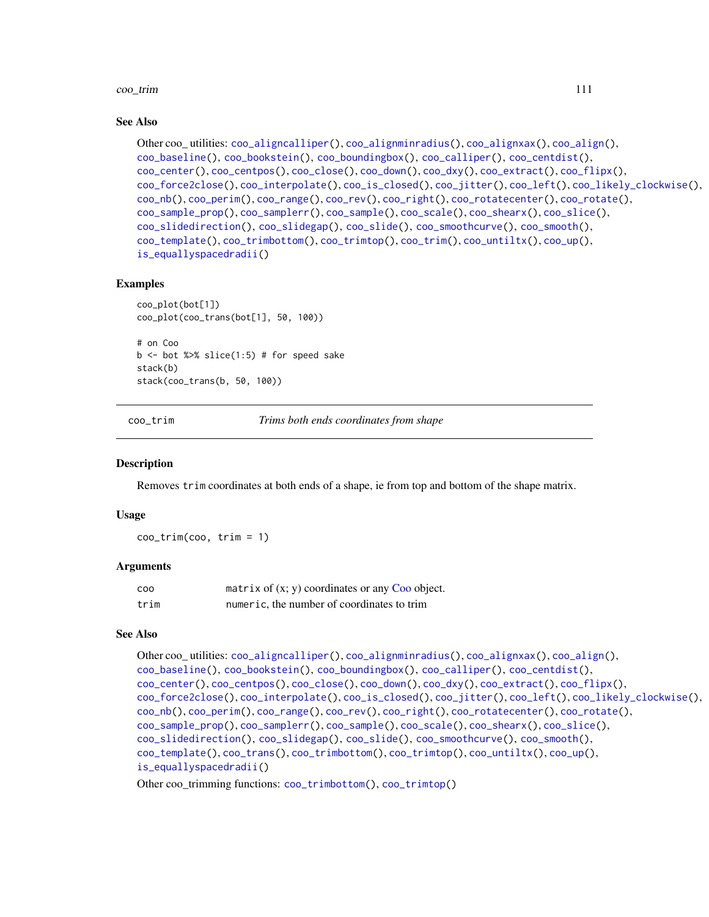#### coo\_trim 111

## See Also

```
Other coo_ utilities: coo_aligncalliper(), coo_alignminradius(), coo_alignxax(), coo_align(),
coo_baseline(), coo_bookstein(), coo_boundingbox(), coo_calliper(), coo_centdist(),
coo_center(), coo_centpos(), coo_close(), coo_down(), coo_dxy(), coo_extract(), coo_flipx(),
coo_force2close(), coo_interpolate(), coo_is_closed(), coo_jitter(), coo_left(), coo_likely_clockwise(),
coo_nb(), coo_perim(), coo_range(), coo_rev(), coo_right(), coo_rotatecenter(), coo_rotate(),
coo_sample_prop(), coo_samplerr(), coo_sample(), coo_scale(), coo_shearx(), coo_slice(),
coo_slidedirection(), coo_slidegap(), coo_slide(), coo_smoothcurve(), coo_smooth(),
coo_template(), coo_trimbottom(), coo_trimtop(), coo_trim(), coo_untiltx(), coo_up(),
is_equallyspacedradii()
```
#### Examples

```
coo_plot(bot[1])
coo_plot(coo_trans(bot[1], 50, 100))
# on Coo
b \le - bot %>% slice(1:5) # for speed sake
stack(b)
stack(coo_trans(b, 50, 100))
```
<span id="page-110-0"></span>coo\_trim *Trims both ends coordinates from shape*

## Description

Removes trim coordinates at both ends of a shape, ie from top and bottom of the shape matrix.

## Usage

coo\_trim(coo, trim = 1)

## Arguments

| COO  | matrix of $(x, y)$ coordinates or any Coo object. |
|------|---------------------------------------------------|
| trim | numeric, the number of coordinates to trim        |

#### See Also

```
Other coo_ utilities: coo_aligncalliper(), coo_alignminradius(), coo_alignxax(), coo_align(),
coo_baseline(), coo_bookstein(), coo_boundingbox(), coo_calliper(), coo_centdist(),
coo_center(), coo_centpos(), coo_close(), coo_down(), coo_dxy(), coo_extract(), coo_flipx(),
coo_force2close(), coo_interpolate(), coo_is_closed(), coo_jitter(), coo_left(), coo_likely_clockwise(),
coo_nb(), coo_perim(), coo_range(), coo_rev(), coo_right(), coo_rotatecenter(), coo_rotate(),
coo_sample_prop(), coo_samplerr(), coo_sample(), coo_scale(), coo_shearx(), coo_slice(),
coo_slidedirection(), coo_slidegap(), coo_slide(), coo_smoothcurve(), coo_smooth(),
coo_template(), coo_trans(), coo_trimbottom(), coo_trimtop(), coo_untiltx(), coo_up(),
is_equallyspacedradii()
```
Other coo\_trimming functions: [coo\\_trimbottom\(](#page-111-0)), [coo\\_trimtop\(](#page-112-0))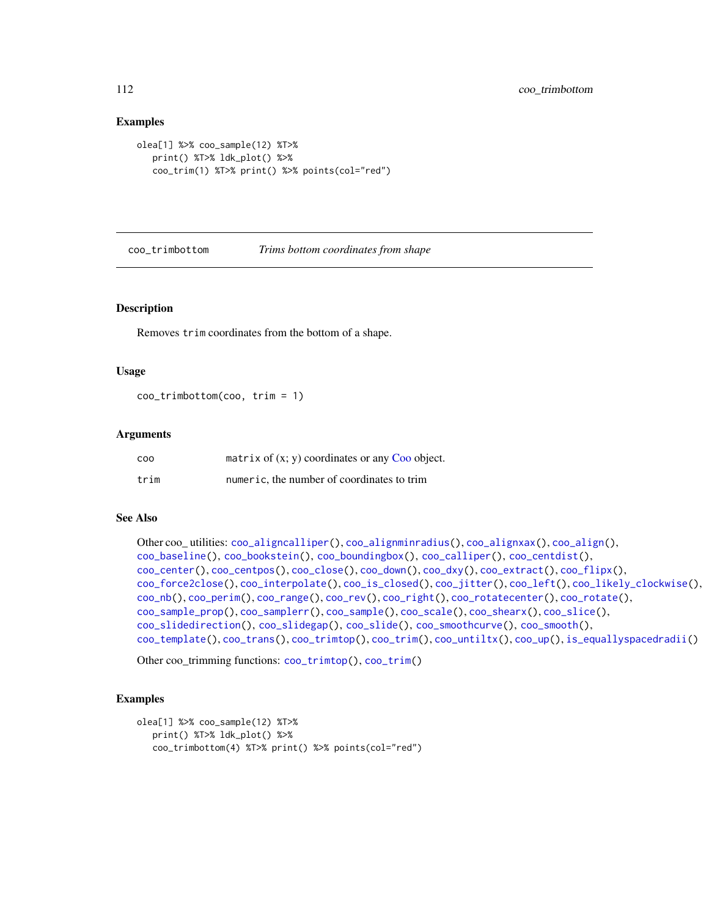## Examples

```
olea[1] %>% coo_sample(12) %T>%
   print() %T>% ldk_plot() %>%
   coo_trim(1) %T>% print() %>% points(col="red")
```
<span id="page-111-0"></span>coo\_trimbottom *Trims bottom coordinates from shape*

#### Description

Removes trim coordinates from the bottom of a shape.

#### Usage

coo\_trimbottom(coo, trim = 1)

## Arguments

| <b>COO</b> | matrix of $(x, y)$ coordinates or any Coo object. |
|------------|---------------------------------------------------|
| trim       | numeric, the number of coordinates to trim        |

## See Also

```
Other coo_ utilities: coo_aligncalliper(), coo_alignminradius(), coo_alignxax(), coo_align(),
coo_baseline(), coo_bookstein(), coo_boundingbox(), coo_calliper(), coo_centdist(),
coo_center(), coo_centpos(), coo_close(), coo_down(), coo_dxy(), coo_extract(), coo_flipx(),
coo_force2close(), coo_interpolate(), coo_is_closed(), coo_jitter(), coo_left(), coo_likely_clockwise(),
coo_nb(), coo_perim(), coo_range(), coo_rev(), coo_right(), coo_rotatecenter(), coo_rotate(),
coo_sample_prop(), coo_samplerr(), coo_sample(), coo_scale(), coo_shearx(), coo_slice(),
coo_slidedirection(), coo_slidegap(), coo_slide(), coo_smoothcurve(), coo_smooth(),
coo_template(), coo_trans(), coo_trimtop(), coo_trim(), coo_untiltx(), coo_up(), is_equallyspacedradii()
```
Other coo\_trimming functions: [coo\\_trimtop\(](#page-112-0)), [coo\\_trim\(](#page-110-0))

```
olea[1] %>% coo_sample(12) %T>%
  print() %T>% ldk_plot() %>%
  coo_trimbottom(4) %T>% print() %>% points(col="red")
```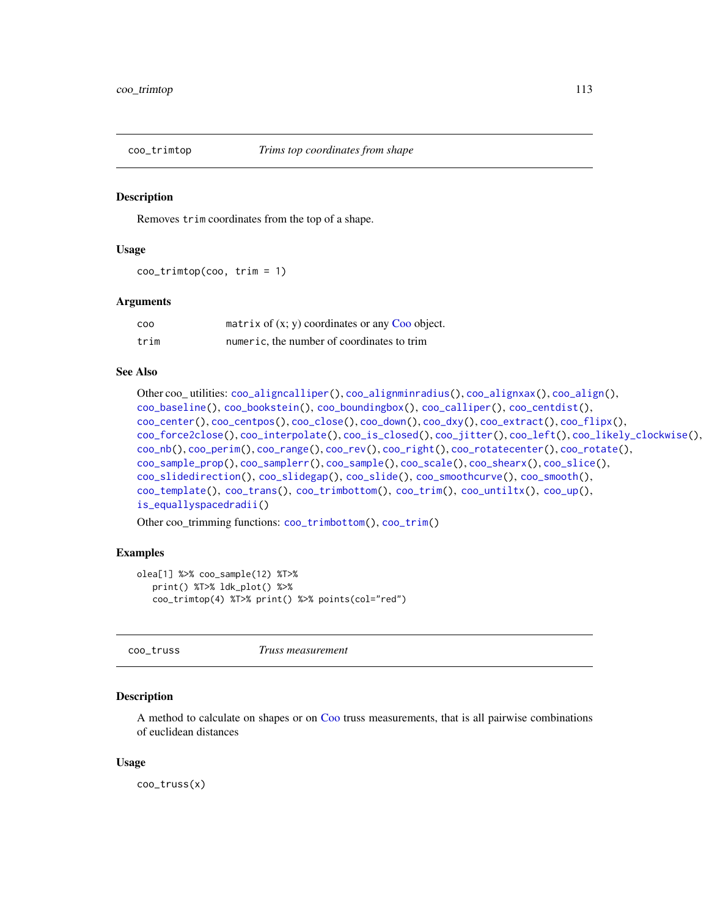<span id="page-112-0"></span>

Removes trim coordinates from the top of a shape.

## Usage

coo\_trimtop(coo, trim = 1)

## Arguments

| coo  | matrix of $(x, y)$ coordinates or any Coo object. |
|------|---------------------------------------------------|
| trim | numeric, the number of coordinates to trim        |

## See Also

```
Other coo_ utilities: coo_aligncalliper(), coo_alignminradius(), coo_alignxax(), coo_align(),
coo_baseline(), coo_bookstein(), coo_boundingbox(), coo_calliper(), coo_centdist(),
coo_center(), coo_centpos(), coo_close(), coo_down(), coo_dxy(), coo_extract(), coo_flipx(),
coo_force2close(), coo_interpolate(), coo_is_closed(), coo_jitter(), coo_left(), coo_likely_clockwise(),
coo_nb(), coo_perim(), coo_range(), coo_rev(), coo_right(), coo_rotatecenter(), coo_rotate(),
coo_sample_prop(), coo_samplerr(), coo_sample(), coo_scale(), coo_shearx(), coo_slice(),
coo_slidedirection(), coo_slidegap(), coo_slide(), coo_smoothcurve(), coo_smooth(),
coo_template(), coo_trans(), coo_trimbottom(), coo_trim(), coo_untiltx(), coo_up(),
is_equallyspacedradii()
```
Other coo\_trimming functions: [coo\\_trimbottom\(](#page-111-0)), [coo\\_trim\(](#page-110-0))

## Examples

```
olea[1] %>% coo_sample(12) %T>%
  print() %T>% ldk_plot() %>%
  coo_trimtop(4) %T>% print() %>% points(col="red")
```
<span id="page-112-1"></span>coo\_truss *Truss measurement*

#### Description

A method to calculate on shapes or on [Coo](#page-38-0) truss measurements, that is all pairwise combinations of euclidean distances

#### Usage

coo\_truss(x)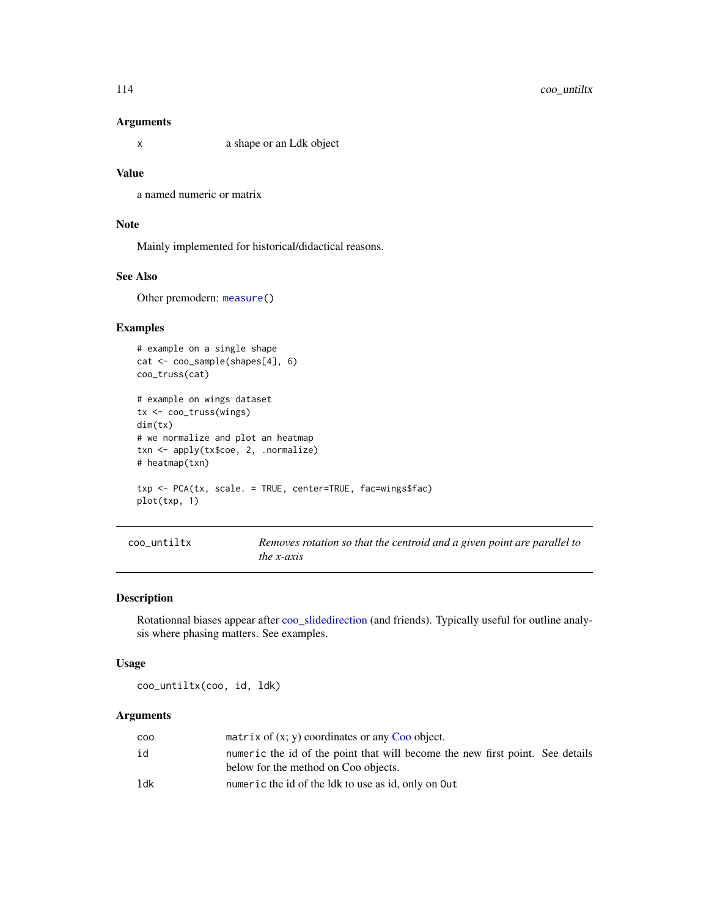# 114 coo\_untiltx

### Arguments

x a shape or an Ldk object

## Value

a named numeric or matrix

# Note

Mainly implemented for historical/didactical reasons.

# See Also

Other premodern: [measure\(](#page-180-0))

# Examples

```
# example on a single shape
cat <- coo_sample(shapes[4], 6)
coo_truss(cat)
# example on wings dataset
tx <- coo_truss(wings)
dim(tx)
# we normalize and plot an heatmap
txn <- apply(tx$coe, 2, .normalize)
# heatmap(txn)
txp <- PCA(tx, scale. = TRUE, center=TRUE, fac=wings$fac)
plot(txp, 1)
```

```
coo_untiltx Removes rotation so that the centroid and a given point are parallel to
                        the x-axis
```
## Description

Rotationnal biases appear after [coo\\_slidedirection](#page-102-0) (and friends). Typically useful for outline analysis where phasing matters. See examples.

#### Usage

coo\_untiltx(coo, id, ldk)

# Arguments

| <b>COO</b> | matrix of $(x, y)$ coordinates or any Coo object.                                                                     |
|------------|-----------------------------------------------------------------------------------------------------------------------|
| id         | numeric the id of the point that will become the new first point. See details<br>below for the method on Coo objects. |
| 1dk        | numeric the id of the ldk to use as id, only on Out                                                                   |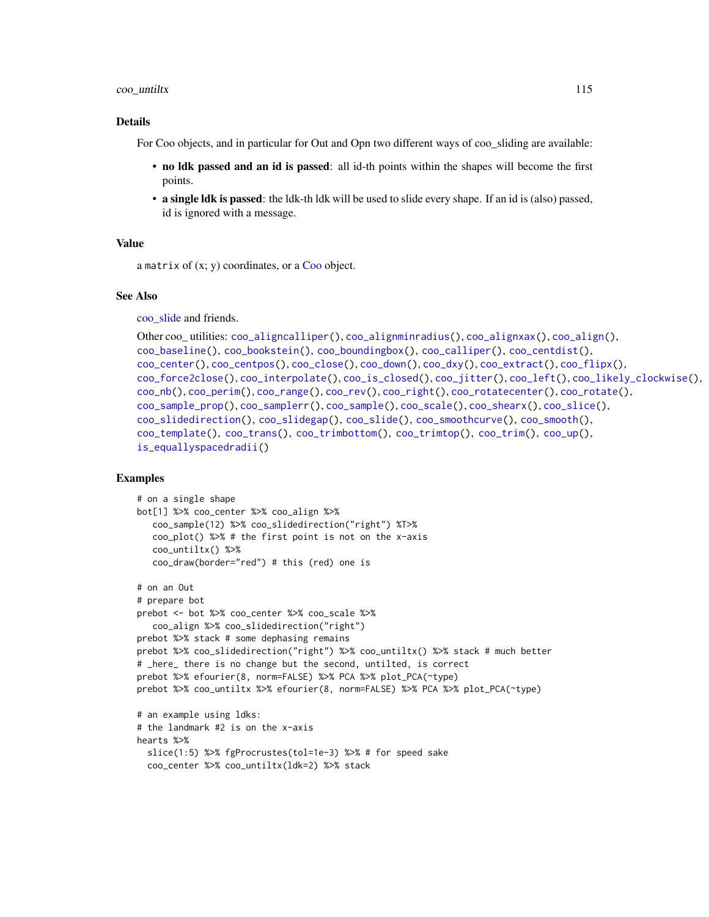#### coo\_untiltx 115

#### Details

For Coo objects, and in particular for Out and Opn two different ways of coo sliding are available:

- no ldk passed and an id is passed: all id-th points within the shapes will become the first points.
- a single ldk is passed: the ldk-th ldk will be used to slide every shape. If an id is (also) passed, id is ignored with a message.

#### Value

a matrix of  $(x; y)$  coordinates, or a [Coo](#page-38-0) object.

#### See Also

[coo\\_slide](#page-100-0) and friends.

```
Other coo_ utilities: coo_aligncalliper(), coo_alignminradius(), coo_alignxax(), coo_align(),
coo_baseline(), coo_bookstein(), coo_boundingbox(), coo_calliper(), coo_centdist(),
coo_center(), coo_centpos(), coo_close(), coo_down(), coo_dxy(), coo_extract(), coo_flipx(),
coo_force2close(), coo_interpolate(), coo_is_closed(), coo_jitter(), coo_left(), coo_likely_clockwise(),
coo_nb(), coo_perim(), coo_range(), coo_rev(), coo_right(), coo_rotatecenter(), coo_rotate(),
coo_sample_prop(), coo_samplerr(), coo_sample(), coo_scale(), coo_shearx(), coo_slice(),
coo_slidedirection(), coo_slidegap(), coo_slide(), coo_smoothcurve(), coo_smooth(),
coo_template(), coo_trans(), coo_trimbottom(), coo_trimtop(), coo_trim(), coo_up(),
is_equallyspacedradii()
```

```
# on a single shape
bot[1] %>% coo_center %>% coo_align %>%
  coo_sample(12) %>% coo_slidedirection("right") %T>%
  coo_plot() %>% # the first point is not on the x-axis
   coo_untiltx() %>%
  coo_draw(border="red") # this (red) one is
# on an Out
# prepare bot
prebot <- bot %>% coo_center %>% coo_scale %>%
  coo_align %>% coo_slidedirection("right")
prebot %>% stack # some dephasing remains
prebot %>% coo_slidedirection("right") %>% coo_untiltx() %>% stack # much better
# _here_ there is no change but the second, untilted, is correct
prebot %>% efourier(8, norm=FALSE) %>% PCA %>% plot_PCA(~type)
prebot %>% coo_untiltx %>% efourier(8, norm=FALSE) %>% PCA %>% plot_PCA(~type)
# an example using ldks:
# the landmark #2 is on the x-axis
hearts %>%
 slice(1:5) %>% fgProcrustes(tol=1e-3) %>% # for speed sake
 coo_center %>% coo_untiltx(ldk=2) %>% stack
```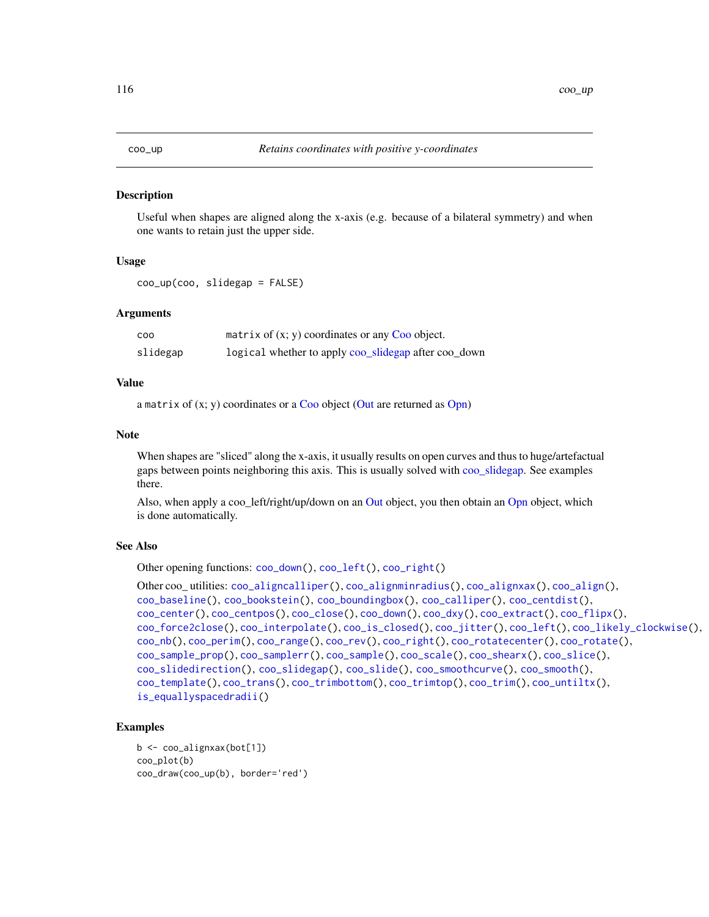<span id="page-115-0"></span>

Useful when shapes are aligned along the x-axis (e.g. because of a bilateral symmetry) and when one wants to retain just the upper side.

## Usage

coo\_up(coo, slidegap = FALSE)

## Arguments

| <b>COO</b> | matrix of $(x, y)$ coordinates or any Coo object.    |
|------------|------------------------------------------------------|
| slidegap   | logical whether to apply coo_slidegap after coo_down |

# Value

a matrix of  $(x; y)$  coordinates or a [Coo](#page-38-0) object [\(Out](#page-197-0) are returned as [Opn\)](#page-193-0)

#### Note

When shapes are "sliced" along the x-axis, it usually results on open curves and thus to huge/artefactual gaps between points neighboring this axis. This is usually solved with [coo\\_slidegap.](#page-103-0) See examples there.

Also, when apply a coo\_left/right/up/down on an [Out](#page-197-0) object, you then obtain an [Opn](#page-193-0) object, which is done automatically.

## See Also

Other opening functions: [coo\\_down\(](#page-60-0)), [coo\\_left\(](#page-73-0)), [coo\\_right\(](#page-88-0))

```
Other coo_ utilities: coo_aligncalliper(), coo_alignminradius(), coo_alignxax(), coo_align(),
coo_baseline(), coo_bookstein(), coo_boundingbox(), coo_calliper(), coo_centdist(),
coo_center(), coo_centpos(), coo_close(), coo_down(), coo_dxy(), coo_extract(), coo_flipx(),
coo_force2close(), coo_interpolate(), coo_is_closed(), coo_jitter(), coo_left(), coo_likely_clockwise(),
coo_nb(), coo_perim(), coo_range(), coo_rev(), coo_right(), coo_rotatecenter(), coo_rotate(),
coo_sample_prop(), coo_samplerr(), coo_sample(), coo_scale(), coo_shearx(), coo_slice(),
coo_slidedirection(), coo_slidegap(), coo_slide(), coo_smoothcurve(), coo_smooth(),
coo_template(), coo_trans(), coo_trimbottom(), coo_trimtop(), coo_trim(), coo_untiltx(),
is_equallyspacedradii()
```

```
b <- coo_alignxax(bot[1])
coo_plot(b)
coo_draw(coo_up(b), border='red')
```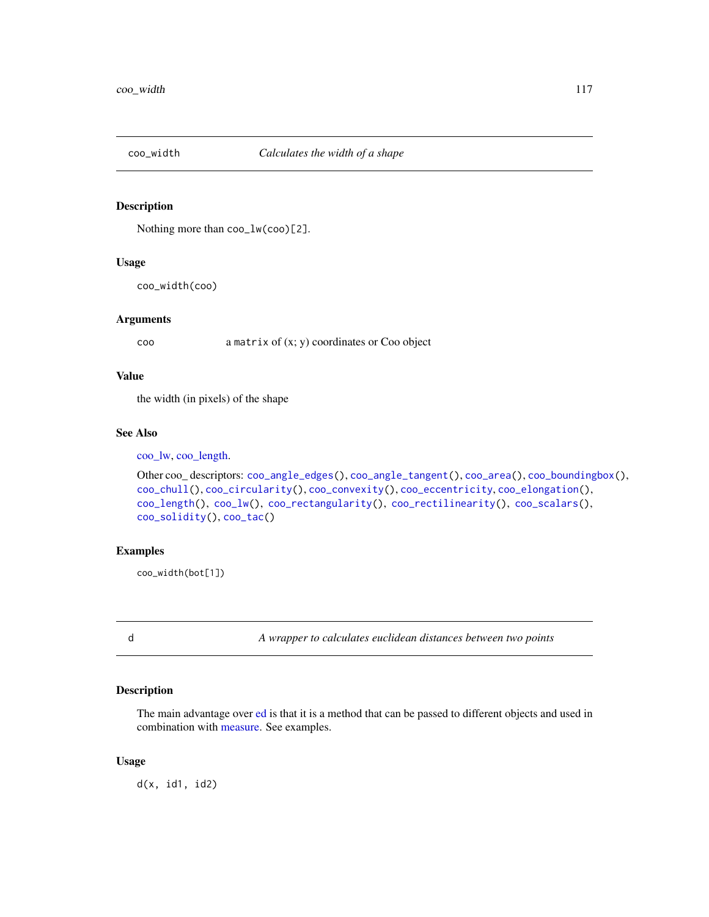Nothing more than coo\_lw(coo)[2].

## Usage

coo\_width(coo)

## Arguments

coo a matrix of (x; y) coordinates or Coo object

# Value

the width (in pixels) of the shape

# See Also

[coo\\_lw,](#page-78-0) [coo\\_length.](#page-74-0)

```
Other coo_ descriptors: coo_angle_edges(), coo_angle_tangent(), coo_area(), coo_boundingbox(),
coo_chull(), coo_circularity(), coo_convexity(), coo_eccentricity, coo_elongation(),
coo_length(), coo_lw(), coo_rectangularity(), coo_rectilinearity(), coo_scalars(),
coo_solidity(), coo_tac()
```
# Examples

coo\_width(bot[1])

d *A wrapper to calculates euclidean distances between two points*

# Description

The main advantage over [ed](#page-130-0) is that it is a method that can be passed to different objects and used in combination with [measure.](#page-180-0) See examples.

## Usage

 $d(x, id1, id2)$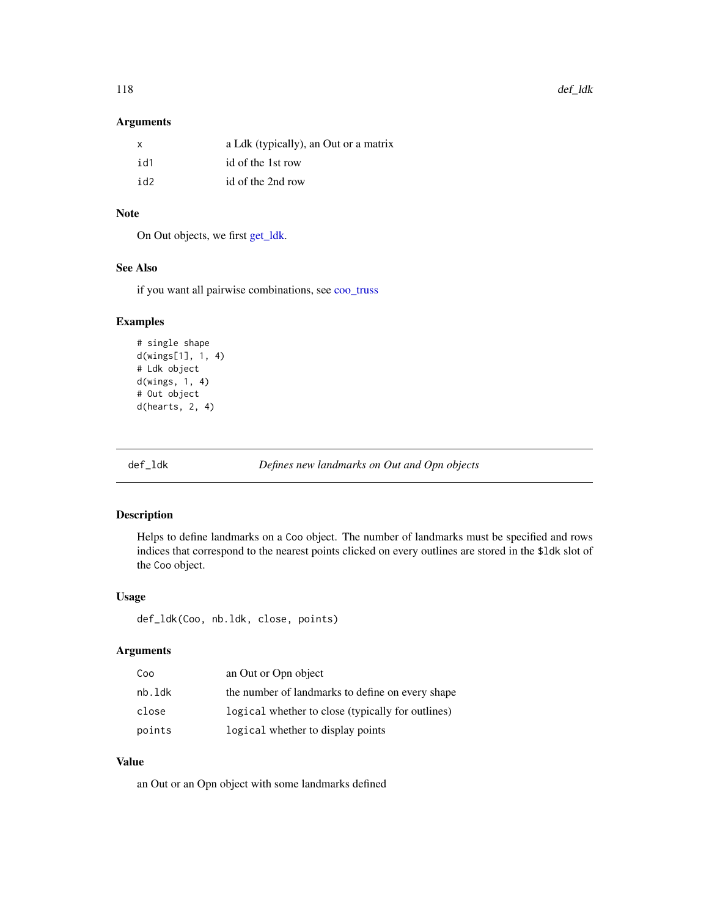# Arguments

| X   | a Ldk (typically), an Out or a matrix |
|-----|---------------------------------------|
| id1 | id of the 1st row                     |
| id2 | id of the 2nd row                     |

# Note

On Out objects, we first [get\\_ldk.](#page-146-0)

# See Also

if you want all pairwise combinations, see [coo\\_truss](#page-112-1)

# Examples

```
# single shape
d(wings[1], 1, 4)
# Ldk object
d(wings, 1, 4)
# Out object
d(hearts, 2, 4)
```
<span id="page-117-0"></span>def\_ldk *Defines new landmarks on Out and Opn objects*

# Description

Helps to define landmarks on a Coo object. The number of landmarks must be specified and rows indices that correspond to the nearest points clicked on every outlines are stored in the \$ldk slot of the Coo object.

# Usage

def\_ldk(Coo, nb.ldk, close, points)

# Arguments

| Coo    | an Out or Opn object                              |
|--------|---------------------------------------------------|
| nb.ldk | the number of landmarks to define on every shape  |
| close  | logical whether to close (typically for outlines) |
| points | logical whether to display points                 |

# Value

an Out or an Opn object with some landmarks defined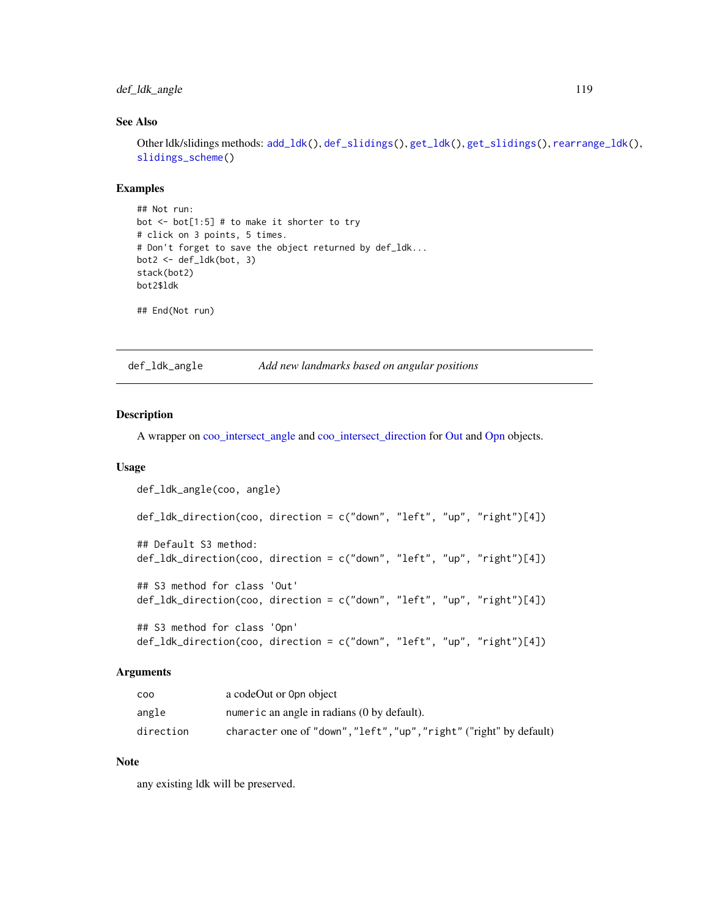# def\_ldk\_angle 119

# See Also

Other ldk/slidings methods: [add\\_ldk\(](#page-6-0)), [def\\_slidings\(](#page-120-0)), [get\\_ldk\(](#page-146-0)), [get\\_slidings\(](#page-148-0)), [rearrange\\_ldk\(](#page-238-0)), [slidings\\_scheme\(](#page-261-0))

## Examples

```
## Not run:
bot \le bot[1:5] # to make it shorter to try
# click on 3 points, 5 times.
# Don't forget to save the object returned by def_ldk...
bot2 \leq det\_ldk(bot, 3)stack(bot2)
bot2$ldk
```
## End(Not run)

def\_ldk\_angle *Add new landmarks based on angular positions*

#### Description

A wrapper on [coo\\_intersect\\_angle](#page-69-0) and [coo\\_intersect\\_direction](#page-69-1) for [Out](#page-197-0) and [Opn](#page-193-0) objects.

#### Usage

```
def_ldk_angle(coo, angle)
def_ldk_direction(coo, direction = c("down", "left", "up", "right")[4])
## Default S3 method:
def_ldk_direction(coo, direction = c("down", "left", "up", "right")[4])
## S3 method for class 'Out'
def_ldk_direction(coo, direction = c("down", "left", "up", "right")[4])
## S3 method for class 'Opn'
def_ldk_direction(coo, direction = c("down", "left", "up", "right")[4])
```
## Arguments

| coo       | a codeOut or 0pn object                                             |
|-----------|---------------------------------------------------------------------|
| angle     | numeric an angle in radians (0 by default).                         |
| direction | character one of "down", "left", "up", "right" ("right" by default) |

## Note

any existing ldk will be preserved.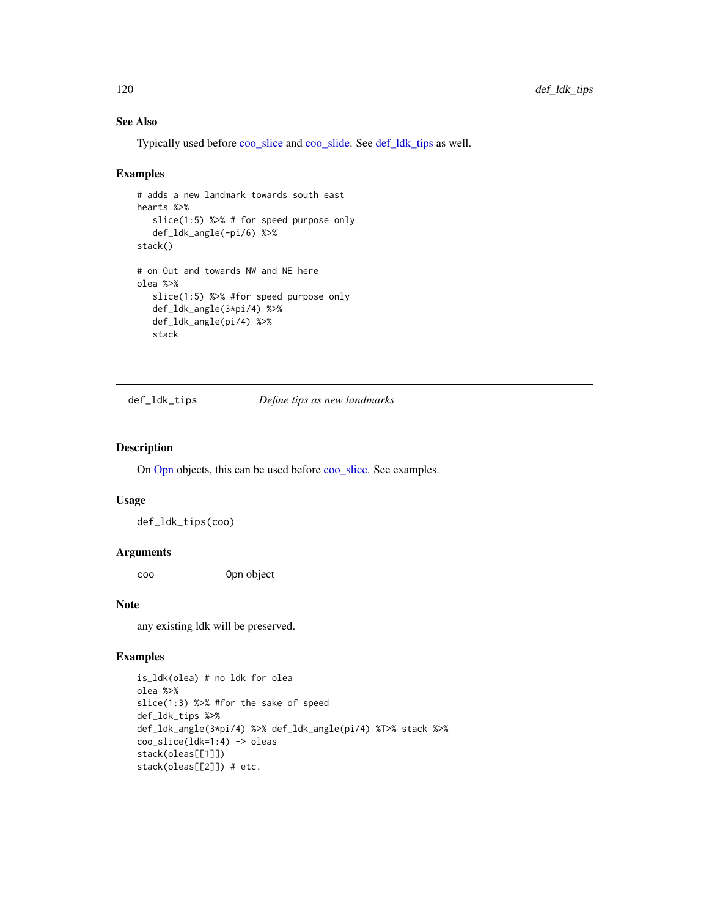# See Also

Typically used before [coo\\_slice](#page-99-0) and [coo\\_slide.](#page-100-0) See [def\\_ldk\\_tips](#page-119-0) as well.

#### Examples

```
# adds a new landmark towards south east
hearts %>%
   slice(1:5) %>% # for speed purpose only
   def_ldk_angle(-pi/6) %>%
stack()
# on Out and towards NW and NE here
olea %>%
  slice(1:5) %>% #for speed purpose only
  def_ldk_angle(3*pi/4) %>%
  def_ldk_angle(pi/4) %>%
   stack
```
<span id="page-119-0"></span>def\_ldk\_tips *Define tips as new landmarks*

## Description

On [Opn](#page-193-0) objects, this can be used before [coo\\_slice.](#page-99-0) See examples.

## Usage

def\_ldk\_tips(coo)

#### Arguments

coo Opn object

#### Note

any existing ldk will be preserved.

```
is_ldk(olea) # no ldk for olea
olea %>%
slice(1:3) %>% #for the sake of speed
def_ldk_tips %>%
def_ldk_angle(3*pi/4) %>% def_ldk_angle(pi/4) %T>% stack %>%
coo_slice(ldk=1:4) -> oleas
stack(oleas[[1]])
stack(oleas[[2]]) # etc.
```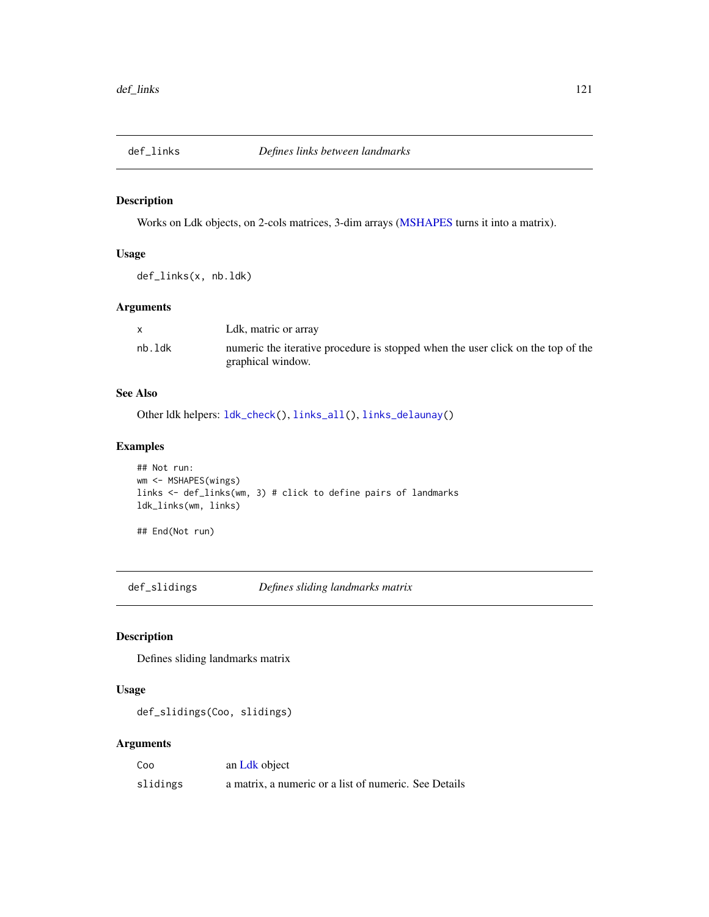Works on Ldk objects, on 2-cols matrices, 3-dim arrays [\(MSHAPES](#page-187-0) turns it into a matrix).

# Usage

def\_links(x, nb.ldk)

# Arguments

|        | Ldk, matric or array                                                             |
|--------|----------------------------------------------------------------------------------|
| nb.ldk | numeric the iterative procedure is stopped when the user click on the top of the |
|        | graphical window.                                                                |

# See Also

Other ldk helpers: [ldk\\_check\(](#page-170-0)), [links\\_all\(](#page-175-0)), [links\\_delaunay\(](#page-176-0))

# Examples

```
## Not run:
wm <- MSHAPES(wings)
links <- def_links(wm, 3) # click to define pairs of landmarks
ldk_links(wm, links)
```
## End(Not run)

<span id="page-120-0"></span>def\_slidings *Defines sliding landmarks matrix*

# Description

Defines sliding landmarks matrix

# Usage

def\_slidings(Coo, slidings)

# Arguments

| Coo      | an Ldk object                                         |
|----------|-------------------------------------------------------|
| slidings | a matrix, a numeric or a list of numeric. See Details |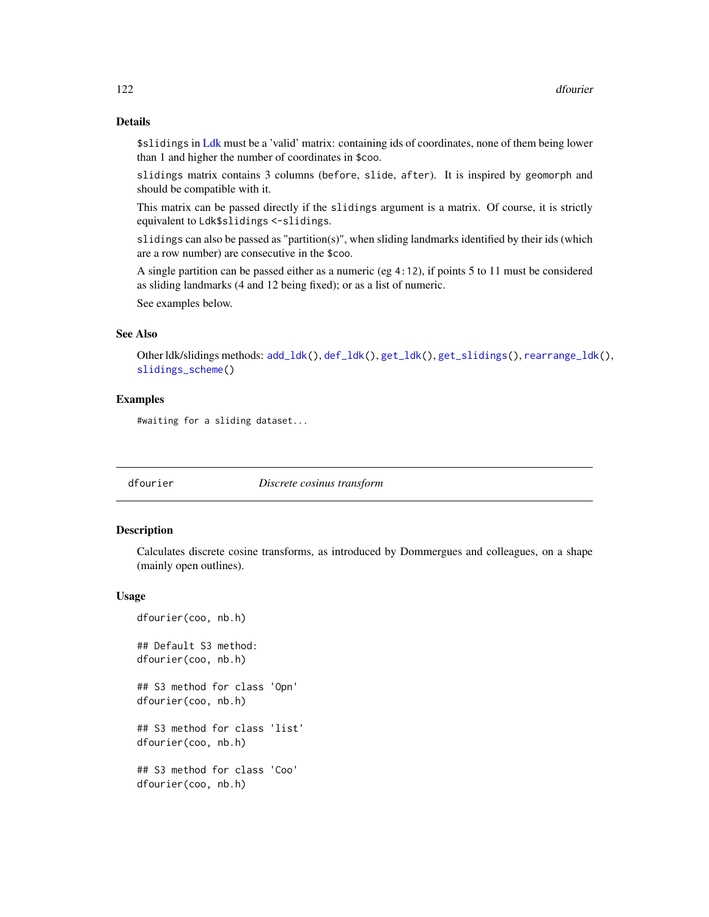# Details

\$slidings in [Ldk](#page-169-0) must be a 'valid' matrix: containing ids of coordinates, none of them being lower than 1 and higher the number of coordinates in \$coo.

slidings matrix contains 3 columns (before, slide, after). It is inspired by geomorph and should be compatible with it.

This matrix can be passed directly if the slidings argument is a matrix. Of course, it is strictly equivalent to Ldk\$slidings <-slidings.

slidings can also be passed as "partition(s)", when sliding landmarks identified by their ids (which are a row number) are consecutive in the \$coo.

A single partition can be passed either as a numeric (eg 4:12), if points 5 to 11 must be considered as sliding landmarks (4 and 12 being fixed); or as a list of numeric.

See examples below.

## See Also

Other ldk/slidings methods: [add\\_ldk\(](#page-6-0)), [def\\_ldk\(](#page-117-0)), [get\\_ldk\(](#page-146-0)), [get\\_slidings\(](#page-148-0)), [rearrange\\_ldk\(](#page-238-0)), [slidings\\_scheme\(](#page-261-0))

## Examples

#waiting for a sliding dataset...

<span id="page-121-0"></span>

dfourier *Discrete cosinus transform*

## **Description**

Calculates discrete cosine transforms, as introduced by Dommergues and colleagues, on a shape (mainly open outlines).

#### Usage

dfourier(coo, nb.h) ## Default S3 method: dfourier(coo, nb.h) ## S3 method for class 'Opn' dfourier(coo, nb.h) ## S3 method for class 'list' dfourier(coo, nb.h) ## S3 method for class 'Coo' dfourier(coo, nb.h)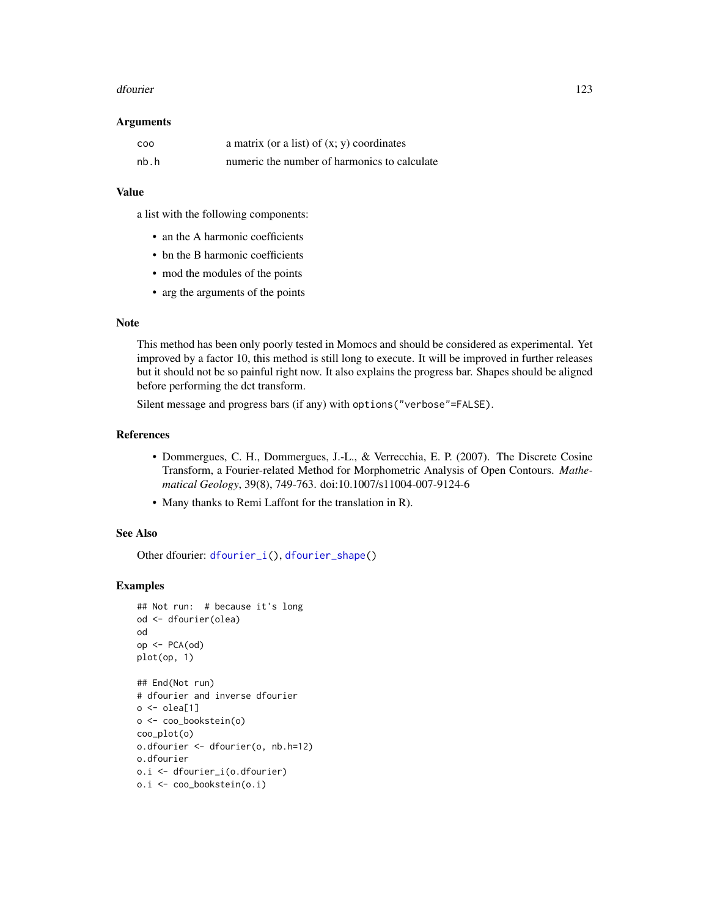#### dfourier that the contract of the contract of the contract of the contract of the contract of the contract of the contract of the contract of the contract of the contract of the contract of the contract of the contract of

#### Arguments

| COO  | a matrix (or a list) of $(x, y)$ coordinates |
|------|----------------------------------------------|
| nb.h | numeric the number of harmonics to calculate |

## Value

a list with the following components:

- an the A harmonic coefficients
- bn the B harmonic coefficients
- mod the modules of the points
- arg the arguments of the points

## Note

This method has been only poorly tested in Momocs and should be considered as experimental. Yet improved by a factor 10, this method is still long to execute. It will be improved in further releases but it should not be so painful right now. It also explains the progress bar. Shapes should be aligned before performing the dct transform.

Silent message and progress bars (if any) with options("verbose"=FALSE).

## References

- Dommergues, C. H., Dommergues, J.-L., & Verrecchia, E. P. (2007). The Discrete Cosine Transform, a Fourier-related Method for Morphometric Analysis of Open Contours. *Mathematical Geology*, 39(8), 749-763. doi:10.1007/s11004-007-9124-6
- Many thanks to Remi Laffont for the translation in R).

#### See Also

Other dfourier: [dfourier\\_i\(](#page-123-0)), [dfourier\\_shape\(](#page-124-0))

```
## Not run: # because it's long
od <- dfourier(olea)
od
op <- PCA(od)
plot(op, 1)
## End(Not run)
# dfourier and inverse dfourier
o \leftarrow olea[1]o <- coo_bookstein(o)
coo_plot(o)
```

```
o.dfourier <- dfourier(o, nb.h=12)
o.dfourier
o.i <- dfourier_i(o.dfourier)
o.i <- coo_bookstein(o.i)
```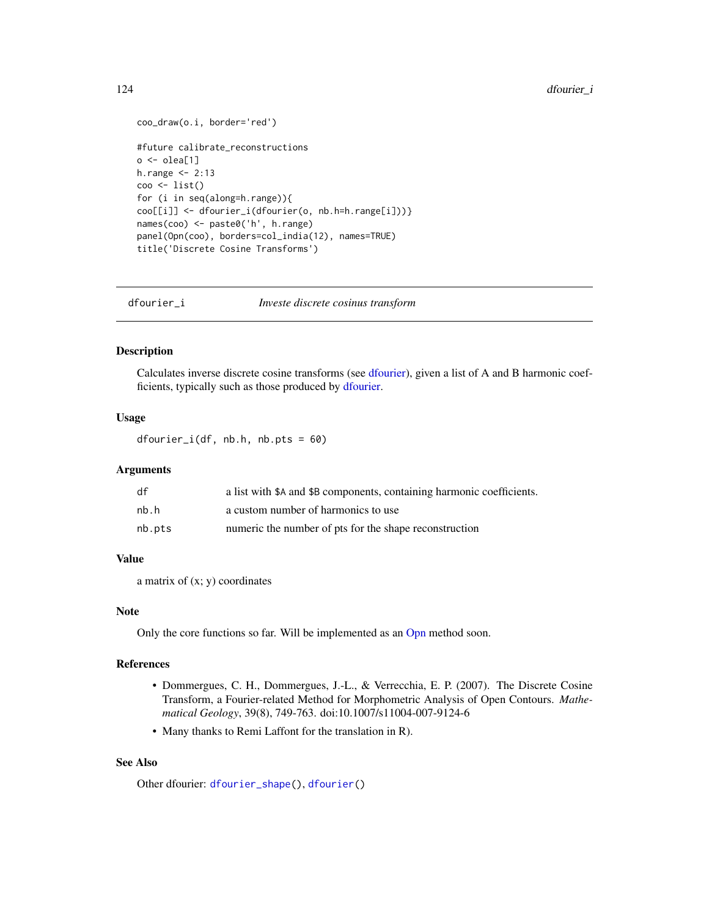```
coo_draw(o.i, border='red')
#future calibrate_reconstructions
o \leftarrow olea[1]h.range <- 2:13
coo <- list()
for (i in seq(along=h.range)){
coo[[i]] <- dfourier_i(dfourier(o, nb.h=h.range[i]))}
names(coo) <- paste0('h', h.range)
panel(Opn(coo), borders=col_india(12), names=TRUE)
title('Discrete Cosine Transforms')
```
<span id="page-123-0"></span>dfourier\_i *Investe discrete cosinus transform*

## Description

Calculates inverse discrete cosine transforms (see [dfourier\)](#page-121-0), given a list of A and B harmonic coefficients, typically such as those produced by [dfourier.](#page-121-0)

#### Usage

 $dfourier_i(df, nb.h, nb.pts =  $60$ )$ 

## Arguments

| df     | a list with \$A and \$B components, containing harmonic coefficients. |
|--------|-----------------------------------------------------------------------|
| nb.h   | a custom number of harmonics to use                                   |
| nb.pts | numeric the number of pts for the shape reconstruction                |

# Value

a matrix of  $(x; y)$  coordinates

# Note

Only the core functions so far. Will be implemented as an [Opn](#page-193-0) method soon.

## References

- Dommergues, C. H., Dommergues, J.-L., & Verrecchia, E. P. (2007). The Discrete Cosine Transform, a Fourier-related Method for Morphometric Analysis of Open Contours. *Mathematical Geology*, 39(8), 749-763. doi:10.1007/s11004-007-9124-6
- Many thanks to Remi Laffont for the translation in R).

## See Also

Other dfourier: [dfourier\\_shape\(](#page-124-0)), [dfourier\(](#page-121-0))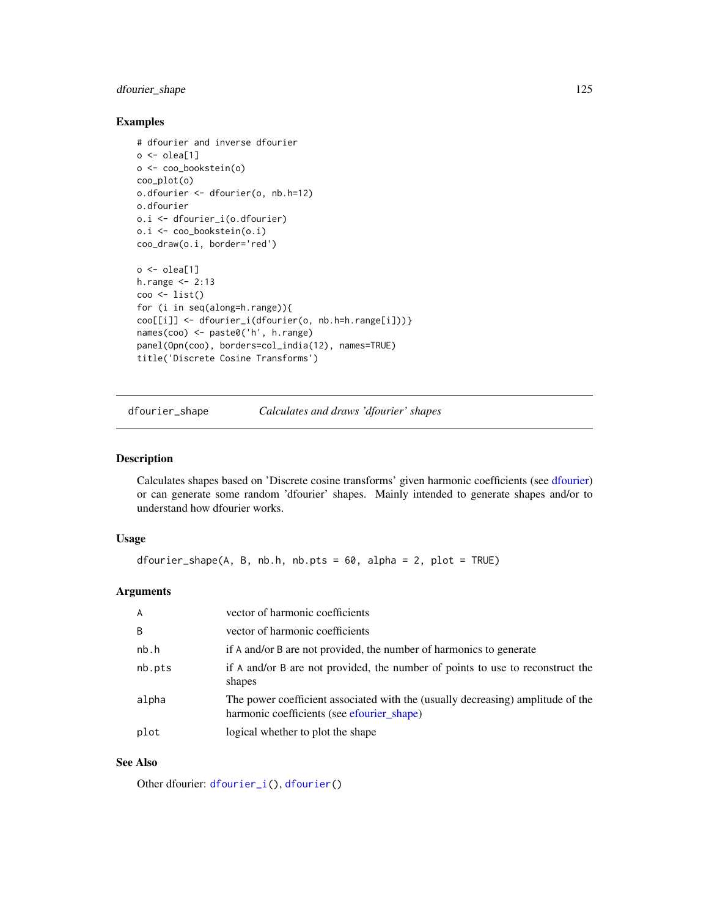# dfourier\_shape 125

## Examples

```
# dfourier and inverse dfourier
o \leftarrow olea[1]o <- coo_bookstein(o)
coo_plot(o)
o.dfourier <- dfourier(o, nb.h=12)
o.dfourier
o.i <- dfourier_i(o.dfourier)
o.i <- coo_bookstein(o.i)
coo_draw(o.i, border='red')
o \leftarrow olea[1]h.range <- 2:13
\cos \leftarrow \text{list}()for (i in seq(along=h.range)){
coo[[i]] <- dfourier_i(dfourier(o, nb.h=h.range[i]))}
names(coo) <- paste0('h', h.range)
panel(Opn(coo), borders=col_india(12), names=TRUE)
title('Discrete Cosine Transforms')
```
<span id="page-124-0"></span>dfourier\_shape *Calculates and draws 'dfourier' shapes*

# Description

Calculates shapes based on 'Discrete cosine transforms' given harmonic coefficients (see [dfourier\)](#page-121-0) or can generate some random 'dfourier' shapes. Mainly intended to generate shapes and/or to understand how dfourier works.

# Usage

dfourier\_shape(A, B, nb.h, nb.pts = 60, alpha = 2, plot = TRUE)

# Arguments

| $\overline{A}$ | vector of harmonic coefficients                                                                                               |
|----------------|-------------------------------------------------------------------------------------------------------------------------------|
| B              | vector of harmonic coefficients                                                                                               |
| nb.h           | if A and/or B are not provided, the number of harmonics to generate                                                           |
| nb.pts         | if A and/or B are not provided, the number of points to use to reconstruct the<br>shapes                                      |
| alpha          | The power coefficient associated with the (usually decreasing) amplitude of the<br>harmonic coefficients (see efourier_shape) |
| plot           | logical whether to plot the shape                                                                                             |

# See Also

Other dfourier: [dfourier\\_i\(](#page-123-0)), [dfourier\(](#page-121-0))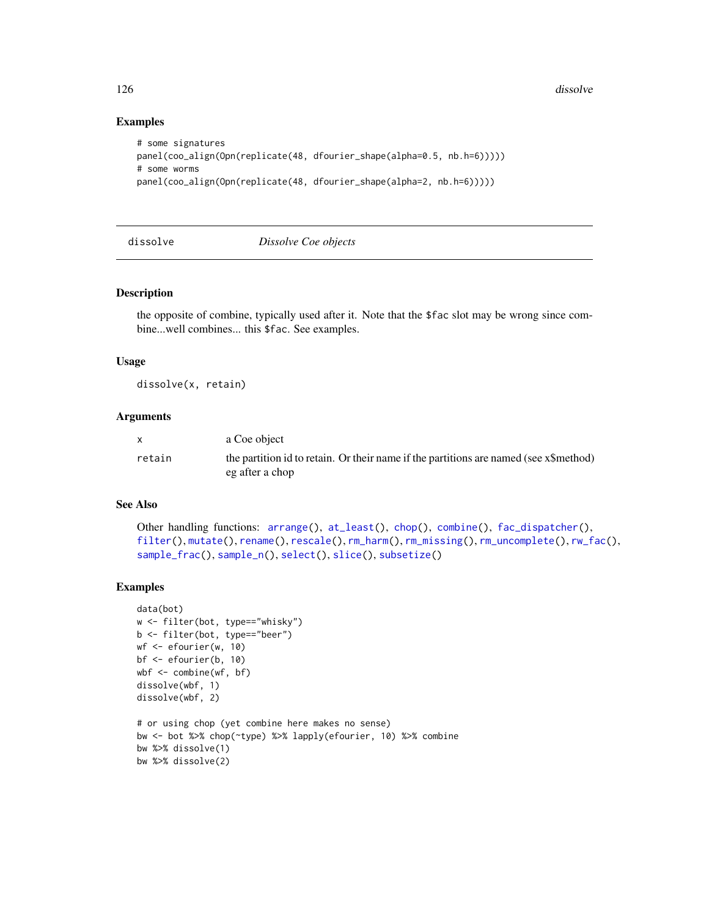## Examples

```
# some signatures
panel(coo_align(Opn(replicate(48, dfourier_shape(alpha=0.5, nb.h=6)))))
# some worms
panel(coo_align(Opn(replicate(48, dfourier_shape(alpha=2, nb.h=6)))))
```
<span id="page-125-0"></span>dissolve *Dissolve Coe objects*

#### Description

the opposite of combine, typically used after it. Note that the \$fac slot may be wrong since combine...well combines... this \$fac. See examples.

## Usage

dissolve(x, retain)

#### Arguments

|        | a Coe object                                                                                             |
|--------|----------------------------------------------------------------------------------------------------------|
| retain | the partition id to retain. Or their name if the partitions are named (see x\$method)<br>eg after a chop |

## See Also

```
Other handling functions: arrange(), at_least(), chop(), combine(), fac_dispatcher(),
filter(), mutate(), rename(), rescale(), rm_harm(), rm_missing(), rm_uncomplete(), rw_fac(),
sample_frac(), sample_n(), select(), slice(), subsetize()
```

```
data(bot)
w <- filter(bot, type=="whisky")
b <- filter(bot, type=="beer")
wf <- efourier(w, 10)
bf <- efourier(b, 10)
wbf <- combine(wf, bf)
dissolve(wbf, 1)
dissolve(wbf, 2)
# or using chop (yet combine here makes no sense)
bw <- bot %>% chop(~type) %>% lapply(efourier, 10) %>% combine
bw %>% dissolve(1)
bw %>% dissolve(2)
```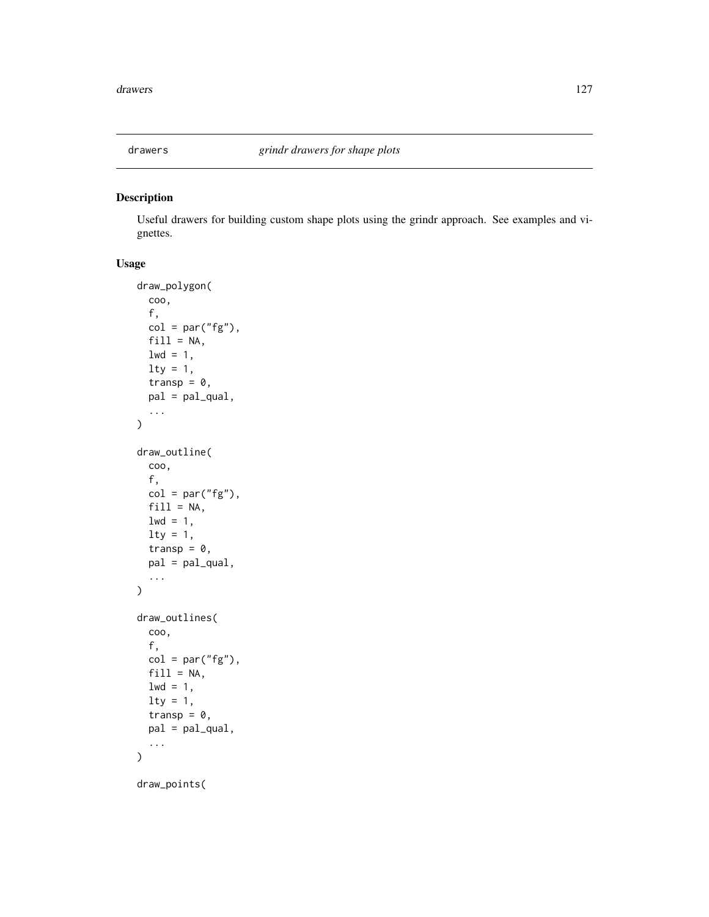Useful drawers for building custom shape plots using the grindr approach. See examples and vignettes.

# Usage

```
draw_polygon(
  coo,
  f,
 col = par("fg"),fill = NA,1wd = 1,lty = 1,transp = 0,
 pal = pal_qual,
  ...
)
draw_outline(
 coo,
  f,
 col = par("fg"),
 fill = NA,
 1wd = 1,\frac{1}{1}transp = 0,
 pal = pal_qual,
  ...
)
draw_outlines(
 coo,
 f,
 col = par("fg"),fill = NA,1wd = 1,
 1ty = 1,transp = 0,
 pal = pal_qual,
  ...
)
draw_points(
```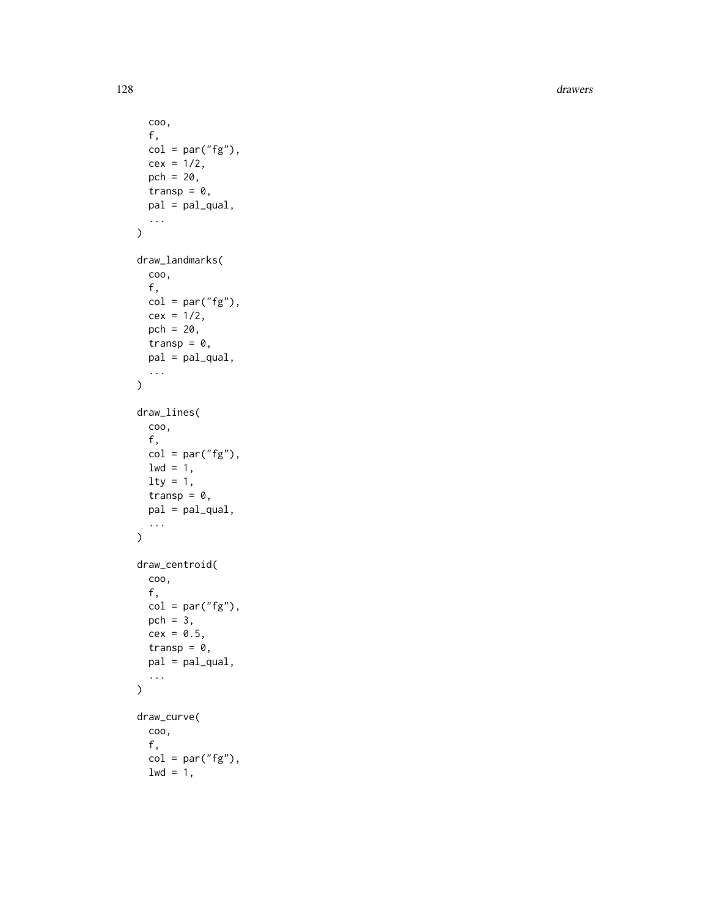128 drawers and the contract of the contract of the contract of the contract of the contract of the contract of the contract of the contract of the contract of the contract of the contract of the contract of the contract o

```
coo,
  f,
  col = par("fg"),
  cex = 1/2,pch = 20,
  transp = 0,pal = pal_qual,
  ...
\mathcal{L}draw_landmarks(
  coo,
  f,
  col = par("fg"),cex = 1/2,pch = 20,
  transp = 0,
  pal = pal_qual,
  ...
\mathcal{L}draw_lines(
  coo,
  f,
  col = par("fg"),1wd = 1,\frac{1}{y} = 1,transp = 0,
  pal = pal_qual,
  ...
\mathcal{L}draw_centroid(
  coo,
  f,
  col = par("fg"),pch = 3,
  cex = 0.5,
  transp = \theta,
  pal = pal_qual,
  ...
\mathcal{L}draw_curve(
  coo,
  f,
  col = par("fg"),1wd = 1,
```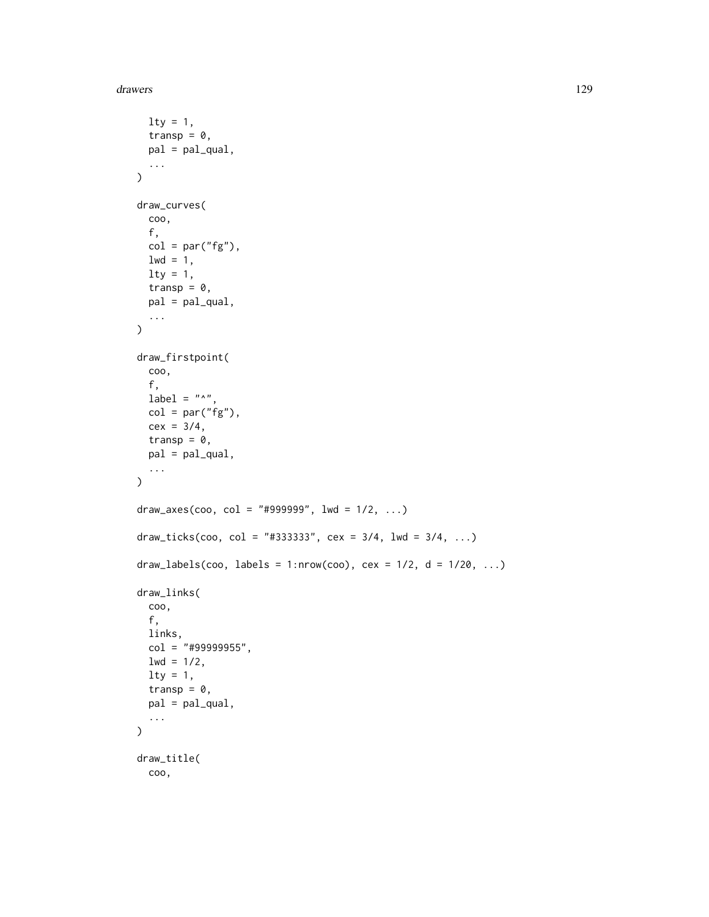drawers and the contract of the contract of the contract of the contract of the contract of the contract of the contract of the contract of the contract of the contract of the contract of the contract of the contract of th

```
\frac{1}{1}transp = 0,
  pal = pal_qual,
  ...
\mathcal{L}draw_curves(
  coo,
  f,
  col = par("fg"),1wd = 1,1ty = 1,transp = \theta,
  pal = pal_qual,
  ...
\mathcal{L}draw_firstpoint(
  coo,
  f,
  label = "^",
  col = par("fg"),cex = 3/4,transp = 0,pal = pal_qual,
  ...
\mathcal{L}draw_axes(coo, col = "#999999", 1wd = 1/2, ...)
draw_ticks(coo, col = "#333333", cex = 3/4, lwd = 3/4, ...)
draw_labels(coo, labels = 1:nrow(coo), cex = 1/2, d = 1/20, ...)
draw_links(
  coo,
  f,
  links,
  col = "#99999955",1wd = 1/2,
  \frac{1}{y} = 1,transp = 0,
  pal = pal_qual,
  ...
\mathcal{L}draw_title(
  coo,
```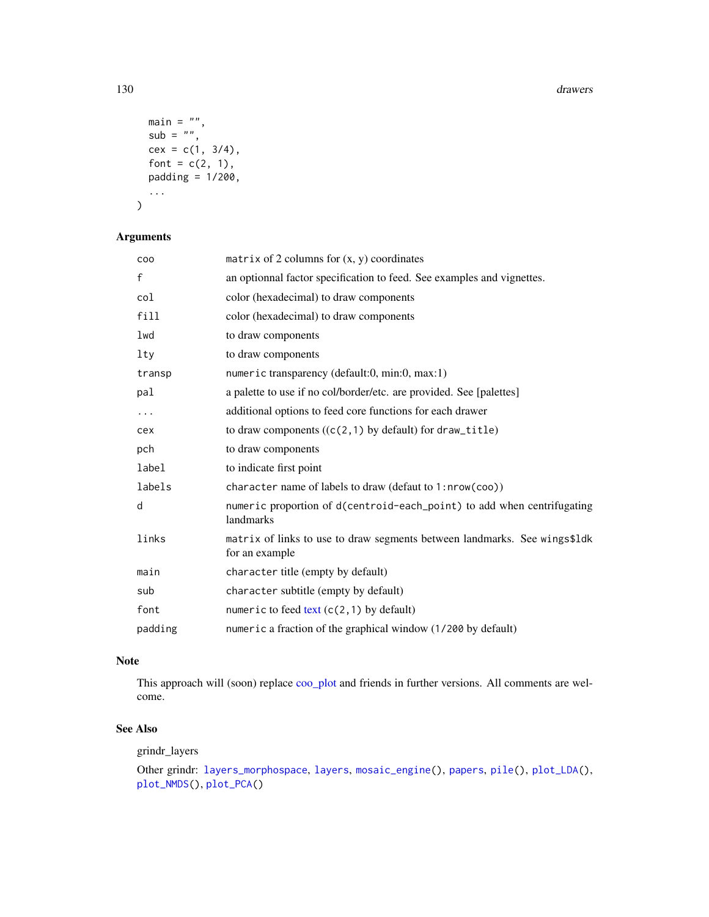#### 130 drawers and the contract of the contract of the contract of the contract of the contract of the contract of the contract of the contract of the contract of the contract of the contract of the contract of the contract o

```
main = "",sub = "",cex = c(1, 3/4),font = c(2, 1),
  padding = 1/200,
  ...
\mathcal{L}
```
# Arguments

| matrix of 2 columns for $(x, y)$ coordinates                                                |
|---------------------------------------------------------------------------------------------|
| an optionnal factor specification to feed. See examples and vignettes.                      |
| color (hexadecimal) to draw components                                                      |
| color (hexadecimal) to draw components                                                      |
| to draw components                                                                          |
| to draw components                                                                          |
| numeric transparency (default:0, min:0, max:1)                                              |
| a palette to use if no col/border/etc. are provided. See [palettes]                         |
| additional options to feed core functions for each drawer                                   |
| to draw components $((c(2,1)$ by default) for draw_title)                                   |
| to draw components                                                                          |
| to indicate first point                                                                     |
| character name of labels to draw (defaut to 1:nrow(coo))                                    |
| numeric proportion of d(centroid-each_point) to add when centrifugating<br>landmarks        |
| matrix of links to use to draw segments between landmarks. See wings\$1dk<br>for an example |
| character title (empty by default)                                                          |
| character subtitle (empty by default)                                                       |
| numeric to feed text $(c(2, 1)$ by default)                                                 |
| numeric a fraction of the graphical window (1/200 by default)                               |
|                                                                                             |

# Note

This approach will (soon) replace [coo\\_plot](#page-82-0) and friends in further versions. All comments are welcome.

# See Also

grindr\_layers

Other grindr: [layers\\_morphospace](#page-166-0), [layers](#page-163-0), [mosaic\\_engine\(](#page-183-0)), [papers](#page-203-0), [pile\(](#page-208-0)), [plot\\_LDA\(](#page-227-0)), [plot\\_NMDS\(](#page-231-0)), [plot\\_PCA\(](#page-232-0))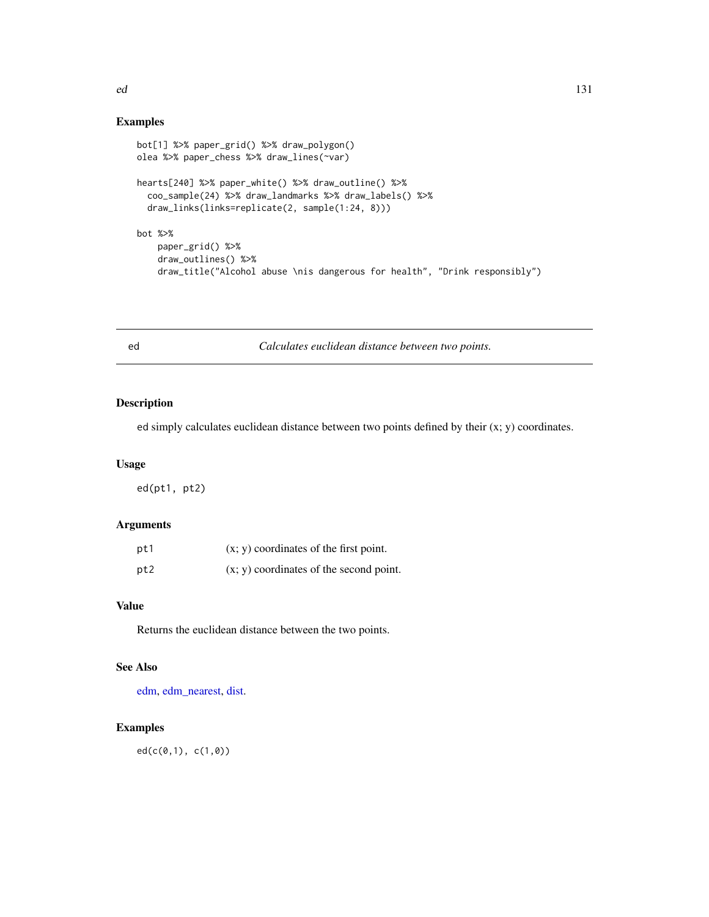# Examples

```
bot[1] %>% paper_grid() %>% draw_polygon()
olea %>% paper_chess %>% draw_lines(~var)
hearts[240] %>% paper_white() %>% draw_outline() %>%
  coo_sample(24) %>% draw_landmarks %>% draw_labels() %>%
  draw_links(links=replicate(2, sample(1:24, 8)))
bot %>%
   paper_grid() %>%
   draw_outlines() %>%
   draw_title("Alcohol abuse \nis dangerous for health", "Drink responsibly")
```
<span id="page-130-0"></span>ed *Calculates euclidean distance between two points.*

# Description

ed simply calculates euclidean distance between two points defined by their  $(x, y)$  coordinates.

## Usage

ed(pt1, pt2)

## Arguments

| pt1  | $(x, y)$ coordinates of the first point.  |
|------|-------------------------------------------|
| pt2. | $(x, y)$ coordinates of the second point. |

# Value

Returns the euclidean distance between the two points.

# See Also

[edm,](#page-131-0) [edm\\_nearest,](#page-132-0) [dist.](#page-0-0)

# Examples

ed(c(0,1), c(1,0))

ed 131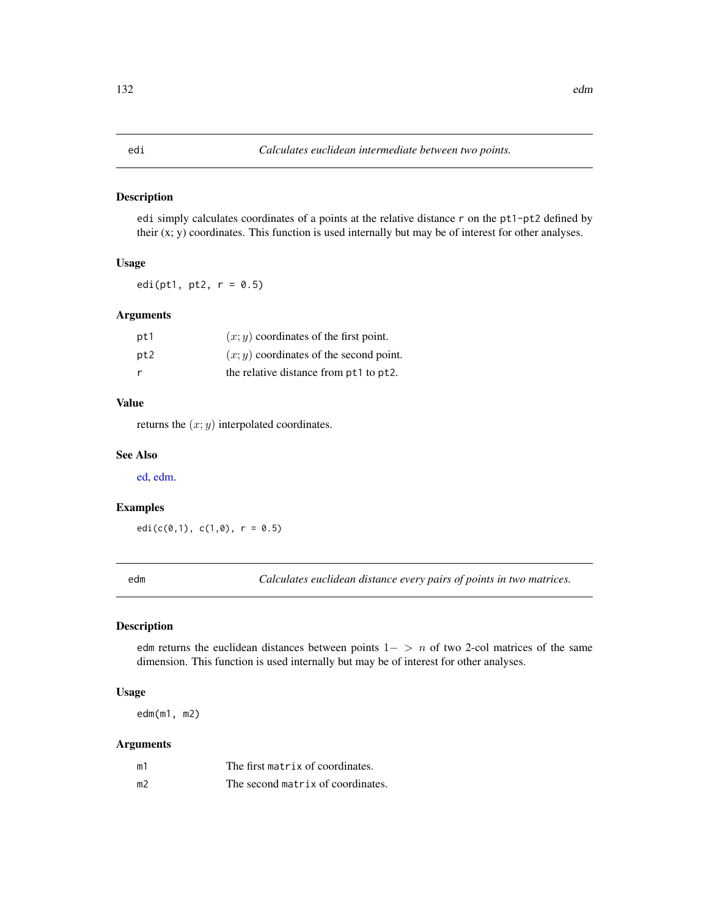edi simply calculates coordinates of a points at the relative distance r on the pt1-pt2 defined by their (x; y) coordinates. This function is used internally but may be of interest for other analyses.

## Usage

edi(pt1, pt2,  $r = 0.5$ )

# Arguments

| pt1 | $(x, y)$ coordinates of the first point.  |
|-----|-------------------------------------------|
| pt2 | $(x, y)$ coordinates of the second point. |
| - r | the relative distance from pt1 to pt2.    |

# Value

returns the  $(x; y)$  interpolated coordinates.

## See Also

[ed,](#page-130-0) [edm.](#page-131-0)

#### Examples

 $edi(c(0,1), c(1,0), r = 0.5)$ 

<span id="page-131-0"></span>edm *Calculates euclidean distance every pairs of points in two matrices.*

## Description

edm returns the euclidean distances between points  $1−$  > n of two 2-col matrices of the same dimension. This function is used internally but may be of interest for other analyses.

## Usage

edm(m1, m2)

# Arguments

| m1             | The first matrix of coordinates.  |
|----------------|-----------------------------------|
| m <sub>2</sub> | The second matrix of coordinates. |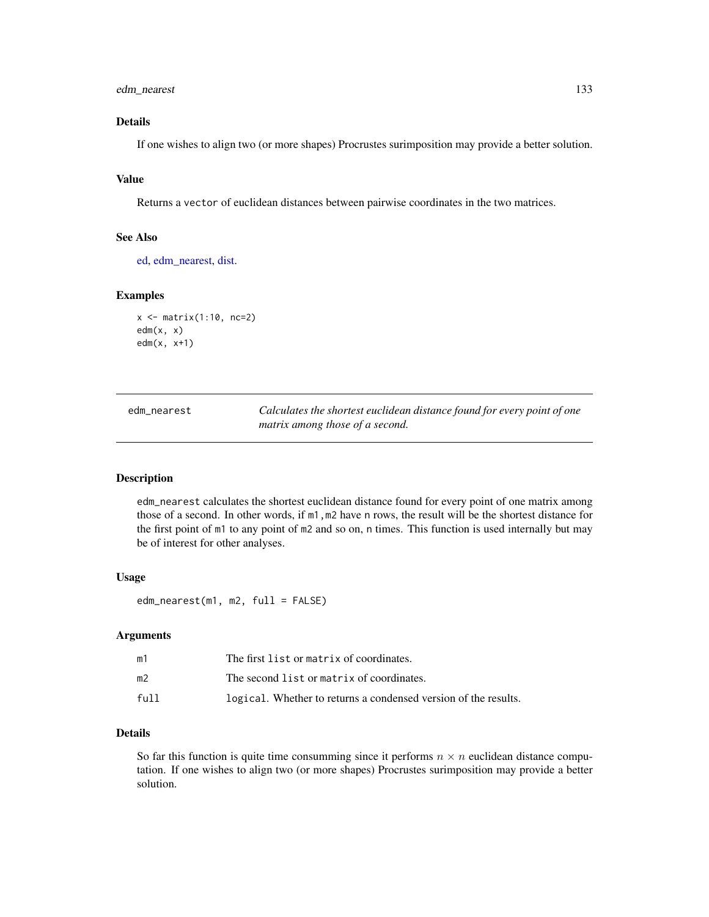# edm\_nearest 133

# Details

If one wishes to align two (or more shapes) Procrustes surimposition may provide a better solution.

# Value

Returns a vector of euclidean distances between pairwise coordinates in the two matrices.

#### See Also

[ed,](#page-130-0) [edm\\_nearest,](#page-132-0) [dist.](#page-0-0)

## Examples

```
x <- matrix(1:10, nc=2)
edm(x, x)
edm(x, x+1)
```
<span id="page-132-0"></span>edm\_nearest *Calculates the shortest euclidean distance found for every point of one matrix among those of a second.*

## Description

edm\_nearest calculates the shortest euclidean distance found for every point of one matrix among those of a second. In other words, if m1,m2 have n rows, the result will be the shortest distance for the first point of m1 to any point of m2 and so on, n times. This function is used internally but may be of interest for other analyses.

#### Usage

edm\_nearest(m1, m2, full = FALSE)

#### Arguments

| m1   | The first list or matrix of coordinates.                        |
|------|-----------------------------------------------------------------|
| m2   | The second list or matrix of coordinates.                       |
| full | logical. Whether to returns a condensed version of the results. |

## Details

So far this function is quite time consumming since it performs  $n \times n$  euclidean distance computation. If one wishes to align two (or more shapes) Procrustes surimposition may provide a better solution.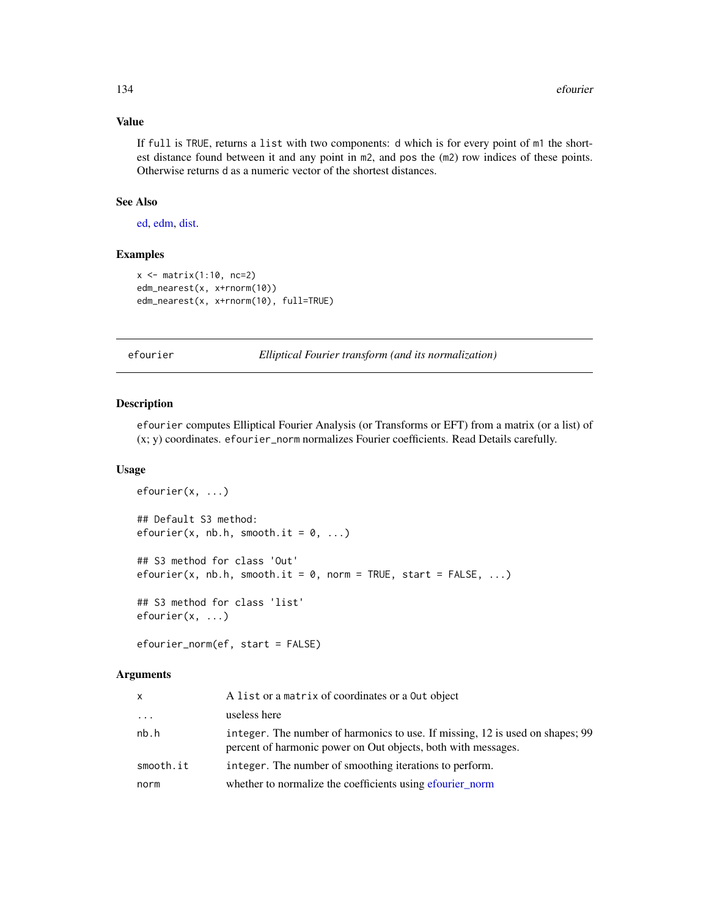# Value

If full is TRUE, returns a list with two components: d which is for every point of m1 the shortest distance found between it and any point in m2, and pos the (m2) row indices of these points. Otherwise returns d as a numeric vector of the shortest distances.

## See Also

[ed,](#page-130-0) [edm,](#page-131-0) [dist.](#page-0-0)

# Examples

```
x \le - matrix(1:10, nc=2)
edm_nearest(x, x+rnorm(10))
edm_nearest(x, x+rnorm(10), full=TRUE)
```
<span id="page-133-1"></span>efourier *Elliptical Fourier transform (and its normalization)*

#### <span id="page-133-0"></span>Description

efourier computes Elliptical Fourier Analysis (or Transforms or EFT) from a matrix (or a list) of (x; y) coordinates. efourier\_norm normalizes Fourier coefficients. Read Details carefully.

## Usage

```
efourier(x, ...)
## Default S3 method:
efourier(x, nb.h, smooth.it = 0, ...)
## S3 method for class 'Out'
efourier(x, nb.h, smooth.it = 0, norm = TRUE, start = FALSE, ...)
## S3 method for class 'list'
efourier(x, ...)
```
efourier\_norm(ef, start = FALSE)

# Arguments

| X         | A list or a matrix of coordinates or a Out object                                                                                              |
|-----------|------------------------------------------------------------------------------------------------------------------------------------------------|
| $\cdots$  | useless here                                                                                                                                   |
| nb.h      | integer. The number of harmonics to use. If missing, 12 is used on shapes; 99<br>percent of harmonic power on Out objects, both with messages. |
| smooth.it | integer. The number of smoothing iterations to perform.                                                                                        |
| norm      | whether to normalize the coefficients using efourier_norm                                                                                      |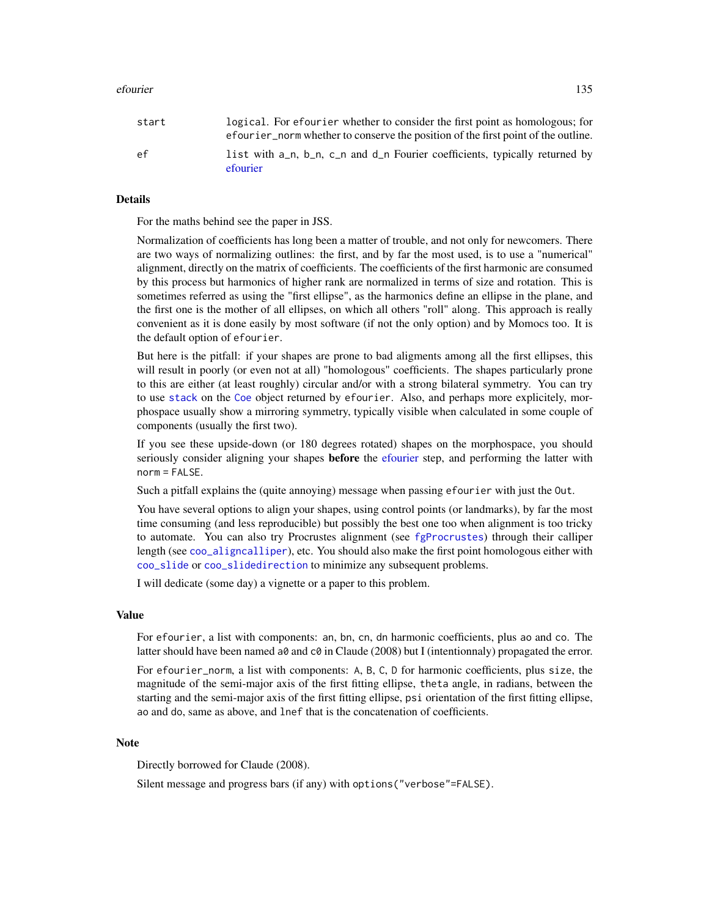#### efourier that the set of the set of the set of the set of the set of the set of the set of the set of the set of the set of the set of the set of the set of the set of the set of the set of the set of the set of the set of

## Details

For the maths behind see the paper in JSS.

Normalization of coefficients has long been a matter of trouble, and not only for newcomers. There are two ways of normalizing outlines: the first, and by far the most used, is to use a "numerical" alignment, directly on the matrix of coefficients. The coefficients of the first harmonic are consumed by this process but harmonics of higher rank are normalized in terms of size and rotation. This is sometimes referred as using the "first ellipse", as the harmonics define an ellipse in the plane, and the first one is the mother of all ellipses, on which all others "roll" along. This approach is really convenient as it is done easily by most software (if not the only option) and by Momocs too. It is the default option of efourier.

But here is the pitfall: if your shapes are prone to bad aligments among all the first ellipses, this will result in poorly (or even not at all) "homologous" coefficients. The shapes particularly prone to this are either (at least roughly) circular and/or with a strong bilateral symmetry. You can try to use [stack](#page-261-1) on the [Coe](#page-29-0) object returned by efourier. Also, and perhaps more explicitely, morphospace usually show a mirroring symmetry, typically visible when calculated in some couple of components (usually the first two).

If you see these upside-down (or 180 degrees rotated) shapes on the morphospace, you should seriously consider aligning your shapes **before** the [efourier](#page-133-1) step, and performing the latter with norm = FALSE.

Such a pitfall explains the (quite annoying) message when passing efourier with just the Out.

You have several options to align your shapes, using control points (or landmarks), by far the most time consuming (and less reproducible) but possibly the best one too when alignment is too tricky to automate. You can also try Procrustes alignment (see [fgProcrustes](#page-140-0)) through their calliper length (see [coo\\_aligncalliper](#page-41-0)), etc. You should also make the first point homologous either with [coo\\_slide](#page-100-0) or [coo\\_slidedirection](#page-102-0) to minimize any subsequent problems.

I will dedicate (some day) a vignette or a paper to this problem.

## Value

For efourier, a list with components: an, bn, cn, dn harmonic coefficients, plus ao and co. The latter should have been named a0 and  $c0$  in Claude (2008) but I (intentionnaly) propagated the error.

For efourier\_norm, a list with components: A, B, C, D for harmonic coefficients, plus size, the magnitude of the semi-major axis of the first fitting ellipse, theta angle, in radians, between the starting and the semi-major axis of the first fitting ellipse, psi orientation of the first fitting ellipse, ao and do, same as above, and lnef that is the concatenation of coefficients.

## Note

Directly borrowed for Claude (2008).

Silent message and progress bars (if any) with options("verbose"=FALSE).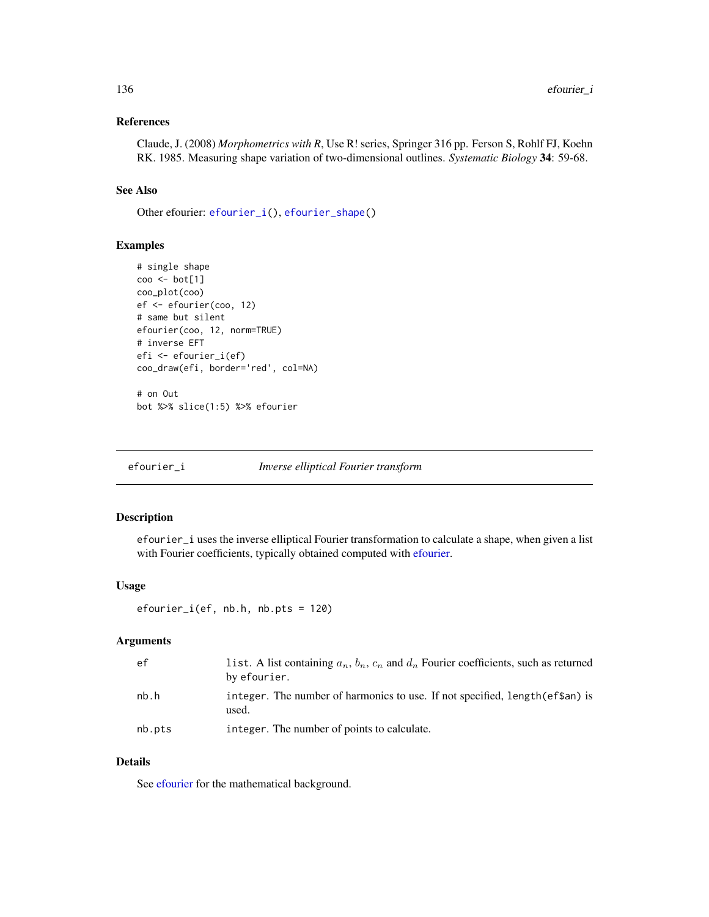# References

Claude, J. (2008) *Morphometrics with R*, Use R! series, Springer 316 pp. Ferson S, Rohlf FJ, Koehn RK. 1985. Measuring shape variation of two-dimensional outlines. *Systematic Biology* 34: 59-68.

## See Also

Other efourier: [efourier\\_i\(](#page-135-0)), [efourier\\_shape\(](#page-136-0))

## Examples

```
# single shape
coo <- bot[1]
coo_plot(coo)
ef <- efourier(coo, 12)
# same but silent
efourier(coo, 12, norm=TRUE)
# inverse EFT
efi <- efourier_i(ef)
coo_draw(efi, border='red', col=NA)
# on Out
bot %>% slice(1:5) %>% efourier
```
<span id="page-135-0"></span>efourier\_i *Inverse elliptical Fourier transform*

# Description

efourier\_i uses the inverse elliptical Fourier transformation to calculate a shape, when given a list with Fourier coefficients, typically obtained computed with [efourier.](#page-133-1)

## Usage

```
efourier_i(ef, nb.h, nb.pts = 120)
```
### Arguments

| ef.    | list. A list containing $a_n$ , $b_n$ , $c_n$ and $d_n$ Fourier coefficients, such as returned<br>by efourier. |
|--------|----------------------------------------------------------------------------------------------------------------|
| nb.h   | integer. The number of harmonics to use. If not specified, length (ef\$an) is<br>used.                         |
| nb.pts | integer. The number of points to calculate.                                                                    |

## Details

See [efourier](#page-133-1) for the mathematical background.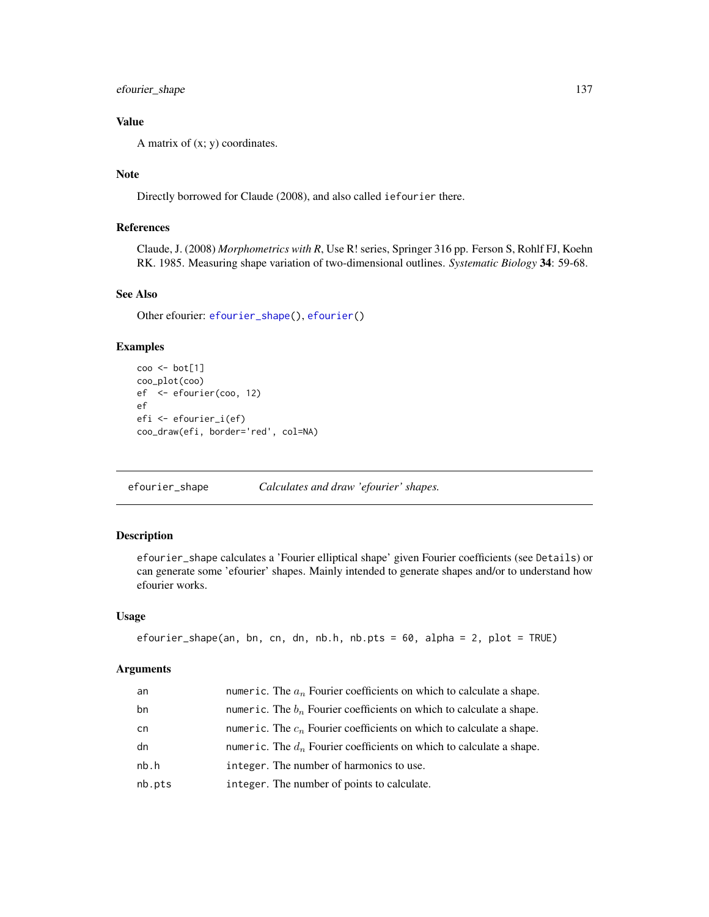efourier\_shape 137

# Value

A matrix of  $(x; y)$  coordinates.

## **Note**

Directly borrowed for Claude (2008), and also called iefourier there.

# References

Claude, J. (2008) *Morphometrics with R*, Use R! series, Springer 316 pp. Ferson S, Rohlf FJ, Koehn RK. 1985. Measuring shape variation of two-dimensional outlines. *Systematic Biology* 34: 59-68.

# See Also

Other efourier: [efourier\\_shape\(](#page-136-0)), [efourier\(](#page-133-1))

#### Examples

```
coo <- bot[1]
coo_plot(coo)
ef <- efourier(coo, 12)
ef
efi <- efourier_i(ef)
coo_draw(efi, border='red', col=NA)
```
<span id="page-136-0"></span>efourier\_shape *Calculates and draw 'efourier' shapes.*

# Description

efourier\_shape calculates a 'Fourier elliptical shape' given Fourier coefficients (see Details) or can generate some 'efourier' shapes. Mainly intended to generate shapes and/or to understand how efourier works.

## Usage

```
efourier_shape(an, bn, cn, dn, nb.h, nb.pts = 60, alpha = 2, plot = TRUE)
```
# Arguments

| an     | numeric. The $a_n$ Fourier coefficients on which to calculate a shape. |
|--------|------------------------------------------------------------------------|
| bn     | numeric. The $b_n$ Fourier coefficients on which to calculate a shape. |
| cn     | numeric. The $c_n$ Fourier coefficients on which to calculate a shape. |
| dn     | numeric. The $d_n$ Fourier coefficients on which to calculate a shape. |
| nb.h   | integer. The number of harmonics to use.                               |
| nb.pts | integer. The number of points to calculate.                            |
|        |                                                                        |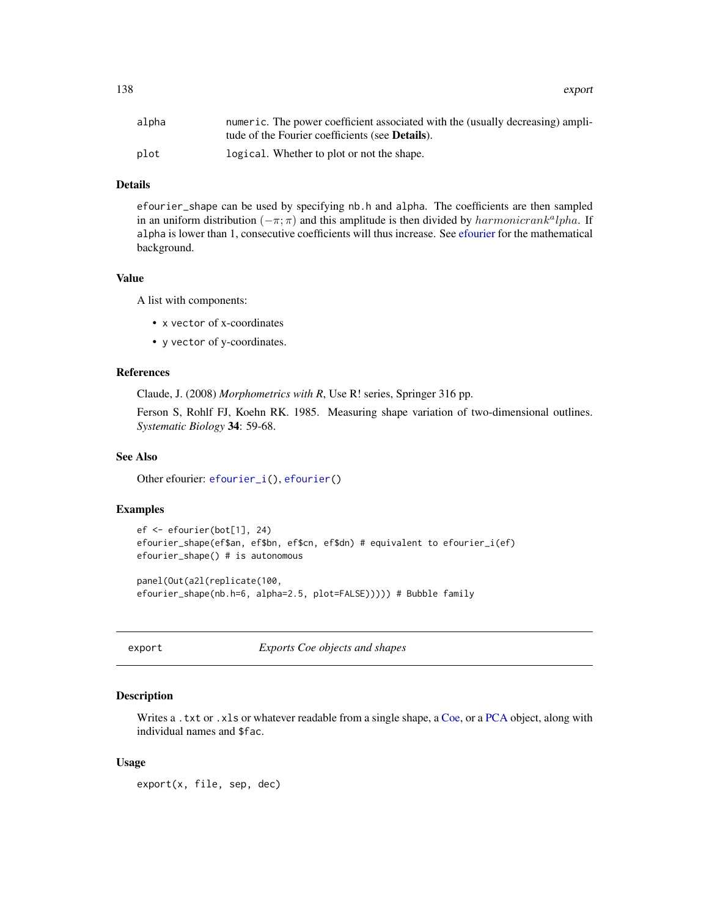138 export

| alpha | numeric. The power coefficient associated with the (usually decreasing) ampli- |
|-------|--------------------------------------------------------------------------------|
|       | tude of the Fourier coefficients (see <b>Details</b> ).                        |
| plot  | logical. Whether to plot or not the shape.                                     |

# Details

efourier\_shape can be used by specifying nb.h and alpha. The coefficients are then sampled in an uniform distribution  $(-\pi; \pi)$  and this amplitude is then divided by  $harmonic rank<sup>a</sup>lpha$ . If alpha is lower than 1, consecutive coefficients will thus increase. See [efourier](#page-133-1) for the mathematical background.

#### Value

A list with components:

- x vector of x-coordinates
- y vector of y-coordinates.

## References

Claude, J. (2008) *Morphometrics with R*, Use R! series, Springer 316 pp.

Ferson S, Rohlf FJ, Koehn RK. 1985. Measuring shape variation of two-dimensional outlines. *Systematic Biology* 34: 59-68.

## See Also

Other efourier: [efourier\\_i\(](#page-135-0)), [efourier\(](#page-133-1))

# Examples

```
ef <- efourier(bot[1], 24)
efourier_shape(ef$an, ef$bn, ef$cn, ef$dn) # equivalent to efourier_i(ef)
efourier_shape() # is autonomous
```

```
panel(Out(a2l(replicate(100,
efourier_shape(nb.h=6, alpha=2.5, plot=FALSE))))) # Bubble family
```
export *Exports Coe objects and shapes*

#### Description

Writes a .txt or .xls or whatever readable from a single shape, a [Coe,](#page-29-0) or a [PCA](#page-204-0) object, along with individual names and \$fac.

#### Usage

export(x, file, sep, dec)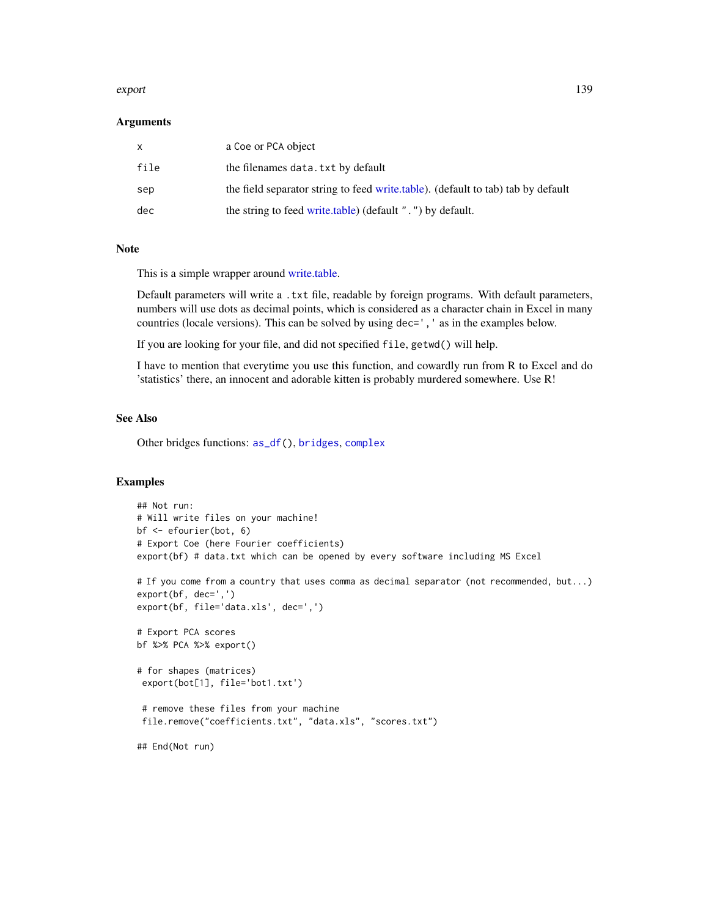#### export that the export of the second second second second second second second second second second second second second second second second second second second second second second second second second second second sec

## Arguments

|      | a Coe or PCA object                                                              |
|------|----------------------------------------------------------------------------------|
| file | the filenames data. txt by default                                               |
| sep  | the field separator string to feed write table). (default to tab) tab by default |
| dec  | the string to feed write.table) (default ".") by default.                        |

# Note

This is a simple wrapper around [write.table.](#page-0-0)

Default parameters will write a .txt file, readable by foreign programs. With default parameters, numbers will use dots as decimal points, which is considered as a character chain in Excel in many countries (locale versions). This can be solved by using dec=', ' as in the examples below.

If you are looking for your file, and did not specified file, getwd() will help.

I have to mention that everytime you use this function, and cowardly run from R to Excel and do 'statistics' there, an innocent and adorable kitten is probably murdered somewhere. Use R!

### See Also

Other bridges functions: [as\\_df\(](#page-8-0)), [bridges](#page-15-0), [complex](#page-37-0)

```
## Not run:
# Will write files on your machine!
bf <- efourier(bot, 6)
# Export Coe (here Fourier coefficients)
export(bf) # data.txt which can be opened by every software including MS Excel
# If you come from a country that uses comma as decimal separator (not recommended, but...)
export(bf, dec=',')
export(bf, file='data.xls', dec=',')
# Export PCA scores
bf %>% PCA %>% export()
# for shapes (matrices)
 export(bot[1], file='bot1.txt')
 # remove these files from your machine
 file.remove("coefficients.txt", "data.xls", "scores.txt")
## End(Not run)
```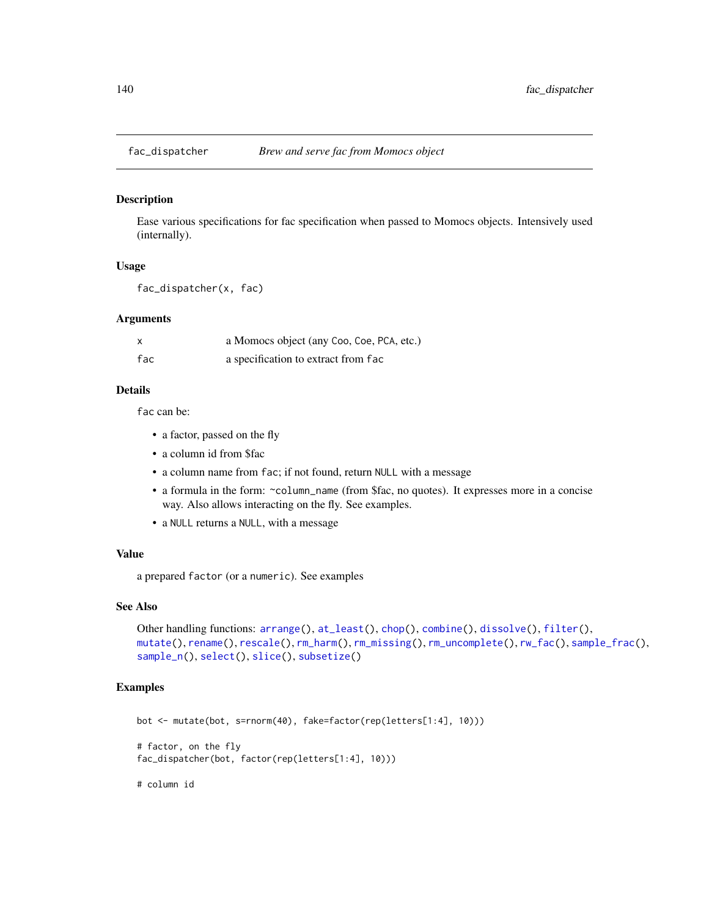<span id="page-139-0"></span>

Ease various specifications for fac specification when passed to Momocs objects. Intensively used (internally).

# Usage

```
fac_dispatcher(x, fac)
```
## Arguments

|     | a Momocs object (any Coo, Coe, PCA, etc.) |
|-----|-------------------------------------------|
| fac | a specification to extract from fac       |

## Details

fac can be:

- a factor, passed on the fly
- a column id from \$fac
- a column name from fac; if not found, return NULL with a message
- a formula in the form: ~column\_name (from \$fac, no quotes). It expresses more in a concise way. Also allows interacting on the fly. See examples.
- a NULL returns a NULL, with a message

# Value

a prepared factor (or a numeric). See examples

## See Also

```
Other handling functions: arrange(), at_least(), chop(), combine(), dissolve(), filter(),
mutate(), rename(), rescale(), rm_harm(), rm_missing(), rm_uncomplete(), rw_fac(), sample_frac(),
sample_n(), select(), slice(), subsetize()
```
## Examples

```
bot <- mutate(bot, s=rnorm(40), fake=factor(rep(letters[1:4], 10)))
# factor, on the fly
```
fac\_dispatcher(bot, factor(rep(letters[1:4], 10)))

# column id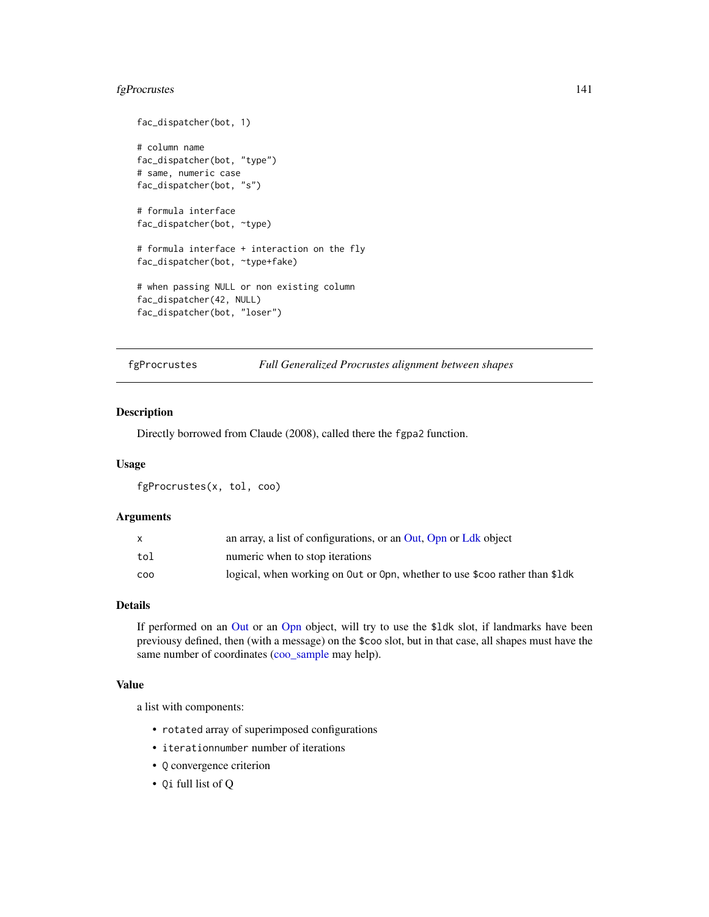# fgProcrustes 141

```
fac_dispatcher(bot, 1)
# column name
fac_dispatcher(bot, "type")
# same, numeric case
fac_dispatcher(bot, "s")
# formula interface
fac_dispatcher(bot, ~type)
# formula interface + interaction on the fly
fac_dispatcher(bot, ~type+fake)
# when passing NULL or non existing column
fac_dispatcher(42, NULL)
fac_dispatcher(bot, "loser")
```
<span id="page-140-0"></span>

fgProcrustes *Full Generalized Procrustes alignment between shapes*

## Description

Directly borrowed from Claude (2008), called there the fgpa2 function.

## Usage

fgProcrustes(x, tol, coo)

## Arguments

|     | an array, a list of configurations, or an Out, Opn or Ldk object            |
|-----|-----------------------------------------------------------------------------|
| tol | numeric when to stop iterations                                             |
| coo | logical, when working on Out or Opn, whether to use \$coo rather than \$1dk |

#### Details

If performed on an [Out](#page-197-0) or an [Opn](#page-193-0) object, will try to use the \$ldk slot, if landmarks have been previousy defined, then (with a message) on the \$coo slot, but in that case, all shapes must have the same number of coordinates [\(coo\\_sample](#page-92-0) may help).

## Value

a list with components:

- rotated array of superimposed configurations
- iterationnumber number of iterations
- Q convergence criterion
- Qi full list of Q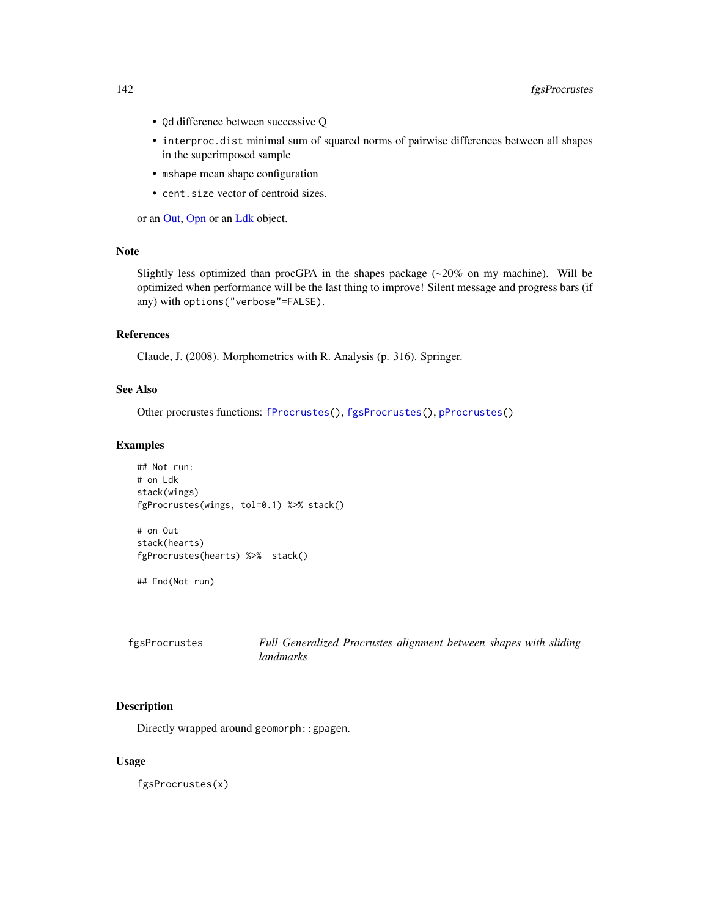- Qd difference between successive Q
- interproc.dist minimal sum of squared norms of pairwise differences between all shapes in the superimposed sample
- mshape mean shape configuration
- cent.size vector of centroid sizes.

or an [Out,](#page-197-0) [Opn](#page-193-0) or an [Ldk](#page-169-0) object.

# Note

Slightly less optimized than procGPA in the shapes package (~20% on my machine). Will be optimized when performance will be the last thing to improve! Silent message and progress bars (if any) with options("verbose"=FALSE).

# References

Claude, J. (2008). Morphometrics with R. Analysis (p. 316). Springer.

# See Also

Other procrustes functions: [fProcrustes\(](#page-144-0)), [fgsProcrustes\(](#page-141-0)), [pProcrustes\(](#page-236-0))

## Examples

```
## Not run:
# on Ldk
stack(wings)
fgProcrustes(wings, tol=0.1) %>% stack()
```
# on Out stack(hearts) fgProcrustes(hearts) %>% stack()

## End(Not run)

<span id="page-141-0"></span>

| fgsProcrustes | Full Generalized Procrustes alignment between shapes with sliding |  |  |  |
|---------------|-------------------------------------------------------------------|--|--|--|
|               | landmarks                                                         |  |  |  |

# Description

Directly wrapped around geomorph::gpagen.

#### Usage

fgsProcrustes(x)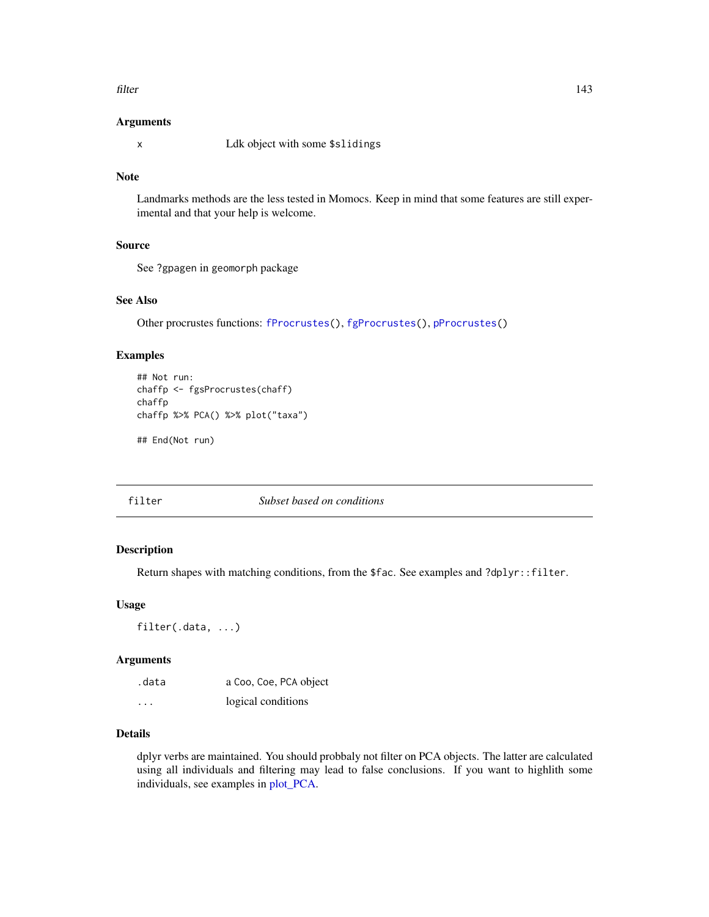#### filter that the contract of the contract of the contract of the contract of the contract of the contract of the contract of the contract of the contract of the contract of the contract of the contract of the contract of th

### Arguments

x Ldk object with some \$slidings

## Note

Landmarks methods are the less tested in Momocs. Keep in mind that some features are still experimental and that your help is welcome.

# Source

See ?gpagen in geomorph package

# See Also

Other procrustes functions: [fProcrustes\(](#page-144-0)), [fgProcrustes\(](#page-140-0)), [pProcrustes\(](#page-236-0))

## Examples

```
## Not run:
chaffp <- fgsProcrustes(chaff)
chaffp
chaffp %>% PCA() %>% plot("taxa")
## End(Not run)
```
<span id="page-142-0"></span>

## filter *Subset based on conditions*

#### Description

Return shapes with matching conditions, from the \$fac. See examples and ?dplyr::filter.

#### Usage

filter(.data, ...)

## Arguments

| .data   | a Coo, Coe, PCA object |
|---------|------------------------|
| $\cdot$ | logical conditions     |

# Details

dplyr verbs are maintained. You should probbaly not filter on PCA objects. The latter are calculated using all individuals and filtering may lead to false conclusions. If you want to highlith some individuals, see examples in [plot\\_PCA.](#page-232-0)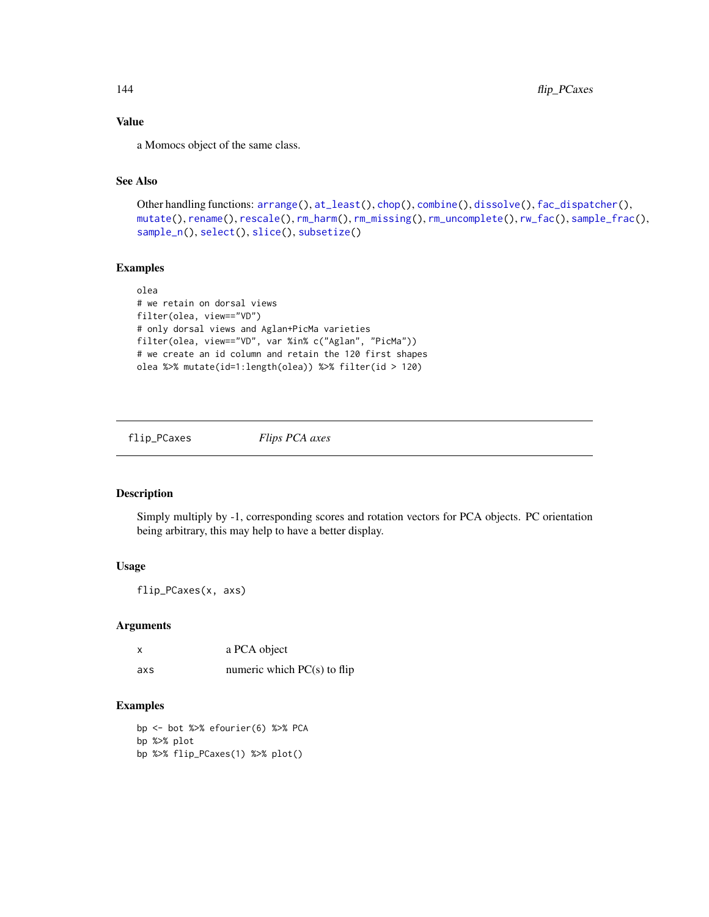# Value

a Momocs object of the same class.

# See Also

```
Other handling functions: arrange(), at_least(), chop(), combine(), dissolve(), fac_dispatcher(),
mutate(), rename(), rescale(), rm_harm(), rm_missing(), rm_uncomplete(), rw_fac(), sample_frac(),
sample_n(), select(), slice(), subsetize()
```
## Examples

```
olea
# we retain on dorsal views
filter(olea, view=="VD")
# only dorsal views and Aglan+PicMa varieties
filter(olea, view=="VD", var %in% c("Aglan", "PicMa"))
# we create an id column and retain the 120 first shapes
olea %>% mutate(id=1:length(olea)) %>% filter(id > 120)
```
flip\_PCaxes *Flips PCA axes*

# Description

Simply multiply by -1, corresponding scores and rotation vectors for PCA objects. PC orientation being arbitrary, this may help to have a better display.

# Usage

flip\_PCaxes(x, axs)

## Arguments

|     | a PCA object                  |
|-----|-------------------------------|
| axs | numeric which $PC(s)$ to flip |

```
bp <- bot %>% efourier(6) %>% PCA
bp %>% plot
bp %>% flip_PCaxes(1) %>% plot()
```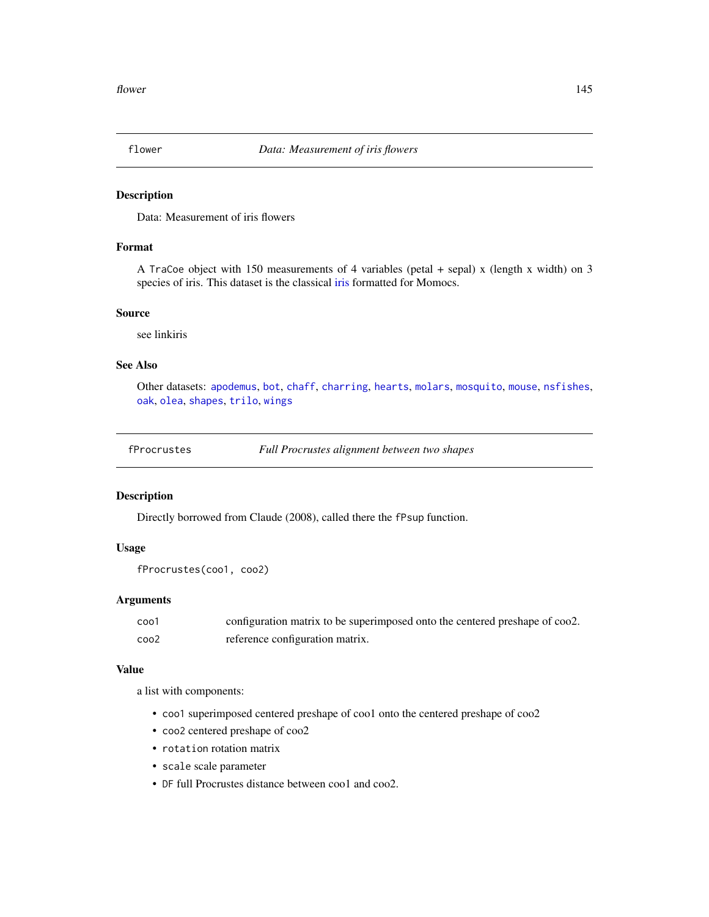<span id="page-144-0"></span>

Data: Measurement of iris flowers

# Format

A TraCoe object with 150 measurements of 4 variables (petal + sepal) x (length x width) on 3 species of iris. This dataset is the classical [iris](#page-0-0) formatted for Momocs.

## Source

see linkiris

# See Also

Other datasets: [apodemus](#page-7-0), [bot](#page-12-0), [chaff](#page-25-0), [charring](#page-25-1), [hearts](#page-150-0), [molars](#page-181-0), [mosquito](#page-186-0), [mouse](#page-186-1), [nsfishes](#page-191-0), [oak](#page-192-0), [olea](#page-192-1), [shapes](#page-259-0), [trilo](#page-277-0), [wings](#page-280-0)

fProcrustes *Full Procrustes alignment between two shapes*

## Description

Directly borrowed from Claude (2008), called there the fPsup function.

# Usage

```
fProcrustes(coo1, coo2)
```
## Arguments

| coo1 | configuration matrix to be superimposed onto the centered preshape of coo2. |
|------|-----------------------------------------------------------------------------|
| coo2 | reference configuration matrix.                                             |

## Value

a list with components:

- coo1 superimposed centered preshape of coo1 onto the centered preshape of coo2
- coo2 centered preshape of coo2
- rotation rotation matrix
- scale scale parameter
- DF full Procrustes distance between coo1 and coo2.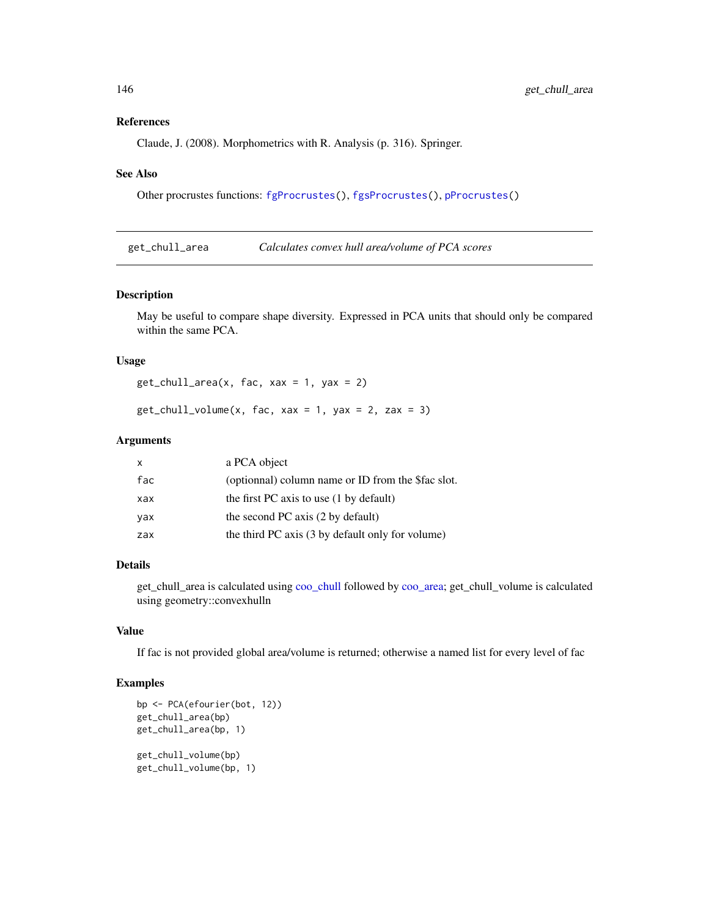#### References

Claude, J. (2008). Morphometrics with R. Analysis (p. 316). Springer.

#### See Also

Other procrustes functions: [fgProcrustes\(](#page-140-0)), [fgsProcrustes\(](#page-141-0)), [pProcrustes\(](#page-236-0))

get\_chull\_area *Calculates convex hull area/volume of PCA scores*

#### Description

May be useful to compare shape diversity. Expressed in PCA units that should only be compared within the same PCA.

## Usage

 $get\_chull\_area(x, fac, xax = 1, yax = 2)$ 

 $get\_chull\_volume(x, fac, xax = 1, yax = 2, zax = 3)$ 

# Arguments

| x   | a PCA object                                       |
|-----|----------------------------------------------------|
| fac | (optionnal) column name or ID from the \$fac slot. |
| xax | the first PC axis to use $(1 \text{ by default})$  |
| vax | the second PC axis (2 by default)                  |
| zax | the third PC axis (3 by default only for volume)   |

#### Details

get\_chull\_area is calculated using [coo\\_chull](#page-55-0) followed by [coo\\_area;](#page-46-0) get\_chull\_volume is calculated using geometry::convexhulln

## Value

If fac is not provided global area/volume is returned; otherwise a named list for every level of fac

```
bp <- PCA(efourier(bot, 12))
get_chull_area(bp)
get_chull_area(bp, 1)
get_chull_volume(bp)
get_chull_volume(bp, 1)
```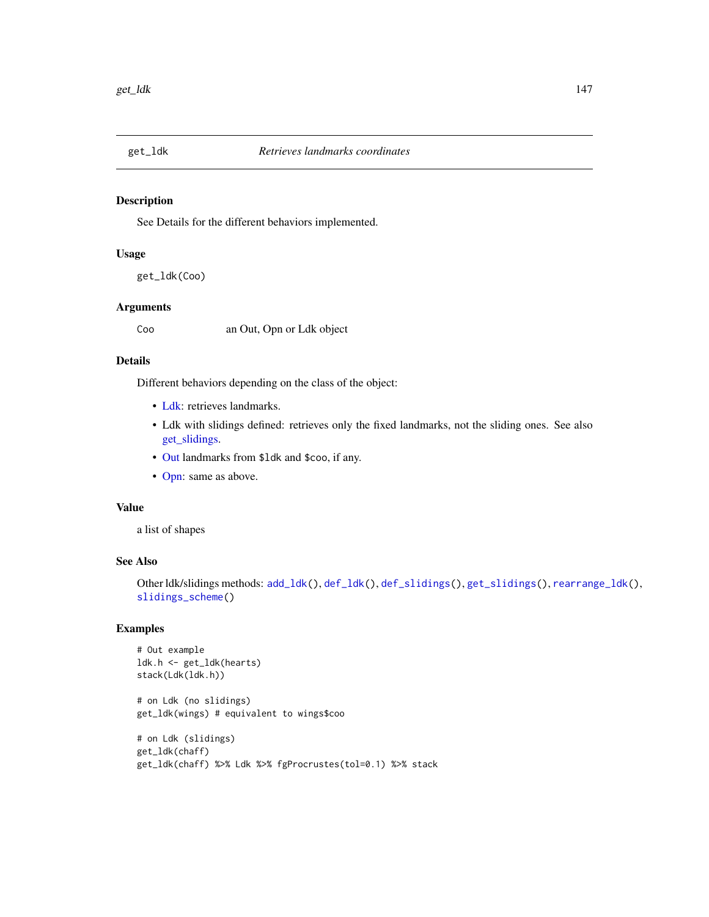<span id="page-146-0"></span>

See Details for the different behaviors implemented.

# Usage

get\_ldk(Coo)

## Arguments

Coo an Out, Opn or Ldk object

#### Details

Different behaviors depending on the class of the object:

- [Ldk:](#page-169-0) retrieves landmarks.
- Ldk with slidings defined: retrieves only the fixed landmarks, not the sliding ones. See also [get\\_slidings.](#page-148-0)
- [Out](#page-197-0) landmarks from \$ldk and \$coo, if any.
- [Opn:](#page-193-0) same as above.

## Value

a list of shapes

# See Also

Other ldk/slidings methods: [add\\_ldk\(](#page-6-0)), [def\\_ldk\(](#page-117-0)), [def\\_slidings\(](#page-120-0)), [get\\_slidings\(](#page-148-0)), [rearrange\\_ldk\(](#page-238-0)), [slidings\\_scheme\(](#page-261-0))

```
# Out example
ldk.h <- get_ldk(hearts)
stack(Ldk(ldk.h))
# on Ldk (no slidings)
get_ldk(wings) # equivalent to wings$coo
# on Ldk (slidings)
get_ldk(chaff)
get_ldk(chaff) %>% Ldk %>% fgProcrustes(tol=0.1) %>% stack
```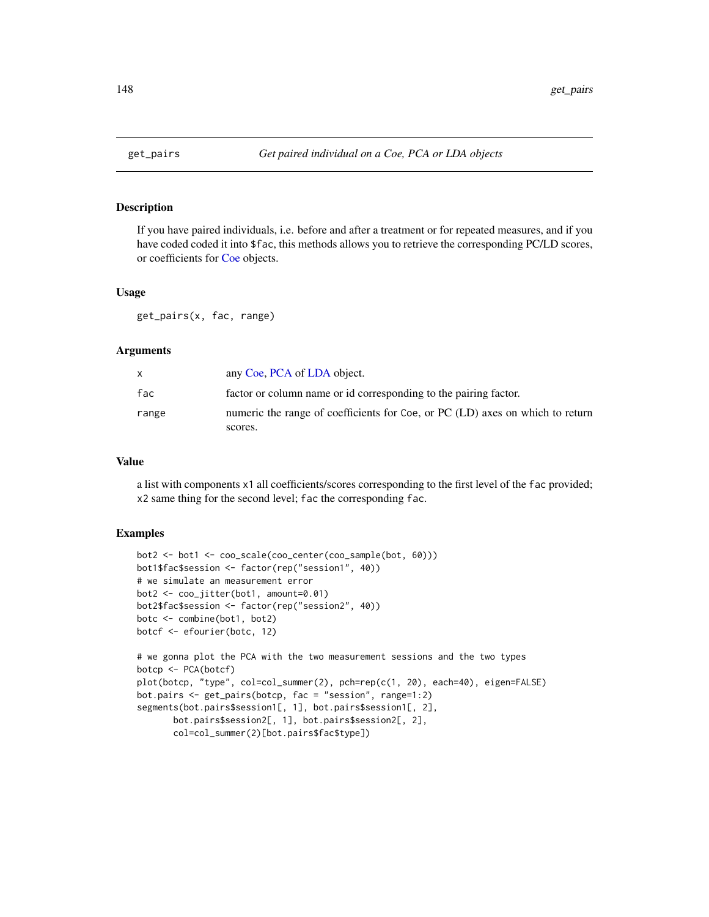If you have paired individuals, i.e. before and after a treatment or for repeated measures, and if you have coded coded it into \$fac, this methods allows you to retrieve the corresponding PC/LD scores, or coefficients for [Coe](#page-29-0) objects.

#### Usage

get\_pairs(x, fac, range)

## Arguments

| X     | any Coe, PCA of LDA object.                                                   |
|-------|-------------------------------------------------------------------------------|
| fac   | factor or column name or id corresponding to the pairing factor.              |
| range | numeric the range of coefficients for Coe, or PC (LD) axes on which to return |
|       | scores.                                                                       |

#### Value

a list with components x1 all coefficients/scores corresponding to the first level of the fac provided; x2 same thing for the second level; fac the corresponding fac.

#### Examples

```
bot2 <- bot1 <- coo_scale(coo_center(coo_sample(bot, 60)))
bot1$fac$session <- factor(rep("session1", 40))
# we simulate an measurement error
bot2 <- coo_jitter(bot1, amount=0.01)
bot2$fac$session <- factor(rep("session2", 40))
botc <- combine(bot1, bot2)
botcf <- efourier(botc, 12)
# we gonna plot the PCA with the two measurement sessions and the two types
botcp <- PCA(botcf)
plot(botcp, "type", col=col_summer(2), pch=rep(c(1, 20), each=40), eigen=FALSE)
bot.pairs <- get_pairs(botcp, fac = "session", range=1:2)
segments(bot.pairs$session1[, 1], bot.pairs$session1[, 2],
       bot.pairs$session2[, 1], bot.pairs$session2[, 2],
```
col=col\_summer(2)[bot.pairs\$fac\$type])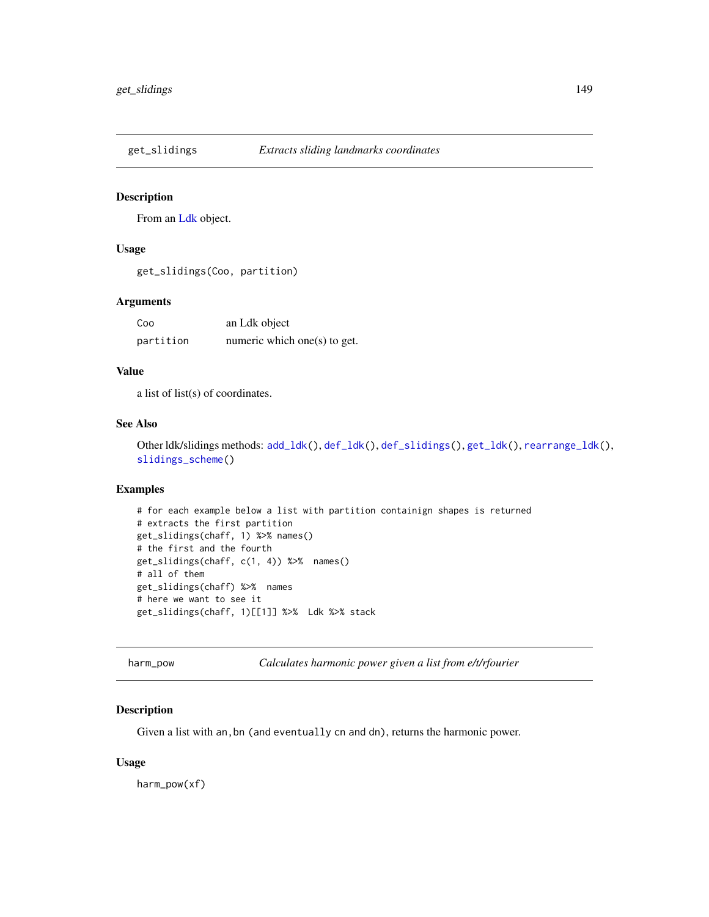<span id="page-148-0"></span>

From an [Ldk](#page-169-0) object.

# Usage

get\_slidings(Coo, partition)

## Arguments

| Coo       | an Ldk object                |
|-----------|------------------------------|
| partition | numeric which one(s) to get. |

## Value

a list of list(s) of coordinates.

## See Also

Other ldk/slidings methods: [add\\_ldk\(](#page-6-0)), [def\\_ldk\(](#page-117-0)), [def\\_slidings\(](#page-120-0)), [get\\_ldk\(](#page-146-0)), [rearrange\\_ldk\(](#page-238-0)), [slidings\\_scheme\(](#page-261-0))

# Examples

```
# for each example below a list with partition containign shapes is returned
# extracts the first partition
get_slidings(chaff, 1) %>% names()
# the first and the fourth
get_slidings(chaff, c(1, 4)) %>% names()
# all of them
get_slidings(chaff) %>% names
# here we want to see it
get_slidings(chaff, 1)[[1]] %>% Ldk %>% stack
```
harm\_pow *Calculates harmonic power given a list from e/t/rfourier*

## Description

Given a list with an,bn (and eventually cn and dn), returns the harmonic power.

#### Usage

harm\_pow(xf)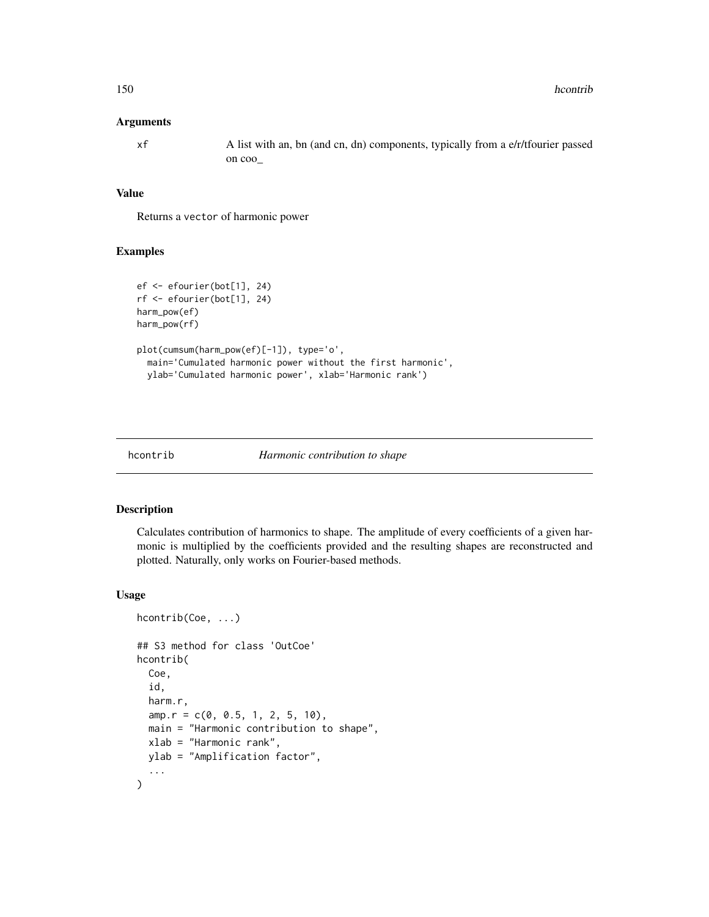#### Arguments

xf A list with an, bn (and cn, dn) components, typically from a e/r/tfourier passed on coo\_

# Value

Returns a vector of harmonic power

## Examples

```
ef <- efourier(bot[1], 24)
rf <- efourier(bot[1], 24)
harm_pow(ef)
harm_pow(rf)
plot(cumsum(harm_pow(ef)[-1]), type='o',
 main='Cumulated harmonic power without the first harmonic',
 ylab='Cumulated harmonic power', xlab='Harmonic rank')
```
#### hcontrib *Harmonic contribution to shape*

# Description

Calculates contribution of harmonics to shape. The amplitude of every coefficients of a given harmonic is multiplied by the coefficients provided and the resulting shapes are reconstructed and plotted. Naturally, only works on Fourier-based methods.

## Usage

```
hcontrib(Coe, ...)
## S3 method for class 'OutCoe'
hcontrib(
  Coe,
  id,
  harm.r,
  amp.r = c(0, 0.5, 1, 2, 5, 10),
 main = "Harmonic contribution to shape",
  xlab = "Harmonic rank",
 ylab = "Amplification factor",
  ...
\mathcal{E}
```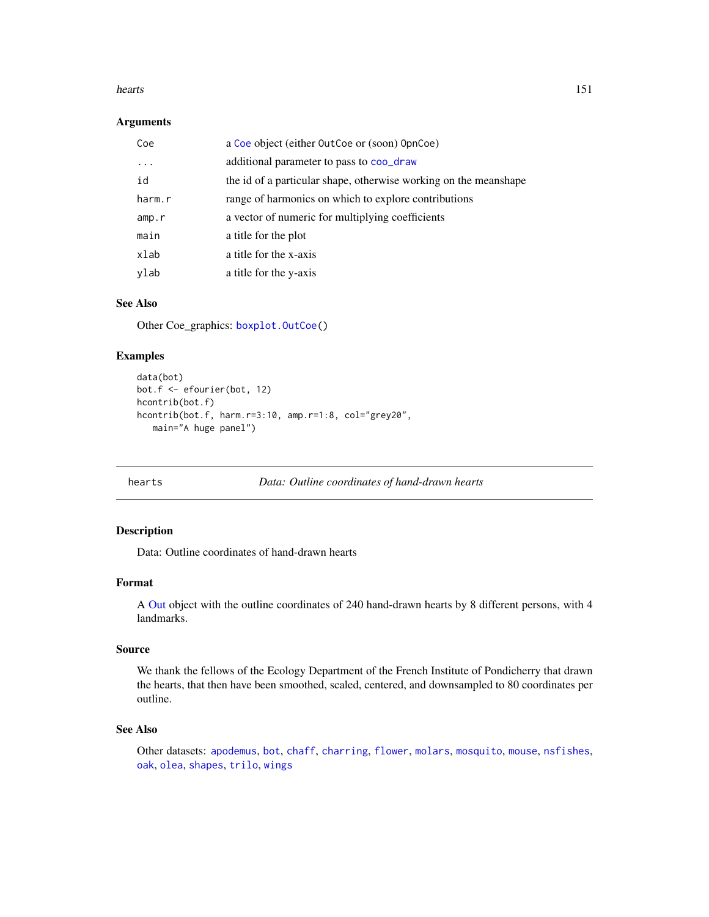#### hearts 151

## Arguments

| Coe    | a Coe object (either OutCoe or (soon) OpnCoe)                    |
|--------|------------------------------------------------------------------|
| .      | additional parameter to pass to coo_draw                         |
| id     | the id of a particular shape, otherwise working on the meanshape |
| harm.r | range of harmonics on which to explore contributions             |
| amp.r  | a vector of numeric for multiplying coefficients                 |
| main   | a title for the plot                                             |
| xlab   | a title for the x-axis                                           |
| ylab   | a title for the y-axis                                           |

# See Also

Other Coe\_graphics: [boxplot.OutCoe\(](#page-12-1))

# Examples

```
data(bot)
bot.f <- efourier(bot, 12)
hcontrib(bot.f)
hcontrib(bot.f, harm.r=3:10, amp.r=1:8, col="grey20",
   main="A huge panel")
```
<span id="page-150-0"></span>

hearts *Data: Outline coordinates of hand-drawn hearts*

## Description

Data: Outline coordinates of hand-drawn hearts

#### Format

A [Out](#page-197-0) object with the outline coordinates of 240 hand-drawn hearts by 8 different persons, with 4 landmarks.

## Source

We thank the fellows of the Ecology Department of the French Institute of Pondicherry that drawn the hearts, that then have been smoothed, scaled, centered, and downsampled to 80 coordinates per outline.

## See Also

Other datasets: [apodemus](#page-7-0), [bot](#page-12-0), [chaff](#page-25-0), [charring](#page-25-1), [flower](#page-144-0), [molars](#page-181-0), [mosquito](#page-186-0), [mouse](#page-186-1), [nsfishes](#page-191-0), [oak](#page-192-0), [olea](#page-192-1), [shapes](#page-259-0), [trilo](#page-277-0), [wings](#page-280-0)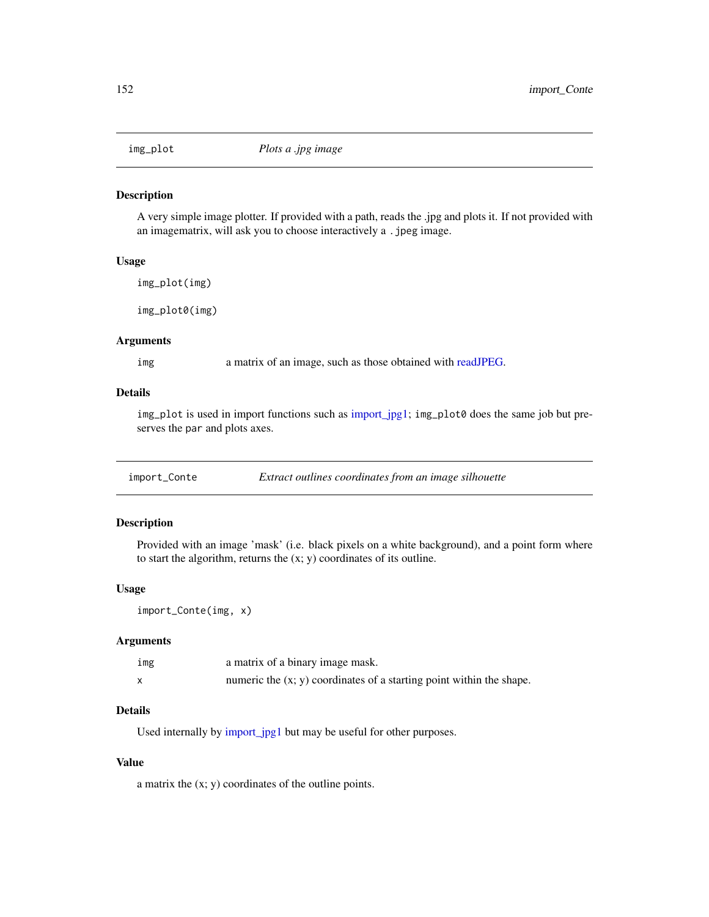<span id="page-151-1"></span>

A very simple image plotter. If provided with a path, reads the .jpg and plots it. If not provided with an imagematrix, will ask you to choose interactively a .jpeg image.

# Usage

```
img_plot(img)
```
img\_plot0(img)

## Arguments

img a matrix of an image, such as those obtained with [readJPEG.](#page-0-0)

## Details

img\_plot is used in import functions such as [import\\_jpg1;](#page-153-0) img\_plot0 does the same job but preserves the par and plots axes.

<span id="page-151-0"></span>

| import_Conte | Extract outlines coordinates from an image silhouette |  |  |
|--------------|-------------------------------------------------------|--|--|
|              |                                                       |  |  |

# Description

Provided with an image 'mask' (i.e. black pixels on a white background), and a point form where to start the algorithm, returns the (x; y) coordinates of its outline.

#### Usage

import\_Conte(img, x)

## Arguments

| img | a matrix of a binary image mask.                                       |
|-----|------------------------------------------------------------------------|
|     | numeric the $(x, y)$ coordinates of a starting point within the shape. |

# Details

Used internally by [import\\_jpg1](#page-153-0) but may be useful for other purposes.

## Value

a matrix the (x; y) coordinates of the outline points.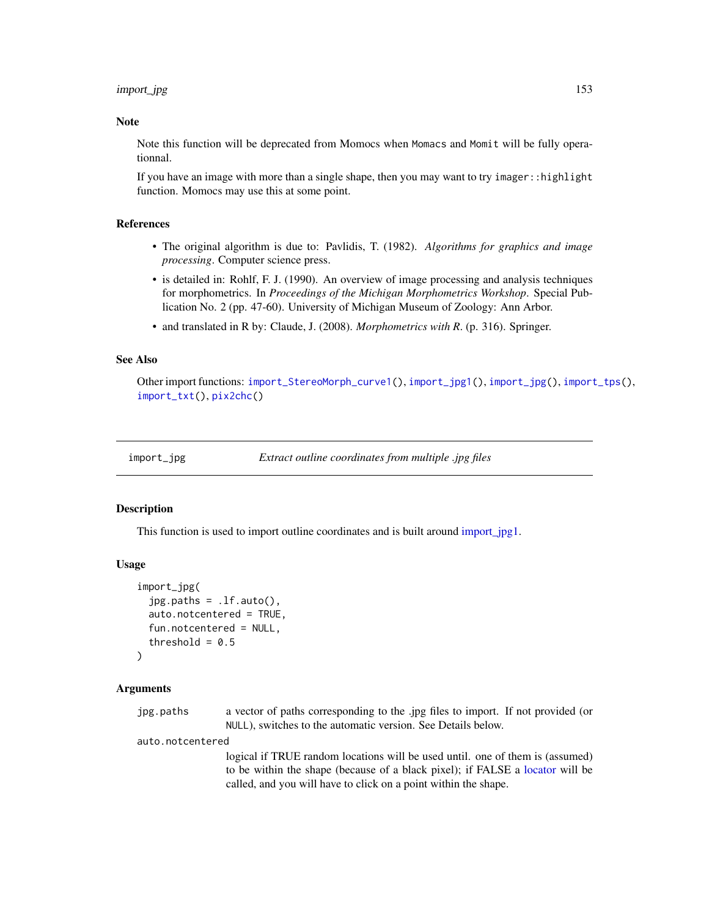## import\_jpg 153

#### Note

Note this function will be deprecated from Momocs when Momacs and Momit will be fully operationnal.

If you have an image with more than a single shape, then you may want to try imager::highlight function. Momocs may use this at some point.

# References

- The original algorithm is due to: Pavlidis, T. (1982). *Algorithms for graphics and image processing*. Computer science press.
- is detailed in: Rohlf, F. J. (1990). An overview of image processing and analysis techniques for morphometrics. In *Proceedings of the Michigan Morphometrics Workshop*. Special Publication No. 2 (pp. 47-60). University of Michigan Museum of Zoology: Ann Arbor.
- and translated in R by: Claude, J. (2008). *Morphometrics with R*. (p. 316). Springer.

# See Also

Other import functions: [import\\_StereoMorph\\_curve1\(](#page-155-0)), [import\\_jpg1\(](#page-153-0)), [import\\_jpg\(](#page-152-0)), [import\\_tps\(](#page-156-0)), [import\\_txt\(](#page-157-0)), [pix2chc\(](#page-211-0))

<span id="page-152-0"></span>import\_jpg *Extract outline coordinates from multiple .jpg files*

## Description

This function is used to import outline coordinates and is built around import  $jpg1$ .

#### Usage

```
import_jpg(
  jpg.paths = .1f.outo(),auto.notcentered = TRUE,
  fun.notcentered = NULL,
  threshold = 0.5)
```
#### Arguments

| jpg.paths | a vector of paths corresponding to the .jpg files to import. If not provided (or |
|-----------|----------------------------------------------------------------------------------|
|           | NULL), switches to the automatic version. See Details below.                     |

auto.notcentered

logical if TRUE random locations will be used until. one of them is (assumed) to be within the shape (because of a black pixel); if FALSE a [locator](#page-0-0) will be called, and you will have to click on a point within the shape.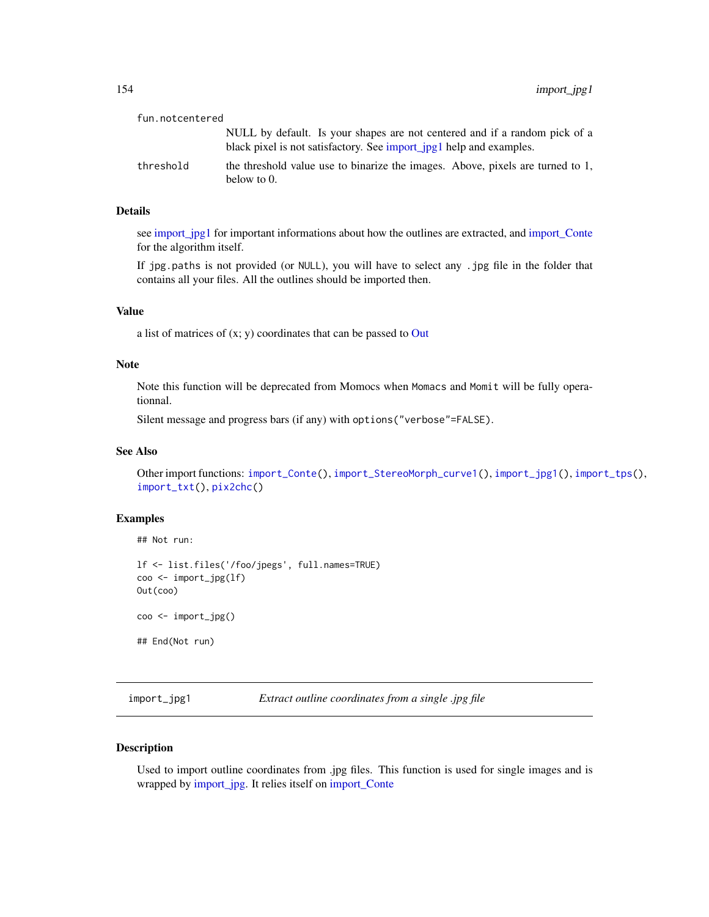| fun.notcentered |                                                                                                                                                   |
|-----------------|---------------------------------------------------------------------------------------------------------------------------------------------------|
|                 | NULL by default. Is your shapes are not centered and if a random pick of a<br>black pixel is not satisfactory. See import_jpg1 help and examples. |
| threshold       | the threshold value use to binarize the images. Above, pixels are turned to 1,<br>below to $0$ .                                                  |

#### Details

see [import\\_jpg1](#page-153-0) for important informations about how the outlines are extracted, and [import\\_Conte](#page-151-0) for the algorithm itself.

If jpg.paths is not provided (or NULL), you will have to select any .jpg file in the folder that contains all your files. All the outlines should be imported then.

#### Value

a list of matrices of  $(x; y)$  coordinates that can be passed to [Out](#page-197-0)

## Note

Note this function will be deprecated from Momocs when Momacs and Momit will be fully operationnal.

Silent message and progress bars (if any) with options("verbose"=FALSE).

## See Also

Other import functions: [import\\_Conte\(](#page-151-0)), [import\\_StereoMorph\\_curve1\(](#page-155-0)), [import\\_jpg1\(](#page-153-0)), [import\\_tps\(](#page-156-0)), [import\\_txt\(](#page-157-0)), [pix2chc\(](#page-211-0))

#### Examples

## Not run:

```
lf <- list.files('/foo/jpegs', full.names=TRUE)
coo <- import_jpg(lf)
Out(coo)
coo <- import_jpg()
## End(Not run)
```
<span id="page-153-0"></span>import\_jpg1 *Extract outline coordinates from a single .jpg file*

#### Description

Used to import outline coordinates from .jpg files. This function is used for single images and is wrapped by [import\\_jpg.](#page-152-0) It relies itself on [import\\_Conte](#page-151-0)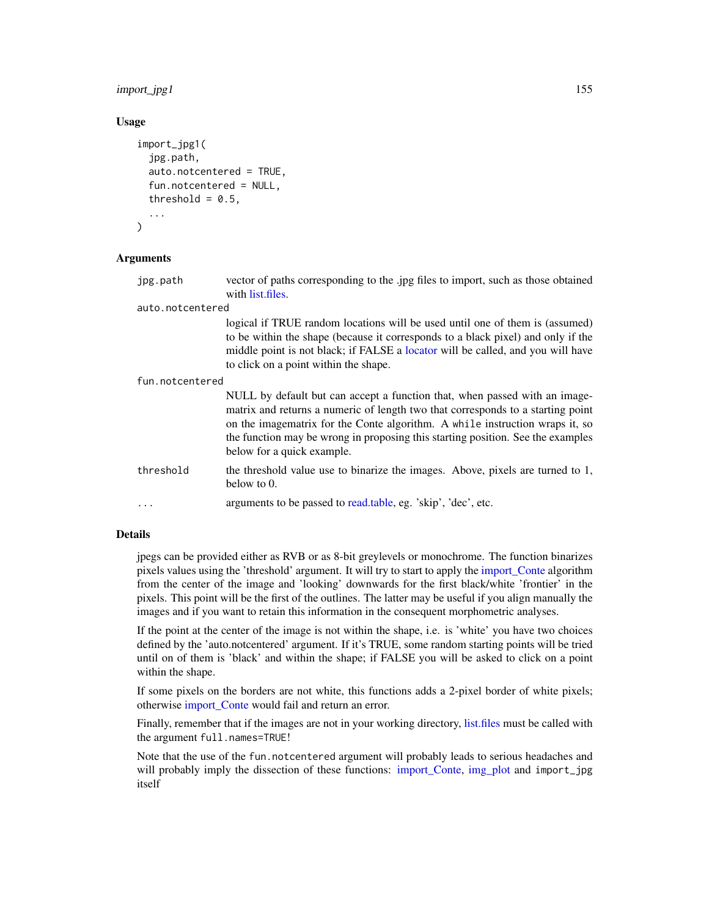# import\_jpg1 155

## Usage

```
import_jpg1(
  jpg.path,
  auto.notcentered = TRUE,
  fun.notcentered = NULL,
  threshold = 0.5,
  ...
)
```
## Arguments

jpg.path vector of paths corresponding to the .jpg files to import, such as those obtained with [list.files.](#page-0-0)

auto.notcentered

logical if TRUE random locations will be used until one of them is (assumed) to be within the shape (because it corresponds to a black pixel) and only if the middle point is not black; if FALSE a [locator](#page-0-0) will be called, and you will have to click on a point within the shape.

fun.notcentered

|           | NULL by default but can accept a function that, when passed with an image-<br>matrix and returns a numeric of length two that corresponds to a starting point<br>on the imagematrix for the Conte algorithm. A while instruction wraps it, so<br>the function may be wrong in proposing this starting position. See the examples<br>below for a quick example. |
|-----------|----------------------------------------------------------------------------------------------------------------------------------------------------------------------------------------------------------------------------------------------------------------------------------------------------------------------------------------------------------------|
| threshold | the threshold value use to binarize the images. Above, pixels are turned to 1,<br>below to $0$ .                                                                                                                                                                                                                                                               |

... arguments to be passed to [read.table,](#page-0-0) eg. 'skip', 'dec', etc.

### Details

jpegs can be provided either as RVB or as 8-bit greylevels or monochrome. The function binarizes pixels values using the 'threshold' argument. It will try to start to apply the [import\\_Conte](#page-151-0) algorithm from the center of the image and 'looking' downwards for the first black/white 'frontier' in the pixels. This point will be the first of the outlines. The latter may be useful if you align manually the images and if you want to retain this information in the consequent morphometric analyses.

If the point at the center of the image is not within the shape, i.e. is 'white' you have two choices defined by the 'auto.notcentered' argument. If it's TRUE, some random starting points will be tried until on of them is 'black' and within the shape; if FALSE you will be asked to click on a point within the shape.

If some pixels on the borders are not white, this functions adds a 2-pixel border of white pixels; otherwise [import\\_Conte](#page-151-0) would fail and return an error.

Finally, remember that if the images are not in your working directory, [list.files](#page-0-0) must be called with the argument full.names=TRUE!

Note that the use of the fun.notcentered argument will probably leads to serious headaches and will probably imply the dissection of these functions: [import\\_Conte,](#page-151-0) [img\\_plot](#page-151-1) and import\_jpg itself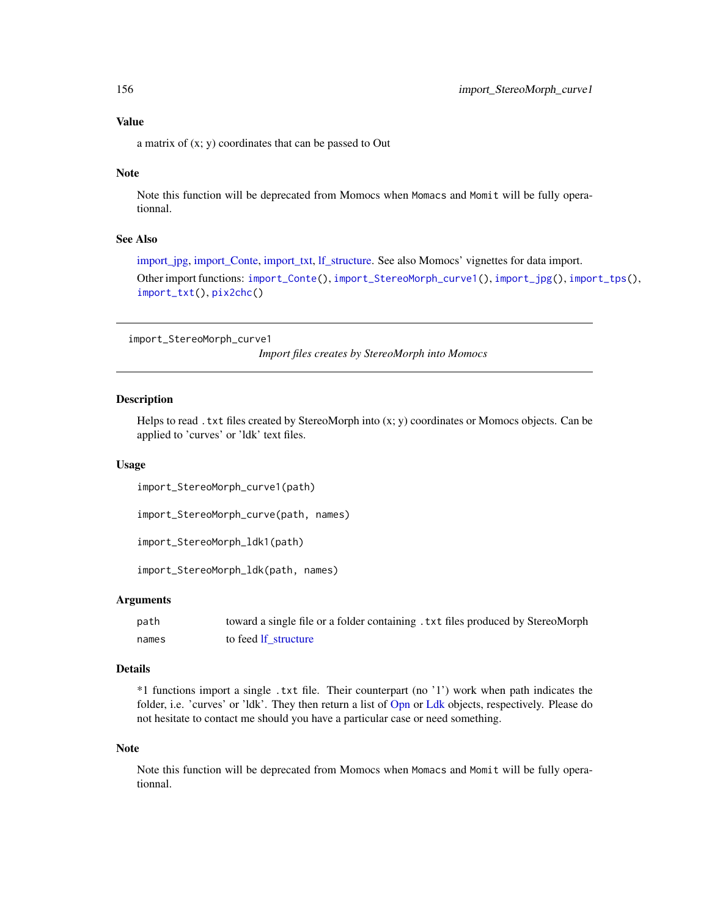a matrix of (x; y) coordinates that can be passed to Out

## Note

Note this function will be deprecated from Momocs when Momacs and Momit will be fully operationnal.

# See Also

[import\\_jpg,](#page-152-0) [import\\_Conte,](#page-151-0) [import\\_txt,](#page-157-0) [lf\\_structure.](#page-174-0) See also Momocs' vignettes for data import. Other import functions: [import\\_Conte\(](#page-151-0)), [import\\_StereoMorph\\_curve1\(](#page-155-0)), [import\\_jpg\(](#page-152-0)), [import\\_tps\(](#page-156-0)), [import\\_txt\(](#page-157-0)), [pix2chc\(](#page-211-0))

```
import_StereoMorph_curve1
```
*Import files creates by StereoMorph into Momocs*

#### Description

Helps to read . txt files created by StereoMorph into  $(x; y)$  coordinates or Momocs objects. Can be applied to 'curves' or 'ldk' text files.

#### Usage

import\_StereoMorph\_curve1(path)

import\_StereoMorph\_curve(path, names)

```
import_StereoMorph_ldk1(path)
```
import\_StereoMorph\_ldk(path, names)

## Arguments

| path  | toward a single file or a folder containing. txt files produced by StereoMorph |
|-------|--------------------------------------------------------------------------------|
| names | to feed If structure                                                           |

## Details

\*1 functions import a single .txt file. Their counterpart (no '1') work when path indicates the folder, i.e. 'curves' or 'ldk'. They then return a list of [Opn](#page-193-0) or [Ldk](#page-169-0) objects, respectively. Please do not hesitate to contact me should you have a particular case or need something.

#### Note

Note this function will be deprecated from Momocs when Momacs and Momit will be fully operationnal.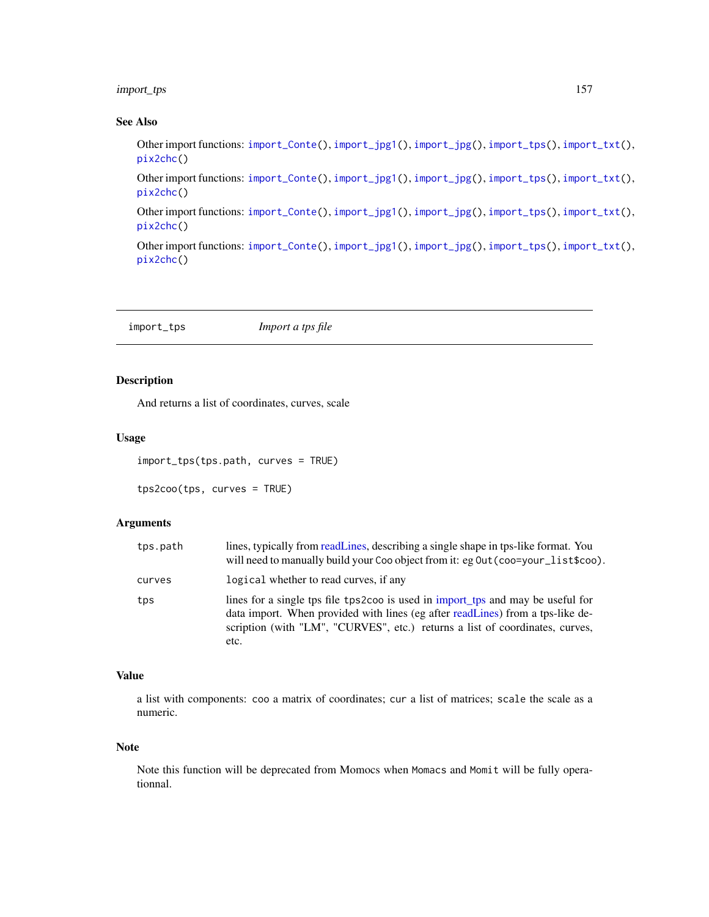# import\_tps 157

## See Also

Other import functions: [import\\_Conte\(](#page-151-0)), [import\\_jpg1\(](#page-153-0)), [import\\_jpg\(](#page-152-0)), [import\\_tps\(](#page-156-0)), [import\\_txt\(](#page-157-0)), [pix2chc\(](#page-211-0))

Other import functions: [import\\_Conte\(](#page-151-0)), [import\\_jpg1\(](#page-153-0)), [import\\_jpg\(](#page-152-0)), [import\\_tps\(](#page-156-0)), [import\\_txt\(](#page-157-0)), [pix2chc\(](#page-211-0))

Other import functions: [import\\_Conte\(](#page-151-0)), [import\\_jpg1\(](#page-153-0)), [import\\_jpg\(](#page-152-0)), [import\\_tps\(](#page-156-0)), [import\\_txt\(](#page-157-0)), [pix2chc\(](#page-211-0))

Other import functions: [import\\_Conte\(](#page-151-0)), [import\\_jpg1\(](#page-153-0)), [import\\_jpg\(](#page-152-0)), [import\\_tps\(](#page-156-0)), [import\\_txt\(](#page-157-0)), [pix2chc\(](#page-211-0))

<span id="page-156-0"></span>import\_tps *Import a tps file*

# Description

And returns a list of coordinates, curves, scale

# Usage

```
import_tps(tps.path, curves = TRUE)
```

```
tps2coo(tps, curves = TRUE)
```
## Arguments

| tps.path | lines, typically from readLines, describing a single shape in tps-like format. You<br>will need to manually build your Coo object from it: eg Out (coo=your_list\$coo).                                                                                   |
|----------|-----------------------------------------------------------------------------------------------------------------------------------------------------------------------------------------------------------------------------------------------------------|
| curves   | logical whether to read curves, if any                                                                                                                                                                                                                    |
| tps      | lines for a single tps file tps2coo is used in import_tps and may be useful for<br>data import. When provided with lines (eg after readLines) from a tps-like de-<br>scription (with "LM", "CURVES", etc.) returns a list of coordinates, curves,<br>etc. |

## Value

a list with components: coo a matrix of coordinates; cur a list of matrices; scale the scale as a numeric.

## Note

Note this function will be deprecated from Momocs when Momacs and Momit will be fully operationnal.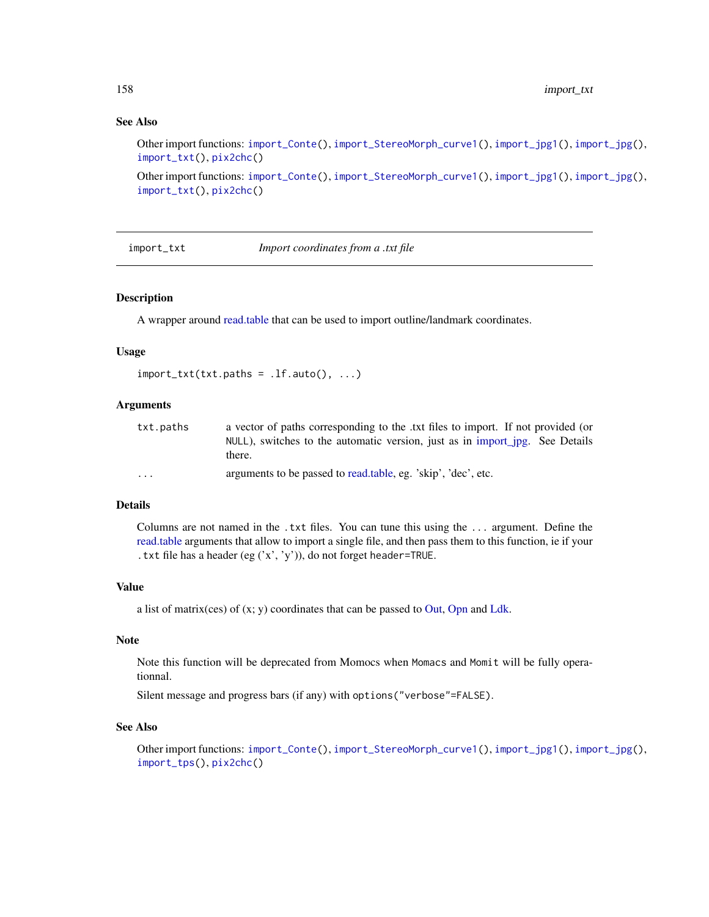# See Also

Other import functions: [import\\_Conte\(](#page-151-0)), [import\\_StereoMorph\\_curve1\(](#page-155-0)), [import\\_jpg1\(](#page-153-0)), [import\\_jpg\(](#page-152-0)), [import\\_txt\(](#page-157-0)), [pix2chc\(](#page-211-0))

Other import functions: [import\\_Conte\(](#page-151-0)), [import\\_StereoMorph\\_curve1\(](#page-155-0)), [import\\_jpg1\(](#page-153-0)), [import\\_jpg\(](#page-152-0)), [import\\_txt\(](#page-157-0)), [pix2chc\(](#page-211-0))

<span id="page-157-0"></span>import\_txt *Import coordinates from a .txt file*

## Description

A wrapper around [read.table](#page-0-0) that can be used to import outline/landmark coordinates.

#### Usage

```
import\_txt(txt.paths = .lf.auto(), ...)
```
## Arguments

| txt.paths               | a vector of paths corresponding to the txt files to import. If not provided (or<br>NULL), switches to the automatic version, just as in import_jpg. See Details<br>there. |
|-------------------------|---------------------------------------------------------------------------------------------------------------------------------------------------------------------------|
| $\cdot$ $\cdot$ $\cdot$ | arguments to be passed to read.table, eg. 'skip', 'dec', etc.                                                                                                             |

# Details

Columns are not named in the .txt files. You can tune this using the ... argument. Define the [read.table](#page-0-0) arguments that allow to import a single file, and then pass them to this function, ie if your .txt file has a header (eg ('x', 'y')), do not forget header=TRUE.

#### Value

a list of matrix(ces) of  $(x; y)$  coordinates that can be passed to [Out,](#page-197-0) [Opn](#page-193-0) and [Ldk.](#page-169-0)

#### Note

Note this function will be deprecated from Momocs when Momacs and Momit will be fully operationnal.

Silent message and progress bars (if any) with options("verbose"=FALSE).

#### See Also

Other import functions: [import\\_Conte\(](#page-151-0)), [import\\_StereoMorph\\_curve1\(](#page-155-0)), [import\\_jpg1\(](#page-153-0)), [import\\_jpg\(](#page-152-0)), [import\\_tps\(](#page-156-0)), [pix2chc\(](#page-211-0))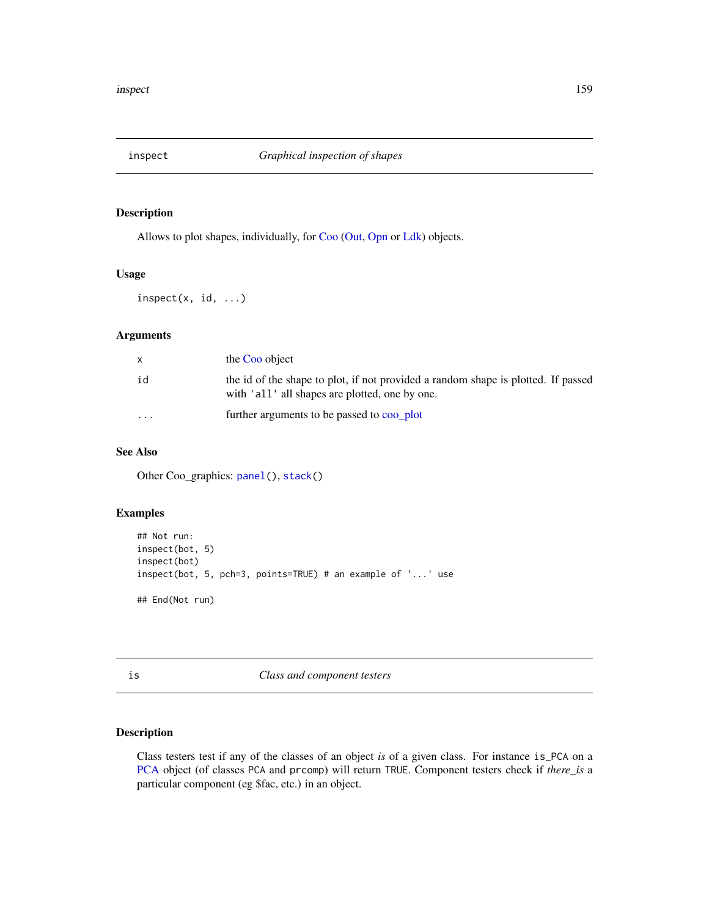Allows to plot shapes, individually, for [Coo](#page-38-0) [\(Out,](#page-197-0) [Opn](#page-193-0) or [Ldk\)](#page-169-0) objects.

## Usage

 $inspect(x, id, ...)$ 

# Arguments

|          | the Coo object                                                                                                                      |
|----------|-------------------------------------------------------------------------------------------------------------------------------------|
| id       | the id of the shape to plot, if not provided a random shape is plotted. If passed<br>with 'all' all shapes are plotted, one by one. |
| $\cdots$ | further arguments to be passed to coo_plot                                                                                          |

# See Also

Other Coo\_graphics: [panel\(](#page-201-0)), [stack\(](#page-261-1))

## Examples

```
## Not run:
inspect(bot, 5)
inspect(bot)
inspect(bot, 5, pch=3, points=TRUE) # an example of '...' use
## End(Not run)
```
is *Class and component testers*

# Description

Class testers test if any of the classes of an object *is* of a given class. For instance is\_PCA on a [PCA](#page-204-0) object (of classes PCA and prcomp) will return TRUE. Component testers check if *there\_is* a particular component (eg \$fac, etc.) in an object.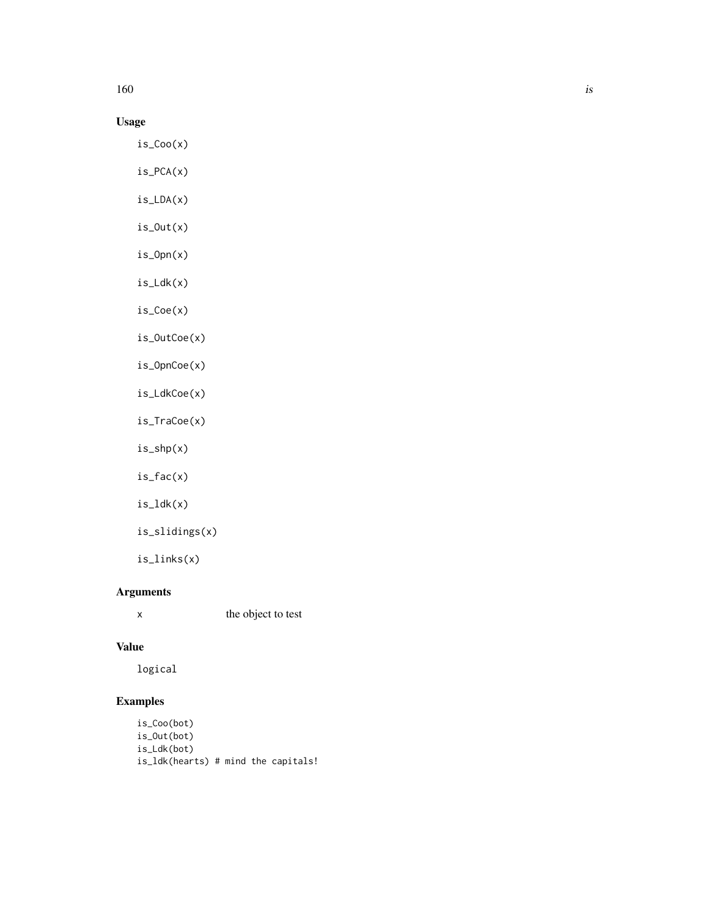$160$  is

# Usage

is\_Coo(x)

is\_PCA(x)

is\_LDA(x)

- is\_Out(x)
- is\_Opn(x)
- is\_Ldk(x)
- is\_Coe(x)

is\_OutCoe(x)

is\_OpnCoe(x)

- is\_LdkCoe(x)
- is\_TraCoe(x)
- is\_shp(x)

is\_fac(x)

- is\_ldk(x)
- is\_slidings(x)

is\_links(x)

# Arguments

x the object to test

# Value

logical

```
is_Coo(bot)
is_Out(bot)
is_Ldk(bot)
is_ldk(hearts) # mind the capitals!
```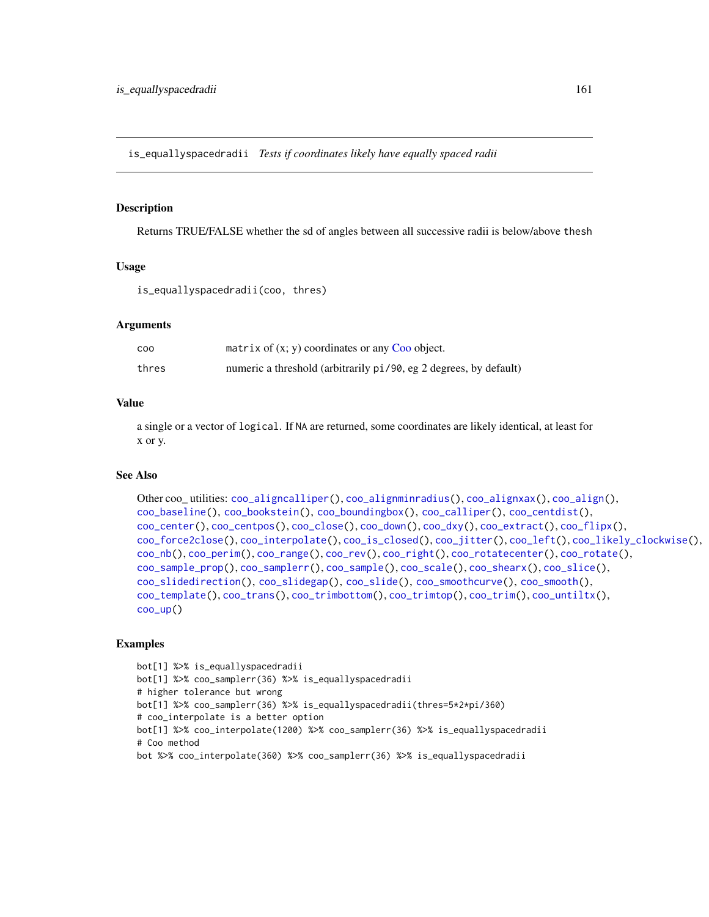is\_equallyspacedradii *Tests if coordinates likely have equally spaced radii*

#### Description

Returns TRUE/FALSE whether the sd of angles between all successive radii is below/above thesh

## Usage

is\_equallyspacedradii(coo, thres)

## Arguments

| COO   | matrix of $(x, y)$ coordinates or any Coo object.                 |
|-------|-------------------------------------------------------------------|
| thres | numeric a threshold (arbitrarily pi/90, eg 2 degrees, by default) |

#### Value

a single or a vector of logical. If NA are returned, some coordinates are likely identical, at least for x or y.

#### See Also

```
Other coo_ utilities: coo_aligncalliper(), coo_alignminradius(), coo_alignxax(), coo_align(),
coo_baseline(), coo_bookstein(), coo_boundingbox(), coo_calliper(), coo_centdist(),
coo_center(), coo_centpos(), coo_close(), coo_down(), coo_dxy(), coo_extract(), coo_flipx(),
coo_force2close(), coo_interpolate(), coo_is_closed(), coo_jitter(), coo_left(), coo_likely_clockwise(),
coo_nb(), coo_perim(), coo_range(), coo_rev(), coo_right(), coo_rotatecenter(), coo_rotate(),
coo_sample_prop(), coo_samplerr(), coo_sample(), coo_scale(), coo_shearx(), coo_slice(),
coo_slidedirection(), coo_slidegap(), coo_slide(), coo_smoothcurve(), coo_smooth(),
coo_template(), coo_trans(), coo_trimbottom(), coo_trimtop(), coo_trim(), coo_untiltx(),
coo_up()
```

```
bot[1] %>% is_equallyspacedradii
bot[1] %>% coo_samplerr(36) %>% is_equallyspacedradii
# higher tolerance but wrong
bot[1] %>% coo_samplerr(36) %>% is_equallyspacedradii(thres=5*2*pi/360)
# coo_interpolate is a better option
bot[1] %>% coo_interpolate(1200) %>% coo_samplerr(36) %>% is_equallyspacedradii
# Coo method
bot %>% coo_interpolate(360) %>% coo_samplerr(36) %>% is_equallyspacedradii
```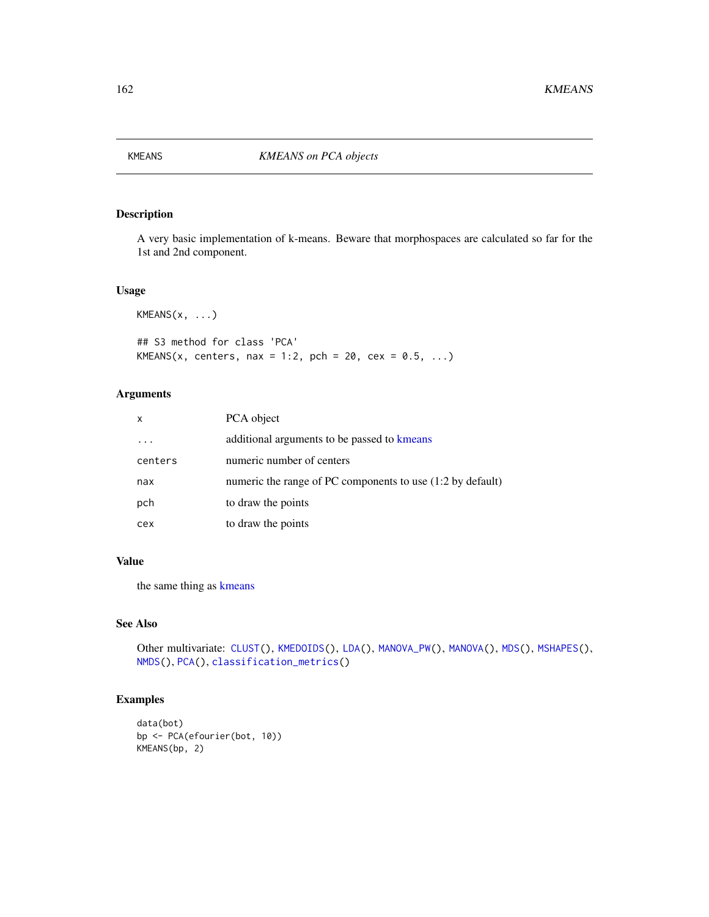<span id="page-161-0"></span>

A very basic implementation of k-means. Beware that morphospaces are calculated so far for the 1st and 2nd component.

## Usage

 $KMEANS(x, \ldots)$ 

## S3 method for class 'PCA' KMEANS(x, centers, nax = 1:2, pch = 20, cex =  $0.5, ...$ )

# Arguments

| $\mathsf{x}$ | PCA object                                                 |
|--------------|------------------------------------------------------------|
|              | additional arguments to be passed to kmeans                |
| centers      | numeric number of centers                                  |
| nax          | numeric the range of PC components to use (1:2 by default) |
| pch          | to draw the points                                         |
| cex          | to draw the points                                         |

# Value

the same thing as [kmeans](#page-0-0)

## See Also

```
Other multivariate: CLUST(), KMEDOIDS(), LDA(), MANOVA_PW(), MANOVA(), MDS(), MSHAPES(),
NMDS(), PCA(), classification_metrics()
```

```
data(bot)
bp <- PCA(efourier(bot, 10))
KMEANS(bp, 2)
```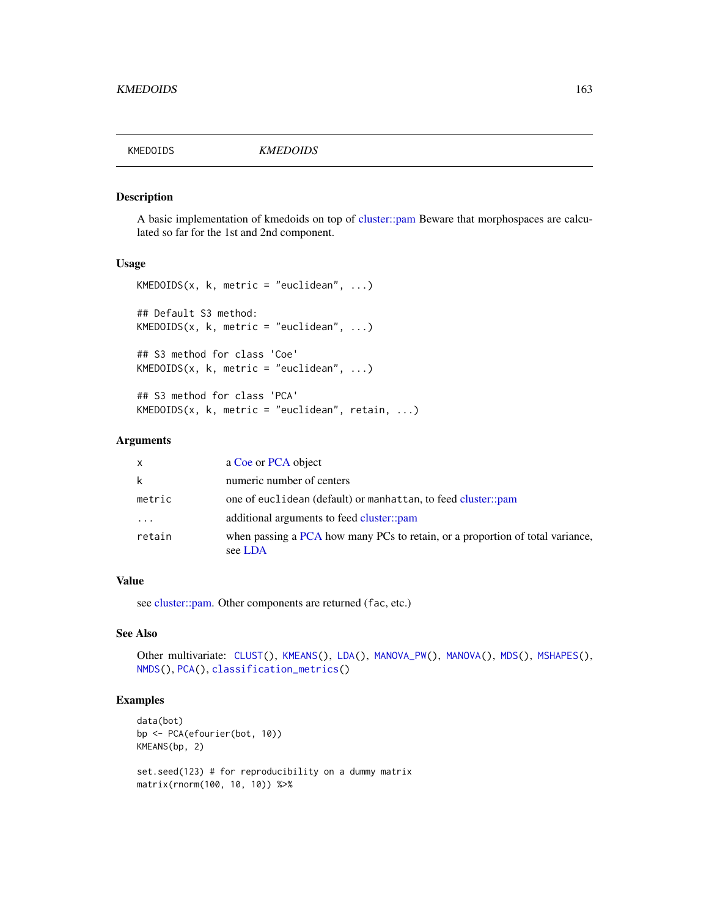<span id="page-162-0"></span>

A basic implementation of kmedoids on top of [cluster::pam](#page-0-0) Beware that morphospaces are calculated so far for the 1st and 2nd component.

#### Usage

```
KMEDOIDS(x, k, metric = "euclidean", ...)
## Default S3 method:
KMEDOIDS(x, k, metric = "euclidean", ...)## S3 method for class 'Coe'
KMEDOIDS(x, k, metric = "euclidean", ...)## S3 method for class 'PCA'
```
 $KMEDOIDS(x, k, metric = "euclidean", retain, ...)$ 

## Arguments

| $\mathsf{x}$ | a Coe or PCA object                                                                      |
|--------------|------------------------------------------------------------------------------------------|
| k            | numeric number of centers                                                                |
| metric       | one of euclidean (default) or manhattan, to feed cluster::pam                            |
| $\cdots$     | additional arguments to feed cluster::pam                                                |
| retain       | when passing a PCA how many PCs to retain, or a proportion of total variance,<br>see LDA |

## Value

see [cluster::pam.](#page-0-0) Other components are returned (fac, etc.)

## See Also

```
Other multivariate: CLUST(), KMEANS(), LDA(), MANOVA_PW(), MANOVA(), MDS(), MSHAPES(),
NMDS(), PCA(), classification_metrics()
```

```
data(bot)
bp <- PCA(efourier(bot, 10))
KMEANS(bp, 2)
set.seed(123) # for reproducibility on a dummy matrix
matrix(rnorm(100, 10, 10)) %>%
```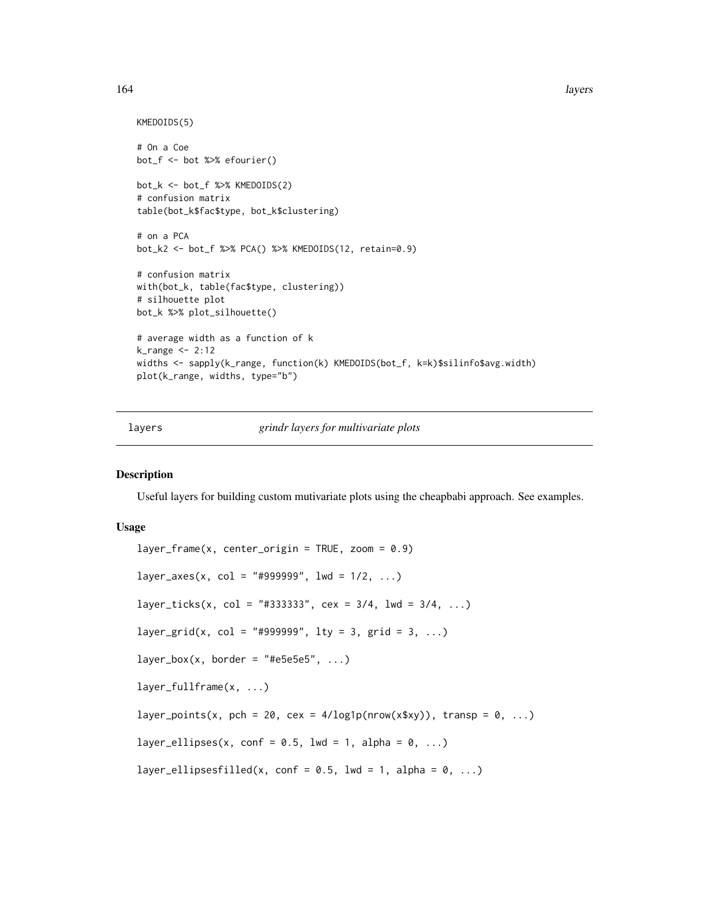164 layers and the set of the set of the set of the set of the set of the set of the set of the set of the set of the set of the set of the set of the set of the set of the set of the set of the set of the set of the set o

```
KMEDOIDS(5)
# On a Coe
bot_f <- bot %>% efourier()
bot_k <- bot_f %>% KMEDOIDS(2)
# confusion matrix
table(bot_k$fac$type, bot_k$clustering)
# on a PCA
bot_k2 <- bot_f %>% PCA() %>% KMEDOIDS(12, retain=0.9)
# confusion matrix
with(bot_k, table(fac$type, clustering))
# silhouette plot
bot_k %>% plot_silhouette()
# average width as a function of k
k_range <- 2:12
widths <- sapply(k_range, function(k) KMEDOIDS(bot_f, k=k)$silinfo$avg.width)
plot(k_range, widths, type="b")
```
<span id="page-163-0"></span>layers *grindr layers for multivariate plots*

#### Description

Useful layers for building custom mutivariate plots using the cheapbabi approach. See examples.

#### Usage

```
layer_frame(x, center_origin = TRUE, zoom = 0.9)
layer_axes(x, col = "#999999", lwd = 1/2, ...)layer\_ticks(x, col = "#333333", cex = 3/4, lwd = 3/4, ...)layer_grid(x, col = "#999999", lty = 3, grid = 3, ...)
layer\_box(x, border = "#e5e5e5", ...)layer_fullframe(x, ...)
layer_points(x, pch = 20, cex = 4/\log 1p(nrow(x$xy)), transp = 0, ...)
layer_ellipses(x, conf = 0.5, lwd = 1, alpha = 0, ...)
layer_ellipsesfilled(x, conf = 0.5, lwd = 1, alpha = 0, ...)
```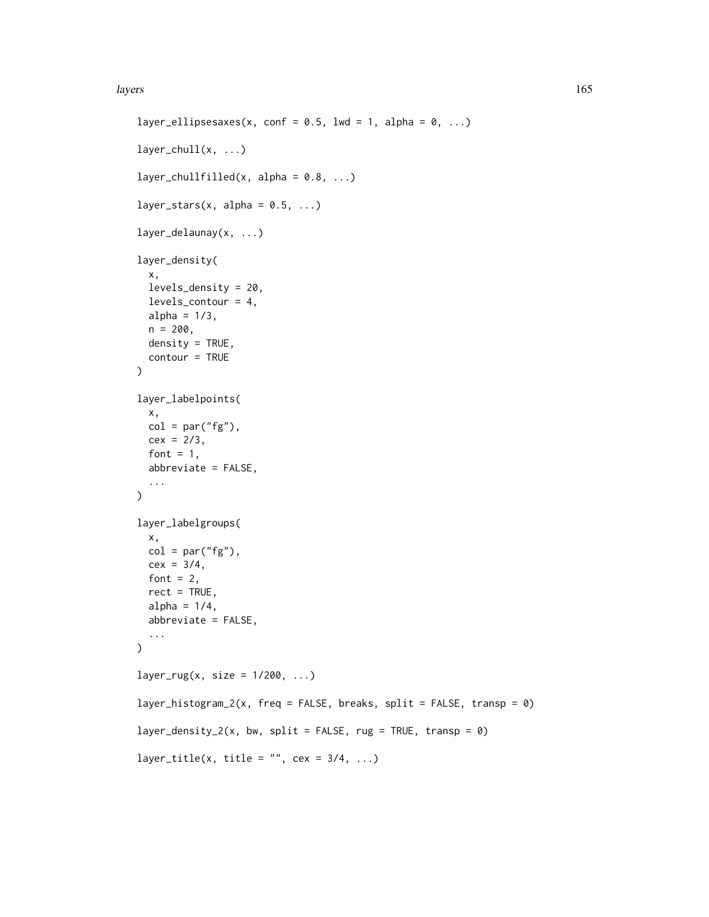#### layers and the set of the set of the set of the set of the set of the set of the set of the set of the set of the set of the set of the set of the set of the set of the set of the set of the set of the set of the set of th

```
layer_ellipsesaxes(x, conf = 0.5, lwd = 1, alpha = 0, ...)
layer\_chull(x, ...)layer_chullfilled(x, alpha = 0.8, ...)
layer_stars(x, alpha = 0.5, ...)
layer_delaunay(x, ...)
layer_density(
  x,
 levels_density = 20,
 levels_contour = 4,
 alpha = 1/3,
 n = 200,
 density = TRUE,
 contour = TRUE
\lambdalayer_labelpoints(
 x,
 col = par("fg"),cex = 2/3,
  font = 1,
  abbreviate = FALSE,
  ...
\mathcal{L}layer_labelgroups(
 x,
 col = par("fg"),cex = 3/4,
  font = 2,
  rect = TRUE,alpha = 1/4,
  abbreviate = FALSE,
  ...
\mathcal{L}layer_rug(x, size = 1/200, ...)
layer_histogram_2(x, freq = FALSE, breaks, split = FALSE, transp = \theta)
layer_density_2(x, bw, split = FALSE, rug = TRUE, transp = 0)
layer_title(x, title = "", cex = 3/4, ...)
```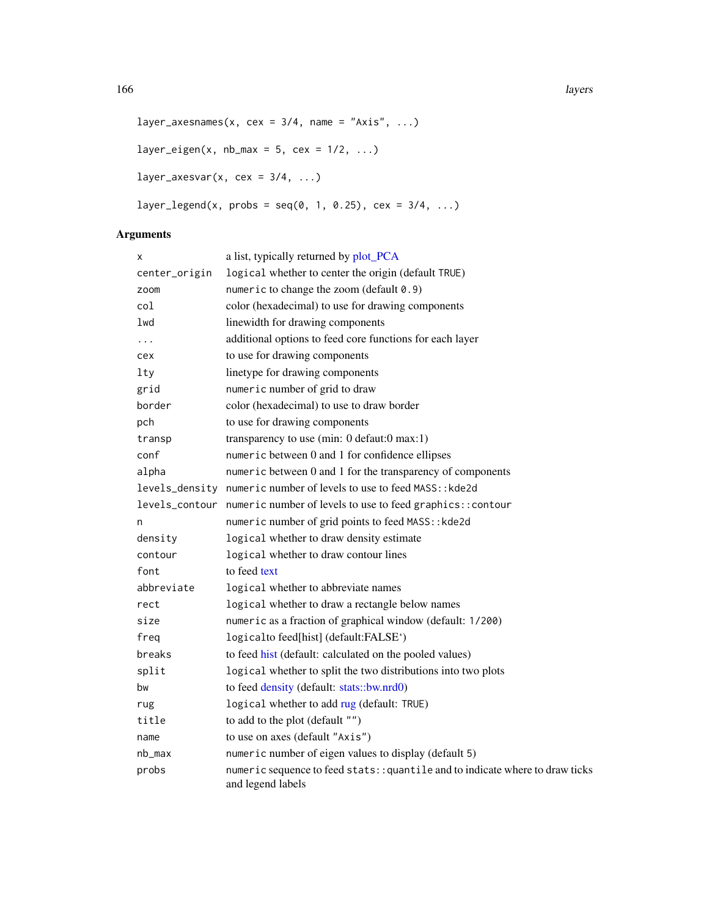```
layer_axesnames(x, cex = 3/4, name = "Axis", ...)
layer_eigen(x, nb_max = 5, cex = 1/2, ...)
layer_axesvar(x, cex = 3/4, ...)
layer\_legend(x, probs = seq(0, 1, 0.25), cex = 3/4, ...)
```
# Arguments

| X              | a list, typically returned by plot_PCA                                                             |
|----------------|----------------------------------------------------------------------------------------------------|
| center_origin  | logical whether to center the origin (default TRUE)                                                |
| zoom           | numeric to change the zoom (default 0.9)                                                           |
| col            | color (hexadecimal) to use for drawing components                                                  |
| 1wd            | linewidth for drawing components                                                                   |
| .              | additional options to feed core functions for each layer                                           |
| cex            | to use for drawing components                                                                      |
| lty            | linetype for drawing components                                                                    |
| grid           | numeric number of grid to draw                                                                     |
| border         | color (hexadecimal) to use to draw border                                                          |
| pch            | to use for drawing components                                                                      |
| transp         | transparency to use (min: $0$ defaut: $0$ max: $1$ )                                               |
| conf           | numeric between 0 and 1 for confidence ellipses                                                    |
| alpha          | numeric between 0 and 1 for the transparency of components                                         |
|                | levels_density numeric number of levels to use to feed MASS:: kde2d                                |
| levels_contour | numeric number of levels to use to feed graphics:: contour                                         |
| n              | numeric number of grid points to feed MASS:: kde2d                                                 |
| density        | logical whether to draw density estimate                                                           |
| contour        | logical whether to draw contour lines                                                              |
| font           | to feed text                                                                                       |
| abbreviate     | logical whether to abbreviate names                                                                |
| rect           | logical whether to draw a rectangle below names                                                    |
| size           | numeric as a fraction of graphical window (default: 1/200)                                         |
| freq           | logicalto feed[hist] (default:FALSE')                                                              |
| breaks         | to feed hist (default: calculated on the pooled values)                                            |
| split          | logical whether to split the two distributions into two plots                                      |
| bw             | to feed density (default: stats::bw.nrd0)                                                          |
| rug            | logical whether to add rug (default: TRUE)                                                         |
| title          | to add to the plot (default "")                                                                    |
| name           | to use on axes (default "Axis")                                                                    |
| nb_max         | numeric number of eigen values to display (default 5)                                              |
| probs          | numeric sequence to feed stats:: quantile and to indicate where to draw ticks<br>and legend labels |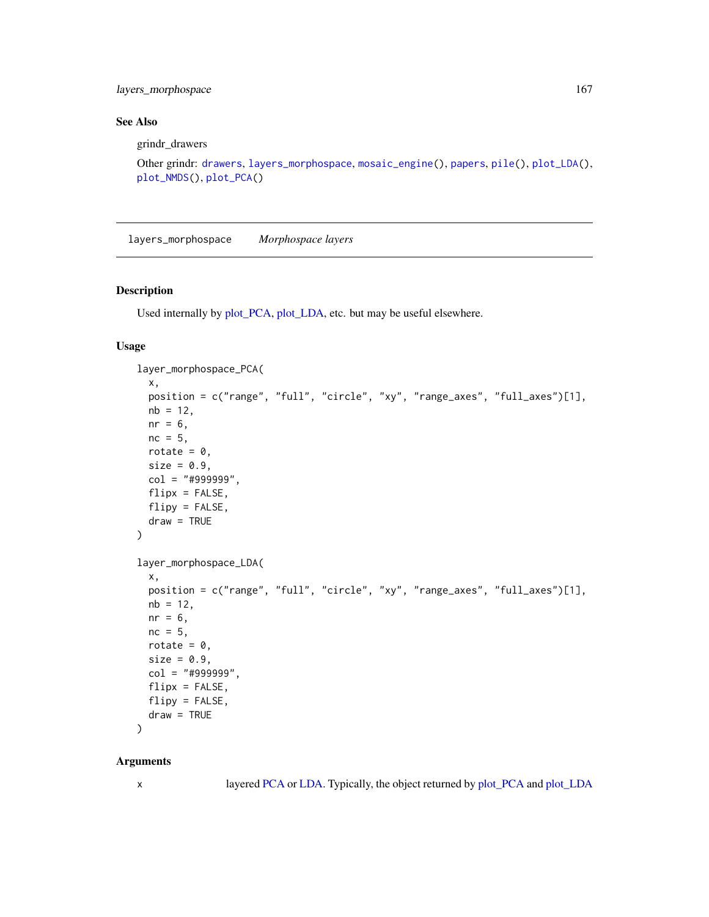layers\_morphospace 167

## See Also

grindr\_drawers

```
Other grindr: drawers, layers_morphospace, mosaic_engine(), papers, pile(), plot_LDA(),
plot_NMDS(), plot_PCA()
```
<span id="page-166-0"></span>layers\_morphospace *Morphospace layers*

#### Description

Used internally by [plot\\_PCA,](#page-232-0) [plot\\_LDA,](#page-227-0) etc. but may be useful elsewhere.

# Usage

```
layer_morphospace_PCA(
  x,
 position = c("range", "full", "circle", "xy", "range_axes", "full_axes")[1],
 nb = 12,nr = 6,
 nc = 5,
  rotate = 0,
 size = 0.9,
 col = "#999999",
 flipx = FALSE,flipy = FALSE,
 draw = TRUE
\mathcal{L}layer_morphospace_LDA(
  x,
 position = c("range", "full", "circle", "xy", "range_axes", "full_axes")[1],
 nb = 12,nr = 6,
 nc = 5,
 rotate = 0,
  size = 0.9,
  col = "#999999",
  flipx = FALSE,
 flipy = FALSE,
  draw = TRUE)
```
#### Arguments

x layered [PCA](#page-204-0) or [LDA.](#page-167-0) Typically, the object returned by [plot\\_PCA](#page-232-0) and [plot\\_LDA](#page-227-0)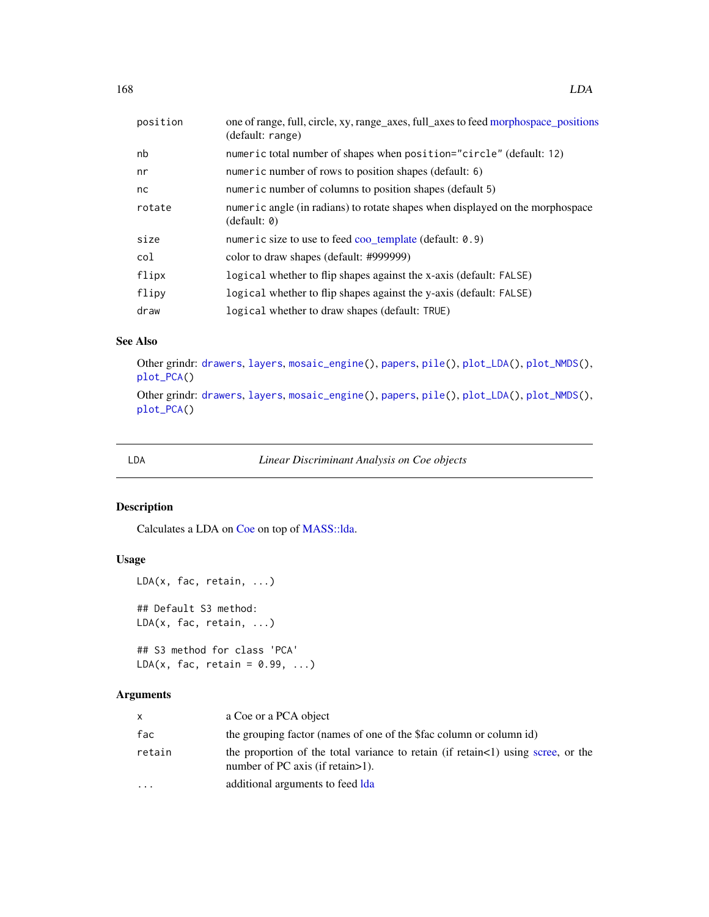| position | one of range, full, circle, xy, range_axes, full_axes to feed morphospace_positions<br>(default: range) |
|----------|---------------------------------------------------------------------------------------------------------|
| nb       | numeric total number of shapes when position="circle" (default: 12)                                     |
| nr       | numeric number of rows to position shapes (default: 6)                                                  |
| nc       | numeric number of columns to position shapes (default 5)                                                |
| rotate   | numeric angle (in radians) to rotate shapes when displayed on the morphospace<br>(detault: 0)           |
| size     | numeric size to use to feed coo template (default: $0.9$ )                                              |
| col      | color to draw shapes (default: #999999)                                                                 |
| flipx    | logical whether to flip shapes against the x-axis (default: FALSE)                                      |
| flipy    | logical whether to flip shapes against the y-axis (default: FALSE)                                      |
| draw     | logical whether to draw shapes (default: TRUE)                                                          |

## See Also

Other grindr: [drawers](#page-126-0), [layers](#page-163-0), [mosaic\\_engine\(](#page-183-0)), [papers](#page-203-0), [pile\(](#page-208-0)), [plot\\_LDA\(](#page-227-0)), [plot\\_NMDS\(](#page-231-0)), [plot\\_PCA\(](#page-232-0)) Other grindr: [drawers](#page-126-0), [layers](#page-163-0), [mosaic\\_engine\(](#page-183-0)), [papers](#page-203-0), [pile\(](#page-208-0)), [plot\\_LDA\(](#page-227-0)), [plot\\_NMDS\(](#page-231-0)), [plot\\_PCA\(](#page-232-0))

<span id="page-167-0"></span>

LDA *Linear Discriminant Analysis on Coe objects*

# Description

Calculates a LDA on [Coe](#page-29-0) on top of [MASS::lda.](#page-0-0)

# Usage

```
LDA(x, fac, retain, ...)
## Default S3 method:
LDA(x, fac, retain, ...)
```
## S3 method for class 'PCA'  $LDA(x, fac, retain = 0.99, ...)$ 

# Arguments

| $\mathsf{x}$            | a Coe or a PCA object                                                                                                     |
|-------------------------|---------------------------------------------------------------------------------------------------------------------------|
| fac                     | the grouping factor (names of one of the Sfac column or column id)                                                        |
| retain                  | the proportion of the total variance to retain (if retain <1) using scree, or the<br>number of PC axis (if retain $>1$ ). |
| $\cdot$ $\cdot$ $\cdot$ | additional arguments to feed Ida                                                                                          |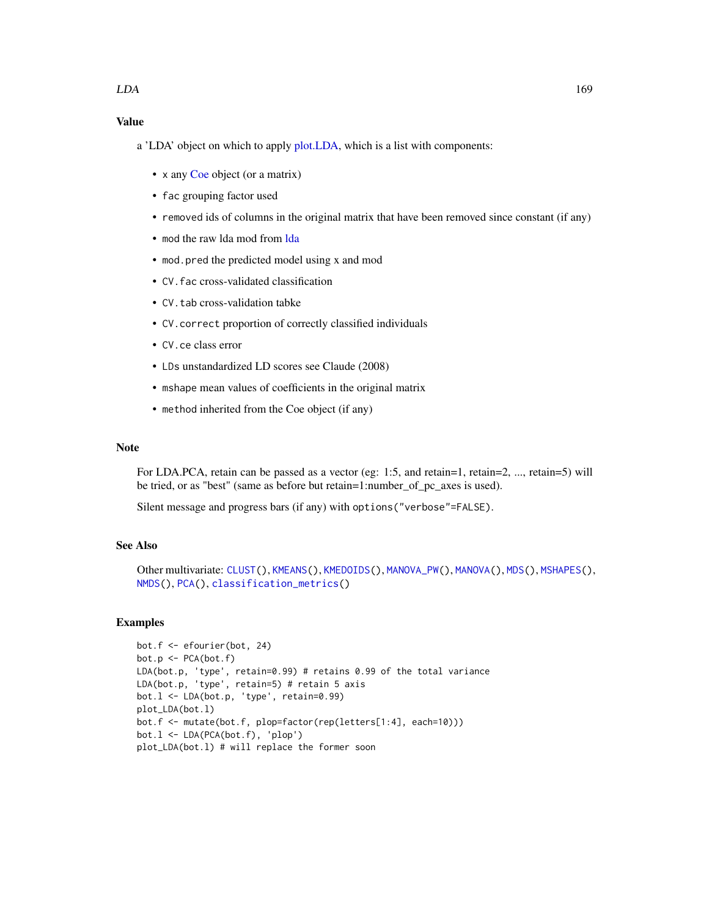# Value

- a 'LDA' object on which to apply [plot.LDA,](#page-212-0) which is a list with components:
	- x any [Coe](#page-29-0) object (or a matrix)
	- fac grouping factor used
	- removed ids of columns in the original matrix that have been removed since constant (if any)
	- mod the raw [lda](#page-0-0) mod from Ida
	- mod.pred the predicted model using x and mod
	- CV.fac cross-validated classification
	- CV. tab cross-validation tabke
	- CV.correct proportion of correctly classified individuals
	- CV.ce class error
	- LDs unstandardized LD scores see Claude (2008)
	- mshape mean values of coefficients in the original matrix
	- method inherited from the Coe object (if any)

## Note

For LDA.PCA, retain can be passed as a vector (eg: 1:5, and retain=1, retain=2, ..., retain=5) will be tried, or as "best" (same as before but retain=1:number\_of\_pc\_axes is used).

Silent message and progress bars (if any) with options("verbose"=FALSE).

# See Also

```
Other multivariate: CLUST(), KMEANS(), KMEDOIDS(), MANOVA_PW(), MANOVA(), MDS(), MSHAPES(),
NMDS(), PCA(), classification_metrics()
```

```
bot.f <- efourier(bot, 24)
bot.p <- PCA(bot.f)
LDA(bot.p, 'type', retain=0.99) # retains 0.99 of the total variance
LDA(bot.p, 'type', retain=5) # retain 5 axis
bot.l <- LDA(bot.p, 'type', retain=0.99)
plot_LDA(bot.l)
bot.f <- mutate(bot.f, plop=factor(rep(letters[1:4], each=10)))
bot.l <- LDA(PCA(bot.f), 'plop')
plot_LDA(bot.l) # will replace the former soon
```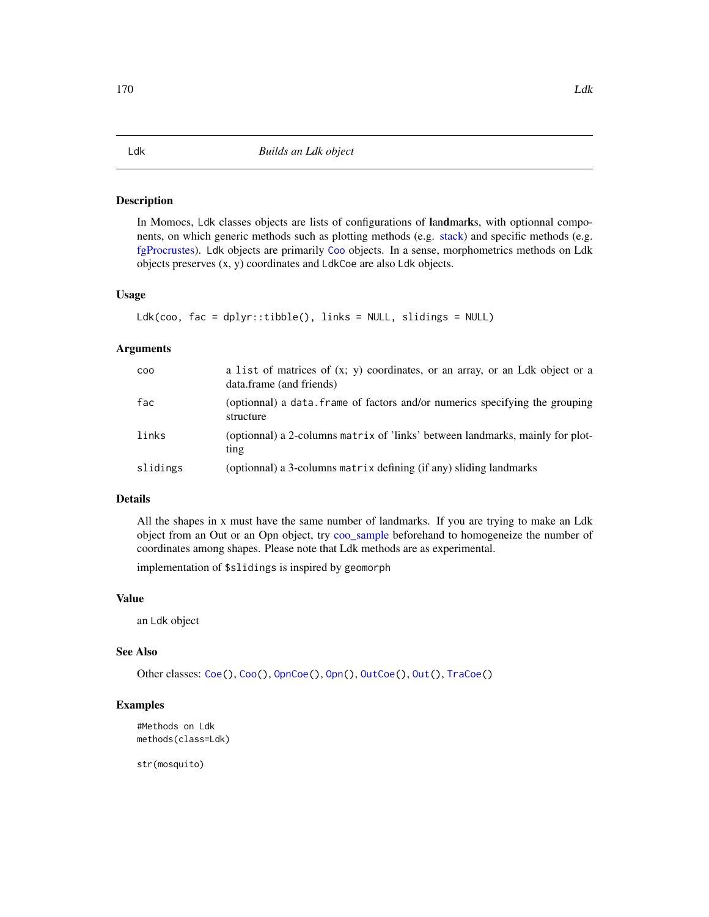<span id="page-169-0"></span>In Momocs, Ldk classes objects are lists of configurations of landmarks, with optionnal components, on which generic methods such as plotting methods (e.g. [stack\)](#page-261-1) and specific methods (e.g. [fgProcrustes\)](#page-140-0). Ldk objects are primarily [Coo](#page-38-0) objects. In a sense, morphometrics methods on Ldk objects preserves (x, y) coordinates and LdkCoe are also Ldk objects.

#### Usage

```
Ldk(coo, fac = dplyr::tibble(), links = NULL, slidings = NULL)
```
### Arguments

| <b>COO</b> | a list of matrices of $(x, y)$ coordinates, or an array, or an Ldk object or a<br>data.frame (and friends) |
|------------|------------------------------------------------------------------------------------------------------------|
| fac        | (optionnal) a data. frame of factors and/or numerics specifying the grouping<br>structure                  |
| links      | (optionnal) a 2-columns matrix of 'links' between landmarks, mainly for plot-<br>ting                      |
| slidings   | (optionnal) a 3-columns matrix defining (if any) sliding landmarks                                         |

## Details

All the shapes in x must have the same number of landmarks. If you are trying to make an Ldk object from an Out or an Opn object, try [coo\\_sample](#page-92-0) beforehand to homogeneize the number of coordinates among shapes. Please note that Ldk methods are as experimental.

implementation of \$slidings is inspired by geomorph

## Value

an Ldk object

#### See Also

Other classes: [Coe\(](#page-29-0)), [Coo\(](#page-38-0)), [OpnCoe\(](#page-194-0)), [Opn\(](#page-193-0)), [OutCoe\(](#page-198-0)), [Out\(](#page-197-0)), [TraCoe\(](#page-277-1))

## Examples

```
#Methods on Ldk
methods(class=Ldk)
```
str(mosquito)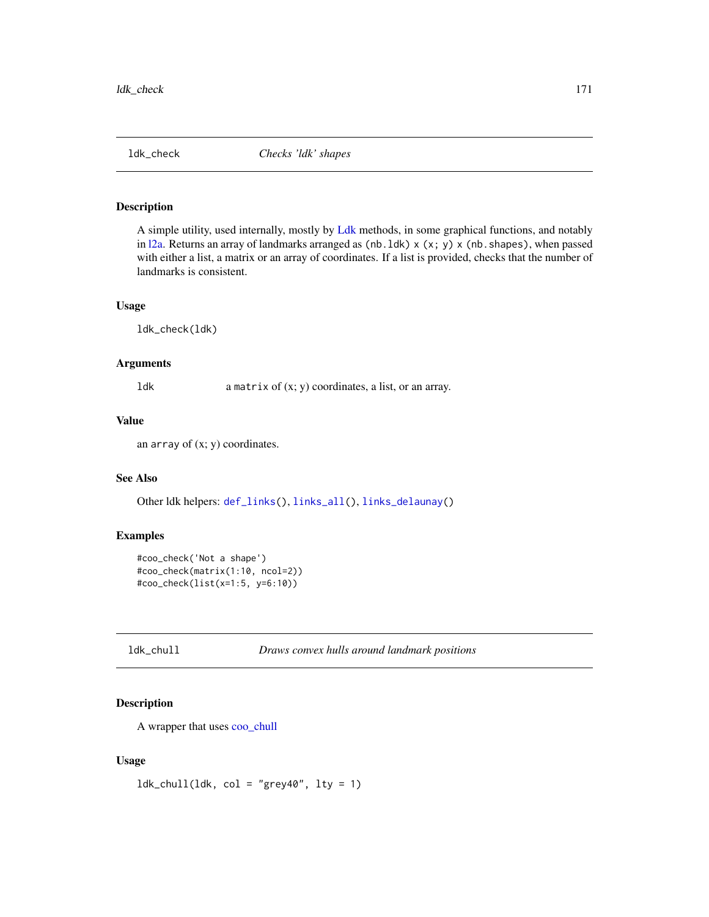<span id="page-170-1"></span>

A simple utility, used internally, mostly by [Ldk](#page-169-0) methods, in some graphical functions, and notably in  $12a$ . Returns an array of landmarks arranged as (nb. 1dk)  $\times$  (x; y)  $\times$  (nb. shapes), when passed with either a list, a matrix or an array of coordinates. If a list is provided, checks that the number of landmarks is consistent.

## Usage

ldk\_check(ldk)

## Arguments

ldk a matrix of (x; y) coordinates, a list, or an array.

# Value

an array of  $(x; y)$  coordinates.

# See Also

Other ldk helpers: [def\\_links\(](#page-120-1)), [links\\_all\(](#page-175-0)), [links\\_delaunay\(](#page-176-1))

## Examples

```
#coo_check('Not a shape')
#coo_check(matrix(1:10, ncol=2))
#coo_check(list(x=1:5, y=6:10))
```
<span id="page-170-0"></span>ldk\_chull *Draws convex hulls around landmark positions*

# Description

A wrapper that uses [coo\\_chull](#page-55-0)

#### Usage

 $ldk_{\text{chull}}(ldk, \text{col} = "grey40", \text{lty} = 1)$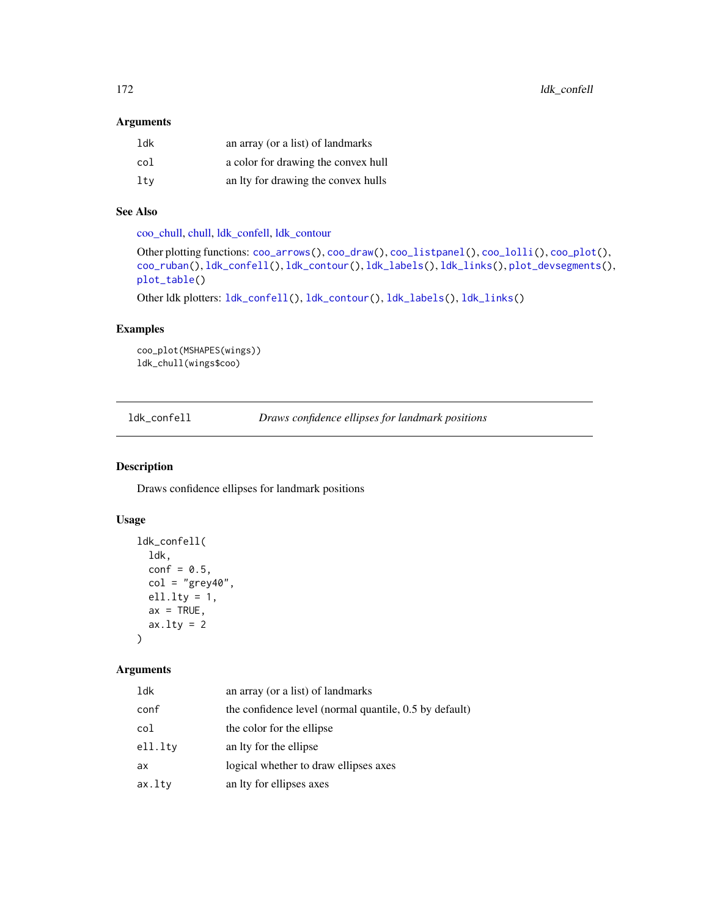# Arguments

| ldk | an array (or a list) of landmarks   |
|-----|-------------------------------------|
| col | a color for drawing the convex hull |
| ltv | an Ity for drawing the convex hulls |

# See Also

[coo\\_chull,](#page-55-0) [chull,](#page-0-0) [ldk\\_confell,](#page-171-0) [ldk\\_contour](#page-172-0)

```
Other plotting functions: coo_arrows(), coo_draw(), coo_listpanel(), coo_lolli(), coo_plot(),
coo_ruban(), ldk_confell(), ldk_contour(), ldk_labels(), ldk_links(), plot_devsegments(),
plot_table()
```
Other ldk plotters: [ldk\\_confell\(](#page-171-0)), [ldk\\_contour\(](#page-172-0)), [ldk\\_labels\(](#page-173-0)), [ldk\\_links\(](#page-173-1))

# Examples

```
coo_plot(MSHAPES(wings))
ldk_chull(wings$coo)
```
<span id="page-171-0"></span>ldk\_confell *Draws confidence ellipses for landmark positions*

## Description

Draws confidence ellipses for landmark positions

# Usage

```
ldk_confell(
  ldk,
  conf = 0.5,
  col = "grey40",ell.lty = 1,
  ax = TRUE,ax.1ty = 2\lambda
```
# Arguments

| ldk     | an array (or a list) of landmarks                      |
|---------|--------------------------------------------------------|
| conf    | the confidence level (normal quantile, 0.5 by default) |
| col     | the color for the ellipse                              |
| ell.lty | an Ity for the ellipse                                 |
| ax      | logical whether to draw ellipses axes                  |
| ax.lty  | an Ity for ellipses axes                               |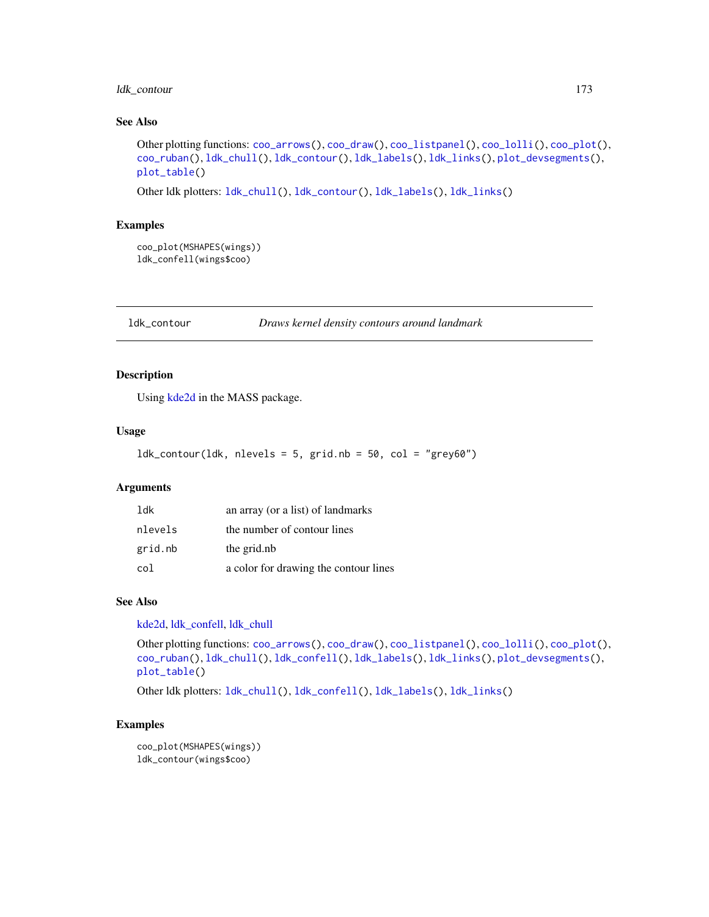## ldk\_contour 173

# See Also

```
Other plotting functions: coo_arrows(), coo_draw(), coo_listpanel(), coo_lolli(), coo_plot(),
coo_ruban(), ldk_chull(), ldk_contour(), ldk_labels(), ldk_links(), plot_devsegments(),
plot_table()
```
Other ldk plotters: [ldk\\_chull\(](#page-170-0)), [ldk\\_contour\(](#page-172-0)), [ldk\\_labels\(](#page-173-0)), [ldk\\_links\(](#page-173-1))

#### Examples

```
coo_plot(MSHAPES(wings))
ldk_confell(wings$coo)
```
<span id="page-172-0"></span>ldk\_contour *Draws kernel density contours around landmark*

# Description

Using [kde2d](#page-0-0) in the MASS package.

#### Usage

 $ldk_count(ldk, nlevels = 5, grid.nb = 50, col = "grey60")$ 

## Arguments

| 1dk     | an array (or a list) of landmarks     |
|---------|---------------------------------------|
| nlevels | the number of contour lines           |
| grid.nb | the grid.nb                           |
| col     | a color for drawing the contour lines |

#### See Also

[kde2d,](#page-0-0) [ldk\\_confell,](#page-171-0) [ldk\\_chull](#page-170-0)

```
Other plotting functions: coo_arrows(), coo_draw(), coo_listpanel(), coo_lolli(), coo_plot(),
coo_ruban(), ldk_chull(), ldk_confell(), ldk_labels(), ldk_links(), plot_devsegments(),
plot_table()
```
Other ldk plotters: [ldk\\_chull\(](#page-170-0)), [ldk\\_confell\(](#page-171-0)), [ldk\\_labels\(](#page-173-0)), [ldk\\_links\(](#page-173-1))

```
coo_plot(MSHAPES(wings))
ldk_contour(wings$coo)
```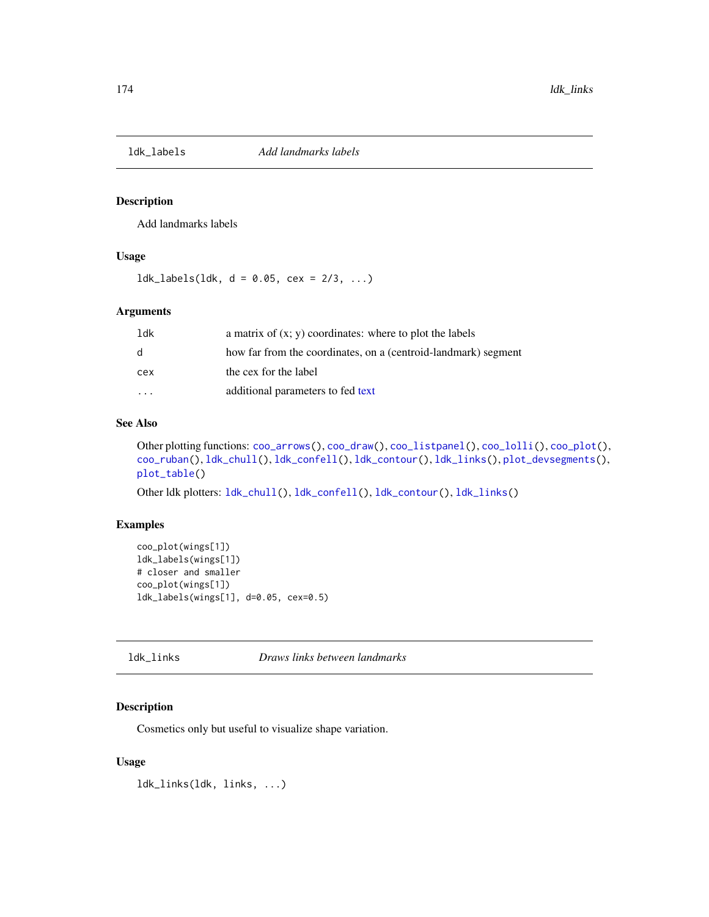<span id="page-173-0"></span>

Add landmarks labels

#### Usage

 $ldk\_labels(ldk, d = 0.05, cex = 2/3, ...)$ 

## Arguments

| $1$ dk       | a matrix of $(x, y)$ coordinates: where to plot the labels     |
|--------------|----------------------------------------------------------------|
| <sub>d</sub> | how far from the coordinates, on a (centroid-landmark) segment |
| cex          | the cex for the label                                          |
|              | additional parameters to fed text                              |

## See Also

Other plotting functions: [coo\\_arrows\(](#page-47-1)), [coo\\_draw\(](#page-61-0)), [coo\\_listpanel\(](#page-76-0)), [coo\\_lolli\(](#page-77-0)), [coo\\_plot\(](#page-82-0)), [coo\\_ruban\(](#page-91-0)), [ldk\\_chull\(](#page-170-0)), [ldk\\_confell\(](#page-171-0)), [ldk\\_contour\(](#page-172-0)), [ldk\\_links\(](#page-173-1)), [plot\\_devsegments\(](#page-226-0)), [plot\\_table\(](#page-235-0))

Other ldk plotters: [ldk\\_chull\(](#page-170-0)), [ldk\\_confell\(](#page-171-0)), [ldk\\_contour\(](#page-172-0)), [ldk\\_links\(](#page-173-1))

#### Examples

```
coo_plot(wings[1])
ldk_labels(wings[1])
# closer and smaller
coo_plot(wings[1])
ldk_labels(wings[1], d=0.05, cex=0.5)
```
# <span id="page-173-1"></span>ldk\_links *Draws links between landmarks*

# Description

Cosmetics only but useful to visualize shape variation.

#### Usage

ldk\_links(ldk, links, ...)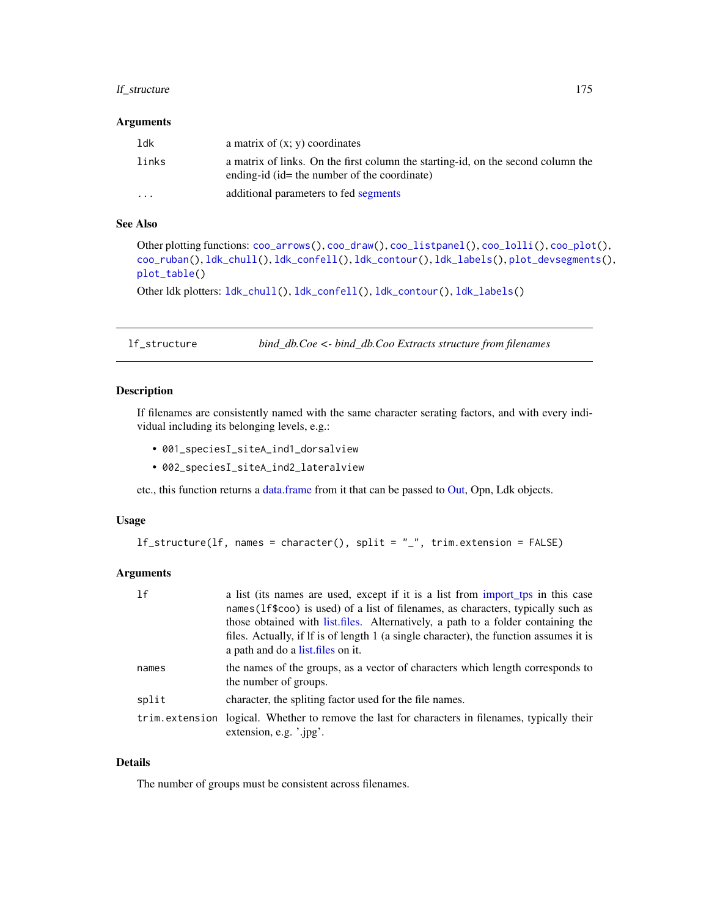## lf\_structure 175

#### Arguments

| ldk     | a matrix of $(x; y)$ coordinates                                                                                                 |
|---------|----------------------------------------------------------------------------------------------------------------------------------|
| links   | a matrix of links. On the first column the starting-id, on the second column the<br>ending-id (id= the number of the coordinate) |
| $\cdot$ | additional parameters to fed segments                                                                                            |

# See Also

Other plotting functions: [coo\\_arrows\(](#page-47-1)), [coo\\_draw\(](#page-61-0)), [coo\\_listpanel\(](#page-76-0)), [coo\\_lolli\(](#page-77-0)), [coo\\_plot\(](#page-82-0)), [coo\\_ruban\(](#page-91-0)), [ldk\\_chull\(](#page-170-0)), [ldk\\_confell\(](#page-171-0)), [ldk\\_contour\(](#page-172-0)), [ldk\\_labels\(](#page-173-0)), [plot\\_devsegments\(](#page-226-0)), [plot\\_table\(](#page-235-0))

Other ldk plotters: [ldk\\_chull\(](#page-170-0)), [ldk\\_confell\(](#page-171-0)), [ldk\\_contour\(](#page-172-0)), [ldk\\_labels\(](#page-173-0))

<span id="page-174-0"></span>lf\_structure *bind\_db.Coe <- bind\_db.Coo Extracts structure from filenames*

### Description

If filenames are consistently named with the same character serating factors, and with every individual including its belonging levels, e.g.:

- 001\_speciesI\_siteA\_ind1\_dorsalview
- 002\_speciesI\_siteA\_ind2\_lateralview

etc., this function returns a [data.frame](#page-0-0) from it that can be passed to [Out,](#page-197-0) Opn, Ldk objects.

#### Usage

```
lf_structure(lf, names = character(), split = "_", trim.extension = FALSE)
```
# Arguments

| 1f    | a list (its names are used, except if it is a list from import to in this case<br>names (1f\$coo) is used) of a list of filenames, as characters, typically such as<br>those obtained with list files. Alternatively, a path to a folder containing the<br>files. Actually, if If is of length 1 (a single character), the function assumes it is<br>a path and do a list. files on it. |
|-------|-----------------------------------------------------------------------------------------------------------------------------------------------------------------------------------------------------------------------------------------------------------------------------------------------------------------------------------------------------------------------------------------|
| names | the names of the groups, as a vector of characters which length corresponds to<br>the number of groups.                                                                                                                                                                                                                                                                                 |
| split | character, the spliting factor used for the file names.                                                                                                                                                                                                                                                                                                                                 |
|       | trim extension logical. Whether to remove the last for characters in filenames, typically their<br>extension, e.g. '.jpg'.                                                                                                                                                                                                                                                              |

# Details

The number of groups must be consistent across filenames.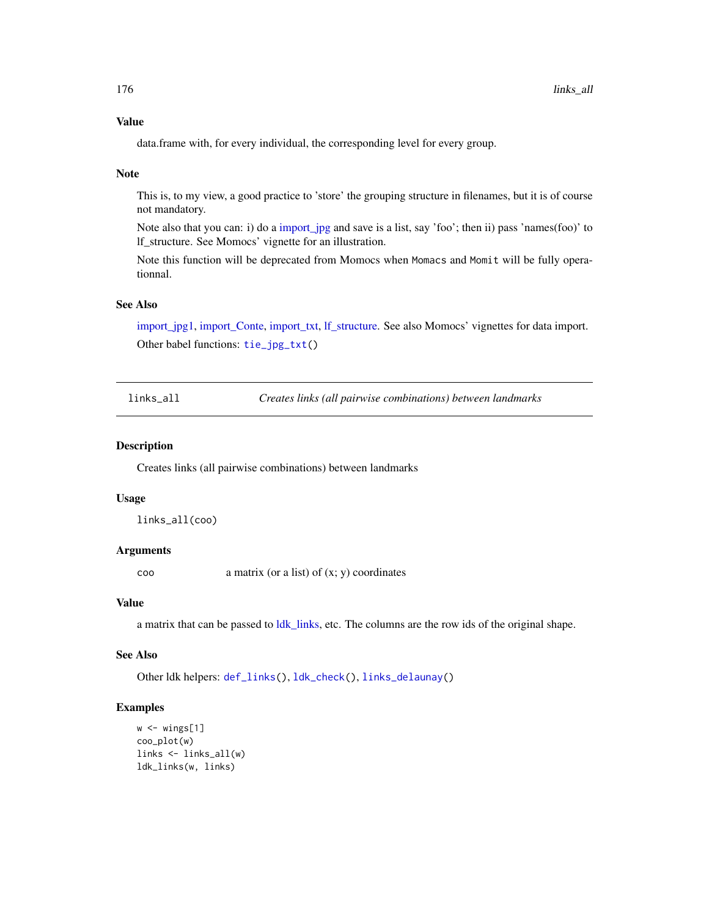## Value

data.frame with, for every individual, the corresponding level for every group.

#### Note

This is, to my view, a good practice to 'store' the grouping structure in filenames, but it is of course not mandatory.

Note also that you can: i) do a [import\\_jpg](#page-152-0) and save is a list, say 'foo'; then ii) pass 'names(foo)' to lf\_structure. See Momocs' vignette for an illustration.

Note this function will be deprecated from Momocs when Momacs and Momit will be fully operationnal.

# See Also

[import\\_jpg1,](#page-153-0) [import\\_Conte,](#page-151-0) [import\\_txt,](#page-157-0) [lf\\_structure.](#page-174-0) See also Momocs' vignettes for data import. Other babel functions: [tie\\_jpg\\_txt\(](#page-270-0))

<span id="page-175-0"></span>links\_all *Creates links (all pairwise combinations) between landmarks*

## **Description**

Creates links (all pairwise combinations) between landmarks

#### Usage

links\_all(coo)

## **Arguments**

coo a matrix (or a list) of (x; y) coordinates

#### Value

a matrix that can be passed to [ldk\\_links,](#page-173-1) etc. The columns are the row ids of the original shape.

## See Also

Other ldk helpers: [def\\_links\(](#page-120-1)), [ldk\\_check\(](#page-170-1)), [links\\_delaunay\(](#page-176-1))

```
w \leftarrow \text{wings}[1]coo_plot(w)
links <- links_all(w)
ldk_links(w, links)
```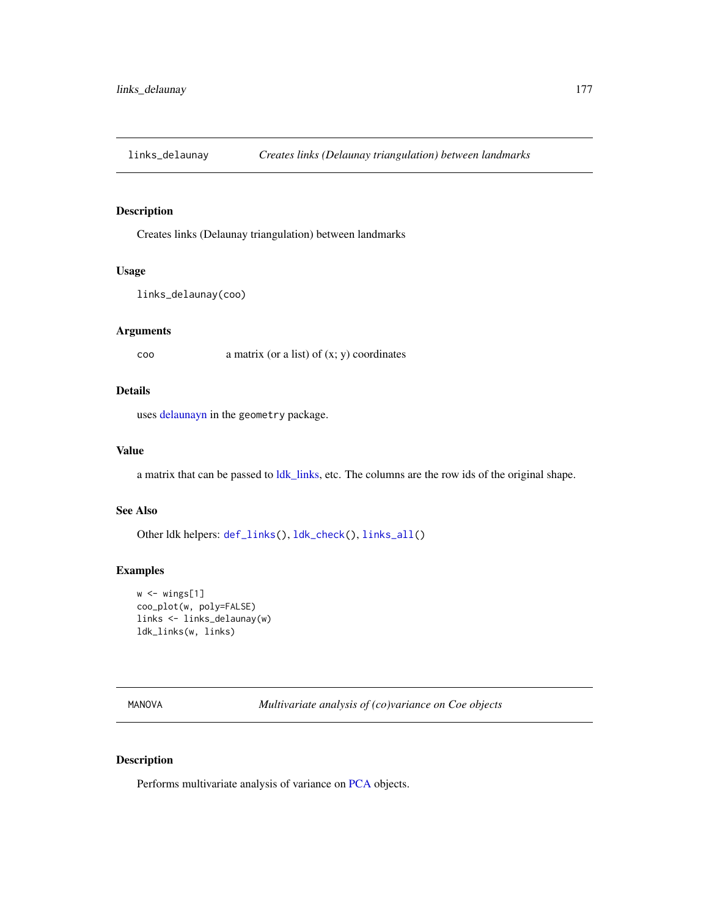<span id="page-176-1"></span>

Creates links (Delaunay triangulation) between landmarks

#### Usage

```
links_delaunay(coo)
```
# Arguments

coo a matrix (or a list) of (x; y) coordinates

## Details

uses [delaunayn](#page-0-0) in the geometry package.

## Value

a matrix that can be passed to [ldk\\_links,](#page-173-1) etc. The columns are the row ids of the original shape.

# See Also

Other ldk helpers: [def\\_links\(](#page-120-1)), [ldk\\_check\(](#page-170-1)), [links\\_all\(](#page-175-0))

# Examples

```
w \leftarrow \text{wings}[1]coo_plot(w, poly=FALSE)
links <- links_delaunay(w)
ldk_links(w, links)
```
<span id="page-176-0"></span>MANOVA *Multivariate analysis of (co)variance on Coe objects*

# Description

Performs multivariate analysis of variance on [PCA](#page-204-0) objects.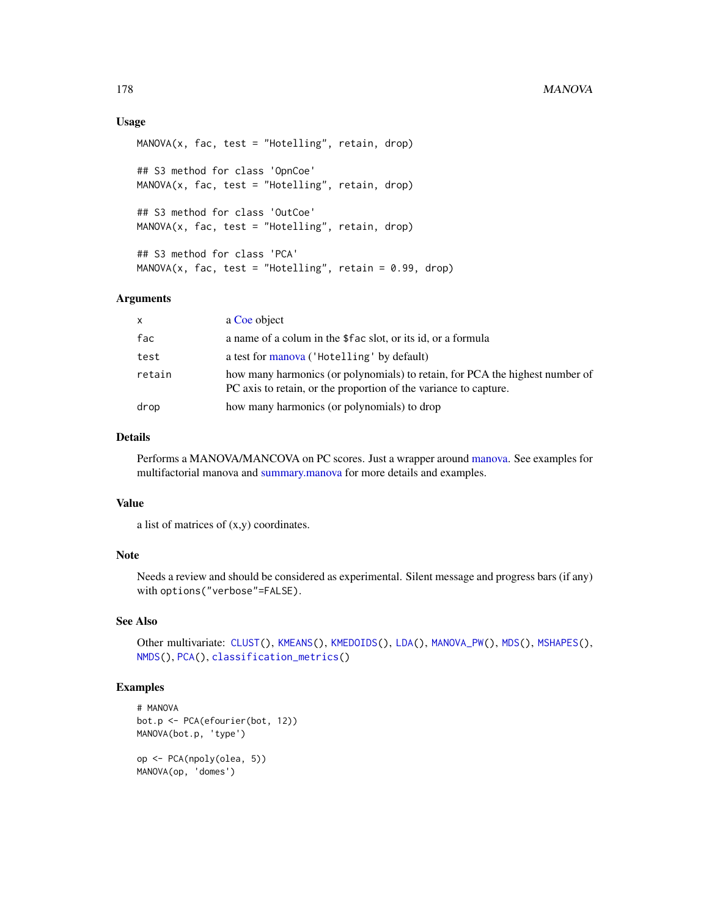## Usage

```
MANOVA(x, fac, test = "Hotelling", retain, drop)
## S3 method for class 'OpnCoe'
MANOVA(x, fac, test = "Hotelling", retain, drop)
## S3 method for class 'OutCoe'
MANOVA(x, fac, test = "Hotelling", retain, drop)
## S3 method for class 'PCA'
MANOVA(x, fac, test = "Hotelling", retain = 0.99, drop)
```
## Arguments

| X      | a Coe object                                                                                                                                     |
|--------|--------------------------------------------------------------------------------------------------------------------------------------------------|
| fac    | a name of a colum in the \$fac slot, or its id, or a formula                                                                                     |
| test   | a test for manova ('Hotelling' by default)                                                                                                       |
| retain | how many harmonics (or polynomials) to retain, for PCA the highest number of<br>PC axis to retain, or the proportion of the variance to capture. |
| drop   | how many harmonics (or polynomials) to drop                                                                                                      |

#### Details

Performs a MANOVA/MANCOVA on PC scores. Just a wrapper around [manova.](#page-0-0) See examples for multifactorial manova and [summary.manova](#page-0-0) for more details and examples.

## Value

a list of matrices of (x,y) coordinates.

## Note

Needs a review and should be considered as experimental. Silent message and progress bars (if any) with options("verbose"=FALSE).

# See Also

Other multivariate: [CLUST\(](#page-28-0)), [KMEANS\(](#page-161-0)), [KMEDOIDS\(](#page-162-0)), [LDA\(](#page-167-0)), [MANOVA\\_PW\(](#page-178-0)), [MDS\(](#page-179-0)), [MSHAPES\(](#page-187-0)), [NMDS\(](#page-189-0)), [PCA\(](#page-204-0)), [classification\\_metrics\(](#page-27-0))

```
# MANOVA
bot.p <- PCA(efourier(bot, 12))
MANOVA(bot.p, 'type')
op <- PCA(npoly(olea, 5))
```

```
MANOVA(op, 'domes')
```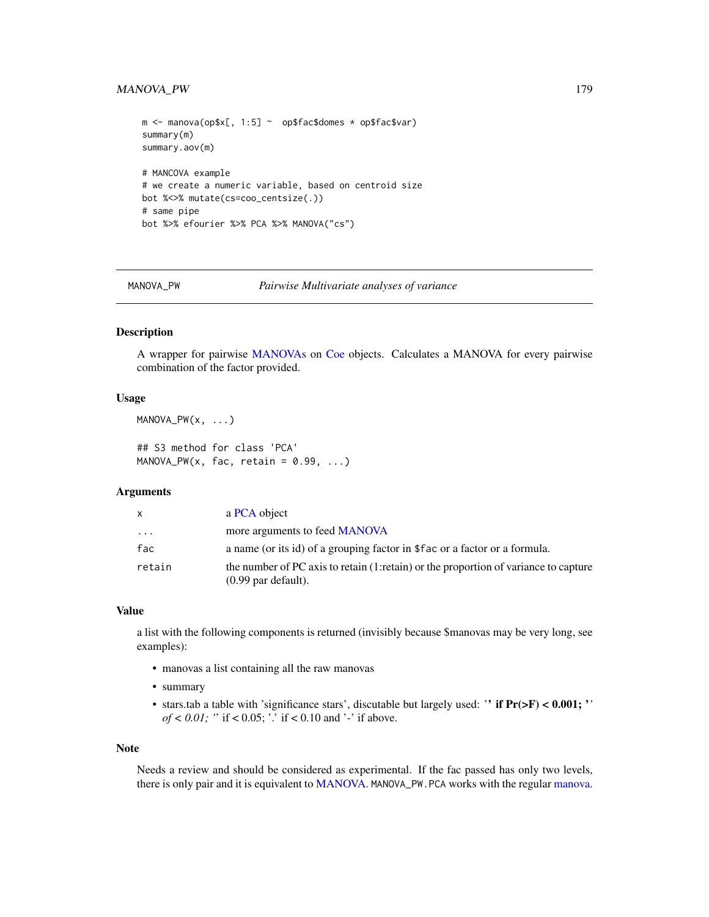## MANOVA\_PW 179

```
m \le - manova(op$x[, 1:5] \sim op$fac$domes * op$fac$var)
summary(m)
summary.aov(m)
# MANCOVA example
# we create a numeric variable, based on centroid size
bot %<>% mutate(cs=coo_centsize(.))
# same pipe
bot %>% efourier %>% PCA %>% MANOVA("cs")
```
<span id="page-178-0"></span>MANOVA\_PW *Pairwise Multivariate analyses of variance*

## Description

A wrapper for pairwise [MANOVAs](#page-176-0) on [Coe](#page-29-0) objects. Calculates a MANOVA for every pairwise combination of the factor provided.

### Usage

MANOVA\_PW(x, ...)

## S3 method for class 'PCA' MANOVA\_PW(x, fac, retain =  $0.99, ...$ )

### Arguments

| X        | a PCA object                                                                                                  |
|----------|---------------------------------------------------------------------------------------------------------------|
| $\cdots$ | more arguments to feed <b>MANOVA</b>                                                                          |
| fac      | a name (or its id) of a grouping factor in \$fac or a factor or a formula.                                    |
| retain   | the number of PC axis to retain (1: retain) or the proportion of variance to capture<br>$(0.99$ par default). |

#### Value

a list with the following components is returned (invisibly because \$manovas may be very long, see examples):

- manovas a list containing all the raw manovas
- summary
- stars.tab a table with 'significance stars', discutable but largely used: '' if  $Pr(>= F) < 0.001$ ; '' *of* < 0.01; " if < 0.05; '.' if < 0.10 and '-' if above.

#### Note

Needs a review and should be considered as experimental. If the fac passed has only two levels, there is only pair and it is equivalent to [MANOVA.](#page-176-0) MANOVA\_PW.PCA works with the regular [manova.](#page-0-0)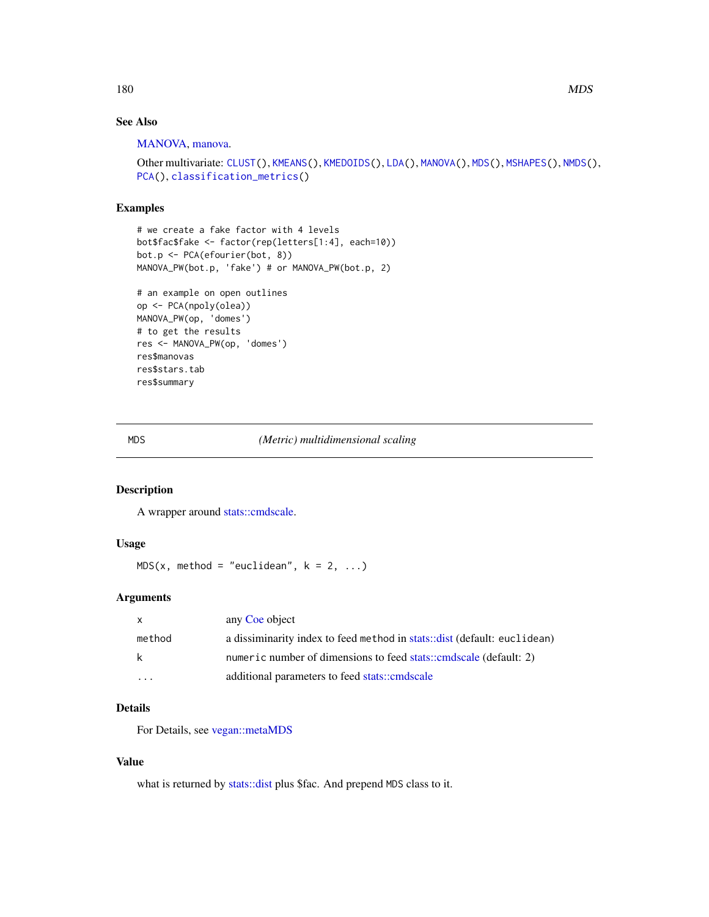# See Also

[MANOVA,](#page-176-0) [manova.](#page-0-0)

```
Other multivariate: CLUST(), KMEANS(), KMEDOIDS(), LDA(), MANOVA(), MDS(), MSHAPES(), NMDS(),
PCA(), classification_metrics()
```
## Examples

```
# we create a fake factor with 4 levels
bot$fac$fake <- factor(rep(letters[1:4], each=10))
bot.p <- PCA(efourier(bot, 8))
MANOVA_PW(bot.p, 'fake') # or MANOVA_PW(bot.p, 2)
```

```
# an example on open outlines
op <- PCA(npoly(olea))
MANOVA_PW(op, 'domes')
# to get the results
res <- MANOVA_PW(op, 'domes')
res$manovas
res$stars.tab
res$summary
```
<span id="page-179-0"></span>MDS *(Metric) multidimensional scaling*

# Description

A wrapper around [stats::cmdscale.](#page-0-0)

#### Usage

 $MDS(x, method = "euclidean", k = 2, ...)$ 

## Arguments

| X      | any Coe object                                                           |
|--------|--------------------------------------------------------------------------|
| method | a dissiminarity index to feed method in stats::dist (default: euclidean) |
| k      | numeric number of dimensions to feed stats::cmdscale (default: 2)        |
|        | additional parameters to feed stats::cmdscale                            |

# Details

For Details, see [vegan::metaMDS](#page-0-0)

## Value

what is returned by [stats::dist](#page-0-0) plus \$fac. And prepend MDS class to it.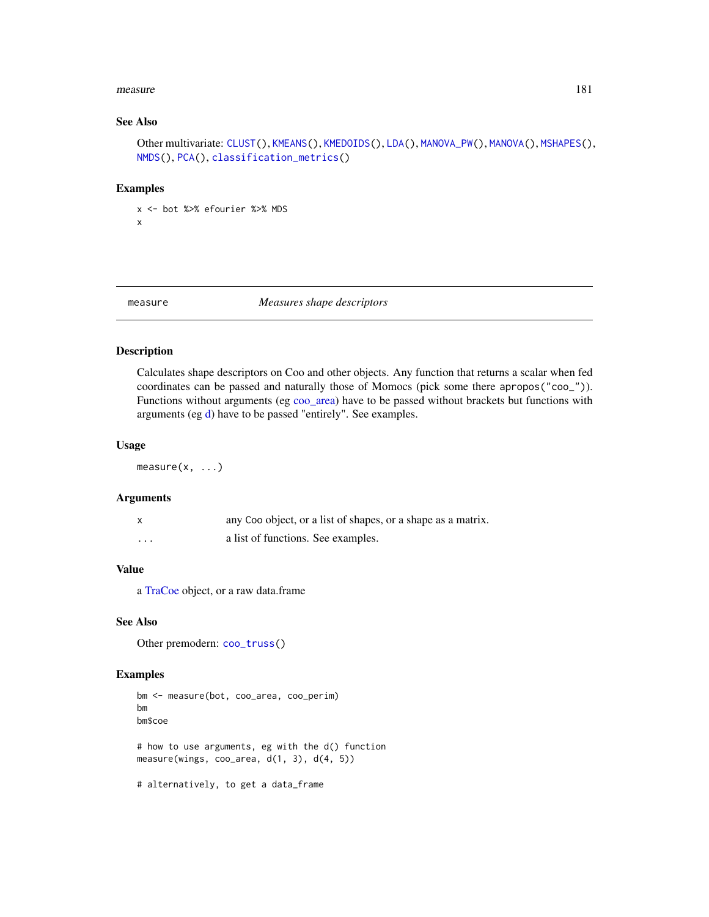#### measure 181

## See Also

```
Other multivariate: CLUST(), KMEANS(), KMEDOIDS(), LDA(), MANOVA_PW(), MANOVA(), MSHAPES(),
NMDS(), PCA(), classification_metrics()
```
## Examples

```
x <- bot %>% efourier %>% MDS
x
```
#### measure *Measures shape descriptors*

# Description

Calculates shape descriptors on Coo and other objects. Any function that returns a scalar when fed coordinates can be passed and naturally those of Momocs (pick some there apropos("coo\_")). Functions without arguments (eg [coo\\_area\)](#page-46-0) have to be passed without brackets but functions with arguments (eg [d\)](#page-116-0) have to be passed "entirely". See examples.

# Usage

 $measure(x, \ldots)$ 

#### Arguments

|          | any Coo object, or a list of shapes, or a shape as a matrix. |
|----------|--------------------------------------------------------------|
| $\cdots$ | a list of functions. See examples.                           |

# Value

a [TraCoe](#page-277-0) object, or a raw data.frame

# See Also

Other premodern: [coo\\_truss\(](#page-112-0))

```
bm <- measure(bot, coo_area, coo_perim)
bm
bm$coe
# how to use arguments, eg with the d() function
measure(wings, coo_area, d(1, 3), d(4, 5))
# alternatively, to get a data_frame
```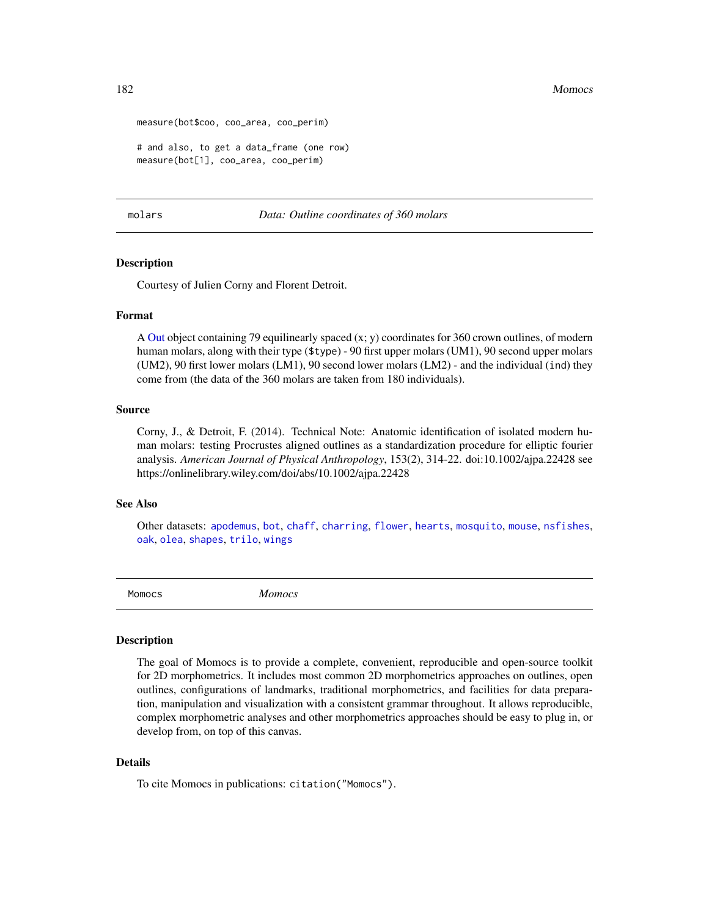182 Momocs Momocs and the United States of the United States of the United States of the United States of the U

```
measure(bot$coo, coo_area, coo_perim)
# and also, to get a data_frame (one row)
measure(bot[1], coo_area, coo_perim)
```
<span id="page-181-0"></span>molars *Data: Outline coordinates of 360 molars*

#### Description

Courtesy of Julien Corny and Florent Detroit.

### Format

A [Out](#page-197-0) object containing 79 equilinearly spaced (x; y) coordinates for 360 crown outlines, of modern human molars, along with their type (\$type) - 90 first upper molars (UM1), 90 second upper molars (UM2), 90 first lower molars (LM1), 90 second lower molars (LM2) - and the individual (ind) they come from (the data of the 360 molars are taken from 180 individuals).

## Source

Corny, J., & Detroit, F. (2014). Technical Note: Anatomic identification of isolated modern human molars: testing Procrustes aligned outlines as a standardization procedure for elliptic fourier analysis. *American Journal of Physical Anthropology*, 153(2), 314-22. doi:10.1002/ajpa.22428 see https://onlinelibrary.wiley.com/doi/abs/10.1002/ajpa.22428

## See Also

Other datasets: [apodemus](#page-7-0), [bot](#page-12-0), [chaff](#page-25-0), [charring](#page-25-1), [flower](#page-144-0), [hearts](#page-150-0), [mosquito](#page-186-0), [mouse](#page-186-1), [nsfishes](#page-191-0), [oak](#page-192-0), [olea](#page-192-1), [shapes](#page-259-0), [trilo](#page-277-1), [wings](#page-280-0)

Momocs *Momocs*

## **Description**

The goal of Momocs is to provide a complete, convenient, reproducible and open-source toolkit for 2D morphometrics. It includes most common 2D morphometrics approaches on outlines, open outlines, configurations of landmarks, traditional morphometrics, and facilities for data preparation, manipulation and visualization with a consistent grammar throughout. It allows reproducible, complex morphometric analyses and other morphometrics approaches should be easy to plug in, or develop from, on top of this canvas.

## Details

To cite Momocs in publications: citation("Momocs").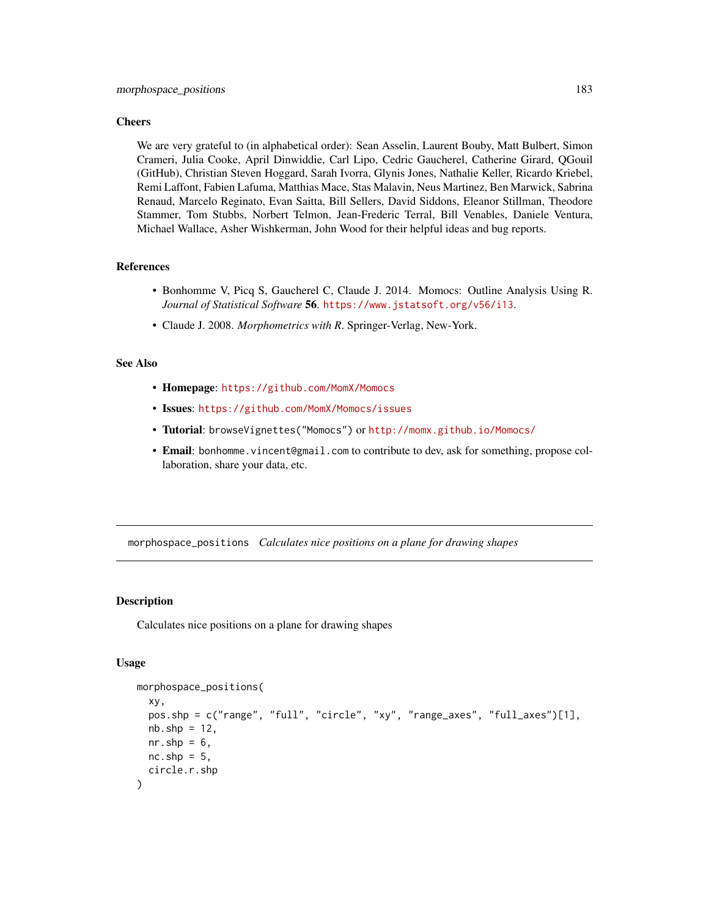#### **Cheers**

We are very grateful to (in alphabetical order): Sean Asselin, Laurent Bouby, Matt Bulbert, Simon Crameri, Julia Cooke, April Dinwiddie, Carl Lipo, Cedric Gaucherel, Catherine Girard, QGouil (GitHub), Christian Steven Hoggard, Sarah Ivorra, Glynis Jones, Nathalie Keller, Ricardo Kriebel, Remi Laffont, Fabien Lafuma, Matthias Mace, Stas Malavin, Neus Martinez, Ben Marwick, Sabrina Renaud, Marcelo Reginato, Evan Saitta, Bill Sellers, David Siddons, Eleanor Stillman, Theodore Stammer, Tom Stubbs, Norbert Telmon, Jean-Frederic Terral, Bill Venables, Daniele Ventura, Michael Wallace, Asher Wishkerman, John Wood for their helpful ideas and bug reports.

# References

- Bonhomme V, Picq S, Gaucherel C, Claude J. 2014. Momocs: Outline Analysis Using R. *Journal of Statistical Software* 56. <https://www.jstatsoft.org/v56/i13>.
- Claude J. 2008. *Morphometrics with R*. Springer-Verlag, New-York.

#### See Also

- Homepage: <https://github.com/MomX/Momocs>
- Issues: <https://github.com/MomX/Momocs/issues>
- Tutorial: browseVignettes("Momocs") or <http://momx.github.io/Momocs/>
- Email: bonhomme.vincent@gmail.com to contribute to dev, ask for something, propose collaboration, share your data, etc.

<span id="page-182-0"></span>morphospace\_positions *Calculates nice positions on a plane for drawing shapes*

#### **Description**

Calculates nice positions on a plane for drawing shapes

```
morphospace_positions(
  xy,
  pos.shp = c("range", "full", "circle", "xy", "range_axes", "full_axes")[1],
 nb.\shp = 12,
  nr.shp = 6,
 nc.shp = 5,
  circle.r.shp
)
```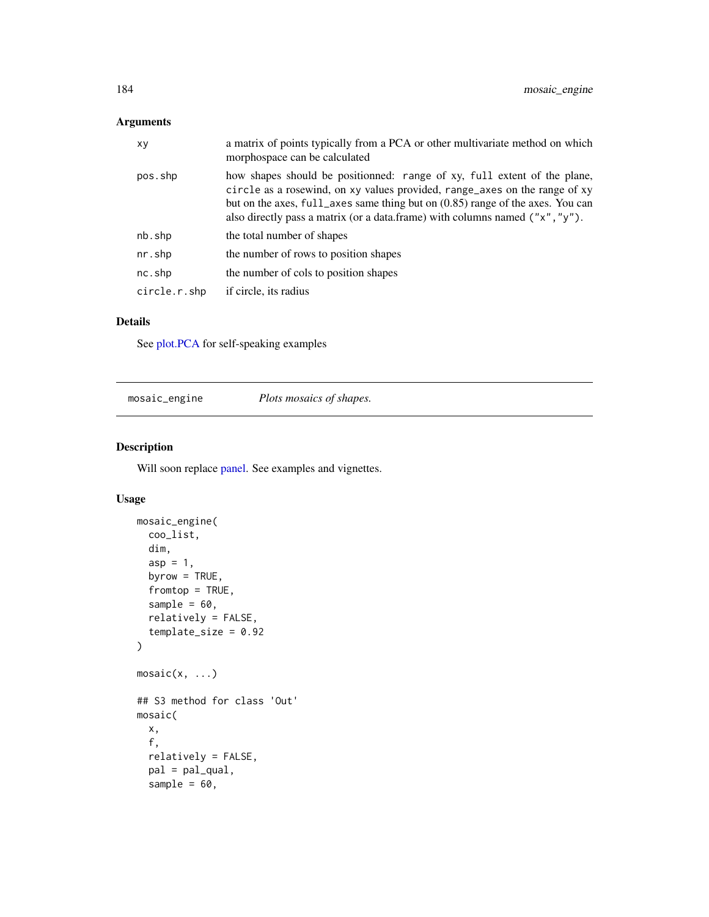# Arguments

| XV           | a matrix of points typically from a PCA or other multivariate method on which<br>morphospace can be calculated                                                                                                                                                                                                                |
|--------------|-------------------------------------------------------------------------------------------------------------------------------------------------------------------------------------------------------------------------------------------------------------------------------------------------------------------------------|
| pos.shp      | how shapes should be positionned: range of xy, full extent of the plane,<br>circle as a rosewind, on xy values provided, range_axes on the range of xy<br>but on the axes, full_axes same thing but on (0.85) range of the axes. You can<br>also directly pass a matrix (or a data.frame) with columns named $('x'', 'y'')$ . |
| nb.shp       | the total number of shapes                                                                                                                                                                                                                                                                                                    |
| nr.shp       | the number of rows to position shapes                                                                                                                                                                                                                                                                                         |
| nc.shp       | the number of cols to position shapes                                                                                                                                                                                                                                                                                         |
| circle.r.shp | if circle, its radius                                                                                                                                                                                                                                                                                                         |

## Details

See [plot.PCA](#page-216-0) for self-speaking examples

<span id="page-183-0"></span>mosaic\_engine *Plots mosaics of shapes.*

# Description

Will soon replace [panel.](#page-201-0) See examples and vignettes.

```
mosaic_engine(
 coo_list,
 dim,
  asp = 1,byrow = TRUE,
  fromtop = TRUE,
  sample = 60,
  relatively = FALSE,
  template_size = 0.92
)
mosaic(x, ...)
## S3 method for class 'Out'
mosaic(
 x,
  f,
  relatively = FALSE,
 pal = pal_qual,
  sample = 60,
```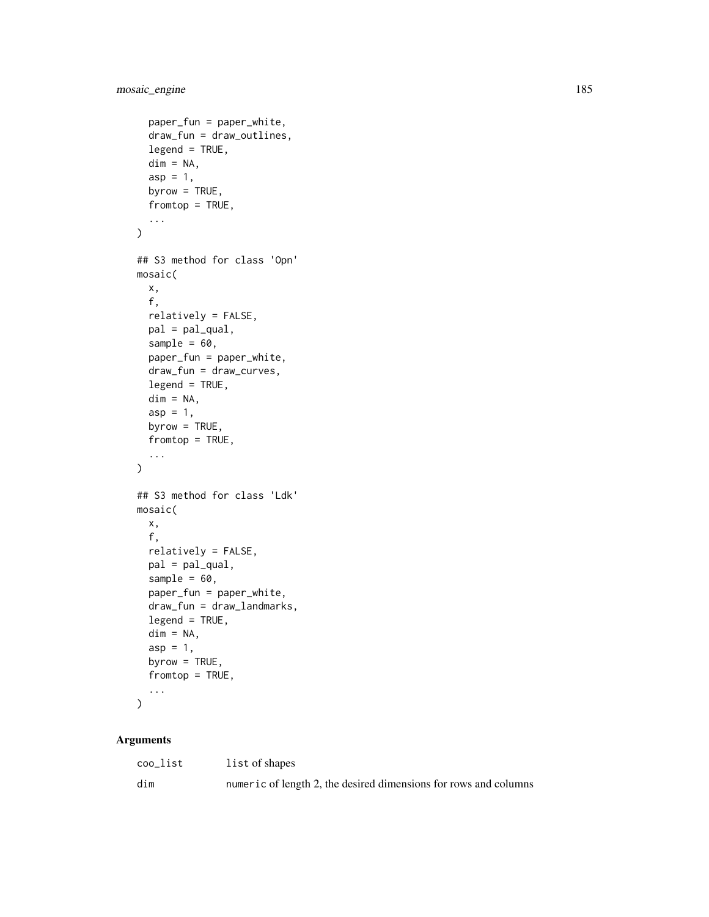```
paper_fun = paper_white,
  draw_fun = draw_outlines,
  legend = TRUE,dim = NA,asp = 1,byrow = TRUE,
  fromtop = TRUE,
  ...
\mathcal{L}## S3 method for class 'Opn'
mosaic(
 x,
  f,
  relatively = FALSE,
 pal = pal_qual,sample = 60,
 paper_fun = paper_white,
  draw_fun = draw_curves,
  legend = TRUE,dim = NA,
  asp = 1,byrow = TRUE,
  fromtop = TRUE,
  ...
\mathcal{L}## S3 method for class 'Ldk'
mosaic(
 x,
  f,
  relatively = FALSE,
 pal = pal_qual,sample = 60,
  paper_fun = paper_white,
  draw_fun = draw_landmarks,
  legend = TRUE,
  dim = NA,
  asp = 1,byrow = TRUE,
  fromtop = TRUE,
  ...
\mathcal{L}
```
# Arguments

| coo_list | list of shapes                                                   |
|----------|------------------------------------------------------------------|
| dim      | numeric of length 2, the desired dimensions for rows and columns |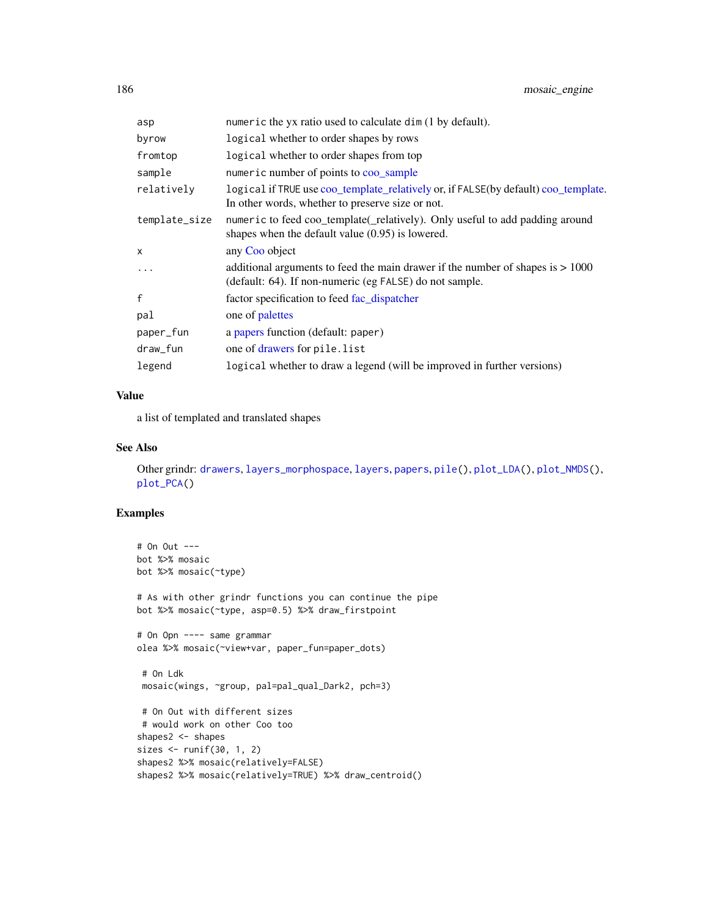| asp           | numeric the yx ratio used to calculate dim (1 by default).                                                                                  |
|---------------|---------------------------------------------------------------------------------------------------------------------------------------------|
| byrow         | logical whether to order shapes by rows                                                                                                     |
| fromtop       | logical whether to order shapes from top                                                                                                    |
| sample        | numeric number of points to coo_sample                                                                                                      |
| relativelv    | logical if TRUE use coo_template_relatively or, if FALSE(by default) coo_template.<br>In other words, whether to preserve size or not.      |
| template_size | numeric to feed coo_template(_relatively). Only useful to add padding around<br>shapes when the default value $(0.95)$ is lowered.          |
| X             | any Coo object                                                                                                                              |
| $\cdots$      | additional arguments to feed the main drawer if the number of shapes is $> 1000$<br>(default: 64). If non-numeric (eg FALSE) do not sample. |
| f             | factor specification to feed fac_dispatcher                                                                                                 |
| pal           | one of palettes                                                                                                                             |
| paper_fun     | a papers function (default: paper)                                                                                                          |
| draw_fun      | one of drawers for pile.list                                                                                                                |
| legend        | logical whether to draw a legend (will be improved in further versions)                                                                     |

# Value

a list of templated and translated shapes

# See Also

Other grindr: [drawers](#page-126-0), [layers\\_morphospace](#page-166-0), [layers](#page-163-0), [papers](#page-203-0), [pile\(](#page-208-0)), [plot\\_LDA\(](#page-227-0)), [plot\\_NMDS\(](#page-231-0)), [plot\\_PCA\(](#page-232-0))

```
# On Out ---
bot %>% mosaic
bot %>% mosaic(~type)
# As with other grindr functions you can continue the pipe
bot %>% mosaic(~type, asp=0.5) %>% draw_firstpoint
# On Opn ---- same grammar
olea %>% mosaic(~view+var, paper_fun=paper_dots)
 # On Ldk
 mosaic(wings, ~group, pal=pal_qual_Dark2, pch=3)
 # On Out with different sizes
 # would work on other Coo too
shapes2 <- shapes
sizes <- runif(30, 1, 2)
shapes2 %>% mosaic(relatively=FALSE)
shapes2 %>% mosaic(relatively=TRUE) %>% draw_centroid()
```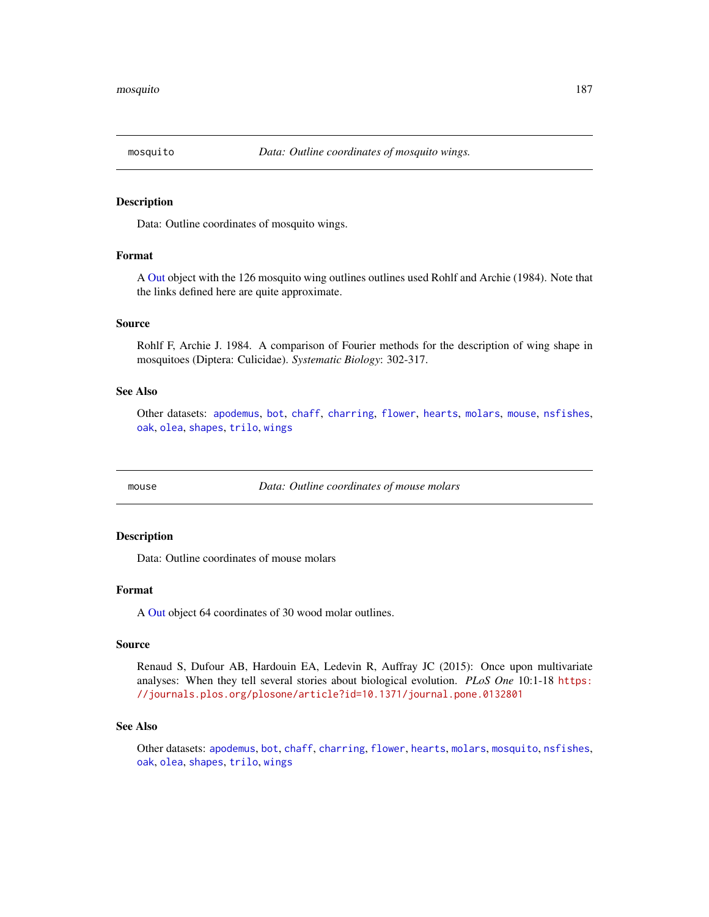<span id="page-186-0"></span>

Data: Outline coordinates of mosquito wings.

## Format

A [Out](#page-197-0) object with the 126 mosquito wing outlines outlines used Rohlf and Archie (1984). Note that the links defined here are quite approximate.

#### Source

Rohlf F, Archie J. 1984. A comparison of Fourier methods for the description of wing shape in mosquitoes (Diptera: Culicidae). *Systematic Biology*: 302-317.

#### See Also

Other datasets: [apodemus](#page-7-0), [bot](#page-12-0), [chaff](#page-25-0), [charring](#page-25-1), [flower](#page-144-0), [hearts](#page-150-0), [molars](#page-181-0), [mouse](#page-186-1), [nsfishes](#page-191-0), [oak](#page-192-0), [olea](#page-192-1), [shapes](#page-259-0), [trilo](#page-277-1), [wings](#page-280-0)

<span id="page-186-1"></span>mouse *Data: Outline coordinates of mouse molars*

## **Description**

Data: Outline coordinates of mouse molars

## Format

A [Out](#page-197-0) object 64 coordinates of 30 wood molar outlines.

#### Source

Renaud S, Dufour AB, Hardouin EA, Ledevin R, Auffray JC (2015): Once upon multivariate analyses: When they tell several stories about biological evolution. *PLoS One* 10:1-18 [https:](https://journals.plos.org/plosone/article?id=10.1371/journal.pone.0132801) [//journals.plos.org/plosone/article?id=10.1371/journal.pone.0132801](https://journals.plos.org/plosone/article?id=10.1371/journal.pone.0132801)

#### See Also

Other datasets: [apodemus](#page-7-0), [bot](#page-12-0), [chaff](#page-25-0), [charring](#page-25-1), [flower](#page-144-0), [hearts](#page-150-0), [molars](#page-181-0), [mosquito](#page-186-0), [nsfishes](#page-191-0), [oak](#page-192-0), [olea](#page-192-1), [shapes](#page-259-0), [trilo](#page-277-1), [wings](#page-280-0)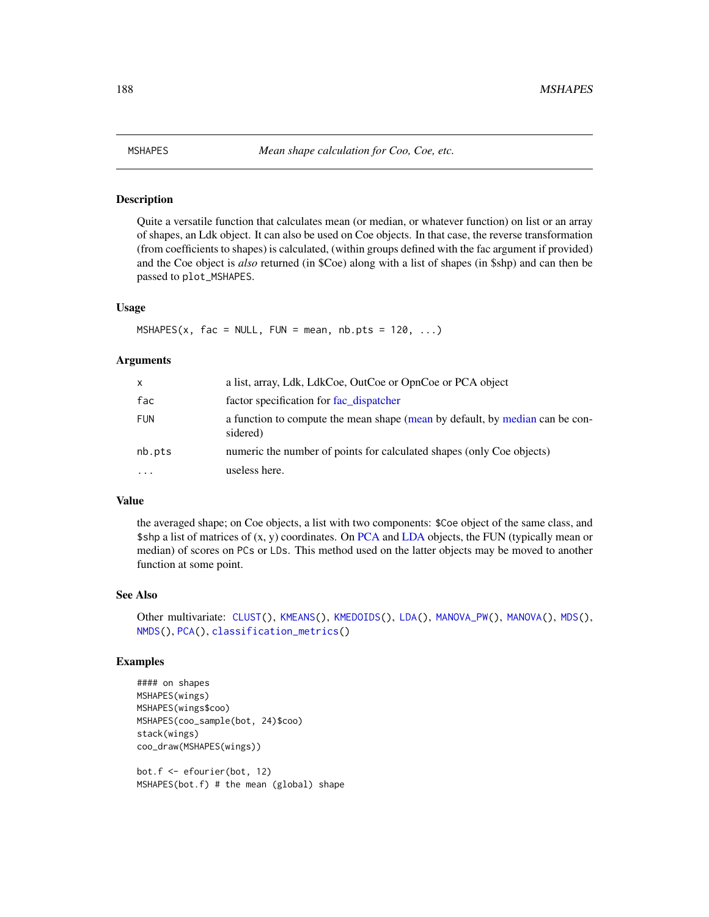<span id="page-187-0"></span>

Quite a versatile function that calculates mean (or median, or whatever function) on list or an array of shapes, an Ldk object. It can also be used on Coe objects. In that case, the reverse transformation (from coefficients to shapes) is calculated, (within groups defined with the fac argument if provided) and the Coe object is *also* returned (in \$Coe) along with a list of shapes (in \$shp) and can then be passed to plot\_MSHAPES.

#### Usage

 $MSHAPES(x, fac = NULL, FUN = mean, nb.pts = 120, ...)$ 

#### Arguments

| $\mathsf{x}$ | a list, array, Ldk, LdkCoe, OutCoe or OpnCoe or PCA object                               |
|--------------|------------------------------------------------------------------------------------------|
| fac          | factor specification for fac_dispatcher                                                  |
| <b>FUN</b>   | a function to compute the mean shape (mean by default, by median can be con-<br>sidered) |
| nb.pts       | numeric the number of points for calculated shapes (only Coe objects)                    |
| $\cdots$     | useless here.                                                                            |

#### Value

the averaged shape; on Coe objects, a list with two components: \$Coe object of the same class, and \$shp a list of matrices of (x, y) coordinates. On [PCA](#page-204-0) and [LDA](#page-167-0) objects, the FUN (typically mean or median) of scores on PCs or LDs. This method used on the latter objects may be moved to another function at some point.

#### See Also

```
Other multivariate: CLUST(), KMEANS(), KMEDOIDS(), LDA(), MANOVA_PW(), MANOVA(), MDS(),
NMDS(), PCA(), classification_metrics()
```
## Examples

```
#### on shapes
MSHAPES(wings)
MSHAPES(wings$coo)
MSHAPES(coo_sample(bot, 24)$coo)
stack(wings)
coo_draw(MSHAPES(wings))
```
bot.f <- efourier(bot, 12) MSHAPES(bot.f) # the mean (global) shape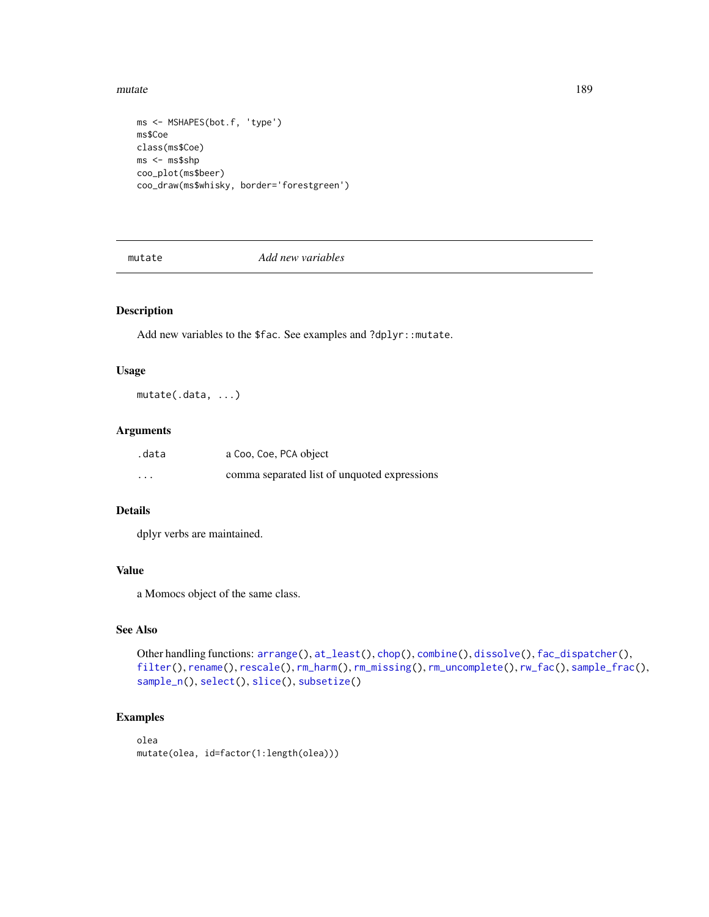#### mutate and the set of the set of the set of the set of the set of the set of the set of the set of the set of the set of the set of the set of the set of the set of the set of the set of the set of the set of the set of th

```
ms <- MSHAPES(bot.f, 'type')
ms$Coe
class(ms$Coe)
ms <- ms$shp
coo_plot(ms$beer)
coo_draw(ms$whisky, border='forestgreen')
```
mutate *Add new variables*

# Description

Add new variables to the \$fac. See examples and ?dplyr::mutate.

## Usage

mutate(.data, ...)

### Arguments

| .data   | a Coo, Coe, PCA object                       |
|---------|----------------------------------------------|
| $\cdot$ | comma separated list of unquoted expressions |

# Details

dplyr verbs are maintained.

# Value

a Momocs object of the same class.

## See Also

```
Other handling functions: arrange(), at_least(), chop(), combine(), dissolve(), fac_dispatcher(),
filter(), rename(), rescale(), rm_harm(), rm_missing(), rm_uncomplete(), rw_fac(), sample_frac(),
sample_n(), select(), slice(), subsetize()
```

```
olea
mutate(olea, id=factor(1:length(olea)))
```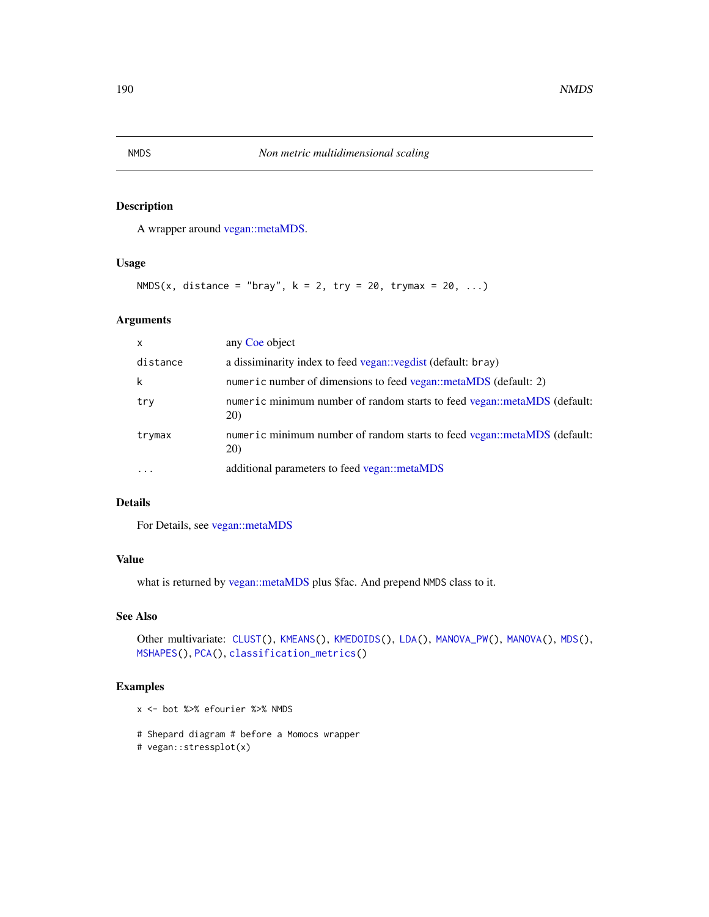A wrapper around [vegan::metaMDS.](#page-0-0)

#### Usage

```
NMDS(x, distance = "bray", k = 2, try = 20, trymax = 20, ...)
```
## Arguments

| X        | any Coe object                                                                          |
|----------|-----------------------------------------------------------------------------------------|
| distance | a dissiminarity index to feed vegan: vegdist (default: bray)                            |
| k        | numeric number of dimensions to feed vegan::metaMDS (default: 2)                        |
| try      | numeric minimum number of random starts to feed vegan::metaMDS (default:<br><b>20</b>   |
| trymax   | numeric minimum number of random starts to feed vegan::metaMDS (default:<br><b>20</b> ) |
| .        | additional parameters to feed vegan::metaMDS                                            |

# Details

For Details, see [vegan::metaMDS](#page-0-0)

# Value

what is returned by [vegan::metaMDS](#page-0-0) plus \$fac. And prepend NMDS class to it.

## See Also

```
Other multivariate: CLUST(), KMEANS(), KMEDOIDS(), LDA(), MANOVA_PW(), MANOVA(), MDS(),
MSHAPES(), PCA(), classification_metrics()
```
- x <- bot %>% efourier %>% NMDS
- # Shepard diagram # before a Momocs wrapper
- # vegan::stressplot(x)

<span id="page-189-0"></span>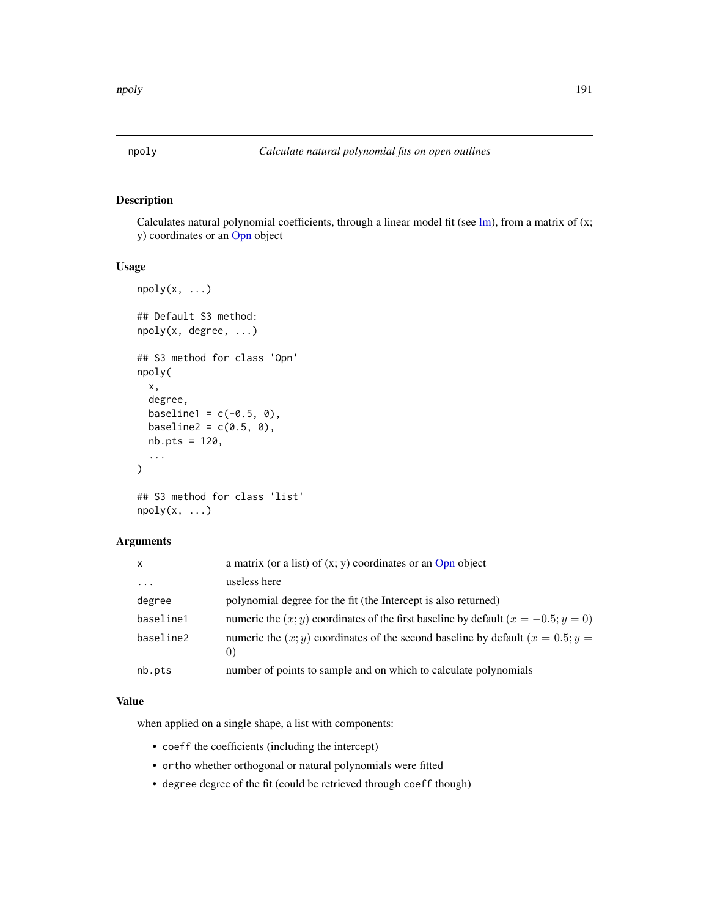<span id="page-190-0"></span>

Calculates natural polynomial coefficients, through a linear model fit (see  $lm$ ), from a matrix of  $(x;$ y) coordinates or an [Opn](#page-193-0) object

# Usage

```
npoly(x, \ldots)## Default S3 method:
npoly(x, degree, ...)
## S3 method for class 'Opn'
npoly(
 x,
  degree,
 baseline1 = c(-0.5, 0),
 baseline2 = c(0.5, 0),
 nb.pts = 120,...
\mathcal{L}
```

```
## S3 method for class 'list'
npoly(x, \ldots)
```
# Arguments

| $\mathsf{x}$ | a matrix (or a list) of $(x, y)$ coordinates or an Opn object                                                |
|--------------|--------------------------------------------------------------------------------------------------------------|
| $\ddots$ .   | useless here                                                                                                 |
| degree       | polynomial degree for the fit (the Intercept is also returned)                                               |
| baseline1    | numeric the $(x, y)$ coordinates of the first baseline by default $(x = -0.5; y = 0)$                        |
| baseline2    | numeric the $(x, y)$ coordinates of the second baseline by default $(x = 0.5; y = 0.5)$<br>$\left( 0\right)$ |
| nb.pts       | number of points to sample and on which to calculate polynomials                                             |

## Value

when applied on a single shape, a list with components:

- coeff the coefficients (including the intercept)
- ortho whether orthogonal or natural polynomials were fitted
- degree degree of the fit (could be retrieved through coeff though)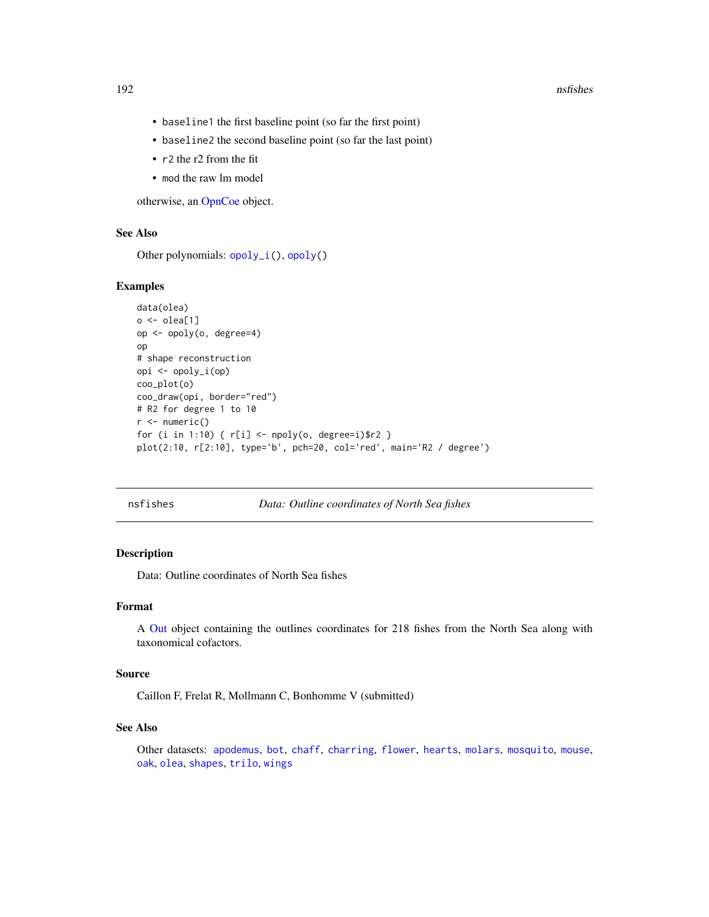#### 192 nsfishes **nsfishes** nsfishes **nsfishes** nsfishes **nsfishes**

- baseline1 the first baseline point (so far the first point)
- baseline2 the second baseline point (so far the last point)
- r2 the r2 from the fit
- mod the raw lm model

otherwise, an [OpnCoe](#page-194-0) object.

## See Also

Other polynomials: [opoly\\_i\(](#page-196-0)), [opoly\(](#page-195-0))

#### Examples

```
data(olea)
o \leftarrow olea[1]op <- opoly(o, degree=4)
op
# shape reconstruction
opi <- opoly_i(op)
coo_plot(o)
coo_draw(opi, border="red")
# R2 for degree 1 to 10
r < - numeric()
for (i in 1:10) { r[i] <- npoly(o, degree=i)$r2 }
plot(2:10, r[2:10], type='b', pch=20, col='red', main='R2 / degree')
```
<span id="page-191-0"></span>nsfishes *Data: Outline coordinates of North Sea fishes*

## Description

Data: Outline coordinates of North Sea fishes

## Format

A [Out](#page-197-0) object containing the outlines coordinates for 218 fishes from the North Sea along with taxonomical cofactors.

### Source

Caillon F, Frelat R, Mollmann C, Bonhomme V (submitted)

#### See Also

Other datasets: [apodemus](#page-7-0), [bot](#page-12-0), [chaff](#page-25-0), [charring](#page-25-1), [flower](#page-144-0), [hearts](#page-150-0), [molars](#page-181-0), [mosquito](#page-186-0), [mouse](#page-186-1), [oak](#page-192-0), [olea](#page-192-1), [shapes](#page-259-0), [trilo](#page-277-1), [wings](#page-280-0)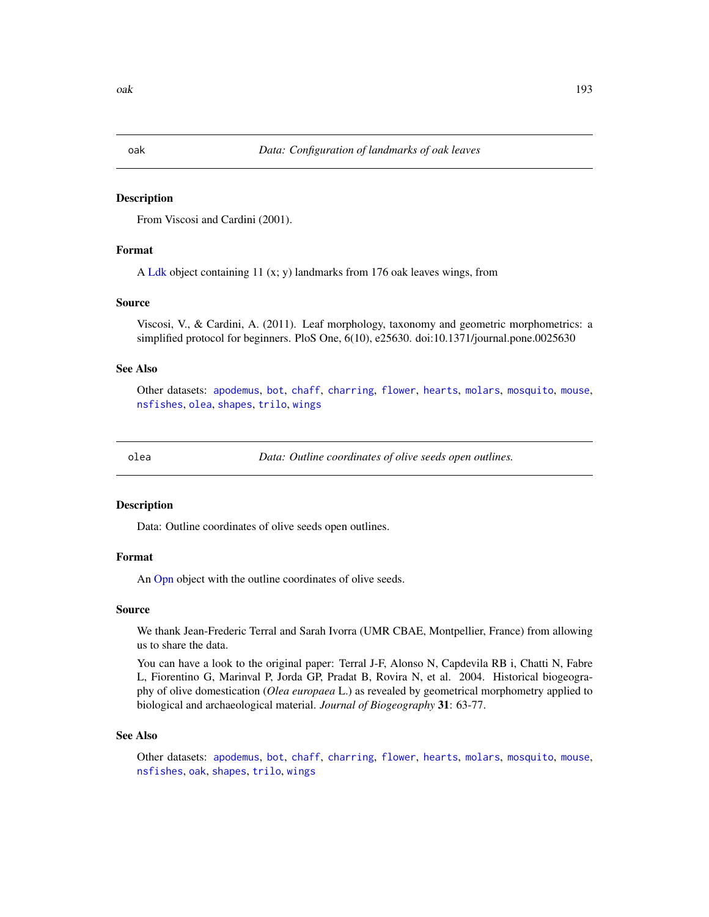<span id="page-192-0"></span>From Viscosi and Cardini (2001).

## Format

A [Ldk](#page-169-0) object containing 11 (x; y) landmarks from 176 oak leaves wings, from

## Source

Viscosi, V., & Cardini, A. (2011). Leaf morphology, taxonomy and geometric morphometrics: a simplified protocol for beginners. PloS One, 6(10), e25630. doi:10.1371/journal.pone.0025630

## See Also

Other datasets: [apodemus](#page-7-0), [bot](#page-12-0), [chaff](#page-25-0), [charring](#page-25-1), [flower](#page-144-0), [hearts](#page-150-0), [molars](#page-181-0), [mosquito](#page-186-0), [mouse](#page-186-1), [nsfishes](#page-191-0), [olea](#page-192-1), [shapes](#page-259-0), [trilo](#page-277-1), [wings](#page-280-0)

<span id="page-192-1"></span>

olea *Data: Outline coordinates of olive seeds open outlines.*

#### **Description**

Data: Outline coordinates of olive seeds open outlines.

#### Format

An [Opn](#page-193-0) object with the outline coordinates of olive seeds.

#### Source

We thank Jean-Frederic Terral and Sarah Ivorra (UMR CBAE, Montpellier, France) from allowing us to share the data.

You can have a look to the original paper: Terral J-F, Alonso N, Capdevila RB i, Chatti N, Fabre L, Fiorentino G, Marinval P, Jorda GP, Pradat B, Rovira N, et al. 2004. Historical biogeography of olive domestication (*Olea europaea* L.) as revealed by geometrical morphometry applied to biological and archaeological material. *Journal of Biogeography* 31: 63-77.

#### See Also

Other datasets: [apodemus](#page-7-0), [bot](#page-12-0), [chaff](#page-25-0), [charring](#page-25-1), [flower](#page-144-0), [hearts](#page-150-0), [molars](#page-181-0), [mosquito](#page-186-0), [mouse](#page-186-1), [nsfishes](#page-191-0), [oak](#page-192-0), [shapes](#page-259-0), [trilo](#page-277-1), [wings](#page-280-0)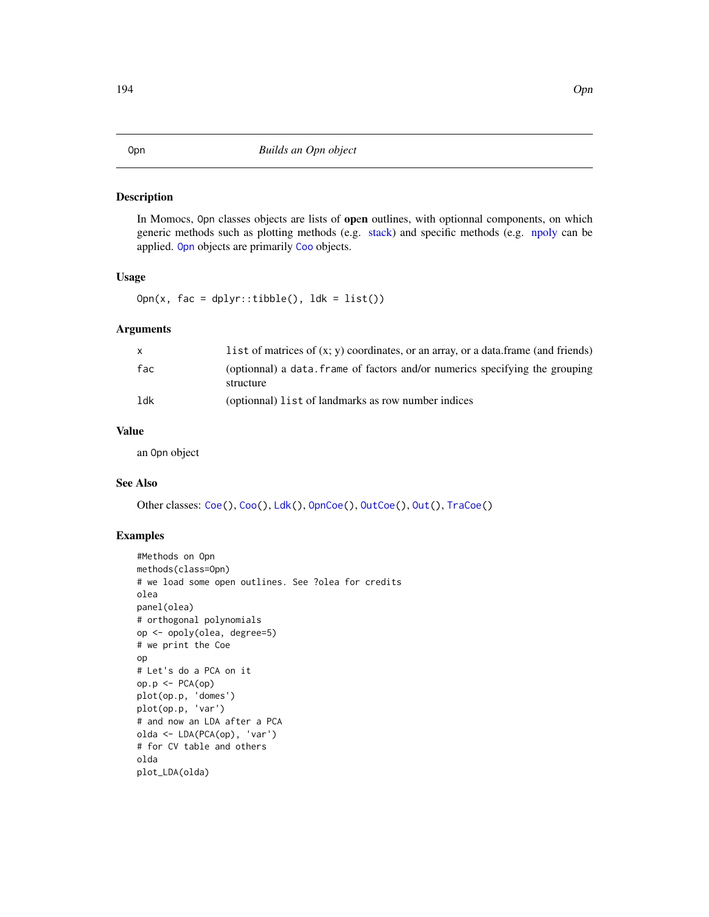<span id="page-193-0"></span>In Momocs, Opn classes objects are lists of open outlines, with optionnal components, on which generic methods such as plotting methods (e.g. [stack\)](#page-261-0) and specific methods (e.g. [npoly](#page-190-0) can be applied. [Opn](#page-193-0) objects are primarily [Coo](#page-38-0) objects.

## Usage

Opn(x,  $fac = dplyr::tibble(), ldk = list())$ 

#### Arguments

| X   | l ist of matrices of $(x, y)$ coordinates, or an array, or a data. frame (and friends)    |
|-----|-------------------------------------------------------------------------------------------|
| fac | (optionnal) a data. frame of factors and/or numerics specifying the grouping<br>structure |
| ldk | (optionnal) list of landmarks as row number indices                                       |

#### Value

an Opn object

# See Also

Other classes: [Coe\(](#page-29-0)), [Coo\(](#page-38-0)), [Ldk\(](#page-169-0)), [OpnCoe\(](#page-194-0)), [OutCoe\(](#page-198-0)), [Out\(](#page-197-0)), [TraCoe\(](#page-277-0))

```
#Methods on Opn
methods(class=Opn)
# we load some open outlines. See ?olea for credits
olea
panel(olea)
# orthogonal polynomials
op <- opoly(olea, degree=5)
# we print the Coe
op
# Let's do a PCA on it
op.p <- PCA(op)
plot(op.p, 'domes')
plot(op.p, 'var')
# and now an LDA after a PCA
olda <- LDA(PCA(op), 'var')
# for CV table and others
olda
plot_LDA(olda)
```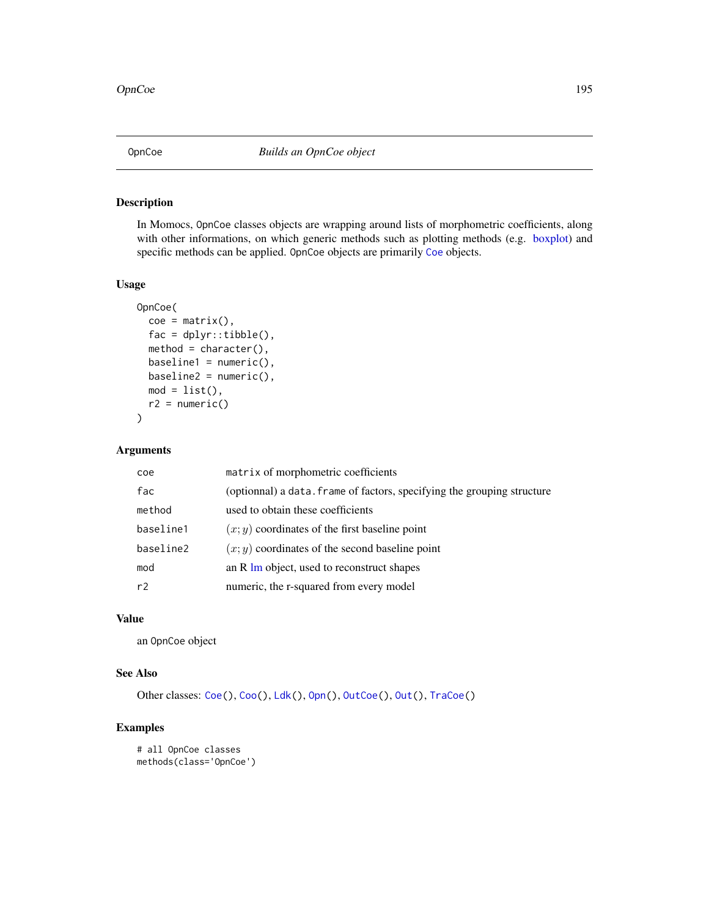<span id="page-194-0"></span>

In Momocs, OpnCoe classes objects are wrapping around lists of morphometric coefficients, along with other informations, on which generic methods such as plotting methods (e.g. [boxplot\)](#page-0-0) and specific methods can be applied. OpnCoe objects are primarily [Coe](#page-29-0) objects.

## Usage

```
OpnCoe(
  \text{coe} = \text{matrix}(),
  fac = dplyr::tibble(),method = character(),baseline1 = numeric(),baseline2 = numeric(),mod = list(),
 r2 = numeric()
)
```
# Arguments

| coe       | matrix of morphometric coefficients                                     |
|-----------|-------------------------------------------------------------------------|
| fac       | (optionnal) a data. frame of factors, specifying the grouping structure |
| method    | used to obtain these coefficients                                       |
| baseline1 | $(x, y)$ coordinates of the first baseline point                        |
| baseline2 | $(x, y)$ coordinates of the second baseline point                       |
| mod       | an R Im object, used to reconstruct shapes                              |
| r2        | numeric, the r-squared from every model                                 |

# Value

an OpnCoe object

# See Also

Other classes: [Coe\(](#page-29-0)), [Coo\(](#page-38-0)), [Ldk\(](#page-169-0)), [Opn\(](#page-193-0)), [OutCoe\(](#page-198-0)), [Out\(](#page-197-0)), [TraCoe\(](#page-277-0))

```
# all OpnCoe classes
methods(class='OpnCoe')
```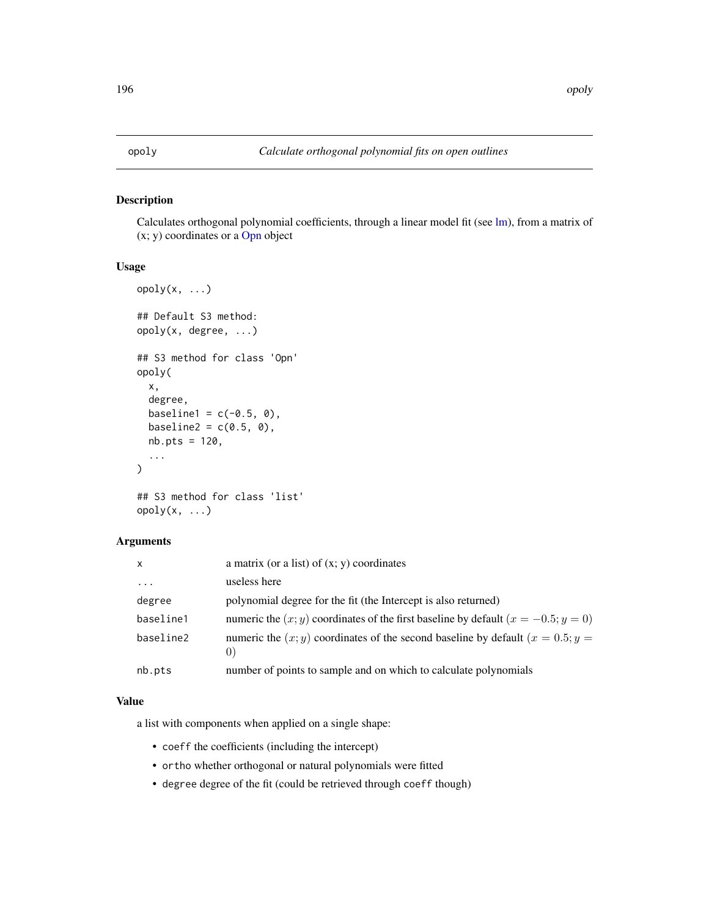<span id="page-195-0"></span>Calculates orthogonal polynomial coefficients, through a linear model fit (see [lm\)](#page-0-0), from a matrix of  $(x; y)$  coordinates or a [Opn](#page-193-0) object

## Usage

```
opoly(x, \ldots)## Default S3 method:
opoly(x, degree, ...)
## S3 method for class 'Opn'
opoly(
 x,
  degree,
 baseline1 = c(-0.5, 0),
 baseline2 = c(0.5, 0),
 nb.pts = 120,...
\mathcal{L}
```

```
## S3 method for class 'list'
opoly(x, \ldots)
```
# Arguments

| $\mathsf{x}$ | a matrix (or a list) of $(x, y)$ coordinates                                                                                                                               |
|--------------|----------------------------------------------------------------------------------------------------------------------------------------------------------------------------|
| .            | useless here                                                                                                                                                               |
| degree       | polynomial degree for the fit (the Intercept is also returned)                                                                                                             |
| baseline1    | numeric the $(x, y)$ coordinates of the first baseline by default $(x = -0.5; y = 0)$                                                                                      |
| baseline2    | numeric the $(x, y)$ coordinates of the second baseline by default $(x = 0.5; y = 0.5; y = 0.5; y = 0.5; y = 0.5; y = 0.5; y = 0.5; y = 0.5; y = 0.5$<br>$\left( 0\right)$ |
| nb.pts       | number of points to sample and on which to calculate polynomials                                                                                                           |

## Value

a list with components when applied on a single shape:

- coeff the coefficients (including the intercept)
- ortho whether orthogonal or natural polynomials were fitted
- degree degree of the fit (could be retrieved through coeff though)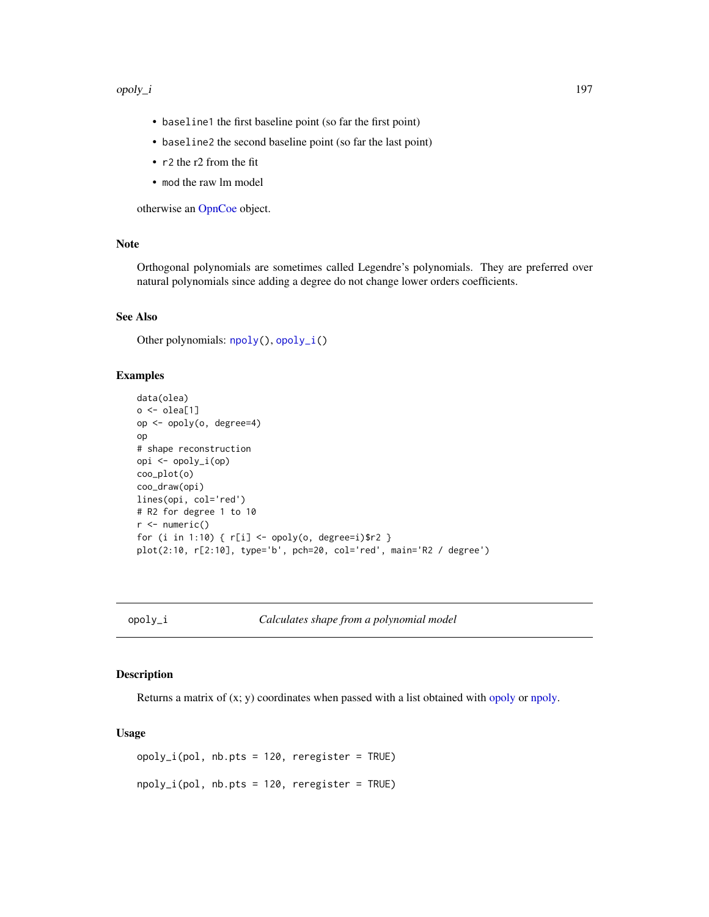#### opoly\_i 197

- baseline1 the first baseline point (so far the first point)
- baseline2 the second baseline point (so far the last point)
- r2 the r2 from the fit
- mod the raw lm model

otherwise an [OpnCoe](#page-194-0) object.

## Note

Orthogonal polynomials are sometimes called Legendre's polynomials. They are preferred over natural polynomials since adding a degree do not change lower orders coefficients.

### See Also

Other polynomials: [npoly\(](#page-190-0)), [opoly\\_i\(](#page-196-0))

# Examples

```
data(olea)
o <- olea[1]
op <- opoly(o, degree=4)
op
# shape reconstruction
opi <- opoly_i(op)
coo_plot(o)
coo_draw(opi)
lines(opi, col='red')
# R2 for degree 1 to 10
r < - numeric()
for (i in 1:10) { r[i] <- opoly(o, degree=i)$r2 }
plot(2:10, r[2:10], type='b', pch=20, col='red', main='R2 / degree')
```
<span id="page-196-0"></span>opoly\_i *Calculates shape from a polynomial model*

# Description

Returns a matrix of  $(x; y)$  coordinates when passed with a list obtained with [opoly](#page-195-0) or [npoly.](#page-190-0)

```
opoly_i(pol, nb.pts = 120, reregister = TRUE)
npoly_i(pol, nb.pts = 120, reregister = TRUE)
```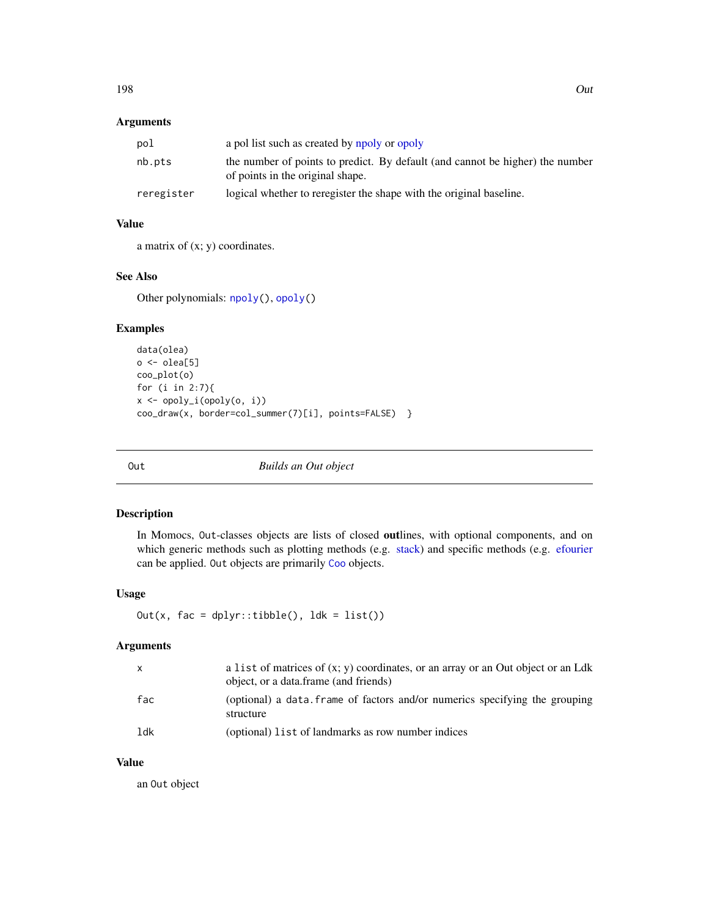# Arguments

| pol        | a pol list such as created by npoly or opoly                                                                      |
|------------|-------------------------------------------------------------------------------------------------------------------|
| nb.pts     | the number of points to predict. By default (and cannot be higher) the number<br>of points in the original shape. |
| reregister | logical whether to reregister the shape with the original baseline.                                               |

# Value

a matrix of (x; y) coordinates.

## See Also

Other polynomials: [npoly\(](#page-190-0)), [opoly\(](#page-195-0))

## Examples

```
data(olea)
o <- olea[5]
coo_plot(o)
for (i in 2:7){
x <- opoly_i(opoly(o, i))
coo_draw(x, border=col_summer(7)[i], points=FALSE) }
```
<span id="page-197-0"></span>Out *Builds an Out object*

## Description

In Momocs, Out-classes objects are lists of closed outlines, with optional components, and on which generic methods such as plotting methods (e.g. [stack\)](#page-261-0) and specific methods (e.g. [efourier](#page-133-0) can be applied. Out objects are primarily [Coo](#page-38-0) objects.

# Usage

Out(x,  $fac = dplyr::tibble(), 1dk = list())$ 

# Arguments

| $\mathsf{x}$ | a list of matrices of $(x, y)$ coordinates, or an array or an Out object or an Ldk<br>object, or a data frame (and friends) |
|--------------|-----------------------------------------------------------------------------------------------------------------------------|
| fac          | (optional) a data. frame of factors and/or numerics specifying the grouping<br>structure                                    |
| ldk          | (optional) list of landmarks as row number indices                                                                          |

# Value

an Out object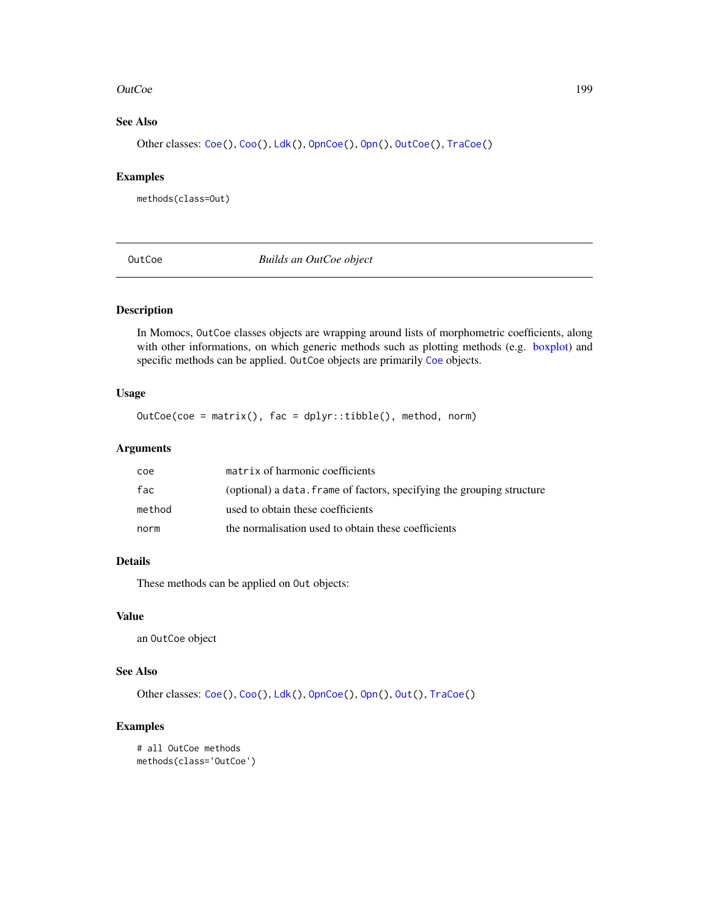#### **OutCoe** 199

# See Also

Other classes: [Coe\(](#page-29-0)), [Coo\(](#page-38-0)), [Ldk\(](#page-169-0)), [OpnCoe\(](#page-194-0)), [Opn\(](#page-193-0)), [OutCoe\(](#page-198-0)), [TraCoe\(](#page-277-0))

## Examples

methods(class=Out)

<span id="page-198-0"></span>OutCoe *Builds an OutCoe object*

# Description

In Momocs, OutCoe classes objects are wrapping around lists of morphometric coefficients, along with other informations, on which generic methods such as plotting methods (e.g. [boxplot\)](#page-0-0) and specific methods can be applied. OutCoe objects are primarily [Coe](#page-29-0) objects.

## Usage

OutCoe(coe = matrix(), fac = dplyr::tibble(), method, norm)

## Arguments

| coe    | matrix of harmonic coefficients                                        |
|--------|------------------------------------------------------------------------|
| fac    | (optional) a data. frame of factors, specifying the grouping structure |
| method | used to obtain these coefficients                                      |
| norm   | the normalisation used to obtain these coefficients                    |

# Details

These methods can be applied on Out objects:

## Value

an OutCoe object

## See Also

Other classes: [Coe\(](#page-29-0)), [Coo\(](#page-38-0)), [Ldk\(](#page-169-0)), [OpnCoe\(](#page-194-0)), [Opn\(](#page-193-0)), [Out\(](#page-197-0)), [TraCoe\(](#page-277-0))

```
# all OutCoe methods
methods(class='OutCoe')
```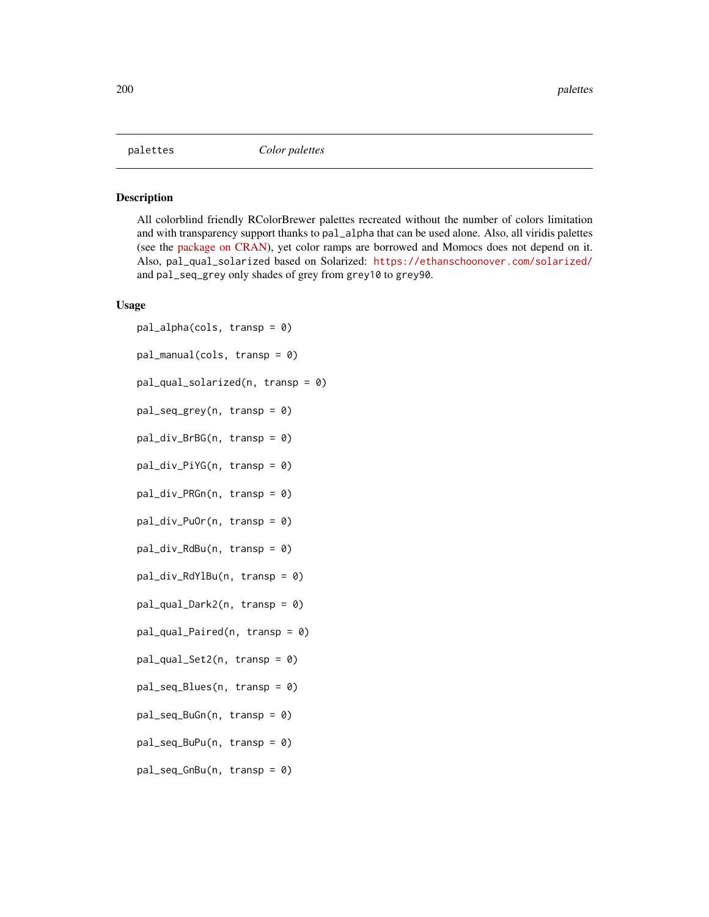<span id="page-199-1"></span><span id="page-199-0"></span>All colorblind friendly RColorBrewer palettes recreated without the number of colors limitation and with transparency support thanks to pal\_alpha that can be used alone. Also, all viridis palettes (see the [package on CRAN\)](https://CRAN.R-project.org/package=viridis), yet color ramps are borrowed and Momocs does not depend on it. Also, pal\_qual\_solarized based on Solarized: <https://ethanschoonover.com/solarized/> and pal\_seq\_grey only shades of grey from grey10 to grey90.

```
pal_alpha(cols, transp = 0)
pal_manual(cols, transp = 0)
pal_qual_solarized(n, transp = 0)
pal_seq_grey(n, transp = 0)
pal_div_BrBG(n, transp = 0)
pal_div_PiYG(n, transp = 0)
pal_div_PRGn(n, transp = 0)
pal_div_PuOr(n, transp = 0)
pal_div_RdBu(n, transp = 0)
pal_div_RdYlBu(n, transp = 0)
pal_qual_Dark2(n, transp = 0)
pal_qual_Paired(n, transp = 0)
pal_qual_Set2(n, transp = 0)
pal_seq_Blues(n, transp = 0)
pal_seq_BuGn(n, transp = 0)
pal_seq_BuPu(n, transp = 0)
pal_seq_GnBu(n, transp = 0)
```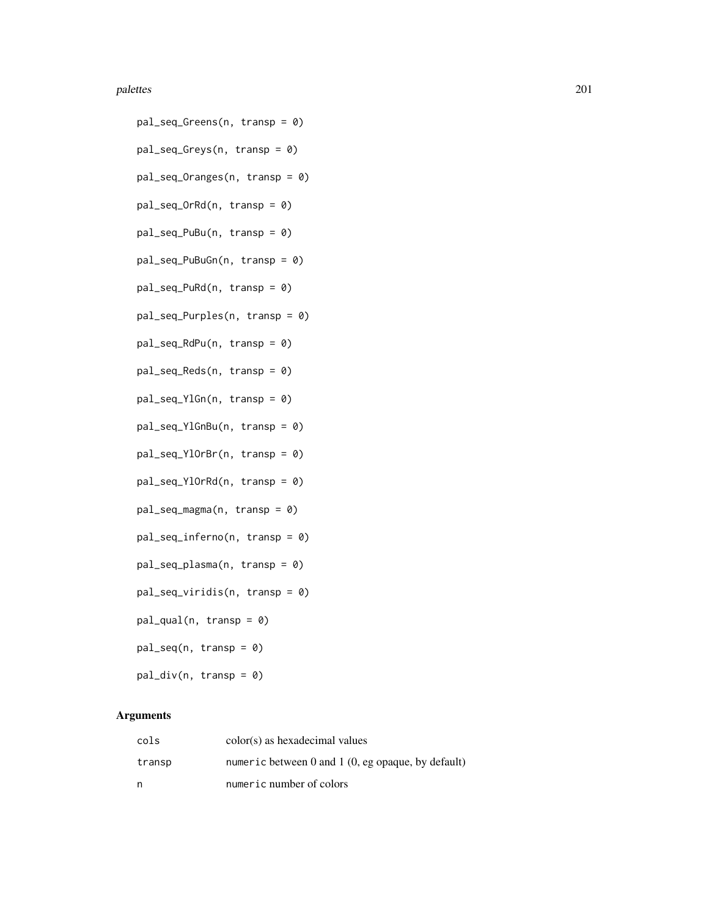#### palettes 201

- pal\_seq\_Greens(n, transp = 0) pal\_seq\_Greys(n, transp = 0) pal\_seq\_Oranges(n, transp = 0) pal\_seq\_OrRd(n, transp = 0) pal\_seq\_PuBu(n, transp = 0) pal\_seq\_PuBuGn(n, transp = 0) pal\_seq\_PuRd(n, transp = 0) pal\_seq\_Purples(n, transp = 0) pal\_seq\_RdPu(n, transp = 0) pal\_seq\_Reds(n, transp = 0) pal\_seq\_YlGn(n, transp = 0) pal\_seq\_YlGnBu(n, transp = 0) pal\_seq\_YlOrBr(n, transp = 0) pal\_seq\_YlOrRd(n, transp = 0) pal\_seq\_magma(n, transp = 0) pal\_seq\_inferno(n, transp = 0) pal\_seq\_plasma(n, transp = 0) pal\_seq\_viridis(n, transp = 0)
- $pal_qual(n, transp = 0)$
- $pal\_seq(n, transp = 0)$
- $pal\_div(n, transp = 0)$

## Arguments

| cols   | color(s) as hexadecimal values                       |
|--------|------------------------------------------------------|
| transp | numeric between 0 and 1 $(0, eg)$ opaque, by default |
| n      | numeric number of colors                             |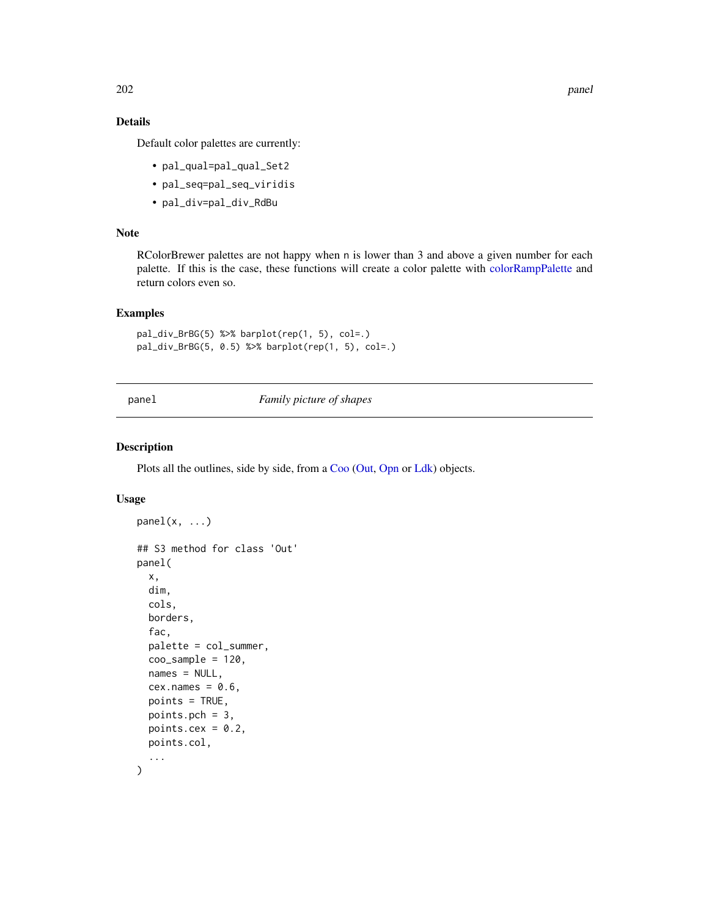202 panel

# Details

Default color palettes are currently:

- pal\_qual=pal\_qual\_Set2
- pal\_seq=pal\_seq\_viridis
- pal\_div=pal\_div\_RdBu

# Note

RColorBrewer palettes are not happy when n is lower than 3 and above a given number for each palette. If this is the case, these functions will create a color palette with [colorRampPalette](#page-0-0) and return colors even so.

## Examples

```
pal_div_BrBG(5) %>% barplot(rep(1, 5), col=.)
pal_div_BrBG(5, 0.5) %>% barplot(rep(1, 5), col=.)
```
<span id="page-201-0"></span>panel *Family picture of shapes*

## Description

Plots all the outlines, side by side, from a [Coo](#page-38-0) [\(Out,](#page-197-0) [Opn](#page-193-0) or [Ldk\)](#page-169-0) objects.

```
panel(x, ...)## S3 method for class 'Out'
panel(
  x,
  dim,
  cols,
 borders,
  fac,
  palette = col_summer,
  coo_sample = 120,
  names = NULL,
  cex.names = 0.6,
 points = TRUE,
 points.pch = 3,
 points.cex = 0.2,
 points.col,
  ...
)
```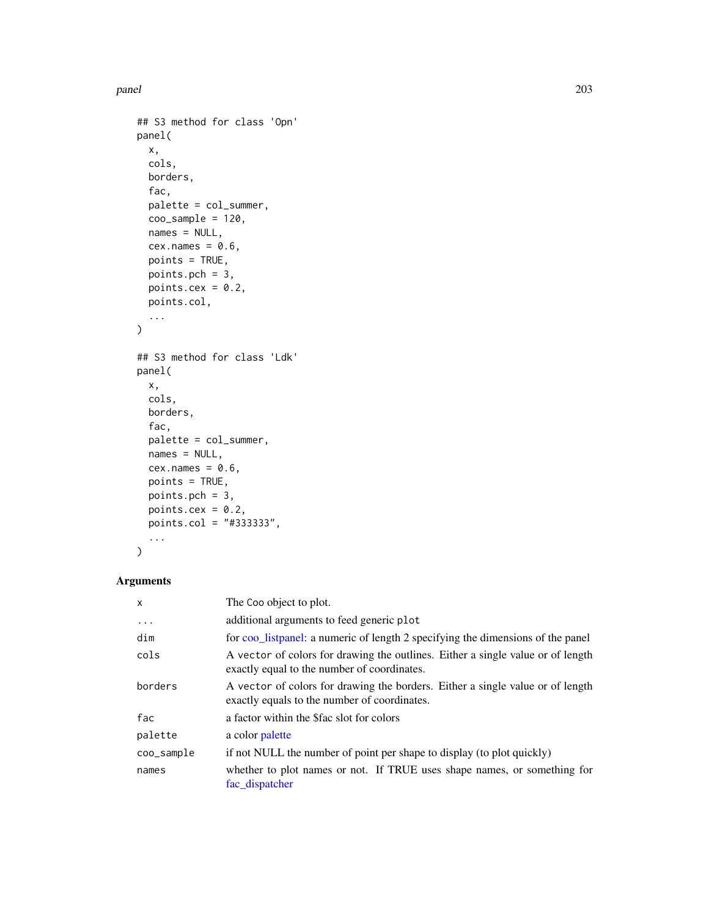```
## S3 method for class 'Opn'
panel(
 x,
 cols,
 borders,
 fac,
 palette = col_summer,
 coo_sample = 120,
 names = NULL,
 cex.name = 0.6,
 points = TRUE,
 points.pch = 3,
 points.cex = 0.2,
 points.col,
  ...
)
## S3 method for class 'Ldk'
panel(
 x,
 cols,
 borders,
 fac,
 palette = col_summer,
 names = NULL,
 cex.name = 0.6,
 points = TRUE,
 points.pch = 3,
 points.cex = 0.2,
 points.col = "#333333",
  ...
\mathcal{L}
```
# Arguments

| $\mathsf{x}$ | The Coo object to plot.                                                                                                        |
|--------------|--------------------------------------------------------------------------------------------------------------------------------|
| $\ddotsc$    | additional arguments to feed generic plot                                                                                      |
| dim          | for coo_listpanel: a numeric of length 2 specifying the dimensions of the panel                                                |
| cols         | A vector of colors for drawing the outlines. Either a single value or of length<br>exactly equal to the number of coordinates. |
| borders      | A vector of colors for drawing the borders. Either a single value or of length<br>exactly equals to the number of coordinates. |
| fac          | a factor within the <i>Sfac</i> slot for colors                                                                                |
| palette      | a color palette                                                                                                                |
| coo_sample   | if not NULL the number of point per shape to display (to plot quickly)                                                         |
| names        | whether to plot names or not. If TRUE uses shape names, or something for<br>fac_dispatcher                                     |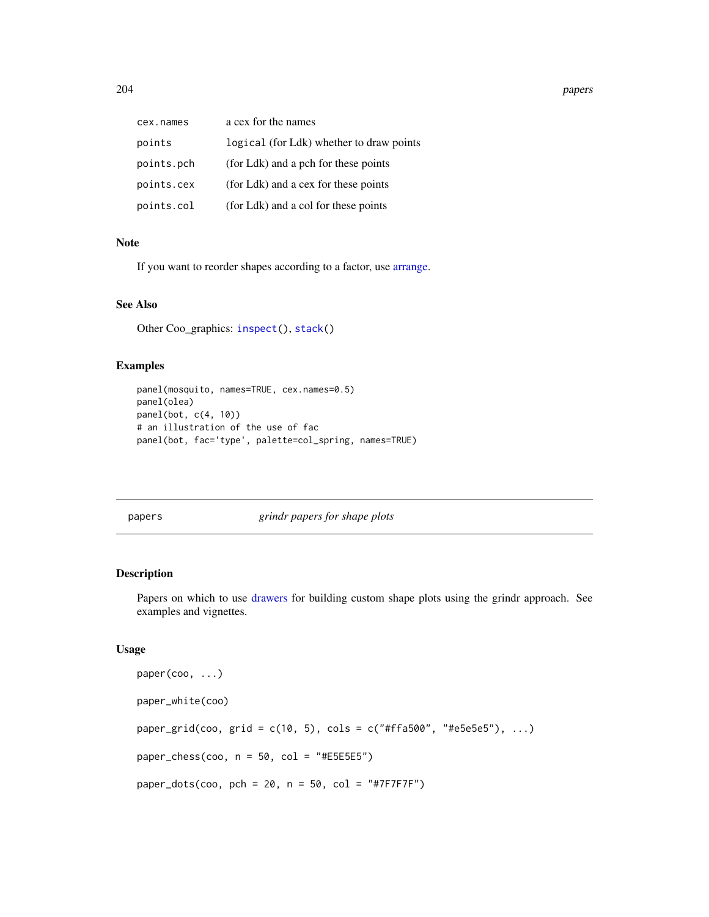204 papers

| cex.names  | a cex for the names                      |
|------------|------------------------------------------|
| points     | logical (for Ldk) whether to draw points |
| points.pch | (for Ldk) and a pch for these points     |
| points.cex | (for Ldk) and a cex for these points     |
| points.col | (for Ldk) and a col for these points     |

# Note

If you want to reorder shapes according to a factor, use [arrange.](#page-7-1)

## See Also

Other Coo\_graphics: [inspect\(](#page-158-0)), [stack\(](#page-261-0))

## Examples

```
panel(mosquito, names=TRUE, cex.names=0.5)
panel(olea)
panel(bot, c(4, 10))
# an illustration of the use of fac
panel(bot, fac='type', palette=col_spring, names=TRUE)
```
<span id="page-203-0"></span>papers *grindr papers for shape plots*

# Description

Papers on which to use [drawers](#page-126-0) for building custom shape plots using the grindr approach. See examples and vignettes.

```
paper(coo, ...)
paper_white(coo)
paper_grid(coo, grid = c(10, 5), cols = c("#ffa500", "#e5e5e5"), ...)
paper_chess(coo, n = 50, col = "#E5E5E5")
paper\_dots(cos, pch = 20, n = 50, col = "#7F7F7F")
```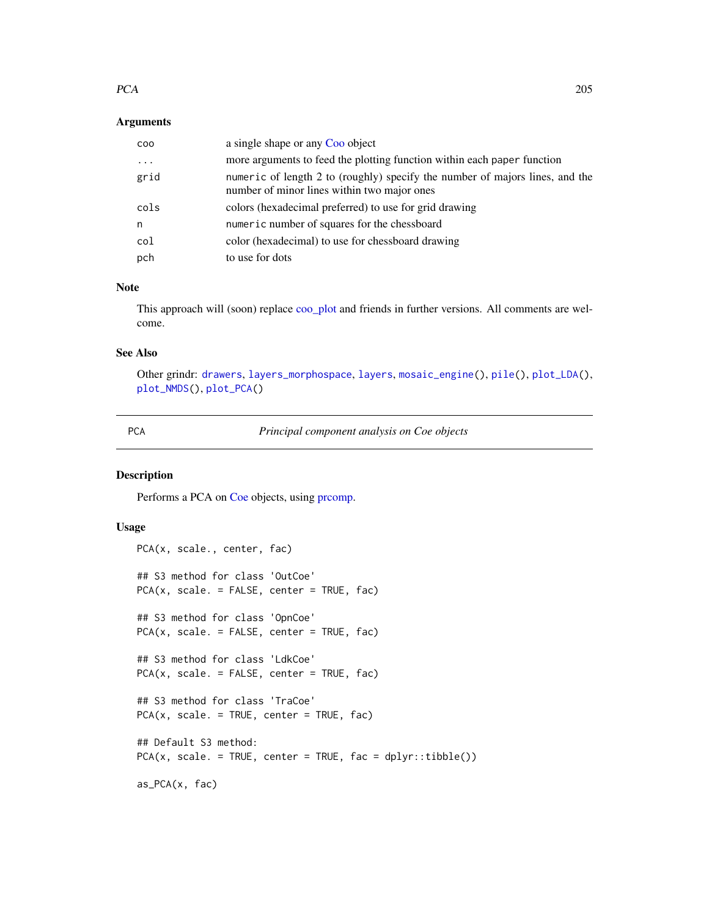#### $PCA$  205

## Arguments

| CO <sub>O</sub> | a single shape or any Coo object                                                                                            |
|-----------------|-----------------------------------------------------------------------------------------------------------------------------|
| $\ddotsc$       | more arguments to feed the plotting function within each paper function                                                     |
| grid            | numeric of length 2 to (roughly) specify the number of majors lines, and the<br>number of minor lines within two major ones |
| cols            | colors (hexadecimal preferred) to use for grid drawing                                                                      |
| n               | numeric number of squares for the chessboard                                                                                |
| col             | color (hexadecimal) to use for chessboard drawing                                                                           |
| pch             | to use for dots                                                                                                             |

# Note

This approach will (soon) replace [coo\\_plot](#page-82-0) and friends in further versions. All comments are welcome.

# See Also

Other grindr: [drawers](#page-126-0), [layers\\_morphospace](#page-166-0), [layers](#page-163-0), [mosaic\\_engine\(](#page-183-0)), [pile\(](#page-208-0)), [plot\\_LDA\(](#page-227-0)), [plot\\_NMDS\(](#page-231-0)), [plot\\_PCA\(](#page-232-0))

<span id="page-204-0"></span>

PCA *Principal component analysis on Coe objects*

# Description

Performs a PCA on [Coe](#page-29-0) objects, using [prcomp.](#page-0-0)

```
PCA(x, scale., center, fac)
## S3 method for class 'OutCoe'
PCA(x, scale. = FALSE, center = TRUE, fac)## S3 method for class 'OpnCoe'
PCA(x, scale. = FALSE, center = TRUE, fac)## S3 method for class 'LdkCoe'
PCA(x, scale. = FALSE, center = TRUE, fac)
## S3 method for class 'TraCoe'
PCA(x, scale. = TRUE, center = TRUE, fac)## Default S3 method:
PCA(x, scale. = TRUE, center = TRUE, fac = dplyr::tible())as_PCA(x, fac)
```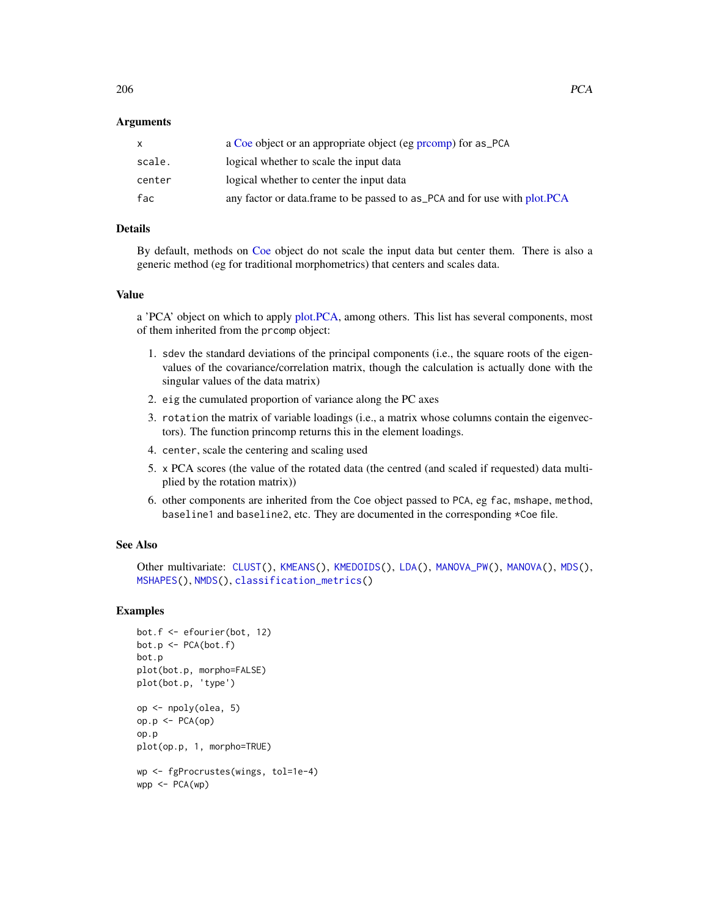## Arguments

|        | a Coe object or an appropriate object (eg promp) for as PCA               |
|--------|---------------------------------------------------------------------------|
| scale. | logical whether to scale the input data                                   |
| center | logical whether to center the input data                                  |
| fac    | any factor or data.frame to be passed to as PCA and for use with plot.PCA |

# Details

By default, methods on [Coe](#page-29-0) object do not scale the input data but center them. There is also a generic method (eg for traditional morphometrics) that centers and scales data.

# Value

a 'PCA' object on which to apply [plot.PCA,](#page-216-0) among others. This list has several components, most of them inherited from the prcomp object:

- 1. sdev the standard deviations of the principal components (i.e., the square roots of the eigenvalues of the covariance/correlation matrix, though the calculation is actually done with the singular values of the data matrix)
- 2. eig the cumulated proportion of variance along the PC axes
- 3. rotation the matrix of variable loadings (i.e., a matrix whose columns contain the eigenvectors). The function princomp returns this in the element loadings.
- 4. center, scale the centering and scaling used
- 5. x PCA scores (the value of the rotated data (the centred (and scaled if requested) data multiplied by the rotation matrix))
- 6. other components are inherited from the Coe object passed to PCA, eg fac, mshape, method, baseline1 and baseline2, etc. They are documented in the corresponding \*Coe file.

# See Also

Other multivariate: [CLUST\(](#page-28-0)), [KMEANS\(](#page-161-0)), [KMEDOIDS\(](#page-162-0)), [LDA\(](#page-167-0)), [MANOVA\\_PW\(](#page-178-0)), [MANOVA\(](#page-176-0)), [MDS\(](#page-179-0)), [MSHAPES\(](#page-187-0)), [NMDS\(](#page-189-0)), [classification\\_metrics\(](#page-27-0))

```
bot.f <- efourier(bot, 12)
bot.p <- PCA(bot.f)
bot.p
plot(bot.p, morpho=FALSE)
plot(bot.p, 'type')
op <- npoly(olea, 5)
op.p \leftarrow \text{PCA}(op)op.p
plot(op.p, 1, morpho=TRUE)
wp <- fgProcrustes(wings, tol=1e-4)
wpp < -PCA(wp)
```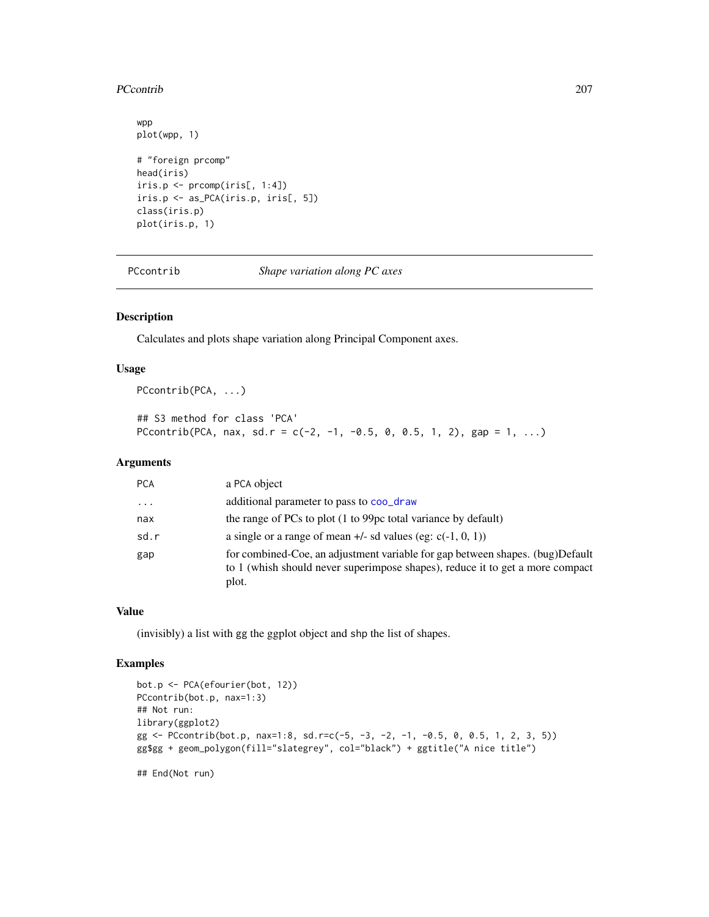## PCcontrib 207

```
wpp
plot(wpp, 1)
# "foreign prcomp"
head(iris)
iris.p <- prcomp(iris[, 1:4])
iris.p <- as_PCA(iris.p, iris[, 5])
class(iris.p)
plot(iris.p, 1)
```
PCcontrib *Shape variation along PC axes*

## Description

Calculates and plots shape variation along Principal Component axes.

## Usage

PCcontrib(PCA, ...)

```
## S3 method for class 'PCA'
PCcontrib(PCA, nax, sd.r = c(-2, -1, -0.5, 0, 0.5, 1, 2), gap = 1, ...)
```
## Arguments

| <b>PCA</b> | a PCA object                                                                                                                                                            |
|------------|-------------------------------------------------------------------------------------------------------------------------------------------------------------------------|
| $\cdot$    | additional parameter to pass to coo_draw                                                                                                                                |
| nax        | the range of PCs to plot (1 to 99pc total variance by default)                                                                                                          |
| sd.r       | a single or a range of mean $+/-$ sd values (eg: $c(-1, 0, 1)$ )                                                                                                        |
| gap        | for combined-Coe, an adjustment variable for gap between shapes. (bug)Default<br>to 1 (whish should never superimpose shapes), reduce it to get a more compact<br>plot. |

# Value

(invisibly) a list with gg the ggplot object and shp the list of shapes.

## Examples

```
bot.p <- PCA(efourier(bot, 12))
PCcontrib(bot.p, nax=1:3)
## Not run:
library(ggplot2)
gg <- PCcontrib(bot.p, nax=1:8, sd.r=c(-5, -3, -2, -1, -0.5, 0, 0.5, 1, 2, 3, 5))
gg$gg + geom_polygon(fill="slategrey", col="black") + ggtitle("A nice title")
```
## End(Not run)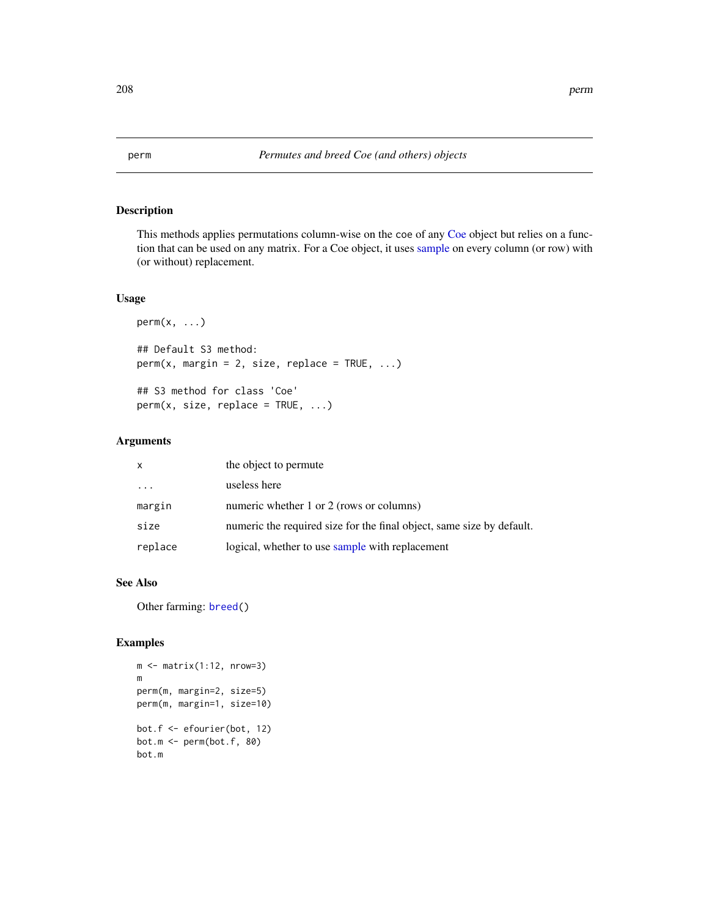This methods applies permutations column-wise on the coe of any [Coe](#page-29-0) object but relies on a function that can be used on any matrix. For a Coe object, it uses [sample](#page-0-0) on every column (or row) with (or without) replacement.

## Usage

```
perm(x, \ldots)## Default S3 method:
perm(x, margin = 2, size, replace = TRUE, ...)## S3 method for class 'Coe'
perm(x, size, replace = TRUE, ...)
```
# Arguments

| $\mathsf{x}$            | the object to permute                                                 |
|-------------------------|-----------------------------------------------------------------------|
| $\cdot$ $\cdot$ $\cdot$ | useless here                                                          |
| margin                  | numeric whether 1 or 2 (rows or columns)                              |
| size                    | numeric the required size for the final object, same size by default. |
| replace                 | logical, whether to use sample with replacement                       |

# See Also

Other farming: [breed\(](#page-14-0))

```
m \leftarrow matrix(1:12, nrow=3)m
perm(m, margin=2, size=5)
perm(m, margin=1, size=10)
bot.f <- efourier(bot, 12)
bot.m \leq perm(bot.f, 80)
bot.m
```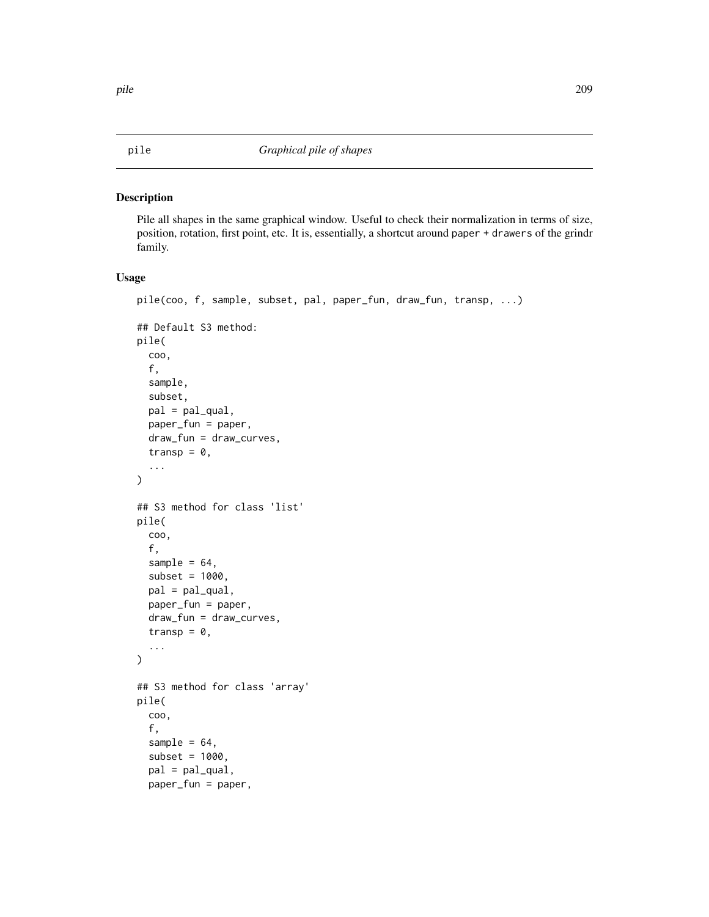Pile all shapes in the same graphical window. Useful to check their normalization in terms of size, position, rotation, first point, etc. It is, essentially, a shortcut around paper + drawers of the grindr family.

```
pile(coo, f, sample, subset, pal, paper_fun, draw_fun, transp, ...)
## Default S3 method:
pile(
  coo,
  f,
  sample,
  subset,
  pal = pal_qual,
 paper_fun = paper,
  draw_fun = draw_curves,
  transp = 0,
  ...
\mathcal{L}## S3 method for class 'list'
pile(
  coo,
  f,
  sample = 64,
  subset = 1000,
 pal = pal_qual,
 paper_fun = paper,
  draw_fun = draw_curves,
  transp = 0,
  ...
)
## S3 method for class 'array'
pile(
  coo,
  f,
  sample = 64,
  subset = 1000,
  pal = pal_qual,
  paper_fun = paper,
```
<span id="page-208-0"></span>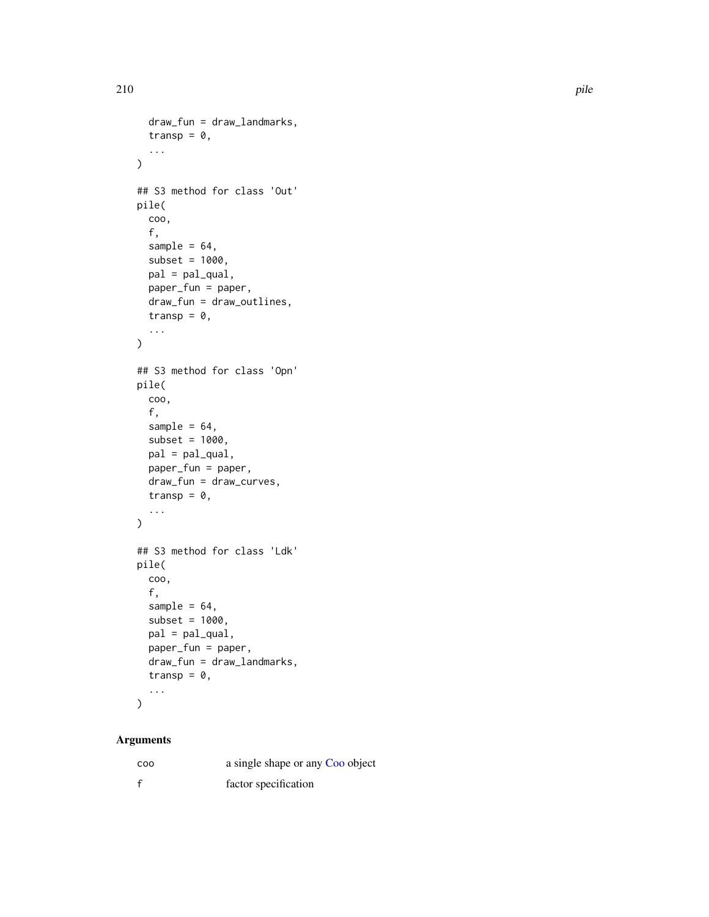```
draw_fun = draw_landmarks,
  transp = 0,
  ...
\mathcal{L}## S3 method for class 'Out'
pile(
  coo,
  f,
  sample = 64,
  subset = 1000,
  pal = pal_qual,
  paper_fun = paper,
  draw_fun = draw_outlines,
  transp = 0,
  ...
\mathcal{L}## S3 method for class 'Opn'
pile(
  coo,
  f,
  sample = 64,
  subset = 1000,
  pal = pal_qual,
  paper_fun = paper,
  draw_fun = draw_curves,
  transp = 0,
  ...
\mathcal{L}## S3 method for class 'Ldk'
pile(
  coo,
  f,
  sample = 64,
  subset = 1000.
  pal = pal_qual,
  paper_fun = paper,
  draw_fun = draw_landmarks,
  transp = 0,...
\mathcal{L}
```
# Arguments

| C <sub>0</sub> | a single shape or any Coo object |
|----------------|----------------------------------|
| $\mathsf{f}$   | factor specification             |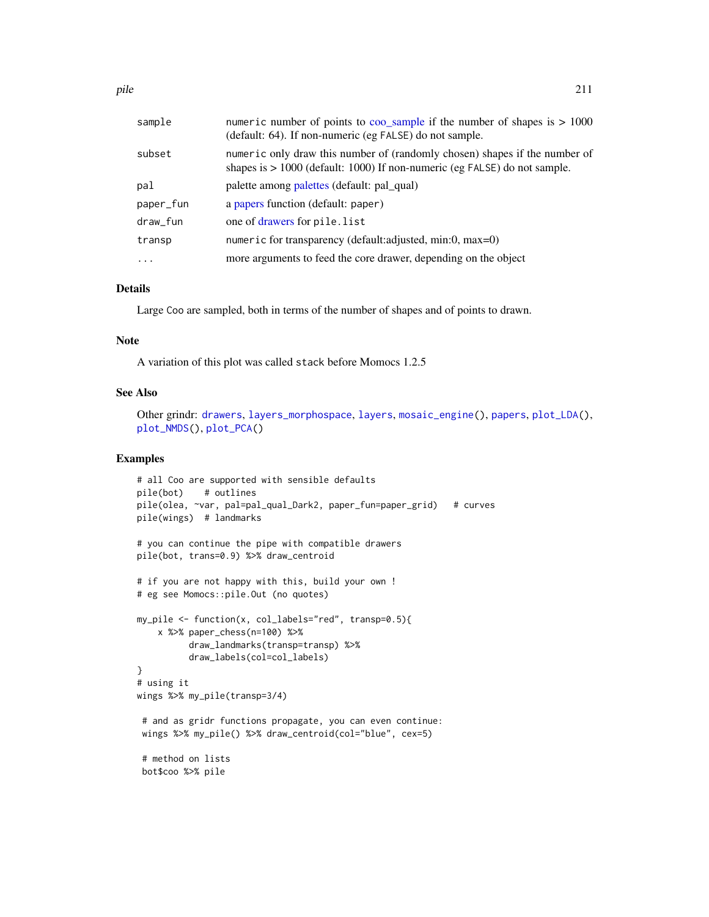| sample    | numeric number of points to coo_sample if the number of shapes is $> 1000$<br>(default: 64). If non-numeric (eg FALSE) do not sample.                     |
|-----------|-----------------------------------------------------------------------------------------------------------------------------------------------------------|
| subset    | numeric only draw this number of (randomly chosen) shapes if the number of<br>shapes is $> 1000$ (default: 1000) If non-numeric (eg FALSE) do not sample. |
| pal       | palette among palettes (default: pal_qual)                                                                                                                |
| paper_fun | a papers function (default: paper)                                                                                                                        |
| draw_fun  | one of drawers for pile.list                                                                                                                              |
| transp    | numeric for transparency (default: adjusted, min: $0$ , max= $0$ )                                                                                        |
| $\ddotsc$ | more arguments to feed the core drawer, depending on the object                                                                                           |

## Details

Large Coo are sampled, both in terms of the number of shapes and of points to drawn.

#### Note

A variation of this plot was called stack before Momocs 1.2.5

#### See Also

```
Other grindr: drawers, layers_morphospace, layers, mosaic_engine(), papers, plot_LDA(),
plot_NMDS(), plot_PCA()
```

```
# all Coo are supported with sensible defaults
pile(bot) # outlines
pile(olea, ~var, pal=pal_qual_Dark2, paper_fun=paper_grid) # curves
pile(wings) # landmarks
# you can continue the pipe with compatible drawers
pile(bot, trans=0.9) %>% draw_centroid
# if you are not happy with this, build your own !
# eg see Momocs::pile.Out (no quotes)
my_pile <- function(x, col_labels="red", transp=0.5){
    x %>% paper_chess(n=100) %>%
         draw_landmarks(transp=transp) %>%
         draw_labels(col=col_labels)
}
# using it
wings %>% my_pile(transp=3/4)
 # and as gridr functions propagate, you can even continue:
 wings %>% my_pile() %>% draw_centroid(col="blue", cex=5)
 # method on lists
 bot$coo %>% pile
```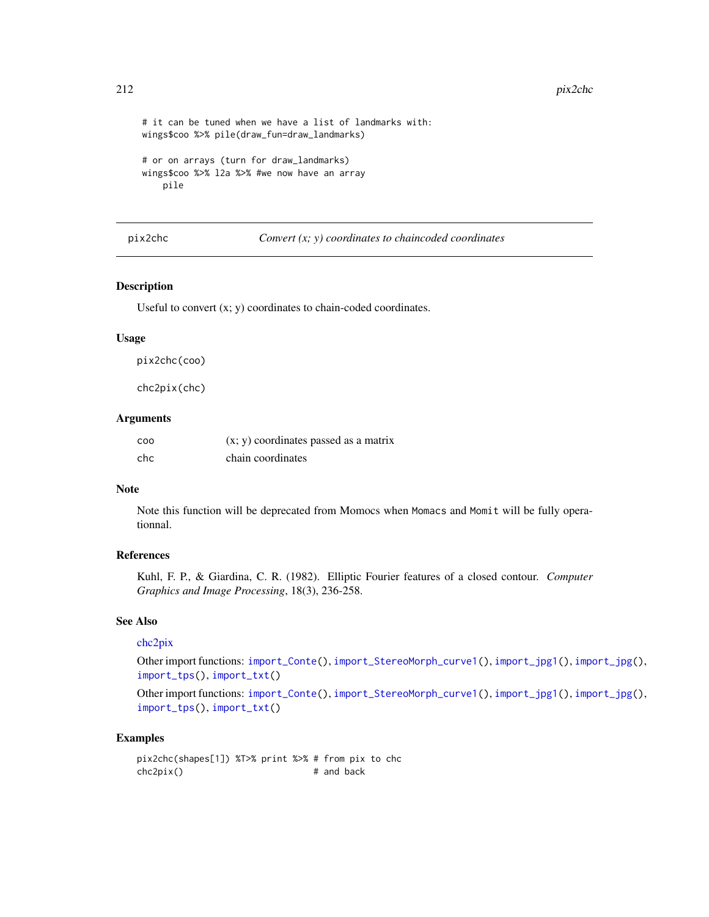```
# it can be tuned when we have a list of landmarks with:
wings$coo %>% pile(draw_fun=draw_landmarks)
# or on arrays (turn for draw_landmarks)
wings$coo %>% l2a %>% #we now have an array
    pile
```
## pix2chc *Convert (x; y) coordinates to chaincoded coordinates*

## <span id="page-211-0"></span>Description

Useful to convert  $(x; y)$  coordinates to chain-coded coordinates.

## Usage

pix2chc(coo)

chc2pix(chc)

## Arguments

| CO <sub>O</sub> | $(x, y)$ coordinates passed as a matrix |
|-----------------|-----------------------------------------|
| chc             | chain coordinates                       |

### Note

Note this function will be deprecated from Momocs when Momacs and Momit will be fully operationnal.

#### References

Kuhl, F. P., & Giardina, C. R. (1982). Elliptic Fourier features of a closed contour. *Computer Graphics and Image Processing*, 18(3), 236-258.

## See Also

# [chc2pix](#page-211-0)

Other import functions: [import\\_Conte\(](#page-151-0)), [import\\_StereoMorph\\_curve1\(](#page-155-0)), [import\\_jpg1\(](#page-153-0)), [import\\_jpg\(](#page-152-0)), [import\\_tps\(](#page-156-0)), [import\\_txt\(](#page-157-0))

Other import functions: [import\\_Conte\(](#page-151-0)), [import\\_StereoMorph\\_curve1\(](#page-155-0)), [import\\_jpg1\(](#page-153-0)), [import\\_jpg\(](#page-152-0)), [import\\_tps\(](#page-156-0)), [import\\_txt\(](#page-157-0))

# Examples

pix2chc(shapes[1]) %T>% print %>% # from pix to chc chc2pix() # and back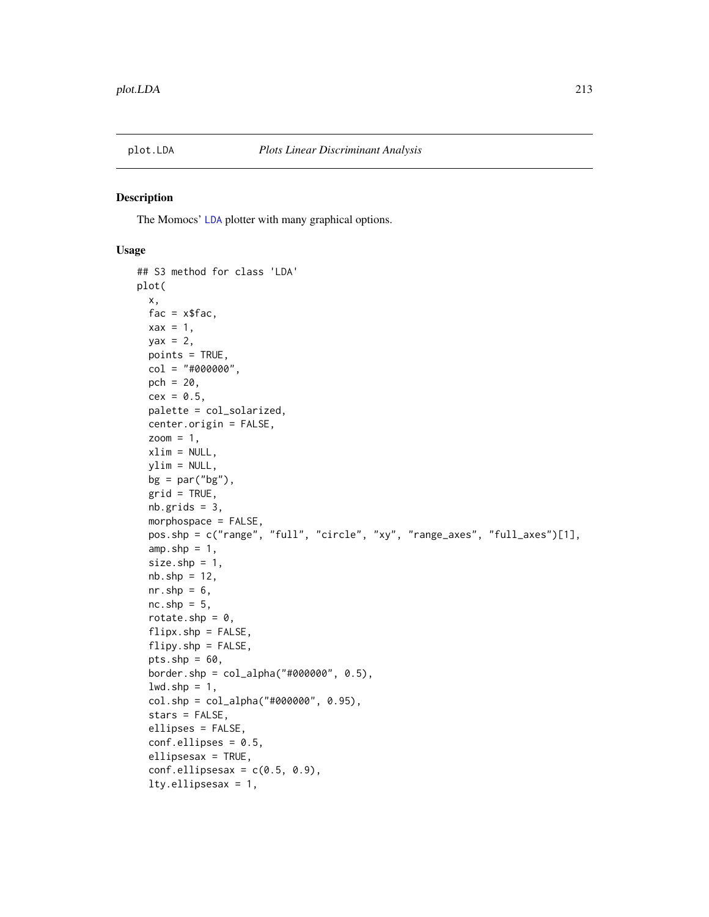The Momocs' [LDA](#page-167-0) plotter with many graphical options.

```
## S3 method for class 'LDA'
plot(
  x,
  fac = xfac,\text{max} = 1,
 yax = 2,
 points = TRUE,
  col = "#000000",pch = 20,
  cex = 0.5,
 palette = col_solarized,
  center.origin = FALSE,
  zoom = 1,
  xlim = NULL,ylim = NULL,
  bg = par("bg"),
  grid = TRUE,nb.grids = 3,morphospace = FALSE,
  pos.shp = c("range", "full", "circle", "xy", "range_axes", "full_axes")[1],
  amp.shp = 1,
  size.shp = 1,
  nb.\,shp = 12,nr.shp = 6,
  nc.shp = 5,
  rotate.shp = 0,
  flipx.shp = FALSE,flipy.shp = FALSE,
  pts.shp = 60,
  border.shp = col_alpha("#000000", 0.5),
  lwd.shp = 1,
  col.shp = col_alpha("#000000", 0.95),
  stars = FALSE,
  ellipses = FALSE,
  conf.ellipses = 0.5,
  ellipsesax = TRUE,
  conf.ellipsesax = c(0.5, 0.9),
  lty.ellipsesax = 1,
```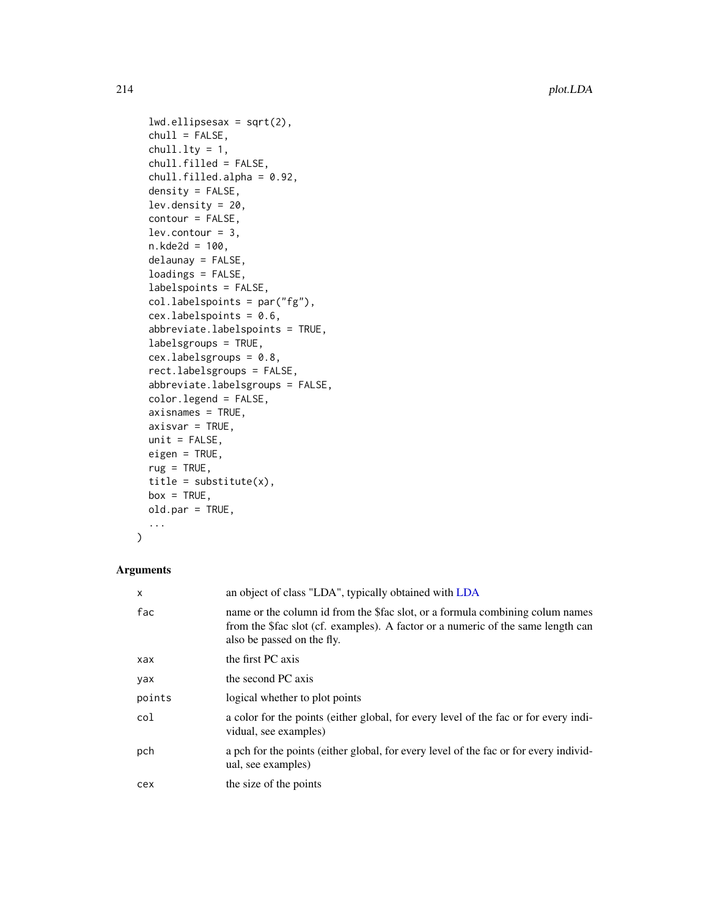```
lwd.ellipsesax = sqrt(2),
chull = FALSE,chull.lty = 1,
chull.filled = FALSE,
chull.filled.alpha = 0.92,
density = FALSE,
lev.density = 20,
contour = FALSE,
lev.countour = 3,n.kde2d = 100,
delaunay = FALSE,
loadings = FALSE,
labelspoints = FALSE,
col.labelspoints = par("fg"),
cex.labelspoints = 0.6,
abbreviate.labelspoints = TRUE,
labelsgroups = TRUE,
cex.labelsgroups = 0.8,
rect.labelsgroups = FALSE,
abbreviate.labelsgroups = FALSE,
color.legend = FALSE,
axisnames = TRUE,
axisvar = TRUE,unit = FALSE,eigen = TRUE,
rug = TRUE,title = substitute(x),
box = TRUE,old.par = TRUE,
...
```

```
)
```
# Arguments

| $\times$ | an object of class "LDA", typically obtained with LDA                                                                                                                                          |
|----------|------------------------------------------------------------------------------------------------------------------------------------------------------------------------------------------------|
| fac      | name or the column id from the \$fac slot, or a formula combining columnames<br>from the \$fac slot (cf. examples). A factor or a numeric of the same length can<br>also be passed on the fly. |
| xax      | the first PC axis                                                                                                                                                                              |
| yax      | the second PC axis                                                                                                                                                                             |
| points   | logical whether to plot points                                                                                                                                                                 |
| col      | a color for the points (either global, for every level of the fac or for every indi-<br>vidual, see examples)                                                                                  |
| pch      | a pch for the points (either global, for every level of the fac or for every individ-<br>ual, see examples)                                                                                    |
| cex      | the size of the points                                                                                                                                                                         |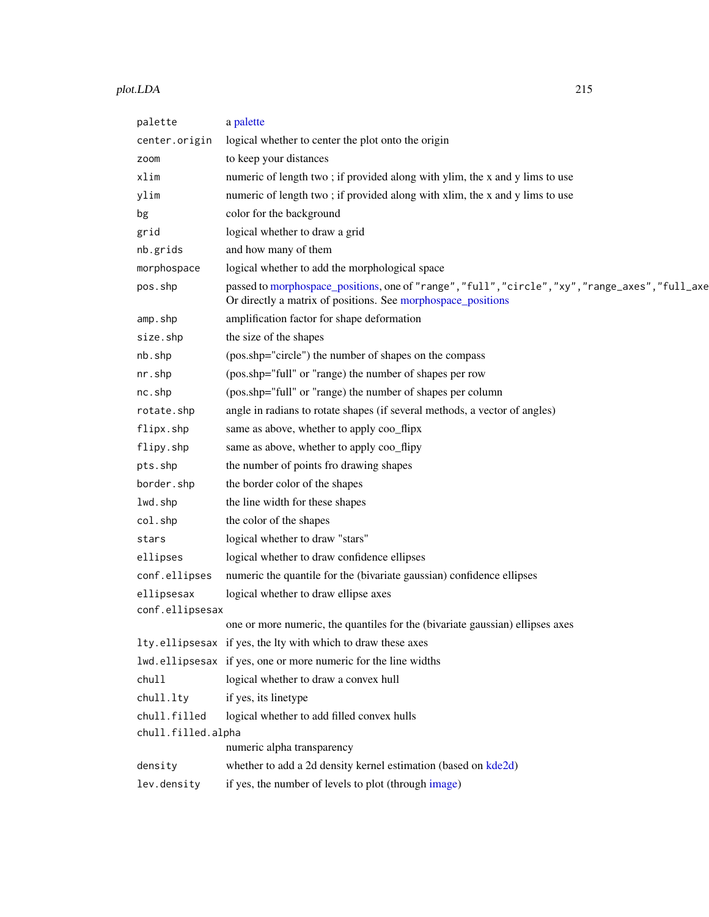#### plot.LDA 215

| palette            | a palette                                                                                                                                                        |  |
|--------------------|------------------------------------------------------------------------------------------------------------------------------------------------------------------|--|
| center.origin      | logical whether to center the plot onto the origin                                                                                                               |  |
| zoom               | to keep your distances                                                                                                                                           |  |
| xlim               | numeric of length two; if provided along with ylim, the x and y lims to use                                                                                      |  |
| ylim               | numeric of length two; if provided along with xlim, the x and y lims to use                                                                                      |  |
| bg                 | color for the background                                                                                                                                         |  |
| grid               | logical whether to draw a grid                                                                                                                                   |  |
| nb.grids           | and how many of them                                                                                                                                             |  |
| morphospace        | logical whether to add the morphological space                                                                                                                   |  |
| pos.shp            | passed to morphospace_positions, one of "range", "full", "circle", "xy", "range_axes", "full_axe<br>Or directly a matrix of positions. See morphospace_positions |  |
| amp.shp            | amplification factor for shape deformation                                                                                                                       |  |
| size.shp           | the size of the shapes                                                                                                                                           |  |
| nb.shp             | (pos.shp="circle") the number of shapes on the compass                                                                                                           |  |
| nr.shp             | (pos.shp="full" or "range) the number of shapes per row                                                                                                          |  |
| nc.shp             | (pos.shp="full" or "range) the number of shapes per column                                                                                                       |  |
| rotate.shp         | angle in radians to rotate shapes (if several methods, a vector of angles)                                                                                       |  |
| flipx.shp          | same as above, whether to apply coo_flipx                                                                                                                        |  |
| flipy.shp          | same as above, whether to apply coo_flipy                                                                                                                        |  |
| pts.shp            | the number of points fro drawing shapes                                                                                                                          |  |
| border.shp         | the border color of the shapes                                                                                                                                   |  |
| lwd.shp            | the line width for these shapes                                                                                                                                  |  |
| col.shp            | the color of the shapes                                                                                                                                          |  |
| stars              | logical whether to draw "stars"                                                                                                                                  |  |
| ellipses           | logical whether to draw confidence ellipses                                                                                                                      |  |
| conf.ellipses      | numeric the quantile for the (bivariate gaussian) confidence ellipses                                                                                            |  |
| ellipsesax         | logical whether to draw ellipse axes                                                                                                                             |  |
| conf.ellipsesax    |                                                                                                                                                                  |  |
|                    | one or more numeric, the quantiles for the (bivariate gaussian) ellipses axes                                                                                    |  |
|                    | Ity.ellipsesax if yes, the lty with which to draw these axes                                                                                                     |  |
|                    | lwd.ellipsesax if yes, one or more numeric for the line widths                                                                                                   |  |
| chull              | logical whether to draw a convex hull                                                                                                                            |  |
| chull.lty          | if yes, its linetype                                                                                                                                             |  |
| chull.filled       | logical whether to add filled convex hulls                                                                                                                       |  |
| chull.filled.alpha |                                                                                                                                                                  |  |
|                    | numeric alpha transparency                                                                                                                                       |  |
| density            | whether to add a 2d density kernel estimation (based on kde2d)                                                                                                   |  |
| lev.density        | if yes, the number of levels to plot (through image)                                                                                                             |  |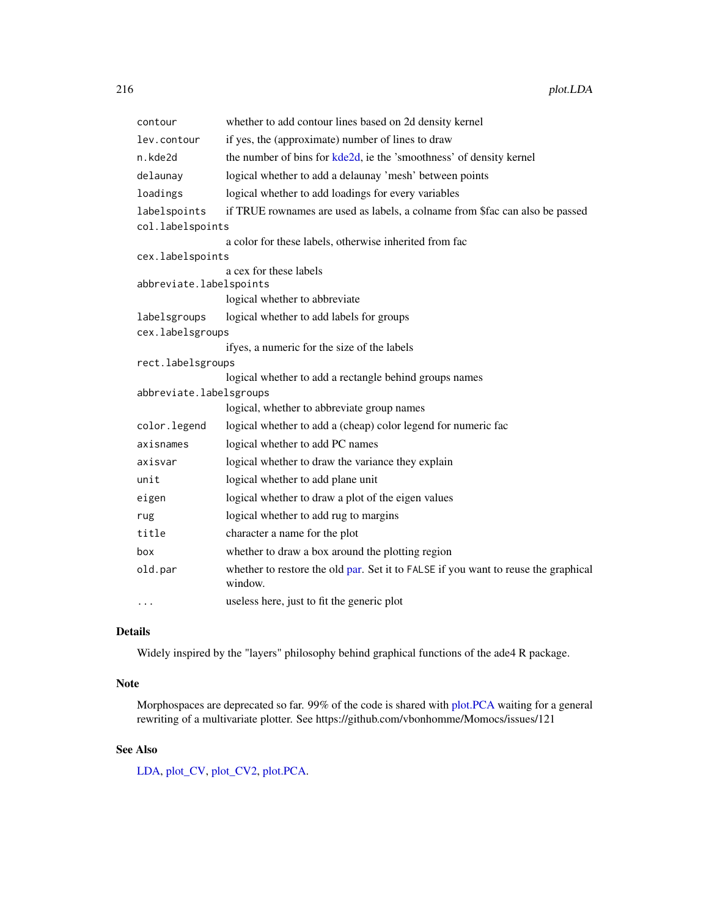| contour                 | whether to add contour lines based on 2d density kernel                                       |
|-------------------------|-----------------------------------------------------------------------------------------------|
| lev.contour             | if yes, the (approximate) number of lines to draw                                             |
| n.kde2d                 | the number of bins for kde2d, ie the 'smoothness' of density kernel                           |
| delaunay                | logical whether to add a delaunay 'mesh' between points                                       |
| loadings                | logical whether to add loadings for every variables                                           |
| labelspoints            | if TRUE rownames are used as labels, a colname from \$fac can also be passed                  |
| col.labelspoints        |                                                                                               |
|                         | a color for these labels, otherwise inherited from fac                                        |
| cex.labelspoints        |                                                                                               |
|                         | a cex for these labels                                                                        |
| abbreviate.labelspoints |                                                                                               |
|                         | logical whether to abbreviate                                                                 |
| labelsgroups            | logical whether to add labels for groups                                                      |
| cex.labelsgroups        |                                                                                               |
|                         | ifyes, a numeric for the size of the labels                                                   |
| rect.labelsgroups       |                                                                                               |
|                         | logical whether to add a rectangle behind groups names                                        |
| abbreviate.labelsgroups |                                                                                               |
|                         | logical, whether to abbreviate group names                                                    |
| color.legend            | logical whether to add a (cheap) color legend for numeric fac                                 |
| axisnames               | logical whether to add PC names                                                               |
| axisvar                 | logical whether to draw the variance they explain                                             |
| unit                    | logical whether to add plane unit                                                             |
| eigen                   | logical whether to draw a plot of the eigen values                                            |
| rug                     | logical whether to add rug to margins                                                         |
| title                   | character a name for the plot                                                                 |
| box                     | whether to draw a box around the plotting region                                              |
| old.par                 | whether to restore the old par. Set it to FALSE if you want to reuse the graphical<br>window. |
| .                       | useless here, just to fit the generic plot                                                    |

# Details

Widely inspired by the "layers" philosophy behind graphical functions of the ade4 R package.

## Note

Morphospaces are deprecated so far. 99% of the code is shared with [plot.PCA](#page-216-0) waiting for a general rewriting of a multivariate plotter. See https://github.com/vbonhomme/Momocs/issues/121

# See Also

[LDA,](#page-167-0) [plot\\_CV,](#page-222-0) [plot\\_CV2,](#page-224-0) [plot.PCA.](#page-216-0)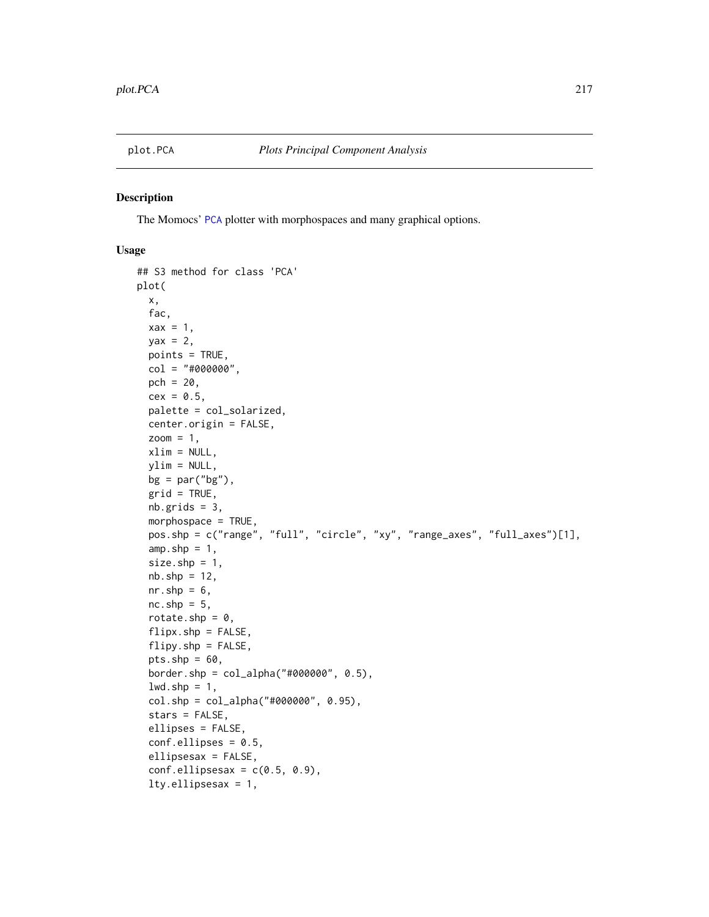<span id="page-216-0"></span>

#### Description

The Momocs' [PCA](#page-204-0) plotter with morphospaces and many graphical options.

#### Usage

```
## S3 method for class 'PCA'
plot(
  x,
  fac,
 \text{max} = 1,
 yax = 2,
 points = TRUE,
  col = "#000000",pch = 20,
  cex = 0.5,
 palette = col_solarized,
  center.origin = FALSE,
  zoom = 1,
  xlim = NULL,ylim = NULL,
 bg = par("bg"),
  grid = TRUE,nb.grids = 3,
 morphospace = TRUE,
 pos.shp = c("range", "full", "circle", "xy", "range_axes", "full_axes")[1],
  amp.shp = 1,
  size.shp = 1,
  nb.\,shp = 12,nr.shp = 6,
  nc.shp = 5,
  rotate.shp = 0,
  flipx.shp = FALSE,flipy.shp = FALSE,
  pts.shp = 60,
  border.shp = col_alpha("#000000", 0.5),
  lwd.shp = 1,
  col.shp = col_alpha("#000000", 0.95),
  stars = FALSE,
  ellipses = FALSE,
  conf.ellipses = 0.5,
  ellipsesax = FALSE,
  conf.ellipsesax = c(0.5, 0.9),
  lty.ellipsesax = 1,
```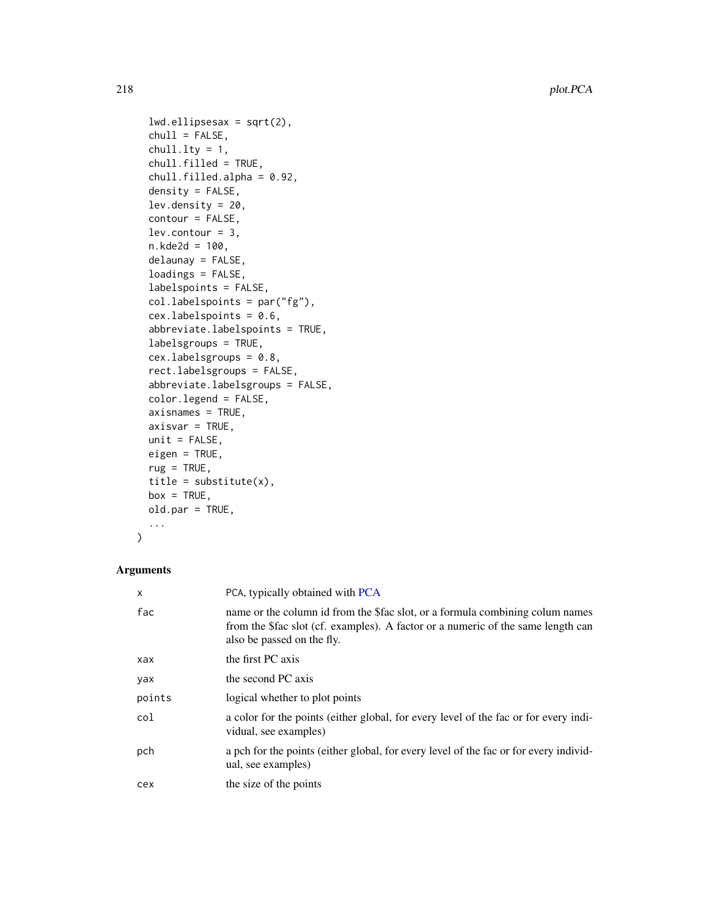```
lwd.ellipsesax = sqrt(2),
chull = FALSE,chull.lty = 1,
chull.filled = TRUE,
chull.filled.alpha = 0.92,
density = FALSE,
lev.density = 20,
contour = FALSE,
lev.countour = 3,n.kde2d = 100,
delaunay = FALSE,
loadings = FALSE,
labelspoints = FALSE,
col.labelspoints = par("fg"),
cex.labelspoints = 0.6,
abbreviate.labelspoints = TRUE,
labelsgroups = TRUE,
cex.labelsgroups = 0.8,
rect.labelsgroups = FALSE,
abbreviate.labelsgroups = FALSE,
color.legend = FALSE,
axisnames = TRUE,
axisvar = TRUE,unit = FALSE,eigen = TRUE,
rug = TRUE,title = substitute(x),
box = TRUE,old.par = TRUE,
...
```

```
)
```
# Arguments

| X      | PCA, typically obtained with PCA                                                                                                                                                               |
|--------|------------------------------------------------------------------------------------------------------------------------------------------------------------------------------------------------|
| fac    | name or the column id from the \$fac slot, or a formula combining columnames<br>from the \$fac slot (cf. examples). A factor or a numeric of the same length can<br>also be passed on the fly. |
| xax    | the first PC axis                                                                                                                                                                              |
| yax    | the second PC axis                                                                                                                                                                             |
| points | logical whether to plot points                                                                                                                                                                 |
| col    | a color for the points (either global, for every level of the fac or for every indi-<br>vidual, see examples)                                                                                  |
| pch    | a pch for the points (either global, for every level of the fac or for every individ-<br>ual, see examples)                                                                                    |
| cex    | the size of the points                                                                                                                                                                         |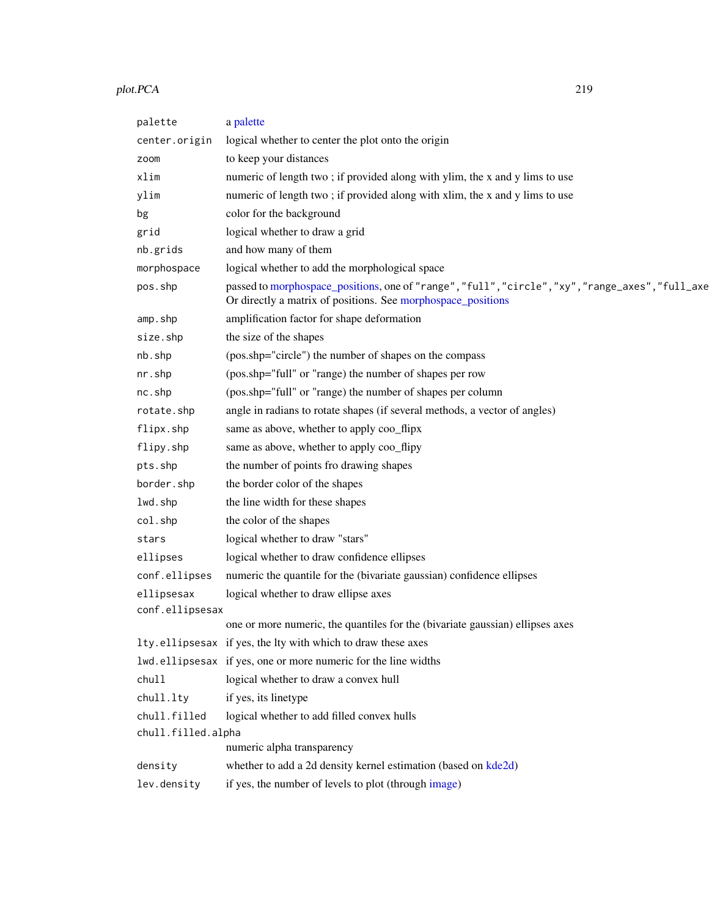#### plot.PCA 219

| palette            | a palette                                                                                                                                                        |
|--------------------|------------------------------------------------------------------------------------------------------------------------------------------------------------------|
| center.origin      | logical whether to center the plot onto the origin                                                                                                               |
| zoom               | to keep your distances                                                                                                                                           |
| xlim               | numeric of length two; if provided along with ylim, the x and y lims to use                                                                                      |
| ylim               | numeric of length two; if provided along with xlim, the x and y lims to use                                                                                      |
| bg                 | color for the background                                                                                                                                         |
| grid               | logical whether to draw a grid                                                                                                                                   |
| nb.grids           | and how many of them                                                                                                                                             |
| morphospace        | logical whether to add the morphological space                                                                                                                   |
| pos.shp            | passed to morphospace_positions, one of "range", "full", "circle", "xy", "range_axes", "full_axe<br>Or directly a matrix of positions. See morphospace_positions |
| amp.shp            | amplification factor for shape deformation                                                                                                                       |
| size.shp           | the size of the shapes                                                                                                                                           |
| nb.shp             | (pos.shp="circle") the number of shapes on the compass                                                                                                           |
| nr.shp             | (pos.shp="full" or "range) the number of shapes per row                                                                                                          |
| nc.shp             | (pos.shp="full" or "range) the number of shapes per column                                                                                                       |
| rotate.shp         | angle in radians to rotate shapes (if several methods, a vector of angles)                                                                                       |
| flipx.shp          | same as above, whether to apply coo_flipx                                                                                                                        |
| flipy.shp          | same as above, whether to apply coo_flipy                                                                                                                        |
| pts.shp            | the number of points fro drawing shapes                                                                                                                          |
| border.shp         | the border color of the shapes                                                                                                                                   |
| lwd.shp            | the line width for these shapes                                                                                                                                  |
| col.shp            | the color of the shapes                                                                                                                                          |
| stars              | logical whether to draw "stars"                                                                                                                                  |
| ellipses           | logical whether to draw confidence ellipses                                                                                                                      |
| conf.ellipses      | numeric the quantile for the (bivariate gaussian) confidence ellipses                                                                                            |
| ellipsesax         | logical whether to draw ellipse axes                                                                                                                             |
| conf.ellipsesax    |                                                                                                                                                                  |
|                    | one or more numeric, the quantiles for the (bivariate gaussian) ellipses axes                                                                                    |
|                    | Ity.ellipsesax if yes, the lty with which to draw these axes                                                                                                     |
|                    | lwd.ellipsesax if yes, one or more numeric for the line widths                                                                                                   |
| chull              | logical whether to draw a convex hull                                                                                                                            |
| chull.lty          | if yes, its linetype                                                                                                                                             |
| chull.filled       | logical whether to add filled convex hulls                                                                                                                       |
| chull.filled.alpha |                                                                                                                                                                  |
|                    | numeric alpha transparency                                                                                                                                       |
| density            | whether to add a 2d density kernel estimation (based on kde2d)                                                                                                   |
| lev.density        | if yes, the number of levels to plot (through image)                                                                                                             |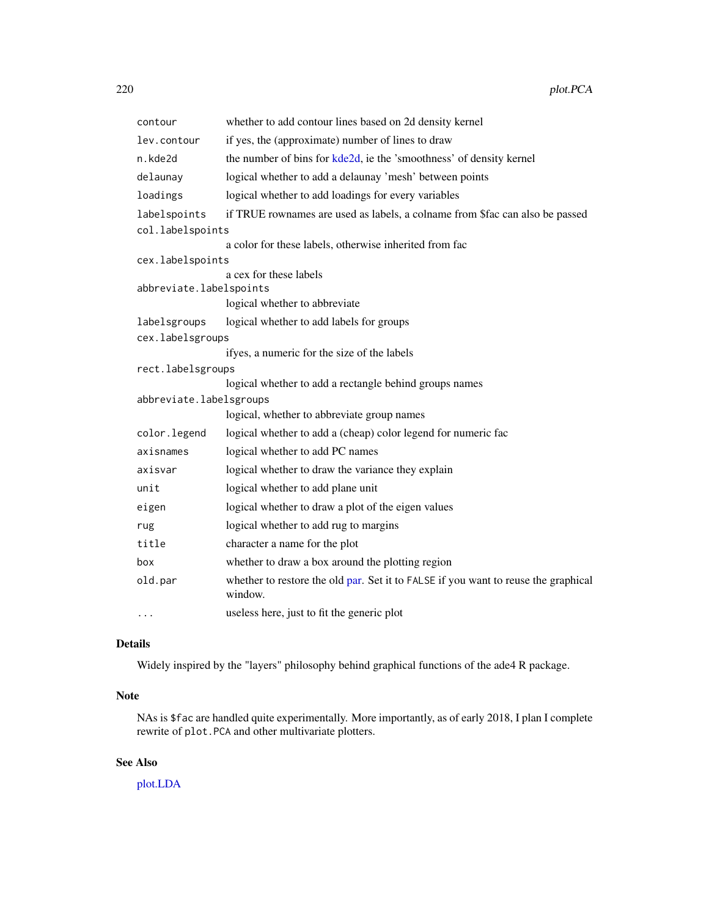| whether to add contour lines based on 2d density kernel                                       |
|-----------------------------------------------------------------------------------------------|
| if yes, the (approximate) number of lines to draw                                             |
| the number of bins for kde2d, ie the 'smoothness' of density kernel                           |
| logical whether to add a delaunay 'mesh' between points                                       |
| logical whether to add loadings for every variables                                           |
| if TRUE rownames are used as labels, a colname from \$fac can also be passed                  |
| col.labelspoints                                                                              |
| a color for these labels, otherwise inherited from fac                                        |
| cex.labelspoints                                                                              |
| a cex for these labels                                                                        |
| abbreviate.labelspoints                                                                       |
| logical whether to abbreviate                                                                 |
| logical whether to add labels for groups                                                      |
| cex.labelsgroups                                                                              |
| ifyes, a numeric for the size of the labels                                                   |
| rect.labelsgroups                                                                             |
| logical whether to add a rectangle behind groups names                                        |
| abbreviate.labelsgroups                                                                       |
| logical, whether to abbreviate group names                                                    |
| logical whether to add a (cheap) color legend for numeric fac                                 |
| logical whether to add PC names                                                               |
| logical whether to draw the variance they explain                                             |
| logical whether to add plane unit                                                             |
| logical whether to draw a plot of the eigen values                                            |
| logical whether to add rug to margins                                                         |
| character a name for the plot                                                                 |
| whether to draw a box around the plotting region                                              |
| whether to restore the old par. Set it to FALSE if you want to reuse the graphical<br>window. |
| useless here, just to fit the generic plot                                                    |
|                                                                                               |

# Details

Widely inspired by the "layers" philosophy behind graphical functions of the ade4 R package.

# Note

NAs is \$fac are handled quite experimentally. More importantly, as of early 2018, I plan I complete rewrite of plot.PCA and other multivariate plotters.

# See Also

[plot.LDA](#page-212-0)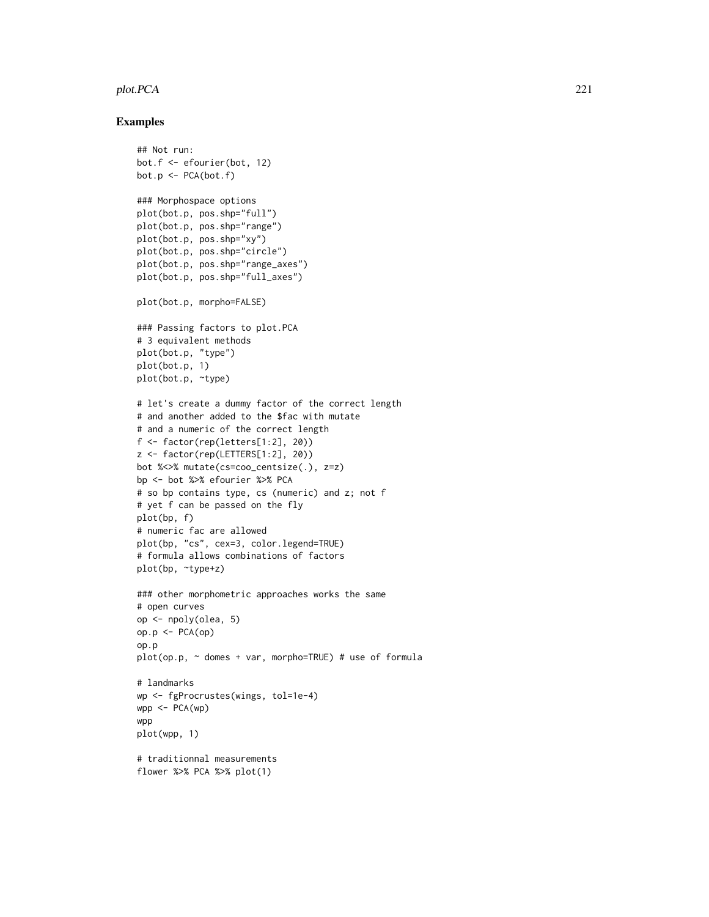#### plot.PCA 221

```
## Not run:
bot.f <- efourier(bot, 12)
bot.p <- PCA(bot.f)
### Morphospace options
plot(bot.p, pos.shp="full")
plot(bot.p, pos.shp="range")
plot(bot.p, pos.shp="xy")
plot(bot.p, pos.shp="circle")
plot(bot.p, pos.shp="range_axes")
plot(bot.p, pos.shp="full_axes")
plot(bot.p, morpho=FALSE)
### Passing factors to plot.PCA
# 3 equivalent methods
plot(bot.p, "type")
plot(bot.p, 1)
plot(bot.p, ~type)
# let's create a dummy factor of the correct length
# and another added to the $fac with mutate
# and a numeric of the correct length
f <- factor(rep(letters[1:2], 20))
z <- factor(rep(LETTERS[1:2], 20))
bot %<>% mutate(cs=coo_centsize(.), z=z)
bp <- bot %>% efourier %>% PCA
# so bp contains type, cs (numeric) and z; not f
# yet f can be passed on the fly
plot(bp, f)
# numeric fac are allowed
plot(bp, "cs", cex=3, color.legend=TRUE)
# formula allows combinations of factors
plot(bp, ~type+z)
### other morphometric approaches works the same
# open curves
op <- npoly(olea, 5)
op.p \leftarrow \text{PCA}(op)op.p
plot(op.p, ~ domes + var, morpho=TRUE) # use of formula# landmarks
wp <- fgProcrustes(wings, tol=1e-4)
wpp \leftarrow PCA(wp)wpp
plot(wpp, 1)
# traditionnal measurements
flower %>% PCA %>% plot(1)
```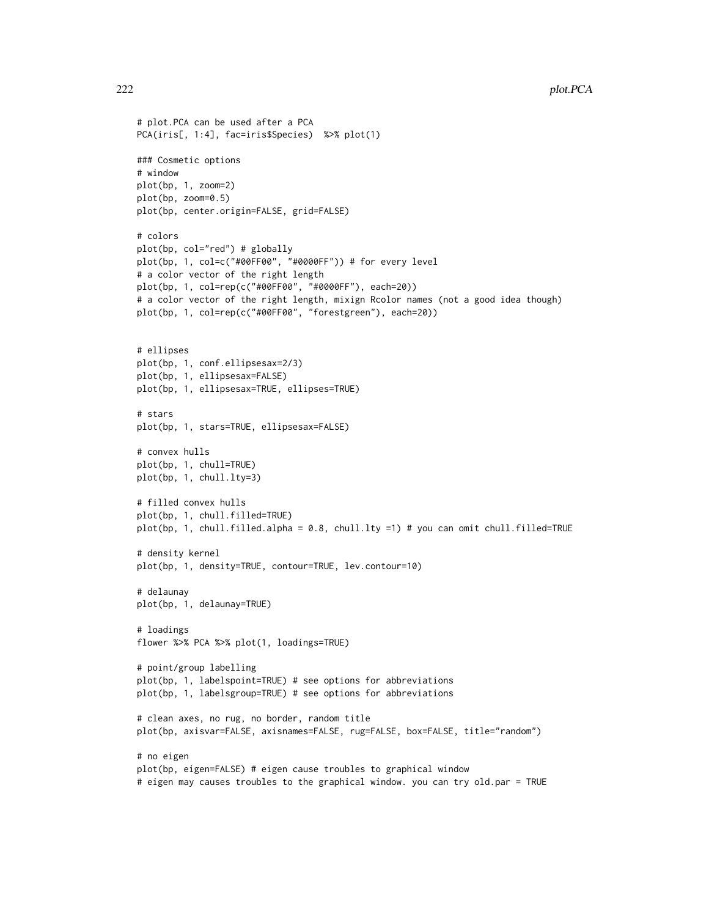```
# plot.PCA can be used after a PCA
PCA(iris[, 1:4], fac=iris$Species) %>% plot(1)
### Cosmetic options
# window
plot(bp, 1, zoom=2)
plot(bp, zoom=0.5)
plot(bp, center.origin=FALSE, grid=FALSE)
# colors
plot(bp, col="red") # globally
plot(bp, 1, col=c("#00FF00", "#0000FF")) # for every level
# a color vector of the right length
plot(bp, 1, col=rep(c("#00FF00", "#0000FF"), each=20))
# a color vector of the right length, mixign Rcolor names (not a good idea though)
plot(bp, 1, col=rep(c("#00FF00", "forestgreen"), each=20))
# ellipses
plot(bp, 1, conf.ellipsesax=2/3)
plot(bp, 1, ellipsesax=FALSE)
plot(bp, 1, ellipsesax=TRUE, ellipses=TRUE)
# stars
plot(bp, 1, stars=TRUE, ellipsesax=FALSE)
# convex hulls
plot(bp, 1, chull=TRUE)
plot(bp, 1, chull.lty=3)
# filled convex hulls
plot(bp, 1, chull.filled=TRUE)
plot(bp, 1, chull.filled.alpha = 0.8, chull.lty =1) # you can omit chull.filled=TRUE
# density kernel
plot(bp, 1, density=TRUE, contour=TRUE, lev.contour=10)
# delaunay
plot(bp, 1, delaunay=TRUE)
# loadings
flower %>% PCA %>% plot(1, loadings=TRUE)
# point/group labelling
plot(bp, 1, labelspoint=TRUE) # see options for abbreviations
plot(bp, 1, labelsgroup=TRUE) # see options for abbreviations
# clean axes, no rug, no border, random title
plot(bp, axisvar=FALSE, axisnames=FALSE, rug=FALSE, box=FALSE, title="random")
# no eigen
plot(bp, eigen=FALSE) # eigen cause troubles to graphical window
# eigen may causes troubles to the graphical window. you can try old.par = TRUE
```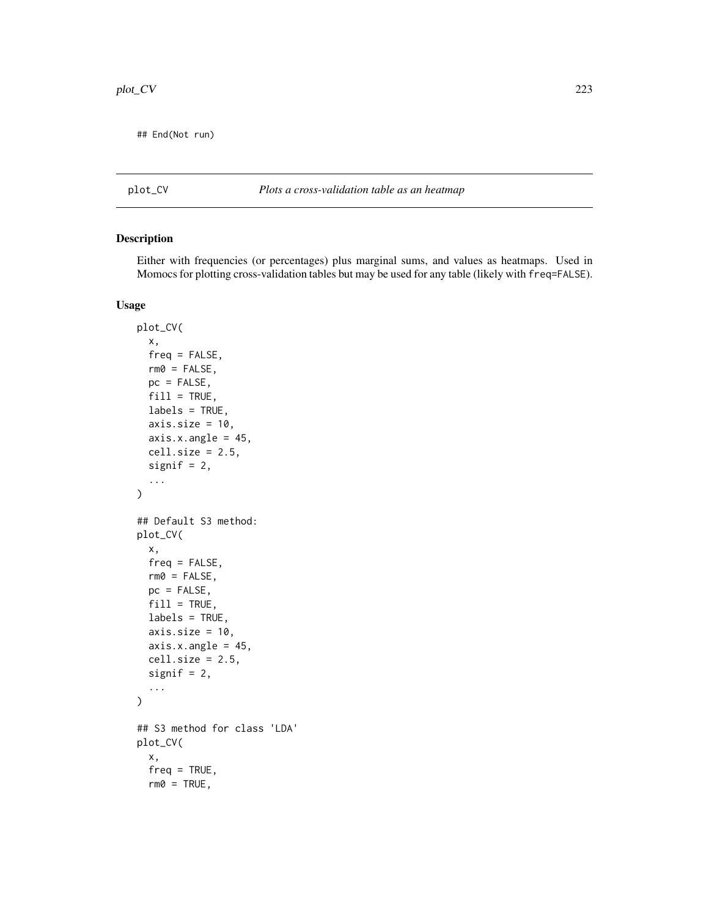## End(Not run)

# <span id="page-222-0"></span>plot\_CV *Plots a cross-validation table as an heatmap*

# Description

Either with frequencies (or percentages) plus marginal sums, and values as heatmaps. Used in Momocs for plotting cross-validation tables but may be used for any table (likely with freq=FALSE).

# Usage

```
plot_CV(
  x,
  freq = FALSE,rm0 = FALSE,pc = FALSE,fill = TRUE,labels = TRUE,
  axis.size = 10,
  axis.x.angle = 45,cell.size = 2.5,signif = 2,
  ...
\mathcal{L}## Default S3 method:
plot_CV(
  x,
  freq = FALSE,
  rm0 = FALSE,pc = FALSE,fill = TRUE,labels = TRUE,
  axis.size = 10,
  axis.x.angle = 45,cell.size = 2.5,
  signif = 2,
  ...
\mathcal{L}## S3 method for class 'LDA'
plot_CV(
  x,
  freq = TRUE,rm0 = TRUE,
```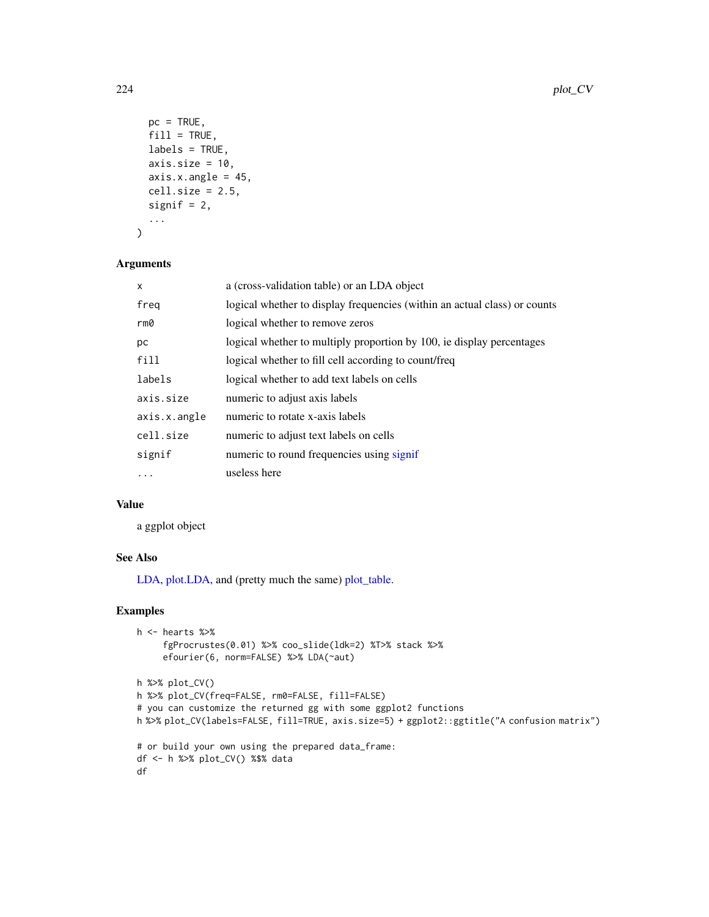```
pc = TRUE,fill = TRUE,labels = TRUE,
axis.size = 10,
axis.x.angle = 45,cell.size = 2.5,signif = 2,
...
```
# Arguments

)

| $\mathsf{x}$ | a (cross-validation table) or an LDA object                               |
|--------------|---------------------------------------------------------------------------|
| freq         | logical whether to display frequencies (within an actual class) or counts |
| rm0          | logical whether to remove zeros                                           |
| рc           | logical whether to multiply proportion by 100, ie display percentages     |
| fill         | logical whether to fill cell according to count/freq                      |
| labels       | logical whether to add text labels on cells                               |
| axis.size    | numeric to adjust axis labels                                             |
| axis.x.angle | numeric to rotate x-axis labels                                           |
| cell.size    | numeric to adjust text labels on cells                                    |
| signif       | numeric to round frequencies using signif                                 |
| .            | useless here                                                              |

# Value

a ggplot object

# See Also

[LDA,](#page-167-0) plot. LDA, and (pretty much the same) [plot\\_table.](#page-235-0)

```
h <- hearts %>%
     fgProcrustes(0.01) %>% coo_slide(ldk=2) %T>% stack %>%
     efourier(6, norm=FALSE) %>% LDA(~aut)
h %>% plot_CV()
h %>% plot_CV(freq=FALSE, rm0=FALSE, fill=FALSE)
# you can customize the returned gg with some ggplot2 functions
h %>% plot_CV(labels=FALSE, fill=TRUE, axis.size=5) + ggplot2::ggtitle("A confusion matrix")
# or build your own using the prepared data_frame:
df <- h %>% plot_CV() %$% data
df
```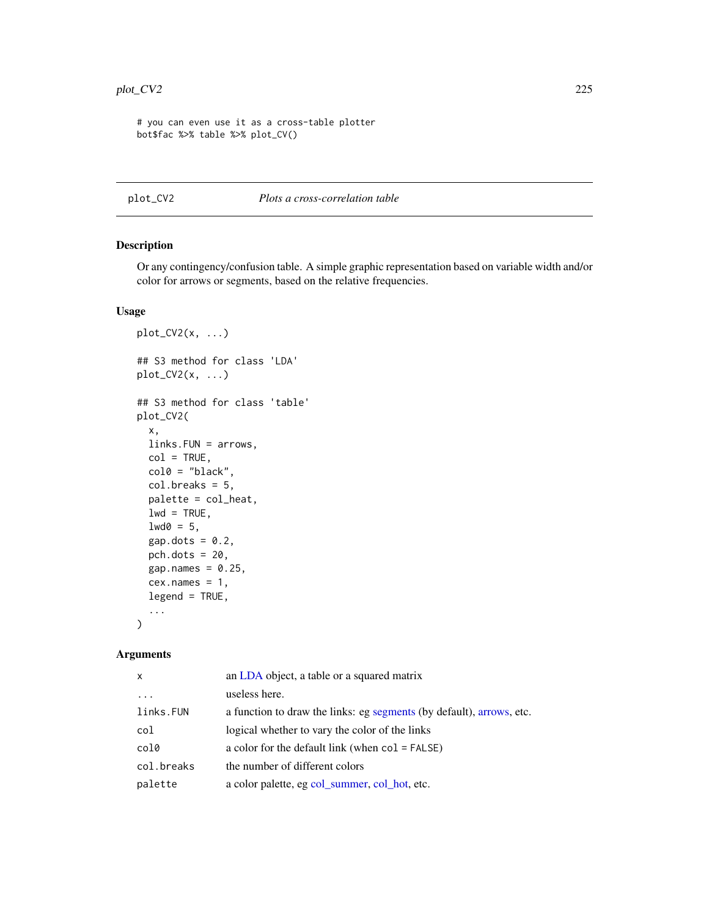```
# you can even use it as a cross-table plotter
bot$fac %>% table %>% plot_CV()
```
#### plot\_CV2 *Plots a cross-correlation table*

# Description

Or any contingency/confusion table. A simple graphic representation based on variable width and/or color for arrows or segments, based on the relative frequencies.

## Usage

```
plot_CV2(x, ...)
## S3 method for class 'LDA'
plot_CV2(x, \ldots)## S3 method for class 'table'
plot_CV2(
  x,
 links.FUN = arrows,
  col = TRUE,col0 = "black",col. breaks = 5,palette = col_heat,
  lwd = TRUE,1wd0 = 5,
  gap.dots = 0.2,
 pch.dots = 20,
  gap.names = 0.25,
  cex.name = 1,
  legend = TRUE,...
)
```
#### Arguments

| $\mathsf{x}$ | an LDA object, a table or a squared matrix                           |
|--------------|----------------------------------------------------------------------|
| $\cdot$      | useless here.                                                        |
| links.FUN    | a function to draw the links: eg segments (by default), arrows, etc. |
| col          | logical whether to vary the color of the links                       |
| col0         | a color for the default link (when $col = FALSE$ )                   |
| col.breaks   | the number of different colors                                       |
| palette      | a color palette, eg col_summer, col_hot, etc.                        |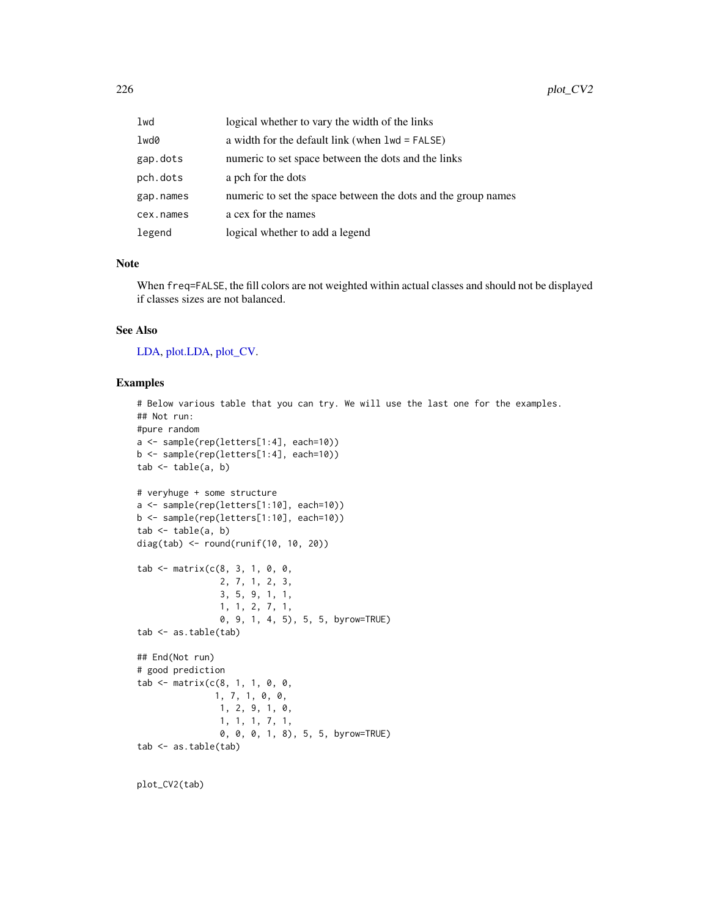| lwd       | logical whether to vary the width of the links                |
|-----------|---------------------------------------------------------------|
| lwd0      | a width for the default link (when $1wd = FALSE$ )            |
| gap.dots  | numeric to set space between the dots and the links           |
| pch.dots  | a pch for the dots                                            |
| gap.names | numeric to set the space between the dots and the group names |
| cex.names | a cex for the names                                           |
| legend    | logical whether to add a legend                               |

# Note

When freq=FALSE, the fill colors are not weighted within actual classes and should not be displayed if classes sizes are not balanced.

# See Also

[LDA,](#page-167-0) [plot.LDA,](#page-212-0) [plot\\_CV.](#page-222-0)

```
# Below various table that you can try. We will use the last one for the examples.
## Not run:
#pure random
a <- sample(rep(letters[1:4], each=10))
b <- sample(rep(letters[1:4], each=10))
tab < - table(a, b)# veryhuge + some structure
a <- sample(rep(letters[1:10], each=10))
b <- sample(rep(letters[1:10], each=10))
tab < - table(a, b)diag(tab) <- round(runif(10, 10, 20))
tab <- matrix(c(8, 3, 1, 0, 0,
                2, 7, 1, 2, 3,
                3, 5, 9, 1, 1,
                1, 1, 2, 7, 1,
                0, 9, 1, 4, 5), 5, 5, byrow=TRUE)
tab <- as.table(tab)
## End(Not run)
# good prediction
tab <- matrix(c(8, 1, 1, 0, 0,
               1, 7, 1, 0, 0,
                1, 2, 9, 1, 0,
                1, 1, 1, 7, 1,
                0, 0, 0, 1, 8), 5, 5, byrow=TRUE)
tab <- as.table(tab)
```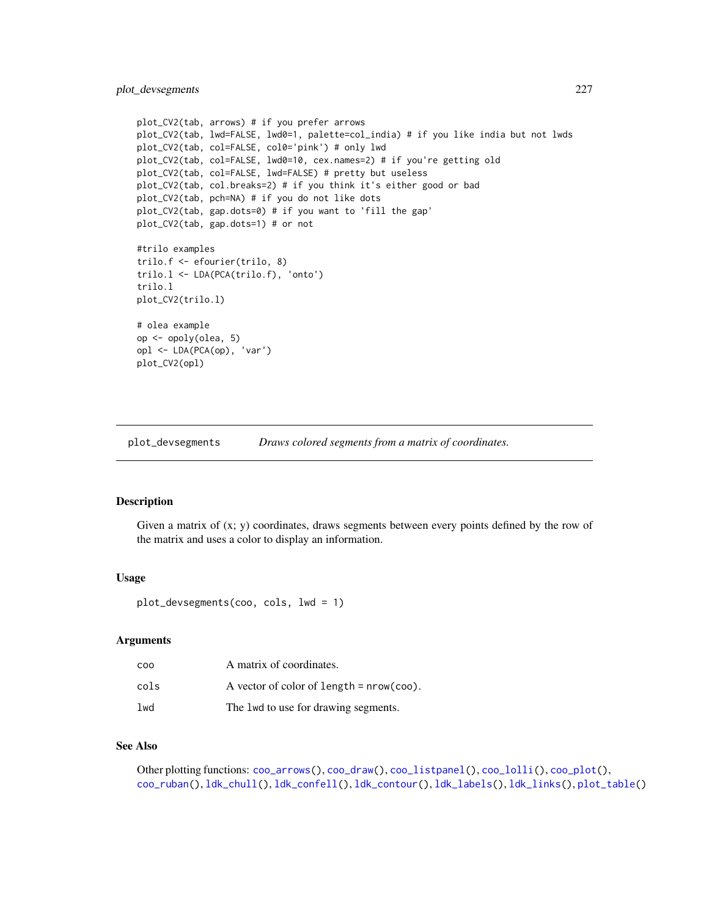```
plot_CV2(tab, arrows) # if you prefer arrows
plot_CV2(tab, lwd=FALSE, lwd0=1, palette=col_india) # if you like india but not lwds
plot_CV2(tab, col=FALSE, col0='pink') # only lwd
plot_CV2(tab, col=FALSE, lwd0=10, cex.names=2) # if you're getting old
plot_CV2(tab, col=FALSE, lwd=FALSE) # pretty but useless
plot_CV2(tab, col.breaks=2) # if you think it's either good or bad
plot_CV2(tab, pch=NA) # if you do not like dots
plot_CV2(tab, gap.dots=0) # if you want to 'fill the gap'
plot_CV2(tab, gap.dots=1) # or not
#trilo examples
trilo.f <- efourier(trilo, 8)
trilo.l <- LDA(PCA(trilo.f), 'onto')
trilo.l
plot_CV2(trilo.l)
# olea example
op <- opoly(olea, 5)
opl <- LDA(PCA(op), 'var')
plot_CV2(opl)
```
<span id="page-226-0"></span>plot\_devsegments *Draws colored segments from a matrix of coordinates.*

## Description

Given a matrix of  $(x; y)$  coordinates, draws segments between every points defined by the row of the matrix and uses a color to display an information.

#### Usage

plot\_devsegments(coo, cols, lwd = 1)

# Arguments

| coo  | A matrix of coordinates.                   |
|------|--------------------------------------------|
| cols | A vector of color of length $=$ nrow(coo). |
| lwd  | The 1wd to use for drawing segments.       |

## See Also

Other plotting functions: [coo\\_arrows\(](#page-47-0)), [coo\\_draw\(](#page-61-0)), [coo\\_listpanel\(](#page-76-0)), [coo\\_lolli\(](#page-77-0)), [coo\\_plot\(](#page-82-0)), [coo\\_ruban\(](#page-91-0)), [ldk\\_chull\(](#page-170-0)), [ldk\\_confell\(](#page-171-0)), [ldk\\_contour\(](#page-172-0)), [ldk\\_labels\(](#page-173-0)), [ldk\\_links\(](#page-173-1)), [plot\\_table\(](#page-235-0))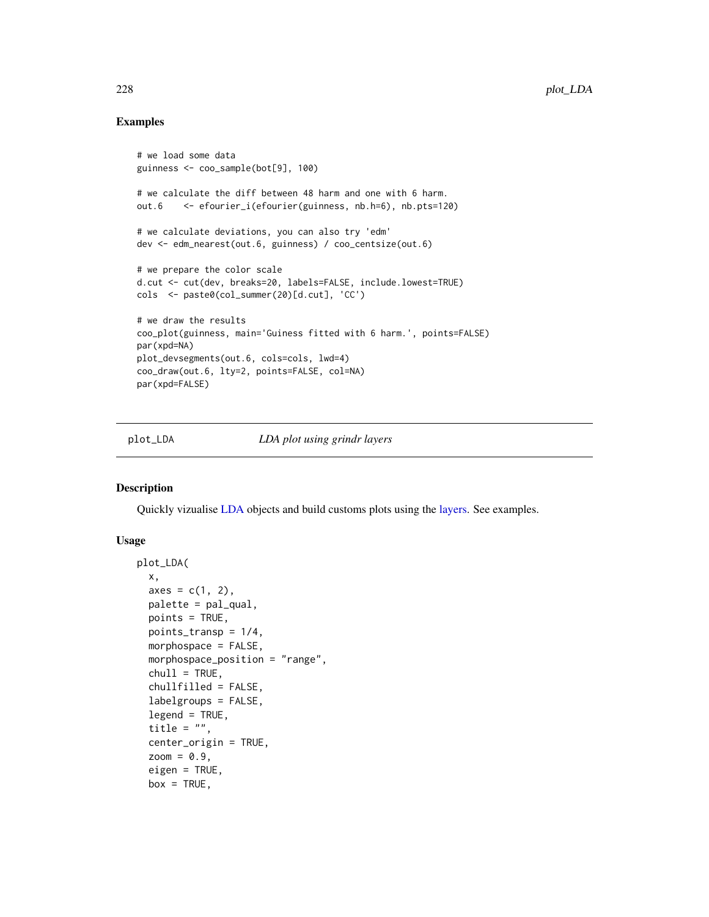## Examples

```
# we load some data
guinness <- coo_sample(bot[9], 100)
# we calculate the diff between 48 harm and one with 6 harm.
out.6 <- efourier_i(efourier(guinness, nb.h=6), nb.pts=120)
# we calculate deviations, you can also try 'edm'
dev <- edm_nearest(out.6, guinness) / coo_centsize(out.6)
# we prepare the color scale
d.cut <- cut(dev, breaks=20, labels=FALSE, include.lowest=TRUE)
cols <- paste0(col_summer(20)[d.cut], 'CC')
# we draw the results
coo_plot(guinness, main='Guiness fitted with 6 harm.', points=FALSE)
par(xpd=NA)
plot_devsegments(out.6, cols=cols, lwd=4)
coo_draw(out.6, lty=2, points=FALSE, col=NA)
par(xpd=FALSE)
```
<span id="page-227-0"></span>plot\_LDA *LDA plot using grindr layers*

## Description

Quickly vizualise [LDA](#page-167-0) objects and build customs plots using the [layers.](#page-163-0) See examples.

#### Usage

```
plot_LDA(
  x,
  axes = c(1, 2),palette = pal_qual,
  points = TRUE,
  points_transp = 1/4,
  morphospace = FALSE,
  morphospace_position = "range",
  chull = TRUE,chullfilled = FALSE,
  labelgroups = FALSE,
  legend = TRUE,title = ",
  center_origin = TRUE,
  zoom = 0.9,
  eigen = TRUE,
  box = TRUE,
```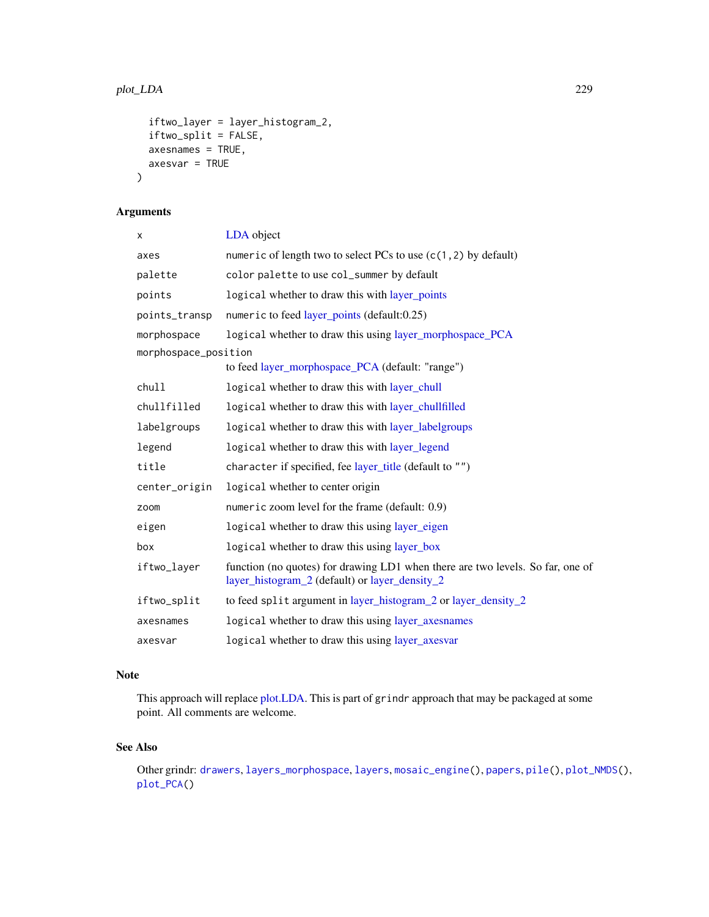```
iftwo_layer = layer_histogram_2,
 iftwo_split = FALSE,
 axesnames = TRUE,
 axesvar = TRUE
)
```
# Arguments

| X                    | LDA object                                                                                                                       |
|----------------------|----------------------------------------------------------------------------------------------------------------------------------|
| axes                 | numeric of length two to select PCs to use $(c(1, 2)$ by default)                                                                |
| palette              | color palette to use col_summer by default                                                                                       |
| points               | logical whether to draw this with layer_points                                                                                   |
| points_transp        | numeric to feed layer_points (default:0.25)                                                                                      |
| morphospace          | logical whether to draw this using layer_morphospace_PCA                                                                         |
| morphospace_position |                                                                                                                                  |
|                      | to feed layer_morphospace_PCA (default: "range")                                                                                 |
| chull                | logical whether to draw this with layer_chull                                                                                    |
| chullfilled          | logical whether to draw this with layer_chullfilled                                                                              |
| labelgroups          | logical whether to draw this with layer_labelgroups                                                                              |
| legend               | logical whether to draw this with layer_legend                                                                                   |
| title                | character if specified, fee layer_title (default to "")                                                                          |
| center_origin        | logical whether to center origin                                                                                                 |
| zoom                 | numeric zoom level for the frame (default: 0.9)                                                                                  |
| eigen                | logical whether to draw this using layer_eigen                                                                                   |
| box                  | logical whether to draw this using layer_box                                                                                     |
| iftwo_layer          | function (no quotes) for drawing LD1 when there are two levels. So far, one of<br>layer_histogram_2 (default) or layer_density_2 |
| iftwo_split          | to feed split argument in layer_histogram_2 or layer_density_2                                                                   |
| axesnames            | logical whether to draw this using layer_axesnames                                                                               |
| axesvar              | logical whether to draw this using layer_axesvar                                                                                 |

# Note

This approach will replace [plot.LDA.](#page-212-0) This is part of grindr approach that may be packaged at some point. All comments are welcome.

# See Also

Other grindr: [drawers](#page-126-0), [layers\\_morphospace](#page-166-1), [layers](#page-163-0), [mosaic\\_engine\(](#page-183-0)), [papers](#page-203-0), [pile\(](#page-208-0)), [plot\\_NMDS\(](#page-231-0)), [plot\\_PCA\(](#page-232-0))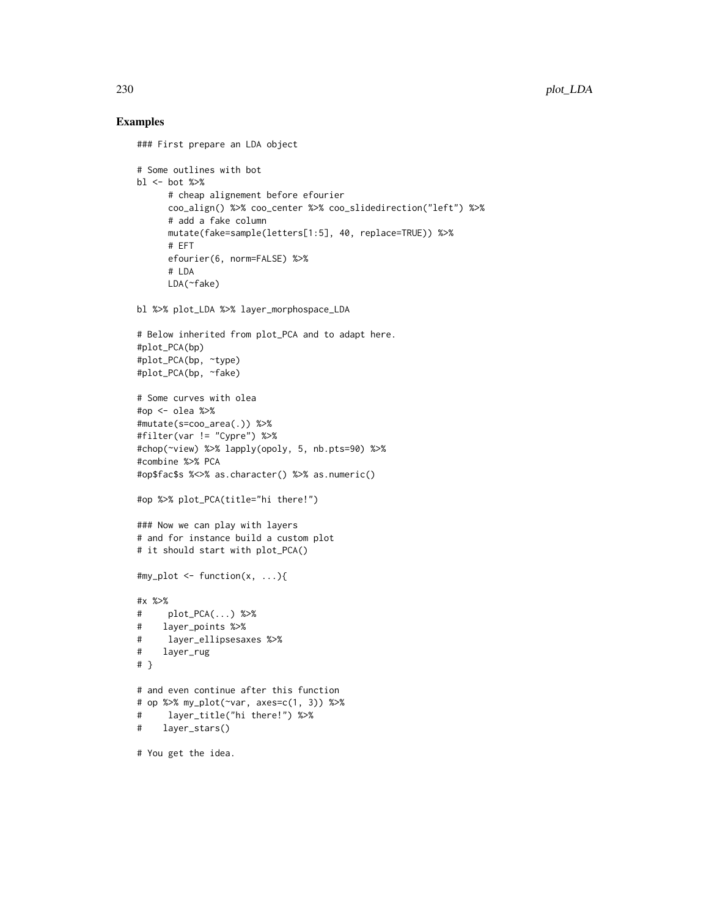#### Examples

```
### First prepare an LDA object
```

```
# Some outlines with bot
b1 \leftarrow bot %>%
      # cheap alignement before efourier
      coo_align() %>% coo_center %>% coo_slidedirection("left") %>%
      # add a fake column
      mutate(fake=sample(letters[1:5], 40, replace=TRUE)) %>%
      # EFT
      efourier(6, norm=FALSE) %>%
      # LDA
      LDA(~fake)
```
bl %>% plot\_LDA %>% layer\_morphospace\_LDA

```
# Below inherited from plot_PCA and to adapt here.
#plot_PCA(bp)
#plot_PCA(bp, ~type)
#plot_PCA(bp, ~fake)
```

```
# Some curves with olea
#op <- olea %>%
#mutate(s=coo_area(.)) %>%
#filter(var != "Cypre") %>%
#chop(~view) %>% lapply(opoly, 5, nb.pts=90) %>%
#combine %>% PCA
#op$fac$s %<>% as.character() %>% as.numeric()
```

```
#op %>% plot_PCA(title="hi there!")
```

```
### Now we can play with layers
# and for instance build a custom plot
# it should start with plot_PCA()
```

```
#my_plot \le function(x, ...){
```

```
#x %>%
# plot_PCA(...) %>%
# layer_points %>%
# layer_ellipsesaxes %>%
# layer_rug
# }
# and even continue after this function
# op %>% my_plot(~var, axes=c(1, 3)) %>%
# layer_title("hi there!") %>%
# layer_stars()
```
# You get the idea.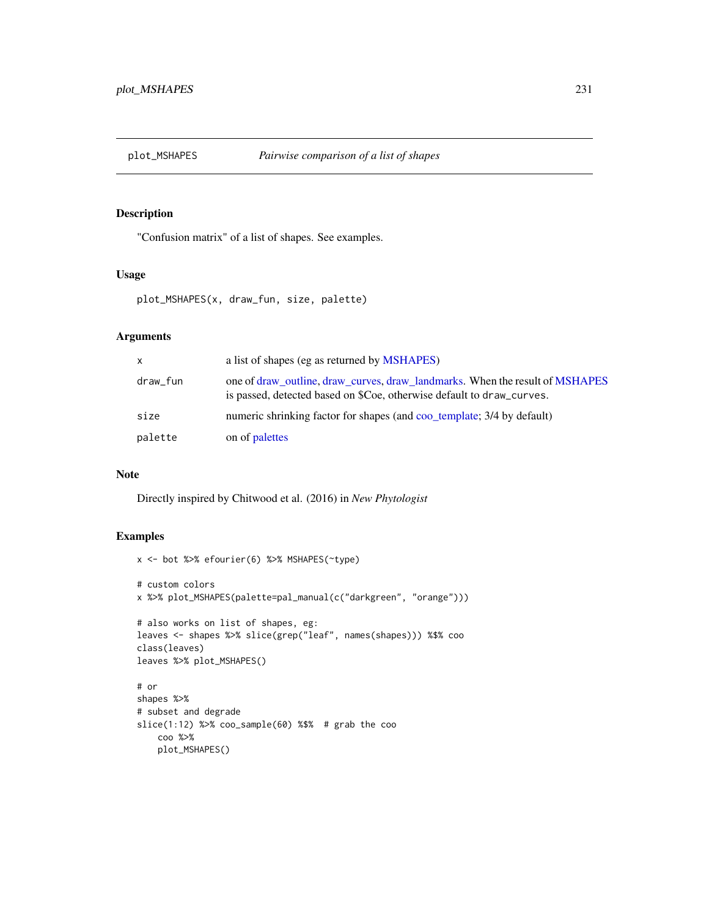# Description

"Confusion matrix" of a list of shapes. See examples.

## Usage

```
plot_MSHAPES(x, draw_fun, size, palette)
```
# Arguments

| X        | a list of shapes (eg as returned by MSHAPES)                                                                                                          |
|----------|-------------------------------------------------------------------------------------------------------------------------------------------------------|
| draw_fun | one of draw outline, draw curves, draw landmarks. When the result of MSHAPES<br>is passed, detected based on \$Coe, otherwise default to draw_curves. |
| size     | numeric shrinking factor for shapes (and coo_template; 3/4 by default)                                                                                |
| palette  | on of palettes                                                                                                                                        |

## Note

Directly inspired by Chitwood et al. (2016) in *New Phytologist*

```
x <- bot %>% efourier(6) %>% MSHAPES(~type)
# custom colors
x %>% plot_MSHAPES(palette=pal_manual(c("darkgreen", "orange")))
# also works on list of shapes, eg:
leaves <- shapes %>% slice(grep("leaf", names(shapes))) %$% coo
class(leaves)
leaves %>% plot_MSHAPES()
# or
shapes %>%
# subset and degrade
slice(1:12) %>% coo_sample(60) %$% # grab the coo
   coo %>%
   plot_MSHAPES()
```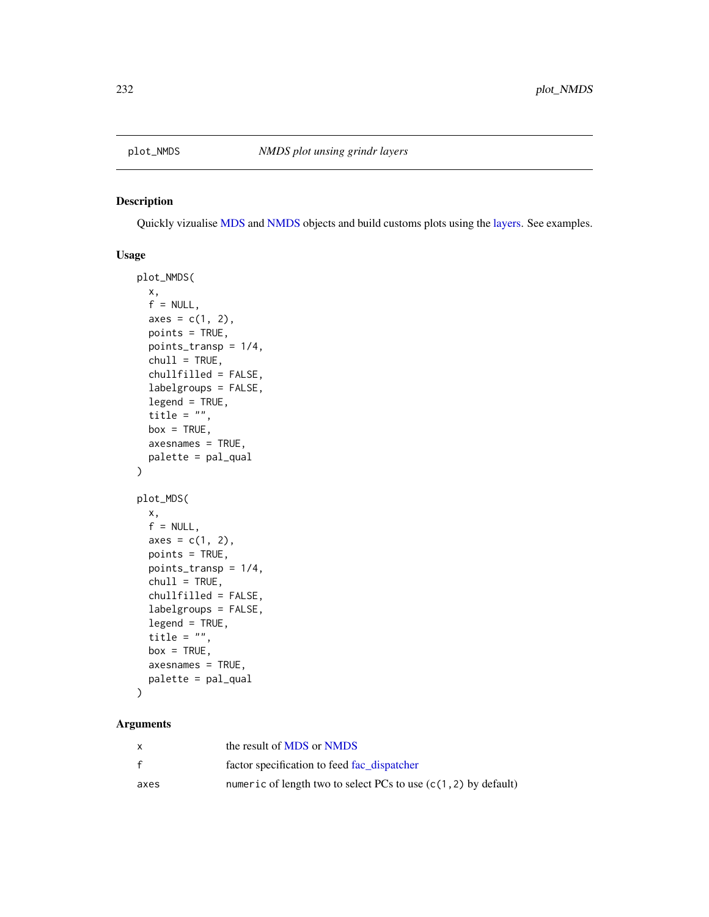<span id="page-231-0"></span>

#### Description

Quickly vizualise [MDS](#page-179-0) and [NMDS](#page-189-0) objects and build customs plots using the [layers.](#page-163-0) See examples.

# Usage

```
plot_NMDS(
 x,
  f = NULL,axes = c(1, 2),points = TRUE,
 points_transp = 1/4,
 chull = TRUE,chullfilled = FALSE,
  labelgroups = FALSE,
  legend = TRUE,
  title = ",
 box = TRUE,axesnames = TRUE,
 palette = pal_qual
)
plot_MDS(
 x,
  f = NULL,axes = c(1, 2),points = TRUE,
 points_transp = 1/4,
 chull = TRUE,chullfilled = FALSE,
  labelgroups = FALSE,
  legend = TRUE,
  title = ",
 box = TRUE,axesnames = TRUE,
 palette = pal_qual
)
```
# Arguments

|      | the result of MDS or NMDS                                         |
|------|-------------------------------------------------------------------|
| f    | factor specification to feed fac_dispatcher                       |
| axes | numeric of length two to select PCs to use $(c(1, 2)$ by default) |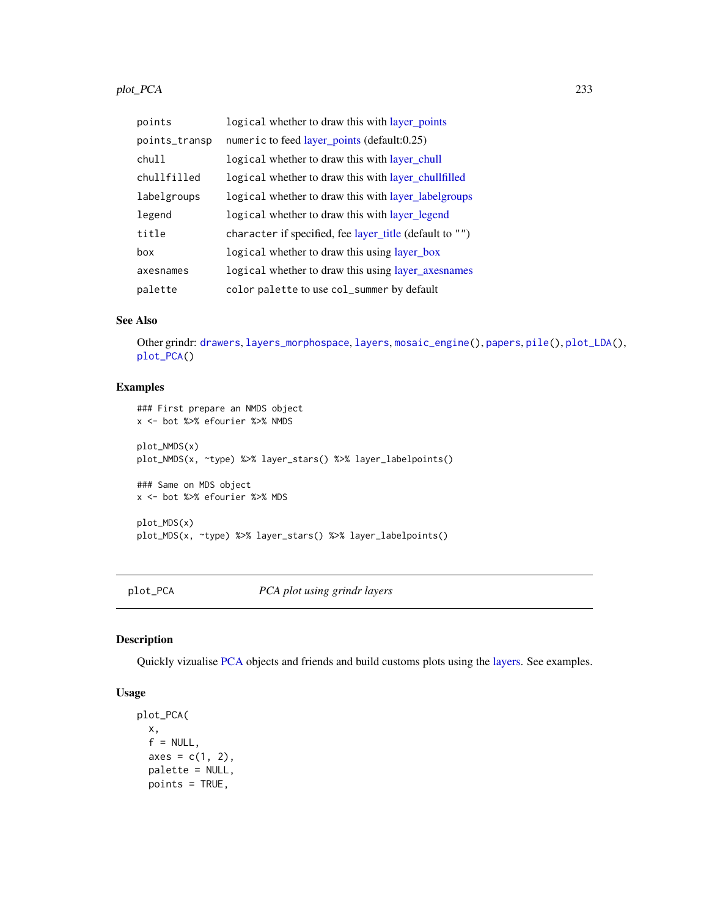#### plot\_PCA 233

| points        | logical whether to draw this with layer_points          |
|---------------|---------------------------------------------------------|
| points_transp | numeric to feed layer_points (default:0.25)             |
| chull         | logical whether to draw this with layer_chull           |
| chullfilled   | logical whether to draw this with layer_chullfilled     |
| labelgroups   | logical whether to draw this with layer_labelgroups     |
| legend        | logical whether to draw this with layer_legend          |
| title         | character if specified, fee layer_title (default to "") |
| box           | logical whether to draw this using layer_box            |
| axesnames     | logical whether to draw this using layer_axesnames      |
| palette       | color palette to use col_summer by default              |

#### See Also

Other grindr: [drawers](#page-126-0), [layers\\_morphospace](#page-166-1), [layers](#page-163-0), [mosaic\\_engine\(](#page-183-0)), [papers](#page-203-0), [pile\(](#page-208-0)), [plot\\_LDA\(](#page-227-0)), [plot\\_PCA\(](#page-232-0))

# Examples

```
### First prepare an NMDS object
x <- bot %>% efourier %>% NMDS
plot_NMDS(x)
plot_NMDS(x, ~type) %>% layer_stars() %>% layer_labelpoints()
### Same on MDS object
x <- bot %>% efourier %>% MDS
plot_MDS(x)
plot_MDS(x, ~type) %>% layer_stars() %>% layer_labelpoints()
```
plot\_PCA *PCA plot using grindr layers*

# Description

Quickly vizualise [PCA](#page-204-0) objects and friends and build customs plots using the [layers.](#page-163-0) See examples.

# Usage

```
plot_PCA(
 x,
 f = NULL,
 axes = c(1, 2),palette = NULL,
 points = TRUE,
```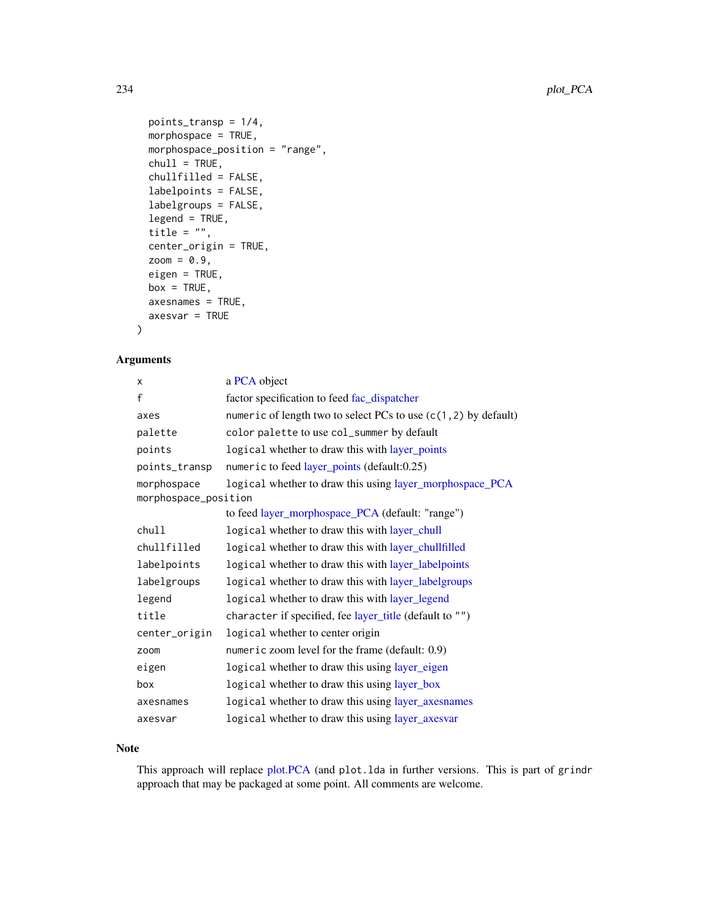```
points_transp = 1/4,
 morphospace = TRUE,
 morphospace_position = "range",
 chull = TRUE,chullfilled = FALSE,
 labelpoints = FALSE,
 labelgroups = FALSE,
 legend = TRUE,
  title = ",
 center_origin = TRUE,
 zoom = 0.9,
 eigen = TRUE,
 box = TRUE,axesname = TRUE,axesvar = TRUE
)
```
# Arguments

| x                    | a PCA object                                                      |
|----------------------|-------------------------------------------------------------------|
| $\mathsf{f}$         | factor specification to feed fac_dispatcher                       |
| axes                 | numeric of length two to select PCs to use $(c(1, 2)$ by default) |
| palette              | color palette to use col_summer by default                        |
| points               | logical whether to draw this with layer_points                    |
| points_transp        | numeric to feed layer_points (default:0.25)                       |
| morphospace          | logical whether to draw this using layer_morphospace_PCA          |
| morphospace_position |                                                                   |
|                      | to feed layer_morphospace_PCA (default: "range")                  |
| chull                | logical whether to draw this with layer_chull                     |
| chullfilled          | logical whether to draw this with layer_chullfilled               |
| labelpoints          | logical whether to draw this with layer_labelpoints               |
| labelgroups          | logical whether to draw this with layer_labelgroups               |
| legend               | logical whether to draw this with layer_legend                    |
| title                | character if specified, fee layer_title (default to "")           |
| center_origin        | logical whether to center origin                                  |
| zoom                 | numeric zoom level for the frame (default: 0.9)                   |
| eigen                | logical whether to draw this using layer_eigen                    |
| box                  | logical whether to draw this using layer_box                      |
| axesnames            | logical whether to draw this using layer_axesnames                |
| axesvar              | logical whether to draw this using layer_axesvar                  |

## Note

This approach will replace [plot.PCA](#page-216-0) (and plot.lda in further versions. This is part of grindr approach that may be packaged at some point. All comments are welcome.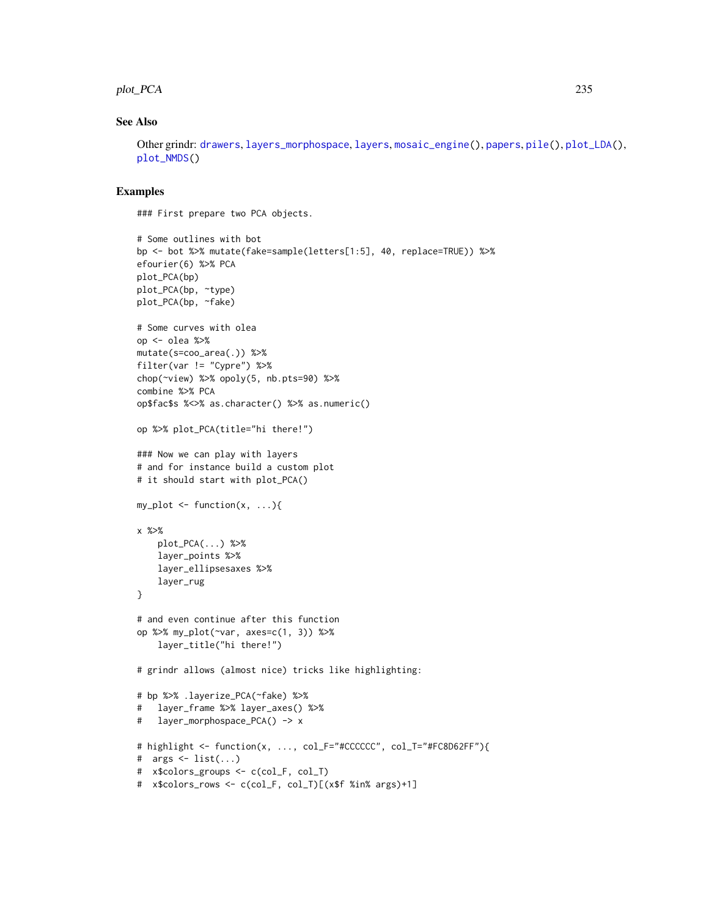#### plot\_PCA 235

## See Also

Other grindr: [drawers](#page-126-0), [layers\\_morphospace](#page-166-1), [layers](#page-163-0), [mosaic\\_engine\(](#page-183-0)), [papers](#page-203-0), [pile\(](#page-208-0)), [plot\\_LDA\(](#page-227-0)), [plot\\_NMDS\(](#page-231-0))

#### Examples

### First prepare two PCA objects.

```
# Some outlines with bot
bp <- bot %>% mutate(fake=sample(letters[1:5], 40, replace=TRUE)) %>%
efourier(6) %>% PCA
plot_PCA(bp)
plot_PCA(bp, ~type)
plot_PCA(bp, ~fake)
# Some curves with olea
op <- olea %>%
mutate(s=coo_area(.)) %>%
filter(var != "Cypre") %>%
chop(~view) %>% opoly(5, nb.pts=90) %>%
combine %>% PCA
op$fac$s %<>% as.character() %>% as.numeric()
op %>% plot_PCA(title="hi there!")
### Now we can play with layers
# and for instance build a custom plot
# it should start with plot_PCA()
my\_plot \leftarrow function(x, \ldots)x %>%
    plot_PCA(...) %>%
    layer_points %>%
    layer_ellipsesaxes %>%
    layer_rug
}
# and even continue after this function
op %>% my_plot(~var, axes=c(1, 3)) %>%
    layer_title("hi there!")
# grindr allows (almost nice) tricks like highlighting:
# bp %>% .layerize_PCA(~fake) %>%
# layer_frame %>% layer_axes() %>%
# layer_morphospace_PCA() -> x
# highlight <- function(x, ..., col_F="#CCCCCC", col_T="#FC8D62FF"){
# args <- list(...)
# x$colors_groups <- c(col_F, col_T)
# x$colors_rows <- c(col_F, col_T)[(x$f %in% args)+1]
```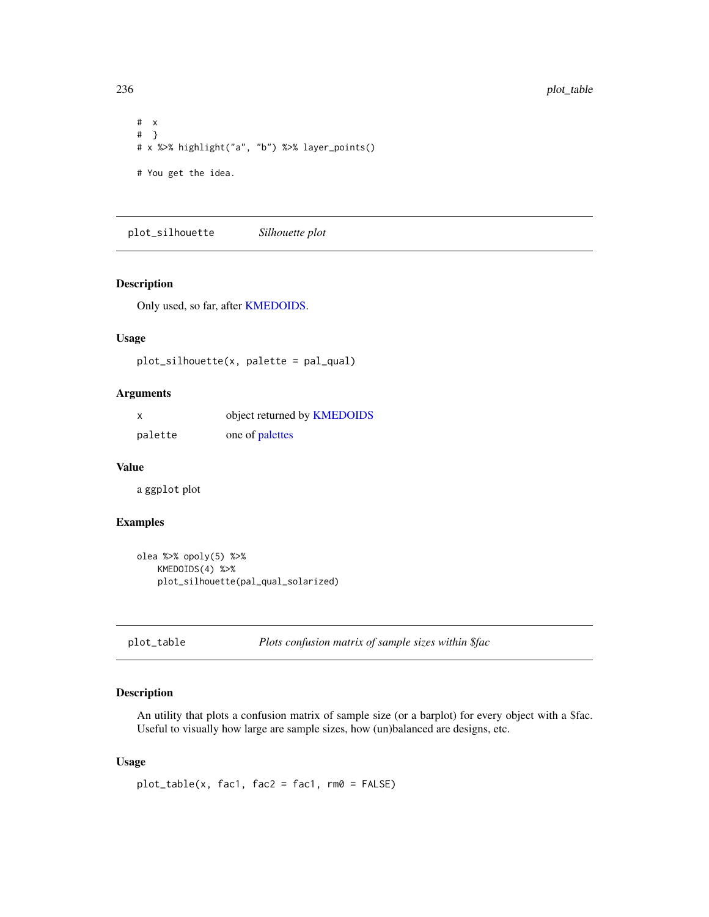# x # } # x %>% highlight("a", "b") %>% layer\_points() # You get the idea.

plot\_silhouette *Silhouette plot*

#### Description

Only used, so far, after [KMEDOIDS.](#page-162-0)

# Usage

plot\_silhouette(x, palette = pal\_qual)

#### Arguments

| x       | object returned by <b>KMEDOIDS</b> |
|---------|------------------------------------|
| palette | one of palettes                    |

#### Value

a ggplot plot

# Examples

```
olea %>% opoly(5) %>%
   KMEDOIDS(4) %>%
   plot_silhouette(pal_qual_solarized)
```
<span id="page-235-0"></span>plot\_table *Plots confusion matrix of sample sizes within \$fac*

# Description

An utility that plots a confusion matrix of sample size (or a barplot) for every object with a \$fac. Useful to visually how large are sample sizes, how (un)balanced are designs, etc.

#### Usage

 $plot_table(x, fac1, fac2 = fac1, rm0 = FALSE)$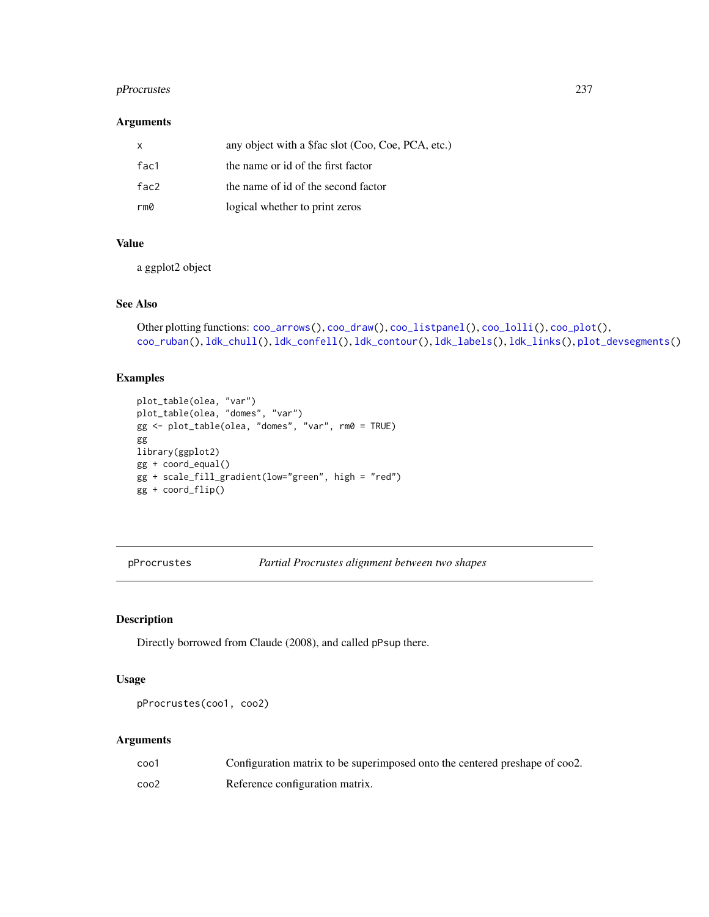# pProcrustes 237

#### Arguments

| X    | any object with a \$fac slot (Coo, Coe, PCA, etc.) |
|------|----------------------------------------------------|
| fac1 | the name or id of the first factor                 |
| fac2 | the name of id of the second factor                |
| rm0  | logical whether to print zeros                     |

# Value

a ggplot2 object

# See Also

```
Other plotting functions: coo_arrows(), coo_draw(), coo_listpanel(), coo_lolli(), coo_plot(),
coo_ruban(), ldk_chull(), ldk_confell(), ldk_contour(), ldk_labels(), ldk_links(), plot_devsegments()
```
# Examples

```
plot_table(olea, "var")
plot_table(olea, "domes", "var")
gg <- plot_table(olea, "domes", "var", rm0 = TRUE)
gg
library(ggplot2)
gg + coord_equal()
gg + scale_fill_gradient(low="green", high = "red")
gg + coord_flip()
```
pProcrustes *Partial Procrustes alignment between two shapes*

# Description

Directly borrowed from Claude (2008), and called pPsup there.

#### Usage

```
pProcrustes(coo1, coo2)
```
# Arguments

| coo1 | Configuration matrix to be superimposed onto the centered preshape of coo2. |
|------|-----------------------------------------------------------------------------|
| coo2 | Reference configuration matrix.                                             |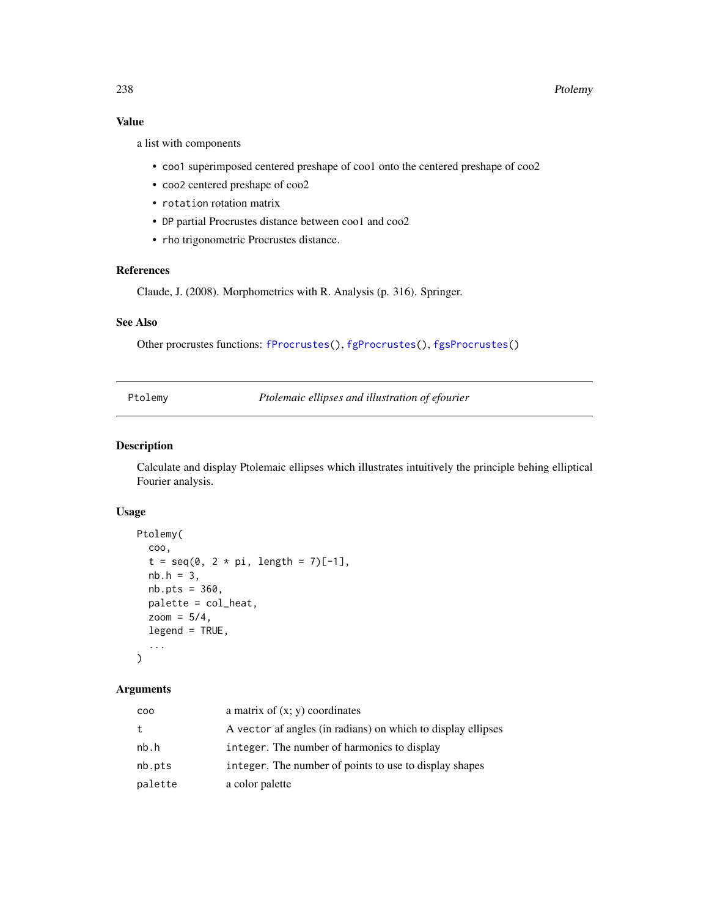# Value

a list with components

- coo1 superimposed centered preshape of coo1 onto the centered preshape of coo2
- coo2 centered preshape of coo2
- rotation rotation matrix
- DP partial Procrustes distance between coo1 and coo2
- rho trigonometric Procrustes distance.

# References

Claude, J. (2008). Morphometrics with R. Analysis (p. 316). Springer.

# See Also

Other procrustes functions: [fProcrustes\(](#page-144-0)), [fgProcrustes\(](#page-140-0)), [fgsProcrustes\(](#page-141-0))

Ptolemy *Ptolemaic ellipses and illustration of efourier*

# Description

Calculate and display Ptolemaic ellipses which illustrates intuitively the principle behing elliptical Fourier analysis.

# Usage

```
Ptolemy(
  coo,
  t = seq(0, 2 * pi, length = 7)[-1],nb.h = 3,
  nb.pts = 360,palette = col_heat,
  zoom = 5/4,
  legend = TRUE,
  ...
\mathcal{L}
```
# Arguments

| coo     | a matrix of $(x, y)$ coordinates                             |
|---------|--------------------------------------------------------------|
| t.      | A vector af angles (in radians) on which to display ellipses |
| nb.h    | integer. The number of harmonics to display                  |
| nb.pts  | integer. The number of points to use to display shapes       |
| palette | a color palette                                              |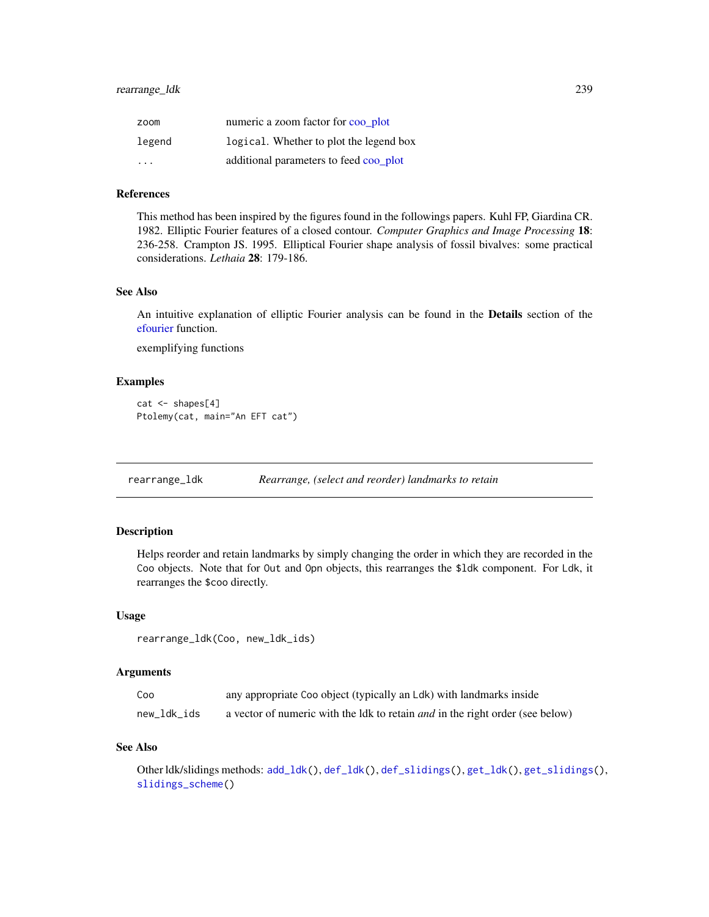| zoom   | numeric a zoom factor for coo plot      |
|--------|-----------------------------------------|
| legend | logical. Whether to plot the legend box |
| .      | additional parameters to feed coo_plot  |

#### References

This method has been inspired by the figures found in the followings papers. Kuhl FP, Giardina CR. 1982. Elliptic Fourier features of a closed contour. *Computer Graphics and Image Processing* 18: 236-258. Crampton JS. 1995. Elliptical Fourier shape analysis of fossil bivalves: some practical considerations. *Lethaia* 28: 179-186.

### See Also

An intuitive explanation of elliptic Fourier analysis can be found in the Details section of the [efourier](#page-133-0) function.

exemplifying functions

#### Examples

```
cat \leftarrow shapes[4]Ptolemy(cat, main="An EFT cat")
```
rearrange\_ldk *Rearrange, (select and reorder) landmarks to retain*

#### Description

Helps reorder and retain landmarks by simply changing the order in which they are recorded in the Coo objects. Note that for Out and Opn objects, this rearranges the \$ldk component. For Ldk, it rearranges the \$coo directly.

#### Usage

```
rearrange_ldk(Coo, new_ldk_ids)
```
## Arguments

| Coo         | any appropriate Coo object (typically an Ldk) with landmarks inside                  |
|-------------|--------------------------------------------------------------------------------------|
| new ldk ids | a vector of numeric with the ldk to retain <i>and</i> in the right order (see below) |

#### See Also

Other ldk/slidings methods: [add\\_ldk\(](#page-6-0)), [def\\_ldk\(](#page-117-0)), [def\\_slidings\(](#page-120-0)), [get\\_ldk\(](#page-146-0)), [get\\_slidings\(](#page-148-0)), [slidings\\_scheme\(](#page-261-0))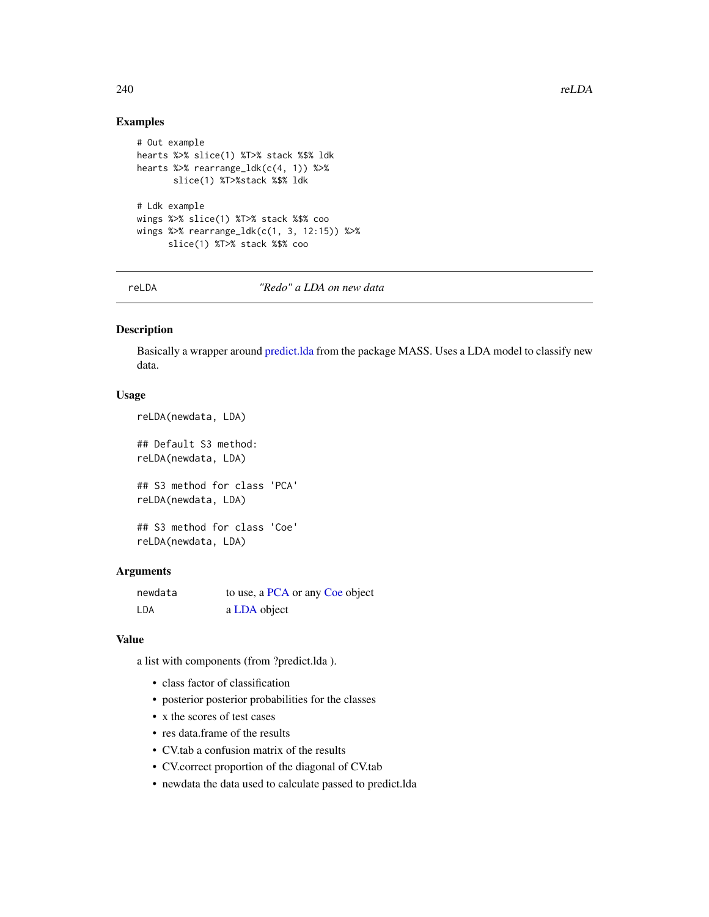# Examples

```
# Out example
hearts %>% slice(1) %T>% stack %$% ldk
hearts %>% rearrange_ldk(c(4, 1)) %>%
       slice(1) %T>%stack %$% ldk
# Ldk example
wings %>% slice(1) %T>% stack %$% coo
wings %>% rearrange_ldk(c(1, 3, 12:15)) %>%
      slice(1) %T>% stack %$% coo
```
reLDA *"Redo" a LDA on new data*

#### Description

Basically a wrapper around [predict.lda](#page-0-0) from the package MASS. Uses a LDA model to classify new data.

# Usage

```
reLDA(newdata, LDA)
## Default S3 method:
reLDA(newdata, LDA)
```
## S3 method for class 'PCA' reLDA(newdata, LDA)

## S3 method for class 'Coe' reLDA(newdata, LDA)

#### Arguments

| newdata | to use, a PCA or any Coe object |
|---------|---------------------------------|
| LDA     | a LDA object                    |

# Value

a list with components (from ?predict.lda ).

- class factor of classification
- posterior posterior probabilities for the classes
- x the scores of test cases
- res data.frame of the results
- CV.tab a confusion matrix of the results
- CV.correct proportion of the diagonal of CV.tab
- newdata the data used to calculate passed to predict.lda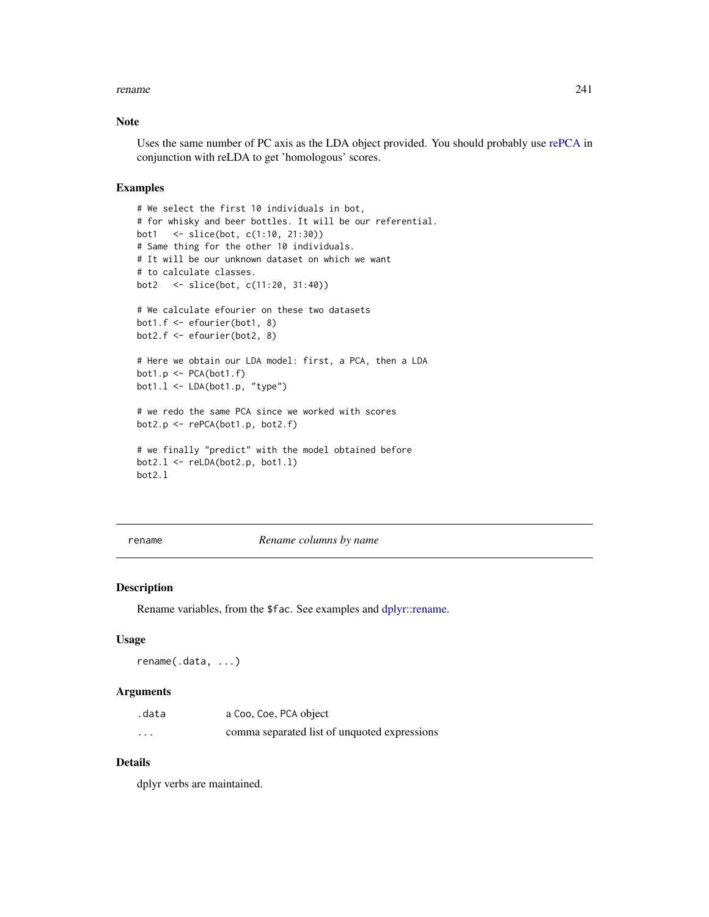#### rename 241

## Note

Uses the same number of PC axis as the LDA object provided. You should probably use [rePCA](#page-241-0) in conjunction with reLDA to get 'homologous' scores.

#### Examples

```
# We select the first 10 individuals in bot,
# for whisky and beer bottles. It will be our referential.
bot1 <- slice(bot, c(1:10, 21:30))
# Same thing for the other 10 individuals.
# It will be our unknown dataset on which we want
# to calculate classes.
bot2 <- slice(bot, c(11:20, 31:40))
# We calculate efourier on these two datasets
bot1.f <- efourier(bot1, 8)
bot2.f <- efourier(bot2, 8)
# Here we obtain our LDA model: first, a PCA, then a LDA
bot1.p \leftarrow PCA(bot1.f)bot1.l <- LDA(bot1.p, "type")
# we redo the same PCA since we worked with scores
bot2.p <- rePCA(bot1.p, bot2.f)
# we finally "predict" with the model obtained before
bot2.1 \leftarrow reLDA(bot2.p, bot1.1)
bot2.l
```
<span id="page-240-0"></span>

rename *Rename columns by name*

#### Description

Rename variables, from the \$fac. See examples and [dplyr::rename.](#page-0-0)

#### Usage

rename(.data, ...)

#### Arguments

| .data    | a Coo, Coe, PCA object                       |
|----------|----------------------------------------------|
| $\cdots$ | comma separated list of unquoted expressions |

#### Details

dplyr verbs are maintained.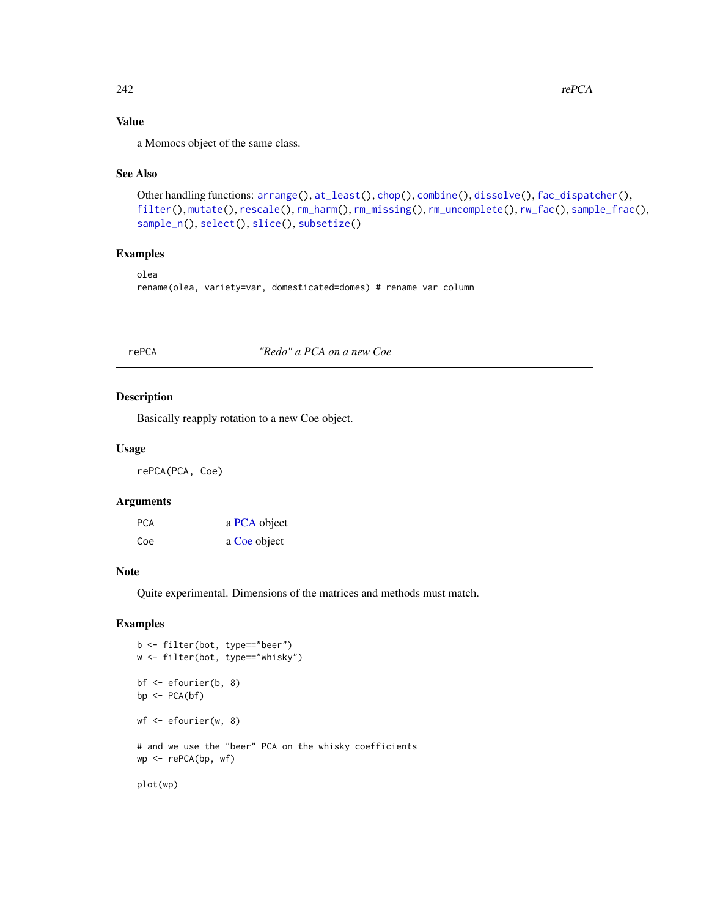# Value

a Momocs object of the same class.

#### See Also

```
Other handling functions: arrange(), at_least(), chop(), combine(), dissolve(), fac_dispatcher(),
filter(), mutate(), rescale(), rm_harm(), rm_missing(), rm_uncomplete(), rw_fac(), sample_frac(),
sample_n(), select(), slice(), subsetize()
```
# Examples

```
olea
```
rename(olea, variety=var, domesticated=domes) # rename var column

# <span id="page-241-0"></span>rePCA *"Redo" a PCA on a new Coe*

#### Description

Basically reapply rotation to a new Coe object.

#### Usage

rePCA(PCA, Coe)

#### Arguments

| <b>PCA</b> | a PCA object |  |
|------------|--------------|--|
| Coe        | a Coe object |  |

# Note

Quite experimental. Dimensions of the matrices and methods must match.

```
b <- filter(bot, type=="beer")
w <- filter(bot, type=="whisky")
bf <- efourier(b, 8)
bp \leftarrow PCA(bf)wf <- efourier(w, 8)
# and we use the "beer" PCA on the whisky coefficients
wp <- rePCA(bp, wf)
plot(wp)
```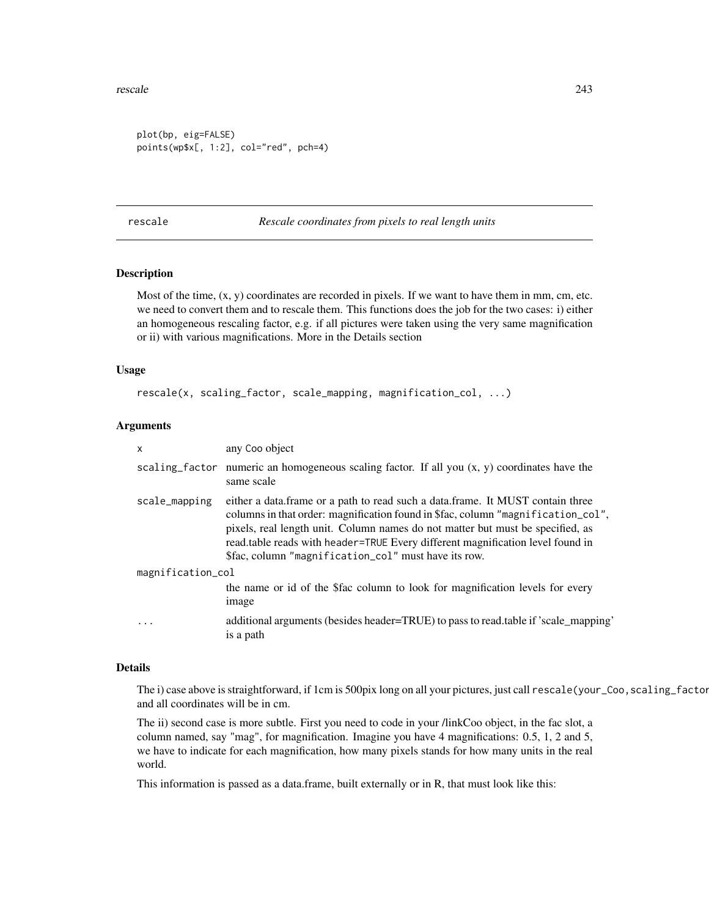#### rescale 243

```
plot(bp, eig=FALSE)
points(wp$x[, 1:2], col="red", pch=4)
```
<span id="page-242-0"></span>rescale *Rescale coordinates from pixels to real length units*

# Description

Most of the time,  $(x, y)$  coordinates are recorded in pixels. If we want to have them in mm, cm, etc. we need to convert them and to rescale them. This functions does the job for the two cases: i) either an homogeneous rescaling factor, e.g. if all pictures were taken using the very same magnification or ii) with various magnifications. More in the Details section

#### Usage

rescale(x, scaling\_factor, scale\_mapping, magnification\_col, ...)

# Arguments

| X                 | any Coo object                                                                                                                                                                                                                                                                                                                                                                                 |
|-------------------|------------------------------------------------------------------------------------------------------------------------------------------------------------------------------------------------------------------------------------------------------------------------------------------------------------------------------------------------------------------------------------------------|
|                   | scaling factor numeric an homogeneous scaling factor. If all you $(x, y)$ coordinates have the<br>same scale                                                                                                                                                                                                                                                                                   |
| scale_mapping     | either a data.frame or a path to read such a data.frame. It MUST contain three<br>columns in that order: magnification found in \$fac, column "magnification_col",<br>pixels, real length unit. Column names do not matter but must be specified, as<br>read.table reads with header=TRUE Every different magnification level found in<br>\$fac, column "magnification_col" must have its row. |
| magnification_col |                                                                                                                                                                                                                                                                                                                                                                                                |
|                   | the name or id of the \$fac column to look for magnification levels for every<br>image                                                                                                                                                                                                                                                                                                         |
| $\cdot$           | additional arguments (besides header=TRUE) to pass to read.table if 'scale_mapping'<br>is a path                                                                                                                                                                                                                                                                                               |

#### Details

The i) case above is straightforward, if 1cm is 500pix long on all your pictures, just call rescale(your\_Coo, scaling\_factor and all coordinates will be in cm.

The ii) second case is more subtle. First you need to code in your /linkCoo object, in the fac slot, a column named, say "mag", for magnification. Imagine you have 4 magnifications: 0.5, 1, 2 and 5, we have to indicate for each magnification, how many pixels stands for how many units in the real world.

This information is passed as a data.frame, built externally or in R, that must look like this: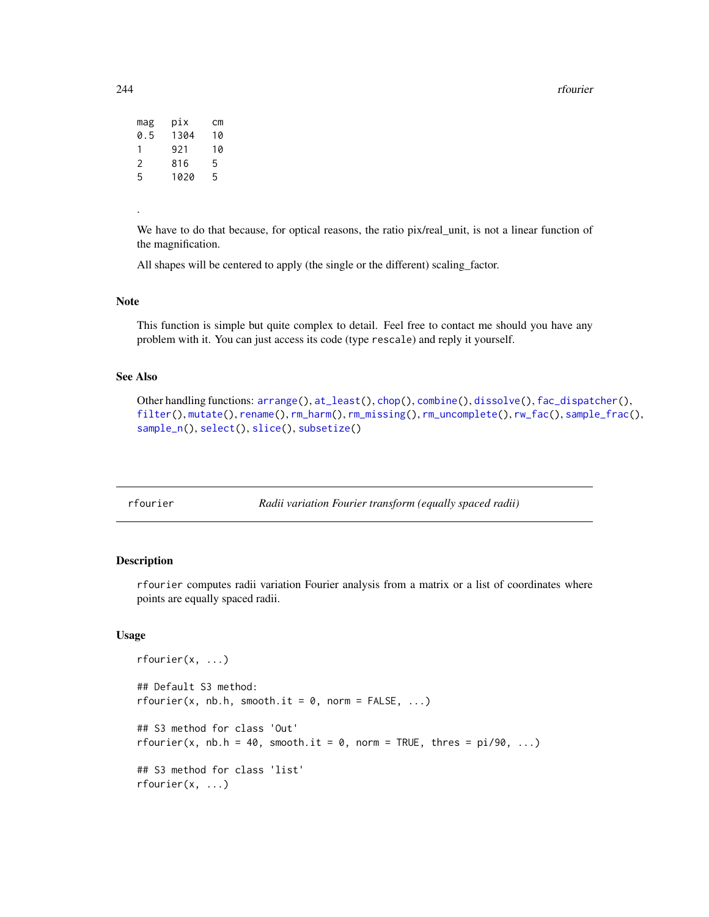244 rfourier

| mag | pix  | сm |
|-----|------|----|
| 0.5 | 1304 | 10 |
| 1   | 921  | 10 |
| 2   | 816  | 5  |
| 5   | 1020 | 5  |
|     |      |    |

.

We have to do that because, for optical reasons, the ratio pix/real\_unit, is not a linear function of the magnification.

All shapes will be centered to apply (the single or the different) scaling\_factor.

# Note

This function is simple but quite complex to detail. Feel free to contact me should you have any problem with it. You can just access its code (type rescale) and reply it yourself.

# See Also

Other handling functions: [arrange\(](#page-7-0)), [at\\_least\(](#page-9-0)), [chop\(](#page-26-0)), [combine\(](#page-36-0)), [dissolve\(](#page-125-0)), [fac\\_dispatcher\(](#page-139-0)), [filter\(](#page-142-0)), [mutate\(](#page-188-0)), [rename\(](#page-240-0)), [rm\\_harm\(](#page-248-0)), [rm\\_missing\(](#page-249-0)), [rm\\_uncomplete\(](#page-250-0)), [rw\\_fac\(](#page-251-0)), [sample\\_frac\(](#page-252-0)), [sample\\_n\(](#page-253-0)), [select\(](#page-255-0)), [slice\(](#page-260-0)), [subsetize\(](#page-264-0))

<span id="page-243-0"></span>

rfourier *Radii variation Fourier transform (equally spaced radii)*

# Description

rfourier computes radii variation Fourier analysis from a matrix or a list of coordinates where points are equally spaced radii.

#### Usage

```
rfourier(x, ...)
## Default S3 method:
rfourier(x, nb.h, smooth.it = 0, norm = FALSE, ...)## S3 method for class 'Out'
rfourier(x, nb.h = 40, smooth.it = 0, norm = TRUE, thres = pi/90, ...)
## S3 method for class 'list'
rfourier(x, ...)
```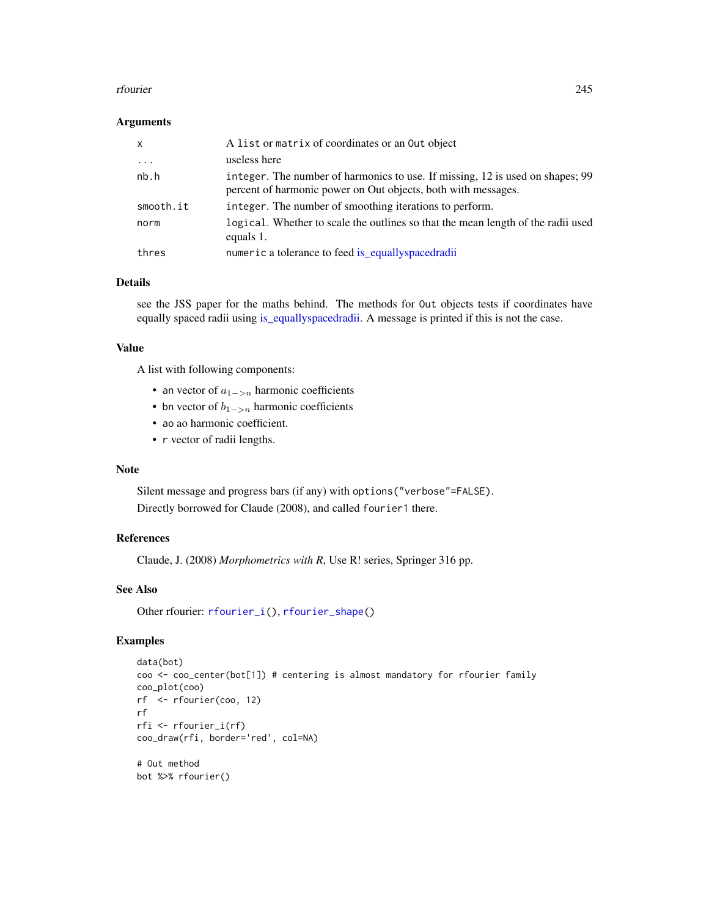#### rfourier 245

#### Arguments

| $\mathsf{x}$ | A list or matrix of coordinates or an Out object                                                                                               |
|--------------|------------------------------------------------------------------------------------------------------------------------------------------------|
| $\ddotsc$    | useless here                                                                                                                                   |
| nb.h         | integer. The number of harmonics to use. If missing, 12 is used on shapes; 99<br>percent of harmonic power on Out objects, both with messages. |
| smooth.it    | integer. The number of smoothing iterations to perform.                                                                                        |
| norm         | logical. Whether to scale the outlines so that the mean length of the radii used<br>equals 1.                                                  |
| thres        | numeric a tolerance to feed is_equallyspacedradii                                                                                              |

# Details

see the JSS paper for the maths behind. The methods for Out objects tests if coordinates have equally spaced radii using [is\\_equallyspacedradii.](#page-160-0) A message is printed if this is not the case.

#### Value

A list with following components:

- an vector of  $a_{1->n}$  harmonic coefficients
- bn vector of  $b_{1->n}$  harmonic coefficients
- ao ao harmonic coefficient.
- r vector of radii lengths.

#### Note

Silent message and progress bars (if any) with options("verbose"=FALSE). Directly borrowed for Claude (2008), and called fourier1 there.

#### References

Claude, J. (2008) *Morphometrics with R*, Use R! series, Springer 316 pp.

## See Also

Other rfourier: [rfourier\\_i\(](#page-245-0)), [rfourier\\_shape\(](#page-246-0))

```
data(bot)
coo <- coo_center(bot[1]) # centering is almost mandatory for rfourier family
coo_plot(coo)
rf <- rfourier(coo, 12)
rf
rfi <- rfourier_i(rf)
coo_draw(rfi, border='red', col=NA)
# Out method
bot %>% rfourier()
```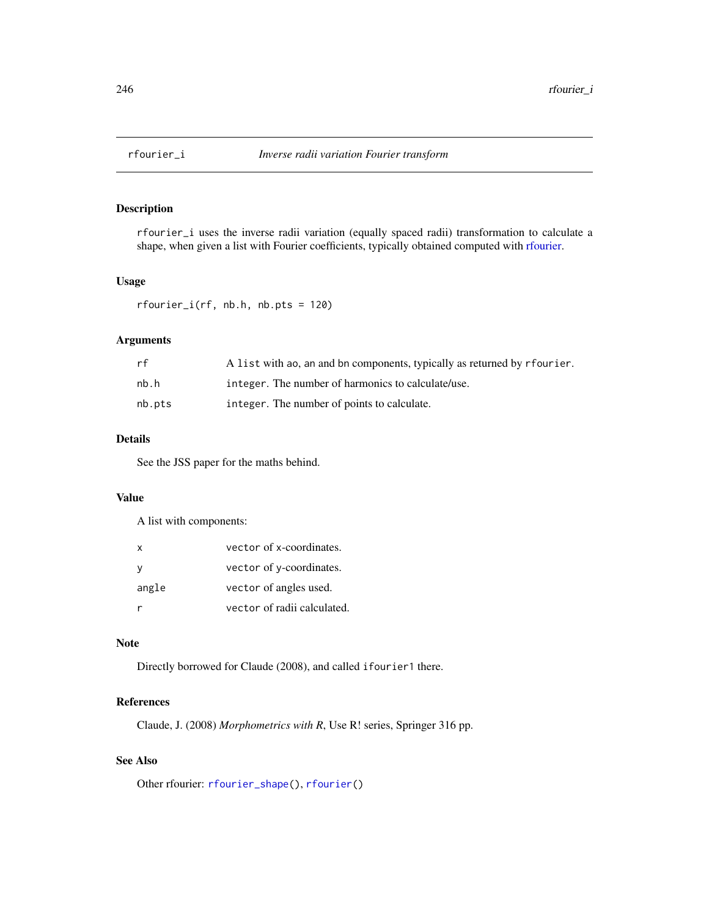<span id="page-245-0"></span>

# Description

rfourier\_i uses the inverse radii variation (equally spaced radii) transformation to calculate a shape, when given a list with Fourier coefficients, typically obtained computed with [rfourier.](#page-243-0)

# Usage

rfourier\_i(rf, nb.h, nb.pts = 120)

# Arguments

| rf     | A list with ao, an and bn components, typically as returned by r fourier. |
|--------|---------------------------------------------------------------------------|
| nb.h   | integer. The number of harmonics to calculate/use.                        |
| nb.pts | integer. The number of points to calculate.                               |

# Details

See the JSS paper for the maths behind.

# Value

A list with components:

| x     | vector of x-coordinates.    |
|-------|-----------------------------|
| y     | vector of y-coordinates.    |
| angle | vector of angles used.      |
|       | vector of radii calculated. |

# Note

Directly borrowed for Claude (2008), and called ifourier1 there.

# References

Claude, J. (2008) *Morphometrics with R*, Use R! series, Springer 316 pp.

# See Also

Other rfourier: [rfourier\\_shape\(](#page-246-0)), [rfourier\(](#page-243-0))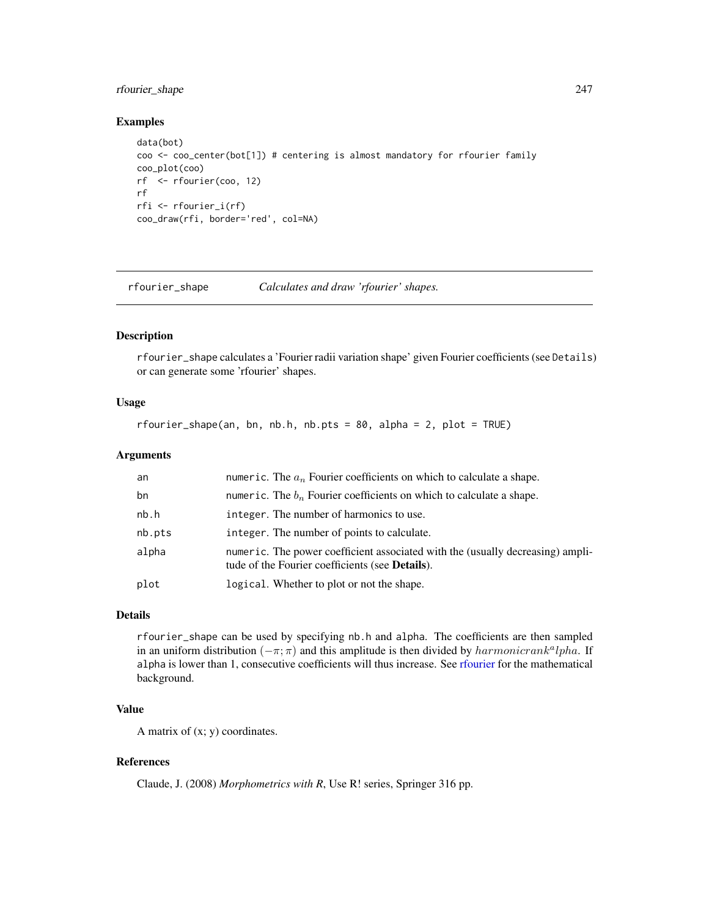# rfourier\_shape 247

#### Examples

```
data(bot)
coo <- coo_center(bot[1]) # centering is almost mandatory for rfourier family
coo_plot(coo)
rf <- rfourier(coo, 12)
rf
rfi <- rfourier_i(rf)
coo_draw(rfi, border='red', col=NA)
```
<span id="page-246-0"></span>rfourier\_shape *Calculates and draw 'rfourier' shapes.*

## Description

rfourier\_shape calculates a 'Fourier radii variation shape' given Fourier coefficients (see Details) or can generate some 'rfourier' shapes.

# Usage

```
rfourier_shape(an, bn, nb.h, nb.pts = 80, alpha = 2, plot = TRUE)
```
#### Arguments

| an     | numeric. The $a_n$ Fourier coefficients on which to calculate a shape.                                                                    |
|--------|-------------------------------------------------------------------------------------------------------------------------------------------|
| bn     | numeric. The $b_n$ Fourier coefficients on which to calculate a shape.                                                                    |
| nb.h   | integer. The number of harmonics to use.                                                                                                  |
| nb.pts | integer. The number of points to calculate.                                                                                               |
| alpha  | numeric. The power coefficient associated with the (usually decreasing) ampli-<br>tude of the Fourier coefficients (see <b>Details</b> ). |
| plot   | logical. Whether to plot or not the shape.                                                                                                |
|        |                                                                                                                                           |

## Details

rfourier\_shape can be used by specifying nb.h and alpha. The coefficients are then sampled in an uniform distribution  $(-\pi; \pi)$  and this amplitude is then divided by  $harmonic rank<sup>a</sup>lpha$ . If alpha is lower than 1, consecutive coefficients will thus increase. See [rfourier](#page-243-0) for the mathematical background.

# Value

A matrix of  $(x; y)$  coordinates.

# References

Claude, J. (2008) *Morphometrics with R*, Use R! series, Springer 316 pp.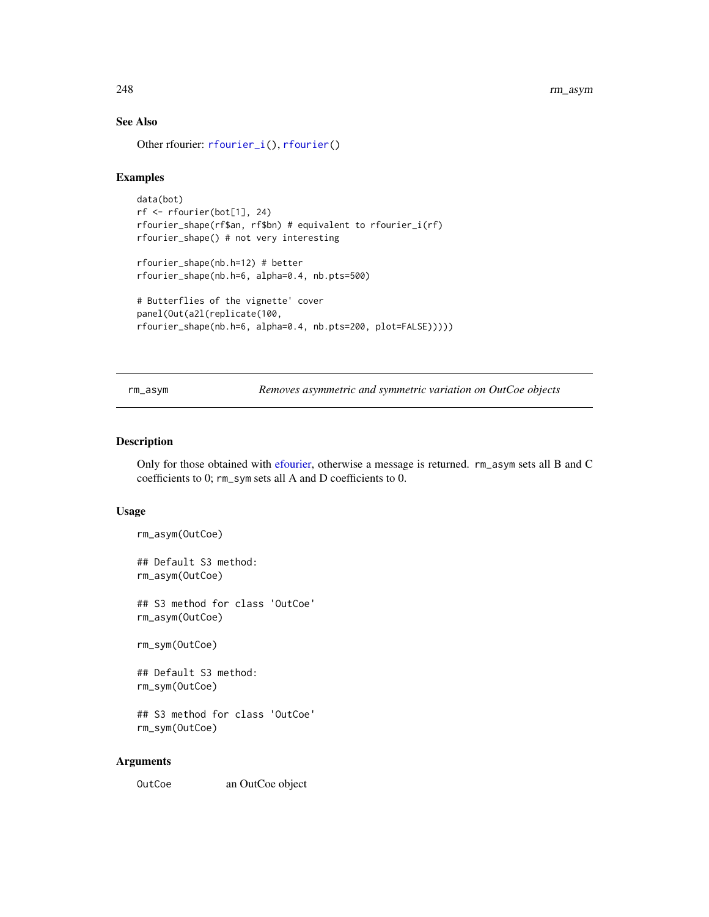# See Also

Other rfourier: [rfourier\\_i\(](#page-245-0)), [rfourier\(](#page-243-0))

# Examples

```
data(bot)
rf <- rfourier(bot[1], 24)
rfourier_shape(rf$an, rf$bn) # equivalent to rfourier_i(rf)
rfourier_shape() # not very interesting
```

```
rfourier_shape(nb.h=12) # better
rfourier_shape(nb.h=6, alpha=0.4, nb.pts=500)
```

```
# Butterflies of the vignette' cover
panel(Out(a2l(replicate(100,
rfourier_shape(nb.h=6, alpha=0.4, nb.pts=200, plot=FALSE)))))
```
rm\_asym *Removes asymmetric and symmetric variation on OutCoe objects*

# Description

Only for those obtained with [efourier,](#page-133-0) otherwise a message is returned. rm\_asym sets all B and C coefficients to 0; rm\_sym sets all A and D coefficients to 0.

# Usage

```
rm_asym(OutCoe)
```
## Default S3 method: rm\_asym(OutCoe)

## S3 method for class 'OutCoe' rm\_asym(OutCoe)

rm\_sym(OutCoe)

## Default S3 method: rm\_sym(OutCoe)

## S3 method for class 'OutCoe' rm\_sym(OutCoe)

#### Arguments

OutCoe an OutCoe object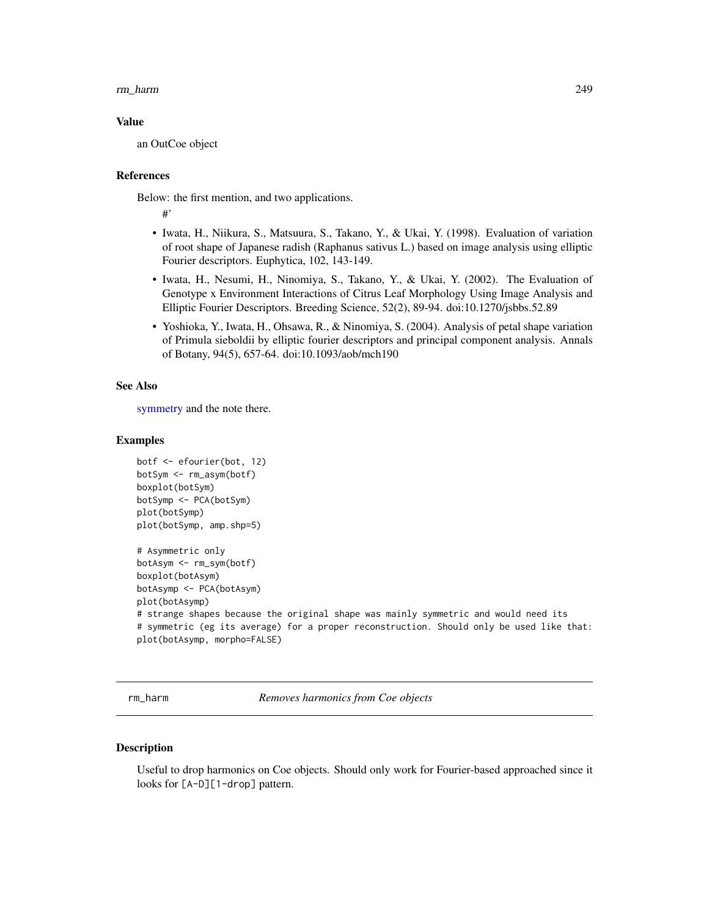#### rm\_harm 249

#### Value

an OutCoe object

#### References

Below: the first mention, and two applications.

#'

- Iwata, H., Niikura, S., Matsuura, S., Takano, Y., & Ukai, Y. (1998). Evaluation of variation of root shape of Japanese radish (Raphanus sativus L.) based on image analysis using elliptic Fourier descriptors. Euphytica, 102, 143-149.
- Iwata, H., Nesumi, H., Ninomiya, S., Takano, Y., & Ukai, Y. (2002). The Evaluation of Genotype x Environment Interactions of Citrus Leaf Morphology Using Image Analysis and Elliptic Fourier Descriptors. Breeding Science, 52(2), 89-94. doi:10.1270/jsbbs.52.89
- Yoshioka, Y., Iwata, H., Ohsawa, R., & Ninomiya, S. (2004). Analysis of petal shape variation of Primula sieboldii by elliptic fourier descriptors and principal component analysis. Annals of Botany, 94(5), 657-64. doi:10.1093/aob/mch190

## See Also

[symmetry](#page-265-0) and the note there.

#### Examples

```
botf <- efourier(bot, 12)
botSym <- rm_asym(botf)
boxplot(botSym)
botSymp <- PCA(botSym)
plot(botSymp)
plot(botSymp, amp.shp=5)
# Asymmetric only
botAsym <- rm_sym(botf)
boxplot(botAsym)
botAsymp <- PCA(botAsym)
plot(botAsymp)
# strange shapes because the original shape was mainly symmetric and would need its
# symmetric (eg its average) for a proper reconstruction. Should only be used like that:
plot(botAsymp, morpho=FALSE)
```
<span id="page-248-0"></span>rm\_harm *Removes harmonics from Coe objects*

# Description

Useful to drop harmonics on Coe objects. Should only work for Fourier-based approached since it looks for [A-D][1-drop] pattern.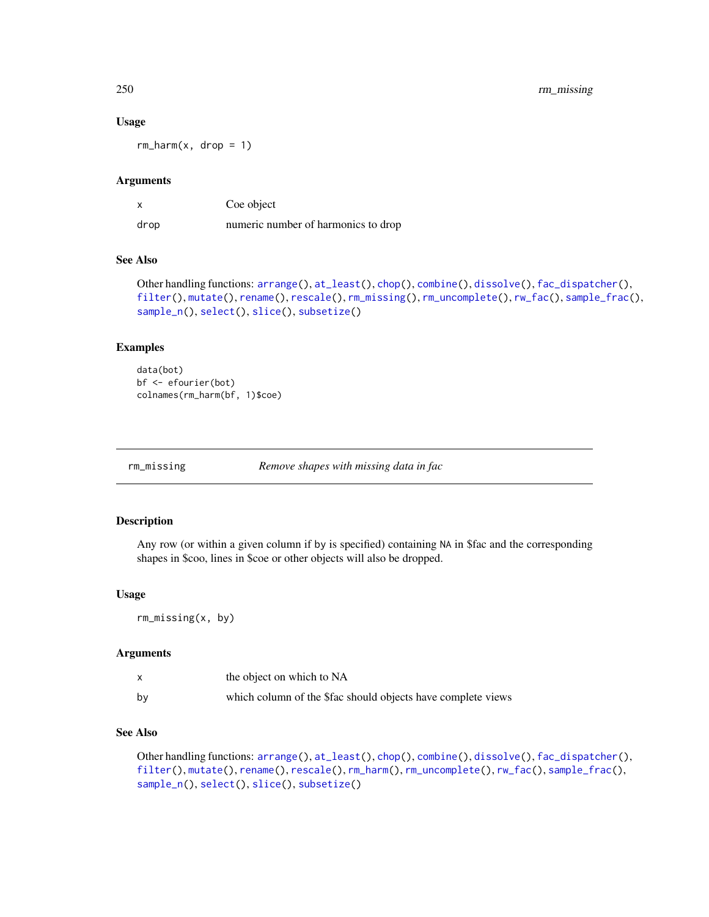# 250 rm\_missing

#### Usage

 $rm_\text{m-narm}(x, drop = 1)$ 

#### Arguments

|      | Coe object                          |
|------|-------------------------------------|
| drop | numeric number of harmonics to drop |

# See Also

```
Other handling functions: arrange(), at_least(), chop(), combine(), dissolve(), fac_dispatcher(),
filter(), mutate(), rename(), rescale(), rm_missing(), rm_uncomplete(), rw_fac(), sample_frac(),
sample_n(), select(), slice(), subsetize()
```
# Examples

data(bot) bf <- efourier(bot) colnames(rm\_harm(bf, 1)\$coe)

<span id="page-249-0"></span>

rm\_missing *Remove shapes with missing data in fac*

# Description

Any row (or within a given column if by is specified) containing NA in \$fac and the corresponding shapes in \$coo, lines in \$coe or other objects will also be dropped.

#### Usage

rm\_missing(x, by)

#### Arguments

|    | the object on which to NA                                    |
|----|--------------------------------------------------------------|
| bv | which column of the \$fac should objects have complete views |

# See Also

Other handling functions: [arrange\(](#page-7-0)), [at\\_least\(](#page-9-0)), [chop\(](#page-26-0)), [combine\(](#page-36-0)), [dissolve\(](#page-125-0)), [fac\\_dispatcher\(](#page-139-0)), [filter\(](#page-142-0)), [mutate\(](#page-188-0)), [rename\(](#page-240-0)), [rescale\(](#page-242-0)), [rm\\_harm\(](#page-248-0)), [rm\\_uncomplete\(](#page-250-0)), [rw\\_fac\(](#page-251-0)), [sample\\_frac\(](#page-252-0)), [sample\\_n\(](#page-253-0)), [select\(](#page-255-0)), [slice\(](#page-260-0)), [subsetize\(](#page-264-0))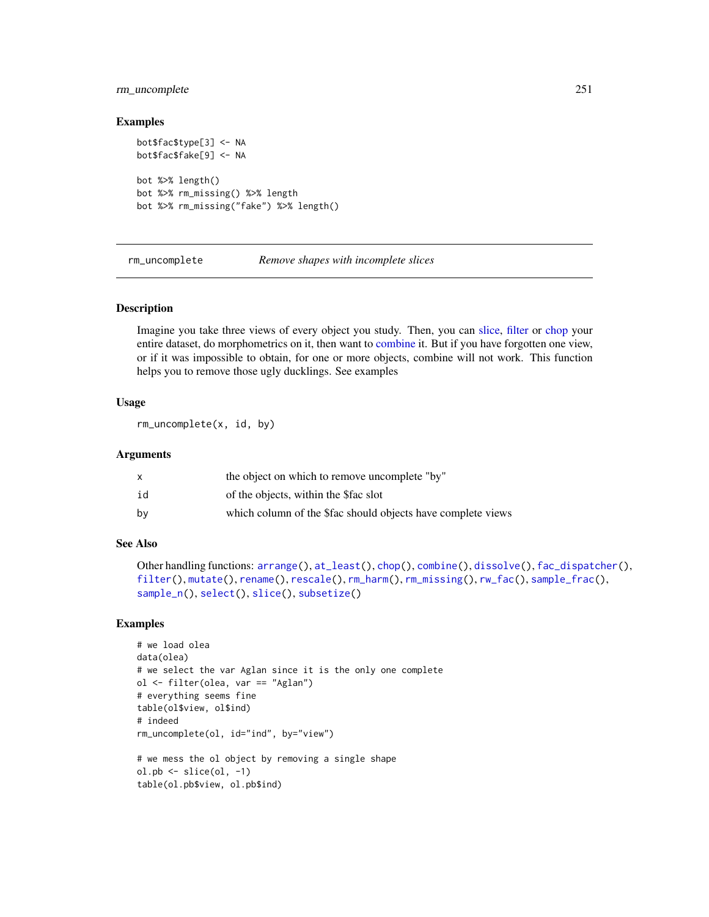# rm\_uncomplete 251

#### Examples

```
bot$fac$type[3] <- NA
bot$fac$fake[9] <- NA
bot %>% length()
bot %>% rm_missing() %>% length
bot %>% rm_missing("fake") %>% length()
```
<span id="page-250-0"></span>rm\_uncomplete *Remove shapes with incomplete slices*

#### Description

Imagine you take three views of every object you study. Then, you can [slice,](#page-260-0) [filter](#page-142-0) or [chop](#page-26-0) your entire dataset, do morphometrics on it, then want to [combine](#page-36-0) it. But if you have forgotten one view, or if it was impossible to obtain, for one or more objects, combine will not work. This function helps you to remove those ugly ducklings. See examples

# Usage

rm\_uncomplete(x, id, by)

#### Arguments

|    | the object on which to remove uncomplete "by"                |
|----|--------------------------------------------------------------|
| id | of the objects, within the \$fac slot                        |
| bv | which column of the \$fac should objects have complete views |

## See Also

```
Other handling functions: arrange(), at_least(), chop(), combine(), dissolve(), fac_dispatcher(),
filter(), mutate(), rename(), rescale(), rm_harm(), rm_missing(), rw_fac(), sample_frac(),
sample_n(), select(), slice(), subsetize()
```

```
# we load olea
data(olea)
# we select the var Aglan since it is the only one complete
ol <- filter(olea, var == "Aglan")
# everything seems fine
table(ol$view, ol$ind)
# indeed
rm_uncomplete(ol, id="ind", by="view")
# we mess the ol object by removing a single shape
ol.pb \leftarrow slice(ol, -1)table(ol.pb$view, ol.pb$ind)
```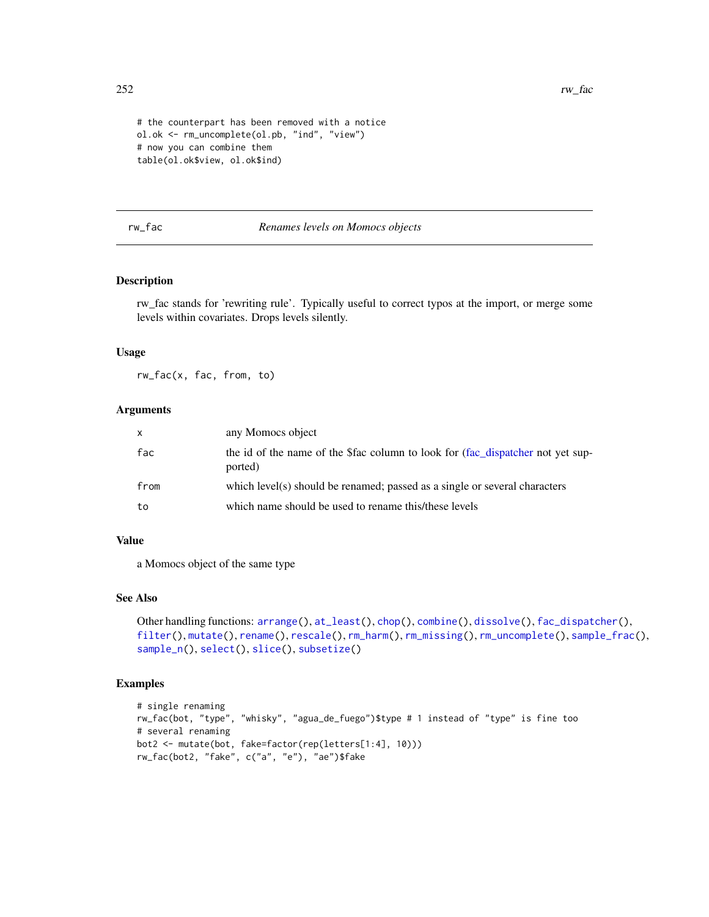252 rw\_fac

```
# the counterpart has been removed with a notice
ol.ok <- rm_uncomplete(ol.pb, "ind", "view")
# now you can combine them
table(ol.ok$view, ol.ok$ind)
```
#### <span id="page-251-0"></span>rw\_fac *Renames levels on Momocs objects*

# Description

rw\_fac stands for 'rewriting rule'. Typically useful to correct typos at the import, or merge some levels within covariates. Drops levels silently.

## Usage

rw\_fac(x, fac, from, to)

#### Arguments

| $\mathsf{x}$ | any Momocs object                                                                          |
|--------------|--------------------------------------------------------------------------------------------|
| fac          | the id of the name of the \$fac column to look for (fac_dispatcher not yet sup-<br>ported) |
| from         | which level(s) should be renamed; passed as a single or several characters                 |
| to           | which name should be used to rename this/these levels                                      |

#### Value

a Momocs object of the same type

# See Also

```
Other handling functions: arrange(), at_least(), chop(), combine(), dissolve(), fac_dispatcher(),
filter(), mutate(), rename(), rescale(), rm_harm(), rm_missing(), rm_uncomplete(), sample_frac(),
sample_n(), select(), slice(), subsetize()
```

```
# single renaming
rw_fac(bot, "type", "whisky", "agua_de_fuego")$type # 1 instead of "type" is fine too
# several renaming
bot2 <- mutate(bot, fake=factor(rep(letters[1:4], 10)))
rw_fac(bot2, "fake", c("a", "e"), "ae")$fake
```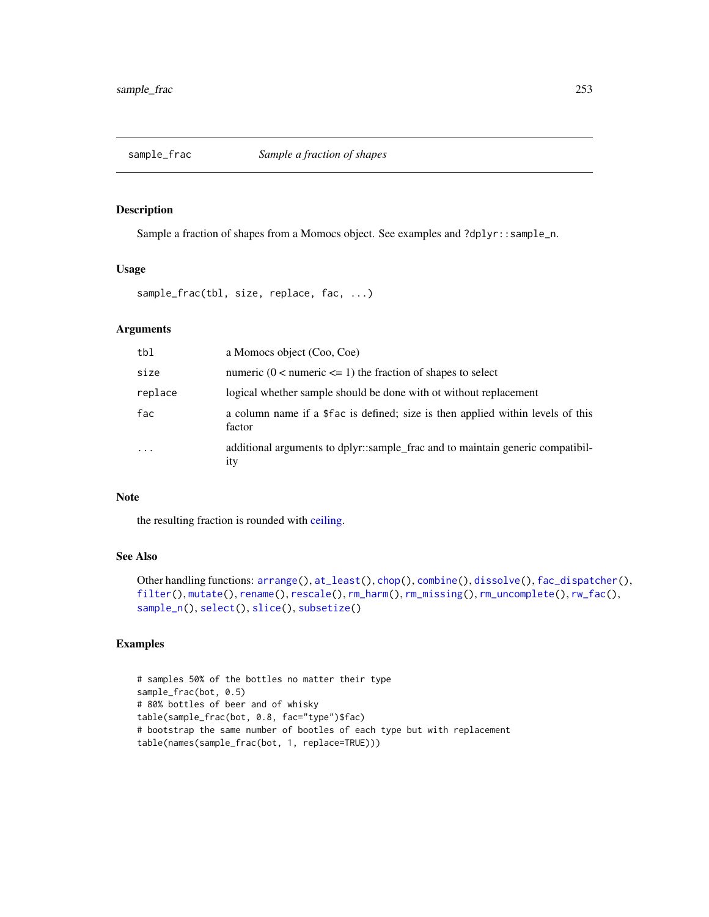<span id="page-252-1"></span><span id="page-252-0"></span>

Sample a fraction of shapes from a Momocs object. See examples and ?dplyr::sample\_n.

#### Usage

sample\_frac(tbl, size, replace, fac, ...)

#### Arguments

| tbl       | a Momocs object (Coo, Coe)                                                                |
|-----------|-------------------------------------------------------------------------------------------|
| size      | numeric $(0 \le$ numeric $\le$ = 1) the fraction of shapes to select                      |
| replace   | logical whether sample should be done with ot without replacement                         |
| fac       | a column name if a \$fac is defined; size is then applied within levels of this<br>factor |
| $\ddotsc$ | additional arguments to dplyr::sample_frac and to maintain generic compatibil-<br>ity     |

## Note

the resulting fraction is rounded with [ceiling.](#page-0-0)

#### See Also

```
Other handling functions: arrange(), at_least(), chop(), combine(), dissolve(), fac_dispatcher(),
filter(), mutate(), rename(), rescale(), rm_harm(), rm_missing(), rm_uncomplete(), rw_fac(),
sample_n(), select(), slice(), subsetize()
```

```
# samples 50% of the bottles no matter their type
sample_frac(bot, 0.5)
# 80% bottles of beer and of whisky
table(sample_frac(bot, 0.8, fac="type")$fac)
# bootstrap the same number of bootles of each type but with replacement
table(names(sample_frac(bot, 1, replace=TRUE)))
```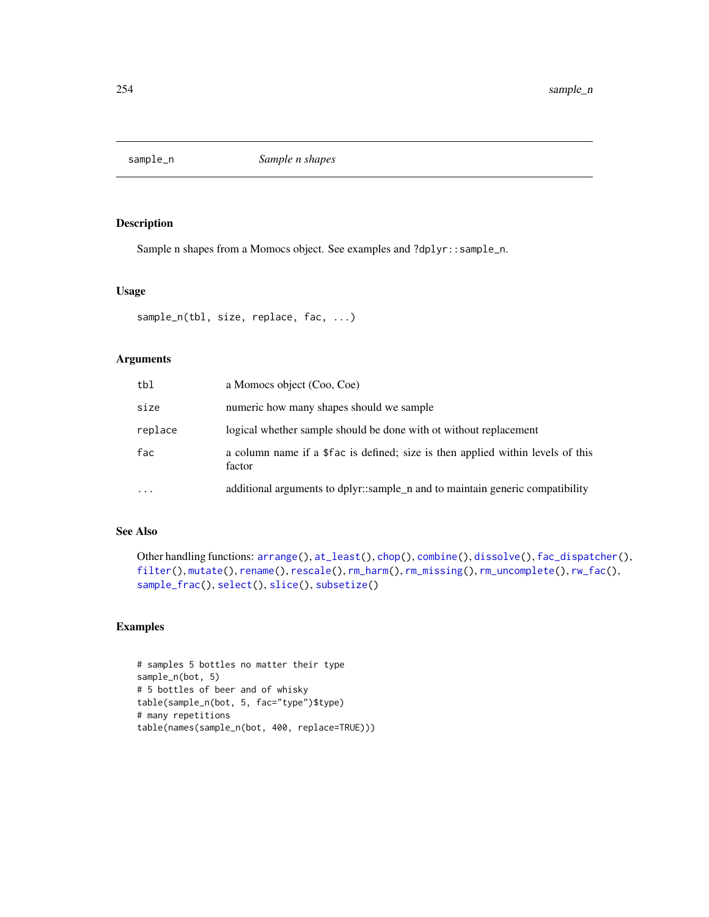<span id="page-253-1"></span><span id="page-253-0"></span>

Sample n shapes from a Momocs object. See examples and ?dplyr::sample\_n.

#### Usage

```
sample_n(tbl, size, replace, fac, ...)
```
## Arguments

| tbl      | a Momocs object (Coo, Coe)                                                                |
|----------|-------------------------------------------------------------------------------------------|
| size     | numeric how many shapes should we sample                                                  |
| replace  | logical whether sample should be done with ot without replacement                         |
| fac      | a column name if a \$fac is defined; size is then applied within levels of this<br>factor |
| $\cdots$ | additional arguments to dplyr::sample_n and to maintain generic compatibility             |

## See Also

```
Other handling functions: arrange(), at_least(), chop(), combine(), dissolve(), fac_dispatcher(),
filter(), mutate(), rename(), rescale(), rm_harm(), rm_missing(), rm_uncomplete(), rw_fac(),
sample_frac(), select(), slice(), subsetize()
```

```
# samples 5 bottles no matter their type
sample_n(bot, 5)
# 5 bottles of beer and of whisky
table(sample_n(bot, 5, fac="type")$type)
# many repetitions
table(names(sample_n(bot, 400, replace=TRUE)))
```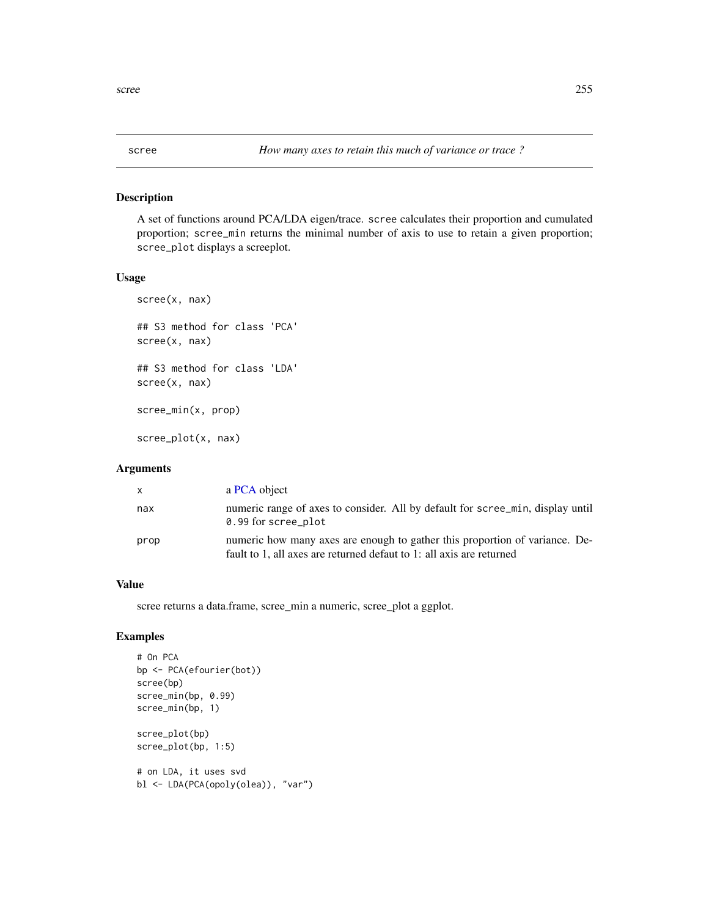A set of functions around PCA/LDA eigen/trace. scree calculates their proportion and cumulated proportion; scree\_min returns the minimal number of axis to use to retain a given proportion; scree\_plot displays a screeplot.

#### Usage

```
scree(x, nax)
## S3 method for class 'PCA'
scree(x, nax)
## S3 method for class 'LDA'
scree(x, nax)
scree_min(x, prop)
```
scree\_plot(x, nax)

## Arguments

| $\mathsf{x}$ | a PCA object                                                                                                                                        |
|--------------|-----------------------------------------------------------------------------------------------------------------------------------------------------|
| nax          | numeric range of axes to consider. All by default for scree_min, display until<br>0.99 for scree_plot                                               |
| prop         | numeric how many axes are enough to gather this proportion of variance. De-<br>fault to 1, all axes are returned defaut to 1: all axis are returned |

#### Value

scree returns a data.frame, scree\_min a numeric, scree\_plot a ggplot.

```
# On PCA
bp <- PCA(efourier(bot))
scree(bp)
scree_min(bp, 0.99)
scree_min(bp, 1)
scree_plot(bp)
scree_plot(bp, 1:5)
# on LDA, it uses svd
bl <- LDA(PCA(opoly(olea)), "var")
```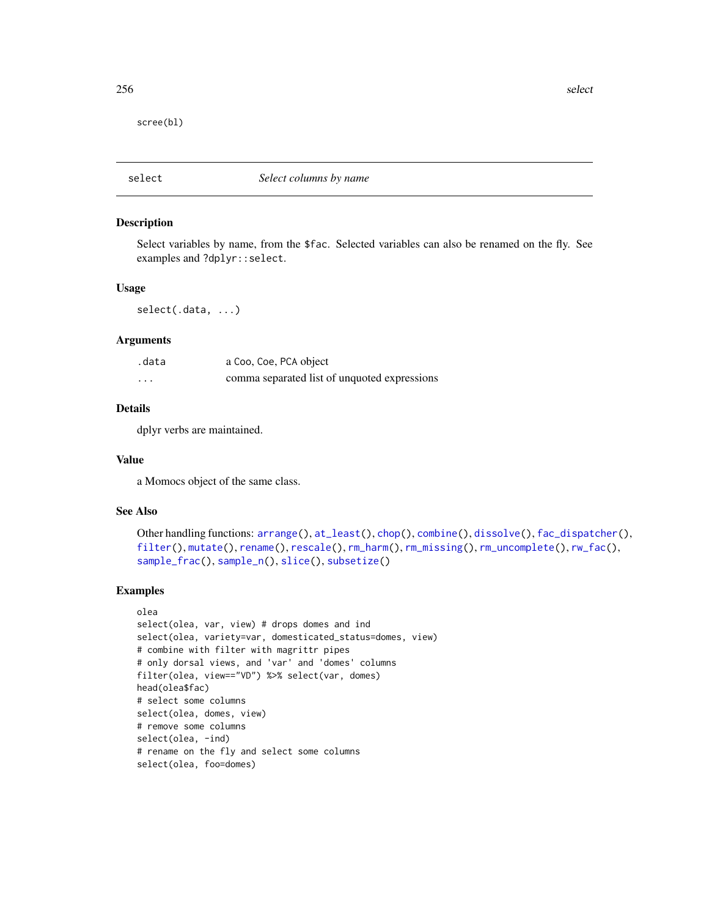<span id="page-255-1"></span>256 selection and the selection of the selection of the selection of the selection of the selection of the selection of the selection of the selection of the selection of the selection of the selection of the selection of

scree(bl)

<span id="page-255-0"></span>select *Select columns by name*

#### Description

Select variables by name, from the \$fac. Selected variables can also be renamed on the fly. See examples and ?dplyr::select.

#### Usage

select(.data, ...)

#### Arguments

| .data    | a Coo, Coe, PCA object                       |
|----------|----------------------------------------------|
| $\cdots$ | comma separated list of unquoted expressions |

#### Details

dplyr verbs are maintained.

#### Value

a Momocs object of the same class.

#### See Also

```
Other handling functions: arrange(), at_least(), chop(), combine(), dissolve(), fac_dispatcher(),
filter(), mutate(), rename(), rescale(), rm_harm(), rm_missing(), rm_uncomplete(), rw_fac(),
sample_frac(), sample_n(), slice(), subsetize()
```

```
olea
select(olea, var, view) # drops domes and ind
select(olea, variety=var, domesticated_status=domes, view)
# combine with filter with magrittr pipes
# only dorsal views, and 'var' and 'domes' columns
filter(olea, view=="VD") %>% select(var, domes)
head(olea$fac)
# select some columns
select(olea, domes, view)
# remove some columns
select(olea, -ind)
# rename on the fly and select some columns
select(olea, foo=domes)
```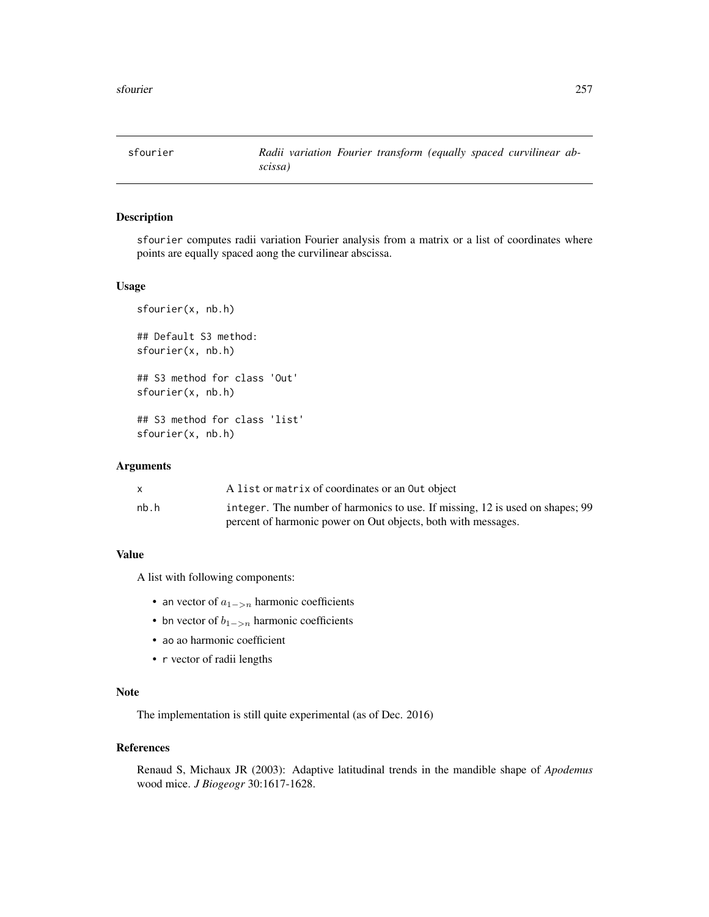<span id="page-256-1"></span><span id="page-256-0"></span>sfourier *Radii variation Fourier transform (equally spaced curvilinear abscissa)*

## Description

sfourier computes radii variation Fourier analysis from a matrix or a list of coordinates where points are equally spaced aong the curvilinear abscissa.

## Usage

```
sfourier(x, nb.h)
## Default S3 method:
sfourier(x, nb.h)
## S3 method for class 'Out'
sfourier(x, nb.h)
## S3 method for class 'list'
sfourier(x, nb.h)
```
#### Arguments

|      | A list or matrix of coordinates or an Out object                              |
|------|-------------------------------------------------------------------------------|
| nb.h | integer. The number of harmonics to use. If missing, 12 is used on shapes; 99 |
|      | percent of harmonic power on Out objects, both with messages.                 |

## Value

A list with following components:

- an vector of  $a_{1->n}$  harmonic coefficients
- bn vector of  $b_{1->n}$  harmonic coefficients
- ao ao harmonic coefficient
- r vector of radii lengths

## Note

The implementation is still quite experimental (as of Dec. 2016)

## References

Renaud S, Michaux JR (2003): Adaptive latitudinal trends in the mandible shape of *Apodemus* wood mice. *J Biogeogr* 30:1617-1628.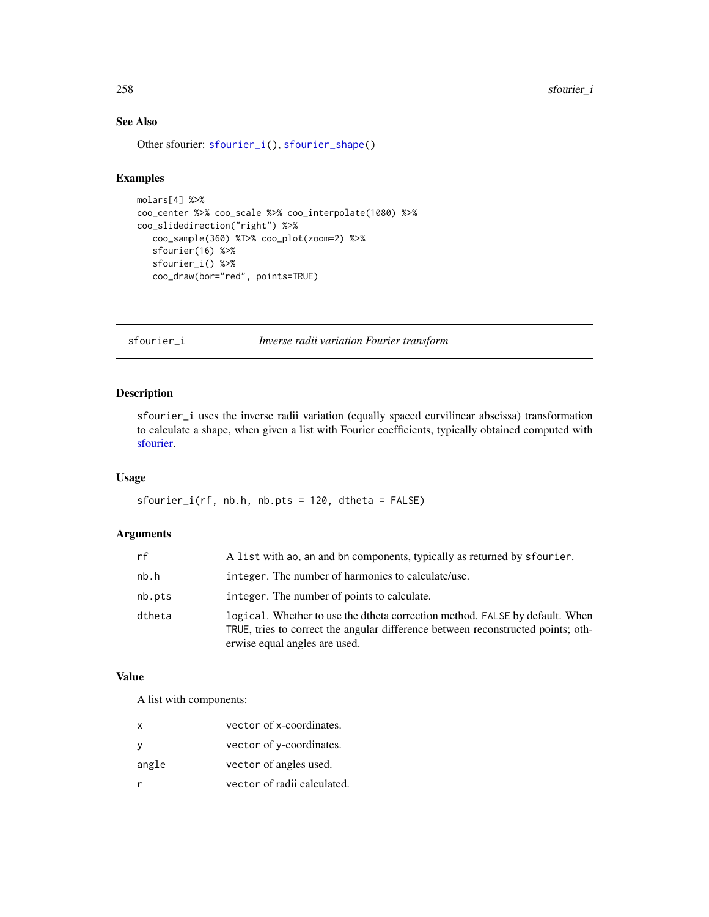258 sfourier\_i

# See Also

Other sfourier: [sfourier\\_i\(](#page-257-0)), [sfourier\\_shape\(](#page-258-0))

## Examples

```
molars[4] %>%
coo_center %>% coo_scale %>% coo_interpolate(1080) %>%
coo_slidedirection("right") %>%
   coo_sample(360) %T>% coo_plot(zoom=2) %>%
  sfourier(16) %>%
  sfourier_i() %>%
  coo_draw(bor="red", points=TRUE)
```
<span id="page-257-0"></span>sfourier\_i *Inverse radii variation Fourier transform*

## Description

sfourier\_i uses the inverse radii variation (equally spaced curvilinear abscissa) transformation to calculate a shape, when given a list with Fourier coefficients, typically obtained computed with [sfourier.](#page-256-0)

## Usage

 $sfourier_i(rf, nb.h, nb.pts = 120, dtheta = FALSE)$ 

## Arguments

| rf     | A list with ao, an and bn components, typically as returned by sfourier.                                                                                                                          |
|--------|---------------------------------------------------------------------------------------------------------------------------------------------------------------------------------------------------|
| nb.h   | integer. The number of harmonics to calculate/use.                                                                                                                                                |
| nb.pts | integer. The number of points to calculate.                                                                                                                                                       |
| dtheta | logical. Whether to use the dtheta correction method. FALSE by default. When<br>TRUE, tries to correct the angular difference between reconstructed points; oth-<br>erwise equal angles are used. |

## Value

A list with components:

| x     | vector of x-coordinates.    |
|-------|-----------------------------|
| у     | vector of y-coordinates.    |
| angle | vector of angles used.      |
| r     | vector of radii calculated. |

<span id="page-257-1"></span>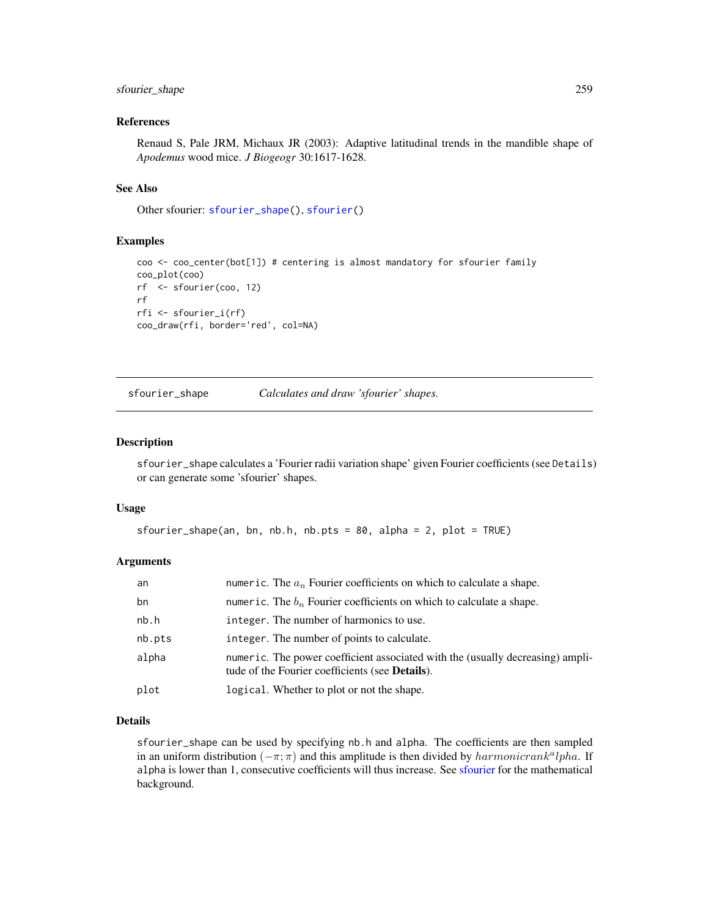## <span id="page-258-1"></span>sfourier\_shape 259

#### References

Renaud S, Pale JRM, Michaux JR (2003): Adaptive latitudinal trends in the mandible shape of *Apodemus* wood mice. *J Biogeogr* 30:1617-1628.

#### See Also

Other sfourier: [sfourier\\_shape\(](#page-258-0)), [sfourier\(](#page-256-0))

#### Examples

```
coo <- coo_center(bot[1]) # centering is almost mandatory for sfourier family
coo_plot(coo)
rf <- sfourier(coo, 12)
rf
rfi <- sfourier_i(rf)
coo_draw(rfi, border='red', col=NA)
```
<span id="page-258-0"></span>sfourier\_shape *Calculates and draw 'sfourier' shapes.*

#### Description

sfourier\_shape calculates a 'Fourier radii variation shape' given Fourier coefficients (see Details) or can generate some 'sfourier' shapes.

#### Usage

```
sfourier_shape(an, bn, nb.h, nb.pts = 80, alpha = 2, plot = TRUE)
```
#### Arguments

| an     | numeric. The $a_n$ Fourier coefficients on which to calculate a shape.                                                                    |
|--------|-------------------------------------------------------------------------------------------------------------------------------------------|
| bn     | numeric. The $b_n$ Fourier coefficients on which to calculate a shape.                                                                    |
| nb.h   | integer. The number of harmonics to use.                                                                                                  |
| nb.pts | integer. The number of points to calculate.                                                                                               |
| alpha  | numeric. The power coefficient associated with the (usually decreasing) ampli-<br>tude of the Fourier coefficients (see <b>Details</b> ). |
| plot   | logical. Whether to plot or not the shape.                                                                                                |

#### Details

sfourier\_shape can be used by specifying nb.h and alpha. The coefficients are then sampled in an uniform distribution  $(-\pi; \pi)$  and this amplitude is then divided by  $harmonic rank<sup>a</sup>lpha$ . If alpha is lower than 1, consecutive coefficients will thus increase. See [sfourier](#page-256-0) for the mathematical background.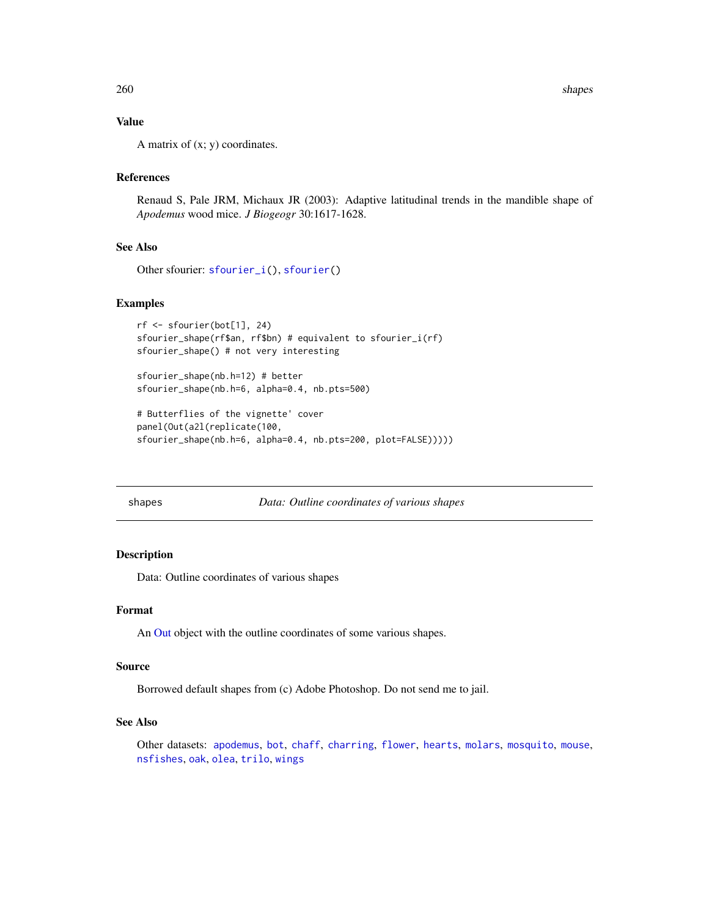## <span id="page-259-1"></span>Value

A matrix of  $(x; y)$  coordinates.

## References

Renaud S, Pale JRM, Michaux JR (2003): Adaptive latitudinal trends in the mandible shape of *Apodemus* wood mice. *J Biogeogr* 30:1617-1628.

## See Also

Other sfourier: [sfourier\\_i\(](#page-257-0)), [sfourier\(](#page-256-0))

#### Examples

```
rf <- sfourier(bot[1], 24)
sfourier_shape(rf$an, rf$bn) # equivalent to sfourier_i(rf)
sfourier_shape() # not very interesting
```

```
sfourier_shape(nb.h=12) # better
sfourier_shape(nb.h=6, alpha=0.4, nb.pts=500)
```

```
# Butterflies of the vignette' cover
panel(Out(a2l(replicate(100,
sfourier_shape(nb.h=6, alpha=0.4, nb.pts=200, plot=FALSE)))))
```
<span id="page-259-0"></span>shapes *Data: Outline coordinates of various shapes*

## Description

Data: Outline coordinates of various shapes

## Format

An [Out](#page-197-0) object with the outline coordinates of some various shapes.

#### Source

Borrowed default shapes from (c) Adobe Photoshop. Do not send me to jail.

## See Also

Other datasets: [apodemus](#page-7-1), [bot](#page-12-0), [chaff](#page-25-0), [charring](#page-25-1), [flower](#page-144-0), [hearts](#page-150-0), [molars](#page-181-0), [mosquito](#page-186-0), [mouse](#page-186-1), [nsfishes](#page-191-0), [oak](#page-192-0), [olea](#page-192-1), [trilo](#page-277-0), [wings](#page-280-0)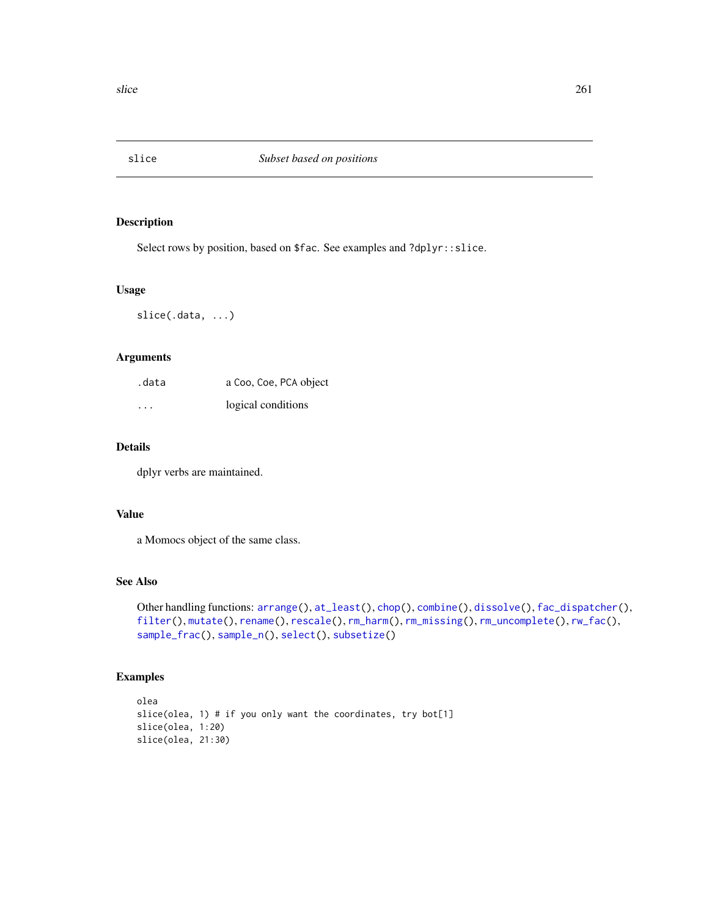<span id="page-260-1"></span><span id="page-260-0"></span>

Select rows by position, based on \$fac. See examples and ?dplyr::slice.

#### Usage

slice(.data, ...)

## Arguments

| .data   | a Coo, Coe, PCA object |
|---------|------------------------|
| $\cdot$ | logical conditions     |

## Details

dplyr verbs are maintained.

### Value

a Momocs object of the same class.

## See Also

```
Other handling functions: arrange(), at_least(), chop(), combine(), dissolve(), fac_dispatcher(),
filter(), mutate(), rename(), rescale(), rm_harm(), rm_missing(), rm_uncomplete(), rw_fac(),
sample_frac(), sample_n(), select(), subsetize()
```

```
olea
slice(olea, 1) # if you only want the coordinates, try bot[1]
slice(olea, 1:20)
slice(olea, 21:30)
```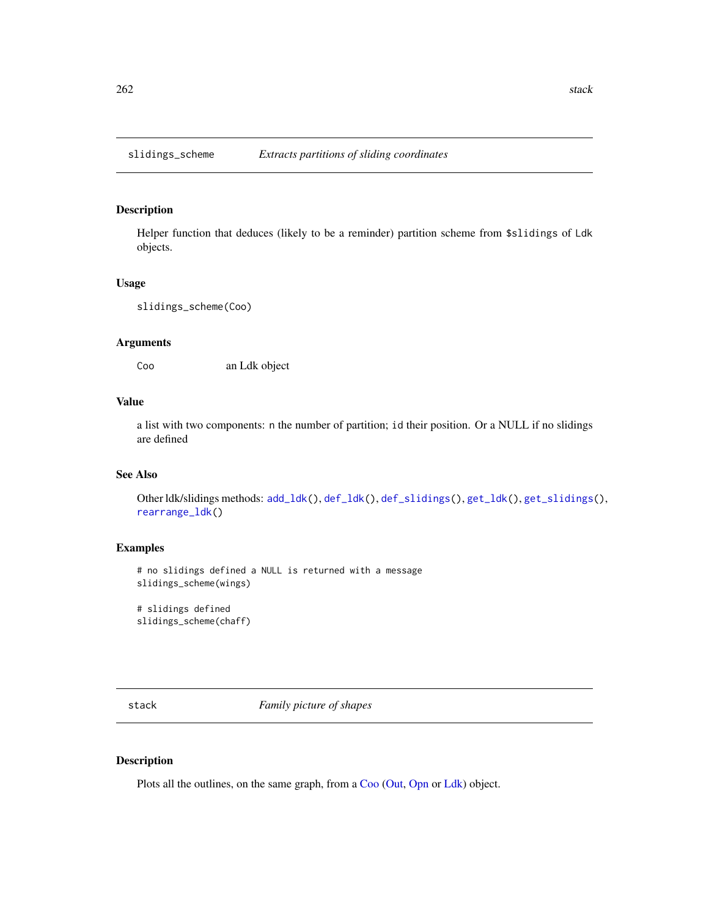<span id="page-261-0"></span>Helper function that deduces (likely to be a reminder) partition scheme from \$slidings of Ldk objects.

#### Usage

slidings\_scheme(Coo)

## Arguments

Coo an Ldk object

## Value

a list with two components: n the number of partition; id their position. Or a NULL if no slidings are defined

## See Also

Other ldk/slidings methods: [add\\_ldk\(](#page-6-0)), [def\\_ldk\(](#page-117-0)), [def\\_slidings\(](#page-120-0)), [get\\_ldk\(](#page-146-0)), [get\\_slidings\(](#page-148-0)), [rearrange\\_ldk\(](#page-238-0))

## Examples

```
# no slidings defined a NULL is returned with a message
slidings_scheme(wings)
```
# slidings defined slidings\_scheme(chaff)

stack *Family picture of shapes*

#### Description

Plots all the outlines, on the same graph, from a [Coo](#page-38-0) [\(Out,](#page-197-0) [Opn](#page-193-0) or [Ldk\)](#page-169-0) object.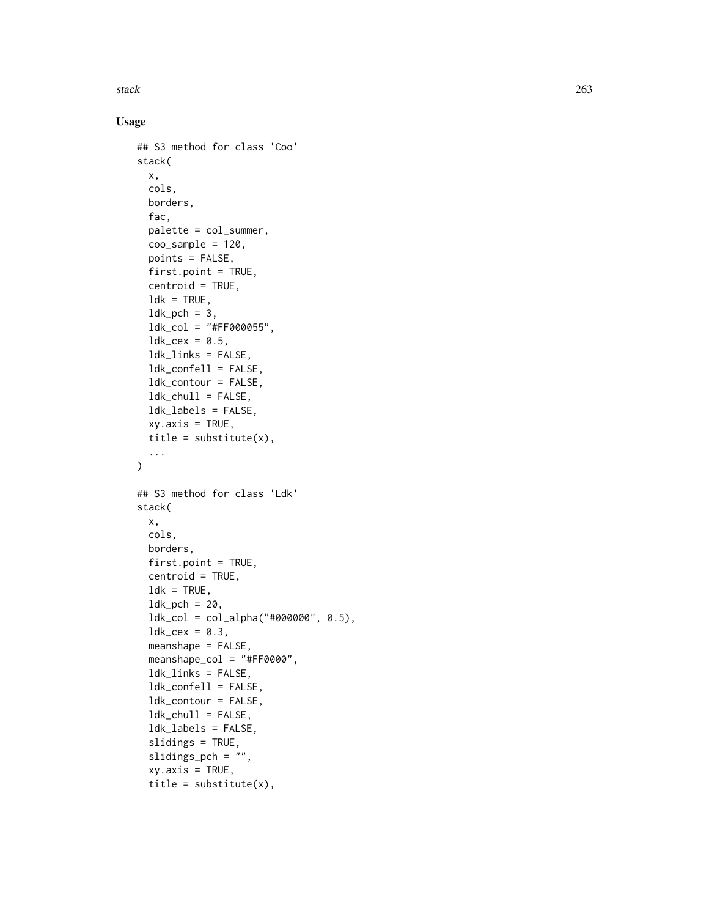stack 263

# Usage

```
## S3 method for class 'Coo'
stack(
  x,
  cols,
 borders,
  fac,
  palette = col_summer,
  coo_sample = 120,
  points = FALSE,
  first.point = TRUE,
  centroid = TRUE,
  ldk = TRUE,ldk<sub>-pch</sub> = 3,
  ldk_{col} = "#FF0000055",ldk\_cex = 0.5,
  ldk_links = FALSE,
  ldk_confell = FALSE,
  ldk_contour = FALSE,
  ldk_chull = FALSE,
  ldk_labels = FALSE,
  xy. axis = TRUE,title = substitute(x),
  ...
\mathcal{L}## S3 method for class 'Ldk'
stack(
 x,
  cols,
 borders,
  first.point = TRUE,
  centroid = TRUE,
  ldk = TRUE,ldk<sub>-pch</sub> = 20,
  ldk_col = col_alpha("#000000", 0.5),
  ldk_{cex} = 0.3,
  meanshape = FALSE,
  meanshape_col = "#FF0000",
  ldk_links = FALSE,
  ldk_confell = FALSE,
  ldk_contour = FALSE,
  ldk_chull = FALSE,
  ldk_labels = FALSE,
  slidings = TRUE,
  slidings_pch = "",
  xy. axis = TRUE,title = substitute(x),
```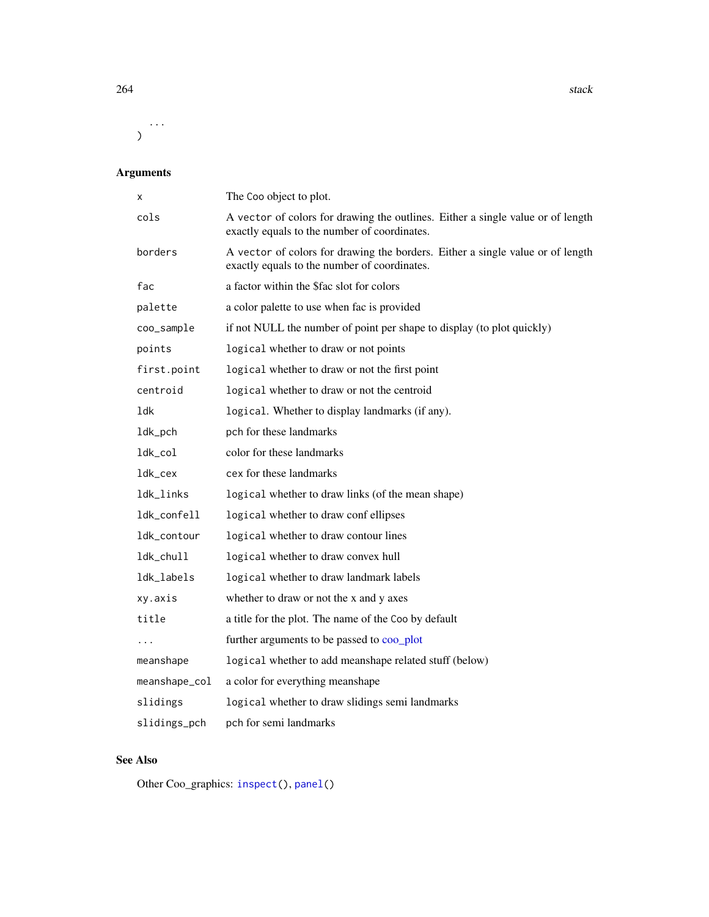<span id="page-263-0"></span> $264$  stack  $364$  stack  $364$  stack  $364$  stack  $364$  stack  $364$  stack  $364$  stack  $364$  stack  $364$  stack  $364$  stack  $364$  stack  $364$  stack  $364$  stack  $364$  stack  $364$  stack  $364$  stack  $364$  stack  $364$  stack  $364$ 

...  $\mathcal{L}$ 

# Arguments

| X             | The Coo object to plot.                                                                                                         |
|---------------|---------------------------------------------------------------------------------------------------------------------------------|
| cols          | A vector of colors for drawing the outlines. Either a single value or of length<br>exactly equals to the number of coordinates. |
| borders       | A vector of colors for drawing the borders. Either a single value or of length<br>exactly equals to the number of coordinates.  |
| fac           | a factor within the \$fac slot for colors                                                                                       |
| palette       | a color palette to use when fac is provided                                                                                     |
| coo_sample    | if not NULL the number of point per shape to display (to plot quickly)                                                          |
| points        | logical whether to draw or not points                                                                                           |
| first.point   | logical whether to draw or not the first point                                                                                  |
| centroid      | logical whether to draw or not the centroid                                                                                     |
| 1dk           | logical. Whether to display landmarks (if any).                                                                                 |
| ldk_pch       | pch for these landmarks                                                                                                         |
| ldk_col       | color for these landmarks                                                                                                       |
| ldk_cex       | cex for these landmarks                                                                                                         |
| ldk_links     | logical whether to draw links (of the mean shape)                                                                               |
| ldk_confell   | logical whether to draw conf ellipses                                                                                           |
| ldk_contour   | logical whether to draw contour lines                                                                                           |
| ldk_chull     | logical whether to draw convex hull                                                                                             |
| ldk_labels    | logical whether to draw landmark labels                                                                                         |
| xy.axis       | whether to draw or not the x and y axes                                                                                         |
| title         | a title for the plot. The name of the Coo by default                                                                            |
| .             | further arguments to be passed to coo_plot                                                                                      |
| meanshape     | logical whether to add meanshape related stuff (below)                                                                          |
| meanshape_col | a color for everything meanshape                                                                                                |
| slidings      | logical whether to draw slidings semi landmarks                                                                                 |
| slidings_pch  | pch for semi landmarks                                                                                                          |

## See Also

Other Coo\_graphics: [inspect\(](#page-158-0)), [panel\(](#page-201-0))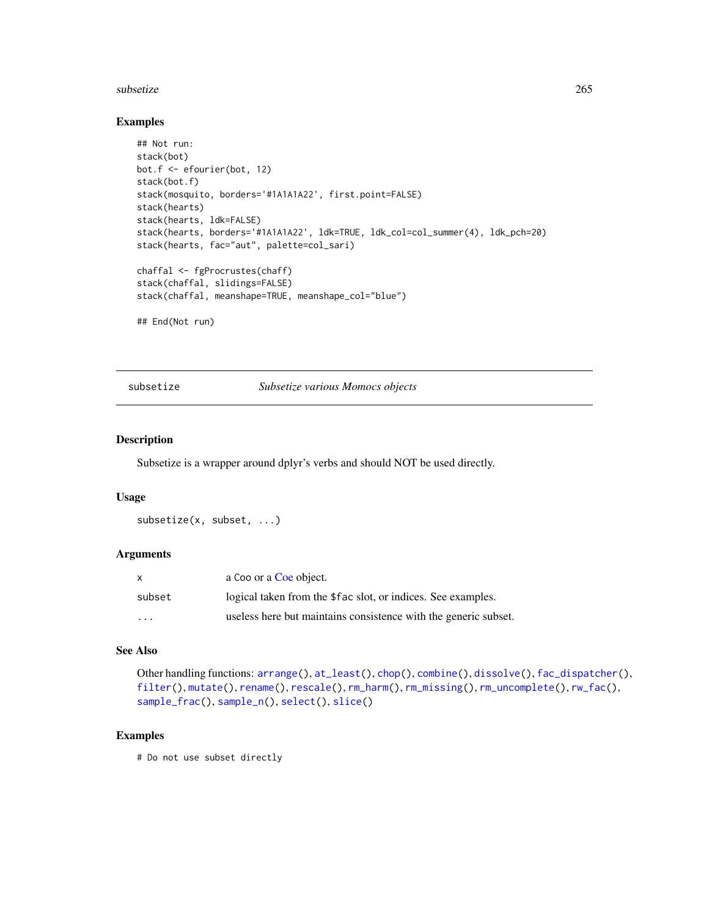#### <span id="page-264-1"></span>subsetize 265

#### Examples

```
## Not run:
stack(bot)
bot.f <- efourier(bot, 12)
stack(bot.f)
stack(mosquito, borders='#1A1A1A22', first.point=FALSE)
stack(hearts)
stack(hearts, ldk=FALSE)
stack(hearts, borders='#1A1A1A22', ldk=TRUE, ldk_col=col_summer(4), ldk_pch=20)
stack(hearts, fac="aut", palette=col_sari)
chaffal <- fgProcrustes(chaff)
stack(chaffal, slidings=FALSE)
stack(chaffal, meanshape=TRUE, meanshape_col="blue")
## End(Not run)
```
<span id="page-264-0"></span>subsetize *Subsetize various Momocs objects*

# Description

Subsetize is a wrapper around dplyr's verbs and should NOT be used directly.

#### Usage

```
subsetize(x, subset, ...)
```
#### Arguments

| X                 | a Coo or a Coe object.                                          |
|-------------------|-----------------------------------------------------------------|
| subset            | logical taken from the \$fac slot, or indices. See examples.    |
| $\cdot\cdot\cdot$ | useless here but maintains consistence with the generic subset. |

#### See Also

```
Other handling functions: arrange(), at_least(), chop(), combine(), dissolve(), fac_dispatcher(),
filter(), mutate(), rename(), rescale(), rm_harm(), rm_missing(), rm_uncomplete(), rw_fac(),
sample_frac(), sample_n(), select(), slice()
```
#### Examples

# Do not use subset directly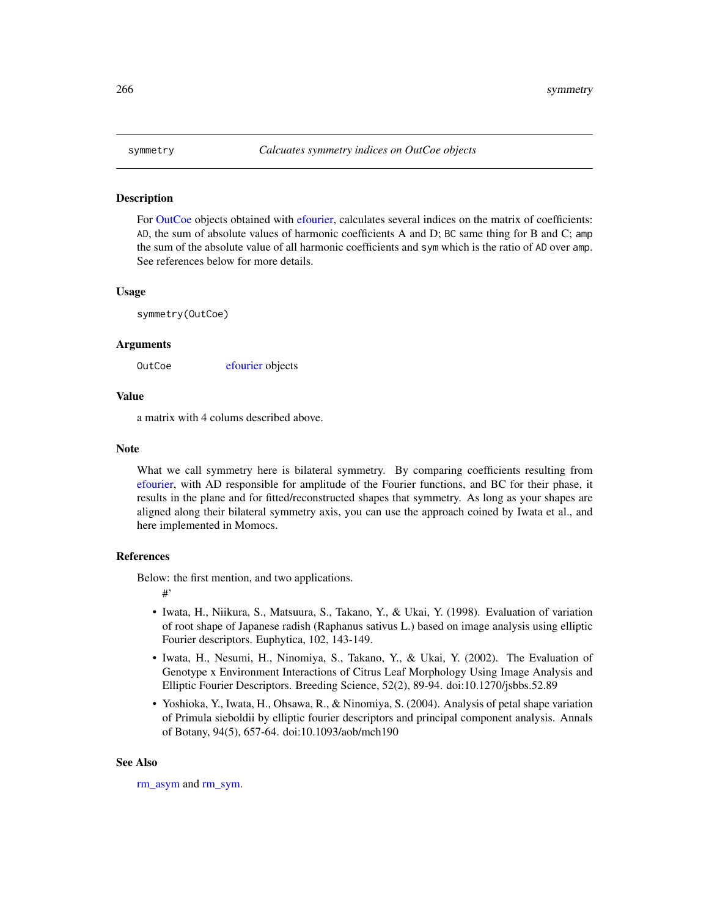For [OutCoe](#page-198-0) objects obtained with [efourier,](#page-133-0) calculates several indices on the matrix of coefficients: AD, the sum of absolute values of harmonic coefficients A and D; BC same thing for B and C; amp the sum of the absolute value of all harmonic coefficients and sym which is the ratio of AD over amp. See references below for more details.

#### Usage

symmetry(OutCoe)

#### Arguments

OutCoe [efourier](#page-133-0) objects

#### Value

a matrix with 4 colums described above.

#### Note

What we call symmetry here is bilateral symmetry. By comparing coefficients resulting from [efourier,](#page-133-0) with AD responsible for amplitude of the Fourier functions, and BC for their phase, it results in the plane and for fitted/reconstructed shapes that symmetry. As long as your shapes are aligned along their bilateral symmetry axis, you can use the approach coined by Iwata et al., and here implemented in Momocs.

### References

Below: the first mention, and two applications.

#'

- Iwata, H., Niikura, S., Matsuura, S., Takano, Y., & Ukai, Y. (1998). Evaluation of variation of root shape of Japanese radish (Raphanus sativus L.) based on image analysis using elliptic Fourier descriptors. Euphytica, 102, 143-149.
- Iwata, H., Nesumi, H., Ninomiya, S., Takano, Y., & Ukai, Y. (2002). The Evaluation of Genotype x Environment Interactions of Citrus Leaf Morphology Using Image Analysis and Elliptic Fourier Descriptors. Breeding Science, 52(2), 89-94. doi:10.1270/jsbbs.52.89
- Yoshioka, Y., Iwata, H., Ohsawa, R., & Ninomiya, S. (2004). Analysis of petal shape variation of Primula sieboldii by elliptic fourier descriptors and principal component analysis. Annals of Botany, 94(5), 657-64. doi:10.1093/aob/mch190

#### See Also

[rm\\_asym](#page-247-0) and [rm\\_sym.](#page-247-1)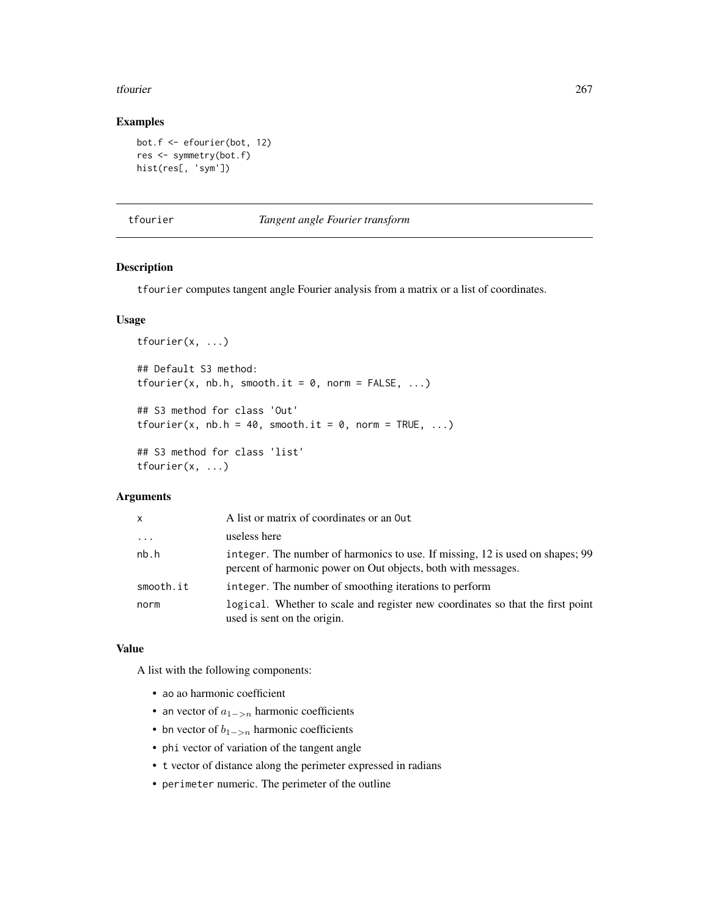#### <span id="page-266-1"></span>tfourier 267

## Examples

```
bot.f <- efourier(bot, 12)
res <- symmetry(bot.f)
hist(res[, 'sym'])
```
<span id="page-266-0"></span>tfourier *Tangent angle Fourier transform*

## Description

tfourier computes tangent angle Fourier analysis from a matrix or a list of coordinates.

## Usage

```
tfourier(x, ...)
## Default S3 method:
tfourier(x, nb.h, smooth.it = 0, norm = FALSE, ...)
## S3 method for class 'Out'
tfourier(x, nb.h = 40, smooth.it = 0, norm = TRUE, \ldots)
## S3 method for class 'list'
tfourier(x, ...)
```
## Arguments

| $\mathsf{x}$ | A list or matrix of coordinates or an Out                                                                                                      |
|--------------|------------------------------------------------------------------------------------------------------------------------------------------------|
| $\cdot$      | useless here                                                                                                                                   |
| nb.h         | integer. The number of harmonics to use. If missing, 12 is used on shapes; 99<br>percent of harmonic power on Out objects, both with messages. |
| smooth.it    | integer. The number of smoothing iterations to perform                                                                                         |
| norm         | logical. Whether to scale and register new coordinates so that the first point<br>used is sent on the origin.                                  |

## Value

A list with the following components:

- ao ao harmonic coefficient
- an vector of  $a_{1->n}$  harmonic coefficients
- bn vector of  $b_{1->n}$  harmonic coefficients
- phi vector of variation of the tangent angle
- t vector of distance along the perimeter expressed in radians
- perimeter numeric. The perimeter of the outline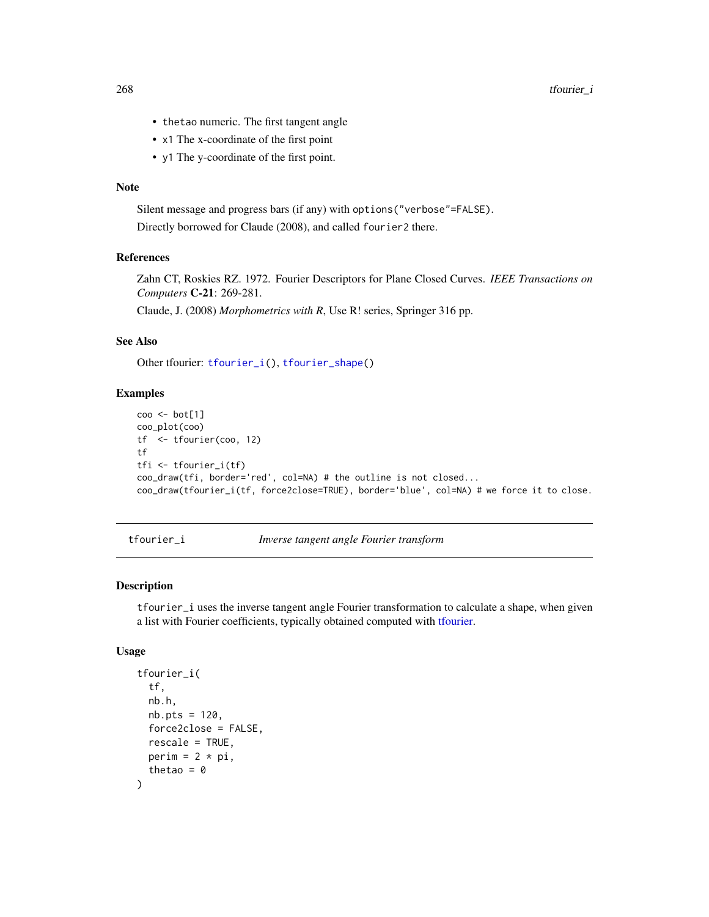<span id="page-267-1"></span>268 tfourier\_i

- thetao numeric. The first tangent angle
- x1 The x-coordinate of the first point
- y1 The y-coordinate of the first point.

#### Note

Silent message and progress bars (if any) with options("verbose"=FALSE). Directly borrowed for Claude (2008), and called fourier2 there.

## References

Zahn CT, Roskies RZ. 1972. Fourier Descriptors for Plane Closed Curves. *IEEE Transactions on Computers* C-21: 269-281.

Claude, J. (2008) *Morphometrics with R*, Use R! series, Springer 316 pp.

#### See Also

Other tfourier: [tfourier\\_i\(](#page-267-0)), [tfourier\\_shape\(](#page-269-0))

#### Examples

```
coo <- bot[1]
coo_plot(coo)
tf <- tfourier(coo, 12)
tf
tfi <- tfourier_i(tf)
coo_draw(tfi, border='red', col=NA) # the outline is not closed...
coo_draw(tfourier_i(tf, force2close=TRUE), border='blue', col=NA) # we force it to close.
```
<span id="page-267-0"></span>tfourier\_i *Inverse tangent angle Fourier transform*

#### Description

tfourier\_i uses the inverse tangent angle Fourier transformation to calculate a shape, when given a list with Fourier coefficients, typically obtained computed with [tfourier.](#page-266-0)

#### Usage

```
tfourier_i(
  tf,
  nb.h,
  nb.pts = 120,
  force2close = FALSE,
  rescale = TRUE,perim = 2 * pi,thetao = \theta)
```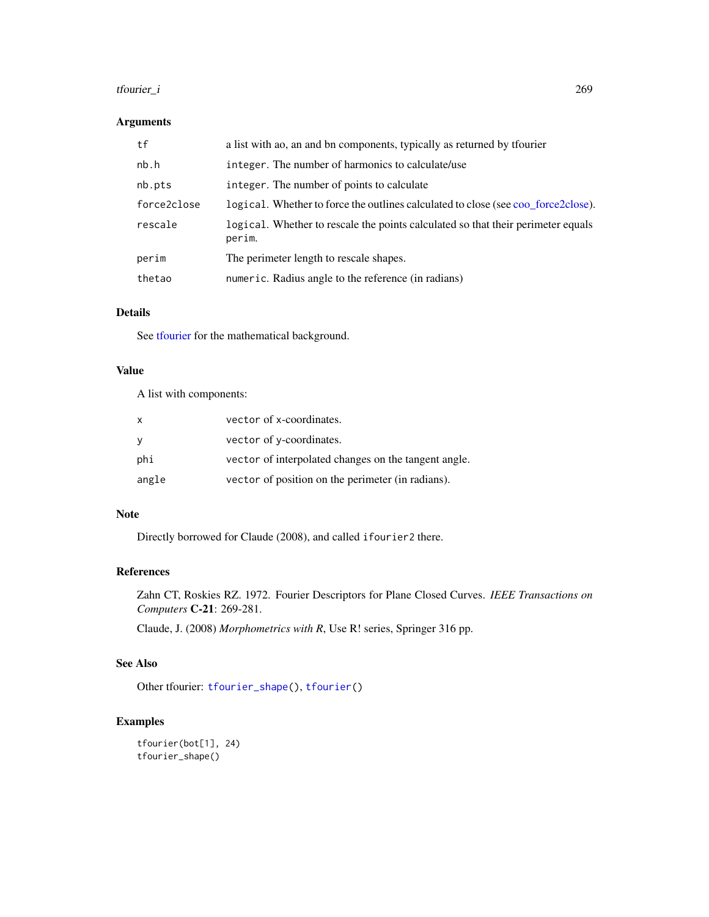#### <span id="page-268-0"></span>tfourier\_i 269

## Arguments

| tf          | a list with ao, an and bn components, typically as returned by tfourier                    |
|-------------|--------------------------------------------------------------------------------------------|
| nb.h        | integer. The number of harmonics to calculate/use                                          |
| nb.pts      | integer. The number of points to calculate                                                 |
| force2close | logical. Whether to force the outlines calculated to close (see coo force2close).          |
| rescale     | logical. Whether to rescale the points calculated so that their perimeter equals<br>perim. |
| perim       | The perimeter length to rescale shapes.                                                    |
| thetao      | numeric. Radius angle to the reference (in radians)                                        |

# Details

See [tfourier](#page-266-0) for the mathematical background.

## Value

A list with components:

| $\mathsf{X}$ | vector of x-coordinates.                             |
|--------------|------------------------------------------------------|
| - V          | vector of y-coordinates.                             |
| phi          | vector of interpolated changes on the tangent angle. |
| angle        | vector of position on the perimeter (in radians).    |

#### Note

Directly borrowed for Claude (2008), and called ifourier2 there.

## References

Zahn CT, Roskies RZ. 1972. Fourier Descriptors for Plane Closed Curves. *IEEE Transactions on Computers* C-21: 269-281.

Claude, J. (2008) *Morphometrics with R*, Use R! series, Springer 316 pp.

## See Also

Other tfourier: [tfourier\\_shape\(](#page-269-0)), [tfourier\(](#page-266-0))

```
tfourier(bot[1], 24)
tfourier_shape()
```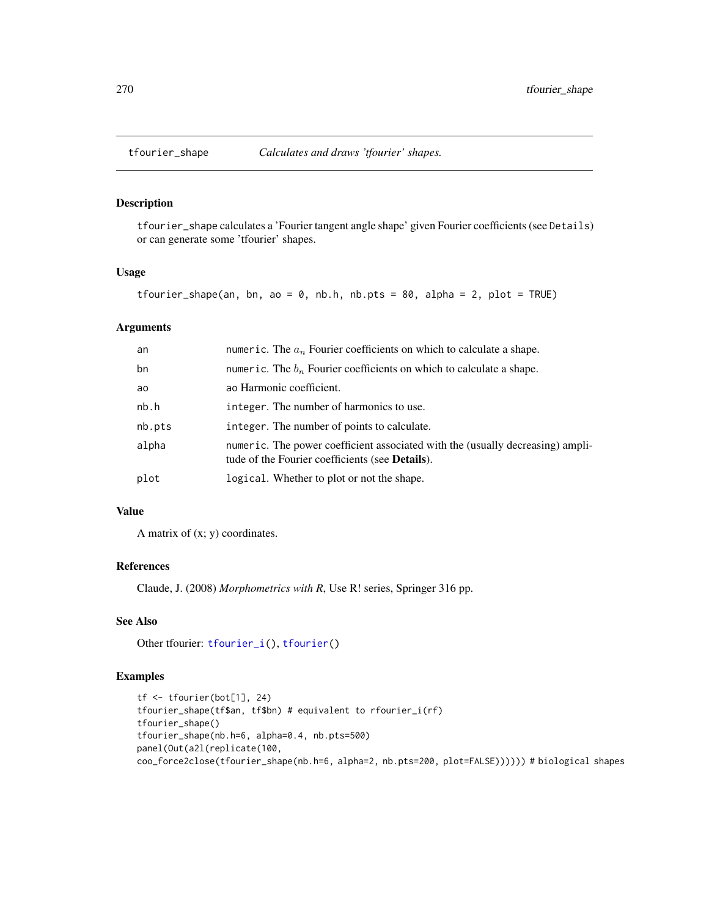<span id="page-269-1"></span><span id="page-269-0"></span>

tfourier\_shape calculates a 'Fourier tangent angle shape' given Fourier coefficients (see Details) or can generate some 'tfourier' shapes.

## Usage

```
tfourier_shape(an, bn, ao = 0, nb.h, nb.pts = 80, alpha = 2, plot = TRUE)
```
## Arguments

| an     | numeric. The $a_n$ Fourier coefficients on which to calculate a shape.                                                                    |
|--------|-------------------------------------------------------------------------------------------------------------------------------------------|
| bn     | numeric. The $b_n$ Fourier coefficients on which to calculate a shape.                                                                    |
| ao     | ao Harmonic coefficient.                                                                                                                  |
| nb.h   | integer. The number of harmonics to use.                                                                                                  |
| nb.pts | integer. The number of points to calculate.                                                                                               |
| alpha  | numeric. The power coefficient associated with the (usually decreasing) ampli-<br>tude of the Fourier coefficients (see <b>Details</b> ). |
| plot   | logical. Whether to plot or not the shape.                                                                                                |

## Value

A matrix of  $(x; y)$  coordinates.

## References

Claude, J. (2008) *Morphometrics with R*, Use R! series, Springer 316 pp.

## See Also

Other tfourier: [tfourier\\_i\(](#page-267-0)), [tfourier\(](#page-266-0))

```
tf <- tfourier(bot[1], 24)
tfourier_shape(tf$an, tf$bn) # equivalent to rfourier_i(rf)
tfourier_shape()
tfourier_shape(nb.h=6, alpha=0.4, nb.pts=500)
panel(Out(a2l(replicate(100,
coo_force2close(tfourier_shape(nb.h=6, alpha=2, nb.pts=200, plot=FALSE)))))) # biological shapes
```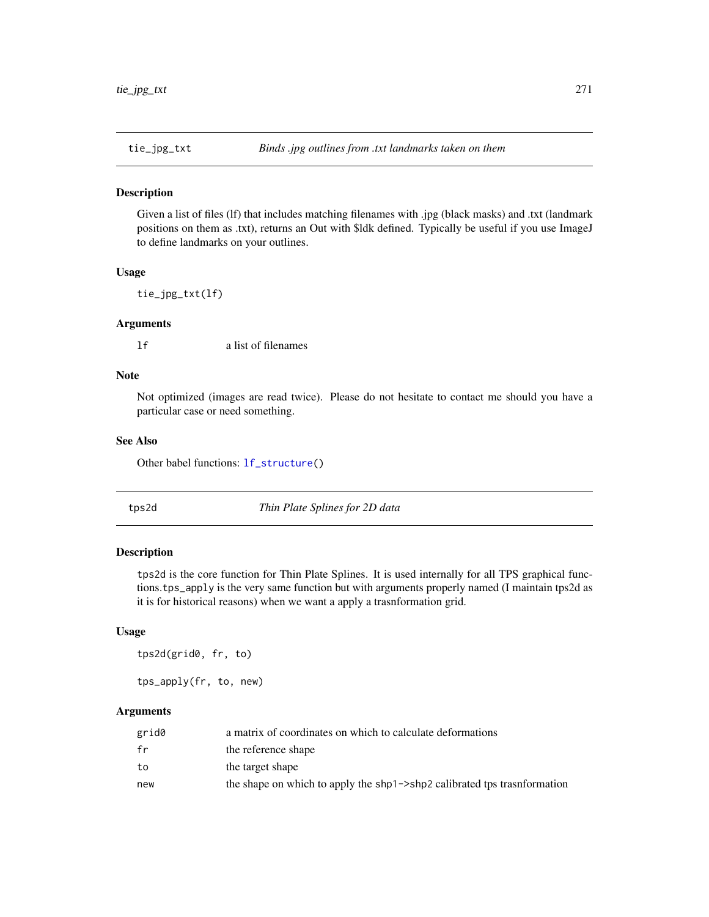<span id="page-270-1"></span>

Given a list of files (lf) that includes matching filenames with .jpg (black masks) and .txt (landmark positions on them as .txt), returns an Out with \$ldk defined. Typically be useful if you use ImageJ to define landmarks on your outlines.

#### Usage

tie\_jpg\_txt(lf)

## Arguments

lf a list of filenames

## Note

Not optimized (images are read twice). Please do not hesitate to contact me should you have a particular case or need something.

#### See Also

Other babel functions: [lf\\_structure\(](#page-174-0))

<span id="page-270-0"></span>

tps2d *Thin Plate Splines for 2D data*

## Description

tps2d is the core function for Thin Plate Splines. It is used internally for all TPS graphical functions.tps\_apply is the very same function but with arguments properly named (I maintain tps2d as it is for historical reasons) when we want a apply a trasnformation grid.

#### Usage

tps2d(grid0, fr, to)

tps\_apply(fr, to, new)

#### Arguments

| grid0 | a matrix of coordinates on which to calculate deformations               |
|-------|--------------------------------------------------------------------------|
| fr    | the reference shape                                                      |
| to    | the target shape                                                         |
| new   | the shape on which to apply the shp1->shp2 calibrated tps trasnformation |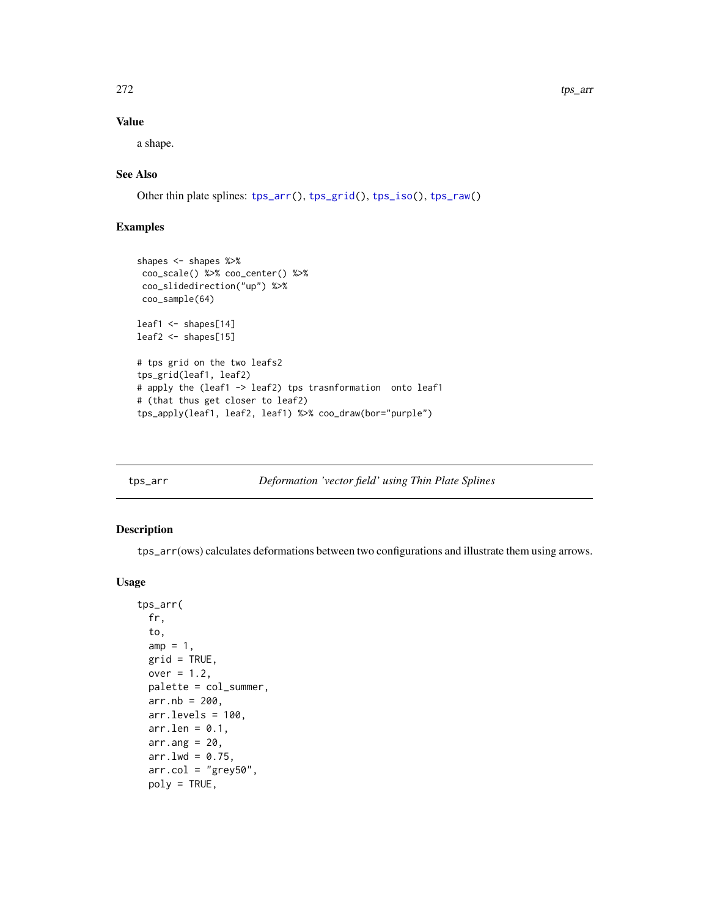## <span id="page-271-1"></span>Value

a shape.

## See Also

Other thin plate splines: [tps\\_arr\(](#page-271-0)), [tps\\_grid\(](#page-273-0)), [tps\\_iso\(](#page-274-0)), [tps\\_raw\(](#page-276-0))

## Examples

```
shapes <- shapes %>%
 coo_scale() %>% coo_center() %>%
 coo_slidedirection("up") %>%
 coo_sample(64)
leaf1 <- shapes[14]
leaf2 <- shapes[15]
# tps grid on the two leafs2
tps_grid(leaf1, leaf2)
# apply the (leaf1 -> leaf2) tps trasnformation onto leaf1
# (that thus get closer to leaf2)
tps_apply(leaf1, leaf2, leaf1) %>% coo_draw(bor="purple")
```
<span id="page-271-0"></span>

| tps_arr |  | Deformation 'vector field' using Thin Plate Splines |
|---------|--|-----------------------------------------------------|
|         |  |                                                     |

## Description

tps\_arr(ows) calculates deformations between two configurations and illustrate them using arrows.

#### Usage

```
tps_arr(
  fr,
  to,
 amp = 1,
 grid = TRUE,over = 1.2,
 palette = col_summer,
 arr.nb = 200,arr.levels = 100,
 arr. len = 0.1,
 arr.ang = 20,
 arr.lwd = 0.75,
  arr.col = "grey50",poly = TRUE,
```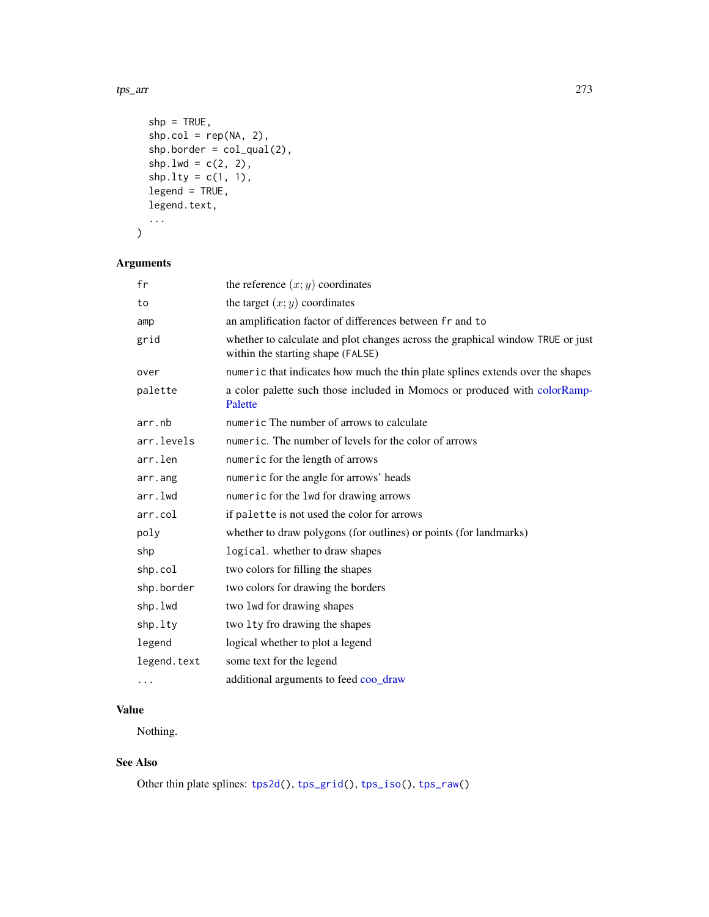#### <span id="page-272-0"></span>tps\_arr 273

```
shp = TRUE,shp.col = rep(NA, 2),\n shp.border = col_qual(2),
shp.lwd = c(2, 2),
shp.1ty = c(1, 1),legend = TRUE,
legend.text,
...
```

```
)
```
## Arguments

| fr          | the reference $(x, y)$ coordinates                                                                                  |
|-------------|---------------------------------------------------------------------------------------------------------------------|
| to          | the target $(x, y)$ coordinates                                                                                     |
| amp         | an amplification factor of differences between fr and to                                                            |
| grid        | whether to calculate and plot changes across the graphical window TRUE or just<br>within the starting shape (FALSE) |
| over        | numeric that indicates how much the thin plate splines extends over the shapes                                      |
| palette     | a color palette such those included in Momocs or produced with colorRamp-<br>Palette                                |
| arr.nb      | numeric The number of arrows to calculate                                                                           |
| arr.levels  | numeric. The number of levels for the color of arrows                                                               |
| arr.len     | numeric for the length of arrows                                                                                    |
| arr.ang     | numeric for the angle for arrows' heads                                                                             |
| arr.lwd     | numeric for the 1wd for drawing arrows                                                                              |
| arr.col     | if palette is not used the color for arrows                                                                         |
| poly        | whether to draw polygons (for outlines) or points (for landmarks)                                                   |
| shp         | logical. whether to draw shapes                                                                                     |
| shp.col     | two colors for filling the shapes                                                                                   |
| shp.border  | two colors for drawing the borders                                                                                  |
| shp.lwd     | two lwd for drawing shapes                                                                                          |
| shp.lty     | two 1ty fro drawing the shapes                                                                                      |
| legend      | logical whether to plot a legend                                                                                    |
| legend.text | some text for the legend                                                                                            |
| .           | additional arguments to feed coo_draw                                                                               |
|             |                                                                                                                     |

# Value

Nothing.

## See Also

Other thin plate splines: [tps2d\(](#page-270-0)), [tps\\_grid\(](#page-273-0)), [tps\\_iso\(](#page-274-0)), [tps\\_raw\(](#page-276-0))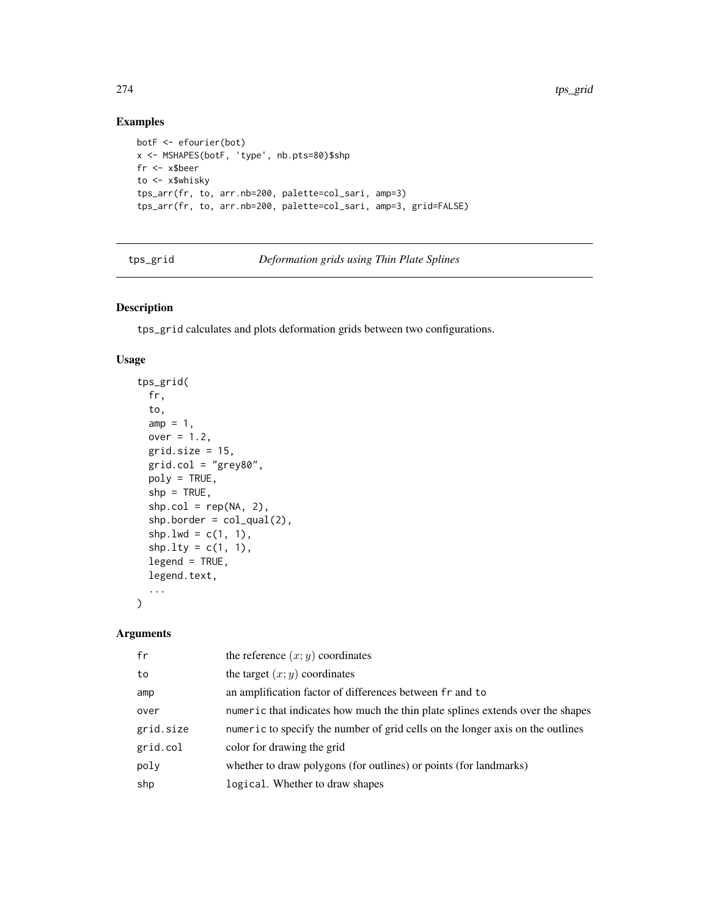## Examples

```
botF <- efourier(bot)
x <- MSHAPES(botF, 'type', nb.pts=80)$shp
fr <- x$beer
to <- x$whisky
tps_arr(fr, to, arr.nb=200, palette=col_sari, amp=3)
tps_arr(fr, to, arr.nb=200, palette=col_sari, amp=3, grid=FALSE)
```
<span id="page-273-0"></span>tps\_grid *Deformation grids using Thin Plate Splines*

## Description

tps\_grid calculates and plots deformation grids between two configurations.

#### Usage

```
tps_grid(
 fr,
  to,
  amp = 1,
 over = 1.2,
 grid.size = 15,
 grid,col = "grey80",poly = TRUE,shp = TRUE,shp.col = rep(NA, 2),
  shp.border = col_qual(2),
  shp.lwd = c(1, 1),
  shp.1ty = c(1, 1),legend = TRUE,
  legend.text,
  ...
\mathcal{L}
```
# Arguments

| fr        | the reference $(x, y)$ coordinates                                             |
|-----------|--------------------------------------------------------------------------------|
| to        | the target $(x, y)$ coordinates                                                |
| amp       | an amplification factor of differences between fr and to                       |
| over      | numeric that indicates how much the thin plate splines extends over the shapes |
| grid.size | numeric to specify the number of grid cells on the longer axis on the outlines |
| grid.col  | color for drawing the grid                                                     |
| poly      | whether to draw polygons (for outlines) or points (for landmarks)              |
| shp       | logical. Whether to draw shapes                                                |

<span id="page-273-1"></span>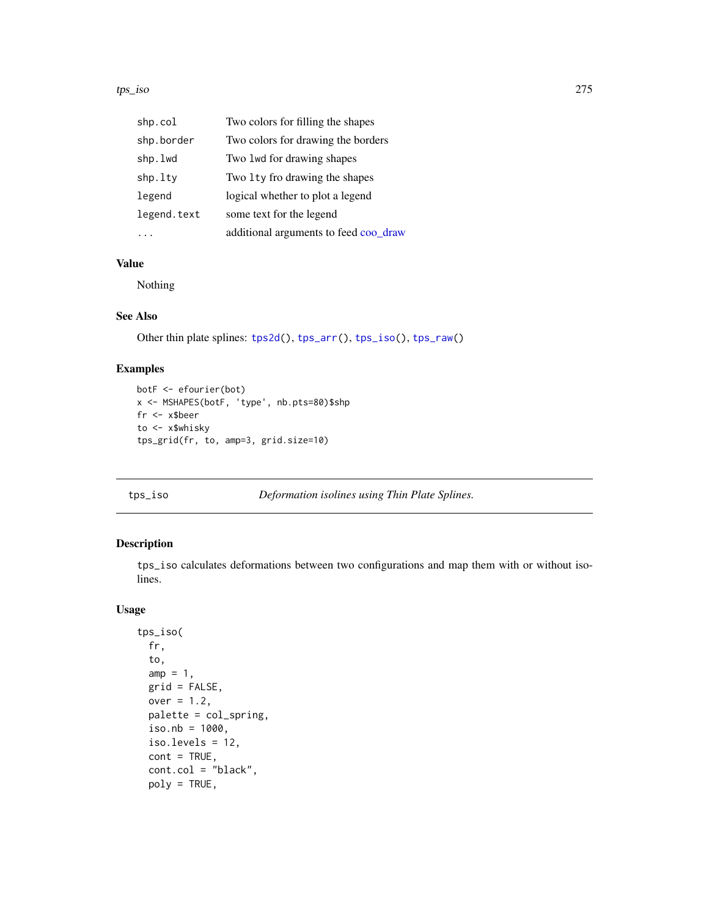#### <span id="page-274-1"></span>tps\_iso 275

| shp.col     | Two colors for filling the shapes     |
|-------------|---------------------------------------|
| shp.border  | Two colors for drawing the borders    |
| shp.lwd     | Two lwd for drawing shapes            |
| shp.lty     | Two 1ty fro drawing the shapes        |
| legend      | logical whether to plot a legend      |
| legend.text | some text for the legend              |
|             | additional arguments to feed coo_draw |

## Value

Nothing

## See Also

Other thin plate splines: [tps2d\(](#page-270-0)), [tps\\_arr\(](#page-271-0)), [tps\\_iso\(](#page-274-0)), [tps\\_raw\(](#page-276-0))

## Examples

```
botF <- efourier(bot)
x <- MSHAPES(botF, 'type', nb.pts=80)$shp
fr <- x$beer
to <- x$whisky
tps_grid(fr, to, amp=3, grid.size=10)
```
<span id="page-274-0"></span>tps\_iso *Deformation isolines using Thin Plate Splines.*

## Description

tps\_iso calculates deformations between two configurations and map them with or without isolines.

#### Usage

```
tps_iso(
 fr,
  to,
 amp = 1,
 grid = FALSE,
 over = 1.2,
 palette = col_spring,
 iso.nb = 1000,
  iso.levels = 12,
 cont = TRUE,cont.col = "black",
 poly = TRUE,
```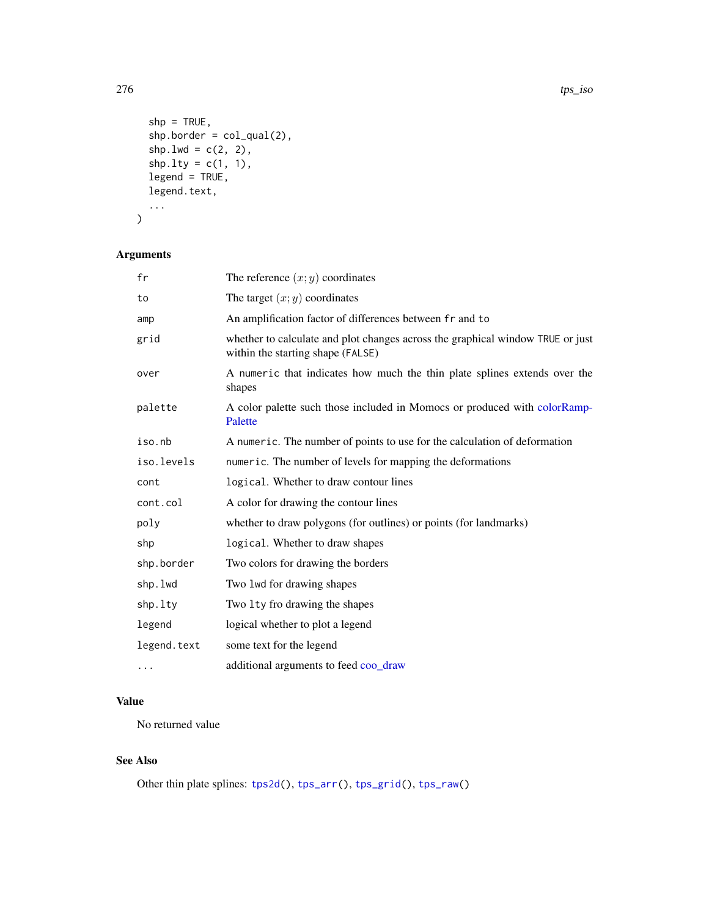```
shp = TRUE,shp.border = col_qual(2),
  shp.lwd = c(2, 2),
  shp.1ty = c(1, 1),legend = TRUE,legend.text,
  ...
\mathcal{L}
```
## Arguments

| fr          | The reference $(x, y)$ coordinates                                                                                  |
|-------------|---------------------------------------------------------------------------------------------------------------------|
| to          | The target $(x, y)$ coordinates                                                                                     |
| amp         | An amplification factor of differences between fr and to                                                            |
| grid        | whether to calculate and plot changes across the graphical window TRUE or just<br>within the starting shape (FALSE) |
| over        | A numeric that indicates how much the thin plate splines extends over the<br>shapes                                 |
| palette     | A color palette such those included in Momocs or produced with colorRamp-<br>Palette                                |
| iso.nb      | A numeric. The number of points to use for the calculation of deformation                                           |
| iso.levels  | numeric. The number of levels for mapping the deformations                                                          |
| cont        | logical. Whether to draw contour lines                                                                              |
| cont.col    | A color for drawing the contour lines                                                                               |
| poly        | whether to draw polygons (for outlines) or points (for landmarks)                                                   |
| shp         | logical. Whether to draw shapes                                                                                     |
| shp.border  | Two colors for drawing the borders                                                                                  |
| shp.lwd     | Two lwd for drawing shapes                                                                                          |
| shp.lty     | Two 1 ty fro drawing the shapes                                                                                     |
| legend      | logical whether to plot a legend                                                                                    |
| legend.text | some text for the legend                                                                                            |
| $\cdots$    | additional arguments to feed coo_draw                                                                               |

## Value

No returned value

## See Also

Other thin plate splines: [tps2d\(](#page-270-0)), [tps\\_arr\(](#page-271-0)), [tps\\_grid\(](#page-273-0)), [tps\\_raw\(](#page-276-0))

<span id="page-275-0"></span>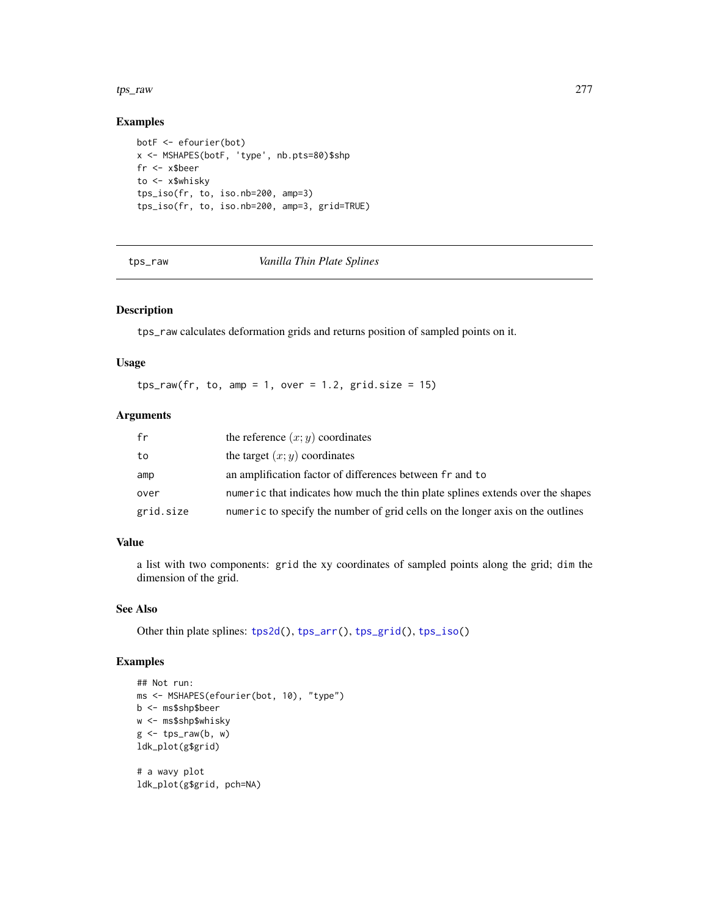#### <span id="page-276-1"></span>tps\_raw 277

## Examples

```
botF <- efourier(bot)
x <- MSHAPES(botF, 'type', nb.pts=80)$shp
fr <- x$beer
to <- x$whisky
tps_iso(fr, to, iso.nb=200, amp=3)
tps_iso(fr, to, iso.nb=200, amp=3, grid=TRUE)
```
<span id="page-276-0"></span>tps\_raw *Vanilla Thin Plate Splines*

#### Description

tps\_raw calculates deformation grids and returns position of sampled points on it.

#### Usage

 $tps_raw(fr, to, amp = 1, over = 1.2, grid.size = 15)$ 

## Arguments

| fr        | the reference $(x, y)$ coordinates                                             |
|-----------|--------------------------------------------------------------------------------|
| to        | the target $(x, y)$ coordinates                                                |
| amp       | an amplification factor of differences between fr and to                       |
| over      | numeric that indicates how much the thin plate splines extends over the shapes |
| grid.size | numeric to specify the number of grid cells on the longer axis on the outlines |

## Value

a list with two components: grid the xy coordinates of sampled points along the grid; dim the dimension of the grid.

## See Also

Other thin plate splines: [tps2d\(](#page-270-0)), [tps\\_arr\(](#page-271-0)), [tps\\_grid\(](#page-273-0)), [tps\\_iso\(](#page-274-0))

```
## Not run:
ms <- MSHAPES(efourier(bot, 10), "type")
b <- ms$shp$beer
w <- ms$shp$whisky
g \leftarrow \text{tps\_raw}(b, w)ldk_plot(g$grid)
# a wavy plot
```

```
ldk_plot(g$grid, pch=NA)
```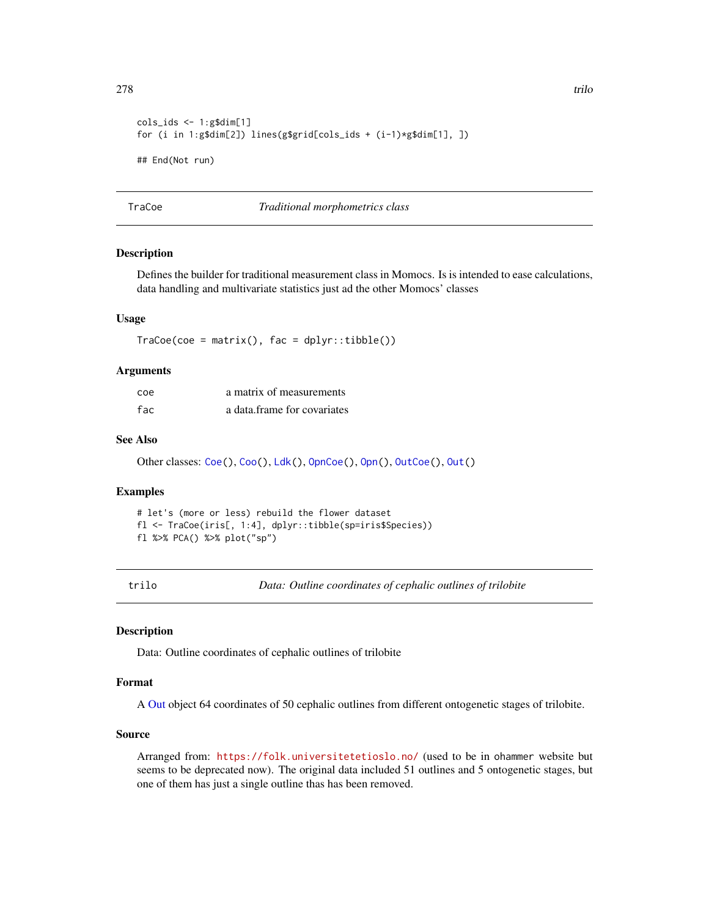```
cols\_ids \leq 1:g$dim[1]for (i in 1:g$dim[2]) lines(g$grid[cols_ids + (i-1)*g$dim[1], ])
## End(Not run)
```
TraCoe *Traditional morphometrics class*

#### Description

Defines the builder for traditional measurement class in Momocs. Is is intended to ease calculations, data handling and multivariate statistics just ad the other Momocs' classes

#### Usage

 $Trace($ coe = matrix(),  $fac = dplyr::tibble()$ 

#### Arguments

| coe | a matrix of measurements    |
|-----|-----------------------------|
| fac | a data frame for covariates |

#### See Also

Other classes: [Coe\(](#page-29-0)), [Coo\(](#page-38-0)), [Ldk\(](#page-169-0)), [OpnCoe\(](#page-194-0)), [Opn\(](#page-193-0)), [OutCoe\(](#page-198-0)), [Out\(](#page-197-0))

#### Examples

```
# let's (more or less) rebuild the flower dataset
fl <- TraCoe(iris[, 1:4], dplyr::tibble(sp=iris$Species))
fl %>% PCA() %>% plot("sp")
```
<span id="page-277-0"></span>trilo *Data: Outline coordinates of cephalic outlines of trilobite*

#### Description

Data: Outline coordinates of cephalic outlines of trilobite

#### Format

A [Out](#page-197-0) object 64 coordinates of 50 cephalic outlines from different ontogenetic stages of trilobite.

## Source

Arranged from: <https://folk.universitetetioslo.no/> (used to be in ohammer website but seems to be deprecated now). The original data included 51 outlines and 5 ontogenetic stages, but one of them has just a single outline thas has been removed.

<span id="page-277-1"></span>278 trilogies and the contract of the contract of the contract of the contract of the contract of the contract of the contract of the contract of the contract of the contract of the contract of the contract of the contract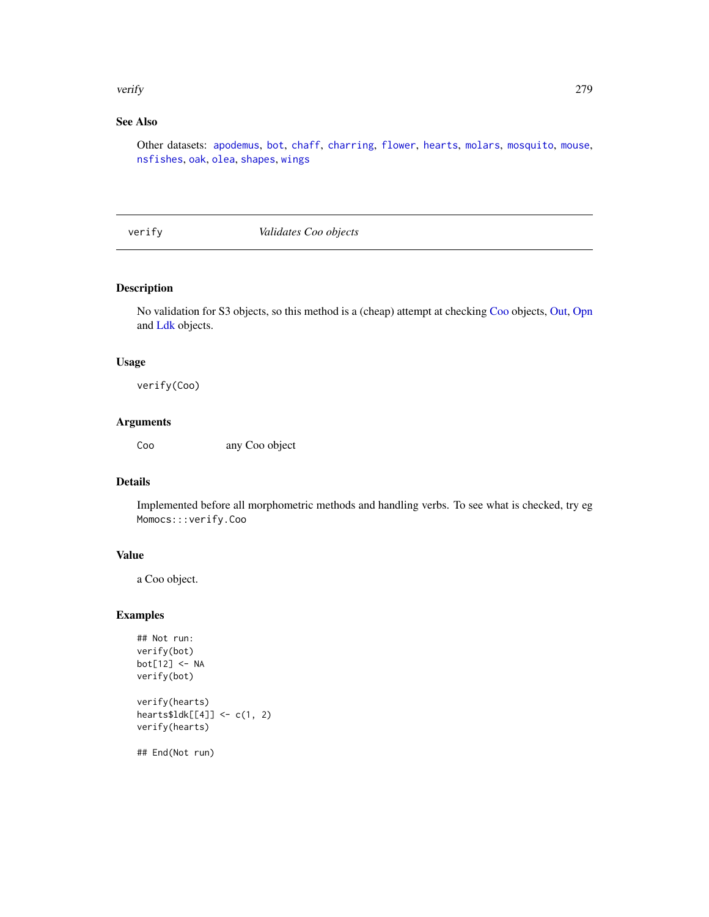#### <span id="page-278-0"></span>verify 279

# See Also

Other datasets: [apodemus](#page-7-1), [bot](#page-12-0), [chaff](#page-25-0), [charring](#page-25-1), [flower](#page-144-0), [hearts](#page-150-0), [molars](#page-181-0), [mosquito](#page-186-0), [mouse](#page-186-1), [nsfishes](#page-191-0), [oak](#page-192-0), [olea](#page-192-1), [shapes](#page-259-0), [wings](#page-280-0)

verify *Validates Coo objects*

## Description

No validation for S3 objects, so this method is a (cheap) attempt at checking [Coo](#page-38-0) objects, [Out,](#page-197-0) [Opn](#page-193-0) and [Ldk](#page-169-0) objects.

## Usage

verify(Coo)

## Arguments

Coo any Coo object

## Details

Implemented before all morphometric methods and handling verbs. To see what is checked, try eg Momocs:::verify.Coo

#### Value

a Coo object.

## Examples

```
## Not run:
verify(bot)
bot[12] <- NA
verify(bot)
verify(hearts)
hearts$ldk[[4]] <- c(1, 2)
verify(hearts)
```
## End(Not run)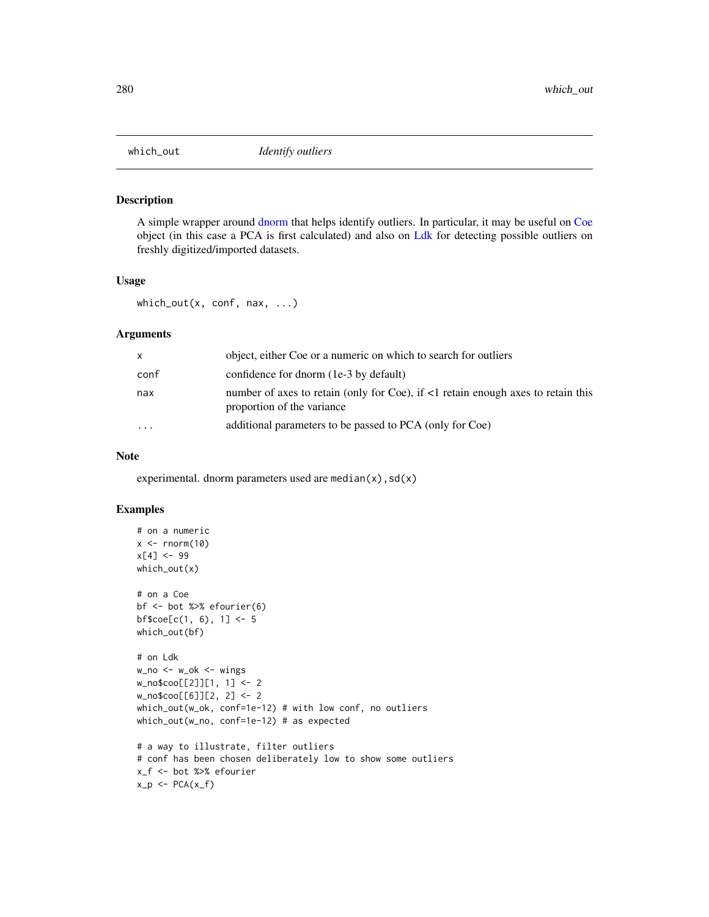<span id="page-279-0"></span>

A simple wrapper around [dnorm](#page-0-0) that helps identify outliers. In particular, it may be useful on [Coe](#page-29-0) object (in this case a PCA is first calculated) and also on [Ldk](#page-169-0) for detecting possible outliers on freshly digitized/imported datasets.

## Usage

which\_out(x, conf, nax, ...)

## Arguments

| X        | object, either Coe or a numeric on which to search for outliers                                                |
|----------|----------------------------------------------------------------------------------------------------------------|
| conf     | confidence for dnorm (1e-3 by default)                                                                         |
| nax      | number of axes to retain (only for Coe), if <1 retain enough axes to retain this<br>proportion of the variance |
| $\cdots$ | additional parameters to be passed to PCA (only for Coe)                                                       |

#### Note

experimental. dnorm parameters used are median(x),  $sd(x)$ 

```
# on a numeric
x \le - rnorm(10)
x[4] < -99which_out(x)
# on a Coe
bf <- bot %>% efourier(6)
bf%coe[c(1, 6), 1] <- 5
which_out(bf)
# on Ldk
w_no <- w_ok <- wings
w_no$coo[[2]][1, 1] <- 2
w_no$coo[[6]][2, 2] <- 2
which_out(w_ok, conf=1e-12) # with low conf, no outliers
which_out(w_no, conf=1e-12) # as expected
# a way to illustrate, filter outliers
# conf has been chosen deliberately low to show some outliers
x_f <- bot %>% efourier
x_p \leftarrow PCA(x_f)
```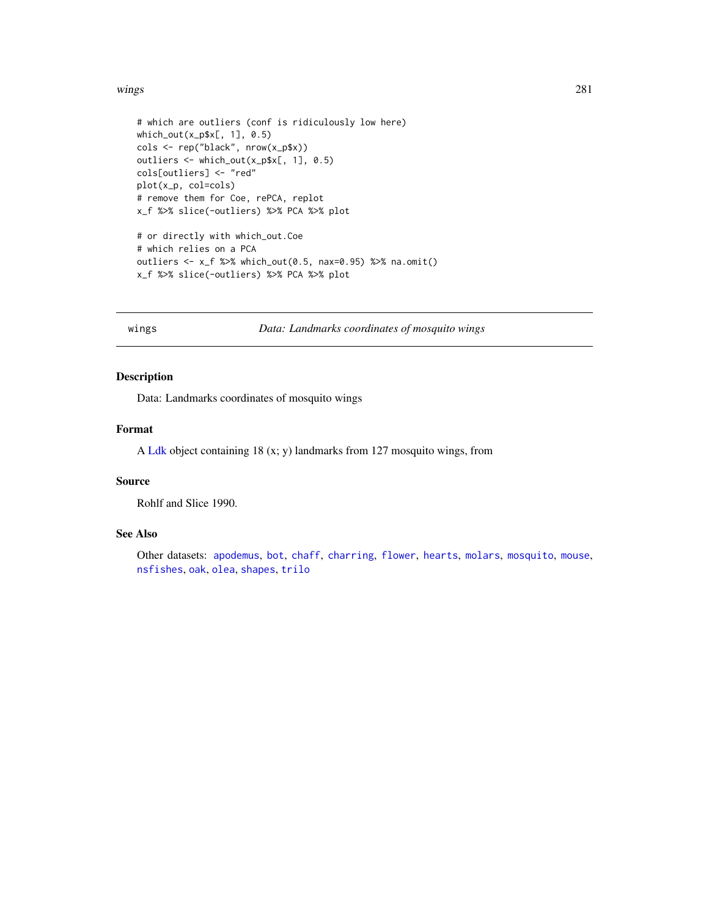#### <span id="page-280-1"></span>wings 281

```
# which are outliers (conf is ridiculously low here)
which_out(x_p$x[, 1], 0.5)
cols <- rep("black", nrow(x_p$x))
outliers <- which_out(x_p$x[, 1], 0.5)
cols[outliers] <- "red"
plot(x_p, col=cols)
# remove them for Coe, rePCA, replot
x_f %>% slice(-outliers) %>% PCA %>% plot
# or directly with which_out.Coe
# which relies on a PCA
outliers <- x_f %>% which_out(0.5, nax=0.95) %>% na.omit()
x_f %>% slice(-outliers) %>% PCA %>% plot
```
<span id="page-280-0"></span>

wings *Data: Landmarks coordinates of mosquito wings*

## Description

Data: Landmarks coordinates of mosquito wings

## Format

A [Ldk](#page-169-0) object containing 18 (x; y) landmarks from 127 mosquito wings, from

#### Source

Rohlf and Slice 1990.

#### See Also

Other datasets: [apodemus](#page-7-1), [bot](#page-12-0), [chaff](#page-25-0), [charring](#page-25-1), [flower](#page-144-0), [hearts](#page-150-0), [molars](#page-181-0), [mosquito](#page-186-0), [mouse](#page-186-1), [nsfishes](#page-191-0), [oak](#page-192-0), [olea](#page-192-1), [shapes](#page-259-0), [trilo](#page-277-0)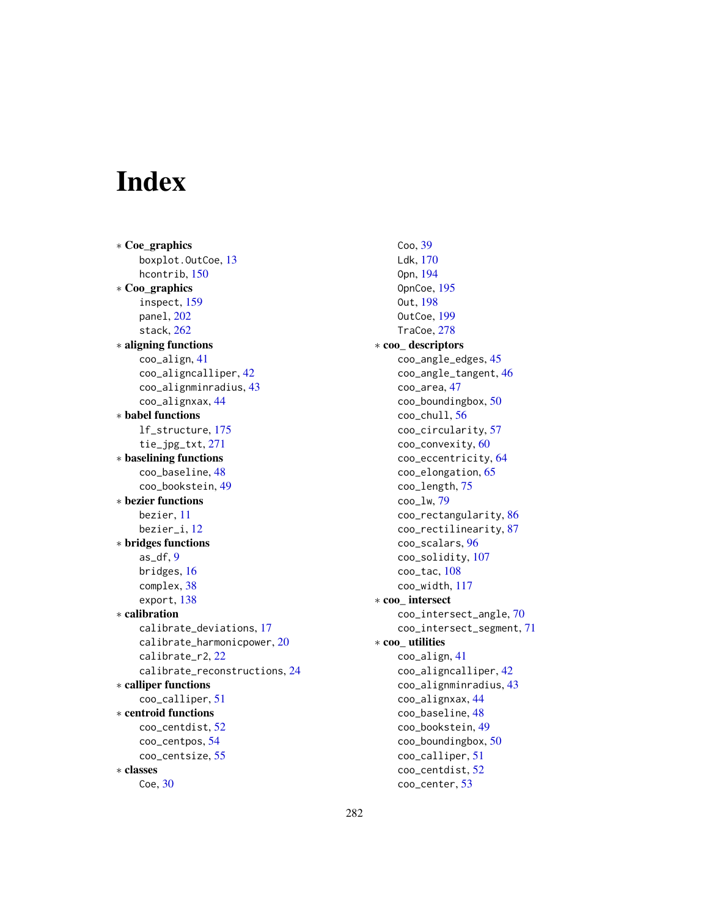# Index

∗ Coe\_graphics boxplot.OutCoe, [13](#page-12-1) hcontrib, [150](#page-149-0) ∗ Coo\_graphics inspect, [159](#page-158-1) panel, [202](#page-201-1) stack, [262](#page-261-0) ∗ aligning functions coo\_align, [41](#page-40-0) coo\_aligncalliper, [42](#page-41-0) coo\_alignminradius, [43](#page-42-0) coo\_alignxax, [44](#page-43-0) ∗ babel functions lf\_structure, [175](#page-174-1) tie\_jpg\_txt, [271](#page-270-1) ∗ baselining functions coo\_baseline, [48](#page-47-0) coo\_bookstein, [49](#page-48-0) ∗ bezier functions bezier, [11](#page-10-0) bezier\_i, [12](#page-11-0) ∗ bridges functions as\_df, [9](#page-8-0) bridges, [16](#page-15-0) complex, [38](#page-37-0) export, [138](#page-137-0) ∗ calibration calibrate\_deviations, [17](#page-16-0) calibrate\_harmonicpower, [20](#page-19-0) calibrate\_r2, [22](#page-21-0) calibrate\_reconstructions, [24](#page-23-0) ∗ calliper functions coo\_calliper, [51](#page-50-0) ∗ centroid functions coo\_centdist, [52](#page-51-0) coo\_centpos, [54](#page-53-0) coo\_centsize, [55](#page-54-0) ∗ classes Coe, [30](#page-29-1)

Coo, [39](#page-38-1) Ldk, [170](#page-169-1) Opn, [194](#page-193-1) OpnCoe, [195](#page-194-1) Out, [198](#page-197-1) OutCoe, [199](#page-198-1) TraCoe, [278](#page-277-1) ∗ coo\_ descriptors coo\_angle\_edges, [45](#page-44-0) coo\_angle\_tangent, [46](#page-45-0) coo\_area, [47](#page-46-0) coo\_boundingbox, [50](#page-49-0) coo\_chull, [56](#page-55-0) coo\_circularity, [57](#page-56-0) coo\_convexity, [60](#page-59-0) coo\_eccentricity, [64](#page-63-0) coo\_elongation, [65](#page-64-0) coo\_length, [75](#page-74-0) coo\_lw, [79](#page-78-0) coo\_rectangularity, [86](#page-85-0) coo\_rectilinearity, [87](#page-86-0) coo\_scalars, [96](#page-95-0) coo\_solidity, [107](#page-106-0) coo\_tac, [108](#page-107-0) coo\_width, [117](#page-116-0) ∗ coo\_ intersect coo\_intersect\_angle, [70](#page-69-0) coo\_intersect\_segment, [71](#page-70-0) ∗ coo\_ utilities coo\_align, [41](#page-40-0) coo\_aligncalliper, [42](#page-41-0) coo\_alignminradius, [43](#page-42-0) coo\_alignxax, [44](#page-43-0) coo\_baseline, [48](#page-47-0) coo\_bookstein, [49](#page-48-0) coo\_boundingbox, [50](#page-49-0) coo\_calliper, [51](#page-50-0) coo\_centdist, [52](#page-51-0) coo\_center, [53](#page-52-0)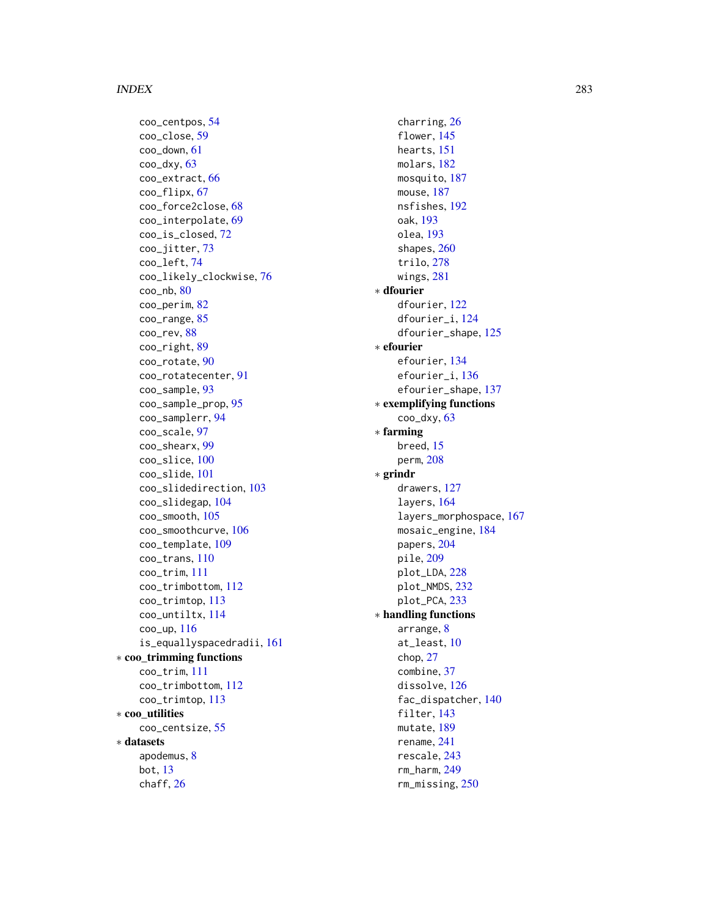#### INDEX 283

coo\_centpos, [54](#page-53-0) coo\_close, [59](#page-58-0) coo\_down, [61](#page-60-0) coo\_dxy, [63](#page-62-0) coo\_extract, [66](#page-65-0) coo\_flipx, [67](#page-66-0) coo\_force2close, [68](#page-67-1) coo\_interpolate, [69](#page-68-0) coo\_is\_closed, [72](#page-71-0) coo\_jitter, [73](#page-72-0) coo\_left, [74](#page-73-0) coo\_likely\_clockwise, [76](#page-75-0)  $\text{coo}_\text{m}$ h,  $80$ coo\_perim, [82](#page-81-0) coo\_range, [85](#page-84-0) coo\_rev, [88](#page-87-0) coo\_right, [89](#page-88-0) coo\_rotate, [90](#page-89-0) coo\_rotatecenter, [91](#page-90-0) coo\_sample, [93](#page-92-0) coo\_sample\_prop, [95](#page-94-0) coo\_samplerr, [94](#page-93-0) coo\_scale, [97](#page-96-0) coo\_shearx, [99](#page-98-0) coo\_slice, [100](#page-99-0) coo\_slide, [101](#page-100-0) coo\_slidedirection, [103](#page-102-0) coo\_slidegap, [104](#page-103-0) coo\_smooth, [105](#page-104-0) coo\_smoothcurve, [106](#page-105-0) coo\_template, [109](#page-108-0) coo\_trans, [110](#page-109-0) coo\_trim, [111](#page-110-0) coo\_trimbottom, [112](#page-111-0) coo\_trimtop, [113](#page-112-0) coo\_untiltx, [114](#page-113-0) coo\_up, [116](#page-115-0) is\_equallyspacedradii, [161](#page-160-0) ∗ coo\_trimming functions coo\_trim, [111](#page-110-0) coo\_trimbottom, [112](#page-111-0) coo\_trimtop, [113](#page-112-0) ∗ coo\_utilities coo\_centsize, [55](#page-54-0) ∗ datasets apodemus, [8](#page-7-2) bot, [13](#page-12-1) chaff, [26](#page-25-2)

charring, [26](#page-25-2) flower, [145](#page-144-1) hearts, [151](#page-150-1) molars, [182](#page-181-1) mosquito, [187](#page-186-2) mouse, [187](#page-186-2) nsfishes, [192](#page-191-1) oak, [193](#page-192-2) olea, [193](#page-192-2) shapes, [260](#page-259-1) trilo, [278](#page-277-1) wings, [281](#page-280-1) ∗ dfourier dfourier, [122](#page-121-0) dfourier\_i, [124](#page-123-0) dfourier\_shape, [125](#page-124-0) ∗ efourier efourier, [134](#page-133-1) efourier\_i, [136](#page-135-0) efourier\_shape, [137](#page-136-0) ∗ exemplifying functions  $coo$ \_dxy,  $63$ ∗ farming breed, [15](#page-14-0) perm, [208](#page-207-0) ∗ grindr drawers, [127](#page-126-0) layers, [164](#page-163-0) layers\_morphospace, [167](#page-166-0) mosaic\_engine, [184](#page-183-0) papers, [204](#page-203-0) pile, [209](#page-208-0) plot\_LDA, [228](#page-227-0) plot\_NMDS, [232](#page-231-0) plot\_PCA, [233](#page-232-0) ∗ handling functions arrange, [8](#page-7-2) at\_least, [10](#page-9-1) chop, [27](#page-26-1) combine, [37](#page-36-1) dissolve, [126](#page-125-1) fac\_dispatcher, [140](#page-139-1) filter, [143](#page-142-1) mutate, [189](#page-188-1) rename, [241](#page-240-1) rescale, [243](#page-242-1) rm\_harm, [249](#page-248-1) rm\_missing, [250](#page-249-1)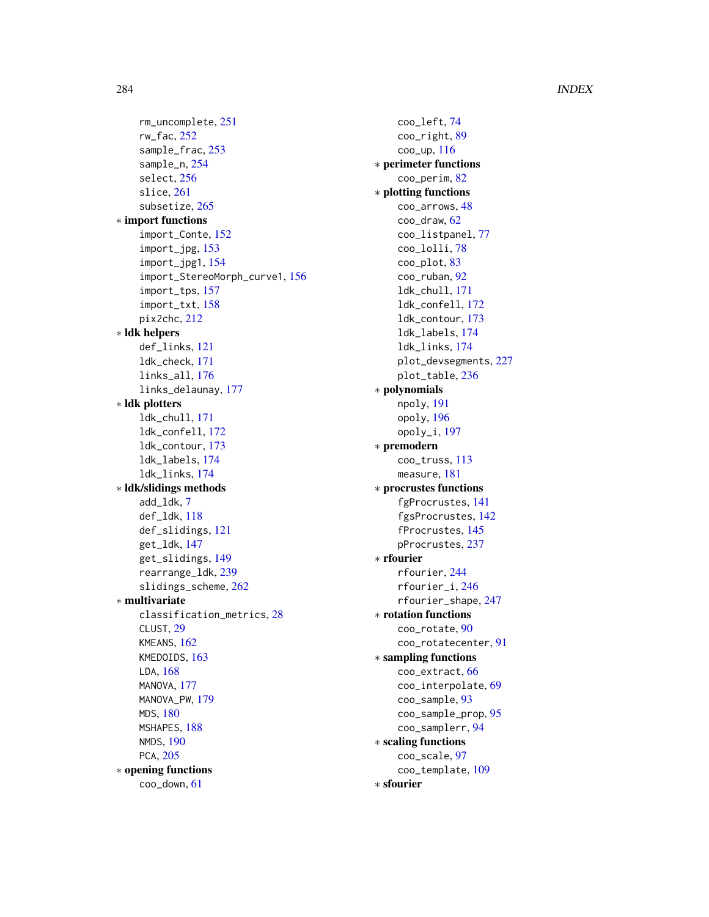#### 284 INDEX

rm\_uncomplete, [251](#page-250-1) rw\_fac, [252](#page-251-1) sample\_frac, [253](#page-252-1) sample\_n, [254](#page-253-1) select, [256](#page-255-1) slice, [261](#page-260-1) subsetize, [265](#page-264-1) ∗ import functions import\_Conte, [152](#page-151-0) import\_jpg, [153](#page-152-0) import\_jpg1, [154](#page-153-0) import\_StereoMorph\_curve1, [156](#page-155-0) import\_tps, [157](#page-156-0) import\_txt, [158](#page-157-0) pix2chc, [212](#page-211-0) ∗ ldk helpers def\_links, [121](#page-120-1) ldk\_check, [171](#page-170-0) links\_all, [176](#page-175-0) links\_delaunay, [177](#page-176-0) ∗ ldk plotters ldk\_chull, [171](#page-170-0) ldk\_confell, [172](#page-171-0) ldk\_contour, [173](#page-172-0) ldk\_labels, [174](#page-173-0) ldk\_links, [174](#page-173-0) ∗ ldk/slidings methods add\_ldk, [7](#page-6-1) def\_ldk, [118](#page-117-1) def\_slidings, [121](#page-120-1) get\_ldk, [147](#page-146-1) get\_slidings, [149](#page-148-1) rearrange\_ldk, [239](#page-238-1) slidings\_scheme, [262](#page-261-0) ∗ multivariate classification\_metrics, [28](#page-27-0) CLUST, [29](#page-28-0) KMEANS, [162](#page-161-0) KMEDOIDS, [163](#page-162-0) LDA, [168](#page-167-0) MANOVA, [177](#page-176-0) MANOVA\_PW, [179](#page-178-0) MDS, [180](#page-179-0) MSHAPES, [188](#page-187-0) NMDS, [190](#page-189-0) PCA, [205](#page-204-1) ∗ opening functions coo\_down, [61](#page-60-0)

coo\_left, [74](#page-73-0) coo\_right, [89](#page-88-0) coo\_up, [116](#page-115-0) ∗ perimeter functions coo\_perim, [82](#page-81-0) ∗ plotting functions coo\_arrows, [48](#page-47-0) coo\_draw, [62](#page-61-1) coo\_listpanel, [77](#page-76-0) coo\_lolli, [78](#page-77-0) coo\_plot, [83](#page-82-1) coo\_ruban, [92](#page-91-0) ldk\_chull, [171](#page-170-0) ldk\_confell, [172](#page-171-0) ldk\_contour, [173](#page-172-0) ldk\_labels, [174](#page-173-0) ldk\_links, [174](#page-173-0) plot\_devsegments, [227](#page-226-0) plot\_table, [236](#page-235-0) ∗ polynomials npoly, [191](#page-190-0) opoly, [196](#page-195-0) opoly\_i, [197](#page-196-0) ∗ premodern coo\_truss, [113](#page-112-0) measure, [181](#page-180-0) ∗ procrustes functions fgProcrustes, [141](#page-140-0) fgsProcrustes, [142](#page-141-0) fProcrustes, [145](#page-144-1) pProcrustes, [237](#page-236-0) ∗ rfourier rfourier, [244](#page-243-0) rfourier\_i, [246](#page-245-0) rfourier\_shape, [247](#page-246-0) ∗ rotation functions coo\_rotate, [90](#page-89-0) coo\_rotatecenter, [91](#page-90-0) ∗ sampling functions coo\_extract, [66](#page-65-0) coo\_interpolate, [69](#page-68-0) coo\_sample, [93](#page-92-0) coo\_sample\_prop, [95](#page-94-0) coo\_samplerr, [94](#page-93-0) ∗ scaling functions coo\_scale, [97](#page-96-0) coo\_template, [109](#page-108-0) ∗ sfourier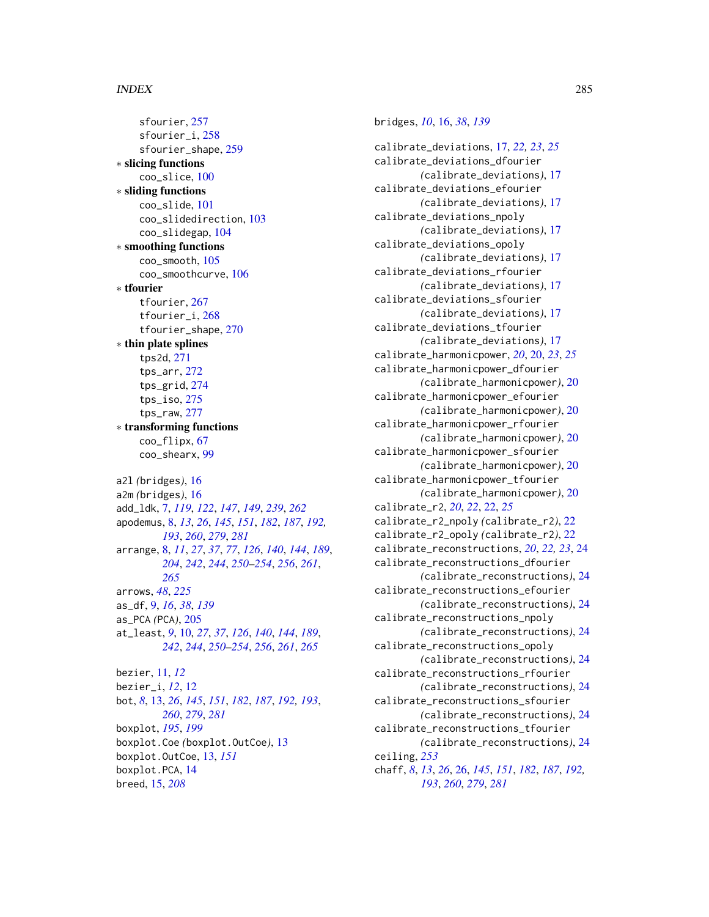#### INDEX 285

sfourier, [257](#page-256-1) sfourier\_i, [258](#page-257-1) sfourier\_shape, [259](#page-258-1) ∗ slicing functions coo\_slice, [100](#page-99-0) ∗ sliding functions coo\_slide, [101](#page-100-0) coo\_slidedirection, [103](#page-102-0) coo\_slidegap, [104](#page-103-0) ∗ smoothing functions coo\_smooth, [105](#page-104-0) coo\_smoothcurve, [106](#page-105-0) ∗ tfourier tfourier, [267](#page-266-1) tfourier\_i, [268](#page-267-1) tfourier\_shape, [270](#page-269-1) ∗ thin plate splines tps2d, [271](#page-270-1) tps\_arr, [272](#page-271-1) tps\_grid, [274](#page-273-1) tps\_iso, [275](#page-274-1) tps\_raw, [277](#page-276-1) ∗ transforming functions coo\_flipx, [67](#page-66-0) coo\_shearx, [99](#page-98-0) a2l *(*bridges*)*, [16](#page-15-0) a2m *(*bridges*)*, [16](#page-15-0) add\_ldk, [7,](#page-6-1) *[119](#page-118-0)*, *[122](#page-121-0)*, *[147](#page-146-1)*, *[149](#page-148-1)*, *[239](#page-238-1)*, *[262](#page-261-0)* apodemus, [8,](#page-7-2) *[13](#page-12-1)*, *[26](#page-25-2)*, *[145](#page-144-1)*, *[151](#page-150-1)*, *[182](#page-181-1)*, *[187](#page-186-2)*, *[192,](#page-191-1) [193](#page-192-2)*, *[260](#page-259-1)*, *[279](#page-278-0)*, *[281](#page-280-1)* arrange, [8,](#page-7-2) *[11](#page-10-0)*, *[27](#page-26-1)*, *[37](#page-36-1)*, *[77](#page-76-0)*, *[126](#page-125-1)*, *[140](#page-139-1)*, *[144](#page-143-0)*, *[189](#page-188-1)*, *[204](#page-203-0)*, *[242](#page-241-0)*, *[244](#page-243-0)*, *[250–](#page-249-1)[254](#page-253-1)*, *[256](#page-255-1)*, *[261](#page-260-1)*, *[265](#page-264-1)* arrows, *[48](#page-47-0)*, *[225](#page-224-0)* as\_df, [9,](#page-8-0) *[16](#page-15-0)*, *[38](#page-37-0)*, *[139](#page-138-0)* as\_PCA *(*PCA*)*, [205](#page-204-1) at\_least, *[9](#page-8-0)*, [10,](#page-9-1) *[27](#page-26-1)*, *[37](#page-36-1)*, *[126](#page-125-1)*, *[140](#page-139-1)*, *[144](#page-143-0)*, *[189](#page-188-1)*, *[242](#page-241-0)*, *[244](#page-243-0)*, *[250–](#page-249-1)[254](#page-253-1)*, *[256](#page-255-1)*, *[261](#page-260-1)*, *[265](#page-264-1)* bezier, [11,](#page-10-0) *[12](#page-11-0)* bezier\_i, *[12](#page-11-0)*, [12](#page-11-0) bot, *[8](#page-7-2)*, [13,](#page-12-1) *[26](#page-25-2)*, *[145](#page-144-1)*, *[151](#page-150-1)*, *[182](#page-181-1)*, *[187](#page-186-2)*, *[192,](#page-191-1) [193](#page-192-2)*, *[260](#page-259-1)*, *[279](#page-278-0)*, *[281](#page-280-1)* boxplot, *[195](#page-194-1)*, *[199](#page-198-1)* boxplot.Coe *(*boxplot.OutCoe*)*, [13](#page-12-1) boxplot.OutCoe, [13,](#page-12-1) *[151](#page-150-1)* boxplot.PCA, [14](#page-13-0) breed, [15,](#page-14-0) *[208](#page-207-0)*

## bridges, *[10](#page-9-1)*, [16,](#page-15-0) *[38](#page-37-0)*, *[139](#page-138-0)*

calibrate\_deviations, [17,](#page-16-0) *[22,](#page-21-0) [23](#page-22-0)*, *[25](#page-24-0)* calibrate\_deviations\_dfourier *(*calibrate\_deviations*)*, [17](#page-16-0) calibrate\_deviations\_efourier *(*calibrate\_deviations*)*, [17](#page-16-0) calibrate\_deviations\_npoly *(*calibrate\_deviations*)*, [17](#page-16-0) calibrate\_deviations\_opoly *(*calibrate\_deviations*)*, [17](#page-16-0) calibrate\_deviations\_rfourier *(*calibrate\_deviations*)*, [17](#page-16-0) calibrate\_deviations\_sfourier *(*calibrate\_deviations*)*, [17](#page-16-0) calibrate\_deviations\_tfourier *(*calibrate\_deviations*)*, [17](#page-16-0) calibrate\_harmonicpower, *[20](#page-19-0)*, [20,](#page-19-0) *[23](#page-22-0)*, *[25](#page-24-0)* calibrate\_harmonicpower\_dfourier *(*calibrate\_harmonicpower*)*, [20](#page-19-0) calibrate\_harmonicpower\_efourier *(*calibrate\_harmonicpower*)*, [20](#page-19-0) calibrate\_harmonicpower\_rfourier *(*calibrate\_harmonicpower*)*, [20](#page-19-0) calibrate\_harmonicpower\_sfourier *(*calibrate\_harmonicpower*)*, [20](#page-19-0) calibrate\_harmonicpower\_tfourier *(*calibrate\_harmonicpower*)*, [20](#page-19-0) calibrate\_r2, *[20](#page-19-0)*, *[22](#page-21-0)*, [22,](#page-21-0) *[25](#page-24-0)* calibrate\_r2\_npoly *(*calibrate\_r2*)*, [22](#page-21-0) calibrate\_r2\_opoly *(*calibrate\_r2*)*, [22](#page-21-0) calibrate\_reconstructions, *[20](#page-19-0)*, *[22,](#page-21-0) [23](#page-22-0)*, [24](#page-23-0) calibrate\_reconstructions\_dfourier *(*calibrate\_reconstructions*)*, [24](#page-23-0) calibrate\_reconstructions\_efourier *(*calibrate\_reconstructions*)*, [24](#page-23-0) calibrate\_reconstructions\_npoly *(*calibrate\_reconstructions*)*, [24](#page-23-0) calibrate\_reconstructions\_opoly *(*calibrate\_reconstructions*)*, [24](#page-23-0) calibrate\_reconstructions\_rfourier *(*calibrate\_reconstructions*)*, [24](#page-23-0) calibrate\_reconstructions\_sfourier *(*calibrate\_reconstructions*)*, [24](#page-23-0) calibrate\_reconstructions\_tfourier *(*calibrate\_reconstructions*)*, [24](#page-23-0) ceiling, *[253](#page-252-1)* chaff, *[8](#page-7-2)*, *[13](#page-12-1)*, *[26](#page-25-2)*, [26,](#page-25-2) *[145](#page-144-1)*, *[151](#page-150-1)*, *[182](#page-181-1)*, *[187](#page-186-2)*, *[192,](#page-191-1) [193](#page-192-2)*, *[260](#page-259-1)*, *[279](#page-278-0)*, *[281](#page-280-1)*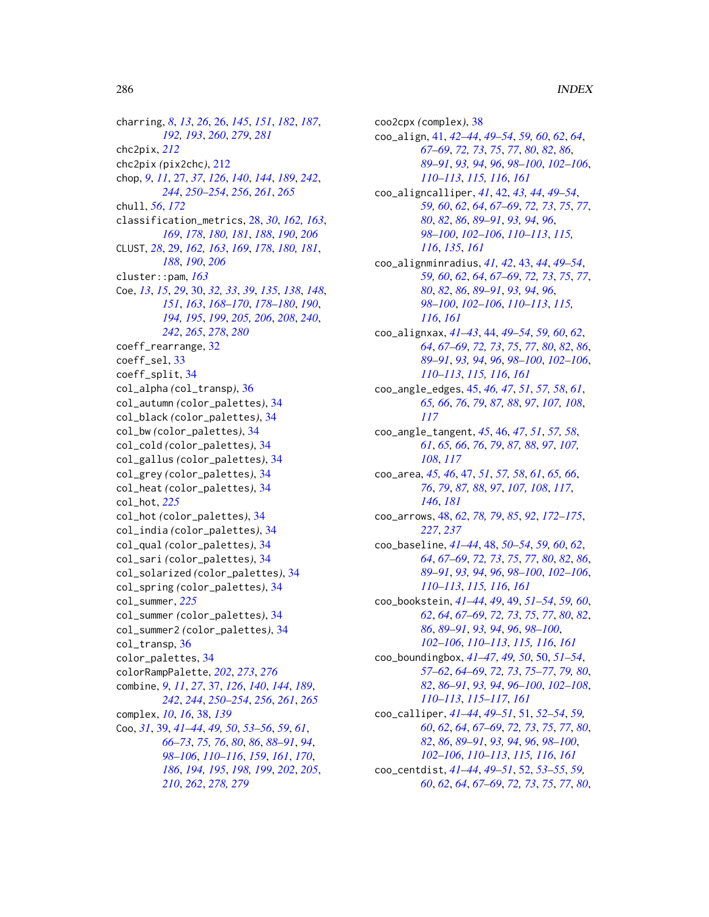charring, *[8](#page-7-2)*, *[13](#page-12-1)*, *[26](#page-25-2)*, [26,](#page-25-2) *[145](#page-144-1)*, *[151](#page-150-1)*, *[182](#page-181-1)*, *[187](#page-186-2)*, *[192,](#page-191-1) [193](#page-192-2)*, *[260](#page-259-1)*, *[279](#page-278-0)*, *[281](#page-280-1)* chc2pix, *[212](#page-211-0)* chc2pix *(*pix2chc*)*, [212](#page-211-0) chop, *[9](#page-8-0)*, *[11](#page-10-0)*, [27,](#page-26-1) *[37](#page-36-1)*, *[126](#page-125-1)*, *[140](#page-139-1)*, *[144](#page-143-0)*, *[189](#page-188-1)*, *[242](#page-241-0)*, *[244](#page-243-0)*, *[250](#page-249-1)[–254](#page-253-1)*, *[256](#page-255-1)*, *[261](#page-260-1)*, *[265](#page-264-1)* chull, *[56](#page-55-0)*, *[172](#page-171-0)* classification\_metrics, [28,](#page-27-0) *[30](#page-29-1)*, *[162,](#page-161-0) [163](#page-162-0)*, *[169](#page-168-0)*, *[178](#page-177-0)*, *[180,](#page-179-0) [181](#page-180-0)*, *[188](#page-187-0)*, *[190](#page-189-0)*, *[206](#page-205-0)* CLUST, *[28](#page-27-0)*, [29,](#page-28-0) *[162,](#page-161-0) [163](#page-162-0)*, *[169](#page-168-0)*, *[178](#page-177-0)*, *[180,](#page-179-0) [181](#page-180-0)*, *[188](#page-187-0)*, *[190](#page-189-0)*, *[206](#page-205-0)* cluster::pam, *[163](#page-162-0)* Coe, *[13](#page-12-1)*, *[15](#page-14-0)*, *[29](#page-28-0)*, [30,](#page-29-1) *[32,](#page-31-0) [33](#page-32-0)*, *[39](#page-38-1)*, *[135](#page-134-0)*, *[138](#page-137-0)*, *[148](#page-147-0)*, *[151](#page-150-1)*, *[163](#page-162-0)*, *[168–](#page-167-0)[170](#page-169-1)*, *[178–](#page-177-0)[180](#page-179-0)*, *[190](#page-189-0)*, *[194,](#page-193-1) [195](#page-194-1)*, *[199](#page-198-1)*, *[205,](#page-204-1) [206](#page-205-0)*, *[208](#page-207-0)*, *[240](#page-239-0)*, *[242](#page-241-0)*, *[265](#page-264-1)*, *[278](#page-277-1)*, *[280](#page-279-0)* coeff\_rearrange, [32](#page-31-0) coeff\_sel, [33](#page-32-0) coeff\_split, [34](#page-33-0) col\_alpha *(*col\_transp*)*, [36](#page-35-0) col\_autumn *(*color\_palettes*)*, [34](#page-33-0) col\_black *(*color\_palettes*)*, [34](#page-33-0) col\_bw *(*color\_palettes*)*, [34](#page-33-0) col\_cold *(*color\_palettes*)*, [34](#page-33-0) col\_gallus *(*color\_palettes*)*, [34](#page-33-0) col\_grey *(*color\_palettes*)*, [34](#page-33-0) col\_heat *(*color\_palettes*)*, [34](#page-33-0) col\_hot, *[225](#page-224-0)* col\_hot *(*color\_palettes*)*, [34](#page-33-0) col\_india *(*color\_palettes*)*, [34](#page-33-0) col\_qual *(*color\_palettes*)*, [34](#page-33-0) col\_sari *(*color\_palettes*)*, [34](#page-33-0) col\_solarized *(*color\_palettes*)*, [34](#page-33-0) col\_spring *(*color\_palettes*)*, [34](#page-33-0) col\_summer, *[225](#page-224-0)* col\_summer *(*color\_palettes*)*, [34](#page-33-0) col\_summer2 *(*color\_palettes*)*, [34](#page-33-0) col\_transp, [36](#page-35-0) color\_palettes, [34](#page-33-0) colorRampPalette, *[202](#page-201-1)*, *[273](#page-272-0)*, *[276](#page-275-0)* combine, *[9](#page-8-0)*, *[11](#page-10-0)*, *[27](#page-26-1)*, [37,](#page-36-1) *[126](#page-125-1)*, *[140](#page-139-1)*, *[144](#page-143-0)*, *[189](#page-188-1)*, *[242](#page-241-0)*, *[244](#page-243-0)*, *[250–](#page-249-1)[254](#page-253-1)*, *[256](#page-255-1)*, *[261](#page-260-1)*, *[265](#page-264-1)* complex, *[10](#page-9-1)*, *[16](#page-15-0)*, [38,](#page-37-0) *[139](#page-138-0)* Coo, *[31](#page-30-0)*, [39,](#page-38-1) *[41](#page-40-0)[–44](#page-43-0)*, *[49,](#page-48-0) [50](#page-49-0)*, *[53–](#page-52-0)[56](#page-55-0)*, *[59](#page-58-0)*, *[61](#page-60-0)*, *[66](#page-65-0)[–73](#page-72-0)*, *[75,](#page-74-0) [76](#page-75-0)*, *[80](#page-79-0)*, *[86](#page-85-0)*, *[88–](#page-87-0)[91](#page-90-0)*, *[94](#page-93-0)*, *[98](#page-97-0)[–106](#page-105-0)*, *[110](#page-109-0)[–116](#page-115-0)*, *[159](#page-158-1)*, *[161](#page-160-0)*, *[170](#page-169-1)*, *[186](#page-185-0)*, *[194,](#page-193-1) [195](#page-194-1)*, *[198,](#page-197-1) [199](#page-198-1)*, *[202](#page-201-1)*, *[205](#page-204-1)*, *[210](#page-209-0)*, *[262](#page-261-0)*, *[278,](#page-277-1) [279](#page-278-0)*

coo2cpx *(*complex*)*, [38](#page-37-0) coo\_align, [41,](#page-40-0) *[42](#page-41-0)[–44](#page-43-0)*, *[49](#page-48-0)[–54](#page-53-0)*, *[59,](#page-58-0) [60](#page-59-0)*, *[62](#page-61-1)*, *[64](#page-63-0)*, *[67](#page-66-0)[–69](#page-68-0)*, *[72,](#page-71-0) [73](#page-72-0)*, *[75](#page-74-0)*, *[77](#page-76-0)*, *[80](#page-79-0)*, *[82](#page-81-0)*, *[86](#page-85-0)*, *[89](#page-88-0)[–91](#page-90-0)*, *[93,](#page-92-0) [94](#page-93-0)*, *[96](#page-95-0)*, *[98](#page-97-0)[–100](#page-99-0)*, *[102](#page-101-0)[–106](#page-105-0)*, *[110](#page-109-0)[–113](#page-112-0)*, *[115,](#page-114-0) [116](#page-115-0)*, *[161](#page-160-0)* coo\_aligncalliper, *[41](#page-40-0)*, [42,](#page-41-0) *[43,](#page-42-0) [44](#page-43-0)*, *[49](#page-48-0)[–54](#page-53-0)*, *[59,](#page-58-0) [60](#page-59-0)*, *[62](#page-61-1)*, *[64](#page-63-0)*, *[67](#page-66-0)[–69](#page-68-0)*, *[72,](#page-71-0) [73](#page-72-0)*, *[75](#page-74-0)*, *[77](#page-76-0)*, *[80](#page-79-0)*, *[82](#page-81-0)*, *[86](#page-85-0)*, *[89](#page-88-0)[–91](#page-90-0)*, *[93,](#page-92-0) [94](#page-93-0)*, *[96](#page-95-0)*, *[98](#page-97-0)[–100](#page-99-0)*, *[102](#page-101-0)[–106](#page-105-0)*, *[110](#page-109-0)[–113](#page-112-0)*, *[115,](#page-114-0) [116](#page-115-0)*, *[135](#page-134-0)*, *[161](#page-160-0)* coo\_alignminradius, *[41,](#page-40-0) [42](#page-41-0)*, [43,](#page-42-0) *[44](#page-43-0)*, *[49](#page-48-0)[–54](#page-53-0)*, *[59,](#page-58-0) [60](#page-59-0)*, *[62](#page-61-1)*, *[64](#page-63-0)*, *[67](#page-66-0)[–69](#page-68-0)*, *[72,](#page-71-0) [73](#page-72-0)*, *[75](#page-74-0)*, *[77](#page-76-0)*, *[80](#page-79-0)*, *[82](#page-81-0)*, *[86](#page-85-0)*, *[89](#page-88-0)[–91](#page-90-0)*, *[93,](#page-92-0) [94](#page-93-0)*, *[96](#page-95-0)*, *[98](#page-97-0)[–100](#page-99-0)*, *[102](#page-101-0)[–106](#page-105-0)*, *[110](#page-109-0)[–113](#page-112-0)*, *[115,](#page-114-0) [116](#page-115-0)*, *[161](#page-160-0)* coo\_alignxax, *[41](#page-40-0)[–43](#page-42-0)*, [44,](#page-43-0) *[49](#page-48-0)[–54](#page-53-0)*, *[59,](#page-58-0) [60](#page-59-0)*, *[62](#page-61-1)*, *[64](#page-63-0)*, *[67](#page-66-0)[–69](#page-68-0)*, *[72,](#page-71-0) [73](#page-72-0)*, *[75](#page-74-0)*, *[77](#page-76-0)*, *[80](#page-79-0)*, *[82](#page-81-0)*, *[86](#page-85-0)*, *[89](#page-88-0)[–91](#page-90-0)*, *[93,](#page-92-0) [94](#page-93-0)*, *[96](#page-95-0)*, *[98](#page-97-0)[–100](#page-99-0)*, *[102](#page-101-0)[–106](#page-105-0)*, *[110](#page-109-0)[–113](#page-112-0)*, *[115,](#page-114-0) [116](#page-115-0)*, *[161](#page-160-0)* coo\_angle\_edges, [45,](#page-44-0) *[46,](#page-45-0) [47](#page-46-0)*, *[51](#page-50-0)*, *[57,](#page-56-0) [58](#page-57-0)*, *[61](#page-60-0)*, *[65,](#page-64-0) [66](#page-65-0)*, *[76](#page-75-0)*, *[79](#page-78-0)*, *[87,](#page-86-0) [88](#page-87-0)*, *[97](#page-96-0)*, *[107,](#page-106-0) [108](#page-107-0)*, *[117](#page-116-0)* coo\_angle\_tangent, *[45](#page-44-0)*, [46,](#page-45-0) *[47](#page-46-0)*, *[51](#page-50-0)*, *[57,](#page-56-0) [58](#page-57-0)*, *[61](#page-60-0)*, *[65,](#page-64-0) [66](#page-65-0)*, *[76](#page-75-0)*, *[79](#page-78-0)*, *[87,](#page-86-0) [88](#page-87-0)*, *[97](#page-96-0)*, *[107,](#page-106-0) [108](#page-107-0)*, *[117](#page-116-0)* coo\_area, *[45,](#page-44-0) [46](#page-45-0)*, [47,](#page-46-0) *[51](#page-50-0)*, *[57,](#page-56-0) [58](#page-57-0)*, *[61](#page-60-0)*, *[65,](#page-64-0) [66](#page-65-0)*, *[76](#page-75-0)*, *[79](#page-78-0)*, *[87,](#page-86-0) [88](#page-87-0)*, *[97](#page-96-0)*, *[107,](#page-106-0) [108](#page-107-0)*, *[117](#page-116-0)*, *[146](#page-145-0)*, *[181](#page-180-0)* coo\_arrows, [48,](#page-47-0) *[62](#page-61-1)*, *[78,](#page-77-0) [79](#page-78-0)*, *[85](#page-84-0)*, *[92](#page-91-0)*, *[172](#page-171-0)[–175](#page-174-1)*, *[227](#page-226-0)*, *[237](#page-236-0)* coo\_baseline, *[41](#page-40-0)[–44](#page-43-0)*, [48,](#page-47-0) *[50](#page-49-0)[–54](#page-53-0)*, *[59,](#page-58-0) [60](#page-59-0)*, *[62](#page-61-1)*, *[64](#page-63-0)*, *[67](#page-66-0)[–69](#page-68-0)*, *[72,](#page-71-0) [73](#page-72-0)*, *[75](#page-74-0)*, *[77](#page-76-0)*, *[80](#page-79-0)*, *[82](#page-81-0)*, *[86](#page-85-0)*, *[89](#page-88-0)[–91](#page-90-0)*, *[93,](#page-92-0) [94](#page-93-0)*, *[96](#page-95-0)*, *[98](#page-97-0)[–100](#page-99-0)*, *[102](#page-101-0)[–106](#page-105-0)*, *[110](#page-109-0)[–113](#page-112-0)*, *[115,](#page-114-0) [116](#page-115-0)*, *[161](#page-160-0)* coo\_bookstein, *[41](#page-40-0)[–44](#page-43-0)*, *[49](#page-48-0)*, [49,](#page-48-0) *[51](#page-50-0)[–54](#page-53-0)*, *[59,](#page-58-0) [60](#page-59-0)*, *[62](#page-61-1)*, *[64](#page-63-0)*, *[67](#page-66-0)[–69](#page-68-0)*, *[72,](#page-71-0) [73](#page-72-0)*, *[75](#page-74-0)*, *[77](#page-76-0)*, *[80](#page-79-0)*, *[82](#page-81-0)*, *[86](#page-85-0)*, *[89](#page-88-0)[–91](#page-90-0)*, *[93,](#page-92-0) [94](#page-93-0)*, *[96](#page-95-0)*, *[98](#page-97-0)[–100](#page-99-0)*, *[102](#page-101-0)[–106](#page-105-0)*, *[110](#page-109-0)[–113](#page-112-0)*, *[115,](#page-114-0) [116](#page-115-0)*, *[161](#page-160-0)* coo\_boundingbox, *[41](#page-40-0)[–47](#page-46-0)*, *[49,](#page-48-0) [50](#page-49-0)*, [50,](#page-49-0) *[51](#page-50-0)[–54](#page-53-0)*, *[57](#page-56-0)[–62](#page-61-1)*, *[64](#page-63-0)[–69](#page-68-0)*, *[72,](#page-71-0) [73](#page-72-0)*, *[75](#page-74-0)[–77](#page-76-0)*, *[79,](#page-78-0) [80](#page-79-0)*, *[82](#page-81-0)*, *[86](#page-85-0)[–91](#page-90-0)*, *[93,](#page-92-0) [94](#page-93-0)*, *[96](#page-95-0)[–100](#page-99-0)*, *[102](#page-101-0)[–108](#page-107-0)*, *[110](#page-109-0)[–113](#page-112-0)*, *[115](#page-114-0)[–117](#page-116-0)*, *[161](#page-160-0)* coo\_calliper, *[41](#page-40-0)[–44](#page-43-0)*, *[49](#page-48-0)[–51](#page-50-0)*, [51,](#page-50-0) *[52](#page-51-0)[–54](#page-53-0)*, *[59,](#page-58-0) [60](#page-59-0)*, *[62](#page-61-1)*, *[64](#page-63-0)*, *[67](#page-66-0)[–69](#page-68-0)*, *[72,](#page-71-0) [73](#page-72-0)*, *[75](#page-74-0)*, *[77](#page-76-0)*, *[80](#page-79-0)*, *[82](#page-81-0)*, *[86](#page-85-0)*, *[89](#page-88-0)[–91](#page-90-0)*, *[93,](#page-92-0) [94](#page-93-0)*, *[96](#page-95-0)*, *[98](#page-97-0)[–100](#page-99-0)*, *[102](#page-101-0)[–106](#page-105-0)*, *[110](#page-109-0)[–113](#page-112-0)*, *[115,](#page-114-0) [116](#page-115-0)*, *[161](#page-160-0)* coo\_centdist, *[41](#page-40-0)[–44](#page-43-0)*, *[49](#page-48-0)[–51](#page-50-0)*, [52,](#page-51-0) *[53](#page-52-0)[–55](#page-54-0)*, *[59,](#page-58-0) [60](#page-59-0)*, *[62](#page-61-1)*, *[64](#page-63-0)*, *[67](#page-66-0)[–69](#page-68-0)*, *[72,](#page-71-0) [73](#page-72-0)*, *[75](#page-74-0)*, *[77](#page-76-0)*, *[80](#page-79-0)*,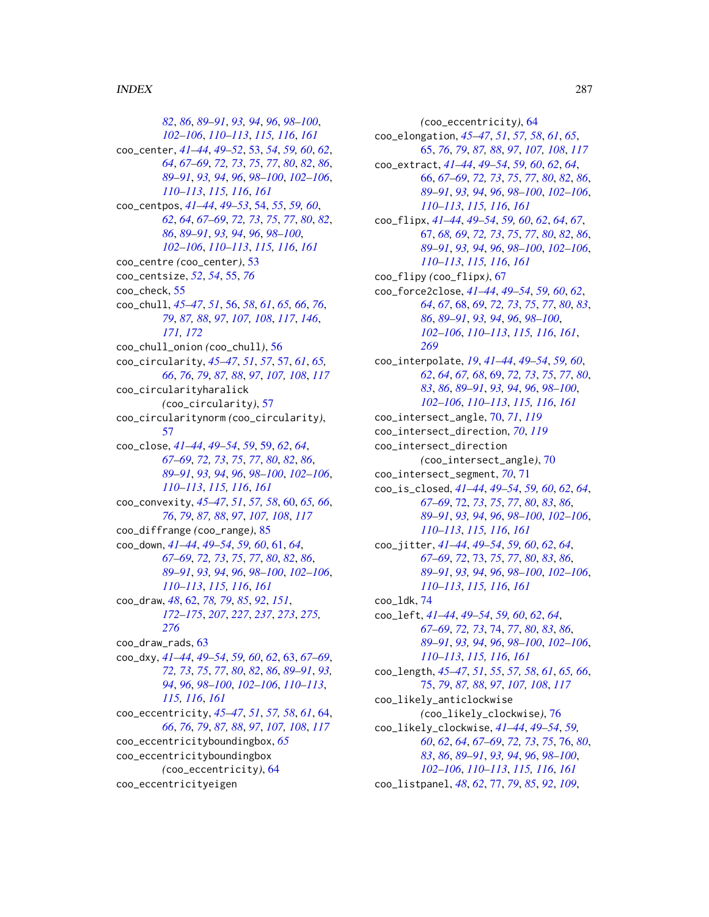*[82](#page-81-0)*, *[86](#page-85-0)*, *[89](#page-88-0)[–91](#page-90-0)*, *[93,](#page-92-0) [94](#page-93-0)*, *[96](#page-95-0)*, *[98–](#page-97-0)[100](#page-99-0)*, *[102](#page-101-0)[–106](#page-105-0)*, *[110–](#page-109-0)[113](#page-112-0)*, *[115,](#page-114-0) [116](#page-115-0)*, *[161](#page-160-0)* coo\_center, *[41](#page-40-0)[–44](#page-43-0)*, *[49–](#page-48-0)[52](#page-51-0)*, [53,](#page-52-0) *[54](#page-53-0)*, *[59,](#page-58-0) [60](#page-59-0)*, *[62](#page-61-1)*, *[64](#page-63-0)*, *[67](#page-66-0)[–69](#page-68-0)*, *[72,](#page-71-0) [73](#page-72-0)*, *[75](#page-74-0)*, *[77](#page-76-0)*, *[80](#page-79-0)*, *[82](#page-81-0)*, *[86](#page-85-0)*, *[89](#page-88-0)[–91](#page-90-0)*, *[93,](#page-92-0) [94](#page-93-0)*, *[96](#page-95-0)*, *[98–](#page-97-0)[100](#page-99-0)*, *[102–](#page-101-0)[106](#page-105-0)*, *[110](#page-109-0)[–113](#page-112-0)*, *[115,](#page-114-0) [116](#page-115-0)*, *[161](#page-160-0)* coo\_centpos, *[41](#page-40-0)[–44](#page-43-0)*, *[49–](#page-48-0)[53](#page-52-0)*, [54,](#page-53-0) *[55](#page-54-0)*, *[59,](#page-58-0) [60](#page-59-0)*, *[62](#page-61-1)*, *[64](#page-63-0)*, *[67](#page-66-0)[–69](#page-68-0)*, *[72,](#page-71-0) [73](#page-72-0)*, *[75](#page-74-0)*, *[77](#page-76-0)*, *[80](#page-79-0)*, *[82](#page-81-0)*, *[86](#page-85-0)*, *[89](#page-88-0)[–91](#page-90-0)*, *[93,](#page-92-0) [94](#page-93-0)*, *[96](#page-95-0)*, *[98–](#page-97-0)[100](#page-99-0)*, *[102](#page-101-0)[–106](#page-105-0)*, *[110–](#page-109-0)[113](#page-112-0)*, *[115,](#page-114-0) [116](#page-115-0)*, *[161](#page-160-0)* coo\_centre *(*coo\_center*)*, [53](#page-52-0) coo\_centsize, *[52](#page-51-0)*, *[54](#page-53-0)*, [55,](#page-54-0) *[76](#page-75-0)* coo\_check, [55](#page-54-0) coo\_chull, *[45](#page-44-0)[–47](#page-46-0)*, *[51](#page-50-0)*, [56,](#page-55-0) *[58](#page-57-0)*, *[61](#page-60-0)*, *[65,](#page-64-0) [66](#page-65-0)*, *[76](#page-75-0)*, *[79](#page-78-0)*, *[87,](#page-86-0) [88](#page-87-0)*, *[97](#page-96-0)*, *[107,](#page-106-0) [108](#page-107-0)*, *[117](#page-116-0)*, *[146](#page-145-0)*, *[171,](#page-170-0) [172](#page-171-0)* coo\_chull\_onion *(*coo\_chull*)*, [56](#page-55-0) coo\_circularity, *[45](#page-44-0)[–47](#page-46-0)*, *[51](#page-50-0)*, *[57](#page-56-0)*, [57,](#page-56-0) *[61](#page-60-0)*, *[65,](#page-64-0) [66](#page-65-0)*, *[76](#page-75-0)*, *[79](#page-78-0)*, *[87,](#page-86-0) [88](#page-87-0)*, *[97](#page-96-0)*, *[107,](#page-106-0) [108](#page-107-0)*, *[117](#page-116-0)* coo\_circularityharalick *(*coo\_circularity*)*, [57](#page-56-0) coo\_circularitynorm *(*coo\_circularity*)*, [57](#page-56-0) coo\_close, *[41](#page-40-0)[–44](#page-43-0)*, *[49](#page-48-0)[–54](#page-53-0)*, *[59](#page-58-0)*, [59,](#page-58-0) *[62](#page-61-1)*, *[64](#page-63-0)*, *[67](#page-66-0)[–69](#page-68-0)*, *[72,](#page-71-0) [73](#page-72-0)*, *[75](#page-74-0)*, *[77](#page-76-0)*, *[80](#page-79-0)*, *[82](#page-81-0)*, *[86](#page-85-0)*, *[89](#page-88-0)[–91](#page-90-0)*, *[93,](#page-92-0) [94](#page-93-0)*, *[96](#page-95-0)*, *[98–](#page-97-0)[100](#page-99-0)*, *[102–](#page-101-0)[106](#page-105-0)*, *[110](#page-109-0)[–113](#page-112-0)*, *[115,](#page-114-0) [116](#page-115-0)*, *[161](#page-160-0)* coo\_convexity, *[45](#page-44-0)[–47](#page-46-0)*, *[51](#page-50-0)*, *[57,](#page-56-0) [58](#page-57-0)*, [60,](#page-59-0) *[65,](#page-64-0) [66](#page-65-0)*, *[76](#page-75-0)*, *[79](#page-78-0)*, *[87,](#page-86-0) [88](#page-87-0)*, *[97](#page-96-0)*, *[107,](#page-106-0) [108](#page-107-0)*, *[117](#page-116-0)* coo\_diffrange *(*coo\_range*)*, [85](#page-84-0) coo\_down, *[41](#page-40-0)[–44](#page-43-0)*, *[49](#page-48-0)[–54](#page-53-0)*, *[59,](#page-58-0) [60](#page-59-0)*, [61,](#page-60-0) *[64](#page-63-0)*, *[67](#page-66-0)[–69](#page-68-0)*, *[72,](#page-71-0) [73](#page-72-0)*, *[75](#page-74-0)*, *[77](#page-76-0)*, *[80](#page-79-0)*, *[82](#page-81-0)*, *[86](#page-85-0)*, *[89](#page-88-0)[–91](#page-90-0)*, *[93,](#page-92-0) [94](#page-93-0)*, *[96](#page-95-0)*, *[98–](#page-97-0)[100](#page-99-0)*, *[102–](#page-101-0)[106](#page-105-0)*, *[110](#page-109-0)[–113](#page-112-0)*, *[115,](#page-114-0) [116](#page-115-0)*, *[161](#page-160-0)* coo\_draw, *[48](#page-47-0)*, [62,](#page-61-1) *[78,](#page-77-0) [79](#page-78-0)*, *[85](#page-84-0)*, *[92](#page-91-0)*, *[151](#page-150-1)*, *[172](#page-171-0)[–175](#page-174-1)*, *[207](#page-206-0)*, *[227](#page-226-0)*, *[237](#page-236-0)*, *[273](#page-272-0)*, *[275,](#page-274-1) [276](#page-275-0)* coo\_draw\_rads, [63](#page-62-0) coo\_dxy, *[41](#page-40-0)[–44](#page-43-0)*, *[49](#page-48-0)[–54](#page-53-0)*, *[59,](#page-58-0) [60](#page-59-0)*, *[62](#page-61-1)*, [63,](#page-62-0) *[67–](#page-66-0)[69](#page-68-0)*, *[72,](#page-71-0) [73](#page-72-0)*, *[75](#page-74-0)*, *[77](#page-76-0)*, *[80](#page-79-0)*, *[82](#page-81-0)*, *[86](#page-85-0)*, *[89–](#page-88-0)[91](#page-90-0)*, *[93,](#page-92-0) [94](#page-93-0)*, *[96](#page-95-0)*, *[98](#page-97-0)[–100](#page-99-0)*, *[102–](#page-101-0)[106](#page-105-0)*, *[110–](#page-109-0)[113](#page-112-0)*, *[115,](#page-114-0) [116](#page-115-0)*, *[161](#page-160-0)* coo\_eccentricity, *[45–](#page-44-0)[47](#page-46-0)*, *[51](#page-50-0)*, *[57,](#page-56-0) [58](#page-57-0)*, *[61](#page-60-0)*, [64,](#page-63-0) *[66](#page-65-0)*, *[76](#page-75-0)*, *[79](#page-78-0)*, *[87,](#page-86-0) [88](#page-87-0)*, *[97](#page-96-0)*, *[107,](#page-106-0) [108](#page-107-0)*, *[117](#page-116-0)* coo\_eccentricityboundingbox, *[65](#page-64-0)* coo\_eccentricityboundingbox *(*coo\_eccentricity*)*, [64](#page-63-0) coo\_eccentricityeigen

*(*coo\_eccentricity*)*, [64](#page-63-0) coo\_elongation, *[45](#page-44-0)[–47](#page-46-0)*, *[51](#page-50-0)*, *[57,](#page-56-0) [58](#page-57-0)*, *[61](#page-60-0)*, *[65](#page-64-0)*, [65,](#page-64-0) *[76](#page-75-0)*, *[79](#page-78-0)*, *[87,](#page-86-0) [88](#page-87-0)*, *[97](#page-96-0)*, *[107,](#page-106-0) [108](#page-107-0)*, *[117](#page-116-0)* coo\_extract, *[41](#page-40-0)[–44](#page-43-0)*, *[49](#page-48-0)[–54](#page-53-0)*, *[59,](#page-58-0) [60](#page-59-0)*, *[62](#page-61-1)*, *[64](#page-63-0)*, [66,](#page-65-0) *[67](#page-66-0)[–69](#page-68-0)*, *[72,](#page-71-0) [73](#page-72-0)*, *[75](#page-74-0)*, *[77](#page-76-0)*, *[80](#page-79-0)*, *[82](#page-81-0)*, *[86](#page-85-0)*, *[89](#page-88-0)[–91](#page-90-0)*, *[93,](#page-92-0) [94](#page-93-0)*, *[96](#page-95-0)*, *[98](#page-97-0)[–100](#page-99-0)*, *[102](#page-101-0)[–106](#page-105-0)*, *[110](#page-109-0)[–113](#page-112-0)*, *[115,](#page-114-0) [116](#page-115-0)*, *[161](#page-160-0)* coo\_flipx, *[41](#page-40-0)[–44](#page-43-0)*, *[49](#page-48-0)[–54](#page-53-0)*, *[59,](#page-58-0) [60](#page-59-0)*, *[62](#page-61-1)*, *[64](#page-63-0)*, *[67](#page-66-0)*, [67,](#page-66-0) *[68,](#page-67-1) [69](#page-68-0)*, *[72,](#page-71-0) [73](#page-72-0)*, *[75](#page-74-0)*, *[77](#page-76-0)*, *[80](#page-79-0)*, *[82](#page-81-0)*, *[86](#page-85-0)*, *[89](#page-88-0)[–91](#page-90-0)*, *[93,](#page-92-0) [94](#page-93-0)*, *[96](#page-95-0)*, *[98](#page-97-0)[–100](#page-99-0)*, *[102](#page-101-0)[–106](#page-105-0)*, *[110](#page-109-0)[–113](#page-112-0)*, *[115,](#page-114-0) [116](#page-115-0)*, *[161](#page-160-0)* coo\_flipy *(*coo\_flipx*)*, [67](#page-66-0) coo\_force2close, *[41](#page-40-0)[–44](#page-43-0)*, *[49](#page-48-0)[–54](#page-53-0)*, *[59,](#page-58-0) [60](#page-59-0)*, *[62](#page-61-1)*, *[64](#page-63-0)*, *[67](#page-66-0)*, [68,](#page-67-1) *[69](#page-68-0)*, *[72,](#page-71-0) [73](#page-72-0)*, *[75](#page-74-0)*, *[77](#page-76-0)*, *[80](#page-79-0)*, *[83](#page-82-1)*, *[86](#page-85-0)*, *[89](#page-88-0)[–91](#page-90-0)*, *[93,](#page-92-0) [94](#page-93-0)*, *[96](#page-95-0)*, *[98](#page-97-0)[–100](#page-99-0)*, *[102](#page-101-0)[–106](#page-105-0)*, *[110](#page-109-0)[–113](#page-112-0)*, *[115,](#page-114-0) [116](#page-115-0)*, *[161](#page-160-0)*, *[269](#page-268-0)* coo\_interpolate, *[19](#page-18-0)*, *[41](#page-40-0)[–44](#page-43-0)*, *[49](#page-48-0)[–54](#page-53-0)*, *[59,](#page-58-0) [60](#page-59-0)*, *[62](#page-61-1)*, *[64](#page-63-0)*, *[67,](#page-66-0) [68](#page-67-1)*, [69,](#page-68-0) *[72,](#page-71-0) [73](#page-72-0)*, *[75](#page-74-0)*, *[77](#page-76-0)*, *[80](#page-79-0)*, *[83](#page-82-1)*, *[86](#page-85-0)*, *[89](#page-88-0)[–91](#page-90-0)*, *[93,](#page-92-0) [94](#page-93-0)*, *[96](#page-95-0)*, *[98](#page-97-0)[–100](#page-99-0)*, *[102](#page-101-0)[–106](#page-105-0)*, *[110](#page-109-0)[–113](#page-112-0)*, *[115,](#page-114-0) [116](#page-115-0)*, *[161](#page-160-0)* coo\_intersect\_angle, [70,](#page-69-0) *[71](#page-70-0)*, *[119](#page-118-0)* coo\_intersect\_direction, *[70](#page-69-0)*, *[119](#page-118-0)* coo\_intersect\_direction *(*coo\_intersect\_angle*)*, [70](#page-69-0) coo\_intersect\_segment, *[70](#page-69-0)*, [71](#page-70-0) coo\_is\_closed, *[41](#page-40-0)[–44](#page-43-0)*, *[49](#page-48-0)[–54](#page-53-0)*, *[59,](#page-58-0) [60](#page-59-0)*, *[62](#page-61-1)*, *[64](#page-63-0)*, *[67](#page-66-0)[–69](#page-68-0)*, [72,](#page-71-0) *[73](#page-72-0)*, *[75](#page-74-0)*, *[77](#page-76-0)*, *[80](#page-79-0)*, *[83](#page-82-1)*, *[86](#page-85-0)*, *[89](#page-88-0)[–91](#page-90-0)*, *[93,](#page-92-0) [94](#page-93-0)*, *[96](#page-95-0)*, *[98](#page-97-0)[–100](#page-99-0)*, *[102](#page-101-0)[–106](#page-105-0)*, *[110](#page-109-0)[–113](#page-112-0)*, *[115,](#page-114-0) [116](#page-115-0)*, *[161](#page-160-0)* coo\_jitter, *[41](#page-40-0)[–44](#page-43-0)*, *[49](#page-48-0)[–54](#page-53-0)*, *[59,](#page-58-0) [60](#page-59-0)*, *[62](#page-61-1)*, *[64](#page-63-0)*, *[67](#page-66-0)[–69](#page-68-0)*, *[72](#page-71-0)*, [73,](#page-72-0) *[75](#page-74-0)*, *[77](#page-76-0)*, *[80](#page-79-0)*, *[83](#page-82-1)*, *[86](#page-85-0)*, *[89](#page-88-0)[–91](#page-90-0)*, *[93,](#page-92-0) [94](#page-93-0)*, *[96](#page-95-0)*, *[98](#page-97-0)[–100](#page-99-0)*, *[102](#page-101-0)[–106](#page-105-0)*, *[110](#page-109-0)[–113](#page-112-0)*, *[115,](#page-114-0) [116](#page-115-0)*, *[161](#page-160-0)* coo\_ldk, [74](#page-73-0) coo\_left, *[41](#page-40-0)[–44](#page-43-0)*, *[49](#page-48-0)[–54](#page-53-0)*, *[59,](#page-58-0) [60](#page-59-0)*, *[62](#page-61-1)*, *[64](#page-63-0)*, *[67](#page-66-0)[–69](#page-68-0)*, *[72,](#page-71-0) [73](#page-72-0)*, [74,](#page-73-0) *[77](#page-76-0)*, *[80](#page-79-0)*, *[83](#page-82-1)*, *[86](#page-85-0)*, *[89](#page-88-0)[–91](#page-90-0)*, *[93,](#page-92-0) [94](#page-93-0)*, *[96](#page-95-0)*, *[98](#page-97-0)[–100](#page-99-0)*, *[102](#page-101-0)[–106](#page-105-0)*, *[110](#page-109-0)[–113](#page-112-0)*, *[115,](#page-114-0) [116](#page-115-0)*, *[161](#page-160-0)* coo\_length, *[45](#page-44-0)[–47](#page-46-0)*, *[51](#page-50-0)*, *[55](#page-54-0)*, *[57,](#page-56-0) [58](#page-57-0)*, *[61](#page-60-0)*, *[65,](#page-64-0) [66](#page-65-0)*, [75,](#page-74-0) *[79](#page-78-0)*, *[87,](#page-86-0) [88](#page-87-0)*, *[97](#page-96-0)*, *[107,](#page-106-0) [108](#page-107-0)*, *[117](#page-116-0)* coo\_likely\_anticlockwise *(*coo\_likely\_clockwise*)*, [76](#page-75-0) coo\_likely\_clockwise, *[41](#page-40-0)[–44](#page-43-0)*, *[49](#page-48-0)[–54](#page-53-0)*, *[59,](#page-58-0) [60](#page-59-0)*, *[62](#page-61-1)*, *[64](#page-63-0)*, *[67](#page-66-0)[–69](#page-68-0)*, *[72,](#page-71-0) [73](#page-72-0)*, *[75](#page-74-0)*, [76,](#page-75-0) *[80](#page-79-0)*, *[83](#page-82-1)*, *[86](#page-85-0)*, *[89](#page-88-0)[–91](#page-90-0)*, *[93,](#page-92-0) [94](#page-93-0)*, *[96](#page-95-0)*, *[98](#page-97-0)[–100](#page-99-0)*, *[102](#page-101-0)[–106](#page-105-0)*, *[110](#page-109-0)[–113](#page-112-0)*, *[115,](#page-114-0) [116](#page-115-0)*, *[161](#page-160-0)* coo\_listpanel, *[48](#page-47-0)*, *[62](#page-61-1)*, [77,](#page-76-0) *[79](#page-78-0)*, *[85](#page-84-0)*, *[92](#page-91-0)*, *[109](#page-108-0)*,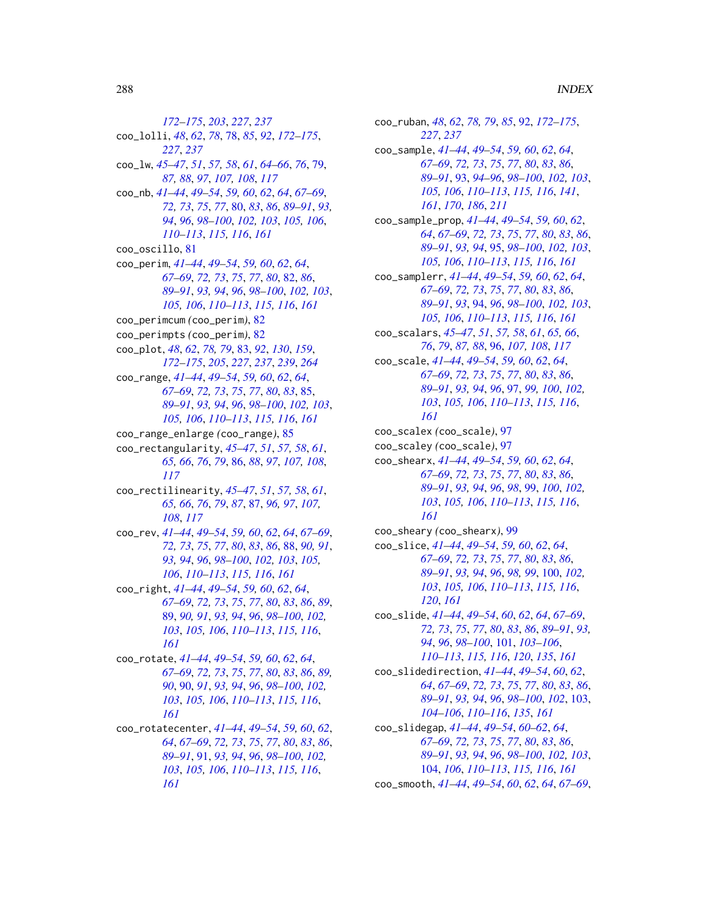*[172](#page-171-0)[–175](#page-174-1)*, *[203](#page-202-0)*, *[227](#page-226-0)*, *[237](#page-236-0)* coo\_lolli, *[48](#page-47-0)*, *[62](#page-61-1)*, *[78](#page-77-0)*, [78,](#page-77-0) *[85](#page-84-0)*, *[92](#page-91-0)*, *[172–](#page-171-0)[175](#page-174-1)*, *[227](#page-226-0)*, *[237](#page-236-0)* coo\_lw, *[45](#page-44-0)[–47](#page-46-0)*, *[51](#page-50-0)*, *[57,](#page-56-0) [58](#page-57-0)*, *[61](#page-60-0)*, *[64–](#page-63-0)[66](#page-65-0)*, *[76](#page-75-0)*, [79,](#page-78-0) *[87,](#page-86-0) [88](#page-87-0)*, *[97](#page-96-0)*, *[107,](#page-106-0) [108](#page-107-0)*, *[117](#page-116-0)* coo\_nb, *[41](#page-40-0)[–44](#page-43-0)*, *[49](#page-48-0)[–54](#page-53-0)*, *[59,](#page-58-0) [60](#page-59-0)*, *[62](#page-61-1)*, *[64](#page-63-0)*, *[67–](#page-66-0)[69](#page-68-0)*, *[72,](#page-71-0) [73](#page-72-0)*, *[75](#page-74-0)*, *[77](#page-76-0)*, [80,](#page-79-0) *[83](#page-82-1)*, *[86](#page-85-0)*, *[89–](#page-88-0)[91](#page-90-0)*, *[93,](#page-92-0) [94](#page-93-0)*, *[96](#page-95-0)*, *[98](#page-97-0)[–100](#page-99-0)*, *[102,](#page-101-0) [103](#page-102-0)*, *[105,](#page-104-0) [106](#page-105-0)*, *[110](#page-109-0)[–113](#page-112-0)*, *[115,](#page-114-0) [116](#page-115-0)*, *[161](#page-160-0)* coo\_oscillo, [81](#page-80-0) coo\_perim, *[41](#page-40-0)[–44](#page-43-0)*, *[49](#page-48-0)[–54](#page-53-0)*, *[59,](#page-58-0) [60](#page-59-0)*, *[62](#page-61-1)*, *[64](#page-63-0)*, *[67](#page-66-0)[–69](#page-68-0)*, *[72,](#page-71-0) [73](#page-72-0)*, *[75](#page-74-0)*, *[77](#page-76-0)*, *[80](#page-79-0)*, [82,](#page-81-0) *[86](#page-85-0)*, *[89](#page-88-0)[–91](#page-90-0)*, *[93,](#page-92-0) [94](#page-93-0)*, *[96](#page-95-0)*, *[98–](#page-97-0)[100](#page-99-0)*, *[102,](#page-101-0) [103](#page-102-0)*, *[105,](#page-104-0) [106](#page-105-0)*, *[110–](#page-109-0)[113](#page-112-0)*, *[115,](#page-114-0) [116](#page-115-0)*, *[161](#page-160-0)* coo\_perimcum *(*coo\_perim*)*, [82](#page-81-0) coo\_perimpts *(*coo\_perim*)*, [82](#page-81-0) coo\_plot, *[48](#page-47-0)*, *[62](#page-61-1)*, *[78,](#page-77-0) [79](#page-78-0)*, [83,](#page-82-1) *[92](#page-91-0)*, *[130](#page-129-0)*, *[159](#page-158-1)*, *[172](#page-171-0)[–175](#page-174-1)*, *[205](#page-204-1)*, *[227](#page-226-0)*, *[237](#page-236-0)*, *[239](#page-238-1)*, *[264](#page-263-0)* coo\_range, *[41](#page-40-0)[–44](#page-43-0)*, *[49](#page-48-0)[–54](#page-53-0)*, *[59,](#page-58-0) [60](#page-59-0)*, *[62](#page-61-1)*, *[64](#page-63-0)*, *[67](#page-66-0)[–69](#page-68-0)*, *[72,](#page-71-0) [73](#page-72-0)*, *[75](#page-74-0)*, *[77](#page-76-0)*, *[80](#page-79-0)*, *[83](#page-82-1)*, [85,](#page-84-0) *[89](#page-88-0)[–91](#page-90-0)*, *[93,](#page-92-0) [94](#page-93-0)*, *[96](#page-95-0)*, *[98–](#page-97-0)[100](#page-99-0)*, *[102,](#page-101-0) [103](#page-102-0)*, *[105,](#page-104-0) [106](#page-105-0)*, *[110–](#page-109-0)[113](#page-112-0)*, *[115,](#page-114-0) [116](#page-115-0)*, *[161](#page-160-0)* coo\_range\_enlarge *(*coo\_range*)*, [85](#page-84-0) coo\_rectangularity, *[45–](#page-44-0)[47](#page-46-0)*, *[51](#page-50-0)*, *[57,](#page-56-0) [58](#page-57-0)*, *[61](#page-60-0)*, *[65,](#page-64-0) [66](#page-65-0)*, *[76](#page-75-0)*, *[79](#page-78-0)*, [86,](#page-85-0) *[88](#page-87-0)*, *[97](#page-96-0)*, *[107,](#page-106-0) [108](#page-107-0)*, *[117](#page-116-0)* coo\_rectilinearity, *[45–](#page-44-0)[47](#page-46-0)*, *[51](#page-50-0)*, *[57,](#page-56-0) [58](#page-57-0)*, *[61](#page-60-0)*, *[65,](#page-64-0) [66](#page-65-0)*, *[76](#page-75-0)*, *[79](#page-78-0)*, *[87](#page-86-0)*, [87,](#page-86-0) *[96,](#page-95-0) [97](#page-96-0)*, *[107,](#page-106-0) [108](#page-107-0)*, *[117](#page-116-0)* coo\_rev, *[41](#page-40-0)[–44](#page-43-0)*, *[49](#page-48-0)[–54](#page-53-0)*, *[59,](#page-58-0) [60](#page-59-0)*, *[62](#page-61-1)*, *[64](#page-63-0)*, *[67–](#page-66-0)[69](#page-68-0)*, *[72,](#page-71-0) [73](#page-72-0)*, *[75](#page-74-0)*, *[77](#page-76-0)*, *[80](#page-79-0)*, *[83](#page-82-1)*, *[86](#page-85-0)*, [88,](#page-87-0) *[90,](#page-89-0) [91](#page-90-0)*, *[93,](#page-92-0) [94](#page-93-0)*, *[96](#page-95-0)*, *[98–](#page-97-0)[100](#page-99-0)*, *[102,](#page-101-0) [103](#page-102-0)*, *[105,](#page-104-0) [106](#page-105-0)*, *[110](#page-109-0)[–113](#page-112-0)*, *[115,](#page-114-0) [116](#page-115-0)*, *[161](#page-160-0)* coo\_right, *[41](#page-40-0)[–44](#page-43-0)*, *[49](#page-48-0)[–54](#page-53-0)*, *[59,](#page-58-0) [60](#page-59-0)*, *[62](#page-61-1)*, *[64](#page-63-0)*, *[67](#page-66-0)[–69](#page-68-0)*, *[72,](#page-71-0) [73](#page-72-0)*, *[75](#page-74-0)*, *[77](#page-76-0)*, *[80](#page-79-0)*, *[83](#page-82-1)*, *[86](#page-85-0)*, *[89](#page-88-0)*, [89,](#page-88-0) *[90,](#page-89-0) [91](#page-90-0)*, *[93,](#page-92-0) [94](#page-93-0)*, *[96](#page-95-0)*, *[98–](#page-97-0)[100](#page-99-0)*, *[102,](#page-101-0) [103](#page-102-0)*, *[105,](#page-104-0) [106](#page-105-0)*, *[110–](#page-109-0)[113](#page-112-0)*, *[115,](#page-114-0) [116](#page-115-0)*, *[161](#page-160-0)* coo\_rotate, *[41](#page-40-0)[–44](#page-43-0)*, *[49–](#page-48-0)[54](#page-53-0)*, *[59,](#page-58-0) [60](#page-59-0)*, *[62](#page-61-1)*, *[64](#page-63-0)*, *[67](#page-66-0)[–69](#page-68-0)*, *[72,](#page-71-0) [73](#page-72-0)*, *[75](#page-74-0)*, *[77](#page-76-0)*, *[80](#page-79-0)*, *[83](#page-82-1)*, *[86](#page-85-0)*, *[89,](#page-88-0) [90](#page-89-0)*, [90,](#page-89-0) *[91](#page-90-0)*, *[93,](#page-92-0) [94](#page-93-0)*, *[96](#page-95-0)*, *[98–](#page-97-0)[100](#page-99-0)*, *[102,](#page-101-0) [103](#page-102-0)*, *[105,](#page-104-0) [106](#page-105-0)*, *[110–](#page-109-0)[113](#page-112-0)*, *[115,](#page-114-0) [116](#page-115-0)*, *[161](#page-160-0)* coo\_rotatecenter, *[41–](#page-40-0)[44](#page-43-0)*, *[49–](#page-48-0)[54](#page-53-0)*, *[59,](#page-58-0) [60](#page-59-0)*, *[62](#page-61-1)*, *[64](#page-63-0)*, *[67](#page-66-0)[–69](#page-68-0)*, *[72,](#page-71-0) [73](#page-72-0)*, *[75](#page-74-0)*, *[77](#page-76-0)*, *[80](#page-79-0)*, *[83](#page-82-1)*, *[86](#page-85-0)*, *[89](#page-88-0)[–91](#page-90-0)*, [91,](#page-90-0) *[93,](#page-92-0) [94](#page-93-0)*, *[96](#page-95-0)*, *[98–](#page-97-0)[100](#page-99-0)*, *[102,](#page-101-0)*

*[103](#page-102-0)*, *[105,](#page-104-0) [106](#page-105-0)*, *[110–](#page-109-0)[113](#page-112-0)*, *[115,](#page-114-0) [116](#page-115-0)*,

*[161](#page-160-0)*

*[105,](#page-104-0) [106](#page-105-0)*, *[110](#page-109-0)[–113](#page-112-0)*, *[115,](#page-114-0) [116](#page-115-0)*, *[141](#page-140-0)*, *[161](#page-160-0)*, *[170](#page-169-1)*, *[186](#page-185-0)*, *[211](#page-210-0)* coo\_sample\_prop, *[41](#page-40-0)[–44](#page-43-0)*, *[49](#page-48-0)[–54](#page-53-0)*, *[59,](#page-58-0) [60](#page-59-0)*, *[62](#page-61-1)*, *[64](#page-63-0)*, *[67](#page-66-0)[–69](#page-68-0)*, *[72,](#page-71-0) [73](#page-72-0)*, *[75](#page-74-0)*, *[77](#page-76-0)*, *[80](#page-79-0)*, *[83](#page-82-1)*, *[86](#page-85-0)*, *[89](#page-88-0)[–91](#page-90-0)*, *[93,](#page-92-0) [94](#page-93-0)*, [95,](#page-94-0) *[98](#page-97-0)[–100](#page-99-0)*, *[102,](#page-101-0) [103](#page-102-0)*, *[105,](#page-104-0) [106](#page-105-0)*, *[110](#page-109-0)[–113](#page-112-0)*, *[115,](#page-114-0) [116](#page-115-0)*, *[161](#page-160-0)* coo\_samplerr, *[41](#page-40-0)[–44](#page-43-0)*, *[49](#page-48-0)[–54](#page-53-0)*, *[59,](#page-58-0) [60](#page-59-0)*, *[62](#page-61-1)*, *[64](#page-63-0)*, *[67](#page-66-0)[–69](#page-68-0)*, *[72,](#page-71-0) [73](#page-72-0)*, *[75](#page-74-0)*, *[77](#page-76-0)*, *[80](#page-79-0)*, *[83](#page-82-1)*, *[86](#page-85-0)*, *[89](#page-88-0)[–91](#page-90-0)*, *[93](#page-92-0)*, [94,](#page-93-0) *[96](#page-95-0)*, *[98](#page-97-0)[–100](#page-99-0)*, *[102,](#page-101-0) [103](#page-102-0)*, *[105,](#page-104-0) [106](#page-105-0)*, *[110](#page-109-0)[–113](#page-112-0)*, *[115,](#page-114-0) [116](#page-115-0)*, *[161](#page-160-0)* coo\_scalars, *[45](#page-44-0)[–47](#page-46-0)*, *[51](#page-50-0)*, *[57,](#page-56-0) [58](#page-57-0)*, *[61](#page-60-0)*, *[65,](#page-64-0) [66](#page-65-0)*, *[76](#page-75-0)*, *[79](#page-78-0)*, *[87,](#page-86-0) [88](#page-87-0)*, [96,](#page-95-0) *[107,](#page-106-0) [108](#page-107-0)*, *[117](#page-116-0)* coo\_scale, *[41](#page-40-0)[–44](#page-43-0)*, *[49](#page-48-0)[–54](#page-53-0)*, *[59,](#page-58-0) [60](#page-59-0)*, *[62](#page-61-1)*, *[64](#page-63-0)*, *[67](#page-66-0)[–69](#page-68-0)*, *[72,](#page-71-0) [73](#page-72-0)*, *[75](#page-74-0)*, *[77](#page-76-0)*, *[80](#page-79-0)*, *[83](#page-82-1)*, *[86](#page-85-0)*, *[89](#page-88-0)[–91](#page-90-0)*, *[93,](#page-92-0) [94](#page-93-0)*, *[96](#page-95-0)*, [97,](#page-96-0) *[99,](#page-98-0) [100](#page-99-0)*, *[102,](#page-101-0) [103](#page-102-0)*, *[105,](#page-104-0) [106](#page-105-0)*, *[110](#page-109-0)[–113](#page-112-0)*, *[115,](#page-114-0) [116](#page-115-0)*, *[161](#page-160-0)* coo\_scalex *(*coo\_scale*)*, [97](#page-96-0) coo\_scaley *(*coo\_scale*)*, [97](#page-96-0) coo\_shearx, *[41](#page-40-0)[–44](#page-43-0)*, *[49](#page-48-0)[–54](#page-53-0)*, *[59,](#page-58-0) [60](#page-59-0)*, *[62](#page-61-1)*, *[64](#page-63-0)*, *[67](#page-66-0)[–69](#page-68-0)*, *[72,](#page-71-0) [73](#page-72-0)*, *[75](#page-74-0)*, *[77](#page-76-0)*, *[80](#page-79-0)*, *[83](#page-82-1)*, *[86](#page-85-0)*, *[89](#page-88-0)[–91](#page-90-0)*, *[93,](#page-92-0) [94](#page-93-0)*, *[96](#page-95-0)*, *[98](#page-97-0)*, [99,](#page-98-0) *[100](#page-99-0)*, *[102,](#page-101-0) [103](#page-102-0)*, *[105,](#page-104-0) [106](#page-105-0)*, *[110](#page-109-0)[–113](#page-112-0)*, *[115,](#page-114-0) [116](#page-115-0)*, *[161](#page-160-0)* coo\_sheary *(*coo\_shearx*)*, [99](#page-98-0) coo\_slice, *[41](#page-40-0)[–44](#page-43-0)*, *[49](#page-48-0)[–54](#page-53-0)*, *[59,](#page-58-0) [60](#page-59-0)*, *[62](#page-61-1)*, *[64](#page-63-0)*, *[67](#page-66-0)[–69](#page-68-0)*, *[72,](#page-71-0) [73](#page-72-0)*, *[75](#page-74-0)*, *[77](#page-76-0)*, *[80](#page-79-0)*, *[83](#page-82-1)*, *[86](#page-85-0)*, *[89](#page-88-0)[–91](#page-90-0)*, *[93,](#page-92-0) [94](#page-93-0)*, *[96](#page-95-0)*, *[98,](#page-97-0) [99](#page-98-0)*, [100,](#page-99-0) *[102,](#page-101-0) [103](#page-102-0)*, *[105,](#page-104-0) [106](#page-105-0)*, *[110](#page-109-0)[–113](#page-112-0)*, *[115,](#page-114-0) [116](#page-115-0)*, *[120](#page-119-0)*, *[161](#page-160-0)* coo\_slide, *[41](#page-40-0)[–44](#page-43-0)*, *[49](#page-48-0)[–54](#page-53-0)*, *[60](#page-59-0)*, *[62](#page-61-1)*, *[64](#page-63-0)*, *[67](#page-66-0)[–69](#page-68-0)*, *[72,](#page-71-0) [73](#page-72-0)*, *[75](#page-74-0)*, *[77](#page-76-0)*, *[80](#page-79-0)*, *[83](#page-82-1)*, *[86](#page-85-0)*, *[89](#page-88-0)[–91](#page-90-0)*, *[93,](#page-92-0) [94](#page-93-0)*, *[96](#page-95-0)*, *[98](#page-97-0)[–100](#page-99-0)*, [101,](#page-100-0) *[103](#page-102-0)[–106](#page-105-0)*, *[110](#page-109-0)[–113](#page-112-0)*, *[115,](#page-114-0) [116](#page-115-0)*, *[120](#page-119-0)*, *[135](#page-134-0)*, *[161](#page-160-0)* coo\_slidedirection, *[41](#page-40-0)[–44](#page-43-0)*, *[49](#page-48-0)[–54](#page-53-0)*, *[60](#page-59-0)*, *[62](#page-61-1)*, *[64](#page-63-0)*, *[67](#page-66-0)[–69](#page-68-0)*, *[72,](#page-71-0) [73](#page-72-0)*, *[75](#page-74-0)*, *[77](#page-76-0)*, *[80](#page-79-0)*, *[83](#page-82-1)*, *[86](#page-85-0)*, *[89](#page-88-0)[–91](#page-90-0)*, *[93,](#page-92-0) [94](#page-93-0)*, *[96](#page-95-0)*, *[98](#page-97-0)[–100](#page-99-0)*, *[102](#page-101-0)*, [103,](#page-102-0) *[104](#page-103-0)[–106](#page-105-0)*, *[110](#page-109-0)[–116](#page-115-0)*, *[135](#page-134-0)*, *[161](#page-160-0)* coo\_slidegap, *[41](#page-40-0)[–44](#page-43-0)*, *[49](#page-48-0)[–54](#page-53-0)*, *[60](#page-59-0)[–62](#page-61-1)*, *[64](#page-63-0)*, *[67](#page-66-0)[–69](#page-68-0)*, *[72,](#page-71-0) [73](#page-72-0)*, *[75](#page-74-0)*, *[77](#page-76-0)*, *[80](#page-79-0)*, *[83](#page-82-1)*, *[86](#page-85-0)*, *[89](#page-88-0)[–91](#page-90-0)*, *[93,](#page-92-0) [94](#page-93-0)*, *[96](#page-95-0)*, *[98](#page-97-0)[–100](#page-99-0)*, *[102,](#page-101-0) [103](#page-102-0)*, [104,](#page-103-0) *[106](#page-105-0)*, *[110](#page-109-0)[–113](#page-112-0)*, *[115,](#page-114-0) [116](#page-115-0)*, *[161](#page-160-0)* coo\_smooth, *[41](#page-40-0)[–44](#page-43-0)*, *[49](#page-48-0)[–54](#page-53-0)*, *[60](#page-59-0)*, *[62](#page-61-1)*, *[64](#page-63-0)*, *[67](#page-66-0)[–69](#page-68-0)*,

coo\_ruban, *[48](#page-47-0)*, *[62](#page-61-1)*, *[78,](#page-77-0) [79](#page-78-0)*, *[85](#page-84-0)*, [92,](#page-91-0) *[172](#page-171-0)[–175](#page-174-1)*,

coo\_sample, *[41](#page-40-0)[–44](#page-43-0)*, *[49](#page-48-0)[–54](#page-53-0)*, *[59,](#page-58-0) [60](#page-59-0)*, *[62](#page-61-1)*, *[64](#page-63-0)*,

*[67](#page-66-0)[–69](#page-68-0)*, *[72,](#page-71-0) [73](#page-72-0)*, *[75](#page-74-0)*, *[77](#page-76-0)*, *[80](#page-79-0)*, *[83](#page-82-1)*, *[86](#page-85-0)*, *[89](#page-88-0)[–91](#page-90-0)*, [93,](#page-92-0) *[94](#page-93-0)[–96](#page-95-0)*, *[98](#page-97-0)[–100](#page-99-0)*, *[102,](#page-101-0) [103](#page-102-0)*,

*[227](#page-226-0)*, *[237](#page-236-0)*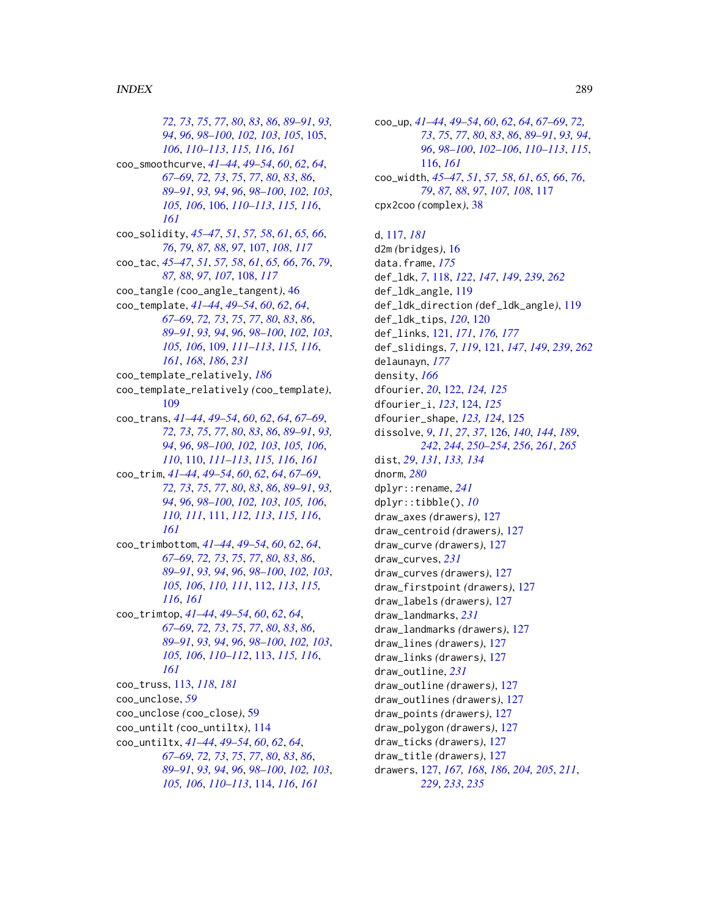72, 73, 75, 77, 80, 83, 86, 89–91, 93, 94, 96, 98-100, 102, 103, 105, 105, 106, 110-113, 115, 116, 161 coo\_smoothcurve, 41-44, 49-54, 60, 62, 64, 67-69, 72, 73, 75, 77, 80, 83, 86, 89-91, 93, 94, 96, 98-100, 102, 103, 105, 106, 106, 110-113, 115, 116, 161 coo\_solidity, 45–47, 51, 57, 58, 61, 65, 66, 76, 79, 87, 88, 97, 107, 108, 117 coo\_tac, 45-47, 51, 57, 58, 61, 65, 66, 76, 79, 87, 88, 97, 107, 108, 117 coo\_tangle (coo\_angle\_tangent), 46 coo\_template, 41-44, 49-54, 60, 62, 64, 67-69, 72, 73, 75, 77, 80, 83, 86, 89-91, 93, 94, 96, 98-100, 102, 103, 105, 106, 109, 111–113, 115, 116, 161, 168, 186, 231 coo\_template\_relatively, 186 coo\_template\_relatively(coo\_template), 109 coo\_trans, 41-44, 49-54, 60, 62, 64, 67-69, 72, 73, 75, 77, 80, 83, 86, 89-91, 93, 94, 96, 98-100, 102, 103, 105, 106, 110, 110, 111–113, 115, 116, 161 coo\_trim, 41-44, 49-54, 60, 62, 64, 67-69, 72, 73, 75, 77, 80, 83, 86, 89–91, 93, 94, 96, 98-100, 102, 103, 105, 106, 110, 111, 111, 112, 113, 115, 116, 161 coo\_trimbottom, 41-44, 49-54, 60, 62, 64, 67–69, 72, 73, 75, 77, 80, 83, 86, 89-91, 93, 94, 96, 98-100, 102, 103, 105, 106, 110, 111, 112, 113, 115, 116, 161  $\text{coo\_trimtop}, 41-44, 49-54, 60, 62, 64,$ 67–69, 72, 73, 75, 77, 80, 83, 86, 89-91, 93, 94, 96, 98-100, 102, 103, 105, 106, 110-112, 113, 115, 116, 161 coo\_truss, 113, 118, 181 coo\_unclose, 59 coo\_unclose (coo\_close), 59 coo\_untilt (coo\_untiltx), 114 coo\_untiltx, 41-44, 49-54, 60, 62, 64, 67-69, 72, 73, 75, 77, 80, 83, 86, 89-91, 93, 94, 96, 98-100, 102, 103, 105, 106, 110–113, 114, 116, 161

coo\_up, 41-44, 49-54, 60, 62, 64, 67-69, 72, 73, 75, 77, 80, 83, 86, 89–91, 93, 94, 96, 98-100, 102-106, 110-113, 115, 116, 161 coo\_width, 45-47, 51, 57, 58, 61, 65, 66, 76, 79, 87, 88, 97, 107, 108, 117  $cpx2coo$  (complex),  $38$ 

d,  $117, 181$  $d2m$  (bridges),  $16$ data.frame, 175 def\_1dk, 7, 118, 122, 147, 149, 239, 262 def\_ldk\_angle, 119 def\_ldk\_direction(def\_ldk\_angle), 119 def\_1dk\_tips, 120, 120 def\_links, 121, 171, 176, 177 def\_slidings, 7, 119, 121, 147, 149, 239, 262 delaunayn, 177 density,  $166$ dfourier, 20, 122, 124, 125 dfourier\_i, 123, 124, 125 dfourier\_shape, 123, 124, 125 dissolve, 9, 11, 27, 37, 126, 140, 144, 189, 242, 244, 250-254, 256, 261, 265 dist, 29, 131, 133, 134 dnorm,  $280$  $dplyr::$ rename,  $241$  $dplyr::tibble(), 10$ draw\_axes (drawers), 127 draw\_centroid (drawers), 127 draw\_curve (drawers), 127 draw\_curves, 231 draw\_curves (drawers), 127 draw\_firstpoint (drawers), 127 draw\_labels (drawers), 127 draw\_landmarks, 231 draw\_landmarks (drawers), 127 draw\_lines (drawers), 127 draw\_links (drawers), 127 draw\_outline, 231 draw\_outline (drawers), 127 draw\_outlines (drawers), 127 draw\_points (drawers), 127 draw\_polygon (drawers), 127 draw\_ticks (drawers), 127 draw\_title(drawers), 127 drawers, 127, 167, 168, 186, 204, 205, 211, 229, 233, 235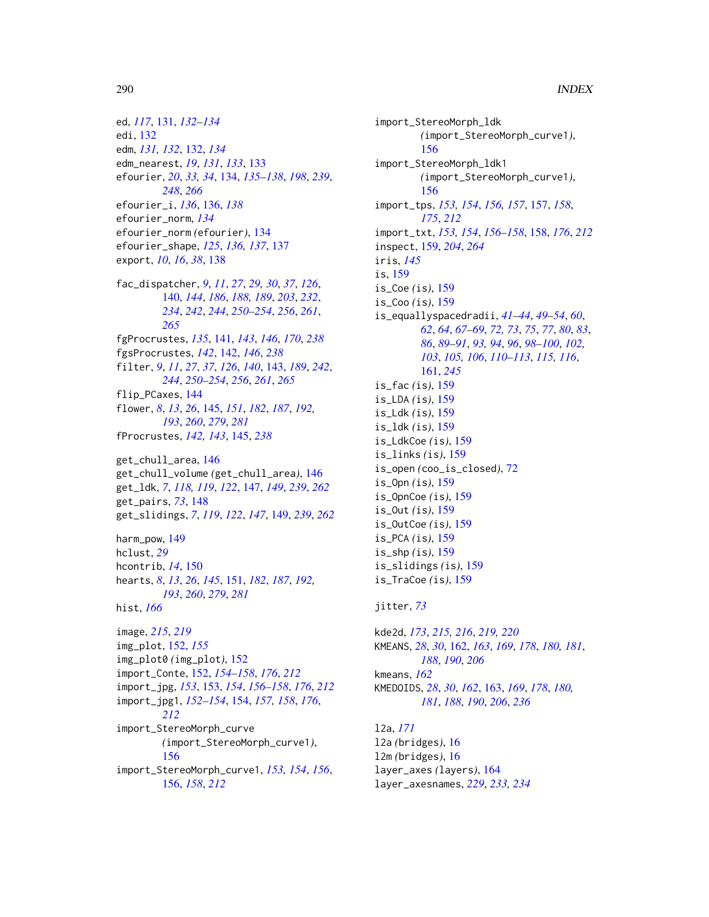ed, *[117](#page-116-0)*, [131,](#page-130-0) *[132](#page-131-0)[–134](#page-133-0)* edi, [132](#page-131-0) edm, *[131,](#page-130-0) [132](#page-131-0)*, [132,](#page-131-0) *[134](#page-133-0)* edm\_nearest, *[19](#page-18-0)*, *[131](#page-130-0)*, *[133](#page-132-0)*, [133](#page-132-0) efourier, *[20](#page-19-0)*, *[33,](#page-32-0) [34](#page-33-0)*, [134,](#page-133-0) *[135–](#page-134-0)[138](#page-137-0)*, *[198](#page-197-0)*, *[239](#page-238-0)*, *[248](#page-247-0)*, *[266](#page-265-0)* efourier\_i, *[136](#page-135-0)*, [136,](#page-135-0) *[138](#page-137-0)* efourier\_norm, *[134](#page-133-0)* efourier\_norm *(*efourier*)*, [134](#page-133-0) efourier\_shape, *[125](#page-124-0)*, *[136,](#page-135-0) [137](#page-136-0)*, [137](#page-136-0) export, *[10](#page-9-0)*, *[16](#page-15-0)*, *[38](#page-37-0)*, [138](#page-137-0)

- fac\_dispatcher, *[9](#page-8-0)*, *[11](#page-10-0)*, *[27](#page-26-0)*, *[29,](#page-28-0) [30](#page-29-0)*, *[37](#page-36-0)*, *[126](#page-125-0)*, [140,](#page-139-0) *[144](#page-143-0)*, *[186](#page-185-0)*, *[188,](#page-187-0) [189](#page-188-0)*, *[203](#page-202-0)*, *[232](#page-231-0)*, *[234](#page-233-0)*, *[242](#page-241-0)*, *[244](#page-243-0)*, *[250–](#page-249-0)[254](#page-253-0)*, *[256](#page-255-0)*, *[261](#page-260-0)*, *[265](#page-264-0)*
- fgProcrustes, *[135](#page-134-0)*, [141,](#page-140-0) *[143](#page-142-0)*, *[146](#page-145-0)*, *[170](#page-169-0)*, *[238](#page-237-0)* fgsProcrustes, *[142](#page-141-0)*, [142,](#page-141-0) *[146](#page-145-0)*, *[238](#page-237-0)* filter, *[9](#page-8-0)*, *[11](#page-10-0)*, *[27](#page-26-0)*, *[37](#page-36-0)*, *[126](#page-125-0)*, *[140](#page-139-0)*, [143,](#page-142-0) *[189](#page-188-0)*, *[242](#page-241-0)*, *[244](#page-243-0)*, *[250](#page-249-0)[–254](#page-253-0)*, *[256](#page-255-0)*, *[261](#page-260-0)*, *[265](#page-264-0)* flip\_PCaxes, [144](#page-143-0) flower, *[8](#page-7-0)*, *[13](#page-12-0)*, *[26](#page-25-0)*, [145,](#page-144-0) *[151](#page-150-0)*, *[182](#page-181-0)*, *[187](#page-186-0)*, *[192,](#page-191-0)*

*[193](#page-192-0)*, *[260](#page-259-0)*, *[279](#page-278-0)*, *[281](#page-280-0)* fProcrustes, *[142,](#page-141-0) [143](#page-142-0)*, [145,](#page-144-0) *[238](#page-237-0)*

```
get_chull_area, 146
get_chull_volume (get_chull_area), 146
get_ldk, 7, 118, 119, 122, 147, 149, 239, 262
get_pairs, 73, 148
get_slidings, 7, 119, 122, 147, 149, 239, 262
```
harm\_pow, [149](#page-148-0) hclust, *[29](#page-28-0)* hcontrib, *[14](#page-13-0)*, [150](#page-149-0) hearts, *[8](#page-7-0)*, *[13](#page-12-0)*, *[26](#page-25-0)*, *[145](#page-144-0)*, [151,](#page-150-0) *[182](#page-181-0)*, *[187](#page-186-0)*, *[192,](#page-191-0) [193](#page-192-0)*, *[260](#page-259-0)*, *[279](#page-278-0)*, *[281](#page-280-0)* hist, *[166](#page-165-0)*

```
image, 215, 219
img_plot, 152, 155
img_plot0 (img_plot), 152
import_Conte, 152, 154–158, 176, 212
import_jpg, 153, 153, 154, 156–158, 176, 212
import_jpg1, 152–154, 154, 157, 158, 176,
        212
import_StereoMorph_curve
        (import_StereoMorph_curve1),
         156
import_StereoMorph_curve1, 153, 154, 156,
        156, 158, 212
```
import\_StereoMorph\_ldk *(*import\_StereoMorph\_curve1*)*, [156](#page-155-0) import\_StereoMorph\_ldk1 *(*import\_StereoMorph\_curve1*)*, [156](#page-155-0) import\_tps, *[153,](#page-152-0) [154](#page-153-0)*, *[156,](#page-155-0) [157](#page-156-0)*, [157,](#page-156-0) *[158](#page-157-0)*, *[175](#page-174-0)*, *[212](#page-211-0)* import\_txt, *[153,](#page-152-0) [154](#page-153-0)*, *[156–](#page-155-0)[158](#page-157-0)*, [158,](#page-157-0) *[176](#page-175-0)*, *[212](#page-211-0)* inspect, [159,](#page-158-0) *[204](#page-203-0)*, *[264](#page-263-0)* iris, *[145](#page-144-0)* is, [159](#page-158-0) is\_Coe *(*is*)*, [159](#page-158-0) is\_Coo *(*is*)*, [159](#page-158-0) is\_equallyspacedradii, *[41](#page-40-0)[–44](#page-43-0)*, *[49](#page-48-0)[–54](#page-53-0)*, *[60](#page-59-0)*, *[62](#page-61-0)*, *[64](#page-63-0)*, *[67](#page-66-0)[–69](#page-68-0)*, *[72,](#page-71-0) [73](#page-72-0)*, *[75](#page-74-0)*, *[77](#page-76-0)*, *[80](#page-79-0)*, *[83](#page-82-0)*, *[86](#page-85-0)*, *[89](#page-88-0)[–91](#page-90-0)*, *[93,](#page-92-0) [94](#page-93-0)*, *[96](#page-95-0)*, *[98](#page-97-0)[–100](#page-99-0)*, *[102,](#page-101-0) [103](#page-102-0)*, *[105,](#page-104-0) [106](#page-105-0)*, *[110](#page-109-0)[–113](#page-112-0)*, *[115,](#page-114-0) [116](#page-115-0)*, [161,](#page-160-0) *[245](#page-244-0)* is\_fac *(*is*)*, [159](#page-158-0) is\_LDA *(*is*)*, [159](#page-158-0) is\_Ldk *(*is*)*, [159](#page-158-0) is\_ldk *(*is*)*, [159](#page-158-0) is\_LdkCoe *(*is*)*, [159](#page-158-0) is\_links *(*is*)*, [159](#page-158-0) is\_open *(*coo\_is\_closed*)*, [72](#page-71-0) is\_Opn *(*is*)*, [159](#page-158-0) is\_OpnCoe *(*is*)*, [159](#page-158-0) is\_Out *(*is*)*, [159](#page-158-0) is\_OutCoe *(*is*)*, [159](#page-158-0) is\_PCA *(*is*)*, [159](#page-158-0) is\_shp *(*is*)*, [159](#page-158-0) is\_slidings *(*is*)*, [159](#page-158-0) is\_TraCoe *(*is*)*, [159](#page-158-0)

## jitter, *[73](#page-72-0)*

kde2d, *[173](#page-172-0)*, *[215,](#page-214-0) [216](#page-215-0)*, *[219,](#page-218-0) [220](#page-219-0)* KMEANS, *[28](#page-27-0)*, *[30](#page-29-0)*, [162,](#page-161-0) *[163](#page-162-0)*, *[169](#page-168-0)*, *[178](#page-177-0)*, *[180,](#page-179-0) [181](#page-180-0)*, *[188](#page-187-0)*, *[190](#page-189-0)*, *[206](#page-205-0)* kmeans, *[162](#page-161-0)* KMEDOIDS, *[28](#page-27-0)*, *[30](#page-29-0)*, *[162](#page-161-0)*, [163,](#page-162-0) *[169](#page-168-0)*, *[178](#page-177-0)*, *[180,](#page-179-0) [181](#page-180-0)*, *[188](#page-187-0)*, *[190](#page-189-0)*, *[206](#page-205-0)*, *[236](#page-235-0)*

l2a, *[171](#page-170-0)* l2a *(*bridges*)*, [16](#page-15-0) l2m *(*bridges*)*, [16](#page-15-0) layer\_axes *(*layers*)*, [164](#page-163-0) layer\_axesnames, *[229](#page-228-0)*, *[233,](#page-232-0) [234](#page-233-0)*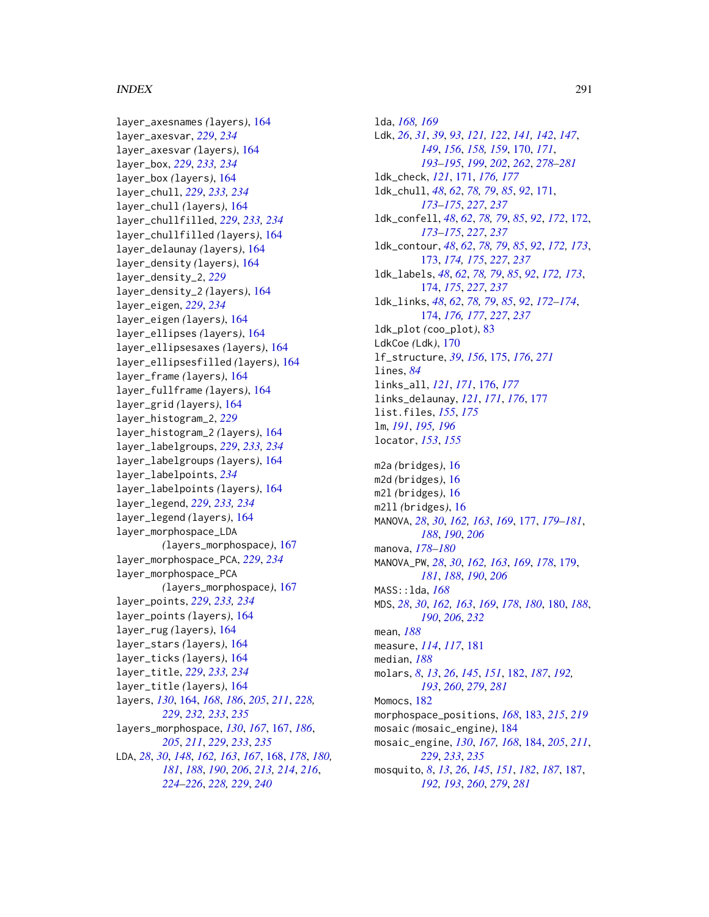## $I$ NDEX 291

layer\_axesnames *(*layers*)*, [164](#page-163-0) layer\_axesvar, *[229](#page-228-0)*, *[234](#page-233-0)* layer\_axesvar *(*layers*)*, [164](#page-163-0) layer\_box, *[229](#page-228-0)*, *[233,](#page-232-0) [234](#page-233-0)* layer\_box *(*layers*)*, [164](#page-163-0) layer\_chull, *[229](#page-228-0)*, *[233,](#page-232-0) [234](#page-233-0)* layer\_chull *(*layers*)*, [164](#page-163-0) layer\_chullfilled, *[229](#page-228-0)*, *[233,](#page-232-0) [234](#page-233-0)* layer\_chullfilled *(*layers*)*, [164](#page-163-0) layer\_delaunay *(*layers*)*, [164](#page-163-0) layer\_density *(*layers*)*, [164](#page-163-0) layer\_density\_2, *[229](#page-228-0)* layer\_density\_2 *(*layers*)*, [164](#page-163-0) layer\_eigen, *[229](#page-228-0)*, *[234](#page-233-0)* layer\_eigen *(*layers*)*, [164](#page-163-0) layer\_ellipses *(*layers*)*, [164](#page-163-0) layer\_ellipsesaxes *(*layers*)*, [164](#page-163-0) layer\_ellipsesfilled *(*layers*)*, [164](#page-163-0) layer\_frame *(*layers*)*, [164](#page-163-0) layer\_fullframe *(*layers*)*, [164](#page-163-0) layer\_grid *(*layers*)*, [164](#page-163-0) layer\_histogram\_2, *[229](#page-228-0)* layer\_histogram\_2 *(*layers*)*, [164](#page-163-0) layer\_labelgroups, *[229](#page-228-0)*, *[233,](#page-232-0) [234](#page-233-0)* layer\_labelgroups *(*layers*)*, [164](#page-163-0) layer\_labelpoints, *[234](#page-233-0)* layer\_labelpoints *(*layers*)*, [164](#page-163-0) layer\_legend, *[229](#page-228-0)*, *[233,](#page-232-0) [234](#page-233-0)* layer\_legend *(*layers*)*, [164](#page-163-0) layer\_morphospace\_LDA *(*layers\_morphospace*)*, [167](#page-166-0) layer\_morphospace\_PCA, *[229](#page-228-0)*, *[234](#page-233-0)* layer\_morphospace\_PCA *(*layers\_morphospace*)*, [167](#page-166-0) layer\_points, *[229](#page-228-0)*, *[233,](#page-232-0) [234](#page-233-0)* layer\_points *(*layers*)*, [164](#page-163-0) layer\_rug *(*layers*)*, [164](#page-163-0) layer\_stars *(*layers*)*, [164](#page-163-0) layer\_ticks *(*layers*)*, [164](#page-163-0) layer\_title, *[229](#page-228-0)*, *[233,](#page-232-0) [234](#page-233-0)* layer\_title *(*layers*)*, [164](#page-163-0) layers, *[130](#page-129-0)*, [164,](#page-163-0) *[168](#page-167-0)*, *[186](#page-185-0)*, *[205](#page-204-0)*, *[211](#page-210-0)*, *[228,](#page-227-0) [229](#page-228-0)*, *[232,](#page-231-0) [233](#page-232-0)*, *[235](#page-234-0)* layers\_morphospace, *[130](#page-129-0)*, *[167](#page-166-0)*, [167,](#page-166-0) *[186](#page-185-0)*, *[205](#page-204-0)*, *[211](#page-210-0)*, *[229](#page-228-0)*, *[233](#page-232-0)*, *[235](#page-234-0)* LDA, *[28](#page-27-0)*, *[30](#page-29-0)*, *[148](#page-147-0)*, *[162,](#page-161-0) [163](#page-162-0)*, *[167](#page-166-0)*, [168,](#page-167-0) *[178](#page-177-0)*, *[180,](#page-179-0) [181](#page-180-0)*, *[188](#page-187-0)*, *[190](#page-189-0)*, *[206](#page-205-0)*, *[213,](#page-212-0) [214](#page-213-0)*, *[216](#page-215-0)*, *[224](#page-223-0)[–226](#page-225-0)*, *[228,](#page-227-0) [229](#page-228-0)*, *[240](#page-239-0)*

lda, *[168,](#page-167-0) [169](#page-168-0)* Ldk, *[26](#page-25-0)*, *[31](#page-30-0)*, *[39](#page-38-0)*, *[93](#page-92-0)*, *[121,](#page-120-0) [122](#page-121-0)*, *[141,](#page-140-0) [142](#page-141-0)*, *[147](#page-146-0)*, *[149](#page-148-0)*, *[156](#page-155-0)*, *[158,](#page-157-0) [159](#page-158-0)*, [170,](#page-169-0) *[171](#page-170-0)*, *[193](#page-192-0)[–195](#page-194-0)*, *[199](#page-198-0)*, *[202](#page-201-0)*, *[262](#page-261-0)*, *[278](#page-277-0)[–281](#page-280-0)* ldk\_check, *[121](#page-120-0)*, [171,](#page-170-0) *[176,](#page-175-0) [177](#page-176-0)* ldk\_chull, *[48](#page-47-0)*, *[62](#page-61-0)*, *[78,](#page-77-0) [79](#page-78-0)*, *[85](#page-84-0)*, *[92](#page-91-0)*, [171,](#page-170-0) *[173](#page-172-0)[–175](#page-174-0)*, *[227](#page-226-0)*, *[237](#page-236-0)* ldk\_confell, *[48](#page-47-0)*, *[62](#page-61-0)*, *[78,](#page-77-0) [79](#page-78-0)*, *[85](#page-84-0)*, *[92](#page-91-0)*, *[172](#page-171-0)*, [172,](#page-171-0) *[173](#page-172-0)[–175](#page-174-0)*, *[227](#page-226-0)*, *[237](#page-236-0)* ldk\_contour, *[48](#page-47-0)*, *[62](#page-61-0)*, *[78,](#page-77-0) [79](#page-78-0)*, *[85](#page-84-0)*, *[92](#page-91-0)*, *[172,](#page-171-0) [173](#page-172-0)*, [173,](#page-172-0) *[174,](#page-173-0) [175](#page-174-0)*, *[227](#page-226-0)*, *[237](#page-236-0)* ldk\_labels, *[48](#page-47-0)*, *[62](#page-61-0)*, *[78,](#page-77-0) [79](#page-78-0)*, *[85](#page-84-0)*, *[92](#page-91-0)*, *[172,](#page-171-0) [173](#page-172-0)*, [174,](#page-173-0) *[175](#page-174-0)*, *[227](#page-226-0)*, *[237](#page-236-0)* ldk\_links, *[48](#page-47-0)*, *[62](#page-61-0)*, *[78,](#page-77-0) [79](#page-78-0)*, *[85](#page-84-0)*, *[92](#page-91-0)*, *[172](#page-171-0)[–174](#page-173-0)*, [174,](#page-173-0) *[176,](#page-175-0) [177](#page-176-0)*, *[227](#page-226-0)*, *[237](#page-236-0)* ldk\_plot *(*coo\_plot*)*, [83](#page-82-0) LdkCoe *(*Ldk*)*, [170](#page-169-0) lf\_structure, *[39](#page-38-0)*, *[156](#page-155-0)*, [175,](#page-174-0) *[176](#page-175-0)*, *[271](#page-270-0)* lines, *[84](#page-83-0)* links\_all, *[121](#page-120-0)*, *[171](#page-170-0)*, [176,](#page-175-0) *[177](#page-176-0)* links\_delaunay, *[121](#page-120-0)*, *[171](#page-170-0)*, *[176](#page-175-0)*, [177](#page-176-0) list.files, *[155](#page-154-0)*, *[175](#page-174-0)* lm, *[191](#page-190-0)*, *[195,](#page-194-0) [196](#page-195-0)* locator, *[153](#page-152-0)*, *[155](#page-154-0)* m2a *(*bridges*)*, [16](#page-15-0) m2d *(*bridges*)*, [16](#page-15-0) m2l *(*bridges*)*, [16](#page-15-0) m2ll *(*bridges*)*, [16](#page-15-0) MANOVA, *[28](#page-27-0)*, *[30](#page-29-0)*, *[162,](#page-161-0) [163](#page-162-0)*, *[169](#page-168-0)*, [177,](#page-176-0) *[179](#page-178-0)[–181](#page-180-0)*, *[188](#page-187-0)*, *[190](#page-189-0)*, *[206](#page-205-0)* manova, *[178](#page-177-0)[–180](#page-179-0)* MANOVA\_PW, *[28](#page-27-0)*, *[30](#page-29-0)*, *[162,](#page-161-0) [163](#page-162-0)*, *[169](#page-168-0)*, *[178](#page-177-0)*, [179,](#page-178-0) *[181](#page-180-0)*, *[188](#page-187-0)*, *[190](#page-189-0)*, *[206](#page-205-0)* MASS::lda, *[168](#page-167-0)* MDS, *[28](#page-27-0)*, *[30](#page-29-0)*, *[162,](#page-161-0) [163](#page-162-0)*, *[169](#page-168-0)*, *[178](#page-177-0)*, *[180](#page-179-0)*, [180,](#page-179-0) *[188](#page-187-0)*, *[190](#page-189-0)*, *[206](#page-205-0)*, *[232](#page-231-0)* mean, *[188](#page-187-0)* measure, *[114](#page-113-0)*, *[117](#page-116-0)*, [181](#page-180-0) median, *[188](#page-187-0)* molars, *[8](#page-7-0)*, *[13](#page-12-0)*, *[26](#page-25-0)*, *[145](#page-144-0)*, *[151](#page-150-0)*, [182,](#page-181-0) *[187](#page-186-0)*, *[192,](#page-191-0) [193](#page-192-0)*, *[260](#page-259-0)*, *[279](#page-278-0)*, *[281](#page-280-0)* Momocs, [182](#page-181-0) morphospace\_positions, *[168](#page-167-0)*, [183,](#page-182-0) *[215](#page-214-0)*, *[219](#page-218-0)* mosaic *(*mosaic\_engine*)*, [184](#page-183-0) mosaic\_engine, *[130](#page-129-0)*, *[167,](#page-166-0) [168](#page-167-0)*, [184,](#page-183-0) *[205](#page-204-0)*, *[211](#page-210-0)*, *[229](#page-228-0)*, *[233](#page-232-0)*, *[235](#page-234-0)* mosquito, *[8](#page-7-0)*, *[13](#page-12-0)*, *[26](#page-25-0)*, *[145](#page-144-0)*, *[151](#page-150-0)*, *[182](#page-181-0)*, *[187](#page-186-0)*, [187,](#page-186-0) *[192,](#page-191-0) [193](#page-192-0)*, *[260](#page-259-0)*, *[279](#page-278-0)*, *[281](#page-280-0)*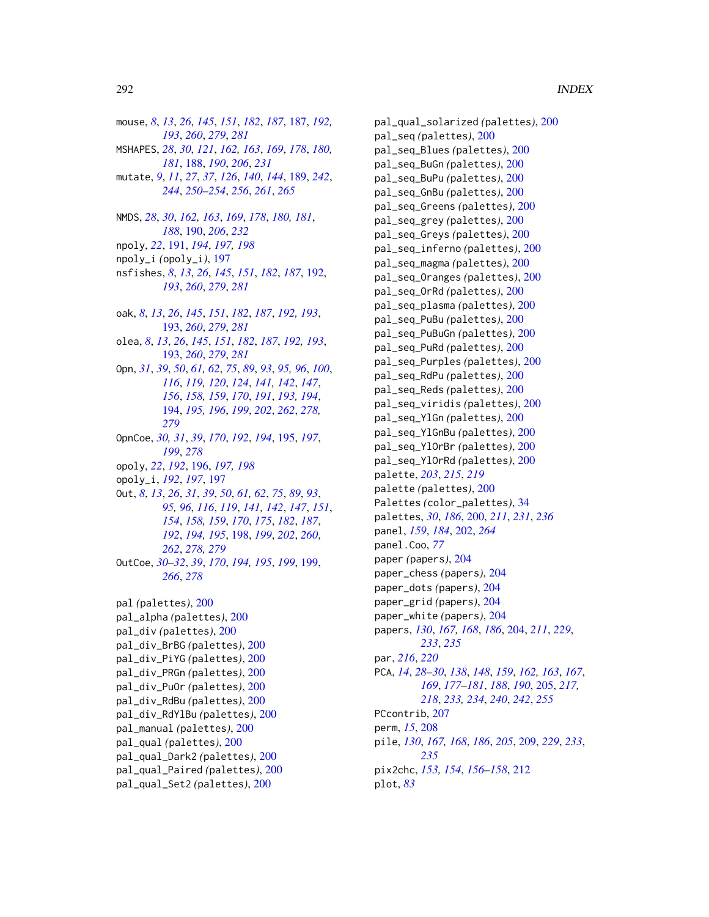mouse, 8, 13, 26, 145, 151, 182, 187, 187, 192, 193, 260, 279, 281 MSHAPES, 28, 30, 121, 162, 163, 169, 178, 180, 181, 188, 190, 206, 231 mutate, 9, 11, 27, 37, 126, 140, 144, 189, 242, 244, 250-254, 256, 261, 265 NMDS, 28, 30, 162, 163, 169, 178, 180, 181, 188, 190, 206, 232 npoly, 22, 191, 194, 197, 198 npoly\_i (opoly\_i), 197 nsfishes, 8, 13, 26, 145, 151, 182, 187, 192, 193, 260, 279, 281 oak, 8, 13, 26, 145, 151, 182, 187, 192, 193, 193, 260, 279, 281 olea, 8, 13, 26, 145, 151, 182, 187, 192, 193, 193, 260, 279, 281 0pn, 31, 39, 50, 61, 62, 75, 89, 93, 95, 96, 100, 116, 119, 120, 124, 141, 142, 147, 156, 158, 159, 170, 191, 193, 194, 194, 195, 196, 199, 202, 262, 278, 279 OpnCoe, 30, 31, 39, 170, 192, 194, 195, 197, 199, 278 opoly, 22, 192, 196, 197, 198 opoly\_i, 192, 197, 197 0ut, 8, 13, 26, 31, 39, 50, 61, 62, 75, 89, 93, 95, 96, 116, 119, 141, 142, 147, 151, 154, 158, 159, 170, 175, 182, 187, 192, 194, 195, 198, 199, 202, 260, 262, 278, 279 OutCoe, 30-32, 39, 170, 194, 195, 199, 199, 266, 278 pal (palettes), 200 pal\_alpha (palettes), 200 pal\_div(palettes), 200 pal\_div\_BrBG (palettes), 200 pal\_div\_PiYG(palettes), 200 pal\_div\_PRGn (palettes), 200 pal\_div\_PuOr (palettes), 200 pal\_div\_RdBu (palettes), 200 pal\_div\_RdYlBu (palettes), 200 pal\_manual (palettes), 200 pal\_qual (palettes), 200 pal\_qual\_Dark2 (palettes), 200

pal\_qual\_Paired (palettes), 200

pal\_qual\_Set2 (palettes), 200

pal\_qual\_solarized (palettes), 200 pal\_seq (palettes), 200 pal\_seq\_Blues (palettes), 200 pal\_seq\_BuGn (palettes), 200 pal\_seq\_BuPu (palettes), 200 pal\_seq\_GnBu (palettes), 200 pal\_seq\_Greens (palettes), 200 pal\_seq\_grey (palettes), 200 pal\_seq\_Greys (palettes), 200 pal\_seq\_inferno (palettes), 200 pal\_seq\_magma (palettes), 200 pal\_seq\_Oranges (palettes), 200 pal\_seq\_OrRd (palettes), 200 pal\_seq\_plasma (palettes), 200 pal\_seq\_PuBu (palettes), 200 pal\_seq\_PuBuGn (palettes), 200 pal\_seq\_PuRd (palettes), 200 pal\_seq\_Purples (palettes), 200 pal\_seq\_RdPu (palettes), 200 pal\_seq\_Reds (palettes), 200 pal\_seq\_viridis(palettes), 200 pal\_seq\_YlGn (palettes), 200 pal\_seq\_YlGnBu (palettes), 200 pal\_seq\_Yl0rBr (palettes), 200 pal\_seq\_YlOrRd (palettes), 200 palette, 203, 215, 219 palette (palettes), 200 Palettes (color\_palettes), 34 palettes, 30, 186, 200, 211, 231, 236 panel, 159, 184, 202, 264 panel.Coo, 77 paper (papers), 204 paper\_chess (papers), 204 paper\_dots (papers), 204 paper\_grid (papers), 204 paper\_white (papers), 204 papers, 130, 167, 168, 186, 204, 211, 229, 233, 235 par, 216, 220 PCA, 14, 28-30, 138, 148, 159, 162, 163, 167, 169, 177-181, 188, 190, 205, 217, 218, 233, 234, 240, 242, 255 PCcontrib, 207 perm, 15, 208 pile, 130, 167, 168, 186, 205, 209, 229, 233, 235 pix2chc, 153, 154, 156-158, 212  $plot, 83$ 

292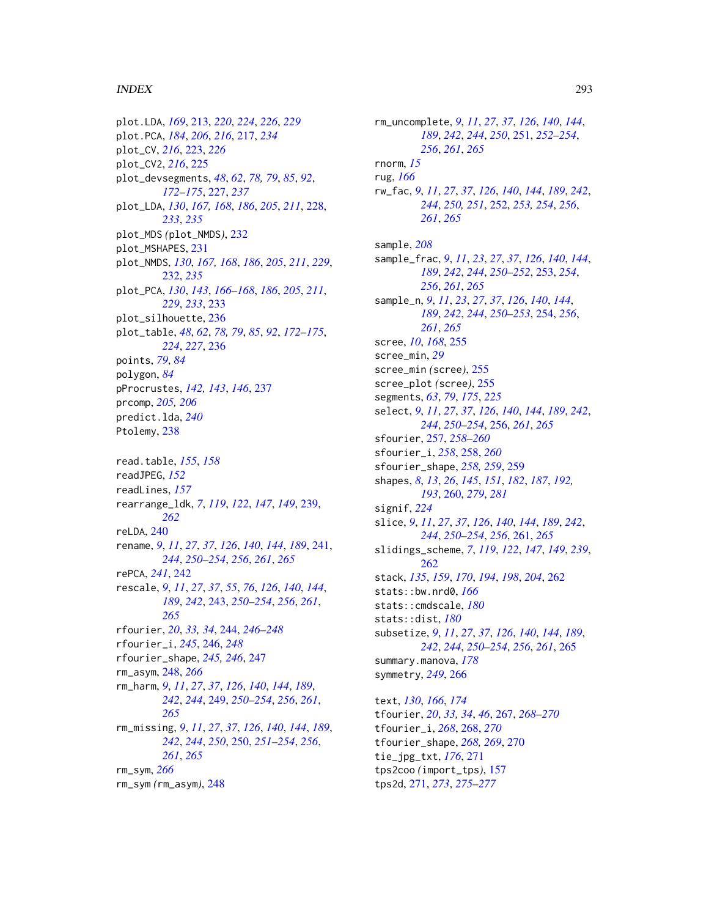## INDEX 293

plot.LDA, *[169](#page-168-0)*, [213,](#page-212-0) *[220](#page-219-0)*, *[224](#page-223-0)*, *[226](#page-225-0)*, *[229](#page-228-0)* plot.PCA, *[184](#page-183-0)*, *[206](#page-205-0)*, *[216](#page-215-0)*, [217,](#page-216-0) *[234](#page-233-0)* plot\_CV, *[216](#page-215-0)*, [223,](#page-222-0) *[226](#page-225-0)* plot\_CV2, *[216](#page-215-0)*, [225](#page-224-0) plot\_devsegments, *[48](#page-47-0)*, *[62](#page-61-0)*, *[78,](#page-77-0) [79](#page-78-0)*, *[85](#page-84-0)*, *[92](#page-91-0)*, *[172](#page-171-0)[–175](#page-174-0)*, [227,](#page-226-0) *[237](#page-236-0)* plot\_LDA, *[130](#page-129-0)*, *[167,](#page-166-0) [168](#page-167-0)*, *[186](#page-185-0)*, *[205](#page-204-0)*, *[211](#page-210-0)*, [228,](#page-227-0) *[233](#page-232-0)*, *[235](#page-234-0)* plot\_MDS *(*plot\_NMDS*)*, [232](#page-231-0) plot\_MSHAPES, [231](#page-230-0) plot\_NMDS, *[130](#page-129-0)*, *[167,](#page-166-0) [168](#page-167-0)*, *[186](#page-185-0)*, *[205](#page-204-0)*, *[211](#page-210-0)*, *[229](#page-228-0)*, [232,](#page-231-0) *[235](#page-234-0)* plot\_PCA, *[130](#page-129-0)*, *[143](#page-142-0)*, *[166–](#page-165-0)[168](#page-167-0)*, *[186](#page-185-0)*, *[205](#page-204-0)*, *[211](#page-210-0)*, *[229](#page-228-0)*, *[233](#page-232-0)*, [233](#page-232-0) plot\_silhouette, [236](#page-235-0) plot\_table, *[48](#page-47-0)*, *[62](#page-61-0)*, *[78,](#page-77-0) [79](#page-78-0)*, *[85](#page-84-0)*, *[92](#page-91-0)*, *[172–](#page-171-0)[175](#page-174-0)*, *[224](#page-223-0)*, *[227](#page-226-0)*, [236](#page-235-0) points, *[79](#page-78-0)*, *[84](#page-83-0)* polygon, *[84](#page-83-0)* pProcrustes, *[142,](#page-141-0) [143](#page-142-0)*, *[146](#page-145-0)*, [237](#page-236-0) prcomp, *[205,](#page-204-0) [206](#page-205-0)* predict.lda, *[240](#page-239-0)* Ptolemy, [238](#page-237-0) read.table, *[155](#page-154-0)*, *[158](#page-157-0)* readJPEG, *[152](#page-151-0)* readLines, *[157](#page-156-0)* rearrange\_ldk, *[7](#page-6-0)*, *[119](#page-118-0)*, *[122](#page-121-0)*, *[147](#page-146-0)*, *[149](#page-148-0)*, [239,](#page-238-0) *[262](#page-261-0)* reLDA, [240](#page-239-0) rename, *[9](#page-8-0)*, *[11](#page-10-0)*, *[27](#page-26-0)*, *[37](#page-36-0)*, *[126](#page-125-0)*, *[140](#page-139-0)*, *[144](#page-143-0)*, *[189](#page-188-0)*, [241,](#page-240-0) *[244](#page-243-0)*, *[250](#page-249-0)[–254](#page-253-0)*, *[256](#page-255-0)*, *[261](#page-260-0)*, *[265](#page-264-0)* rePCA, *[241](#page-240-0)*, [242](#page-241-0) rescale, *[9](#page-8-0)*, *[11](#page-10-0)*, *[27](#page-26-0)*, *[37](#page-36-0)*, *[55](#page-54-0)*, *[76](#page-75-0)*, *[126](#page-125-0)*, *[140](#page-139-0)*, *[144](#page-143-0)*, *[189](#page-188-0)*, *[242](#page-241-0)*, [243,](#page-242-0) *[250–](#page-249-0)[254](#page-253-0)*, *[256](#page-255-0)*, *[261](#page-260-0)*, *[265](#page-264-0)* rfourier, *[20](#page-19-0)*, *[33,](#page-32-0) [34](#page-33-0)*, [244,](#page-243-0) *[246–](#page-245-0)[248](#page-247-0)* rfourier\_i, *[245](#page-244-0)*, [246,](#page-245-0) *[248](#page-247-0)* rfourier\_shape, *[245,](#page-244-0) [246](#page-245-0)*, [247](#page-246-0) rm\_asym, [248,](#page-247-0) *[266](#page-265-0)* rm\_harm, *[9](#page-8-0)*, *[11](#page-10-0)*, *[27](#page-26-0)*, *[37](#page-36-0)*, *[126](#page-125-0)*, *[140](#page-139-0)*, *[144](#page-143-0)*, *[189](#page-188-0)*, *[242](#page-241-0)*, *[244](#page-243-0)*, [249,](#page-248-0) *[250–](#page-249-0)[254](#page-253-0)*, *[256](#page-255-0)*, *[261](#page-260-0)*, *[265](#page-264-0)* rm\_missing, *[9](#page-8-0)*, *[11](#page-10-0)*, *[27](#page-26-0)*, *[37](#page-36-0)*, *[126](#page-125-0)*, *[140](#page-139-0)*, *[144](#page-143-0)*, *[189](#page-188-0)*, *[242](#page-241-0)*, *[244](#page-243-0)*, *[250](#page-249-0)*, [250,](#page-249-0) *[251–](#page-250-0)[254](#page-253-0)*, *[256](#page-255-0)*, *[261](#page-260-0)*, *[265](#page-264-0)* rm\_sym, *[266](#page-265-0)* rm\_sym *(*rm\_asym*)*, [248](#page-247-0)

rm\_uncomplete, *[9](#page-8-0)*, *[11](#page-10-0)*, *[27](#page-26-0)*, *[37](#page-36-0)*, *[126](#page-125-0)*, *[140](#page-139-0)*, *[144](#page-143-0)*, *[189](#page-188-0)*, *[242](#page-241-0)*, *[244](#page-243-0)*, *[250](#page-249-0)*, [251,](#page-250-0) *[252](#page-251-0)[–254](#page-253-0)*, *[256](#page-255-0)*, *[261](#page-260-0)*, *[265](#page-264-0)* rnorm, *[15](#page-14-0)* rug, *[166](#page-165-0)* rw\_fac, *[9](#page-8-0)*, *[11](#page-10-0)*, *[27](#page-26-0)*, *[37](#page-36-0)*, *[126](#page-125-0)*, *[140](#page-139-0)*, *[144](#page-143-0)*, *[189](#page-188-0)*, *[242](#page-241-0)*, *[244](#page-243-0)*, *[250,](#page-249-0) [251](#page-250-0)*, [252,](#page-251-0) *[253,](#page-252-0) [254](#page-253-0)*, *[256](#page-255-0)*, *[261](#page-260-0)*, *[265](#page-264-0)* sample, *[208](#page-207-0)* sample\_frac, *[9](#page-8-0)*, *[11](#page-10-0)*, *[23](#page-22-0)*, *[27](#page-26-0)*, *[37](#page-36-0)*, *[126](#page-125-0)*, *[140](#page-139-0)*, *[144](#page-143-0)*, *[189](#page-188-0)*, *[242](#page-241-0)*, *[244](#page-243-0)*, *[250](#page-249-0)[–252](#page-251-0)*, [253,](#page-252-0) *[254](#page-253-0)*, *[256](#page-255-0)*, *[261](#page-260-0)*, *[265](#page-264-0)* sample\_n, *[9](#page-8-0)*, *[11](#page-10-0)*, *[23](#page-22-0)*, *[27](#page-26-0)*, *[37](#page-36-0)*, *[126](#page-125-0)*, *[140](#page-139-0)*, *[144](#page-143-0)*, *[189](#page-188-0)*, *[242](#page-241-0)*, *[244](#page-243-0)*, *[250](#page-249-0)[–253](#page-252-0)*, [254,](#page-253-0) *[256](#page-255-0)*, *[261](#page-260-0)*, *[265](#page-264-0)* scree, *[10](#page-9-0)*, *[168](#page-167-0)*, [255](#page-254-0) scree\_min, *[29](#page-28-0)* scree\_min *(*scree*)*, [255](#page-254-0) scree\_plot *(*scree*)*, [255](#page-254-0) segments, *[63](#page-62-0)*, *[79](#page-78-0)*, *[175](#page-174-0)*, *[225](#page-224-0)* select, *[9](#page-8-0)*, *[11](#page-10-0)*, *[27](#page-26-0)*, *[37](#page-36-0)*, *[126](#page-125-0)*, *[140](#page-139-0)*, *[144](#page-143-0)*, *[189](#page-188-0)*, *[242](#page-241-0)*, *[244](#page-243-0)*, *[250](#page-249-0)[–254](#page-253-0)*, [256,](#page-255-0) *[261](#page-260-0)*, *[265](#page-264-0)* sfourier, [257,](#page-256-0) *[258](#page-257-0)[–260](#page-259-0)* sfourier\_i, *[258](#page-257-0)*, [258,](#page-257-0) *[260](#page-259-0)* sfourier\_shape, *[258,](#page-257-0) [259](#page-258-0)*, [259](#page-258-0) shapes, *[8](#page-7-0)*, *[13](#page-12-0)*, *[26](#page-25-0)*, *[145](#page-144-0)*, *[151](#page-150-0)*, *[182](#page-181-0)*, *[187](#page-186-0)*, *[192,](#page-191-0) [193](#page-192-0)*, [260,](#page-259-0) *[279](#page-278-0)*, *[281](#page-280-0)* signif, *[224](#page-223-0)* slice, *[9](#page-8-0)*, *[11](#page-10-0)*, *[27](#page-26-0)*, *[37](#page-36-0)*, *[126](#page-125-0)*, *[140](#page-139-0)*, *[144](#page-143-0)*, *[189](#page-188-0)*, *[242](#page-241-0)*, *[244](#page-243-0)*, *[250](#page-249-0)[–254](#page-253-0)*, *[256](#page-255-0)*, [261,](#page-260-0) *[265](#page-264-0)* slidings\_scheme, *[7](#page-6-0)*, *[119](#page-118-0)*, *[122](#page-121-0)*, *[147](#page-146-0)*, *[149](#page-148-0)*, *[239](#page-238-0)*, [262](#page-261-0) stack, *[135](#page-134-0)*, *[159](#page-158-0)*, *[170](#page-169-0)*, *[194](#page-193-0)*, *[198](#page-197-0)*, *[204](#page-203-0)*, [262](#page-261-0) stats::bw.nrd0, *[166](#page-165-0)* stats::cmdscale, *[180](#page-179-0)* stats::dist, *[180](#page-179-0)* subsetize, *[9](#page-8-0)*, *[11](#page-10-0)*, *[27](#page-26-0)*, *[37](#page-36-0)*, *[126](#page-125-0)*, *[140](#page-139-0)*, *[144](#page-143-0)*, *[189](#page-188-0)*, *[242](#page-241-0)*, *[244](#page-243-0)*, *[250](#page-249-0)[–254](#page-253-0)*, *[256](#page-255-0)*, *[261](#page-260-0)*, [265](#page-264-0) summary.manova, *[178](#page-177-0)* symmetry, *[249](#page-248-0)*, [266](#page-265-0) text, *[130](#page-129-0)*, *[166](#page-165-0)*, *[174](#page-173-0)* tfourier, *[20](#page-19-0)*, *[33,](#page-32-0) [34](#page-33-0)*, *[46](#page-45-0)*, [267,](#page-266-0) *[268](#page-267-0)[–270](#page-269-0)*

tfourier\_i, *[268](#page-267-0)*, [268,](#page-267-0) *[270](#page-269-0)* tfourier\_shape, *[268,](#page-267-0) [269](#page-268-0)*, [270](#page-269-0) tie\_jpg\_txt, *[176](#page-175-0)*, [271](#page-270-0) tps2coo *(*import\_tps*)*, [157](#page-156-0) tps2d, [271,](#page-270-0) *[273](#page-272-0)*, *[275](#page-274-0)[–277](#page-276-0)*